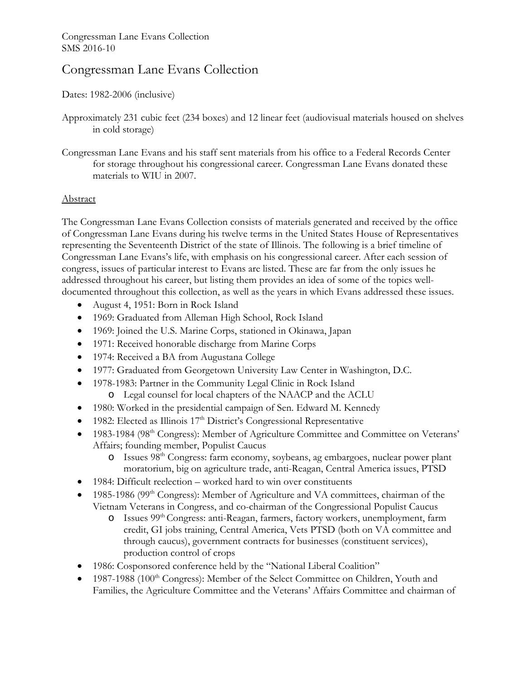# Congressman Lane Evans Collection

Dates: 1982-2006 (inclusive)

- Approximately 231 cubic feet (234 boxes) and 12 linear feet (audiovisual materials housed on shelves in cold storage)
- Congressman Lane Evans and his staff sent materials from his office to a Federal Records Center for storage throughout his congressional career. Congressman Lane Evans donated these materials to WIU in 2007.

# Abstract

The Congressman Lane Evans Collection consists of materials generated and received by the office of Congressman Lane Evans during his twelve terms in the United States House of Representatives representing the Seventeenth District of the state of Illinois. The following is a brief timeline of Congressman Lane Evans's life, with emphasis on his congressional career. After each session of congress, issues of particular interest to Evans are listed. These are far from the only issues he addressed throughout his career, but listing them provides an idea of some of the topics welldocumented throughout this collection, as well as the years in which Evans addressed these issues.

- August 4, 1951: Born in Rock Island
- 1969: Graduated from Alleman High School, Rock Island
- 1969: Joined the U.S. Marine Corps, stationed in Okinawa, Japan
- 1971: Received honorable discharge from Marine Corps
- 1974: Received a BA from Augustana College
- 1977: Graduated from Georgetown University Law Center in Washington, D.C.
- 1978-1983: Partner in the Community Legal Clinic in Rock Island o Legal counsel for local chapters of the NAACP and the ACLU
- 1980: Worked in the presidential campaign of Sen. Edward M. Kennedy
- $\bullet$  1982: Elected as Illinois 17<sup>th</sup> District's Congressional Representative
- 1983-1984 (98<sup>th</sup> Congress): Member of Agriculture Committee and Committee on Veterans' Affairs; founding member, Populist Caucus
	- o Issues 98th Congress: farm economy, soybeans, ag embargoes, nuclear power plant moratorium, big on agriculture trade, anti-Reagan, Central America issues, PTSD
- 1984: Difficult reelection worked hard to win over constituents
- $\bullet$  1985-1986 (99<sup>th</sup> Congress): Member of Agriculture and VA committees, chairman of the Vietnam Veterans in Congress, and co-chairman of the Congressional Populist Caucus
	- o Issues 99th Congress: anti-Reagan, farmers, factory workers, unemployment, farm credit, GI jobs training, Central America, Vets PTSD (both on VA committee and through caucus), government contracts for businesses (constituent services), production control of crops
- 1986: Cosponsored conference held by the "National Liberal Coalition"
- $\bullet$  1987-1988 (100<sup>th</sup> Congress): Member of the Select Committee on Children, Youth and Families, the Agriculture Committee and the Veterans' Affairs Committee and chairman of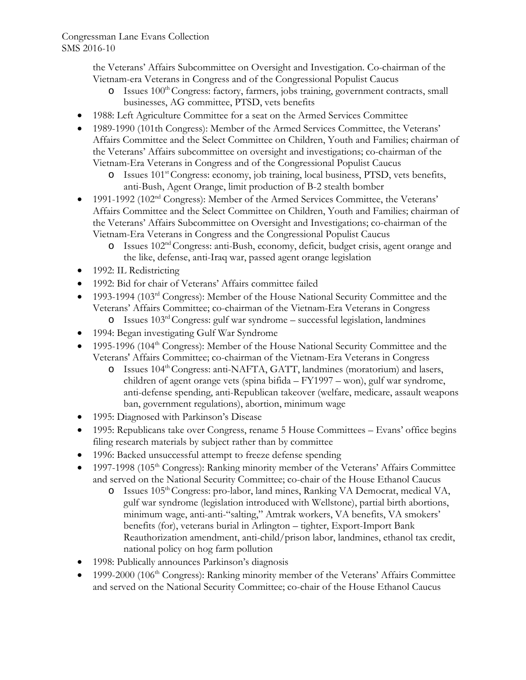the Veterans' Affairs Subcommittee on Oversight and Investigation. Co-chairman of the Vietnam-era Veterans in Congress and of the Congressional Populist Caucus

- o Issues 100<sup>th</sup> Congress: factory, farmers, jobs training, government contracts, small businesses, AG committee, PTSD, vets benefits
- 1988: Left Agriculture Committee for a seat on the Armed Services Committee
- 1989-1990 (101th Congress): Member of the Armed Services Committee, the Veterans' Affairs Committee and the Select Committee on Children, Youth and Families; chairman of the Veterans' Affairs subcommittee on oversight and investigations; co-chairman of the Vietnam-Era Veterans in Congress and of the Congressional Populist Caucus
	- o Issues 101st Congress: economy, job training, local business, PTSD, vets benefits, anti-Bush, Agent Orange, limit production of B-2 stealth bomber
- 1991-1992 (102<sup>nd</sup> Congress): Member of the Armed Services Committee, the Veterans' Affairs Committee and the Select Committee on Children, Youth and Families; chairman of the Veterans' Affairs Subcommittee on Oversight and Investigations; co-chairman of the Vietnam-Era Veterans in Congress and the Congressional Populist Caucus
	- o Issues 102nd Congress: anti-Bush, economy, deficit, budget crisis, agent orange and the like, defense, anti-Iraq war, passed agent orange legislation
- 1992: IL Redistricting
- 1992: Bid for chair of Veterans' Affairs committee failed
- 1993-1994 (103<sup>rd</sup> Congress): Member of the House National Security Committee and the Veterans' Affairs Committee; co-chairman of the Vietnam-Era Veterans in Congress
	- $\circ$  Issues 103<sup>rd</sup> Congress: gulf war syndrome successful legislation, landmines
- 1994: Began investigating Gulf War Syndrome
- 1995-1996 (104<sup>th</sup> Congress): Member of the House National Security Committee and the Veterans' Affairs Committee; co-chairman of the Vietnam-Era Veterans in Congress
	- o Issues 104th Congress: anti-NAFTA, GATT, landmines (moratorium) and lasers, children of agent orange vets (spina bifida – FY1997 – won), gulf war syndrome, anti-defense spending, anti-Republican takeover (welfare, medicare, assault weapons ban, government regulations), abortion, minimum wage
- 1995: Diagnosed with Parkinson's Disease
- 1995: Republicans take over Congress, rename 5 House Committees Evans' office begins filing research materials by subject rather than by committee
- 1996: Backed unsuccessful attempt to freeze defense spending
- 1997-1998 (105<sup>th</sup> Congress): Ranking minority member of the Veterans' Affairs Committee and served on the National Security Committee; co-chair of the House Ethanol Caucus
	- o Issues 105th Congress: pro-labor, land mines, Ranking VA Democrat, medical VA, gulf war syndrome (legislation introduced with Wellstone), partial birth abortions, minimum wage, anti-anti-"salting," Amtrak workers, VA benefits, VA smokers' benefits (for), veterans burial in Arlington – tighter, Export-Import Bank Reauthorization amendment, anti-child/prison labor, landmines, ethanol tax credit, national policy on hog farm pollution
- 1998: Publically announces Parkinson's diagnosis
- 1999-2000 (106<sup>th</sup> Congress): Ranking minority member of the Veterans' Affairs Committee and served on the National Security Committee; co-chair of the House Ethanol Caucus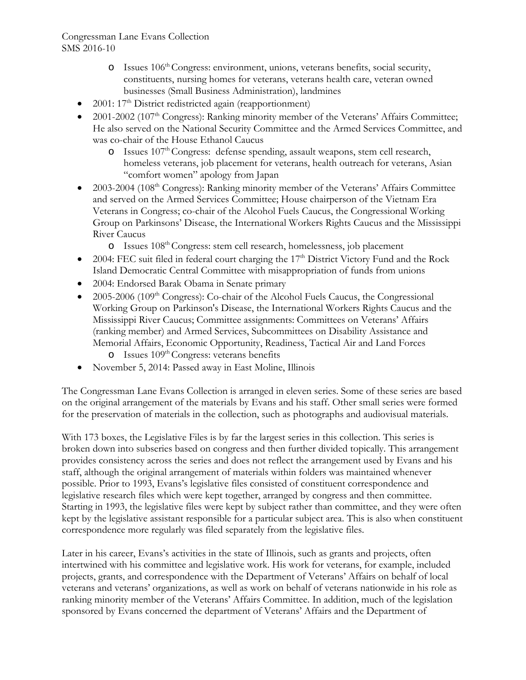- o Issues 106th Congress: environment, unions, veterans benefits, social security, constituents, nursing homes for veterans, veterans health care, veteran owned businesses (Small Business Administration), landmines
- $2001: 17<sup>th</sup>$  District redistricted again (reapportionment)
- 2001-2002 (107<sup>th</sup> Congress): Ranking minority member of the Veterans' Affairs Committee; He also served on the National Security Committee and the Armed Services Committee, and was co-chair of the House Ethanol Caucus
	- $\circ$  Issues 107<sup>th</sup> Congress: defense spending, assault weapons, stem cell research, homeless veterans, job placement for veterans, health outreach for veterans, Asian "comfort women" apology from Japan
- 2003-2004 (108<sup>th</sup> Congress): Ranking minority member of the Veterans' Affairs Committee and served on the Armed Services Committee; House chairperson of the Vietnam Era Veterans in Congress; co-chair of the Alcohol Fuels Caucus, the Congressional Working Group on Parkinsons' Disease, the International Workers Rights Caucus and the Mississippi River Caucus
	- o Issues 108th Congress: stem cell research, homelessness, job placement
- 2004: FEC suit filed in federal court charging the 17<sup>th</sup> District Victory Fund and the Rock Island Democratic Central Committee with misappropriation of funds from unions
- 2004: Endorsed Barak Obama in Senate primary
- 2005-2006 (109<sup>th</sup> Congress): Co-chair of the Alcohol Fuels Caucus, the Congressional Working Group on Parkinson's Disease, the International Workers Rights Caucus and the Mississippi River Caucus; Committee assignments: Committees on Veterans' Affairs (ranking member) and Armed Services, Subcommittees on Disability Assistance and Memorial Affairs, Economic Opportunity, Readiness, Tactical Air and Land Forces  $\circ$  Issues 109<sup>th</sup> Congress: veterans benefits
- November 5, 2014: Passed away in East Moline, Illinois

The Congressman Lane Evans Collection is arranged in eleven series. Some of these series are based on the original arrangement of the materials by Evans and his staff. Other small series were formed for the preservation of materials in the collection, such as photographs and audiovisual materials.

With 173 boxes, the Legislative Files is by far the largest series in this collection. This series is broken down into subseries based on congress and then further divided topically. This arrangement provides consistency across the series and does not reflect the arrangement used by Evans and his staff, although the original arrangement of materials within folders was maintained whenever possible. Prior to 1993, Evans's legislative files consisted of constituent correspondence and legislative research files which were kept together, arranged by congress and then committee. Starting in 1993, the legislative files were kept by subject rather than committee, and they were often kept by the legislative assistant responsible for a particular subject area. This is also when constituent correspondence more regularly was filed separately from the legislative files.

Later in his career, Evans's activities in the state of Illinois, such as grants and projects, often intertwined with his committee and legislative work. His work for veterans, for example, included projects, grants, and correspondence with the Department of Veterans' Affairs on behalf of local veterans and veterans' organizations, as well as work on behalf of veterans nationwide in his role as ranking minority member of the Veterans' Affairs Committee. In addition, much of the legislation sponsored by Evans concerned the department of Veterans' Affairs and the Department of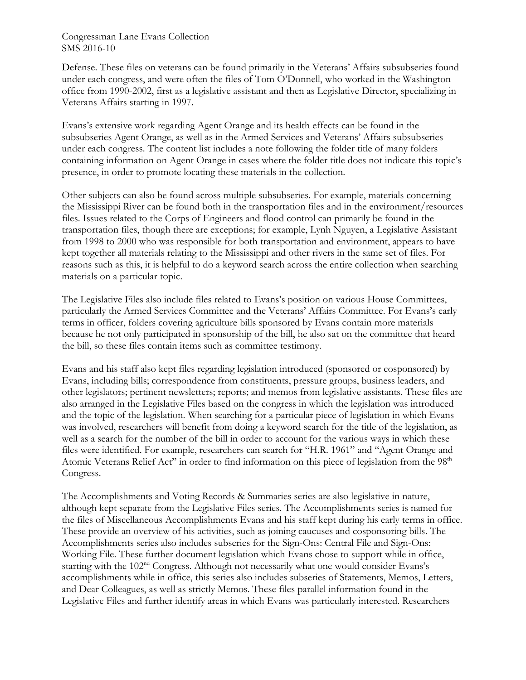Defense. These files on veterans can be found primarily in the Veterans' Affairs subsubseries found under each congress, and were often the files of Tom O'Donnell, who worked in the Washington office from 1990-2002, first as a legislative assistant and then as Legislative Director, specializing in Veterans Affairs starting in 1997.

Evans's extensive work regarding Agent Orange and its health effects can be found in the subsubseries Agent Orange, as well as in the Armed Services and Veterans' Affairs subsubseries under each congress. The content list includes a note following the folder title of many folders containing information on Agent Orange in cases where the folder title does not indicate this topic's presence, in order to promote locating these materials in the collection.

Other subjects can also be found across multiple subsubseries. For example, materials concerning the Mississippi River can be found both in the transportation files and in the environment/resources files. Issues related to the Corps of Engineers and flood control can primarily be found in the transportation files, though there are exceptions; for example, Lynh Nguyen, a Legislative Assistant from 1998 to 2000 who was responsible for both transportation and environment, appears to have kept together all materials relating to the Mississippi and other rivers in the same set of files. For reasons such as this, it is helpful to do a keyword search across the entire collection when searching materials on a particular topic.

The Legislative Files also include files related to Evans's position on various House Committees, particularly the Armed Services Committee and the Veterans' Affairs Committee. For Evans's early terms in officer, folders covering agriculture bills sponsored by Evans contain more materials because he not only participated in sponsorship of the bill, he also sat on the committee that heard the bill, so these files contain items such as committee testimony.

Evans and his staff also kept files regarding legislation introduced (sponsored or cosponsored) by Evans, including bills; correspondence from constituents, pressure groups, business leaders, and other legislators; pertinent newsletters; reports; and memos from legislative assistants. These files are also arranged in the Legislative Files based on the congress in which the legislation was introduced and the topic of the legislation. When searching for a particular piece of legislation in which Evans was involved, researchers will benefit from doing a keyword search for the title of the legislation, as well as a search for the number of the bill in order to account for the various ways in which these files were identified. For example, researchers can search for "H.R. 1961" and "Agent Orange and Atomic Veterans Relief Act" in order to find information on this piece of legislation from the 98<sup>th</sup> Congress.

The Accomplishments and Voting Records & Summaries series are also legislative in nature, although kept separate from the Legislative Files series. The Accomplishments series is named for the files of Miscellaneous Accomplishments Evans and his staff kept during his early terms in office. These provide an overview of his activities, such as joining caucuses and cosponsoring bills. The Accomplishments series also includes subseries for the Sign-Ons: Central File and Sign-Ons: Working File. These further document legislation which Evans chose to support while in office, starting with the 102nd Congress. Although not necessarily what one would consider Evans's accomplishments while in office, this series also includes subseries of Statements, Memos, Letters, and Dear Colleagues, as well as strictly Memos. These files parallel information found in the Legislative Files and further identify areas in which Evans was particularly interested. Researchers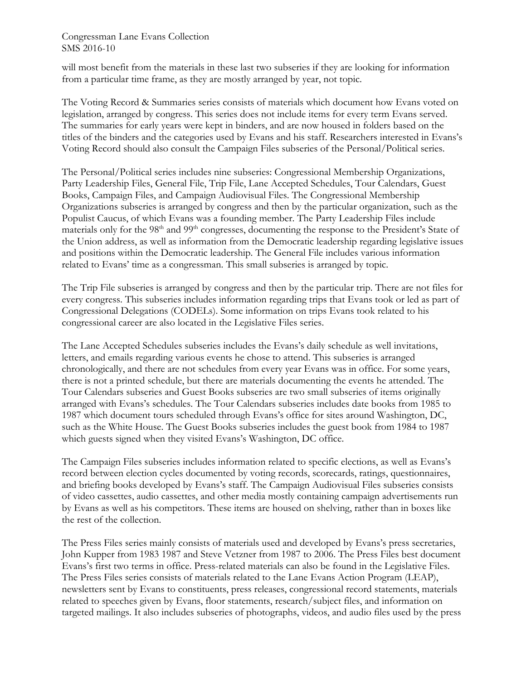will most benefit from the materials in these last two subseries if they are looking for information from a particular time frame, as they are mostly arranged by year, not topic.

The Voting Record & Summaries series consists of materials which document how Evans voted on legislation, arranged by congress. This series does not include items for every term Evans served. The summaries for early years were kept in binders, and are now housed in folders based on the titles of the binders and the categories used by Evans and his staff. Researchers interested in Evans's Voting Record should also consult the Campaign Files subseries of the Personal/Political series.

The Personal/Political series includes nine subseries: Congressional Membership Organizations, Party Leadership Files, General File, Trip File, Lane Accepted Schedules, Tour Calendars, Guest Books, Campaign Files, and Campaign Audiovisual Files. The Congressional Membership Organizations subseries is arranged by congress and then by the particular organization, such as the Populist Caucus, of which Evans was a founding member. The Party Leadership Files include materials only for the 98<sup>th</sup> and 99<sup>th</sup> congresses, documenting the response to the President's State of the Union address, as well as information from the Democratic leadership regarding legislative issues and positions within the Democratic leadership. The General File includes various information related to Evans' time as a congressman. This small subseries is arranged by topic.

The Trip File subseries is arranged by congress and then by the particular trip. There are not files for every congress. This subseries includes information regarding trips that Evans took or led as part of Congressional Delegations (CODELs). Some information on trips Evans took related to his congressional career are also located in the Legislative Files series.

The Lane Accepted Schedules subseries includes the Evans's daily schedule as well invitations, letters, and emails regarding various events he chose to attend. This subseries is arranged chronologically, and there are not schedules from every year Evans was in office. For some years, there is not a printed schedule, but there are materials documenting the events he attended. The Tour Calendars subseries and Guest Books subseries are two small subseries of items originally arranged with Evans's schedules. The Tour Calendars subseries includes date books from 1985 to 1987 which document tours scheduled through Evans's office for sites around Washington, DC, such as the White House. The Guest Books subseries includes the guest book from 1984 to 1987 which guests signed when they visited Evans's Washington, DC office.

The Campaign Files subseries includes information related to specific elections, as well as Evans's record between election cycles documented by voting records, scorecards, ratings, questionnaires, and briefing books developed by Evans's staff. The Campaign Audiovisual Files subseries consists of video cassettes, audio cassettes, and other media mostly containing campaign advertisements run by Evans as well as his competitors. These items are housed on shelving, rather than in boxes like the rest of the collection.

The Press Files series mainly consists of materials used and developed by Evans's press secretaries, John Kupper from 1983 1987 and Steve Vetzner from 1987 to 2006. The Press Files best document Evans's first two terms in office. Press-related materials can also be found in the Legislative Files. The Press Files series consists of materials related to the Lane Evans Action Program (LEAP), newsletters sent by Evans to constituents, press releases, congressional record statements, materials related to speeches given by Evans, floor statements, research/subject files, and information on targeted mailings. It also includes subseries of photographs, videos, and audio files used by the press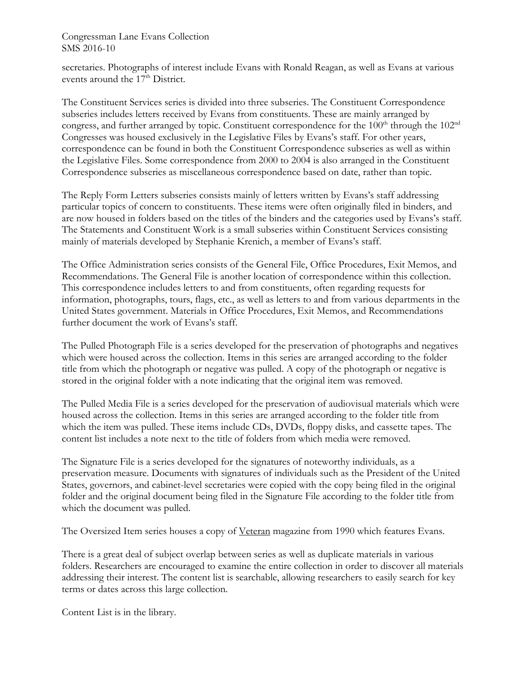secretaries. Photographs of interest include Evans with Ronald Reagan, as well as Evans at various events around the  $17<sup>th</sup>$  District.

The Constituent Services series is divided into three subseries. The Constituent Correspondence subseries includes letters received by Evans from constituents. These are mainly arranged by congress, and further arranged by topic. Constituent correspondence for the 100<sup>th</sup> through the 102<sup>nd</sup> Congresses was housed exclusively in the Legislative Files by Evans's staff. For other years, correspondence can be found in both the Constituent Correspondence subseries as well as within the Legislative Files. Some correspondence from 2000 to 2004 is also arranged in the Constituent Correspondence subseries as miscellaneous correspondence based on date, rather than topic.

The Reply Form Letters subseries consists mainly of letters written by Evans's staff addressing particular topics of concern to constituents. These items were often originally filed in binders, and are now housed in folders based on the titles of the binders and the categories used by Evans's staff. The Statements and Constituent Work is a small subseries within Constituent Services consisting mainly of materials developed by Stephanie Krenich, a member of Evans's staff.

The Office Administration series consists of the General File, Office Procedures, Exit Memos, and Recommendations. The General File is another location of correspondence within this collection. This correspondence includes letters to and from constituents, often regarding requests for information, photographs, tours, flags, etc., as well as letters to and from various departments in the United States government. Materials in Office Procedures, Exit Memos, and Recommendations further document the work of Evans's staff.

The Pulled Photograph File is a series developed for the preservation of photographs and negatives which were housed across the collection. Items in this series are arranged according to the folder title from which the photograph or negative was pulled. A copy of the photograph or negative is stored in the original folder with a note indicating that the original item was removed.

The Pulled Media File is a series developed for the preservation of audiovisual materials which were housed across the collection. Items in this series are arranged according to the folder title from which the item was pulled. These items include CDs, DVDs, floppy disks, and cassette tapes. The content list includes a note next to the title of folders from which media were removed.

The Signature File is a series developed for the signatures of noteworthy individuals, as a preservation measure. Documents with signatures of individuals such as the President of the United States, governors, and cabinet-level secretaries were copied with the copy being filed in the original folder and the original document being filed in the Signature File according to the folder title from which the document was pulled.

The Oversized Item series houses a copy of Veteran magazine from 1990 which features Evans.

There is a great deal of subject overlap between series as well as duplicate materials in various folders. Researchers are encouraged to examine the entire collection in order to discover all materials addressing their interest. The content list is searchable, allowing researchers to easily search for key terms or dates across this large collection.

Content List is in the library.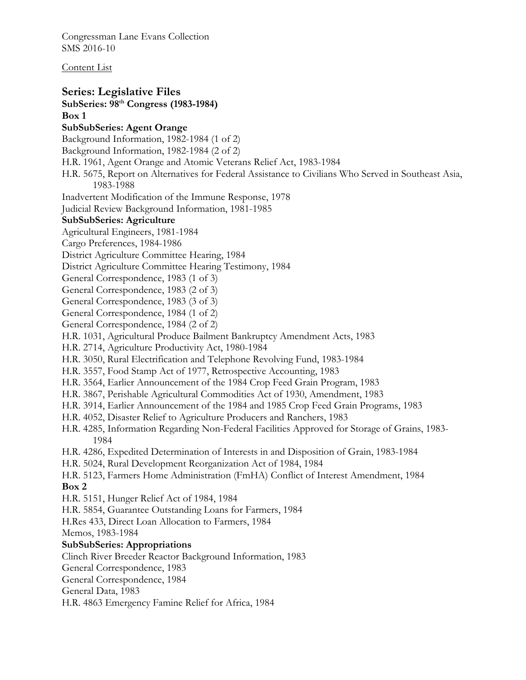Content List

**Series: Legislative Files SubSeries: 98th Congress (1983-1984) Box 1 SubSubSeries: Agent Orange**  Background Information, 1982-1984 (1 of 2) Background Information, 1982-1984 (2 of 2) H.R. 1961, Agent Orange and Atomic Veterans Relief Act, 1983-1984 H.R. 5675, Report on Alternatives for Federal Assistance to Civilians Who Served in Southeast Asia, 1983-1988 Inadvertent Modification of the Immune Response, 1978 Judicial Review Background Information, 1981-1985 **SubSubSeries: Agriculture**  Agricultural Engineers, 1981-1984 Cargo Preferences, 1984-1986 District Agriculture Committee Hearing, 1984 District Agriculture Committee Hearing Testimony, 1984 General Correspondence, 1983 (1 of 3) General Correspondence, 1983 (2 of 3) General Correspondence, 1983 (3 of 3) General Correspondence, 1984 (1 of 2) General Correspondence, 1984 (2 of 2) H.R. 1031, Agricultural Produce Bailment Bankruptcy Amendment Acts, 1983 H.R. 2714, Agriculture Productivity Act, 1980-1984 H.R. 3050, Rural Electrification and Telephone Revolving Fund, 1983-1984 H.R. 3557, Food Stamp Act of 1977, Retrospective Accounting, 1983 H.R. 3564, Earlier Announcement of the 1984 Crop Feed Grain Program, 1983 H.R. 3867, Perishable Agricultural Commodities Act of 1930, Amendment, 1983 H.R. 3914, Earlier Announcement of the 1984 and 1985 Crop Feed Grain Programs, 1983 H.R. 4052, Disaster Relief to Agriculture Producers and Ranchers, 1983 H.R. 4285, Information Regarding Non-Federal Facilities Approved for Storage of Grains, 1983- 1984 H.R. 4286, Expedited Determination of Interests in and Disposition of Grain, 1983-1984 H.R. 5024, Rural Development Reorganization Act of 1984, 1984 H.R. 5123, Farmers Home Administration (FmHA) Conflict of Interest Amendment, 1984 **Box 2**  H.R. 5151, Hunger Relief Act of 1984, 1984 H.R. 5854, Guarantee Outstanding Loans for Farmers, 1984 H.Res 433, Direct Loan Allocation to Farmers, 1984 Memos, 1983-1984 **SubSubSeries: Appropriations**  Clinch River Breeder Reactor Background Information, 1983 General Correspondence, 1983 General Correspondence, 1984 General Data, 1983 H.R. 4863 Emergency Famine Relief for Africa, 1984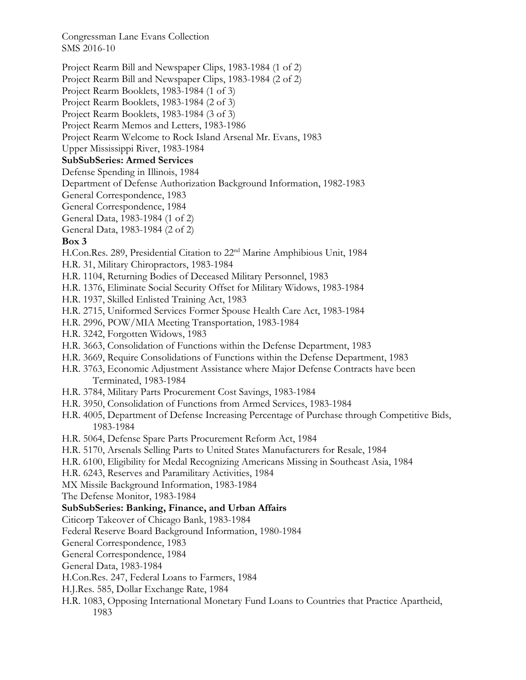Project Rearm Bill and Newspaper Clips, 1983-1984 (1 of 2)

Project Rearm Bill and Newspaper Clips, 1983-1984 (2 of 2)

Project Rearm Booklets, 1983-1984 (1 of 3)

Project Rearm Booklets, 1983-1984 (2 of 3)

Project Rearm Booklets, 1983-1984 (3 of 3)

Project Rearm Memos and Letters, 1983-1986

Project Rearm Welcome to Rock Island Arsenal Mr. Evans, 1983

Upper Mississippi River, 1983-1984

# **SubSubSeries: Armed Services**

Defense Spending in Illinois, 1984

Department of Defense Authorization Background Information, 1982-1983

General Correspondence, 1983

General Correspondence, 1984

General Data, 1983-1984 (1 of 2)

General Data, 1983-1984 (2 of 2)

# **Box 3**

H.Con.Res. 289, Presidential Citation to 22<sup>nd</sup> Marine Amphibious Unit, 1984

- H.R. 31, Military Chiropractors, 1983-1984
- H.R. 1104, Returning Bodies of Deceased Military Personnel, 1983
- H.R. 1376, Eliminate Social Security Offset for Military Widows, 1983-1984
- H.R. 1937, Skilled Enlisted Training Act, 1983
- H.R. 2715, Uniformed Services Former Spouse Health Care Act, 1983-1984
- H.R. 2996, POW/MIA Meeting Transportation, 1983-1984
- H.R. 3242, Forgotten Widows, 1983
- H.R. 3663, Consolidation of Functions within the Defense Department, 1983
- H.R. 3669, Require Consolidations of Functions within the Defense Department, 1983
- H.R. 3763, Economic Adjustment Assistance where Major Defense Contracts have been Terminated, 1983-1984
- H.R. 3784, Military Parts Procurement Cost Savings, 1983-1984
- H.R. 3950, Consolidation of Functions from Armed Services, 1983-1984
- H.R. 4005, Department of Defense Increasing Percentage of Purchase through Competitive Bids, 1983-1984
- H.R. 5064, Defense Spare Parts Procurement Reform Act, 1984
- H.R. 5170, Arsenals Selling Parts to United States Manufacturers for Resale, 1984
- H.R. 6100, Eligibility for Medal Recognizing Americans Missing in Southeast Asia, 1984
- H.R. 6243, Reserves and Paramilitary Activities, 1984
- MX Missile Background Information, 1983-1984
- The Defense Monitor, 1983-1984

# **SubSubSeries: Banking, Finance, and Urban Affairs**

Citicorp Takeover of Chicago Bank, 1983-1984

- Federal Reserve Board Background Information, 1980-1984
- General Correspondence, 1983
- General Correspondence, 1984
- General Data, 1983-1984
- H.Con.Res. 247, Federal Loans to Farmers, 1984
- H.J.Res. 585, Dollar Exchange Rate, 1984
- H.R. 1083, Opposing International Monetary Fund Loans to Countries that Practice Apartheid, 1983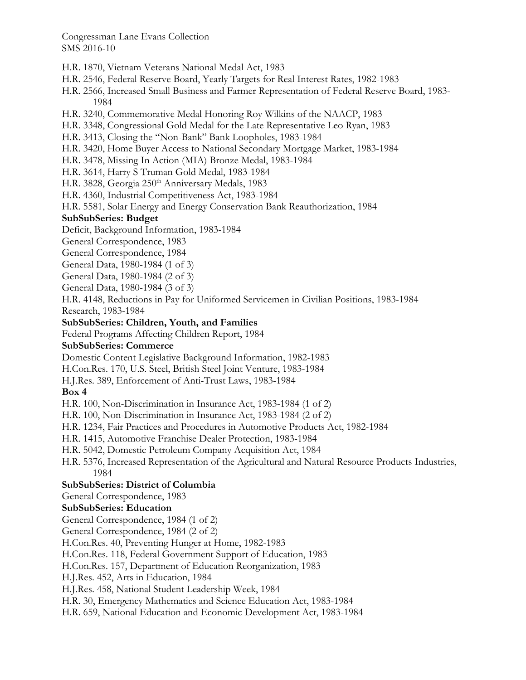- H.R. 1870, Vietnam Veterans National Medal Act, 1983
- H.R. 2546, Federal Reserve Board, Yearly Targets for Real Interest Rates, 1982-1983
- H.R. 2566, Increased Small Business and Farmer Representation of Federal Reserve Board, 1983- 1984
- H.R. 3240, Commemorative Medal Honoring Roy Wilkins of the NAACP, 1983
- H.R. 3348, Congressional Gold Medal for the Late Representative Leo Ryan, 1983
- H.R. 3413, Closing the "Non-Bank" Bank Loopholes, 1983-1984
- H.R. 3420, Home Buyer Access to National Secondary Mortgage Market, 1983-1984
- H.R. 3478, Missing In Action (MIA) Bronze Medal, 1983-1984
- H.R. 3614, Harry S Truman Gold Medal, 1983-1984
- H.R. 3828, Georgia 250<sup>th</sup> Anniversary Medals, 1983
- H.R. 4360, Industrial Competitiveness Act, 1983-1984

H.R. 5581, Solar Energy and Energy Conservation Bank Reauthorization, 1984

#### **SubSubSeries: Budget**

Deficit, Background Information, 1983-1984

General Correspondence, 1983

- General Correspondence, 1984
- General Data, 1980-1984 (1 of 3)
- General Data, 1980-1984 (2 of 3)
- General Data, 1980-1984 (3 of 3)

H.R. 4148, Reductions in Pay for Uniformed Servicemen in Civilian Positions, 1983-1984

Research, 1983-1984

#### **SubSubSeries: Children, Youth, and Families**

Federal Programs Affecting Children Report, 1984

## **SubSubSeries: Commerce**

Domestic Content Legislative Background Information, 1982-1983

H.Con.Res. 170, U.S. Steel, British Steel Joint Venture, 1983-1984

H.J.Res. 389, Enforcement of Anti-Trust Laws, 1983-1984

## **Box 4**

H.R. 100, Non-Discrimination in Insurance Act, 1983-1984 (1 of 2)

- H.R. 100, Non-Discrimination in Insurance Act, 1983-1984 (2 of 2)
- H.R. 1234, Fair Practices and Procedures in Automotive Products Act, 1982-1984
- H.R. 1415, Automotive Franchise Dealer Protection, 1983-1984
- H.R. 5042, Domestic Petroleum Company Acquisition Act, 1984
- H.R. 5376, Increased Representation of the Agricultural and Natural Resource Products Industries, 1984

## **SubSubSeries: District of Columbia**

General Correspondence, 1983

## **SubSubSeries: Education**

General Correspondence, 1984 (1 of 2)

General Correspondence, 1984 (2 of 2)

H.Con.Res. 40, Preventing Hunger at Home, 1982-1983

H.Con.Res. 118, Federal Government Support of Education, 1983

H.Con.Res. 157, Department of Education Reorganization, 1983

H.J.Res. 452, Arts in Education, 1984

H.J.Res. 458, National Student Leadership Week, 1984

H.R. 30, Emergency Mathematics and Science Education Act, 1983-1984

H.R. 659, National Education and Economic Development Act, 1983-1984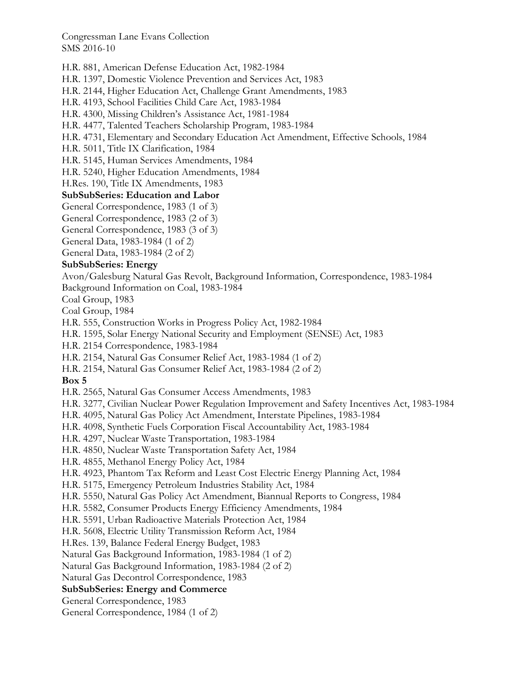H.R. 881, American Defense Education Act, 1982-1984

H.R. 1397, Domestic Violence Prevention and Services Act, 1983

H.R. 2144, Higher Education Act, Challenge Grant Amendments, 1983

H.R. 4193, School Facilities Child Care Act, 1983-1984

H.R. 4300, Missing Children's Assistance Act, 1981-1984

H.R. 4477, Talented Teachers Scholarship Program, 1983-1984

H.R. 4731, Elementary and Secondary Education Act Amendment, Effective Schools, 1984

H.R. 5011, Title IX Clarification, 1984

H.R. 5145, Human Services Amendments, 1984

H.R. 5240, Higher Education Amendments, 1984

H.Res. 190, Title IX Amendments, 1983

# **SubSubSeries: Education and Labor**

General Correspondence, 1983 (1 of 3)

General Correspondence, 1983 (2 of 3)

General Correspondence, 1983 (3 of 3)

General Data, 1983-1984 (1 of 2)

General Data, 1983-1984 (2 of 2)

## **SubSubSeries: Energy**

Avon/Galesburg Natural Gas Revolt, Background Information, Correspondence, 1983-1984

Background Information on Coal, 1983-1984

Coal Group, 1983

Coal Group, 1984

H.R. 555, Construction Works in Progress Policy Act, 1982-1984

H.R. 1595, Solar Energy National Security and Employment (SENSE) Act, 1983

H.R. 2154 Correspondence, 1983-1984

H.R. 2154, Natural Gas Consumer Relief Act, 1983-1984 (1 of 2)

H.R. 2154, Natural Gas Consumer Relief Act, 1983-1984 (2 of 2)

#### **Box 5**

H.R. 2565, Natural Gas Consumer Access Amendments, 1983

H.R. 3277, Civilian Nuclear Power Regulation Improvement and Safety Incentives Act, 1983-1984

H.R. 4095, Natural Gas Policy Act Amendment, Interstate Pipelines, 1983-1984

H.R. 4098, Synthetic Fuels Corporation Fiscal Accountability Act, 1983-1984

H.R. 4297, Nuclear Waste Transportation, 1983-1984

H.R. 4850, Nuclear Waste Transportation Safety Act, 1984

H.R. 4855, Methanol Energy Policy Act, 1984

H.R. 4923, Phantom Tax Reform and Least Cost Electric Energy Planning Act, 1984

H.R. 5175, Emergency Petroleum Industries Stability Act, 1984

H.R. 5550, Natural Gas Policy Act Amendment, Biannual Reports to Congress, 1984

H.R. 5582, Consumer Products Energy Efficiency Amendments, 1984

H.R. 5591, Urban Radioactive Materials Protection Act, 1984

H.R. 5608, Electric Utility Transmission Reform Act, 1984

H.Res. 139, Balance Federal Energy Budget, 1983

Natural Gas Background Information, 1983-1984 (1 of 2)

Natural Gas Background Information, 1983-1984 (2 of 2)

Natural Gas Decontrol Correspondence, 1983

#### **SubSubSeries: Energy and Commerce**

General Correspondence, 1983

General Correspondence, 1984 (1 of 2)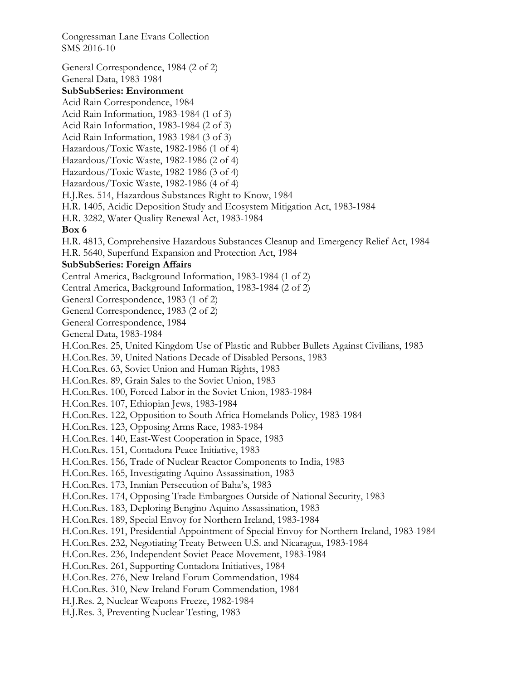SMS 2016-10 General Correspondence, 1984 (2 of 2) General Data, 1983-1984 **SubSubSeries: Environment**  Acid Rain Correspondence, 1984 Acid Rain Information, 1983-1984 (1 of 3) Acid Rain Information, 1983-1984 (2 of 3) Acid Rain Information, 1983-1984 (3 of 3) Hazardous/Toxic Waste, 1982-1986 (1 of 4) Hazardous/Toxic Waste, 1982-1986 (2 of 4) Hazardous/Toxic Waste, 1982-1986 (3 of 4) Hazardous/Toxic Waste, 1982-1986 (4 of 4) H.J.Res. 514, Hazardous Substances Right to Know, 1984 H.R. 1405, Acidic Deposition Study and Ecosystem Mitigation Act, 1983-1984 H.R. 3282, Water Quality Renewal Act, 1983-1984 **Box 6**  H.R. 4813, Comprehensive Hazardous Substances Cleanup and Emergency Relief Act, 1984 H.R. 5640, Superfund Expansion and Protection Act, 1984 **SubSubSeries: Foreign Affairs**  Central America, Background Information, 1983-1984 (1 of 2) Central America, Background Information, 1983-1984 (2 of 2) General Correspondence, 1983 (1 of 2) General Correspondence, 1983 (2 of 2) General Correspondence, 1984 General Data, 1983-1984 H.Con.Res. 25, United Kingdom Use of Plastic and Rubber Bullets Against Civilians, 1983 H.Con.Res. 39, United Nations Decade of Disabled Persons, 1983 H.Con.Res. 63, Soviet Union and Human Rights, 1983 H.Con.Res. 89, Grain Sales to the Soviet Union, 1983 H.Con.Res. 100, Forced Labor in the Soviet Union, 1983-1984 H.Con.Res. 107, Ethiopian Jews, 1983-1984 H.Con.Res. 122, Opposition to South Africa Homelands Policy, 1983-1984 H.Con.Res. 123, Opposing Arms Race, 1983-1984 H.Con.Res. 140, East-West Cooperation in Space, 1983 H.Con.Res. 151, Contadora Peace Initiative, 1983 H.Con.Res. 156, Trade of Nuclear Reactor Components to India, 1983 H.Con.Res. 165, Investigating Aquino Assassination, 1983 H.Con.Res. 173, Iranian Persecution of Baha's, 1983 H.Con.Res. 174, Opposing Trade Embargoes Outside of National Security, 1983 H.Con.Res. 183, Deploring Bengino Aquino Assassination, 1983 H.Con.Res. 189, Special Envoy for Northern Ireland, 1983-1984 H.Con.Res. 191, Presidential Appointment of Special Envoy for Northern Ireland, 1983-1984 H.Con.Res. 232, Negotiating Treaty Between U.S. and Nicaragua, 1983-1984 H.Con.Res. 236, Independent Soviet Peace Movement, 1983-1984 H.Con.Res. 261, Supporting Contadora Initiatives, 1984 H.Con.Res. 276, New Ireland Forum Commendation, 1984 H.Con.Res. 310, New Ireland Forum Commendation, 1984 H.J.Res. 2, Nuclear Weapons Freeze, 1982-1984 H.J.Res. 3, Preventing Nuclear Testing, 1983

Congressman Lane Evans Collection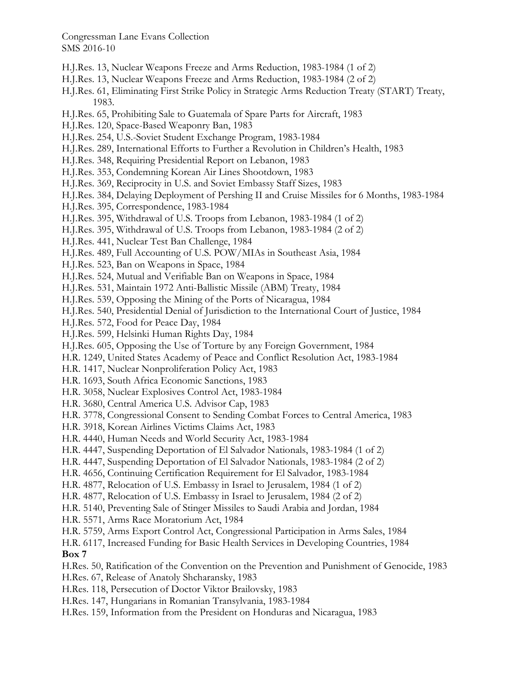- H.J.Res. 13, Nuclear Weapons Freeze and Arms Reduction, 1983-1984 (1 of 2)
- H.J.Res. 13, Nuclear Weapons Freeze and Arms Reduction, 1983-1984 (2 of 2)
- H.J.Res. 61, Eliminating First Strike Policy in Strategic Arms Reduction Treaty (START) Treaty, 1983.
- H.J.Res. 65, Prohibiting Sale to Guatemala of Spare Parts for Aircraft, 1983
- H.J.Res. 120, Space-Based Weaponry Ban, 1983
- H.J.Res. 254, U.S.-Soviet Student Exchange Program, 1983-1984
- H.J.Res. 289, International Efforts to Further a Revolution in Children's Health, 1983
- H.J.Res. 348, Requiring Presidential Report on Lebanon, 1983
- H.J.Res. 353, Condemning Korean Air Lines Shootdown, 1983
- H.J.Res. 369, Reciprocity in U.S. and Soviet Embassy Staff Sizes, 1983
- H.J.Res. 384, Delaying Deployment of Pershing II and Cruise Missiles for 6 Months, 1983-1984
- H.J.Res. 395, Correspondence, 1983-1984
- H.J.Res. 395, Withdrawal of U.S. Troops from Lebanon, 1983-1984 (1 of 2)
- H.J.Res. 395, Withdrawal of U.S. Troops from Lebanon, 1983-1984 (2 of 2)
- H.J.Res. 441, Nuclear Test Ban Challenge, 1984
- H.J.Res. 489, Full Accounting of U.S. POW/MIAs in Southeast Asia, 1984
- H.J.Res. 523, Ban on Weapons in Space, 1984
- H.J.Res. 524, Mutual and Verifiable Ban on Weapons in Space, 1984
- H.J.Res. 531, Maintain 1972 Anti-Ballistic Missile (ABM) Treaty, 1984
- H.J.Res. 539, Opposing the Mining of the Ports of Nicaragua, 1984
- H.J.Res. 540, Presidential Denial of Jurisdiction to the International Court of Justice, 1984
- H.J.Res. 572, Food for Peace Day, 1984
- H.J.Res. 599, Helsinki Human Rights Day, 1984
- H.J.Res. 605, Opposing the Use of Torture by any Foreign Government, 1984
- H.R. 1249, United States Academy of Peace and Conflict Resolution Act, 1983-1984
- H.R. 1417, Nuclear Nonproliferation Policy Act, 1983
- H.R. 1693, South Africa Economic Sanctions, 1983
- H.R. 3058, Nuclear Explosives Control Act, 1983-1984
- H.R. 3680, Central America U.S. Advisor Cap, 1983
- H.R. 3778, Congressional Consent to Sending Combat Forces to Central America, 1983
- H.R. 3918, Korean Airlines Victims Claims Act, 1983
- H.R. 4440, Human Needs and World Security Act, 1983-1984
- H.R. 4447, Suspending Deportation of El Salvador Nationals, 1983-1984 (1 of 2)
- H.R. 4447, Suspending Deportation of El Salvador Nationals, 1983-1984 (2 of 2)
- H.R. 4656, Continuing Certification Requirement for El Salvador, 1983-1984
- H.R. 4877, Relocation of U.S. Embassy in Israel to Jerusalem, 1984 (1 of 2)
- H.R. 4877, Relocation of U.S. Embassy in Israel to Jerusalem, 1984 (2 of 2)
- H.R. 5140, Preventing Sale of Stinger Missiles to Saudi Arabia and Jordan, 1984
- H.R. 5571, Arms Race Moratorium Act, 1984
- H.R. 5759, Arms Export Control Act, Congressional Participation in Arms Sales, 1984
- H.R. 6117, Increased Funding for Basic Health Services in Developing Countries, 1984 **Box 7**
- H.Res. 50, Ratification of the Convention on the Prevention and Punishment of Genocide, 1983
- H.Res. 67, Release of Anatoly Shcharansky, 1983
- H.Res. 118, Persecution of Doctor Viktor Brailovsky, 1983
- H.Res. 147, Hungarians in Romanian Transylvania, 1983-1984
- H.Res. 159, Information from the President on Honduras and Nicaragua, 1983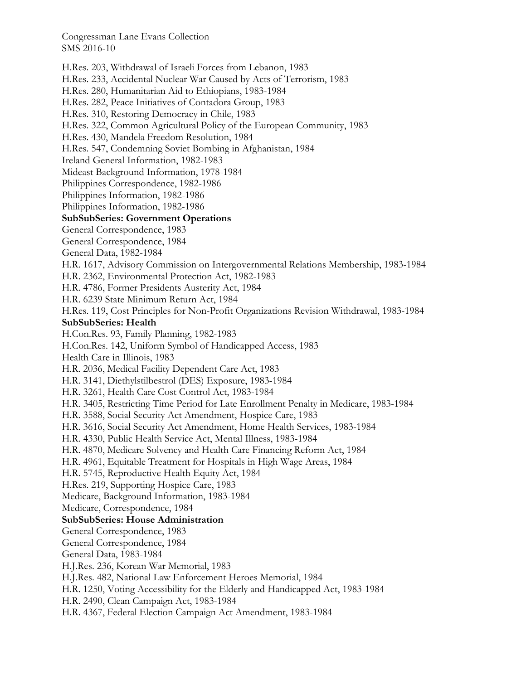H.Res. 203, Withdrawal of Israeli Forces from Lebanon, 1983 H.Res. 233, Accidental Nuclear War Caused by Acts of Terrorism, 1983 H.Res. 280, Humanitarian Aid to Ethiopians, 1983-1984 H.Res. 282, Peace Initiatives of Contadora Group, 1983 H.Res. 310, Restoring Democracy in Chile, 1983 H.Res. 322, Common Agricultural Policy of the European Community, 1983 H.Res. 430, Mandela Freedom Resolution, 1984 H.Res. 547, Condemning Soviet Bombing in Afghanistan, 1984 Ireland General Information, 1982-1983 Mideast Background Information, 1978-1984 Philippines Correspondence, 1982-1986 Philippines Information, 1982-1986 Philippines Information, 1982-1986 **SubSubSeries: Government Operations**  General Correspondence, 1983 General Correspondence, 1984 General Data, 1982-1984 H.R. 1617, Advisory Commission on Intergovernmental Relations Membership, 1983-1984 H.R. 2362, Environmental Protection Act, 1982-1983 H.R. 4786, Former Presidents Austerity Act, 1984 H.R. 6239 State Minimum Return Act, 1984 H.Res. 119, Cost Principles for Non-Profit Organizations Revision Withdrawal, 1983-1984 **SubSubSeries: Health**  H.Con.Res. 93, Family Planning, 1982-1983 H.Con.Res. 142, Uniform Symbol of Handicapped Access, 1983 Health Care in Illinois, 1983 H.R. 2036, Medical Facility Dependent Care Act, 1983 H.R. 3141, Diethylstilbestrol (DES) Exposure, 1983-1984 H.R. 3261, Health Care Cost Control Act, 1983-1984 H.R. 3405, Restricting Time Period for Late Enrollment Penalty in Medicare, 1983-1984 H.R. 3588, Social Security Act Amendment, Hospice Care, 1983 H.R. 3616, Social Security Act Amendment, Home Health Services, 1983-1984 H.R. 4330, Public Health Service Act, Mental Illness, 1983-1984 H.R. 4870, Medicare Solvency and Health Care Financing Reform Act, 1984 H.R. 4961, Equitable Treatment for Hospitals in High Wage Areas, 1984 H.R. 5745, Reproductive Health Equity Act, 1984 H.Res. 219, Supporting Hospice Care, 1983 Medicare, Background Information, 1983-1984 Medicare, Correspondence, 1984 **SubSubSeries: House Administration**  General Correspondence, 1983 General Correspondence, 1984 General Data, 1983-1984 H.J.Res. 236, Korean War Memorial, 1983 H.J.Res. 482, National Law Enforcement Heroes Memorial, 1984 H.R. 1250, Voting Accessibility for the Elderly and Handicapped Act, 1983-1984 H.R. 2490, Clean Campaign Act, 1983-1984 H.R. 4367, Federal Election Campaign Act Amendment, 1983-1984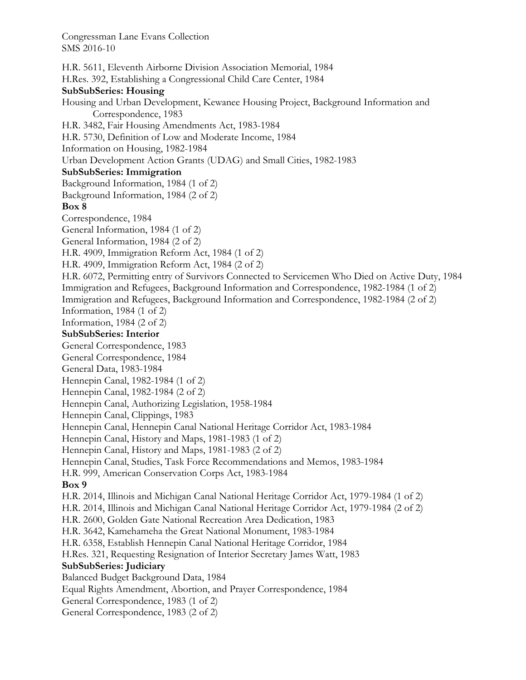H.R. 5611, Eleventh Airborne Division Association Memorial, 1984 H.Res. 392, Establishing a Congressional Child Care Center, 1984 **SubSubSeries: Housing**  Housing and Urban Development, Kewanee Housing Project, Background Information and Correspondence, 1983 H.R. 3482, Fair Housing Amendments Act, 1983-1984 H.R. 5730, Definition of Low and Moderate Income, 1984 Information on Housing, 1982-1984 Urban Development Action Grants (UDAG) and Small Cities, 1982-1983 **SubSubSeries: Immigration**  Background Information, 1984 (1 of 2) Background Information, 1984 (2 of 2) **Box 8**  Correspondence, 1984 General Information, 1984 (1 of 2) General Information, 1984 (2 of 2) H.R. 4909, Immigration Reform Act, 1984 (1 of 2) H.R. 4909, Immigration Reform Act, 1984 (2 of 2) H.R. 6072, Permitting entry of Survivors Connected to Servicemen Who Died on Active Duty, 1984 Immigration and Refugees, Background Information and Correspondence, 1982-1984 (1 of 2) Immigration and Refugees, Background Information and Correspondence, 1982-1984 (2 of 2) Information, 1984 (1 of 2) Information, 1984 (2 of 2) **SubSubSeries: Interior**  General Correspondence, 1983 General Correspondence, 1984 General Data, 1983-1984 Hennepin Canal, 1982-1984 (1 of 2) Hennepin Canal, 1982-1984 (2 of 2) Hennepin Canal, Authorizing Legislation, 1958-1984 Hennepin Canal, Clippings, 1983 Hennepin Canal, Hennepin Canal National Heritage Corridor Act, 1983-1984 Hennepin Canal, History and Maps, 1981-1983 (1 of 2) Hennepin Canal, History and Maps, 1981-1983 (2 of 2) Hennepin Canal, Studies, Task Force Recommendations and Memos, 1983-1984 H.R. 999, American Conservation Corps Act, 1983-1984 **Box 9**  H.R. 2014, Illinois and Michigan Canal National Heritage Corridor Act, 1979-1984 (1 of 2) H.R. 2014, Illinois and Michigan Canal National Heritage Corridor Act, 1979-1984 (2 of 2) H.R. 2600, Golden Gate National Recreation Area Dedication, 1983 H.R. 3642, Kamehameha the Great National Monument, 1983-1984 H.R. 6358, Establish Hennepin Canal National Heritage Corridor, 1984 H.Res. 321, Requesting Resignation of Interior Secretary James Watt, 1983 **SubSubSeries: Judiciary**  Balanced Budget Background Data, 1984 Equal Rights Amendment, Abortion, and Prayer Correspondence, 1984 General Correspondence, 1983 (1 of 2) General Correspondence, 1983 (2 of 2)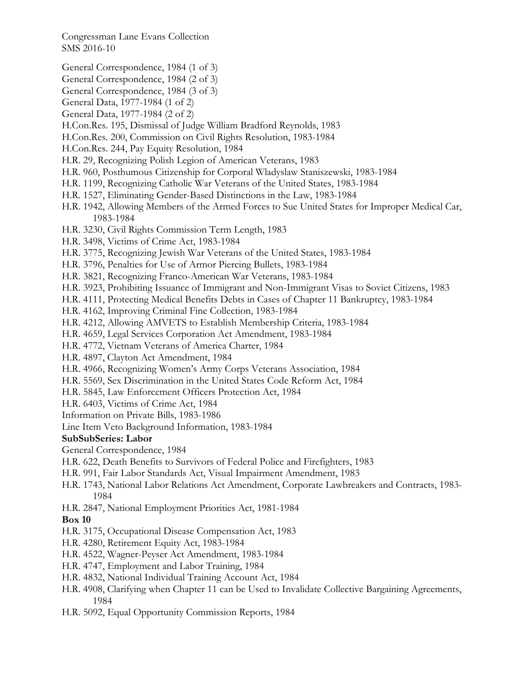- General Correspondence, 1984 (1 of 3)
- General Correspondence, 1984 (2 of 3)
- General Correspondence, 1984 (3 of 3)
- General Data, 1977-1984 (1 of 2)
- General Data, 1977-1984 (2 of 2)
- H.Con.Res. 195, Dismissal of Judge William Bradford Reynolds, 1983
- H.Con.Res. 200, Commission on Civil Rights Resolution, 1983-1984
- H.Con.Res. 244, Pay Equity Resolution, 1984
- H.R. 29, Recognizing Polish Legion of American Veterans, 1983
- H.R. 960, Posthumous Citizenship for Corporal Wladyslaw Staniszewski, 1983-1984
- H.R. 1199, Recognizing Catholic War Veterans of the United States, 1983-1984
- H.R. 1527, Eliminating Gender-Based Distinctions in the Law, 1983-1984
- H.R. 1942, Allowing Members of the Armed Forces to Sue United States for Improper Medical Car, 1983-1984
- H.R. 3230, Civil Rights Commission Term Length, 1983
- H.R. 3498, Victims of Crime Act, 1983-1984
- H.R. 3775, Recognizing Jewish War Veterans of the United States, 1983-1984
- H.R. 3796, Penalties for Use of Armor Piercing Bullets, 1983-1984
- H.R. 3821, Recognizing Franco-American War Veterans, 1983-1984
- H.R. 3923, Prohibiting Issuance of Immigrant and Non-Immigrant Visas to Soviet Citizens, 1983
- H.R. 4111, Protecting Medical Benefits Debts in Cases of Chapter 11 Bankruptcy, 1983-1984
- H.R. 4162, Improving Criminal Fine Collection, 1983-1984
- H.R. 4212, Allowing AMVETS to Establish Membership Criteria, 1983-1984
- H.R. 4659, Legal Services Corporation Act Amendment, 1983-1984
- H.R. 4772, Vietnam Veterans of America Charter, 1984
- H.R. 4897, Clayton Act Amendment, 1984
- H.R. 4966, Recognizing Women's Army Corps Veterans Association, 1984
- H.R. 5569, Sex Discrimination in the United States Code Reform Act, 1984
- H.R. 5845, Law Enforcement Officers Protection Act, 1984
- H.R. 6403, Victims of Crime Act, 1984
- Information on Private Bills, 1983-1986
- Line Item Veto Background Information, 1983-1984

## **SubSubSeries: Labor**

General Correspondence, 1984

- H.R. 622, Death Benefits to Survivors of Federal Police and Firefighters, 1983
- H.R. 991, Fair Labor Standards Act, Visual Impairment Amendment, 1983
- H.R. 1743, National Labor Relations Act Amendment, Corporate Lawbreakers and Contracts, 1983- 1984
- H.R. 2847, National Employment Priorities Act, 1981-1984

## **Box 10**

- H.R. 3175, Occupational Disease Compensation Act, 1983
- H.R. 4280, Retirement Equity Act, 1983-1984
- H.R. 4522, Wagner-Peyser Act Amendment, 1983-1984
- H.R. 4747, Employment and Labor Training, 1984
- H.R. 4832, National Individual Training Account Act, 1984
- H.R. 4908, Clarifying when Chapter 11 can be Used to Invalidate Collective Bargaining Agreements, 1984
- H.R. 5092, Equal Opportunity Commission Reports, 1984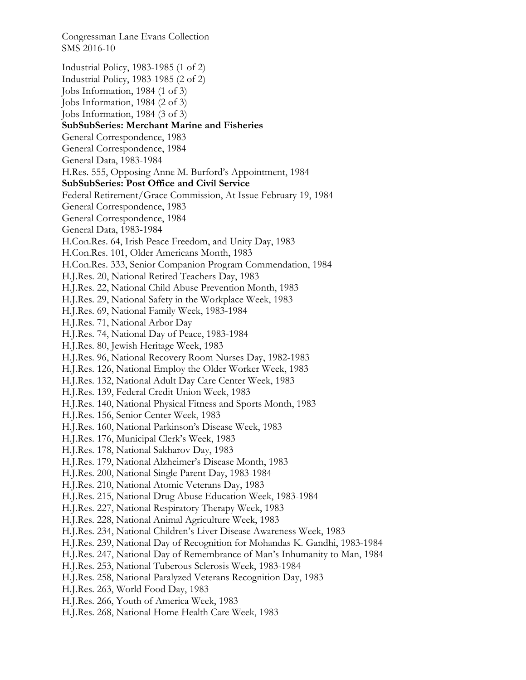Congressman Lane Evans Collection SMS 2016-10 Industrial Policy, 1983-1985 (1 of 2) Industrial Policy, 1983-1985 (2 of 2) Jobs Information, 1984 (1 of 3) Jobs Information, 1984 (2 of 3) Jobs Information, 1984 (3 of 3) **SubSubSeries: Merchant Marine and Fisheries**  General Correspondence, 1983 General Correspondence, 1984 General Data, 1983-1984 H.Res. 555, Opposing Anne M. Burford's Appointment, 1984 **SubSubSeries: Post Office and Civil Service**  Federal Retirement/Grace Commission, At Issue February 19, 1984 General Correspondence, 1983 General Correspondence, 1984 General Data, 1983-1984 H.Con.Res. 64, Irish Peace Freedom, and Unity Day, 1983 H.Con.Res. 101, Older Americans Month, 1983 H.Con.Res. 333, Senior Companion Program Commendation, 1984 H.J.Res. 20, National Retired Teachers Day, 1983 H.J.Res. 22, National Child Abuse Prevention Month, 1983 H.J.Res. 29, National Safety in the Workplace Week, 1983 H.J.Res. 69, National Family Week, 1983-1984 H.J.Res. 71, National Arbor Day H.J.Res. 74, National Day of Peace, 1983-1984 H.J.Res. 80, Jewish Heritage Week, 1983 H.J.Res. 96, National Recovery Room Nurses Day, 1982-1983 H.J.Res. 126, National Employ the Older Worker Week, 1983 H.J.Res. 132, National Adult Day Care Center Week, 1983 H.J.Res. 139, Federal Credit Union Week, 1983 H.J.Res. 140, National Physical Fitness and Sports Month, 1983 H.J.Res. 156, Senior Center Week, 1983 H.J.Res. 160, National Parkinson's Disease Week, 1983 H.J.Res. 176, Municipal Clerk's Week, 1983 H.J.Res. 178, National Sakharov Day, 1983 H.J.Res. 179, National Alzheimer's Disease Month, 1983 H.J.Res. 200, National Single Parent Day, 1983-1984 H.J.Res. 210, National Atomic Veterans Day, 1983 H.J.Res. 215, National Drug Abuse Education Week, 1983-1984 H.J.Res. 227, National Respiratory Therapy Week, 1983 H.J.Res. 228, National Animal Agriculture Week, 1983 H.J.Res. 234, National Children's Liver Disease Awareness Week, 1983 H.J.Res. 239, National Day of Recognition for Mohandas K. Gandhi, 1983-1984 H.J.Res. 247, National Day of Remembrance of Man's Inhumanity to Man, 1984 H.J.Res. 253, National Tuberous Sclerosis Week, 1983-1984 H.J.Res. 258, National Paralyzed Veterans Recognition Day, 1983 H.J.Res. 263, World Food Day, 1983 H.J.Res. 266, Youth of America Week, 1983 H.J.Res. 268, National Home Health Care Week, 1983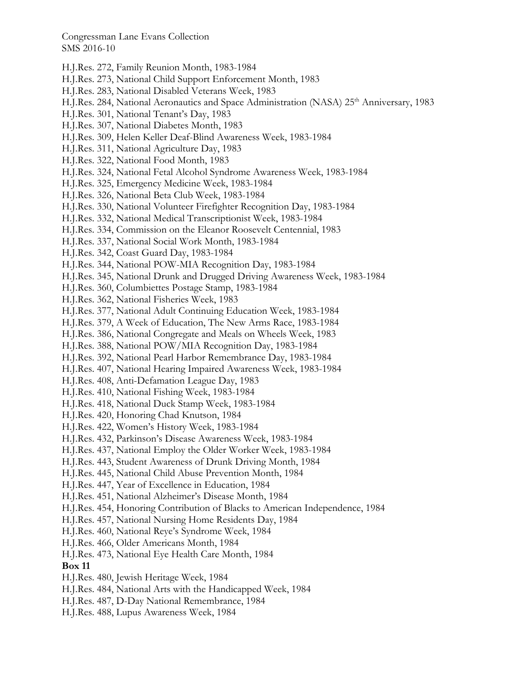- H.J.Res. 272, Family Reunion Month, 1983-1984
- H.J.Res. 273, National Child Support Enforcement Month, 1983
- H.J.Res. 283, National Disabled Veterans Week, 1983
- H.J.Res. 284, National Aeronautics and Space Administration (NASA) 25<sup>th</sup> Anniversary, 1983
- H.J.Res. 301, National Tenant's Day, 1983
- H.J.Res. 307, National Diabetes Month, 1983
- H.J.Res. 309, Helen Keller Deaf-Blind Awareness Week, 1983-1984
- H.J.Res. 311, National Agriculture Day, 1983
- H.J.Res. 322, National Food Month, 1983
- H.J.Res. 324, National Fetal Alcohol Syndrome Awareness Week, 1983-1984
- H.J.Res. 325, Emergency Medicine Week, 1983-1984
- H.J.Res. 326, National Beta Club Week, 1983-1984
- H.J.Res. 330, National Volunteer Firefighter Recognition Day, 1983-1984
- H.J.Res. 332, National Medical Transcriptionist Week, 1983-1984
- H.J.Res. 334, Commission on the Eleanor Roosevelt Centennial, 1983
- H.J.Res. 337, National Social Work Month, 1983-1984
- H.J.Res. 342, Coast Guard Day, 1983-1984
- H.J.Res. 344, National POW-MIA Recognition Day, 1983-1984
- H.J.Res. 345, National Drunk and Drugged Driving Awareness Week, 1983-1984
- H.J.Res. 360, Columbiettes Postage Stamp, 1983-1984
- H.J.Res. 362, National Fisheries Week, 1983
- H.J.Res. 377, National Adult Continuing Education Week, 1983-1984
- H.J.Res. 379, A Week of Education, The New Arms Race, 1983-1984
- H.J.Res. 386, National Congregate and Meals on Wheels Week, 1983
- H.J.Res. 388, National POW/MIA Recognition Day, 1983-1984
- H.J.Res. 392, National Pearl Harbor Remembrance Day, 1983-1984
- H.J.Res. 407, National Hearing Impaired Awareness Week, 1983-1984
- H.J.Res. 408, Anti-Defamation League Day, 1983
- H.J.Res. 410, National Fishing Week, 1983-1984
- H.J.Res. 418, National Duck Stamp Week, 1983-1984
- H.J.Res. 420, Honoring Chad Knutson, 1984
- H.J.Res. 422, Women's History Week, 1983-1984
- H.J.Res. 432, Parkinson's Disease Awareness Week, 1983-1984
- H.J.Res. 437, National Employ the Older Worker Week, 1983-1984
- H.J.Res. 443, Student Awareness of Drunk Driving Month, 1984
- H.J.Res. 445, National Child Abuse Prevention Month, 1984
- H.J.Res. 447, Year of Excellence in Education, 1984
- H.J.Res. 451, National Alzheimer's Disease Month, 1984
- H.J.Res. 454, Honoring Contribution of Blacks to American Independence, 1984
- H.J.Res. 457, National Nursing Home Residents Day, 1984
- H.J.Res. 460, National Reye's Syndrome Week, 1984
- H.J.Res. 466, Older Americans Month, 1984
- H.J.Res. 473, National Eye Health Care Month, 1984

#### **Box 11**

- H.J.Res. 480, Jewish Heritage Week, 1984
- H.J.Res. 484, National Arts with the Handicapped Week, 1984
- H.J.Res. 487, D-Day National Remembrance, 1984
- H.J.Res. 488, Lupus Awareness Week, 1984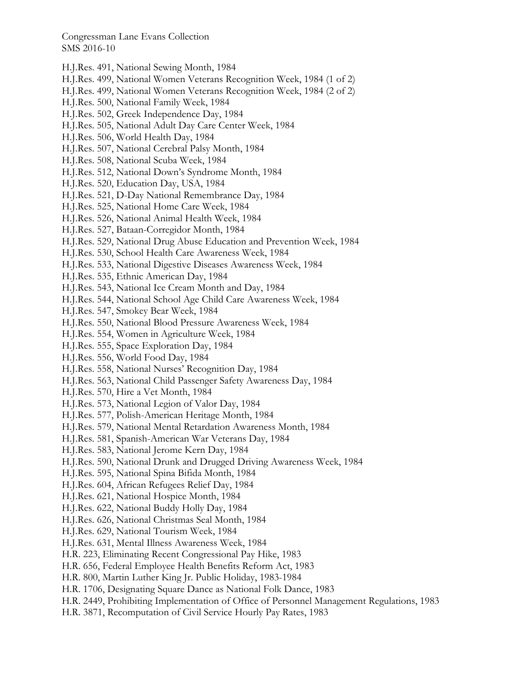- H.J.Res. 491, National Sewing Month, 1984
- H.J.Res. 499, National Women Veterans Recognition Week, 1984 (1 of 2)
- H.J.Res. 499, National Women Veterans Recognition Week, 1984 (2 of 2)
- H.J.Res. 500, National Family Week, 1984
- H.J.Res. 502, Greek Independence Day, 1984
- H.J.Res. 505, National Adult Day Care Center Week, 1984
- H.J.Res. 506, World Health Day, 1984
- H.J.Res. 507, National Cerebral Palsy Month, 1984
- H.J.Res. 508, National Scuba Week, 1984
- H.J.Res. 512, National Down's Syndrome Month, 1984
- H.J.Res. 520, Education Day, USA, 1984
- H.J.Res. 521, D-Day National Remembrance Day, 1984
- H.J.Res. 525, National Home Care Week, 1984
- H.J.Res. 526, National Animal Health Week, 1984
- H.J.Res. 527, Bataan-Corregidor Month, 1984
- H.J.Res. 529, National Drug Abuse Education and Prevention Week, 1984
- H.J.Res. 530, School Health Care Awareness Week, 1984
- H.J.Res. 533, National Digestive Diseases Awareness Week, 1984
- H.J.Res. 535, Ethnic American Day, 1984
- H.J.Res. 543, National Ice Cream Month and Day, 1984
- H.J.Res. 544, National School Age Child Care Awareness Week, 1984
- H.J.Res. 547, Smokey Bear Week, 1984
- H.J.Res. 550, National Blood Pressure Awareness Week, 1984
- H.J.Res. 554, Women in Agriculture Week, 1984
- H.J.Res. 555, Space Exploration Day, 1984
- H.J.Res. 556, World Food Day, 1984
- H.J.Res. 558, National Nurses' Recognition Day, 1984
- H.J.Res. 563, National Child Passenger Safety Awareness Day, 1984
- H.J.Res. 570, Hire a Vet Month, 1984
- H.J.Res. 573, National Legion of Valor Day, 1984
- H.J.Res. 577, Polish-American Heritage Month, 1984
- H.J.Res. 579, National Mental Retardation Awareness Month, 1984
- H.J.Res. 581, Spanish-American War Veterans Day, 1984
- H.J.Res. 583, National Jerome Kern Day, 1984
- H.J.Res. 590, National Drunk and Drugged Driving Awareness Week, 1984
- H.J.Res. 595, National Spina Bifida Month, 1984
- H.J.Res. 604, African Refugees Relief Day, 1984
- H.J.Res. 621, National Hospice Month, 1984
- H.J.Res. 622, National Buddy Holly Day, 1984
- H.J.Res. 626, National Christmas Seal Month, 1984
- H.J.Res. 629, National Tourism Week, 1984
- H.J.Res. 631, Mental Illness Awareness Week, 1984
- H.R. 223, Eliminating Recent Congressional Pay Hike, 1983
- H.R. 656, Federal Employee Health Benefits Reform Act, 1983
- H.R. 800, Martin Luther King Jr. Public Holiday, 1983-1984
- H.R. 1706, Designating Square Dance as National Folk Dance, 1983
- H.R. 2449, Prohibiting Implementation of Office of Personnel Management Regulations, 1983
- H.R. 3871, Recomputation of Civil Service Hourly Pay Rates, 1983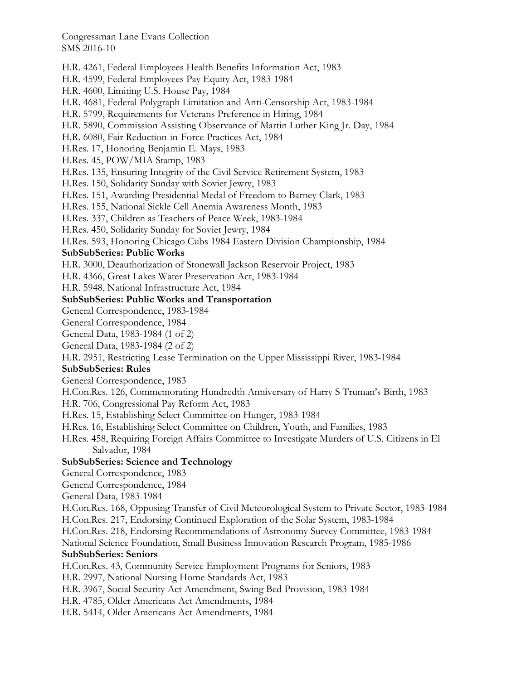H.R. 4261, Federal Employees Health Benefits Information Act, 1983 H.R. 4599, Federal Employees Pay Equity Act, 1983-1984 H.R. 4600, Limiting U.S. House Pay, 1984 H.R. 4681, Federal Polygraph Limitation and Anti-Censorship Act, 1983-1984 H.R. 5799, Requirements for Veterans Preference in Hiring, 1984 H.R. 5890, Commission Assisting Observance of Martin Luther King Jr. Day, 1984 H.R. 6080, Fair Reduction-in-Force Practices Act, 1984 H.Res. 17, Honoring Benjamin E. Mays, 1983 H.Res. 45, POW/MIA Stamp, 1983 H.Res. 135, Ensuring Integrity of the Civil Service Retirement System, 1983 H.Res. 150, Solidarity Sunday with Soviet Jewry, 1983 H.Res. 151, Awarding Presidential Medal of Freedom to Barney Clark, 1983 H.Res. 155, National Sickle Cell Anemia Awareness Month, 1983 H.Res. 337, Children as Teachers of Peace Week, 1983-1984 H.Res. 450, Solidarity Sunday for Soviet Jewry, 1984 H.Res. 593, Honoring Chicago Cubs 1984 Eastern Division Championship, 1984 **SubSubSeries: Public Works**  H.R. 3000, Deauthorization of Stonewall Jackson Reservoir Project, 1983 H.R. 4366, Great Lakes Water Preservation Act, 1983-1984 H.R. 5948, National Infrastructure Act, 1984 **SubSubSeries: Public Works and Transportation**  General Correspondence, 1983-1984 General Correspondence, 1984 General Data, 1983-1984 (1 of 2) General Data, 1983-1984 (2 of 2) H.R. 2951, Restricting Lease Termination on the Upper Mississippi River, 1983-1984 **SubSubSeries: Rules**  General Correspondence, 1983 H.Con.Res. 126, Commemorating Hundredth Anniversary of Harry S Truman's Birth, 1983 H.R. 706, Congressional Pay Reform Act, 1983 H.Res. 15, Establishing Select Committee on Hunger, 1983-1984 H.Res. 16, Establishing Select Committee on Children, Youth, and Families, 1983 H.Res. 458, Requiring Foreign Affairs Committee to Investigate Murders of U.S. Citizens in El Salvador, 1984 **SubSubSeries: Science and Technology**  General Correspondence, 1983 General Correspondence, 1984 General Data, 1983-1984 H.Con.Res. 168, Opposing Transfer of Civil Meteorological System to Private Sector, 1983-1984 H.Con.Res. 217, Endorsing Continued Exploration of the Solar System, 1983-1984 H.Con.Res. 218, Endorsing Recommendations of Astronomy Survey Committee, 1983-1984 National Science Foundation, Small Business Innovation Research Program, 1985-1986 **SubSubSeries: Seniors**  H.Con.Res. 43, Community Service Employment Programs for Seniors, 1983 H.R. 2997, National Nursing Home Standards Act, 1983 H.R. 3967, Social Security Act Amendment, Swing Bed Provision, 1983-1984 H.R. 4785, Older Americans Act Amendments, 1984 H.R. 5414, Older Americans Act Amendments, 1984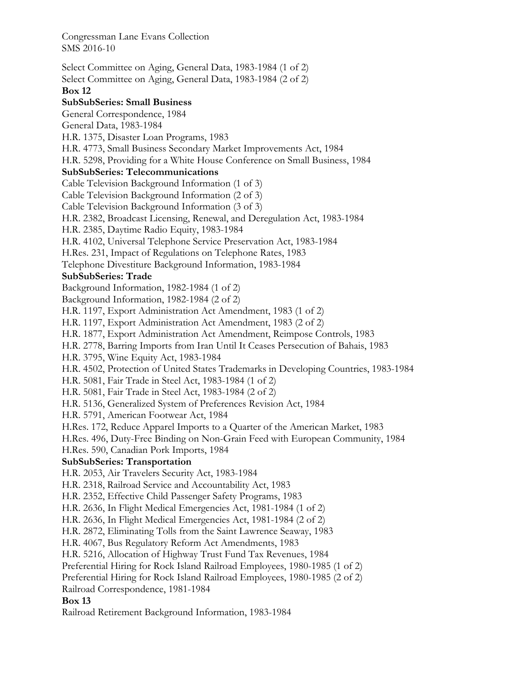Select Committee on Aging, General Data, 1983-1984 (1 of 2) Select Committee on Aging, General Data, 1983-1984 (2 of 2) **Box 12 SubSubSeries: Small Business**  General Correspondence, 1984 General Data, 1983-1984 H.R. 1375, Disaster Loan Programs, 1983 H.R. 4773, Small Business Secondary Market Improvements Act, 1984 H.R. 5298, Providing for a White House Conference on Small Business, 1984 **SubSubSeries: Telecommunications**  Cable Television Background Information (1 of 3) Cable Television Background Information (2 of 3) Cable Television Background Information (3 of 3) H.R. 2382, Broadcast Licensing, Renewal, and Deregulation Act, 1983-1984 H.R. 2385, Daytime Radio Equity, 1983-1984 H.R. 4102, Universal Telephone Service Preservation Act, 1983-1984 H.Res. 231, Impact of Regulations on Telephone Rates, 1983 Telephone Divestiture Background Information, 1983-1984 **SubSubSeries: Trade**  Background Information, 1982-1984 (1 of 2) Background Information, 1982-1984 (2 of 2) H.R. 1197, Export Administration Act Amendment, 1983 (1 of 2) H.R. 1197, Export Administration Act Amendment, 1983 (2 of 2) H.R. 1877, Export Administration Act Amendment, Reimpose Controls, 1983 H.R. 2778, Barring Imports from Iran Until It Ceases Persecution of Bahais, 1983 H.R. 3795, Wine Equity Act, 1983-1984 H.R. 4502, Protection of United States Trademarks in Developing Countries, 1983-1984 H.R. 5081, Fair Trade in Steel Act, 1983-1984 (1 of 2) H.R. 5081, Fair Trade in Steel Act, 1983-1984 (2 of 2) H.R. 5136, Generalized System of Preferences Revision Act, 1984 H.R. 5791, American Footwear Act, 1984 H.Res. 172, Reduce Apparel Imports to a Quarter of the American Market, 1983 H.Res. 496, Duty-Free Binding on Non-Grain Feed with European Community, 1984 H.Res. 590, Canadian Pork Imports, 1984 **SubSubSeries: Transportation**  H.R. 2053, Air Travelers Security Act, 1983-1984 H.R. 2318, Railroad Service and Accountability Act, 1983 H.R. 2352, Effective Child Passenger Safety Programs, 1983 H.R. 2636, In Flight Medical Emergencies Act, 1981-1984 (1 of 2) H.R. 2636, In Flight Medical Emergencies Act, 1981-1984 (2 of 2) H.R. 2872, Eliminating Tolls from the Saint Lawrence Seaway, 1983 H.R. 4067, Bus Regulatory Reform Act Amendments, 1983 H.R. 5216, Allocation of Highway Trust Fund Tax Revenues, 1984 Preferential Hiring for Rock Island Railroad Employees, 1980-1985 (1 of 2) Preferential Hiring for Rock Island Railroad Employees, 1980-1985 (2 of 2) Railroad Correspondence, 1981-1984 **Box 13**  Railroad Retirement Background Information, 1983-1984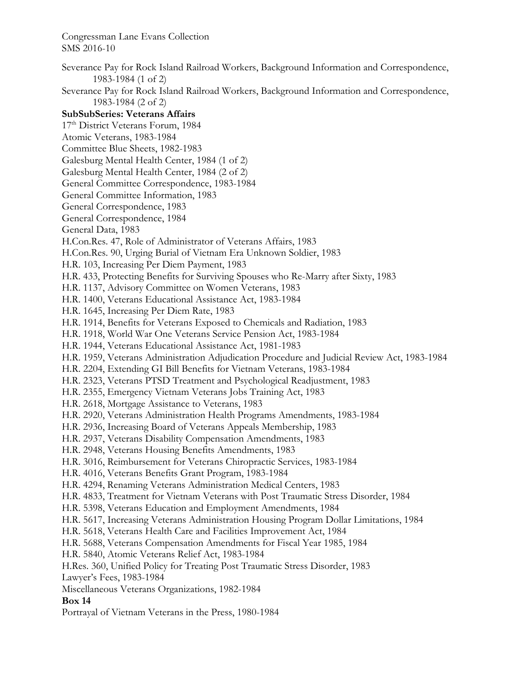Severance Pay for Rock Island Railroad Workers, Background Information and Correspondence, 1983-1984 (1 of 2)

Severance Pay for Rock Island Railroad Workers, Background Information and Correspondence, 1983-1984 (2 of 2)

## **SubSubSeries: Veterans Affairs**

17<sup>th</sup> District Veterans Forum, 1984

Atomic Veterans, 1983-1984

Committee Blue Sheets, 1982-1983

Galesburg Mental Health Center, 1984 (1 of 2)

Galesburg Mental Health Center, 1984 (2 of 2)

General Committee Correspondence, 1983-1984

General Committee Information, 1983

General Correspondence, 1983

General Correspondence, 1984

General Data, 1983

H.Con.Res. 47, Role of Administrator of Veterans Affairs, 1983

H.Con.Res. 90, Urging Burial of Vietnam Era Unknown Soldier, 1983

H.R. 103, Increasing Per Diem Payment, 1983

H.R. 433, Protecting Benefits for Surviving Spouses who Re-Marry after Sixty, 1983

H.R. 1137, Advisory Committee on Women Veterans, 1983

H.R. 1400, Veterans Educational Assistance Act, 1983-1984

H.R. 1645, Increasing Per Diem Rate, 1983

H.R. 1914, Benefits for Veterans Exposed to Chemicals and Radiation, 1983

H.R. 1918, World War One Veterans Service Pension Act, 1983-1984

H.R. 1944, Veterans Educational Assistance Act, 1981-1983

H.R. 1959, Veterans Administration Adjudication Procedure and Judicial Review Act, 1983-1984

H.R. 2204, Extending GI Bill Benefits for Vietnam Veterans, 1983-1984

H.R. 2323, Veterans PTSD Treatment and Psychological Readjustment, 1983

H.R. 2355, Emergency Vietnam Veterans Jobs Training Act, 1983

H.R. 2618, Mortgage Assistance to Veterans, 1983

H.R. 2920, Veterans Administration Health Programs Amendments, 1983-1984

H.R. 2936, Increasing Board of Veterans Appeals Membership, 1983

H.R. 2937, Veterans Disability Compensation Amendments, 1983

H.R. 2948, Veterans Housing Benefits Amendments, 1983

H.R. 3016, Reimbursement for Veterans Chiropractic Services, 1983-1984

H.R. 4016, Veterans Benefits Grant Program, 1983-1984

H.R. 4294, Renaming Veterans Administration Medical Centers, 1983

H.R. 4833, Treatment for Vietnam Veterans with Post Traumatic Stress Disorder, 1984

H.R. 5398, Veterans Education and Employment Amendments, 1984

H.R. 5617, Increasing Veterans Administration Housing Program Dollar Limitations, 1984

H.R. 5618, Veterans Health Care and Facilities Improvement Act, 1984

H.R. 5688, Veterans Compensation Amendments for Fiscal Year 1985, 1984

H.R. 5840, Atomic Veterans Relief Act, 1983-1984

H.Res. 360, Unified Policy for Treating Post Traumatic Stress Disorder, 1983

Lawyer's Fees, 1983-1984

Miscellaneous Veterans Organizations, 1982-1984

**Box 14** 

Portrayal of Vietnam Veterans in the Press, 1980-1984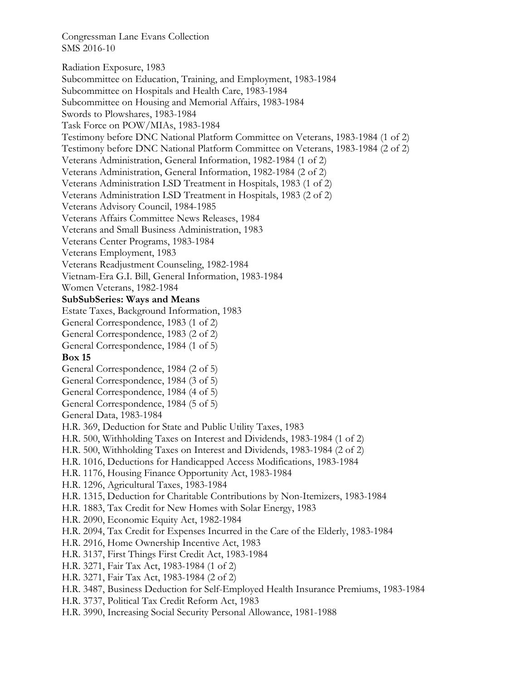Radiation Exposure, 1983 Subcommittee on Education, Training, and Employment, 1983-1984 Subcommittee on Hospitals and Health Care, 1983-1984 Subcommittee on Housing and Memorial Affairs, 1983-1984 Swords to Plowshares, 1983-1984 Task Force on POW/MIAs, 1983-1984 Testimony before DNC National Platform Committee on Veterans, 1983-1984 (1 of 2) Testimony before DNC National Platform Committee on Veterans, 1983-1984 (2 of 2) Veterans Administration, General Information, 1982-1984 (1 of 2) Veterans Administration, General Information, 1982-1984 (2 of 2) Veterans Administration LSD Treatment in Hospitals, 1983 (1 of 2) Veterans Administration LSD Treatment in Hospitals, 1983 (2 of 2) Veterans Advisory Council, 1984-1985 Veterans Affairs Committee News Releases, 1984 Veterans and Small Business Administration, 1983 Veterans Center Programs, 1983-1984 Veterans Employment, 1983 Veterans Readjustment Counseling, 1982-1984 Vietnam-Era G.I. Bill, General Information, 1983-1984 Women Veterans, 1982-1984 **SubSubSeries: Ways and Means**  Estate Taxes, Background Information, 1983 General Correspondence, 1983 (1 of 2) General Correspondence, 1983 (2 of 2) General Correspondence, 1984 (1 of 5) **Box 15**  General Correspondence, 1984 (2 of 5) General Correspondence, 1984 (3 of 5) General Correspondence, 1984 (4 of 5) General Correspondence, 1984 (5 of 5) General Data, 1983-1984 H.R. 369, Deduction for State and Public Utility Taxes, 1983 H.R. 500, Withholding Taxes on Interest and Dividends, 1983-1984 (1 of 2) H.R. 500, Withholding Taxes on Interest and Dividends, 1983-1984 (2 of 2) H.R. 1016, Deductions for Handicapped Access Modifications, 1983-1984 H.R. 1176, Housing Finance Opportunity Act, 1983-1984 H.R. 1296, Agricultural Taxes, 1983-1984 H.R. 1315, Deduction for Charitable Contributions by Non-Itemizers, 1983-1984 H.R. 1883, Tax Credit for New Homes with Solar Energy, 1983 H.R. 2090, Economic Equity Act, 1982-1984 H.R. 2094, Tax Credit for Expenses Incurred in the Care of the Elderly, 1983-1984 H.R. 2916, Home Ownership Incentive Act, 1983 H.R. 3137, First Things First Credit Act, 1983-1984 H.R. 3271, Fair Tax Act, 1983-1984 (1 of 2) H.R. 3271, Fair Tax Act, 1983-1984 (2 of 2) H.R. 3487, Business Deduction for Self-Employed Health Insurance Premiums, 1983-1984 H.R. 3737, Political Tax Credit Reform Act, 1983 H.R. 3990, Increasing Social Security Personal Allowance, 1981-1988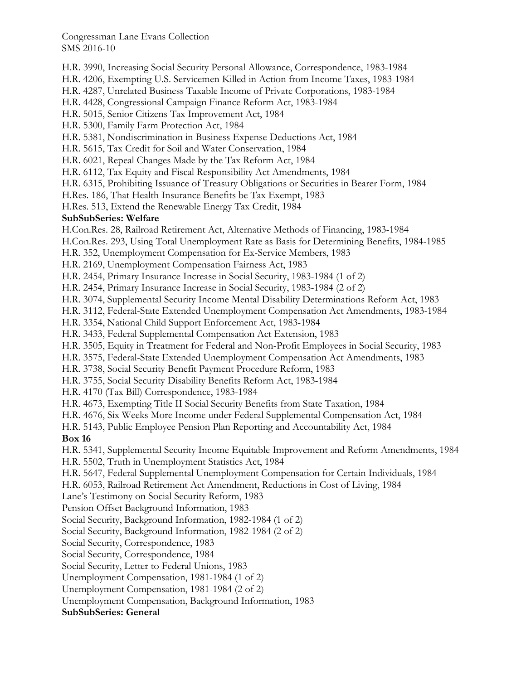H.R. 3990, Increasing Social Security Personal Allowance, Correspondence, 1983-1984

H.R. 4206, Exempting U.S. Servicemen Killed in Action from Income Taxes, 1983-1984

H.R. 4287, Unrelated Business Taxable Income of Private Corporations, 1983-1984

H.R. 4428, Congressional Campaign Finance Reform Act, 1983-1984

H.R. 5015, Senior Citizens Tax Improvement Act, 1984

H.R. 5300, Family Farm Protection Act, 1984

H.R. 5381, Nondiscrimination in Business Expense Deductions Act, 1984

H.R. 5615, Tax Credit for Soil and Water Conservation, 1984

H.R. 6021, Repeal Changes Made by the Tax Reform Act, 1984

H.R. 6112, Tax Equity and Fiscal Responsibility Act Amendments, 1984

H.R. 6315, Prohibiting Issuance of Treasury Obligations or Securities in Bearer Form, 1984

H.Res. 186, That Health Insurance Benefits be Tax Exempt, 1983

H.Res. 513, Extend the Renewable Energy Tax Credit, 1984

# **SubSubSeries: Welfare**

H.Con.Res. 28, Railroad Retirement Act, Alternative Methods of Financing, 1983-1984

H.Con.Res. 293, Using Total Unemployment Rate as Basis for Determining Benefits, 1984-1985

H.R. 352, Unemployment Compensation for Ex-Service Members, 1983

H.R. 2169, Unemployment Compensation Fairness Act, 1983

H.R. 2454, Primary Insurance Increase in Social Security, 1983-1984 (1 of 2)

H.R. 2454, Primary Insurance Increase in Social Security, 1983-1984 (2 of 2)

H.R. 3074, Supplemental Security Income Mental Disability Determinations Reform Act, 1983

H.R. 3112, Federal-State Extended Unemployment Compensation Act Amendments, 1983-1984

H.R. 3354, National Child Support Enforcement Act, 1983-1984

H.R. 3433, Federal Supplemental Compensation Act Extension, 1983

H.R. 3505, Equity in Treatment for Federal and Non-Profit Employees in Social Security, 1983

H.R. 3575, Federal-State Extended Unemployment Compensation Act Amendments, 1983

H.R. 3738, Social Security Benefit Payment Procedure Reform, 1983

H.R. 3755, Social Security Disability Benefits Reform Act, 1983-1984

H.R. 4170 (Tax Bill) Correspondence, 1983-1984

H.R. 4673, Exempting Title II Social Security Benefits from State Taxation, 1984

H.R. 4676, Six Weeks More Income under Federal Supplemental Compensation Act, 1984

H.R. 5143, Public Employee Pension Plan Reporting and Accountability Act, 1984

# **Box 16**

H.R. 5341, Supplemental Security Income Equitable Improvement and Reform Amendments, 1984

H.R. 5502, Truth in Unemployment Statistics Act, 1984

H.R. 5647, Federal Supplemental Unemployment Compensation for Certain Individuals, 1984

H.R. 6053, Railroad Retirement Act Amendment, Reductions in Cost of Living, 1984

Lane's Testimony on Social Security Reform, 1983

Pension Offset Background Information, 1983

Social Security, Background Information, 1982-1984 (1 of 2)

Social Security, Background Information, 1982-1984 (2 of 2)

Social Security, Correspondence, 1983

Social Security, Correspondence, 1984

Social Security, Letter to Federal Unions, 1983

Unemployment Compensation, 1981-1984 (1 of 2)

Unemployment Compensation, 1981-1984 (2 of 2)

Unemployment Compensation, Background Information, 1983

# **SubSubSeries: General**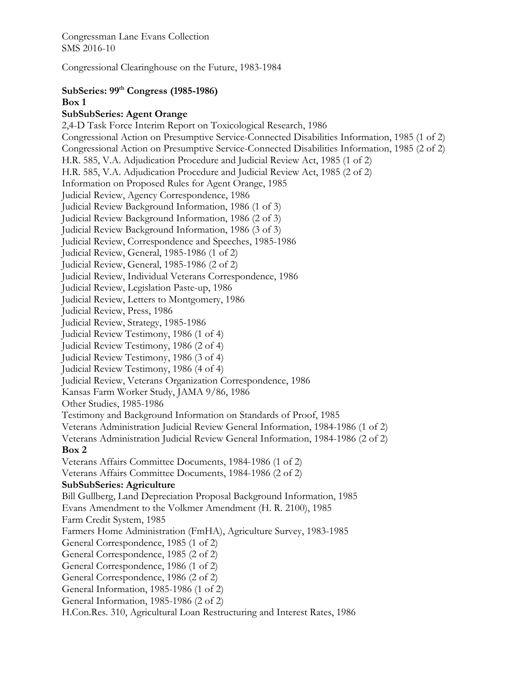Congressional Clearinghouse on the Future, 1983-1984

#### **SubSeries: 99th Congress (1985-1986) Box 1**

# **SubSubSeries: Agent Orange**

2,4-D Task Force Interim Report on Toxicological Research, 1986 Congressional Action on Presumptive Service-Connected Disabilities Information, 1985 (1 of 2) Congressional Action on Presumptive Service-Connected Disabilities Information, 1985 (2 of 2) H.R. 585, V.A. Adjudication Procedure and Judicial Review Act, 1985 (1 of 2) H.R. 585, V.A. Adjudication Procedure and Judicial Review Act, 1985 (2 of 2) Information on Proposed Rules for Agent Orange, 1985 Judicial Review, Agency Correspondence, 1986 Judicial Review Background Information, 1986 (1 of 3) Judicial Review Background Information, 1986 (2 of 3) Judicial Review Background Information, 1986 (3 of 3) Judicial Review, Correspondence and Speeches, 1985-1986 Judicial Review, General, 1985-1986 (1 of 2) Judicial Review, General, 1985-1986 (2 of 2) Judicial Review, Individual Veterans Correspondence, 1986 Judicial Review, Legislation Paste-up, 1986 Judicial Review, Letters to Montgomery, 1986 Judicial Review, Press, 1986 Judicial Review, Strategy, 1985-1986 Judicial Review Testimony, 1986 (1 of 4) Judicial Review Testimony, 1986 (2 of 4) Judicial Review Testimony, 1986 (3 of 4) Judicial Review Testimony, 1986 (4 of 4) Judicial Review, Veterans Organization Correspondence, 1986 Kansas Farm Worker Study, JAMA 9/86, 1986 Other Studies, 1985-1986 Testimony and Background Information on Standards of Proof, 1985 Veterans Administration Judicial Review General Information, 1984-1986 (1 of 2) Veterans Administration Judicial Review General Information, 1984-1986 (2 of 2) **Box 2**  Veterans Affairs Committee Documents, 1984-1986 (1 of 2) Veterans Affairs Committee Documents, 1984-1986 (2 of 2) **SubSubSeries: Agriculture**  Bill Gullberg, Land Depreciation Proposal Background Information, 1985 Evans Amendment to the Volkmer Amendment (H. R. 2100), 1985 Farm Credit System, 1985 Farmers Home Administration (FmHA), Agriculture Survey, 1983-1985 General Correspondence, 1985 (1 of 2) General Correspondence, 1985 (2 of 2) General Correspondence, 1986 (1 of 2) General Correspondence, 1986 (2 of 2) General Information, 1985-1986 (1 of 2) General Information, 1985-1986 (2 of 2) H.Con.Res. 310, Agricultural Loan Restructuring and Interest Rates, 1986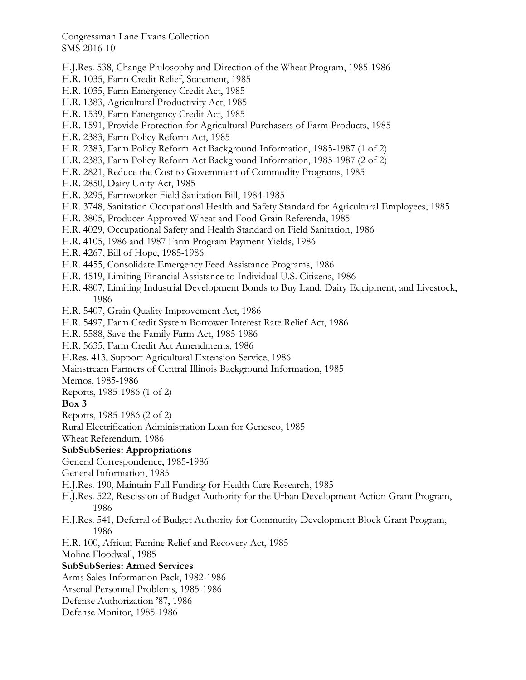- H.J.Res. 538, Change Philosophy and Direction of the Wheat Program, 1985-1986
- H.R. 1035, Farm Credit Relief, Statement, 1985
- H.R. 1035, Farm Emergency Credit Act, 1985
- H.R. 1383, Agricultural Productivity Act, 1985
- H.R. 1539, Farm Emergency Credit Act, 1985
- H.R. 1591, Provide Protection for Agricultural Purchasers of Farm Products, 1985
- H.R. 2383, Farm Policy Reform Act, 1985
- H.R. 2383, Farm Policy Reform Act Background Information, 1985-1987 (1 of 2)
- H.R. 2383, Farm Policy Reform Act Background Information, 1985-1987 (2 of 2)
- H.R. 2821, Reduce the Cost to Government of Commodity Programs, 1985
- H.R. 2850, Dairy Unity Act, 1985
- H.R. 3295, Farmworker Field Sanitation Bill, 1984-1985
- H.R. 3748, Sanitation Occupational Health and Safety Standard for Agricultural Employees, 1985
- H.R. 3805, Producer Approved Wheat and Food Grain Referenda, 1985
- H.R. 4029, Occupational Safety and Health Standard on Field Sanitation, 1986
- H.R. 4105, 1986 and 1987 Farm Program Payment Yields, 1986
- H.R. 4267, Bill of Hope, 1985-1986
- H.R. 4455, Consolidate Emergency Feed Assistance Programs, 1986
- H.R. 4519, Limiting Financial Assistance to Individual U.S. Citizens, 1986
- H.R. 4807, Limiting Industrial Development Bonds to Buy Land, Dairy Equipment, and Livestock, 1986
- H.R. 5407, Grain Quality Improvement Act, 1986
- H.R. 5497, Farm Credit System Borrower Interest Rate Relief Act, 1986
- H.R. 5588, Save the Family Farm Act, 1985-1986
- H.R. 5635, Farm Credit Act Amendments, 1986
- H.Res. 413, Support Agricultural Extension Service, 1986
- Mainstream Farmers of Central Illinois Background Information, 1985

Memos, 1985-1986

Reports, 1985-1986 (1 of 2)

## **Box 3**

Reports, 1985-1986 (2 of 2)

Rural Electrification Administration Loan for Geneseo, 1985

Wheat Referendum, 1986

## **SubSubSeries: Appropriations**

General Correspondence, 1985-1986

- General Information, 1985
- H.J.Res. 190, Maintain Full Funding for Health Care Research, 1985
- H.J.Res. 522, Rescission of Budget Authority for the Urban Development Action Grant Program, 1986
- H.J.Res. 541, Deferral of Budget Authority for Community Development Block Grant Program, 1986
- H.R. 100, African Famine Relief and Recovery Act, 1985

Moline Floodwall, 1985

## **SubSubSeries: Armed Services**

Arms Sales Information Pack, 1982-1986

Arsenal Personnel Problems, 1985-1986

- Defense Authorization '87, 1986
- Defense Monitor, 1985-1986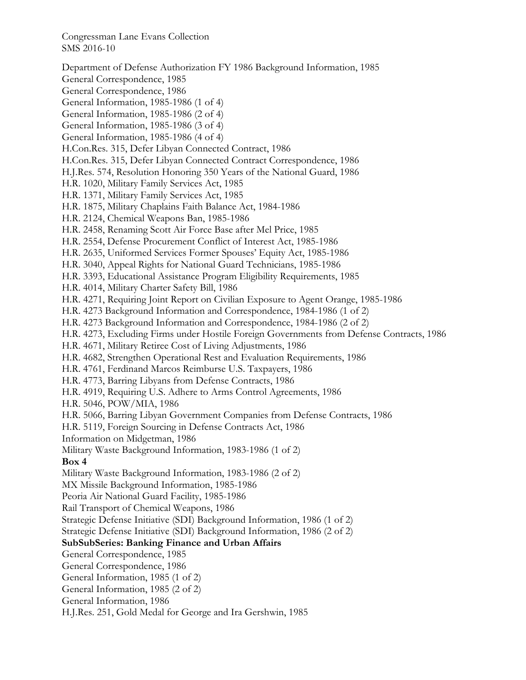Department of Defense Authorization FY 1986 Background Information, 1985 General Correspondence, 1985 General Correspondence, 1986 General Information, 1985-1986 (1 of 4) General Information, 1985-1986 (2 of 4) General Information, 1985-1986 (3 of 4) General Information, 1985-1986 (4 of 4) H.Con.Res. 315, Defer Libyan Connected Contract, 1986 H.Con.Res. 315, Defer Libyan Connected Contract Correspondence, 1986 H.J.Res. 574, Resolution Honoring 350 Years of the National Guard, 1986 H.R. 1020, Military Family Services Act, 1985 H.R. 1371, Military Family Services Act, 1985 H.R. 1875, Military Chaplains Faith Balance Act, 1984-1986 H.R. 2124, Chemical Weapons Ban, 1985-1986 H.R. 2458, Renaming Scott Air Force Base after Mel Price, 1985 H.R. 2554, Defense Procurement Conflict of Interest Act, 1985-1986 H.R. 2635, Uniformed Services Former Spouses' Equity Act, 1985-1986 H.R. 3040, Appeal Rights for National Guard Technicians, 1985-1986 H.R. 3393, Educational Assistance Program Eligibility Requirements, 1985 H.R. 4014, Military Charter Safety Bill, 1986 H.R. 4271, Requiring Joint Report on Civilian Exposure to Agent Orange, 1985-1986 H.R. 4273 Background Information and Correspondence, 1984-1986 (1 of 2) H.R. 4273 Background Information and Correspondence, 1984-1986 (2 of 2) H.R. 4273, Excluding Firms under Hostile Foreign Governments from Defense Contracts, 1986 H.R. 4671, Military Retiree Cost of Living Adjustments, 1986 H.R. 4682, Strengthen Operational Rest and Evaluation Requirements, 1986 H.R. 4761, Ferdinand Marcos Reimburse U.S. Taxpayers, 1986 H.R. 4773, Barring Libyans from Defense Contracts, 1986 H.R. 4919, Requiring U.S. Adhere to Arms Control Agreements, 1986 H.R. 5046, POW/MIA, 1986 H.R. 5066, Barring Libyan Government Companies from Defense Contracts, 1986 H.R. 5119, Foreign Sourcing in Defense Contracts Act, 1986 Information on Midgetman, 1986 Military Waste Background Information, 1983-1986 (1 of 2) **Box 4**  Military Waste Background Information, 1983-1986 (2 of 2) MX Missile Background Information, 1985-1986 Peoria Air National Guard Facility, 1985-1986 Rail Transport of Chemical Weapons, 1986 Strategic Defense Initiative (SDI) Background Information, 1986 (1 of 2) Strategic Defense Initiative (SDI) Background Information, 1986 (2 of 2) **SubSubSeries: Banking Finance and Urban Affairs**  General Correspondence, 1985 General Correspondence, 1986 General Information, 1985 (1 of 2) General Information, 1985 (2 of 2) General Information, 1986 H.J.Res. 251, Gold Medal for George and Ira Gershwin, 1985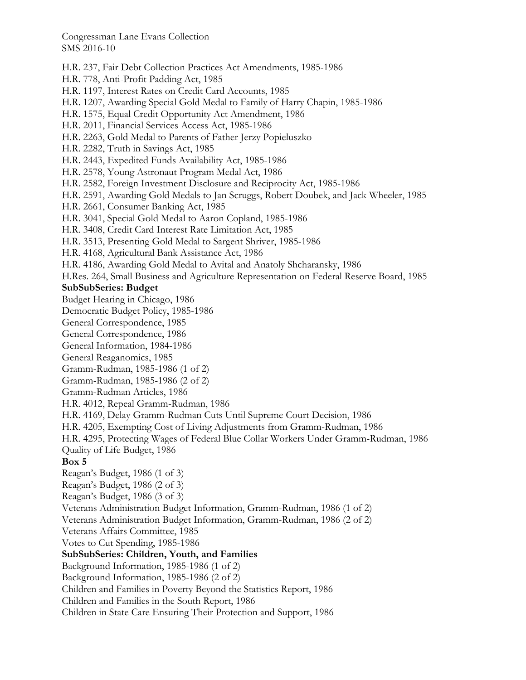H.R. 237, Fair Debt Collection Practices Act Amendments, 1985-1986

- H.R. 778, Anti-Profit Padding Act, 1985
- H.R. 1197, Interest Rates on Credit Card Accounts, 1985
- H.R. 1207, Awarding Special Gold Medal to Family of Harry Chapin, 1985-1986
- H.R. 1575, Equal Credit Opportunity Act Amendment, 1986
- H.R. 2011, Financial Services Access Act, 1985-1986
- H.R. 2263, Gold Medal to Parents of Father Jerzy Popieluszko
- H.R. 2282, Truth in Savings Act, 1985
- H.R. 2443, Expedited Funds Availability Act, 1985-1986
- H.R. 2578, Young Astronaut Program Medal Act, 1986
- H.R. 2582, Foreign Investment Disclosure and Reciprocity Act, 1985-1986
- H.R. 2591, Awarding Gold Medals to Jan Scruggs, Robert Doubek, and Jack Wheeler, 1985
- H.R. 2661, Consumer Banking Act, 1985
- H.R. 3041, Special Gold Medal to Aaron Copland, 1985-1986
- H.R. 3408, Credit Card Interest Rate Limitation Act, 1985
- H.R. 3513, Presenting Gold Medal to Sargent Shriver, 1985-1986
- H.R. 4168, Agricultural Bank Assistance Act, 1986
- H.R. 4186, Awarding Gold Medal to Avital and Anatoly Shcharansky, 1986
- H.Res. 264, Small Business and Agriculture Representation on Federal Reserve Board, 1985

#### **SubSubSeries: Budget**

- Budget Hearing in Chicago, 1986
- Democratic Budget Policy, 1985-1986
- General Correspondence, 1985
- General Correspondence, 1986
- General Information, 1984-1986
- General Reaganomics, 1985
- Gramm-Rudman, 1985-1986 (1 of 2)
- Gramm-Rudman, 1985-1986 (2 of 2)
- Gramm-Rudman Articles, 1986
- H.R. 4012, Repeal Gramm-Rudman, 1986
- H.R. 4169, Delay Gramm-Rudman Cuts Until Supreme Court Decision, 1986
- H.R. 4205, Exempting Cost of Living Adjustments from Gramm-Rudman, 1986
- H.R. 4295, Protecting Wages of Federal Blue Collar Workers Under Gramm-Rudman, 1986 Quality of Life Budget, 1986
- 

# **Box 5**

- Reagan's Budget, 1986 (1 of 3)
- Reagan's Budget, 1986 (2 of 3)
- Reagan's Budget, 1986 (3 of 3)
- Veterans Administration Budget Information, Gramm-Rudman, 1986 (1 of 2)
- Veterans Administration Budget Information, Gramm-Rudman, 1986 (2 of 2)
- Veterans Affairs Committee, 1985
- Votes to Cut Spending, 1985-1986

## **SubSubSeries: Children, Youth, and Families**

- Background Information, 1985-1986 (1 of 2)
- Background Information, 1985-1986 (2 of 2)
- Children and Families in Poverty Beyond the Statistics Report, 1986
- Children and Families in the South Report, 1986
- Children in State Care Ensuring Their Protection and Support, 1986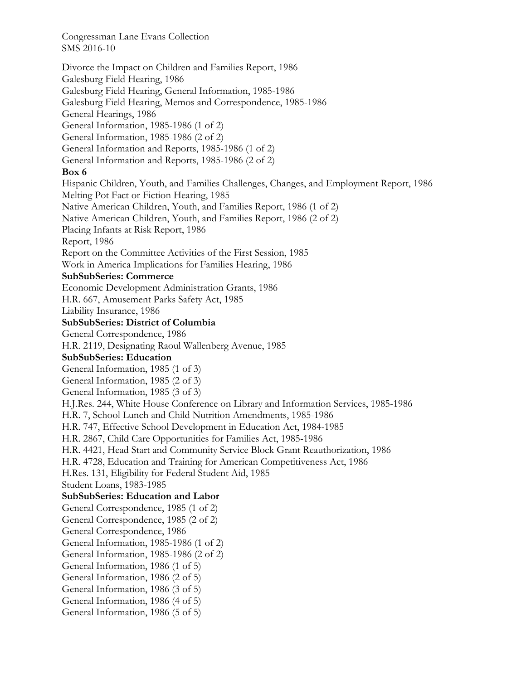Divorce the Impact on Children and Families Report, 1986 Galesburg Field Hearing, 1986 Galesburg Field Hearing, General Information, 1985-1986 Galesburg Field Hearing, Memos and Correspondence, 1985-1986 General Hearings, 1986 General Information, 1985-1986 (1 of 2) General Information, 1985-1986 (2 of 2) General Information and Reports, 1985-1986 (1 of 2) General Information and Reports, 1985-1986 (2 of 2) **Box 6**  Hispanic Children, Youth, and Families Challenges, Changes, and Employment Report, 1986 Melting Pot Fact or Fiction Hearing, 1985 Native American Children, Youth, and Families Report, 1986 (1 of 2) Native American Children, Youth, and Families Report, 1986 (2 of 2) Placing Infants at Risk Report, 1986 Report, 1986 Report on the Committee Activities of the First Session, 1985 Work in America Implications for Families Hearing, 1986 **SubSubSeries: Commerce**  Economic Development Administration Grants, 1986 H.R. 667, Amusement Parks Safety Act, 1985 Liability Insurance, 1986 **SubSubSeries: District of Columbia**  General Correspondence, 1986 H.R. 2119, Designating Raoul Wallenberg Avenue, 1985 **SubSubSeries: Education**  General Information, 1985 (1 of 3) General Information, 1985 (2 of 3) General Information, 1985 (3 of 3) H.J.Res. 244, White House Conference on Library and Information Services, 1985-1986 H.R. 7, School Lunch and Child Nutrition Amendments, 1985-1986 H.R. 747, Effective School Development in Education Act, 1984-1985 H.R. 2867, Child Care Opportunities for Families Act, 1985-1986 H.R. 4421, Head Start and Community Service Block Grant Reauthorization, 1986 H.R. 4728, Education and Training for American Competitiveness Act, 1986 H.Res. 131, Eligibility for Federal Student Aid, 1985 Student Loans, 1983-1985 **SubSubSeries: Education and Labor**  General Correspondence, 1985 (1 of 2) General Correspondence, 1985 (2 of 2) General Correspondence, 1986 General Information, 1985-1986 (1 of 2) General Information, 1985-1986 (2 of 2) General Information, 1986 (1 of 5) General Information, 1986 (2 of 5) General Information, 1986 (3 of 5) General Information, 1986 (4 of 5) General Information, 1986 (5 of 5)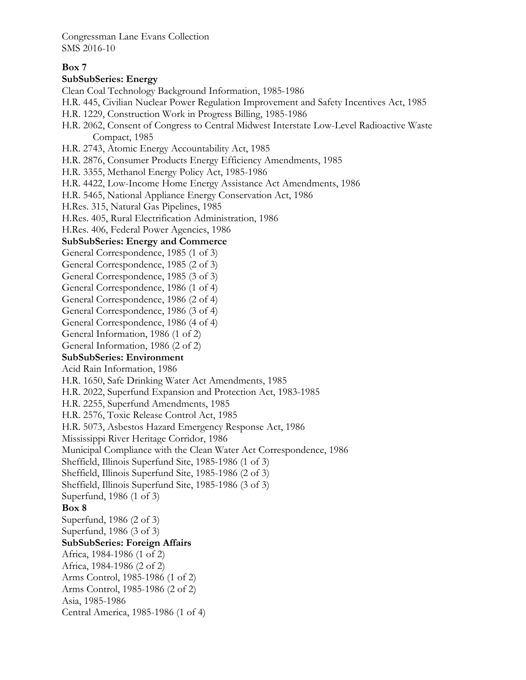## **Box 7**

#### **SubSubSeries: Energy**

Clean Coal Technology Background Information, 1985-1986

- H.R. 445, Civilian Nuclear Power Regulation Improvement and Safety Incentives Act, 1985
- H.R. 1229, Construction Work in Progress Billing, 1985-1986
- H.R. 2062, Consent of Congress to Central Midwest Interstate Low-Level Radioactive Waste Compact, 1985
- H.R. 2743, Atomic Energy Accountability Act, 1985
- H.R. 2876, Consumer Products Energy Efficiency Amendments, 1985
- H.R. 3355, Methanol Energy Policy Act, 1985-1986
- H.R. 4422, Low-Income Home Energy Assistance Act Amendments, 1986
- H.R. 5465, National Appliance Energy Conservation Act, 1986
- H.Res. 315, Natural Gas Pipelines, 1985
- H.Res. 405, Rural Electrification Administration, 1986
- H.Res. 406, Federal Power Agencies, 1986

#### **SubSubSeries: Energy and Commerce**

- General Correspondence, 1985 (1 of 3)
- General Correspondence, 1985 (2 of 3)
- General Correspondence, 1985 (3 of 3)
- General Correspondence, 1986 (1 of 4)
- General Correspondence, 1986 (2 of 4)
- General Correspondence, 1986 (3 of 4)
- General Correspondence, 1986 (4 of 4)
- General Information, 1986 (1 of 2)
- General Information, 1986 (2 of 2)

## **SubSubSeries: Environment**

Acid Rain Information, 1986

- H.R. 1650, Safe Drinking Water Act Amendments, 1985
- H.R. 2022, Superfund Expansion and Protection Act, 1983-1985
- H.R. 2255, Superfund Amendments, 1985
- H.R. 2576, Toxic Release Control Act, 1985
- H.R. 5073, Asbestos Hazard Emergency Response Act, 1986
- Mississippi River Heritage Corridor, 1986
- Municipal Compliance with the Clean Water Act Correspondence, 1986
- Sheffield, Illinois Superfund Site, 1985-1986 (1 of 3)
- Sheffield, Illinois Superfund Site, 1985-1986 (2 of 3)
- Sheffield, Illinois Superfund Site, 1985-1986 (3 of 3)
- Superfund, 1986 (1 of 3)

## **Box 8**

Superfund, 1986 (2 of 3) Superfund, 1986 (3 of 3) **SubSubSeries: Foreign Affairs**  Africa, 1984-1986 (1 of 2) Africa, 1984-1986 (2 of 2) Arms Control, 1985-1986 (1 of 2) Arms Control, 1985-1986 (2 of 2) Asia, 1985-1986 Central America, 1985-1986 (1 of 4)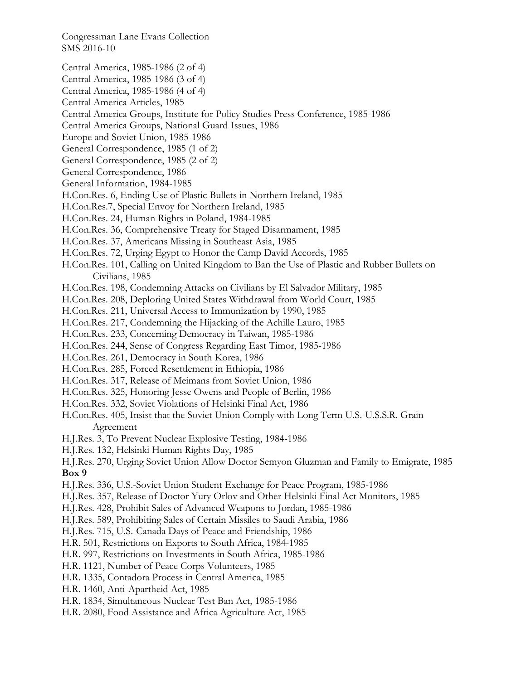- Central America, 1985-1986 (2 of 4)
- Central America, 1985-1986 (3 of 4)
- Central America, 1985-1986 (4 of 4)
- Central America Articles, 1985
- Central America Groups, Institute for Policy Studies Press Conference, 1985-1986
- Central America Groups, National Guard Issues, 1986
- Europe and Soviet Union, 1985-1986
- General Correspondence, 1985 (1 of 2)
- General Correspondence, 1985 (2 of 2)
- General Correspondence, 1986
- General Information, 1984-1985
- H.Con.Res. 6, Ending Use of Plastic Bullets in Northern Ireland, 1985
- H.Con.Res.7, Special Envoy for Northern Ireland, 1985
- H.Con.Res. 24, Human Rights in Poland, 1984-1985
- H.Con.Res. 36, Comprehensive Treaty for Staged Disarmament, 1985
- H.Con.Res. 37, Americans Missing in Southeast Asia, 1985
- H.Con.Res. 72, Urging Egypt to Honor the Camp David Accords, 1985
- H.Con.Res. 101, Calling on United Kingdom to Ban the Use of Plastic and Rubber Bullets on Civilians, 1985
- H.Con.Res. 198, Condemning Attacks on Civilians by El Salvador Military, 1985
- H.Con.Res. 208, Deploring United States Withdrawal from World Court, 1985
- H.Con.Res. 211, Universal Access to Immunization by 1990, 1985
- H.Con.Res. 217, Condemning the Hijacking of the Achille Lauro, 1985
- H.Con.Res. 233, Concerning Democracy in Taiwan, 1985-1986
- H.Con.Res. 244, Sense of Congress Regarding East Timor, 1985-1986
- H.Con.Res. 261, Democracy in South Korea, 1986
- H.Con.Res. 285, Forced Resettlement in Ethiopia, 1986
- H.Con.Res. 317, Release of Meimans from Soviet Union, 1986
- H.Con.Res. 325, Honoring Jesse Owens and People of Berlin, 1986
- H.Con.Res. 332, Soviet Violations of Helsinki Final Act, 1986
- H.Con.Res. 405, Insist that the Soviet Union Comply with Long Term U.S.-U.S.S.R. Grain Agreement
- H.J.Res. 3, To Prevent Nuclear Explosive Testing, 1984-1986
- H.J.Res. 132, Helsinki Human Rights Day, 1985
- H.J.Res. 270, Urging Soviet Union Allow Doctor Semyon Gluzman and Family to Emigrate, 1985 **Box 9**
- H.J.Res. 336, U.S.-Soviet Union Student Exchange for Peace Program, 1985-1986
- H.J.Res. 357, Release of Doctor Yury Orlov and Other Helsinki Final Act Monitors, 1985
- H.J.Res. 428, Prohibit Sales of Advanced Weapons to Jordan, 1985-1986
- H.J.Res. 589, Prohibiting Sales of Certain Missiles to Saudi Arabia, 1986
- H.J.Res. 715, U.S.-Canada Days of Peace and Friendship, 1986
- H.R. 501, Restrictions on Exports to South Africa, 1984-1985
- H.R. 997, Restrictions on Investments in South Africa, 1985-1986
- H.R. 1121, Number of Peace Corps Volunteers, 1985
- H.R. 1335, Contadora Process in Central America, 1985
- H.R. 1460, Anti-Apartheid Act, 1985
- H.R. 1834, Simultaneous Nuclear Test Ban Act, 1985-1986
- H.R. 2080, Food Assistance and Africa Agriculture Act, 1985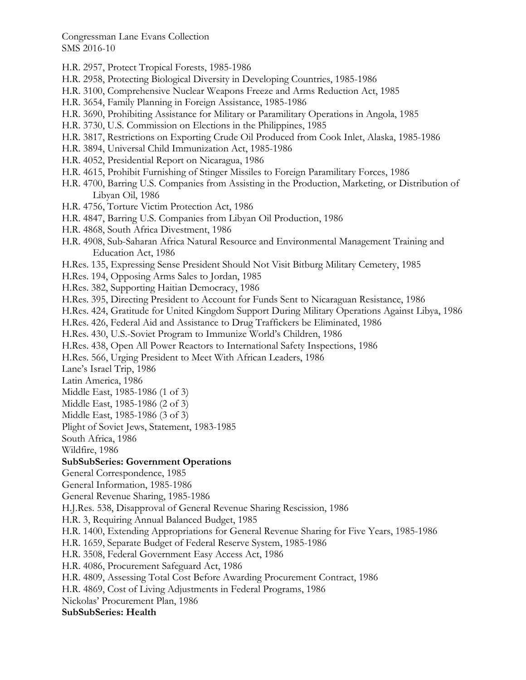- H.R. 2957, Protect Tropical Forests, 1985-1986
- H.R. 2958, Protecting Biological Diversity in Developing Countries, 1985-1986
- H.R. 3100, Comprehensive Nuclear Weapons Freeze and Arms Reduction Act, 1985
- H.R. 3654, Family Planning in Foreign Assistance, 1985-1986
- H.R. 3690, Prohibiting Assistance for Military or Paramilitary Operations in Angola, 1985
- H.R. 3730, U.S. Commission on Elections in the Philippines, 1985
- H.R. 3817, Restrictions on Exporting Crude Oil Produced from Cook Inlet, Alaska, 1985-1986
- H.R. 3894, Universal Child Immunization Act, 1985-1986
- H.R. 4052, Presidential Report on Nicaragua, 1986
- H.R. 4615, Prohibit Furnishing of Stinger Missiles to Foreign Paramilitary Forces, 1986
- H.R. 4700, Barring U.S. Companies from Assisting in the Production, Marketing, or Distribution of Libyan Oil, 1986
- H.R. 4756, Torture Victim Protection Act, 1986
- H.R. 4847, Barring U.S. Companies from Libyan Oil Production, 1986
- H.R. 4868, South Africa Divestment, 1986
- H.R. 4908, Sub-Saharan Africa Natural Resource and Environmental Management Training and Education Act, 1986
- H.Res. 135, Expressing Sense President Should Not Visit Bitburg Military Cemetery, 1985
- H.Res. 194, Opposing Arms Sales to Jordan, 1985
- H.Res. 382, Supporting Haitian Democracy, 1986
- H.Res. 395, Directing President to Account for Funds Sent to Nicaraguan Resistance, 1986
- H.Res. 424, Gratitude for United Kingdom Support During Military Operations Against Libya, 1986
- H.Res. 426, Federal Aid and Assistance to Drug Traffickers be Eliminated, 1986
- H.Res. 430, U.S.-Soviet Program to Immunize World's Children, 1986
- H.Res. 438, Open All Power Reactors to International Safety Inspections, 1986
- H.Res. 566, Urging President to Meet With African Leaders, 1986
- Lane's Israel Trip, 1986

Latin America, 1986

- Middle East, 1985-1986 (1 of 3)
- Middle East, 1985-1986 (2 of 3)
- Middle East, 1985-1986 (3 of 3)

Plight of Soviet Jews, Statement, 1983-1985

South Africa, 1986

Wildfire, 1986

#### **SubSubSeries: Government Operations**

General Correspondence, 1985

General Information, 1985-1986

General Revenue Sharing, 1985-1986

H.J.Res. 538, Disapproval of General Revenue Sharing Rescission, 1986

H.R. 3, Requiring Annual Balanced Budget, 1985

H.R. 1400, Extending Appropriations for General Revenue Sharing for Five Years, 1985-1986

H.R. 1659, Separate Budget of Federal Reserve System, 1985-1986

H.R. 3508, Federal Government Easy Access Act, 1986

H.R. 4086, Procurement Safeguard Act, 1986

- H.R. 4809, Assessing Total Cost Before Awarding Procurement Contract, 1986
- H.R. 4869, Cost of Living Adjustments in Federal Programs, 1986
- Nickolas' Procurement Plan, 1986

#### **SubSubSeries: Health**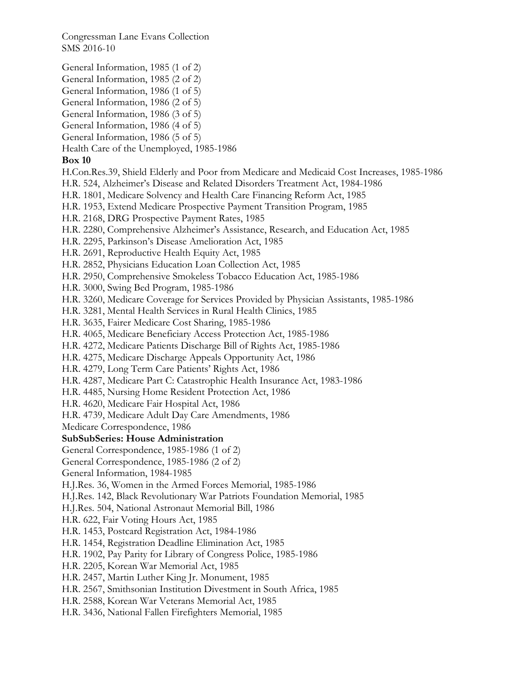- General Information, 1985 (1 of 2)
- General Information, 1985 (2 of 2)
- General Information, 1986 (1 of 5)
- General Information, 1986 (2 of 5)
- General Information, 1986 (3 of 5)
- General Information, 1986 (4 of 5)
- General Information, 1986 (5 of 5)
- Health Care of the Unemployed, 1985-1986

# **Box 10**

- H.Con.Res.39, Shield Elderly and Poor from Medicare and Medicaid Cost Increases, 1985-1986
- H.R. 524, Alzheimer's Disease and Related Disorders Treatment Act, 1984-1986
- H.R. 1801, Medicare Solvency and Health Care Financing Reform Act, 1985
- H.R. 1953, Extend Medicare Prospective Payment Transition Program, 1985
- H.R. 2168, DRG Prospective Payment Rates, 1985
- H.R. 2280, Comprehensive Alzheimer's Assistance, Research, and Education Act, 1985
- H.R. 2295, Parkinson's Disease Amelioration Act, 1985
- H.R. 2691, Reproductive Health Equity Act, 1985
- H.R. 2852, Physicians Education Loan Collection Act, 1985
- H.R. 2950, Comprehensive Smokeless Tobacco Education Act, 1985-1986
- H.R. 3000, Swing Bed Program, 1985-1986
- H.R. 3260, Medicare Coverage for Services Provided by Physician Assistants, 1985-1986
- H.R. 3281, Mental Health Services in Rural Health Clinics, 1985
- H.R. 3635, Fairer Medicare Cost Sharing, 1985-1986
- H.R. 4065, Medicare Beneficiary Access Protection Act, 1985-1986
- H.R. 4272, Medicare Patients Discharge Bill of Rights Act, 1985-1986
- H.R. 4275, Medicare Discharge Appeals Opportunity Act, 1986
- H.R. 4279, Long Term Care Patients' Rights Act, 1986
- H.R. 4287, Medicare Part C: Catastrophic Health Insurance Act, 1983-1986
- H.R. 4485, Nursing Home Resident Protection Act, 1986
- H.R. 4620, Medicare Fair Hospital Act, 1986
- H.R. 4739, Medicare Adult Day Care Amendments, 1986
- Medicare Correspondence, 1986

# **SubSubSeries: House Administration**

- General Correspondence, 1985-1986 (1 of 2)
- General Correspondence, 1985-1986 (2 of 2)
- General Information, 1984-1985
- H.J.Res. 36, Women in the Armed Forces Memorial, 1985-1986
- H.J.Res. 142, Black Revolutionary War Patriots Foundation Memorial, 1985
- H.J.Res. 504, National Astronaut Memorial Bill, 1986
- H.R. 622, Fair Voting Hours Act, 1985
- H.R. 1453, Postcard Registration Act, 1984-1986
- H.R. 1454, Registration Deadline Elimination Act, 1985
- H.R. 1902, Pay Parity for Library of Congress Police, 1985-1986
- H.R. 2205, Korean War Memorial Act, 1985
- H.R. 2457, Martin Luther King Jr. Monument, 1985
- H.R. 2567, Smithsonian Institution Divestment in South Africa, 1985
- H.R. 2588, Korean War Veterans Memorial Act, 1985
- H.R. 3436, National Fallen Firefighters Memorial, 1985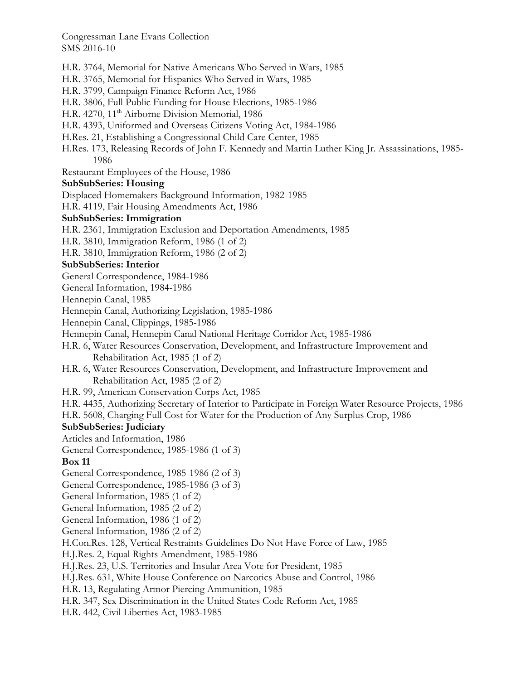H.R. 3764, Memorial for Native Americans Who Served in Wars, 1985

- H.R. 3765, Memorial for Hispanics Who Served in Wars, 1985
- H.R. 3799, Campaign Finance Reform Act, 1986
- H.R. 3806, Full Public Funding for House Elections, 1985-1986
- H.R. 4270, 11<sup>th</sup> Airborne Division Memorial, 1986
- H.R. 4393, Uniformed and Overseas Citizens Voting Act, 1984-1986
- H.Res. 21, Establishing a Congressional Child Care Center, 1985
- H.Res. 173, Releasing Records of John F. Kennedy and Martin Luther King Jr. Assassinations, 1985- 1986
- Restaurant Employees of the House, 1986

# **SubSubSeries: Housing**

Displaced Homemakers Background Information, 1982-1985

H.R. 4119, Fair Housing Amendments Act, 1986

## **SubSubSeries: Immigration**

- H.R. 2361, Immigration Exclusion and Deportation Amendments, 1985
- H.R. 3810, Immigration Reform, 1986 (1 of 2)
- H.R. 3810, Immigration Reform, 1986 (2 of 2)

# **SubSubSeries: Interior**

- General Correspondence, 1984-1986
- General Information, 1984-1986
- Hennepin Canal, 1985
- Hennepin Canal, Authorizing Legislation, 1985-1986
- Hennepin Canal, Clippings, 1985-1986
- Hennepin Canal, Hennepin Canal National Heritage Corridor Act, 1985-1986
- H.R. 6, Water Resources Conservation, Development, and Infrastructure Improvement and Rehabilitation Act, 1985 (1 of 2)
- H.R. 6, Water Resources Conservation, Development, and Infrastructure Improvement and Rehabilitation Act, 1985 (2 of 2)
- H.R. 99, American Conservation Corps Act, 1985
- H.R. 4435, Authorizing Secretary of Interior to Participate in Foreign Water Resource Projects, 1986
- H.R. 5608, Charging Full Cost for Water for the Production of Any Surplus Crop, 1986

## **SubSubSeries: Judiciary**

- Articles and Information, 1986
- General Correspondence, 1985-1986 (1 of 3)

# **Box 11**

- General Correspondence, 1985-1986 (2 of 3)
- General Correspondence, 1985-1986 (3 of 3)
- General Information, 1985 (1 of 2)
- General Information, 1985 (2 of 2)
- General Information, 1986 (1 of 2)
- General Information, 1986 (2 of 2)
- H.Con.Res. 128, Vertical Restraints Guidelines Do Not Have Force of Law, 1985

H.J.Res. 2, Equal Rights Amendment, 1985-1986

- H.J.Res. 23, U.S. Territories and Insular Area Vote for President, 1985
- H.J.Res. 631, White House Conference on Narcotics Abuse and Control, 1986
- H.R. 13, Regulating Armor Piercing Ammunition, 1985
- H.R. 347, Sex Discrimination in the United States Code Reform Act, 1985
- H.R. 442, Civil Liberties Act, 1983-1985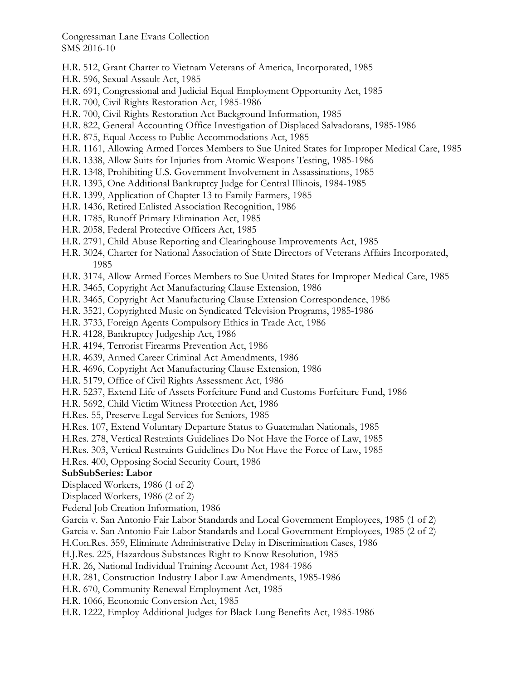- H.R. 512, Grant Charter to Vietnam Veterans of America, Incorporated, 1985
- H.R. 596, Sexual Assault Act, 1985
- H.R. 691, Congressional and Judicial Equal Employment Opportunity Act, 1985
- H.R. 700, Civil Rights Restoration Act, 1985-1986
- H.R. 700, Civil Rights Restoration Act Background Information, 1985
- H.R. 822, General Accounting Office Investigation of Displaced Salvadorans, 1985-1986
- H.R. 875, Equal Access to Public Accommodations Act, 1985
- H.R. 1161, Allowing Armed Forces Members to Sue United States for Improper Medical Care, 1985
- H.R. 1338, Allow Suits for Injuries from Atomic Weapons Testing, 1985-1986
- H.R. 1348, Prohibiting U.S. Government Involvement in Assassinations, 1985
- H.R. 1393, One Additional Bankruptcy Judge for Central Illinois, 1984-1985
- H.R. 1399, Application of Chapter 13 to Family Farmers, 1985
- H.R. 1436, Retired Enlisted Association Recognition, 1986
- H.R. 1785, Runoff Primary Elimination Act, 1985
- H.R. 2058, Federal Protective Officers Act, 1985
- H.R. 2791, Child Abuse Reporting and Clearinghouse Improvements Act, 1985
- H.R. 3024, Charter for National Association of State Directors of Veterans Affairs Incorporated, 1985
- H.R. 3174, Allow Armed Forces Members to Sue United States for Improper Medical Care, 1985
- H.R. 3465, Copyright Act Manufacturing Clause Extension, 1986
- H.R. 3465, Copyright Act Manufacturing Clause Extension Correspondence, 1986
- H.R. 3521, Copyrighted Music on Syndicated Television Programs, 1985-1986
- H.R. 3733, Foreign Agents Compulsory Ethics in Trade Act, 1986
- H.R. 4128, Bankruptcy Judgeship Act, 1986
- H.R. 4194, Terrorist Firearms Prevention Act, 1986
- H.R. 4639, Armed Career Criminal Act Amendments, 1986
- H.R. 4696, Copyright Act Manufacturing Clause Extension, 1986
- H.R. 5179, Office of Civil Rights Assessment Act, 1986
- H.R. 5237, Extend Life of Assets Forfeiture Fund and Customs Forfeiture Fund, 1986
- H.R. 5692, Child Victim Witness Protection Act, 1986
- H.Res. 55, Preserve Legal Services for Seniors, 1985
- H.Res. 107, Extend Voluntary Departure Status to Guatemalan Nationals, 1985
- H.Res. 278, Vertical Restraints Guidelines Do Not Have the Force of Law, 1985
- H.Res. 303, Vertical Restraints Guidelines Do Not Have the Force of Law, 1985
- H.Res. 400, Opposing Social Security Court, 1986

## **SubSubSeries: Labor**

Displaced Workers, 1986 (1 of 2)

- Displaced Workers, 1986 (2 of 2)
- Federal Job Creation Information, 1986
- Garcia v. San Antonio Fair Labor Standards and Local Government Employees, 1985 (1 of 2)
- Garcia v. San Antonio Fair Labor Standards and Local Government Employees, 1985 (2 of 2)

H.Con.Res. 359, Eliminate Administrative Delay in Discrimination Cases, 1986

H.J.Res. 225, Hazardous Substances Right to Know Resolution, 1985

H.R. 26, National Individual Training Account Act, 1984-1986

H.R. 281, Construction Industry Labor Law Amendments, 1985-1986

- H.R. 670, Community Renewal Employment Act, 1985
- H.R. 1066, Economic Conversion Act, 1985
- H.R. 1222, Employ Additional Judges for Black Lung Benefits Act, 1985-1986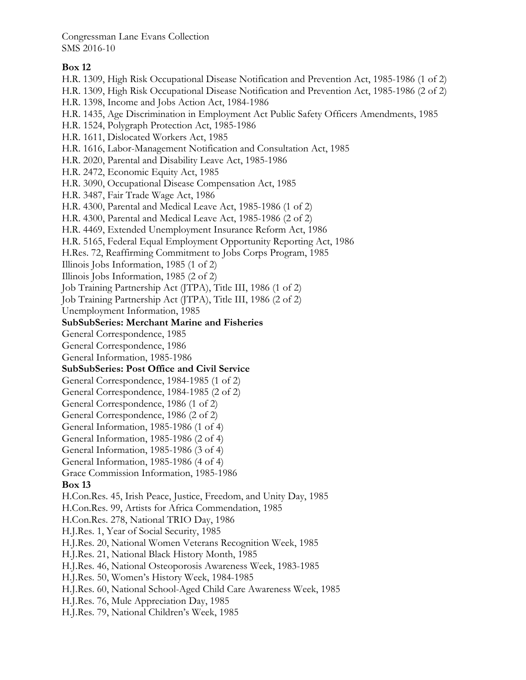## **Box 12**

- H.R. 1309, High Risk Occupational Disease Notification and Prevention Act, 1985-1986 (1 of 2)
- H.R. 1309, High Risk Occupational Disease Notification and Prevention Act, 1985-1986 (2 of 2)
- H.R. 1398, Income and Jobs Action Act, 1984-1986
- H.R. 1435, Age Discrimination in Employment Act Public Safety Officers Amendments, 1985
- H.R. 1524, Polygraph Protection Act, 1985-1986
- H.R. 1611, Dislocated Workers Act, 1985
- H.R. 1616, Labor-Management Notification and Consultation Act, 1985
- H.R. 2020, Parental and Disability Leave Act, 1985-1986
- H.R. 2472, Economic Equity Act, 1985
- H.R. 3090, Occupational Disease Compensation Act, 1985
- H.R. 3487, Fair Trade Wage Act, 1986
- H.R. 4300, Parental and Medical Leave Act, 1985-1986 (1 of 2)
- H.R. 4300, Parental and Medical Leave Act, 1985-1986 (2 of 2)
- H.R. 4469, Extended Unemployment Insurance Reform Act, 1986
- H.R. 5165, Federal Equal Employment Opportunity Reporting Act, 1986
- H.Res. 72, Reaffirming Commitment to Jobs Corps Program, 1985
- Illinois Jobs Information, 1985 (1 of 2)
- Illinois Jobs Information, 1985 (2 of 2)
- Job Training Partnership Act (JTPA), Title III, 1986 (1 of 2)
- Job Training Partnership Act (JTPA), Title III, 1986 (2 of 2)
- Unemployment Information, 1985

#### **SubSubSeries: Merchant Marine and Fisheries**

- General Correspondence, 1985
- General Correspondence, 1986
- General Information, 1985-1986
- **SubSubSeries: Post Office and Civil Service**
- General Correspondence, 1984-1985 (1 of 2)
- General Correspondence, 1984-1985 (2 of 2)
- General Correspondence, 1986 (1 of 2)
- General Correspondence, 1986 (2 of 2)
- General Information, 1985-1986 (1 of 4)
- General Information, 1985-1986 (2 of 4)
- General Information, 1985-1986 (3 of 4)
- General Information, 1985-1986 (4 of 4)
- Grace Commission Information, 1985-1986

#### **Box 13**

- H.Con.Res. 45, Irish Peace, Justice, Freedom, and Unity Day, 1985
- H.Con.Res. 99, Artists for Africa Commendation, 1985
- H.Con.Res. 278, National TRIO Day, 1986
- H.J.Res. 1, Year of Social Security, 1985
- H.J.Res. 20, National Women Veterans Recognition Week, 1985
- H.J.Res. 21, National Black History Month, 1985
- H.J.Res. 46, National Osteoporosis Awareness Week, 1983-1985
- H.J.Res. 50, Women's History Week, 1984-1985
- H.J.Res. 60, National School-Aged Child Care Awareness Week, 1985
- H.J.Res. 76, Mule Appreciation Day, 1985
- H.J.Res. 79, National Children's Week, 1985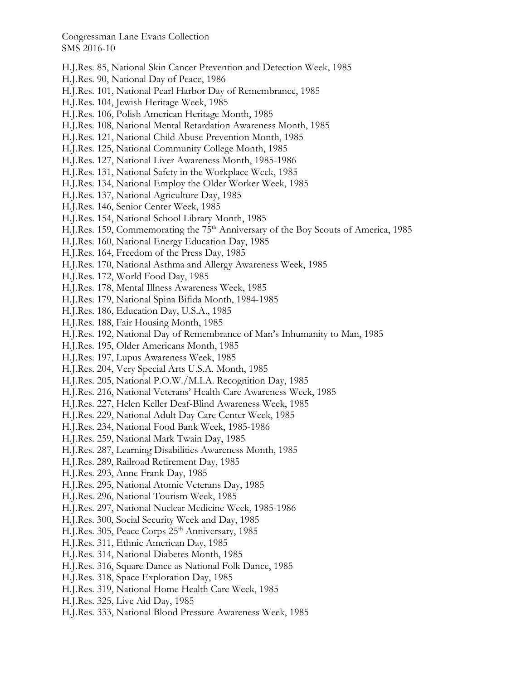- H.J.Res. 85, National Skin Cancer Prevention and Detection Week, 1985
- H.J.Res. 90, National Day of Peace, 1986
- H.J.Res. 101, National Pearl Harbor Day of Remembrance, 1985
- H.J.Res. 104, Jewish Heritage Week, 1985
- H.J.Res. 106, Polish American Heritage Month, 1985
- H.J.Res. 108, National Mental Retardation Awareness Month, 1985
- H.J.Res. 121, National Child Abuse Prevention Month, 1985
- H.J.Res. 125, National Community College Month, 1985
- H.J.Res. 127, National Liver Awareness Month, 1985-1986
- H.J.Res. 131, National Safety in the Workplace Week, 1985
- H.J.Res. 134, National Employ the Older Worker Week, 1985
- H.J.Res. 137, National Agriculture Day, 1985
- H.J.Res. 146, Senior Center Week, 1985
- H.J.Res. 154, National School Library Month, 1985
- H.J.Res. 159, Commemorating the 75<sup>th</sup> Anniversary of the Boy Scouts of America, 1985
- H.J.Res. 160, National Energy Education Day, 1985
- H.J.Res. 164, Freedom of the Press Day, 1985
- H.J.Res. 170, National Asthma and Allergy Awareness Week, 1985
- H.J.Res. 172, World Food Day, 1985
- H.J.Res. 178, Mental Illness Awareness Week, 1985
- H.J.Res. 179, National Spina Bifida Month, 1984-1985
- H.J.Res. 186, Education Day, U.S.A., 1985
- H.J.Res. 188, Fair Housing Month, 1985
- H.J.Res. 192, National Day of Remembrance of Man's Inhumanity to Man, 1985
- H.J.Res. 195, Older Americans Month, 1985
- H.J.Res. 197, Lupus Awareness Week, 1985
- H.J.Res. 204, Very Special Arts U.S.A. Month, 1985
- H.J.Res. 205, National P.O.W./M.I.A. Recognition Day, 1985
- H.J.Res. 216, National Veterans' Health Care Awareness Week, 1985
- H.J.Res. 227, Helen Keller Deaf-Blind Awareness Week, 1985
- H.J.Res. 229, National Adult Day Care Center Week, 1985
- H.J.Res. 234, National Food Bank Week, 1985-1986
- H.J.Res. 259, National Mark Twain Day, 1985
- H.J.Res. 287, Learning Disabilities Awareness Month, 1985
- H.J.Res. 289, Railroad Retirement Day, 1985
- H.J.Res. 293, Anne Frank Day, 1985
- H.J.Res. 295, National Atomic Veterans Day, 1985
- H.J.Res. 296, National Tourism Week, 1985
- H.J.Res. 297, National Nuclear Medicine Week, 1985-1986
- H.J.Res. 300, Social Security Week and Day, 1985
- H.J.Res. 305, Peace Corps 25<sup>th</sup> Anniversary, 1985
- H.J.Res. 311, Ethnic American Day, 1985
- H.J.Res. 314, National Diabetes Month, 1985
- H.J.Res. 316, Square Dance as National Folk Dance, 1985
- H.J.Res. 318, Space Exploration Day, 1985
- H.J.Res. 319, National Home Health Care Week, 1985
- H.J.Res. 325, Live Aid Day, 1985
- H.J.Res. 333, National Blood Pressure Awareness Week, 1985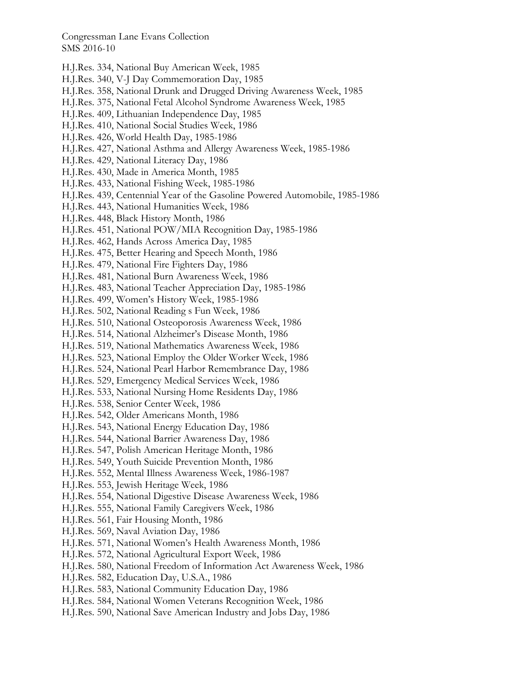- H.J.Res. 334, National Buy American Week, 1985
- H.J.Res. 340, V-J Day Commemoration Day, 1985
- H.J.Res. 358, National Drunk and Drugged Driving Awareness Week, 1985
- H.J.Res. 375, National Fetal Alcohol Syndrome Awareness Week, 1985
- H.J.Res. 409, Lithuanian Independence Day, 1985
- H.J.Res. 410, National Social Studies Week, 1986
- H.J.Res. 426, World Health Day, 1985-1986
- H.J.Res. 427, National Asthma and Allergy Awareness Week, 1985-1986
- H.J.Res. 429, National Literacy Day, 1986
- H.J.Res. 430, Made in America Month, 1985
- H.J.Res. 433, National Fishing Week, 1985-1986
- H.J.Res. 439, Centennial Year of the Gasoline Powered Automobile, 1985-1986
- H.J.Res. 443, National Humanities Week, 1986
- H.J.Res. 448, Black History Month, 1986
- H.J.Res. 451, National POW/MIA Recognition Day, 1985-1986
- H.J.Res. 462, Hands Across America Day, 1985
- H.J.Res. 475, Better Hearing and Speech Month, 1986
- H.J.Res. 479, National Fire Fighters Day, 1986
- H.J.Res. 481, National Burn Awareness Week, 1986
- H.J.Res. 483, National Teacher Appreciation Day, 1985-1986
- H.J.Res. 499, Women's History Week, 1985-1986
- H.J.Res. 502, National Reading s Fun Week, 1986
- H.J.Res. 510, National Osteoporosis Awareness Week, 1986
- H.J.Res. 514, National Alzheimer's Disease Month, 1986
- H.J.Res. 519, National Mathematics Awareness Week, 1986
- H.J.Res. 523, National Employ the Older Worker Week, 1986
- H.J.Res. 524, National Pearl Harbor Remembrance Day, 1986
- H.J.Res. 529, Emergency Medical Services Week, 1986
- H.J.Res. 533, National Nursing Home Residents Day, 1986
- H.J.Res. 538, Senior Center Week, 1986
- H.J.Res. 542, Older Americans Month, 1986
- H.J.Res. 543, National Energy Education Day, 1986
- H.J.Res. 544, National Barrier Awareness Day, 1986
- H.J.Res. 547, Polish American Heritage Month, 1986
- H.J.Res. 549, Youth Suicide Prevention Month, 1986
- H.J.Res. 552, Mental Illness Awareness Week, 1986-1987
- H.J.Res. 553, Jewish Heritage Week, 1986
- H.J.Res. 554, National Digestive Disease Awareness Week, 1986
- H.J.Res. 555, National Family Caregivers Week, 1986
- H.J.Res. 561, Fair Housing Month, 1986
- H.J.Res. 569, Naval Aviation Day, 1986
- H.J.Res. 571, National Women's Health Awareness Month, 1986
- H.J.Res. 572, National Agricultural Export Week, 1986
- H.J.Res. 580, National Freedom of Information Act Awareness Week, 1986
- H.J.Res. 582, Education Day, U.S.A., 1986
- H.J.Res. 583, National Community Education Day, 1986
- H.J.Res. 584, National Women Veterans Recognition Week, 1986
- H.J.Res. 590, National Save American Industry and Jobs Day, 1986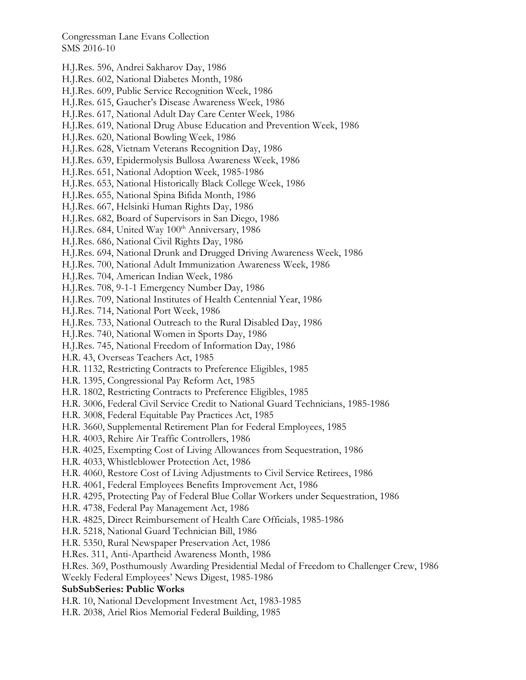- H.J.Res. 596, Andrei Sakharov Day, 1986
- H.J.Res. 602, National Diabetes Month, 1986
- H.J.Res. 609, Public Service Recognition Week, 1986
- H.J.Res. 615, Gaucher's Disease Awareness Week, 1986
- H.J.Res. 617, National Adult Day Care Center Week, 1986
- H.J.Res. 619, National Drug Abuse Education and Prevention Week, 1986
- H.J.Res. 620, National Bowling Week, 1986
- H.J.Res. 628, Vietnam Veterans Recognition Day, 1986
- H.J.Res. 639, Epidermolysis Bullosa Awareness Week, 1986
- H.J.Res. 651, National Adoption Week, 1985-1986
- H.J.Res. 653, National Historically Black College Week, 1986
- H.J.Res. 655, National Spina Bifida Month, 1986
- H.J.Res. 667, Helsinki Human Rights Day, 1986
- H.J.Res. 682, Board of Supervisors in San Diego, 1986
- H.J.Res. 684, United Way 100<sup>th</sup> Anniversary, 1986
- H.J.Res. 686, National Civil Rights Day, 1986
- H.J.Res. 694, National Drunk and Drugged Driving Awareness Week, 1986
- H.J.Res. 700, National Adult Immunization Awareness Week, 1986
- H.J.Res. 704, American Indian Week, 1986
- H.J.Res. 708, 9-1-1 Emergency Number Day, 1986
- H.J.Res. 709, National Institutes of Health Centennial Year, 1986
- H.J.Res. 714, National Port Week, 1986
- H.J.Res. 733, National Outreach to the Rural Disabled Day, 1986
- H.J.Res. 740, National Women in Sports Day, 1986
- H.J.Res. 745, National Freedom of Information Day, 1986
- H.R. 43, Overseas Teachers Act, 1985
- H.R. 1132, Restricting Contracts to Preference Eligibles, 1985
- H.R. 1395, Congressional Pay Reform Act, 1985
- H.R. 1802, Restricting Contracts to Preference Eligibles, 1985
- H.R. 3006, Federal Civil Service Credit to National Guard Technicians, 1985-1986
- H.R. 3008, Federal Equitable Pay Practices Act, 1985
- H.R. 3660, Supplemental Retirement Plan for Federal Employees, 1985
- H.R. 4003, Rehire Air Traffic Controllers, 1986
- H.R. 4025, Exempting Cost of Living Allowances from Sequestration, 1986
- H.R. 4033, Whistleblower Protection Act, 1986
- H.R. 4060, Restore Cost of Living Adjustments to Civil Service Retirees, 1986
- H.R. 4061, Federal Employees Benefits Improvement Act, 1986
- H.R. 4295, Protecting Pay of Federal Blue Collar Workers under Sequestration, 1986
- H.R. 4738, Federal Pay Management Act, 1986
- H.R. 4825, Direct Reimbursement of Health Care Officials, 1985-1986
- H.R. 5218, National Guard Technician Bill, 1986
- H.R. 5350, Rural Newspaper Preservation Act, 1986
- H.Res. 311, Anti-Apartheid Awareness Month, 1986
- H.Res. 369, Posthumously Awarding Presidential Medal of Freedom to Challenger Crew, 1986
- Weekly Federal Employees' News Digest, 1985-1986

### **SubSubSeries: Public Works**

- H.R. 10, National Development Investment Act, 1983-1985
- H.R. 2038, Ariel Rios Memorial Federal Building, 1985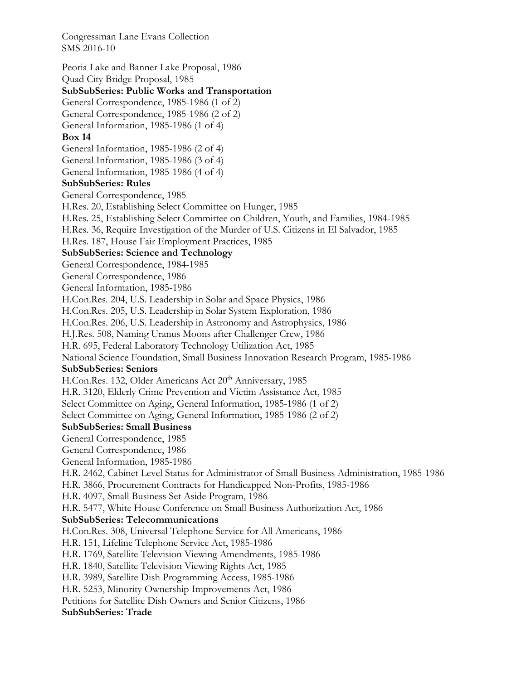Peoria Lake and Banner Lake Proposal, 1986 Quad City Bridge Proposal, 1985 **SubSubSeries: Public Works and Transportation**  General Correspondence, 1985-1986 (1 of 2) General Correspondence, 1985-1986 (2 of 2) General Information, 1985-1986 (1 of 4) **Box 14**  General Information, 1985-1986 (2 of 4) General Information, 1985-1986 (3 of 4) General Information, 1985-1986 (4 of 4) **SubSubSeries: Rules**  General Correspondence, 1985 H.Res. 20, Establishing Select Committee on Hunger, 1985 H.Res. 25, Establishing Select Committee on Children, Youth, and Families, 1984-1985 H.Res. 36, Require Investigation of the Murder of U.S. Citizens in El Salvador, 1985 H.Res. 187, House Fair Employment Practices, 1985 **SubSubSeries: Science and Technology**  General Correspondence, 1984-1985 General Correspondence, 1986 General Information, 1985-1986 H.Con.Res. 204, U.S. Leadership in Solar and Space Physics, 1986 H.Con.Res. 205, U.S. Leadership in Solar System Exploration, 1986 H.Con.Res. 206, U.S. Leadership in Astronomy and Astrophysics, 1986 H.J.Res. 508, Naming Uranus Moons after Challenger Crew, 1986 H.R. 695, Federal Laboratory Technology Utilization Act, 1985 National Science Foundation, Small Business Innovation Research Program, 1985-1986 **SubSubSeries: Seniors**  H.Con.Res. 132, Older Americans Act 20<sup>th</sup> Anniversary, 1985 H.R. 3120, Elderly Crime Prevention and Victim Assistance Act, 1985 Select Committee on Aging, General Information, 1985-1986 (1 of 2) Select Committee on Aging, General Information, 1985-1986 (2 of 2) **SubSubSeries: Small Business**  General Correspondence, 1985 General Correspondence, 1986 General Information, 1985-1986 H.R. 2462, Cabinet Level Status for Administrator of Small Business Administration, 1985-1986 H.R. 3866, Procurement Contracts for Handicapped Non-Profits, 1985-1986 H.R. 4097, Small Business Set Aside Program, 1986 H.R. 5477, White House Conference on Small Business Authorization Act, 1986 **SubSubSeries: Telecommunications**  H.Con.Res. 308, Universal Telephone Service for All Americans, 1986 H.R. 151, Lifeline Telephone Service Act, 1985-1986 H.R. 1769, Satellite Television Viewing Amendments, 1985-1986 H.R. 1840, Satellite Television Viewing Rights Act, 1985 H.R. 3989, Satellite Dish Programming Access, 1985-1986 H.R. 5253, Minority Ownership Improvements Act, 1986 Petitions for Satellite Dish Owners and Senior Citizens, 1986 **SubSubSeries: Trade**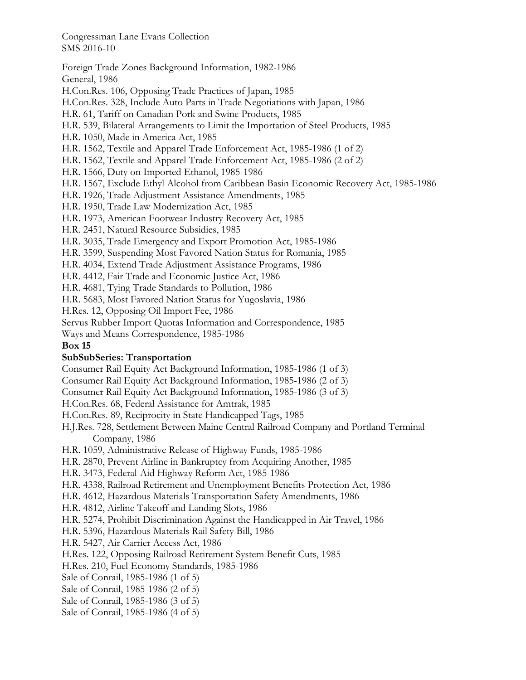Foreign Trade Zones Background Information, 1982-1986 General, 1986 H.Con.Res. 106, Opposing Trade Practices of Japan, 1985 H.Con.Res. 328, Include Auto Parts in Trade Negotiations with Japan, 1986 H.R. 61, Tariff on Canadian Pork and Swine Products, 1985 H.R. 539, Bilateral Arrangements to Limit the Importation of Steel Products, 1985 H.R. 1050, Made in America Act, 1985 H.R. 1562, Textile and Apparel Trade Enforcement Act, 1985-1986 (1 of 2) H.R. 1562, Textile and Apparel Trade Enforcement Act, 1985-1986 (2 of 2) H.R. 1566, Duty on Imported Ethanol, 1985-1986 H.R. 1567, Exclude Ethyl Alcohol from Caribbean Basin Economic Recovery Act, 1985-1986 H.R. 1926, Trade Adjustment Assistance Amendments, 1985 H.R. 1950, Trade Law Modernization Act, 1985 H.R. 1973, American Footwear Industry Recovery Act, 1985 H.R. 2451, Natural Resource Subsidies, 1985 H.R. 3035, Trade Emergency and Export Promotion Act, 1985-1986 H.R. 3599, Suspending Most Favored Nation Status for Romania, 1985 H.R. 4034, Extend Trade Adjustment Assistance Programs, 1986 H.R. 4412, Fair Trade and Economic Justice Act, 1986 H.R. 4681, Tying Trade Standards to Pollution, 1986 H.R. 5683, Most Favored Nation Status for Yugoslavia, 1986 H.Res. 12, Opposing Oil Import Fee, 1986 Servus Rubber Import Quotas Information and Correspondence, 1985 Ways and Means Correspondence, 1985-1986 **Box 15 SubSubSeries: Transportation**  Consumer Rail Equity Act Background Information, 1985-1986 (1 of 3) Consumer Rail Equity Act Background Information, 1985-1986 (2 of 3) Consumer Rail Equity Act Background Information, 1985-1986 (3 of 3) H.Con.Res. 68, Federal Assistance for Amtrak, 1985

H.Con.Res. 89, Reciprocity in State Handicapped Tags, 1985

H.J.Res. 728, Settlement Between Maine Central Railroad Company and Portland Terminal Company, 1986

H.R. 1059, Administrative Release of Highway Funds, 1985-1986

H.R. 2870, Prevent Airline in Bankruptcy from Acquiring Another, 1985

H.R. 3473, Federal-Aid Highway Reform Act, 1985-1986

H.R. 4338, Railroad Retirement and Unemployment Benefits Protection Act, 1986

H.R. 4612, Hazardous Materials Transportation Safety Amendments, 1986

H.R. 4812, Airline Takeoff and Landing Slots, 1986

H.R. 5274, Prohibit Discrimination Against the Handicapped in Air Travel, 1986

H.R. 5396, Hazardous Materials Rail Safety Bill, 1986

H.R. 5427, Air Carrier Access Act, 1986

H.Res. 122, Opposing Railroad Retirement System Benefit Cuts, 1985

H.Res. 210, Fuel Economy Standards, 1985-1986

Sale of Conrail, 1985-1986 (1 of 5)

Sale of Conrail, 1985-1986 (2 of 5)

Sale of Conrail, 1985-1986 (3 of 5)

Sale of Conrail, 1985-1986 (4 of 5)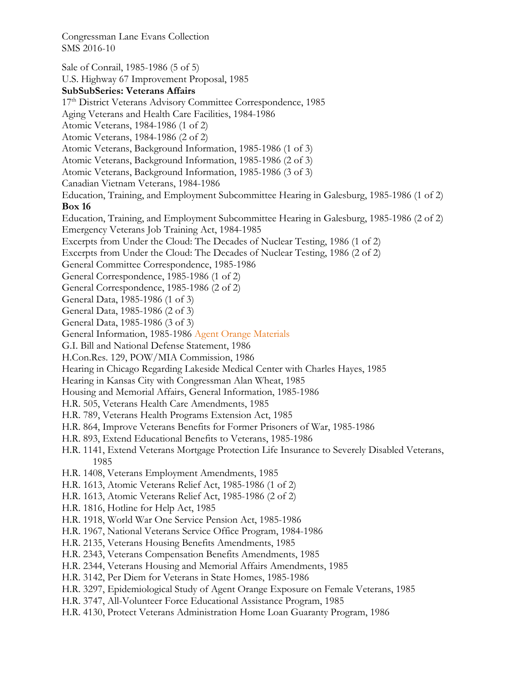Sale of Conrail, 1985-1986 (5 of 5) U.S. Highway 67 Improvement Proposal, 1985 **SubSubSeries: Veterans Affairs**  17<sup>th</sup> District Veterans Advisory Committee Correspondence, 1985 Aging Veterans and Health Care Facilities, 1984-1986 Atomic Veterans, 1984-1986 (1 of 2) Atomic Veterans, 1984-1986 (2 of 2) Atomic Veterans, Background Information, 1985-1986 (1 of 3) Atomic Veterans, Background Information, 1985-1986 (2 of 3) Atomic Veterans, Background Information, 1985-1986 (3 of 3) Canadian Vietnam Veterans, 1984-1986 Education, Training, and Employment Subcommittee Hearing in Galesburg, 1985-1986 (1 of 2) **Box 16**  Education, Training, and Employment Subcommittee Hearing in Galesburg, 1985-1986 (2 of 2) Emergency Veterans Job Training Act, 1984-1985 Excerpts from Under the Cloud: The Decades of Nuclear Testing, 1986 (1 of 2) Excerpts from Under the Cloud: The Decades of Nuclear Testing, 1986 (2 of 2) General Committee Correspondence, 1985-1986 General Correspondence, 1985-1986 (1 of 2) General Correspondence, 1985-1986 (2 of 2) General Data, 1985-1986 (1 of 3) General Data, 1985-1986 (2 of 3) General Data, 1985-1986 (3 of 3) General Information, 1985-1986 Agent Orange Materials G.I. Bill and National Defense Statement, 1986 H.Con.Res. 129, POW/MIA Commission, 1986 Hearing in Chicago Regarding Lakeside Medical Center with Charles Hayes, 1985 Hearing in Kansas City with Congressman Alan Wheat, 1985 Housing and Memorial Affairs, General Information, 1985-1986 H.R. 505, Veterans Health Care Amendments, 1985 H.R. 789, Veterans Health Programs Extension Act, 1985 H.R. 864, Improve Veterans Benefits for Former Prisoners of War, 1985-1986 H.R. 893, Extend Educational Benefits to Veterans, 1985-1986 H.R. 1141, Extend Veterans Mortgage Protection Life Insurance to Severely Disabled Veterans, 1985 H.R. 1408, Veterans Employment Amendments, 1985 H.R. 1613, Atomic Veterans Relief Act, 1985-1986 (1 of 2) H.R. 1613, Atomic Veterans Relief Act, 1985-1986 (2 of 2) H.R. 1816, Hotline for Help Act, 1985 H.R. 1918, World War One Service Pension Act, 1985-1986 H.R. 1967, National Veterans Service Office Program, 1984-1986 H.R. 2135, Veterans Housing Benefits Amendments, 1985 H.R. 2343, Veterans Compensation Benefits Amendments, 1985 H.R. 2344, Veterans Housing and Memorial Affairs Amendments, 1985 H.R. 3142, Per Diem for Veterans in State Homes, 1985-1986 H.R. 3297, Epidemiological Study of Agent Orange Exposure on Female Veterans, 1985

- H.R. 3747, All-Volunteer Force Educational Assistance Program, 1985
- H.R. 4130, Protect Veterans Administration Home Loan Guaranty Program, 1986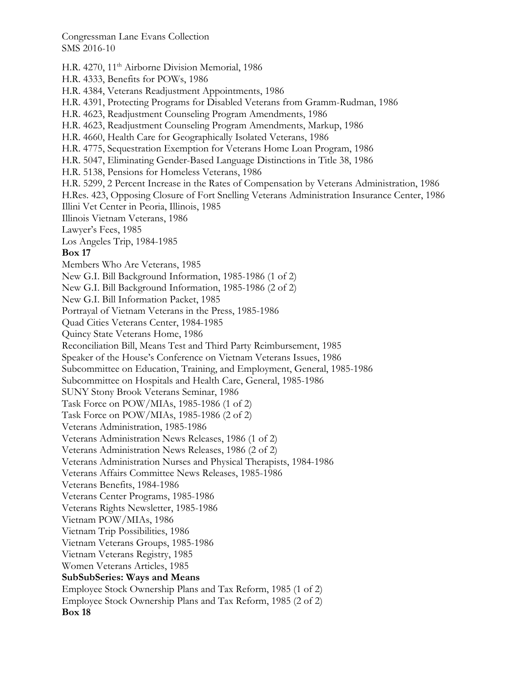H.R. 4270, 11<sup>th</sup> Airborne Division Memorial, 1986 H.R. 4333, Benefits for POWs, 1986 H.R. 4384, Veterans Readjustment Appointments, 1986 H.R. 4391, Protecting Programs for Disabled Veterans from Gramm-Rudman, 1986 H.R. 4623, Readjustment Counseling Program Amendments, 1986 H.R. 4623, Readjustment Counseling Program Amendments, Markup, 1986 H.R. 4660, Health Care for Geographically Isolated Veterans, 1986 H.R. 4775, Sequestration Exemption for Veterans Home Loan Program, 1986 H.R. 5047, Eliminating Gender-Based Language Distinctions in Title 38, 1986 H.R. 5138, Pensions for Homeless Veterans, 1986 H.R. 5299, 2 Percent Increase in the Rates of Compensation by Veterans Administration, 1986 H.Res. 423, Opposing Closure of Fort Snelling Veterans Administration Insurance Center, 1986 Illini Vet Center in Peoria, Illinois, 1985 Illinois Vietnam Veterans, 1986 Lawyer's Fees, 1985 Los Angeles Trip, 1984-1985 **Box 17**  Members Who Are Veterans, 1985 New G.I. Bill Background Information, 1985-1986 (1 of 2) New G.I. Bill Background Information, 1985-1986 (2 of 2) New G.I. Bill Information Packet, 1985 Portrayal of Vietnam Veterans in the Press, 1985-1986 Quad Cities Veterans Center, 1984-1985 Quincy State Veterans Home, 1986 Reconciliation Bill, Means Test and Third Party Reimbursement, 1985 Speaker of the House's Conference on Vietnam Veterans Issues, 1986 Subcommittee on Education, Training, and Employment, General, 1985-1986 Subcommittee on Hospitals and Health Care, General, 1985-1986 SUNY Stony Brook Veterans Seminar, 1986 Task Force on POW/MIAs, 1985-1986 (1 of 2) Task Force on POW/MIAs, 1985-1986 (2 of 2) Veterans Administration, 1985-1986 Veterans Administration News Releases, 1986 (1 of 2) Veterans Administration News Releases, 1986 (2 of 2) Veterans Administration Nurses and Physical Therapists, 1984-1986 Veterans Affairs Committee News Releases, 1985-1986 Veterans Benefits, 1984-1986 Veterans Center Programs, 1985-1986 Veterans Rights Newsletter, 1985-1986 Vietnam POW/MIAs, 1986 Vietnam Trip Possibilities, 1986 Vietnam Veterans Groups, 1985-1986 Vietnam Veterans Registry, 1985 Women Veterans Articles, 1985 **SubSubSeries: Ways and Means**  Employee Stock Ownership Plans and Tax Reform, 1985 (1 of 2) Employee Stock Ownership Plans and Tax Reform, 1985 (2 of 2) **Box 18**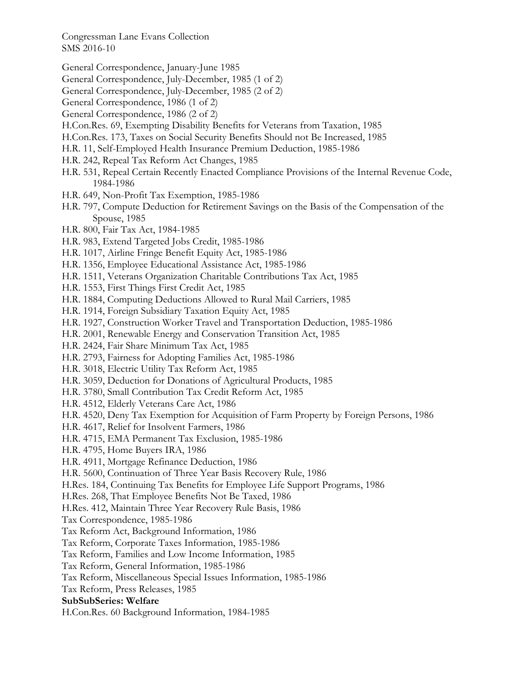General Correspondence, January-June 1985

General Correspondence, July-December, 1985 (1 of 2)

- General Correspondence, July-December, 1985 (2 of 2)
- General Correspondence, 1986 (1 of 2)
- General Correspondence, 1986 (2 of 2)
- H.Con.Res. 69, Exempting Disability Benefits for Veterans from Taxation, 1985
- H.Con.Res. 173, Taxes on Social Security Benefits Should not Be Increased, 1985
- H.R. 11, Self-Employed Health Insurance Premium Deduction, 1985-1986
- H.R. 242, Repeal Tax Reform Act Changes, 1985
- H.R. 531, Repeal Certain Recently Enacted Compliance Provisions of the Internal Revenue Code, 1984-1986
- H.R. 649, Non-Profit Tax Exemption, 1985-1986
- H.R. 797, Compute Deduction for Retirement Savings on the Basis of the Compensation of the Spouse, 1985
- H.R. 800, Fair Tax Act, 1984-1985
- H.R. 983, Extend Targeted Jobs Credit, 1985-1986
- H.R. 1017, Airline Fringe Benefit Equity Act, 1985-1986
- H.R. 1356, Employee Educational Assistance Act, 1985-1986
- H.R. 1511, Veterans Organization Charitable Contributions Tax Act, 1985
- H.R. 1553, First Things First Credit Act, 1985
- H.R. 1884, Computing Deductions Allowed to Rural Mail Carriers, 1985
- H.R. 1914, Foreign Subsidiary Taxation Equity Act, 1985
- H.R. 1927, Construction Worker Travel and Transportation Deduction, 1985-1986
- H.R. 2001, Renewable Energy and Conservation Transition Act, 1985
- H.R. 2424, Fair Share Minimum Tax Act, 1985
- H.R. 2793, Fairness for Adopting Families Act, 1985-1986
- H.R. 3018, Electric Utility Tax Reform Act, 1985
- H.R. 3059, Deduction for Donations of Agricultural Products, 1985
- H.R. 3780, Small Contribution Tax Credit Reform Act, 1985
- H.R. 4512, Elderly Veterans Care Act, 1986
- H.R. 4520, Deny Tax Exemption for Acquisition of Farm Property by Foreign Persons, 1986
- H.R. 4617, Relief for Insolvent Farmers, 1986
- H.R. 4715, EMA Permanent Tax Exclusion, 1985-1986
- H.R. 4795, Home Buyers IRA, 1986
- H.R. 4911, Mortgage Refinance Deduction, 1986
- H.R. 5600, Continuation of Three Year Basis Recovery Rule, 1986
- H.Res. 184, Continuing Tax Benefits for Employee Life Support Programs, 1986
- H.Res. 268, That Employee Benefits Not Be Taxed, 1986
- H.Res. 412, Maintain Three Year Recovery Rule Basis, 1986
- Tax Correspondence, 1985-1986
- Tax Reform Act, Background Information, 1986
- Tax Reform, Corporate Taxes Information, 1985-1986
- Tax Reform, Families and Low Income Information, 1985
- Tax Reform, General Information, 1985-1986
- Tax Reform, Miscellaneous Special Issues Information, 1985-1986

Tax Reform, Press Releases, 1985

#### **SubSubSeries: Welfare**

H.Con.Res. 60 Background Information, 1984-1985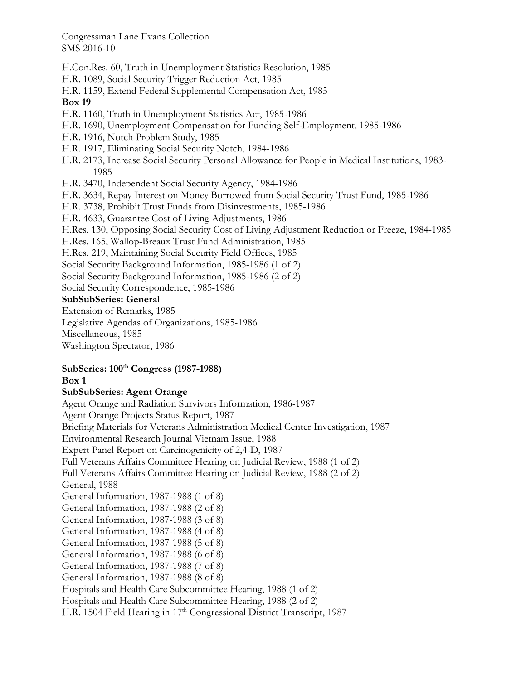H.Con.Res. 60, Truth in Unemployment Statistics Resolution, 1985

- H.R. 1089, Social Security Trigger Reduction Act, 1985
- H.R. 1159, Extend Federal Supplemental Compensation Act, 1985

### **Box 19**

- H.R. 1160, Truth in Unemployment Statistics Act, 1985-1986
- H.R. 1690, Unemployment Compensation for Funding Self-Employment, 1985-1986
- H.R. 1916, Notch Problem Study, 1985
- H.R. 1917, Eliminating Social Security Notch, 1984-1986
- H.R. 2173, Increase Social Security Personal Allowance for People in Medical Institutions, 1983- 1985
- H.R. 3470, Independent Social Security Agency, 1984-1986
- H.R. 3634, Repay Interest on Money Borrowed from Social Security Trust Fund, 1985-1986
- H.R. 3738, Prohibit Trust Funds from Disinvestments, 1985-1986
- H.R. 4633, Guarantee Cost of Living Adjustments, 1986
- H.Res. 130, Opposing Social Security Cost of Living Adjustment Reduction or Freeze, 1984-1985
- H.Res. 165, Wallop-Breaux Trust Fund Administration, 1985
- H.Res. 219, Maintaining Social Security Field Offices, 1985
- Social Security Background Information, 1985-1986 (1 of 2)
- Social Security Background Information, 1985-1986 (2 of 2)
- Social Security Correspondence, 1985-1986

### **SubSubSeries: General**

- Extension of Remarks, 1985
- Legislative Agendas of Organizations, 1985-1986
- Miscellaneous, 1985
- Washington Spectator, 1986

#### **SubSeries: 100th Congress (1987-1988) Box 1**

# **SubSubSeries: Agent Orange**

Agent Orange and Radiation Survivors Information, 1986-1987 Agent Orange Projects Status Report, 1987 Briefing Materials for Veterans Administration Medical Center Investigation, 1987 Environmental Research Journal Vietnam Issue, 1988 Expert Panel Report on Carcinogenicity of 2,4-D, 1987 Full Veterans Affairs Committee Hearing on Judicial Review, 1988 (1 of 2) Full Veterans Affairs Committee Hearing on Judicial Review, 1988 (2 of 2) General, 1988 General Information, 1987-1988 (1 of 8) General Information, 1987-1988 (2 of 8) General Information, 1987-1988 (3 of 8) General Information, 1987-1988 (4 of 8) General Information, 1987-1988 (5 of 8) General Information, 1987-1988 (6 of 8) General Information, 1987-1988 (7 of 8) General Information, 1987-1988 (8 of 8) Hospitals and Health Care Subcommittee Hearing, 1988 (1 of 2) Hospitals and Health Care Subcommittee Hearing, 1988 (2 of 2) H.R. 1504 Field Hearing in 17<sup>th</sup> Congressional District Transcript, 1987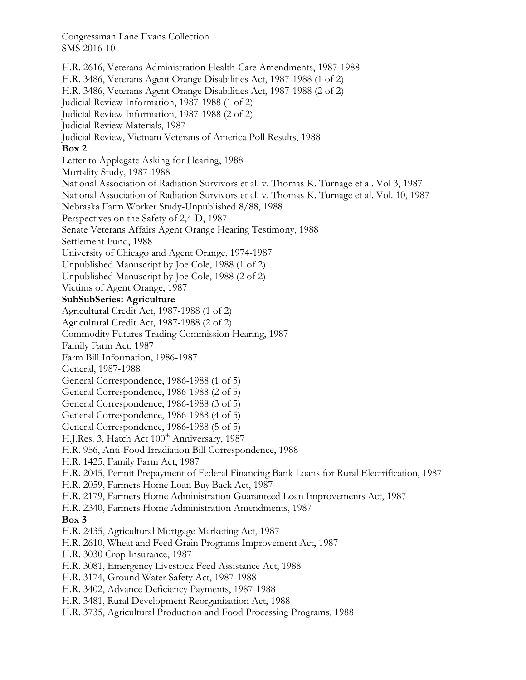H.R. 2616, Veterans Administration Health-Care Amendments, 1987-1988 H.R. 3486, Veterans Agent Orange Disabilities Act, 1987-1988 (1 of 2) H.R. 3486, Veterans Agent Orange Disabilities Act, 1987-1988 (2 of 2) Judicial Review Information, 1987-1988 (1 of 2) Judicial Review Information, 1987-1988 (2 of 2) Judicial Review Materials, 1987 Judicial Review, Vietnam Veterans of America Poll Results, 1988 **Box 2**  Letter to Applegate Asking for Hearing, 1988 Mortality Study, 1987-1988 National Association of Radiation Survivors et al. v. Thomas K. Turnage et al. Vol 3, 1987 National Association of Radiation Survivors et al. v. Thomas K. Turnage et al. Vol. 10, 1987 Nebraska Farm Worker Study-Unpublished 8/88, 1988 Perspectives on the Safety of 2,4-D, 1987 Senate Veterans Affairs Agent Orange Hearing Testimony, 1988 Settlement Fund, 1988 University of Chicago and Agent Orange, 1974-1987 Unpublished Manuscript by Joe Cole, 1988 (1 of 2) Unpublished Manuscript by Joe Cole, 1988 (2 of 2) Victims of Agent Orange, 1987 **SubSubSeries: Agriculture**  Agricultural Credit Act, 1987-1988 (1 of 2) Agricultural Credit Act, 1987-1988 (2 of 2) Commodity Futures Trading Commission Hearing, 1987 Family Farm Act, 1987 Farm Bill Information, 1986-1987 General, 1987-1988 General Correspondence, 1986-1988 (1 of 5) General Correspondence, 1986-1988 (2 of 5) General Correspondence, 1986-1988 (3 of 5) General Correspondence, 1986-1988 (4 of 5) General Correspondence, 1986-1988 (5 of 5) H.J.Res. 3, Hatch Act 100<sup>th</sup> Anniversary, 1987 H.R. 956, Anti-Food Irradiation Bill Correspondence, 1988 H.R. 1425, Family Farm Act, 1987 H.R. 2045, Permit Prepayment of Federal Financing Bank Loans for Rural Electrification, 1987 H.R. 2059, Farmers Home Loan Buy Back Act, 1987 H.R. 2179, Farmers Home Administration Guaranteed Loan Improvements Act, 1987 H.R. 2340, Farmers Home Administration Amendments, 1987 **Box 3**  H.R. 2435, Agricultural Mortgage Marketing Act, 1987 H.R. 2610, Wheat and Feed Grain Programs Improvement Act, 1987 H.R. 3030 Crop Insurance, 1987 H.R. 3081, Emergency Livestock Feed Assistance Act, 1988 H.R. 3174, Ground Water Safety Act, 1987-1988 H.R. 3402, Advance Deficiency Payments, 1987-1988 H.R. 3481, Rural Development Reorganization Act, 1988 H.R. 3735, Agricultural Production and Food Processing Programs, 1988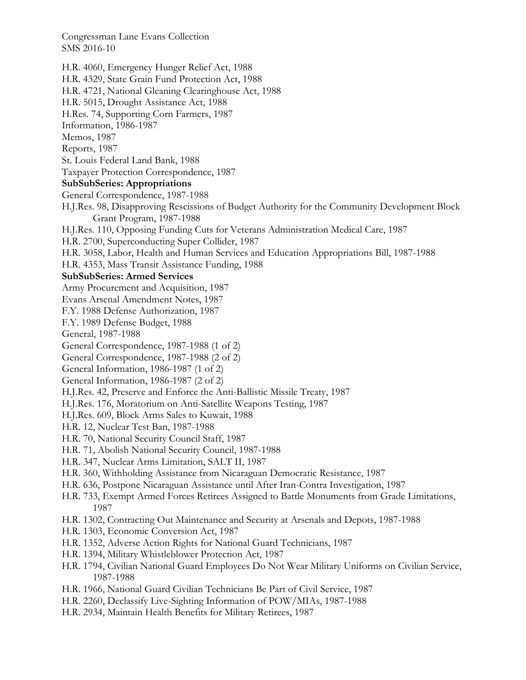H.R. 4060, Emergency Hunger Relief Act, 1988 H.R. 4329, State Grain Fund Protection Act, 1988 H.R. 4721, National Gleaning Clearinghouse Act, 1988 H.R. 5015, Drought Assistance Act, 1988 H.Res. 74, Supporting Corn Farmers, 1987 Information, 1986-1987 Memos, 1987 Reports, 1987 St. Louis Federal Land Bank, 1988 Taxpayer Protection Correspondence, 1987 **SubSubSeries: Appropriations**  General Correspondence, 1987-1988 H.J.Res. 98, Disapproving Rescissions of Budget Authority for the Community Development Block Grant Program, 1987-1988 H.J.Res. 110, Opposing Funding Cuts for Veterans Administration Medical Care, 1987 H.R. 2700, Superconducting Super Collider, 1987 H.R. 3058, Labor, Health and Human Services and Education Appropriations Bill, 1987-1988 H.R. 4353, Mass Transit Assistance Funding, 1988 **SubSubSeries: Armed Services**  Army Procurement and Acquisition, 1987 Evans Arsenal Amendment Notes, 1987 F.Y. 1988 Defense Authorization, 1987 F.Y. 1989 Defense Budget, 1988 General, 1987-1988 General Correspondence, 1987-1988 (1 of 2) General Correspondence, 1987-1988 (2 of 2) General Information, 1986-1987 (1 of 2) General Information, 1986-1987 (2 of 2) H.J.Res. 42, Preserve and Enforce the Anti-Ballistic Missile Treaty, 1987 H.J.Res. 176, Moratorium on Anti-Satellite Weapons Testing, 1987 H.J.Res. 609, Block Arms Sales to Kuwait, 1988 H.R. 12, Nuclear Test Ban, 1987-1988 H.R. 70, National Security Council Staff, 1987 H.R. 71, Abolish National Security Council, 1987-1988 H.R. 347, Nuclear Arms Limitation, SALT II, 1987 H.R. 360, Withholding Assistance from Nicaraguan Democratic Resistance, 1987 H.R. 636, Postpone Nicaraguan Assistance until After Iran-Contra Investigation, 1987 H.R. 733, Exempt Armed Forces Retirees Assigned to Battle Monuments from Grade Limitations, 1987 H.R. 1302, Contracting Out Maintenance and Security at Arsenals and Depots, 1987-1988 H.R. 1303, Economic Conversion Act, 1987 H.R. 1352, Adverse Action Rights for National Guard Technicians, 1987 H.R. 1394, Military Whistleblower Protection Act, 1987 H.R. 1794, Civilian National Guard Employees Do Not Wear Military Uniforms on Civilian Service, 1987-1988 H.R. 1966, National Guard Civilian Technicians Be Part of Civil Service, 1987 H.R. 2260, Declassify Live-Sighting Information of POW/MIAs, 1987-1988 H.R. 2934, Maintain Health Benefits for Military Retirees, 1987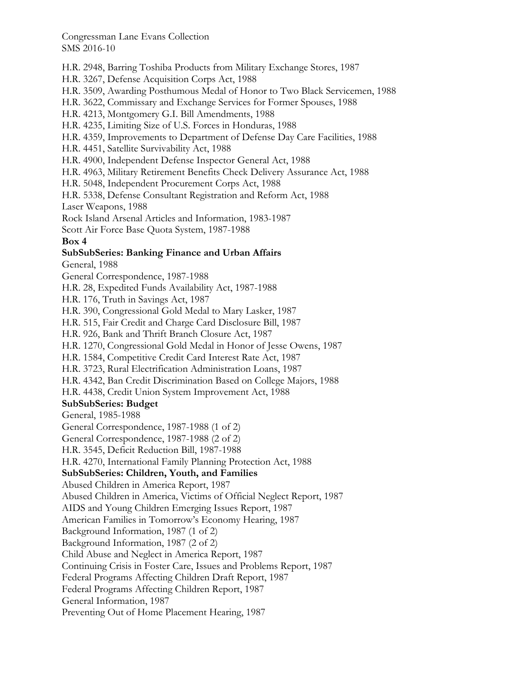H.R. 2948, Barring Toshiba Products from Military Exchange Stores, 1987

H.R. 3267, Defense Acquisition Corps Act, 1988

H.R. 3509, Awarding Posthumous Medal of Honor to Two Black Servicemen, 1988

H.R. 3622, Commissary and Exchange Services for Former Spouses, 1988

H.R. 4213, Montgomery G.I. Bill Amendments, 1988

H.R. 4235, Limiting Size of U.S. Forces in Honduras, 1988

H.R. 4359, Improvements to Department of Defense Day Care Facilities, 1988

H.R. 4451, Satellite Survivability Act, 1988

H.R. 4900, Independent Defense Inspector General Act, 1988

H.R. 4963, Military Retirement Benefits Check Delivery Assurance Act, 1988

H.R. 5048, Independent Procurement Corps Act, 1988

H.R. 5338, Defense Consultant Registration and Reform Act, 1988

Laser Weapons, 1988

Rock Island Arsenal Articles and Information, 1983-1987

Scott Air Force Base Quota System, 1987-1988

**Box 4** 

# **SubSubSeries: Banking Finance and Urban Affairs**

General, 1988

General Correspondence, 1987-1988

H.R. 28, Expedited Funds Availability Act, 1987-1988

H.R. 176, Truth in Savings Act, 1987

H.R. 390, Congressional Gold Medal to Mary Lasker, 1987

H.R. 515, Fair Credit and Charge Card Disclosure Bill, 1987

H.R. 926, Bank and Thrift Branch Closure Act, 1987

H.R. 1270, Congressional Gold Medal in Honor of Jesse Owens, 1987

H.R. 1584, Competitive Credit Card Interest Rate Act, 1987

H.R. 3723, Rural Electrification Administration Loans, 1987

H.R. 4342, Ban Credit Discrimination Based on College Majors, 1988

H.R. 4438, Credit Union System Improvement Act, 1988

### **SubSubSeries: Budget**

General, 1985-1988

General Correspondence, 1987-1988 (1 of 2)

General Correspondence, 1987-1988 (2 of 2)

H.R. 3545, Deficit Reduction Bill, 1987-1988

H.R. 4270, International Family Planning Protection Act, 1988

### **SubSubSeries: Children, Youth, and Families**

Abused Children in America Report, 1987

Abused Children in America, Victims of Official Neglect Report, 1987

AIDS and Young Children Emerging Issues Report, 1987

American Families in Tomorrow's Economy Hearing, 1987

Background Information, 1987 (1 of 2)

Background Information, 1987 (2 of 2)

Child Abuse and Neglect in America Report, 1987

Continuing Crisis in Foster Care, Issues and Problems Report, 1987

Federal Programs Affecting Children Draft Report, 1987

Federal Programs Affecting Children Report, 1987

General Information, 1987

Preventing Out of Home Placement Hearing, 1987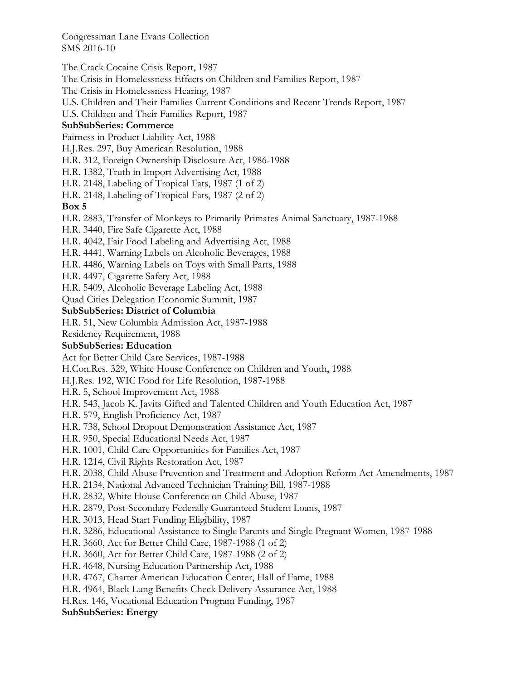The Crack Cocaine Crisis Report, 1987 The Crisis in Homelessness Effects on Children and Families Report, 1987 The Crisis in Homelessness Hearing, 1987 U.S. Children and Their Families Current Conditions and Recent Trends Report, 1987 U.S. Children and Their Families Report, 1987 **SubSubSeries: Commerce**  Fairness in Product Liability Act, 1988 H.J.Res. 297, Buy American Resolution, 1988 H.R. 312, Foreign Ownership Disclosure Act, 1986-1988 H.R. 1382, Truth in Import Advertising Act, 1988 H.R. 2148, Labeling of Tropical Fats, 1987 (1 of 2) H.R. 2148, Labeling of Tropical Fats, 1987 (2 of 2) **Box 5**  H.R. 2883, Transfer of Monkeys to Primarily Primates Animal Sanctuary, 1987-1988 H.R. 3440, Fire Safe Cigarette Act, 1988 H.R. 4042, Fair Food Labeling and Advertising Act, 1988 H.R. 4441, Warning Labels on Alcoholic Beverages, 1988 H.R. 4486, Warning Labels on Toys with Small Parts, 1988 H.R. 4497, Cigarette Safety Act, 1988 H.R. 5409, Alcoholic Beverage Labeling Act, 1988 Quad Cities Delegation Economic Summit, 1987 **SubSubSeries: District of Columbia**  H.R. 51, New Columbia Admission Act, 1987-1988 Residency Requirement, 1988 **SubSubSeries: Education**  Act for Better Child Care Services, 1987-1988 H.Con.Res. 329, White House Conference on Children and Youth, 1988 H.J.Res. 192, WIC Food for Life Resolution, 1987-1988 H.R. 5, School Improvement Act, 1988 H.R. 543, Jacob K. Javits Gifted and Talented Children and Youth Education Act, 1987 H.R. 579, English Proficiency Act, 1987 H.R. 738, School Dropout Demonstration Assistance Act, 1987 H.R. 950, Special Educational Needs Act, 1987 H.R. 1001, Child Care Opportunities for Families Act, 1987 H.R. 1214, Civil Rights Restoration Act, 1987 H.R. 2038, Child Abuse Prevention and Treatment and Adoption Reform Act Amendments, 1987 H.R. 2134, National Advanced Technician Training Bill, 1987-1988 H.R. 2832, White House Conference on Child Abuse, 1987 H.R. 2879, Post-Secondary Federally Guaranteed Student Loans, 1987 H.R. 3013, Head Start Funding Eligibility, 1987 H.R. 3286, Educational Assistance to Single Parents and Single Pregnant Women, 1987-1988 H.R. 3660, Act for Better Child Care, 1987-1988 (1 of 2) H.R. 3660, Act for Better Child Care, 1987-1988 (2 of 2) H.R. 4648, Nursing Education Partnership Act, 1988 H.R. 4767, Charter American Education Center, Hall of Fame, 1988 H.R. 4964, Black Lung Benefits Check Delivery Assurance Act, 1988 H.Res. 146, Vocational Education Program Funding, 1987

#### **SubSubSeries: Energy**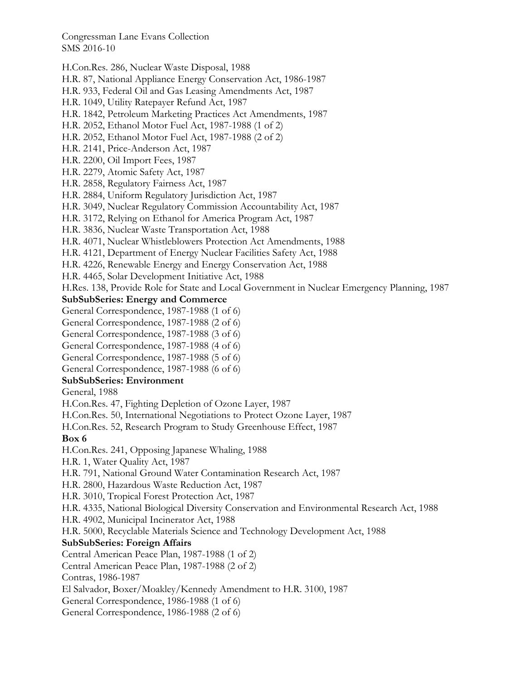H.Con.Res. 286, Nuclear Waste Disposal, 1988

H.R. 87, National Appliance Energy Conservation Act, 1986-1987

H.R. 933, Federal Oil and Gas Leasing Amendments Act, 1987

H.R. 1049, Utility Ratepayer Refund Act, 1987

H.R. 1842, Petroleum Marketing Practices Act Amendments, 1987

H.R. 2052, Ethanol Motor Fuel Act, 1987-1988 (1 of 2)

H.R. 2052, Ethanol Motor Fuel Act, 1987-1988 (2 of 2)

H.R. 2141, Price-Anderson Act, 1987

H.R. 2200, Oil Import Fees, 1987

H.R. 2279, Atomic Safety Act, 1987

H.R. 2858, Regulatory Fairness Act, 1987

H.R. 2884, Uniform Regulatory Jurisdiction Act, 1987

H.R. 3049, Nuclear Regulatory Commission Accountability Act, 1987

H.R. 3172, Relying on Ethanol for America Program Act, 1987

H.R. 3836, Nuclear Waste Transportation Act, 1988

H.R. 4071, Nuclear Whistleblowers Protection Act Amendments, 1988

H.R. 4121, Department of Energy Nuclear Facilities Safety Act, 1988

H.R. 4226, Renewable Energy and Energy Conservation Act, 1988

H.R. 4465, Solar Development Initiative Act, 1988

H.Res. 138, Provide Role for State and Local Government in Nuclear Emergency Planning, 1987

### **SubSubSeries: Energy and Commerce**

- General Correspondence, 1987-1988 (1 of 6)
- General Correspondence, 1987-1988 (2 of 6)
- General Correspondence, 1987-1988 (3 of 6)
- General Correspondence, 1987-1988 (4 of 6)
- General Correspondence, 1987-1988 (5 of 6)
- General Correspondence, 1987-1988 (6 of 6)

### **SubSubSeries: Environment**

General, 1988

H.Con.Res. 47, Fighting Depletion of Ozone Layer, 1987

H.Con.Res. 50, International Negotiations to Protect Ozone Layer, 1987

H.Con.Res. 52, Research Program to Study Greenhouse Effect, 1987

**Box 6** 

H.Con.Res. 241, Opposing Japanese Whaling, 1988

H.R. 1, Water Quality Act, 1987

H.R. 791, National Ground Water Contamination Research Act, 1987

H.R. 2800, Hazardous Waste Reduction Act, 1987

H.R. 3010, Tropical Forest Protection Act, 1987

H.R. 4335, National Biological Diversity Conservation and Environmental Research Act, 1988

H.R. 4902, Municipal Incinerator Act, 1988

H.R. 5000, Recyclable Materials Science and Technology Development Act, 1988

### **SubSubSeries: Foreign Affairs**

Central American Peace Plan, 1987-1988 (1 of 2)

Central American Peace Plan, 1987-1988 (2 of 2)

Contras, 1986-1987

El Salvador, Boxer/Moakley/Kennedy Amendment to H.R. 3100, 1987

General Correspondence, 1986-1988 (1 of 6)

General Correspondence, 1986-1988 (2 of 6)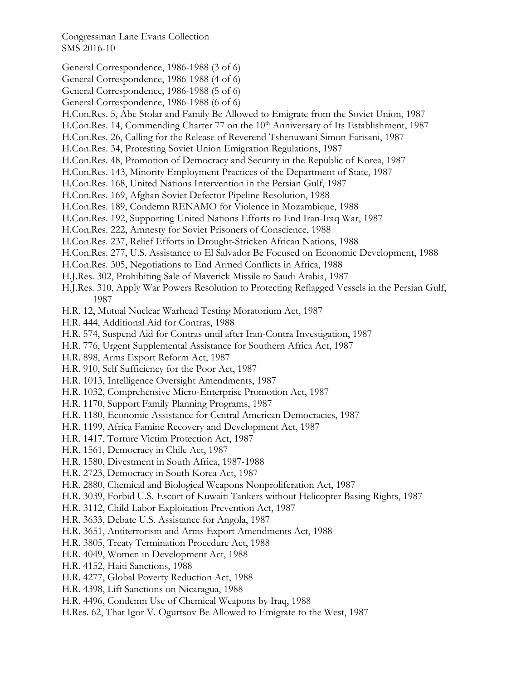- General Correspondence, 1986-1988 (3 of 6)
- General Correspondence, 1986-1988 (4 of 6)
- General Correspondence, 1986-1988 (5 of 6)
- General Correspondence, 1986-1988 (6 of 6)
- H.Con.Res. 5, Abe Stolar and Family Be Allowed to Emigrate from the Soviet Union, 1987
- H.Con.Res. 14, Commending Charter 77 on the 10<sup>th</sup> Anniversary of Its Establishment, 1987
- H.Con.Res. 26, Calling for the Release of Reverend Tshenuwani Simon Farisani, 1987
- H.Con.Res. 34, Protesting Soviet Union Emigration Regulations, 1987
- H.Con.Res. 48, Promotion of Democracy and Security in the Republic of Korea, 1987
- H.Con.Res. 143, Minority Employment Practices of the Department of State, 1987
- H.Con.Res. 168, United Nations Intervention in the Persian Gulf, 1987
- H.Con.Res. 169, Afghan Soviet Defector Pipeline Resolution, 1988
- H.Con.Res. 189, Condemn RENAMO for Violence in Mozambique, 1988
- H.Con.Res. 192, Supporting United Nations Efforts to End Iran-Iraq War, 1987
- H.Con.Res. 222, Amnesty for Soviet Prisoners of Conscience, 1988
- H.Con.Res. 237, Relief Efforts in Drought-Stricken African Nations, 1988
- H.Con.Res. 277, U.S. Assistance to El Salvador Be Focused on Economic Development, 1988
- H.Con.Res. 305, Negotiations to End Armed Conflicts in Africa, 1988
- H.J.Res. 302, Prohibiting Sale of Maverick Missile to Saudi Arabia, 1987
- H.J.Res. 310, Apply War Powers Resolution to Protecting Reflagged Vessels in the Persian Gulf, 1987
- H.R. 12, Mutual Nuclear Warhead Testing Moratorium Act, 1987
- H.R. 444, Additional Aid for Contras, 1988
- H.R. 574, Suspend Aid for Contras until after Iran-Contra Investigation, 1987
- H.R. 776, Urgent Supplemental Assistance for Southern Africa Act, 1987
- H.R. 898, Arms Export Reform Act, 1987
- H.R. 910, Self Sufficiency for the Poor Act, 1987
- H.R. 1013, Intelligence Oversight Amendments, 1987
- H.R. 1032, Comprehensive Micro-Enterprise Promotion Act, 1987
- H.R. 1170, Support Family Planning Programs, 1987
- H.R. 1180, Economic Assistance for Central American Democracies, 1987
- H.R. 1199, Africa Famine Recovery and Development Act, 1987
- H.R. 1417, Torture Victim Protection Act, 1987
- H.R. 1561, Democracy in Chile Act, 1987
- H.R. 1580, Divestment in South Africa, 1987-1988
- H.R. 2723, Democracy in South Korea Act, 1987
- H.R. 2880, Chemical and Biological Weapons Nonproliferation Act, 1987
- H.R. 3039, Forbid U.S. Escort of Kuwaiti Tankers without Helicopter Basing Rights, 1987
- H.R. 3112, Child Labor Exploitation Prevention Act, 1987
- H.R. 3633, Debate U.S. Assistance for Angola, 1987
- H.R. 3651, Antiterrorism and Arms Export Amendments Act, 1988
- H.R. 3805, Treaty Termination Procedure Act, 1988
- H.R. 4049, Women in Development Act, 1988
- H.R. 4152, Haiti Sanctions, 1988
- H.R. 4277, Global Poverty Reduction Act, 1988
- H.R. 4398, Lift Sanctions on Nicaragua, 1988
- H.R. 4496, Condemn Use of Chemical Weapons by Iraq, 1988
- H.Res. 62, That Igor V. Ogurtsov Be Allowed to Emigrate to the West, 1987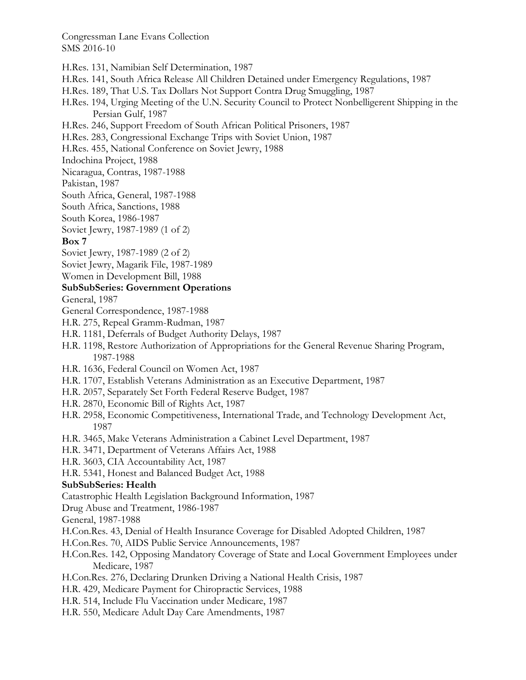H.Res. 131, Namibian Self Determination, 1987

- H.Res. 141, South Africa Release All Children Detained under Emergency Regulations, 1987
- H.Res. 189, That U.S. Tax Dollars Not Support Contra Drug Smuggling, 1987
- H.Res. 194, Urging Meeting of the U.N. Security Council to Protect Nonbelligerent Shipping in the Persian Gulf, 1987
- H.Res. 246, Support Freedom of South African Political Prisoners, 1987
- H.Res. 283, Congressional Exchange Trips with Soviet Union, 1987
- H.Res. 455, National Conference on Soviet Jewry, 1988
- Indochina Project, 1988
- Nicaragua, Contras, 1987-1988
- Pakistan, 1987
- South Africa, General, 1987-1988
- South Africa, Sanctions, 1988
- South Korea, 1986-1987
- Soviet Jewry, 1987-1989 (1 of 2)

### **Box 7**

- Soviet Jewry, 1987-1989 (2 of 2)
- Soviet Jewry, Magarik File, 1987-1989
- Women in Development Bill, 1988

### **SubSubSeries: Government Operations**

General, 1987

- General Correspondence, 1987-1988
- H.R. 275, Repeal Gramm-Rudman, 1987
- H.R. 1181, Deferrals of Budget Authority Delays, 1987
- H.R. 1198, Restore Authorization of Appropriations for the General Revenue Sharing Program, 1987-1988
- H.R. 1636, Federal Council on Women Act, 1987
- H.R. 1707, Establish Veterans Administration as an Executive Department, 1987
- H.R. 2057, Separately Set Forth Federal Reserve Budget, 1987
- H.R. 2870, Economic Bill of Rights Act, 1987
- H.R. 2958, Economic Competitiveness, International Trade, and Technology Development Act, 1987
- H.R. 3465, Make Veterans Administration a Cabinet Level Department, 1987
- H.R. 3471, Department of Veterans Affairs Act, 1988
- H.R. 3603, CIA Accountability Act, 1987
- H.R. 5341, Honest and Balanced Budget Act, 1988

### **SubSubSeries: Health**

Catastrophic Health Legislation Background Information, 1987

Drug Abuse and Treatment, 1986-1987

General, 1987-1988

- H.Con.Res. 43, Denial of Health Insurance Coverage for Disabled Adopted Children, 1987
- H.Con.Res. 70, AIDS Public Service Announcements, 1987
- H.Con.Res. 142, Opposing Mandatory Coverage of State and Local Government Employees under Medicare, 1987
- H.Con.Res. 276, Declaring Drunken Driving a National Health Crisis, 1987
- H.R. 429, Medicare Payment for Chiropractic Services, 1988
- H.R. 514, Include Flu Vaccination under Medicare, 1987
- H.R. 550, Medicare Adult Day Care Amendments, 1987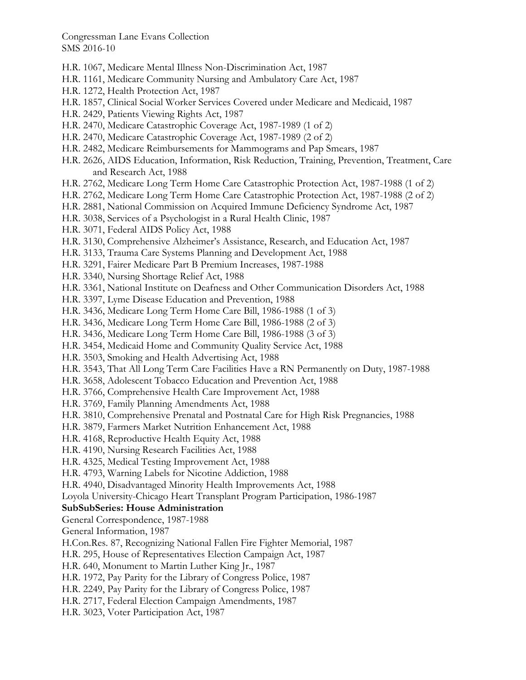- H.R. 1067, Medicare Mental Illness Non-Discrimination Act, 1987
- H.R. 1161, Medicare Community Nursing and Ambulatory Care Act, 1987
- H.R. 1272, Health Protection Act, 1987
- H.R. 1857, Clinical Social Worker Services Covered under Medicare and Medicaid, 1987
- H.R. 2429, Patients Viewing Rights Act, 1987
- H.R. 2470, Medicare Catastrophic Coverage Act, 1987-1989 (1 of 2)
- H.R. 2470, Medicare Catastrophic Coverage Act, 1987-1989 (2 of 2)
- H.R. 2482, Medicare Reimbursements for Mammograms and Pap Smears, 1987
- H.R. 2626, AIDS Education, Information, Risk Reduction, Training, Prevention, Treatment, Care and Research Act, 1988
- H.R. 2762, Medicare Long Term Home Care Catastrophic Protection Act, 1987-1988 (1 of 2)
- H.R. 2762, Medicare Long Term Home Care Catastrophic Protection Act, 1987-1988 (2 of 2)
- H.R. 2881, National Commission on Acquired Immune Deficiency Syndrome Act, 1987
- H.R. 3038, Services of a Psychologist in a Rural Health Clinic, 1987
- H.R. 3071, Federal AIDS Policy Act, 1988
- H.R. 3130, Comprehensive Alzheimer's Assistance, Research, and Education Act, 1987
- H.R. 3133, Trauma Care Systems Planning and Development Act, 1988
- H.R. 3291, Fairer Medicare Part B Premium Increases, 1987-1988
- H.R. 3340, Nursing Shortage Relief Act, 1988
- H.R. 3361, National Institute on Deafness and Other Communication Disorders Act, 1988
- H.R. 3397, Lyme Disease Education and Prevention, 1988
- H.R. 3436, Medicare Long Term Home Care Bill, 1986-1988 (1 of 3)
- H.R. 3436, Medicare Long Term Home Care Bill, 1986-1988 (2 of 3)
- H.R. 3436, Medicare Long Term Home Care Bill, 1986-1988 (3 of 3)
- H.R. 3454, Medicaid Home and Community Quality Service Act, 1988
- H.R. 3503, Smoking and Health Advertising Act, 1988
- H.R. 3543, That All Long Term Care Facilities Have a RN Permanently on Duty, 1987-1988
- H.R. 3658, Adolescent Tobacco Education and Prevention Act, 1988
- H.R. 3766, Comprehensive Health Care Improvement Act, 1988
- H.R. 3769, Family Planning Amendments Act, 1988
- H.R. 3810, Comprehensive Prenatal and Postnatal Care for High Risk Pregnancies, 1988
- H.R. 3879, Farmers Market Nutrition Enhancement Act, 1988
- H.R. 4168, Reproductive Health Equity Act, 1988
- H.R. 4190, Nursing Research Facilities Act, 1988
- H.R. 4325, Medical Testing Improvement Act, 1988
- H.R. 4793, Warning Labels for Nicotine Addiction, 1988
- H.R. 4940, Disadvantaged Minority Health Improvements Act, 1988
- Loyola University-Chicago Heart Transplant Program Participation, 1986-1987

### **SubSubSeries: House Administration**

- General Correspondence, 1987-1988
- General Information, 1987
- H.Con.Res. 87, Recognizing National Fallen Fire Fighter Memorial, 1987
- H.R. 295, House of Representatives Election Campaign Act, 1987
- H.R. 640, Monument to Martin Luther King Jr., 1987
- H.R. 1972, Pay Parity for the Library of Congress Police, 1987
- H.R. 2249, Pay Parity for the Library of Congress Police, 1987
- H.R. 2717, Federal Election Campaign Amendments, 1987
- H.R. 3023, Voter Participation Act, 1987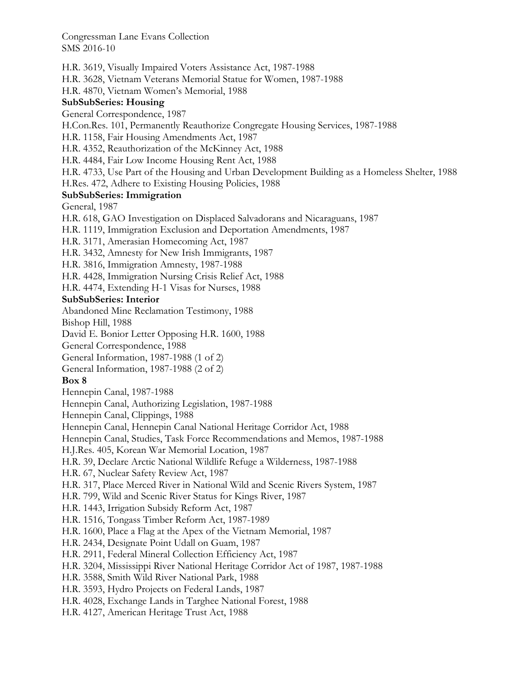H.R. 3619, Visually Impaired Voters Assistance Act, 1987-1988 H.R. 3628, Vietnam Veterans Memorial Statue for Women, 1987-1988 H.R. 4870, Vietnam Women's Memorial, 1988 **SubSubSeries: Housing**  General Correspondence, 1987 H.Con.Res. 101, Permanently Reauthorize Congregate Housing Services, 1987-1988 H.R. 1158, Fair Housing Amendments Act, 1987 H.R. 4352, Reauthorization of the McKinney Act, 1988 H.R. 4484, Fair Low Income Housing Rent Act, 1988 H.R. 4733, Use Part of the Housing and Urban Development Building as a Homeless Shelter, 1988 H.Res. 472, Adhere to Existing Housing Policies, 1988 **SubSubSeries: Immigration**  General, 1987 H.R. 618, GAO Investigation on Displaced Salvadorans and Nicaraguans, 1987 H.R. 1119, Immigration Exclusion and Deportation Amendments, 1987 H.R. 3171, Amerasian Homecoming Act, 1987 H.R. 3432, Amnesty for New Irish Immigrants, 1987 H.R. 3816, Immigration Amnesty, 1987-1988 H.R. 4428, Immigration Nursing Crisis Relief Act, 1988 H.R. 4474, Extending H-1 Visas for Nurses, 1988 **SubSubSeries: Interior**  Abandoned Mine Reclamation Testimony, 1988 Bishop Hill, 1988 David E. Bonior Letter Opposing H.R. 1600, 1988 General Correspondence, 1988 General Information, 1987-1988 (1 of 2) General Information, 1987-1988 (2 of 2) **Box 8**  Hennepin Canal, 1987-1988 Hennepin Canal, Authorizing Legislation, 1987-1988 Hennepin Canal, Clippings, 1988 Hennepin Canal, Hennepin Canal National Heritage Corridor Act, 1988 Hennepin Canal, Studies, Task Force Recommendations and Memos, 1987-1988 H.J.Res. 405, Korean War Memorial Location, 1987 H.R. 39, Declare Arctic National Wildlife Refuge a Wilderness, 1987-1988 H.R. 67, Nuclear Safety Review Act, 1987 H.R. 317, Place Merced River in National Wild and Scenic Rivers System, 1987 H.R. 799, Wild and Scenic River Status for Kings River, 1987 H.R. 1443, Irrigation Subsidy Reform Act, 1987 H.R. 1516, Tongass Timber Reform Act, 1987-1989 H.R. 1600, Place a Flag at the Apex of the Vietnam Memorial, 1987 H.R. 2434, Designate Point Udall on Guam, 1987 H.R. 2911, Federal Mineral Collection Efficiency Act, 1987 H.R. 3204, Mississippi River National Heritage Corridor Act of 1987, 1987-1988 H.R. 3588, Smith Wild River National Park, 1988 H.R. 3593, Hydro Projects on Federal Lands, 1987 H.R. 4028, Exchange Lands in Targhee National Forest, 1988 H.R. 4127, American Heritage Trust Act, 1988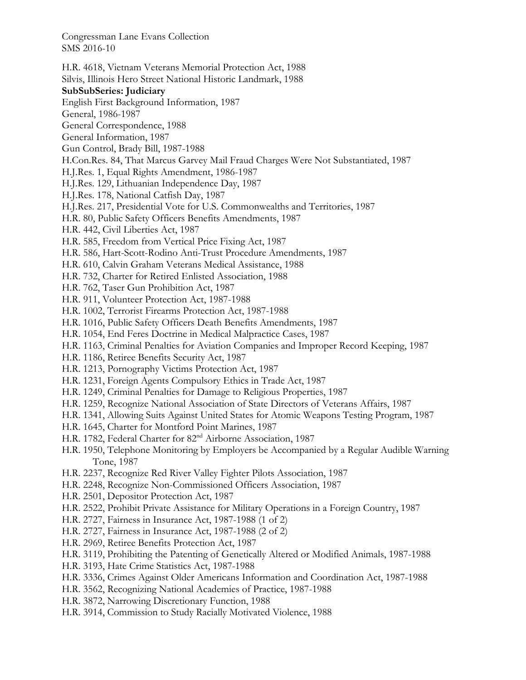- H.R. 4618, Vietnam Veterans Memorial Protection Act, 1988 Silvis, Illinois Hero Street National Historic Landmark, 1988 **SubSubSeries: Judiciary**  English First Background Information, 1987 General, 1986-1987 General Correspondence, 1988 General Information, 1987 Gun Control, Brady Bill, 1987-1988 H.Con.Res. 84, That Marcus Garvey Mail Fraud Charges Were Not Substantiated, 1987 H.J.Res. 1, Equal Rights Amendment, 1986-1987 H.J.Res. 129, Lithuanian Independence Day, 1987 H.J.Res. 178, National Catfish Day, 1987 H.J.Res. 217, Presidential Vote for U.S. Commonwealths and Territories, 1987 H.R. 80, Public Safety Officers Benefits Amendments, 1987 H.R. 442, Civil Liberties Act, 1987 H.R. 585, Freedom from Vertical Price Fixing Act, 1987 H.R. 586, Hart-Scott-Rodino Anti-Trust Procedure Amendments, 1987 H.R. 610, Calvin Graham Veterans Medical Assistance, 1988 H.R. 732, Charter for Retired Enlisted Association, 1988 H.R. 762, Taser Gun Prohibition Act, 1987 H.R. 911, Volunteer Protection Act, 1987-1988 H.R. 1002, Terrorist Firearms Protection Act, 1987-1988 H.R. 1016, Public Safety Officers Death Benefits Amendments, 1987 H.R. 1054, End Feres Doctrine in Medical Malpractice Cases, 1987 H.R. 1163, Criminal Penalties for Aviation Companies and Improper Record Keeping, 1987 H.R. 1186, Retiree Benefits Security Act, 1987 H.R. 1213, Pornography Victims Protection Act, 1987 H.R. 1231, Foreign Agents Compulsory Ethics in Trade Act, 1987 H.R. 1249, Criminal Penalties for Damage to Religious Properties, 1987 H.R. 1259, Recognize National Association of State Directors of Veterans Affairs, 1987 H.R. 1341, Allowing Suits Against United States for Atomic Weapons Testing Program, 1987 H.R. 1645, Charter for Montford Point Marines, 1987 H.R. 1782, Federal Charter for 82<sup>nd</sup> Airborne Association, 1987 H.R. 1950, Telephone Monitoring by Employers be Accompanied by a Regular Audible Warning Tone, 1987 H.R. 2237, Recognize Red River Valley Fighter Pilots Association, 1987 H.R. 2248, Recognize Non-Commissioned Officers Association, 1987 H.R. 2501, Depositor Protection Act, 1987 H.R. 2522, Prohibit Private Assistance for Military Operations in a Foreign Country, 1987 H.R. 2727, Fairness in Insurance Act, 1987-1988 (1 of 2)
- H.R. 2727, Fairness in Insurance Act, 1987-1988 (2 of 2)
- H.R. 2969, Retiree Benefits Protection Act, 1987
- H.R. 3119, Prohibiting the Patenting of Genetically Altered or Modified Animals, 1987-1988
- H.R. 3193, Hate Crime Statistics Act, 1987-1988
- H.R. 3336, Crimes Against Older Americans Information and Coordination Act, 1987-1988
- H.R. 3562, Recognizing National Academies of Practice, 1987-1988
- H.R. 3872, Narrowing Discretionary Function, 1988
- H.R. 3914, Commission to Study Racially Motivated Violence, 1988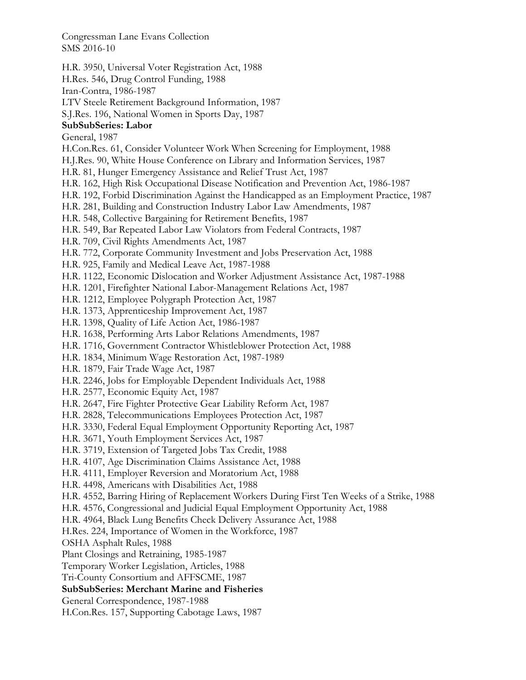H.R. 3950, Universal Voter Registration Act, 1988

H.Res. 546, Drug Control Funding, 1988

Iran-Contra, 1986-1987

LTV Steele Retirement Background Information, 1987

S.J.Res. 196, National Women in Sports Day, 1987

# **SubSubSeries: Labor**

General, 1987

- H.Con.Res. 61, Consider Volunteer Work When Screening for Employment, 1988
- H.J.Res. 90, White House Conference on Library and Information Services, 1987

H.R. 81, Hunger Emergency Assistance and Relief Trust Act, 1987

- H.R. 162, High Risk Occupational Disease Notification and Prevention Act, 1986-1987
- H.R. 192, Forbid Discrimination Against the Handicapped as an Employment Practice, 1987
- H.R. 281, Building and Construction Industry Labor Law Amendments, 1987
- H.R. 548, Collective Bargaining for Retirement Benefits, 1987
- H.R. 549, Bar Repeated Labor Law Violators from Federal Contracts, 1987
- H.R. 709, Civil Rights Amendments Act, 1987
- H.R. 772, Corporate Community Investment and Jobs Preservation Act, 1988
- H.R. 925, Family and Medical Leave Act, 1987-1988
- H.R. 1122, Economic Dislocation and Worker Adjustment Assistance Act, 1987-1988
- H.R. 1201, Firefighter National Labor-Management Relations Act, 1987
- H.R. 1212, Employee Polygraph Protection Act, 1987
- H.R. 1373, Apprenticeship Improvement Act, 1987
- H.R. 1398, Quality of Life Action Act, 1986-1987
- H.R. 1638, Performing Arts Labor Relations Amendments, 1987
- H.R. 1716, Government Contractor Whistleblower Protection Act, 1988
- H.R. 1834, Minimum Wage Restoration Act, 1987-1989
- H.R. 1879, Fair Trade Wage Act, 1987
- H.R. 2246, Jobs for Employable Dependent Individuals Act, 1988
- H.R. 2577, Economic Equity Act, 1987
- H.R. 2647, Fire Fighter Protective Gear Liability Reform Act, 1987
- H.R. 2828, Telecommunications Employees Protection Act, 1987
- H.R. 3330, Federal Equal Employment Opportunity Reporting Act, 1987
- H.R. 3671, Youth Employment Services Act, 1987
- H.R. 3719, Extension of Targeted Jobs Tax Credit, 1988
- H.R. 4107, Age Discrimination Claims Assistance Act, 1988
- H.R. 4111, Employer Reversion and Moratorium Act, 1988
- H.R. 4498, Americans with Disabilities Act, 1988
- H.R. 4552, Barring Hiring of Replacement Workers During First Ten Weeks of a Strike, 1988
- H.R. 4576, Congressional and Judicial Equal Employment Opportunity Act, 1988
- H.R. 4964, Black Lung Benefits Check Delivery Assurance Act, 1988
- H.Res. 224, Importance of Women in the Workforce, 1987
- OSHA Asphalt Rules, 1988
- Plant Closings and Retraining, 1985-1987
- Temporary Worker Legislation, Articles, 1988
- Tri-County Consortium and AFFSCME, 1987

# **SubSubSeries: Merchant Marine and Fisheries**

- General Correspondence, 1987-1988
- H.Con.Res. 157, Supporting Cabotage Laws, 1987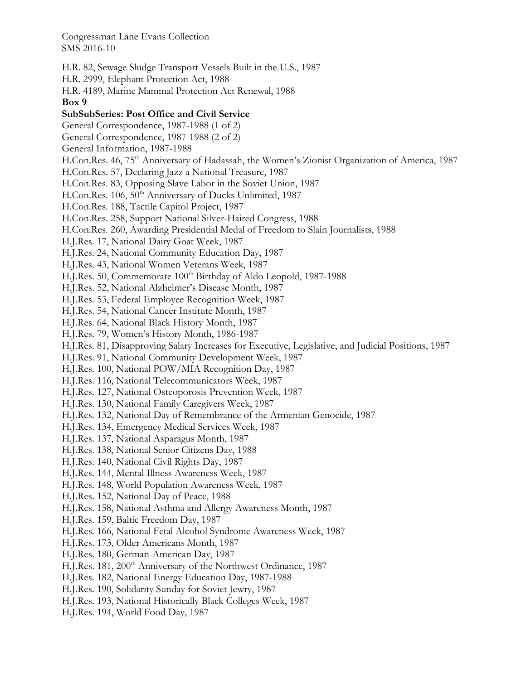H.R. 82, Sewage Sludge Transport Vessels Built in the U.S., 1987 H.R. 2999, Elephant Protection Act, 1988 H.R. 4189, Marine Mammal Protection Act Renewal, 1988 **Box 9 SubSubSeries: Post Office and Civil Service**  General Correspondence, 1987-1988 (1 of 2) General Correspondence, 1987-1988 (2 of 2) General Information, 1987-1988 H.Con.Res. 46, 75<sup>th</sup> Anniversary of Hadassah, the Women's Zionist Organization of America, 1987 H.Con.Res. 57, Declaring Jazz a National Treasure, 1987 H.Con.Res. 83, Opposing Slave Labor in the Soviet Union, 1987 H.Con.Res. 106, 50<sup>th</sup> Anniversary of Ducks Unlimited, 1987 H.Con.Res. 188, Tactile Capitol Project, 1987 H.Con.Res. 258, Support National Silver-Haired Congress, 1988 H.Con.Res. 260, Awarding Presidential Medal of Freedom to Slain Journalists, 1988 H.J.Res. 17, National Dairy Goat Week, 1987 H.J.Res. 24, National Community Education Day, 1987 H.J.Res. 43, National Women Veterans Week, 1987 H.J.Res. 50, Commemorate 100<sup>th</sup> Birthday of Aldo Leopold, 1987-1988 H.J.Res. 52, National Alzheimer's Disease Month, 1987 H.J.Res. 53, Federal Employee Recognition Week, 1987 H.J.Res. 54, National Cancer Institute Month, 1987 H.J.Res. 64, National Black History Month, 1987 H.J.Res. 79, Women's History Month, 1986-1987 H.J.Res. 81, Disapproving Salary Increases for Executive, Legislative, and Judicial Positions, 1987 H.J.Res. 91, National Community Development Week, 1987 H.J.Res. 100, National POW/MIA Recognition Day, 1987 H.J.Res. 116, National Telecommunicators Week, 1987 H.J.Res. 127, National Osteoporosis Prevention Week, 1987 H.J.Res. 130, National Family Caregivers Week, 1987 H.J.Res. 132, National Day of Remembrance of the Armenian Genocide, 1987 H.J.Res. 134, Emergency Medical Services Week, 1987 H.J.Res. 137, National Asparagus Month, 1987 H.J.Res. 138, National Senior Citizens Day, 1988 H.J.Res. 140, National Civil Rights Day, 1987 H.J.Res. 144, Mental Illness Awareness Week, 1987 H.J.Res. 148, World Population Awareness Week, 1987 H.J.Res. 152, National Day of Peace, 1988 H.J.Res. 158, National Asthma and Allergy Awareness Month, 1987 H.J.Res. 159, Baltic Freedom Day, 1987 H.J.Res. 166, National Fetal Alcohol Syndrome Awareness Week, 1987 H.J.Res. 173, Older Americans Month, 1987 H.J.Res. 180, German-American Day, 1987 H.J.Res. 181, 200<sup>th</sup> Anniversary of the Northwest Ordinance, 1987 H.J.Res. 182, National Energy Education Day, 1987-1988 H.J.Res. 190, Solidarity Sunday for Soviet Jewry, 1987 H.J.Res. 193, National Historically Black Colleges Week, 1987 H.J.Res. 194, World Food Day, 1987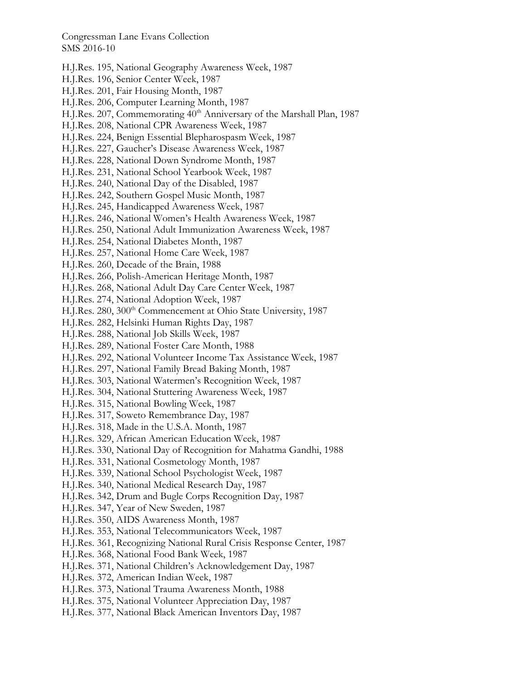- H.J.Res. 195, National Geography Awareness Week, 1987
- H.J.Res. 196, Senior Center Week, 1987
- H.J.Res. 201, Fair Housing Month, 1987
- H.J.Res. 206, Computer Learning Month, 1987
- H.J.Res. 207, Commemorating 40<sup>th</sup> Anniversary of the Marshall Plan, 1987
- H.J.Res. 208, National CPR Awareness Week, 1987
- H.J.Res. 224, Benign Essential Blepharospasm Week, 1987
- H.J.Res. 227, Gaucher's Disease Awareness Week, 1987
- H.J.Res. 228, National Down Syndrome Month, 1987
- H.J.Res. 231, National School Yearbook Week, 1987
- H.J.Res. 240, National Day of the Disabled, 1987
- H.J.Res. 242, Southern Gospel Music Month, 1987
- H.J.Res. 245, Handicapped Awareness Week, 1987
- H.J.Res. 246, National Women's Health Awareness Week, 1987
- H.J.Res. 250, National Adult Immunization Awareness Week, 1987
- H.J.Res. 254, National Diabetes Month, 1987
- H.J.Res. 257, National Home Care Week, 1987
- H.J.Res. 260, Decade of the Brain, 1988
- H.J.Res. 266, Polish-American Heritage Month, 1987
- H.J.Res. 268, National Adult Day Care Center Week, 1987
- H.J.Res. 274, National Adoption Week, 1987
- H.J.Res. 280, 300<sup>th</sup> Commencement at Ohio State University, 1987
- H.J.Res. 282, Helsinki Human Rights Day, 1987
- H.J.Res. 288, National Job Skills Week, 1987
- H.J.Res. 289, National Foster Care Month, 1988
- H.J.Res. 292, National Volunteer Income Tax Assistance Week, 1987
- H.J.Res. 297, National Family Bread Baking Month, 1987
- H.J.Res. 303, National Watermen's Recognition Week, 1987
- H.J.Res. 304, National Stuttering Awareness Week, 1987
- H.J.Res. 315, National Bowling Week, 1987
- H.J.Res. 317, Soweto Remembrance Day, 1987
- H.J.Res. 318, Made in the U.S.A. Month, 1987
- H.J.Res. 329, African American Education Week, 1987
- H.J.Res. 330, National Day of Recognition for Mahatma Gandhi, 1988
- H.J.Res. 331, National Cosmetology Month, 1987
- H.J.Res. 339, National School Psychologist Week, 1987
- H.J.Res. 340, National Medical Research Day, 1987
- H.J.Res. 342, Drum and Bugle Corps Recognition Day, 1987
- H.J.Res. 347, Year of New Sweden, 1987
- H.J.Res. 350, AIDS Awareness Month, 1987
- H.J.Res. 353, National Telecommunicators Week, 1987
- H.J.Res. 361, Recognizing National Rural Crisis Response Center, 1987
- H.J.Res. 368, National Food Bank Week, 1987
- H.J.Res. 371, National Children's Acknowledgement Day, 1987
- H.J.Res. 372, American Indian Week, 1987
- H.J.Res. 373, National Trauma Awareness Month, 1988
- H.J.Res. 375, National Volunteer Appreciation Day, 1987
- H.J.Res. 377, National Black American Inventors Day, 1987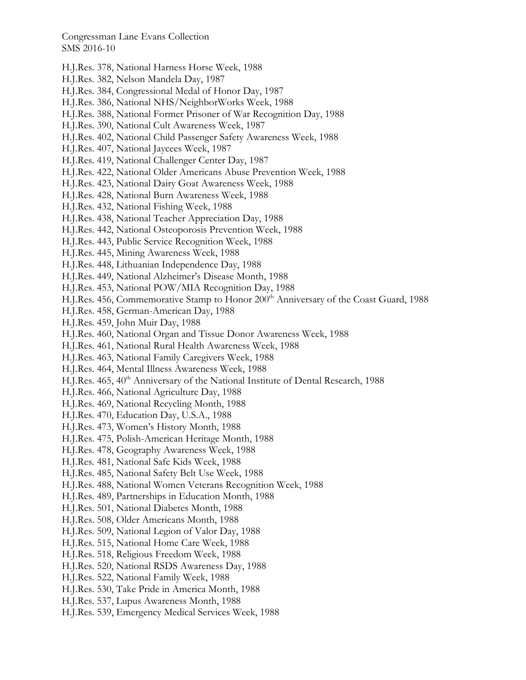- H.J.Res. 378, National Harness Horse Week, 1988
- H.J.Res. 382, Nelson Mandela Day, 1987
- H.J.Res. 384, Congressional Medal of Honor Day, 1987
- H.J.Res. 386, National NHS/NeighborWorks Week, 1988
- H.J.Res. 388, National Former Prisoner of War Recognition Day, 1988
- H.J.Res. 390, National Cult Awareness Week, 1987
- H.J.Res. 402, National Child Passenger Safety Awareness Week, 1988
- H.J.Res. 407, National Jaycees Week, 1987
- H.J.Res. 419, National Challenger Center Day, 1987
- H.J.Res. 422, National Older Americans Abuse Prevention Week, 1988
- H.J.Res. 423, National Dairy Goat Awareness Week, 1988
- H.J.Res. 428, National Burn Awareness Week, 1988
- H.J.Res. 432, National Fishing Week, 1988
- H.J.Res. 438, National Teacher Appreciation Day, 1988
- H.J.Res. 442, National Osteoporosis Prevention Week, 1988
- H.J.Res. 443, Public Service Recognition Week, 1988
- H.J.Res. 445, Mining Awareness Week, 1988
- H.J.Res. 448, Lithuanian Independence Day, 1988
- H.J.Res. 449, National Alzheimer's Disease Month, 1988
- H.J.Res. 453, National POW/MIA Recognition Day, 1988
- H.J.Res. 456, Commemorative Stamp to Honor 200<sup>th</sup> Anniversary of the Coast Guard, 1988
- H.J.Res. 458, German-American Day, 1988
- H.J.Res. 459, John Muir Day, 1988
- H.J.Res. 460, National Organ and Tissue Donor Awareness Week, 1988
- H.J.Res. 461, National Rural Health Awareness Week, 1988
- H.J.Res. 463, National Family Caregivers Week, 1988
- H.J.Res. 464, Mental Illness Awareness Week, 1988
- H.J.Res. 465, 40<sup>th</sup> Anniversary of the National Institute of Dental Research, 1988
- H.J.Res. 466, National Agriculture Day, 1988
- H.J.Res. 469, National Recycling Month, 1988
- H.J.Res. 470, Education Day, U.S.A., 1988
- H.J.Res. 473, Women's History Month, 1988
- H.J.Res. 475, Polish-American Heritage Month, 1988
- H.J.Res. 478, Geography Awareness Week, 1988
- H.J.Res. 481, National Safe Kids Week, 1988
- H.J.Res. 485, National Safety Belt Use Week, 1988
- H.J.Res. 488, National Women Veterans Recognition Week, 1988
- H.J.Res. 489, Partnerships in Education Month, 1988
- H.J.Res. 501, National Diabetes Month, 1988
- H.J.Res. 508, Older Americans Month, 1988
- H.J.Res. 509, National Legion of Valor Day, 1988
- H.J.Res. 515, National Home Care Week, 1988
- H.J.Res. 518, Religious Freedom Week, 1988
- H.J.Res. 520, National RSDS Awareness Day, 1988
- H.J.Res. 522, National Family Week, 1988
- H.J.Res. 530, Take Pride in America Month, 1988
- H.J.Res. 537, Lupus Awareness Month, 1988
- H.J.Res. 539, Emergency Medical Services Week, 1988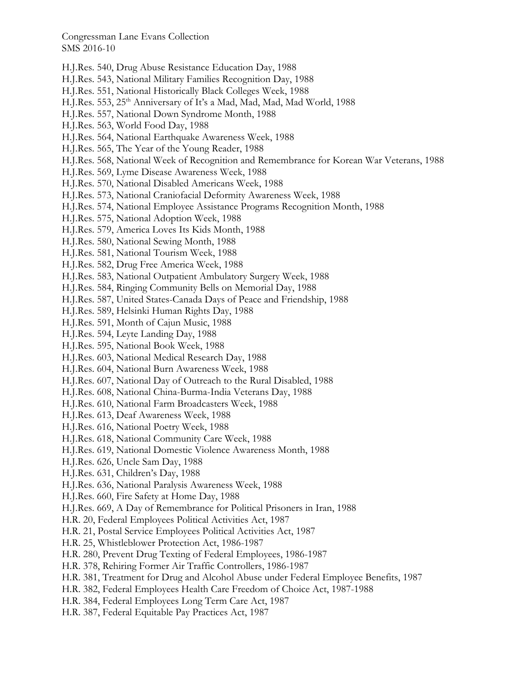- H.J.Res. 540, Drug Abuse Resistance Education Day, 1988
- H.J.Res. 543, National Military Families Recognition Day, 1988
- H.J.Res. 551, National Historically Black Colleges Week, 1988
- H.J.Res. 553, 25<sup>th</sup> Anniversary of It's a Mad, Mad, Mad, Mad World, 1988
- H.J.Res. 557, National Down Syndrome Month, 1988
- H.J.Res. 563, World Food Day, 1988
- H.J.Res. 564, National Earthquake Awareness Week, 1988
- H.J.Res. 565, The Year of the Young Reader, 1988
- H.J.Res. 568, National Week of Recognition and Remembrance for Korean War Veterans, 1988
- H.J.Res. 569, Lyme Disease Awareness Week, 1988
- H.J.Res. 570, National Disabled Americans Week, 1988
- H.J.Res. 573, National Craniofacial Deformity Awareness Week, 1988
- H.J.Res. 574, National Employee Assistance Programs Recognition Month, 1988
- H.J.Res. 575, National Adoption Week, 1988
- H.J.Res. 579, America Loves Its Kids Month, 1988
- H.J.Res. 580, National Sewing Month, 1988
- H.J.Res. 581, National Tourism Week, 1988
- H.J.Res. 582, Drug Free America Week, 1988
- H.J.Res. 583, National Outpatient Ambulatory Surgery Week, 1988
- H.J.Res. 584, Ringing Community Bells on Memorial Day, 1988
- H.J.Res. 587, United States-Canada Days of Peace and Friendship, 1988
- H.J.Res. 589, Helsinki Human Rights Day, 1988
- H.J.Res. 591, Month of Cajun Music, 1988
- H.J.Res. 594, Leyte Landing Day, 1988
- H.J.Res. 595, National Book Week, 1988
- H.J.Res. 603, National Medical Research Day, 1988
- H.J.Res. 604, National Burn Awareness Week, 1988
- H.J.Res. 607, National Day of Outreach to the Rural Disabled, 1988
- H.J.Res. 608, National China-Burma-India Veterans Day, 1988
- H.J.Res. 610, National Farm Broadcasters Week, 1988
- H.J.Res. 613, Deaf Awareness Week, 1988
- H.J.Res. 616, National Poetry Week, 1988
- H.J.Res. 618, National Community Care Week, 1988
- H.J.Res. 619, National Domestic Violence Awareness Month, 1988
- H.J.Res. 626, Uncle Sam Day, 1988
- H.J.Res. 631, Children's Day, 1988
- H.J.Res. 636, National Paralysis Awareness Week, 1988
- H.J.Res. 660, Fire Safety at Home Day, 1988
- H.J.Res. 669, A Day of Remembrance for Political Prisoners in Iran, 1988
- H.R. 20, Federal Employees Political Activities Act, 1987
- H.R. 21, Postal Service Employees Political Activities Act, 1987
- H.R. 25, Whistleblower Protection Act, 1986-1987
- H.R. 280, Prevent Drug Texting of Federal Employees, 1986-1987
- H.R. 378, Rehiring Former Air Traffic Controllers, 1986-1987
- H.R. 381, Treatment for Drug and Alcohol Abuse under Federal Employee Benefits, 1987
- H.R. 382, Federal Employees Health Care Freedom of Choice Act, 1987-1988
- H.R. 384, Federal Employees Long Term Care Act, 1987
- H.R. 387, Federal Equitable Pay Practices Act, 1987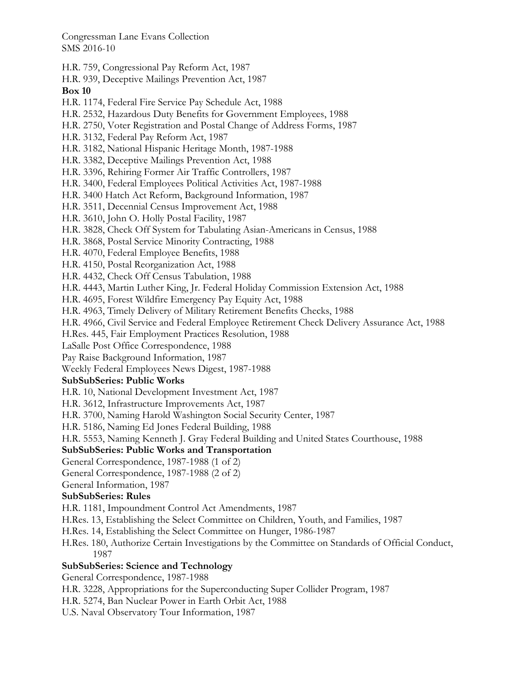- H.R. 759, Congressional Pay Reform Act, 1987
- H.R. 939, Deceptive Mailings Prevention Act, 1987

**Box 10** 

- H.R. 1174, Federal Fire Service Pay Schedule Act, 1988
- H.R. 2532, Hazardous Duty Benefits for Government Employees, 1988
- H.R. 2750, Voter Registration and Postal Change of Address Forms, 1987
- H.R. 3132, Federal Pay Reform Act, 1987
- H.R. 3182, National Hispanic Heritage Month, 1987-1988
- H.R. 3382, Deceptive Mailings Prevention Act, 1988
- H.R. 3396, Rehiring Former Air Traffic Controllers, 1987
- H.R. 3400, Federal Employees Political Activities Act, 1987-1988
- H.R. 3400 Hatch Act Reform, Background Information, 1987
- H.R. 3511, Decennial Census Improvement Act, 1988
- H.R. 3610, John O. Holly Postal Facility, 1987
- H.R. 3828, Check Off System for Tabulating Asian-Americans in Census, 1988
- H.R. 3868, Postal Service Minority Contracting, 1988
- H.R. 4070, Federal Employee Benefits, 1988
- H.R. 4150, Postal Reorganization Act, 1988
- H.R. 4432, Check Off Census Tabulation, 1988
- H.R. 4443, Martin Luther King, Jr. Federal Holiday Commission Extension Act, 1988
- H.R. 4695, Forest Wildfire Emergency Pay Equity Act, 1988
- H.R. 4963, Timely Delivery of Military Retirement Benefits Checks, 1988
- H.R. 4966, Civil Service and Federal Employee Retirement Check Delivery Assurance Act, 1988
- H.Res. 445, Fair Employment Practices Resolution, 1988
- LaSalle Post Office Correspondence, 1988
- Pay Raise Background Information, 1987
- Weekly Federal Employees News Digest, 1987-1988

# **SubSubSeries: Public Works**

- H.R. 10, National Development Investment Act, 1987
- H.R. 3612, Infrastructure Improvements Act, 1987
- H.R. 3700, Naming Harold Washington Social Security Center, 1987
- H.R. 5186, Naming Ed Jones Federal Building, 1988
- H.R. 5553, Naming Kenneth J. Gray Federal Building and United States Courthouse, 1988

# **SubSubSeries: Public Works and Transportation**

- General Correspondence, 1987-1988 (1 of 2)
- General Correspondence, 1987-1988 (2 of 2)
- General Information, 1987

# **SubSubSeries: Rules**

- H.R. 1181, Impoundment Control Act Amendments, 1987
- H.Res. 13, Establishing the Select Committee on Children, Youth, and Families, 1987
- H.Res. 14, Establishing the Select Committee on Hunger, 1986-1987
- H.Res. 180, Authorize Certain Investigations by the Committee on Standards of Official Conduct, 1987

### **SubSubSeries: Science and Technology**

General Correspondence, 1987-1988

- H.R. 3228, Appropriations for the Superconducting Super Collider Program, 1987
- H.R. 5274, Ban Nuclear Power in Earth Orbit Act, 1988
- U.S. Naval Observatory Tour Information, 1987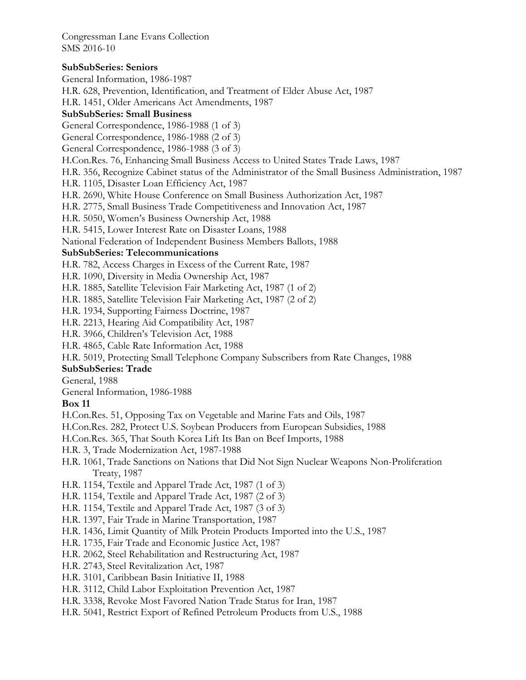### **SubSubSeries: Seniors**

General Information, 1986-1987 H.R. 628, Prevention, Identification, and Treatment of Elder Abuse Act, 1987 H.R. 1451, Older Americans Act Amendments, 1987 **SubSubSeries: Small Business**  General Correspondence, 1986-1988 (1 of 3) General Correspondence, 1986-1988 (2 of 3) General Correspondence, 1986-1988 (3 of 3) H.Con.Res. 76, Enhancing Small Business Access to United States Trade Laws, 1987 H.R. 356, Recognize Cabinet status of the Administrator of the Small Business Administration, 1987 H.R. 1105, Disaster Loan Efficiency Act, 1987 H.R. 2690, White House Conference on Small Business Authorization Act, 1987 H.R. 2775, Small Business Trade Competitiveness and Innovation Act, 1987 H.R. 5050, Women's Business Ownership Act, 1988 H.R. 5415, Lower Interest Rate on Disaster Loans, 1988 National Federation of Independent Business Members Ballots, 1988 **SubSubSeries: Telecommunications**  H.R. 782, Access Charges in Excess of the Current Rate, 1987 H.R. 1090, Diversity in Media Ownership Act, 1987 H.R. 1885, Satellite Television Fair Marketing Act, 1987 (1 of 2) H.R. 1885, Satellite Television Fair Marketing Act, 1987 (2 of 2) H.R. 1934, Supporting Fairness Doctrine, 1987 H.R. 2213, Hearing Aid Compatibility Act, 1987 H.R. 3966, Children's Television Act, 1988 H.R. 4865, Cable Rate Information Act, 1988 H.R. 5019, Protecting Small Telephone Company Subscribers from Rate Changes, 1988 **SubSubSeries: Trade**  General, 1988 General Information, 1986-1988 **Box 11**  H.Con.Res. 51, Opposing Tax on Vegetable and Marine Fats and Oils, 1987 H.Con.Res. 282, Protect U.S. Soybean Producers from European Subsidies, 1988 H.Con.Res. 365, That South Korea Lift Its Ban on Beef Imports, 1988 H.R. 3, Trade Modernization Act, 1987-1988 H.R. 1061, Trade Sanctions on Nations that Did Not Sign Nuclear Weapons Non-Proliferation Treaty, 1987 H.R. 1154, Textile and Apparel Trade Act, 1987 (1 of 3) H.R. 1154, Textile and Apparel Trade Act, 1987 (2 of 3) H.R. 1154, Textile and Apparel Trade Act, 1987 (3 of 3) H.R. 1397, Fair Trade in Marine Transportation, 1987 H.R. 1436, Limit Quantity of Milk Protein Products Imported into the U.S., 1987 H.R. 1735, Fair Trade and Economic Justice Act, 1987 H.R. 2062, Steel Rehabilitation and Restructuring Act, 1987 H.R. 2743, Steel Revitalization Act, 1987 H.R. 3101, Caribbean Basin Initiative II, 1988 H.R. 3112, Child Labor Exploitation Prevention Act, 1987

- H.R. 3338, Revoke Most Favored Nation Trade Status for Iran, 1987
- H.R. 5041, Restrict Export of Refined Petroleum Products from U.S., 1988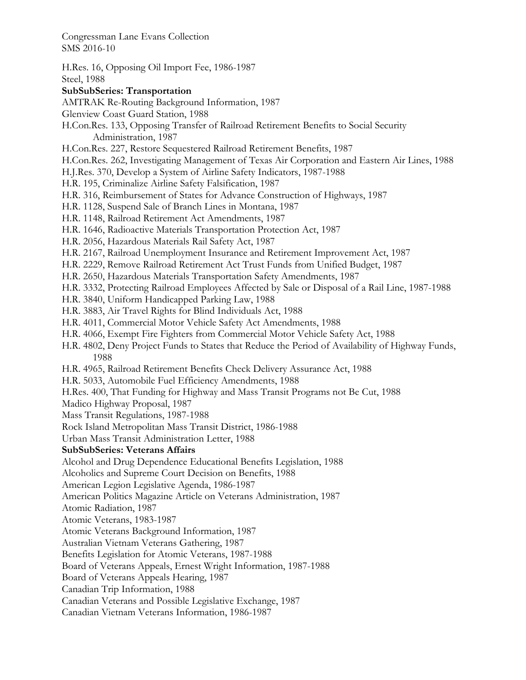H.Res. 16, Opposing Oil Import Fee, 1986-1987 Steel, 1988 **SubSubSeries: Transportation**  AMTRAK Re-Routing Background Information, 1987 Glenview Coast Guard Station, 1988 H.Con.Res. 133, Opposing Transfer of Railroad Retirement Benefits to Social Security Administration, 1987 H.Con.Res. 227, Restore Sequestered Railroad Retirement Benefits, 1987 H.Con.Res. 262, Investigating Management of Texas Air Corporation and Eastern Air Lines, 1988 H.J.Res. 370, Develop a System of Airline Safety Indicators, 1987-1988 H.R. 195, Criminalize Airline Safety Falsification, 1987 H.R. 316, Reimbursement of States for Advance Construction of Highways, 1987 H.R. 1128, Suspend Sale of Branch Lines in Montana, 1987 H.R. 1148, Railroad Retirement Act Amendments, 1987 H.R. 1646, Radioactive Materials Transportation Protection Act, 1987 H.R. 2056, Hazardous Materials Rail Safety Act, 1987 H.R. 2167, Railroad Unemployment Insurance and Retirement Improvement Act, 1987 H.R. 2229, Remove Railroad Retirement Act Trust Funds from Unified Budget, 1987 H.R. 2650, Hazardous Materials Transportation Safety Amendments, 1987 H.R. 3332, Protecting Railroad Employees Affected by Sale or Disposal of a Rail Line, 1987-1988 H.R. 3840, Uniform Handicapped Parking Law, 1988 H.R. 3883, Air Travel Rights for Blind Individuals Act, 1988 H.R. 4011, Commercial Motor Vehicle Safety Act Amendments, 1988 H.R. 4066, Exempt Fire Fighters from Commercial Motor Vehicle Safety Act, 1988 H.R. 4802, Deny Project Funds to States that Reduce the Period of Availability of Highway Funds, 1988 H.R. 4965, Railroad Retirement Benefits Check Delivery Assurance Act, 1988 H.R. 5033, Automobile Fuel Efficiency Amendments, 1988 H.Res. 400, That Funding for Highway and Mass Transit Programs not Be Cut, 1988 Madico Highway Proposal, 1987 Mass Transit Regulations, 1987-1988 Rock Island Metropolitan Mass Transit District, 1986-1988 Urban Mass Transit Administration Letter, 1988 **SubSubSeries: Veterans Affairs**  Alcohol and Drug Dependence Educational Benefits Legislation, 1988 Alcoholics and Supreme Court Decision on Benefits, 1988 American Legion Legislative Agenda, 1986-1987 American Politics Magazine Article on Veterans Administration, 1987 Atomic Radiation, 1987 Atomic Veterans, 1983-1987 Atomic Veterans Background Information, 1987 Australian Vietnam Veterans Gathering, 1987 Benefits Legislation for Atomic Veterans, 1987-1988 Board of Veterans Appeals, Ernest Wright Information, 1987-1988 Board of Veterans Appeals Hearing, 1987 Canadian Trip Information, 1988 Canadian Veterans and Possible Legislative Exchange, 1987 Canadian Vietnam Veterans Information, 1986-1987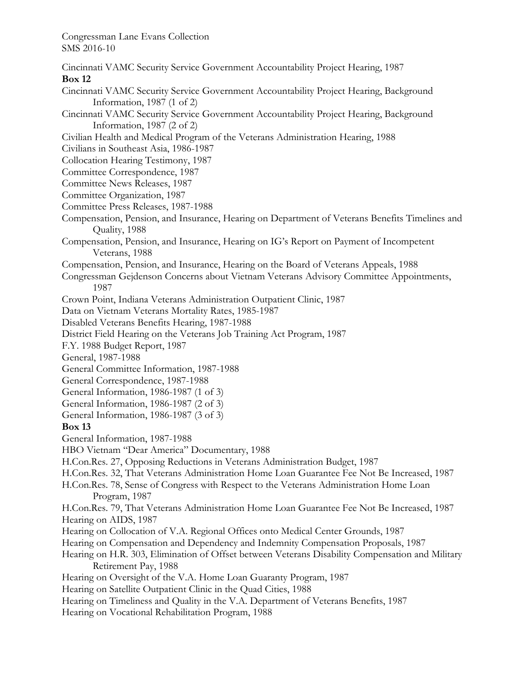Cincinnati VAMC Security Service Government Accountability Project Hearing, 1987 **Box 12**  Cincinnati VAMC Security Service Government Accountability Project Hearing, Background Information, 1987 (1 of 2) Cincinnati VAMC Security Service Government Accountability Project Hearing, Background Information, 1987 (2 of 2) Civilian Health and Medical Program of the Veterans Administration Hearing, 1988 Civilians in Southeast Asia, 1986-1987 Collocation Hearing Testimony, 1987 Committee Correspondence, 1987 Committee News Releases, 1987 Committee Organization, 1987 Committee Press Releases, 1987-1988 Compensation, Pension, and Insurance, Hearing on Department of Veterans Benefits Timelines and Quality, 1988 Compensation, Pension, and Insurance, Hearing on IG's Report on Payment of Incompetent Veterans, 1988 Compensation, Pension, and Insurance, Hearing on the Board of Veterans Appeals, 1988 Congressman Gejdenson Concerns about Vietnam Veterans Advisory Committee Appointments, 1987 Crown Point, Indiana Veterans Administration Outpatient Clinic, 1987 Data on Vietnam Veterans Mortality Rates, 1985-1987 Disabled Veterans Benefits Hearing, 1987-1988 District Field Hearing on the Veterans Job Training Act Program, 1987 F.Y. 1988 Budget Report, 1987 General, 1987-1988 General Committee Information, 1987-1988 General Correspondence, 1987-1988 General Information, 1986-1987 (1 of 3) General Information, 1986-1987 (2 of 3) General Information, 1986-1987 (3 of 3) **Box 13**  General Information, 1987-1988 HBO Vietnam "Dear America" Documentary, 1988 H.Con.Res. 27, Opposing Reductions in Veterans Administration Budget, 1987 H.Con.Res. 32, That Veterans Administration Home Loan Guarantee Fee Not Be Increased, 1987 H.Con.Res. 78, Sense of Congress with Respect to the Veterans Administration Home Loan Program, 1987 H.Con.Res. 79, That Veterans Administration Home Loan Guarantee Fee Not Be Increased, 1987 Hearing on AIDS, 1987 Hearing on Collocation of V.A. Regional Offices onto Medical Center Grounds, 1987 Hearing on Compensation and Dependency and Indemnity Compensation Proposals, 1987 Hearing on H.R. 303, Elimination of Offset between Veterans Disability Compensation and Military Retirement Pay, 1988 Hearing on Oversight of the V.A. Home Loan Guaranty Program, 1987 Hearing on Satellite Outpatient Clinic in the Quad Cities, 1988 Hearing on Timeliness and Quality in the V.A. Department of Veterans Benefits, 1987 Hearing on Vocational Rehabilitation Program, 1988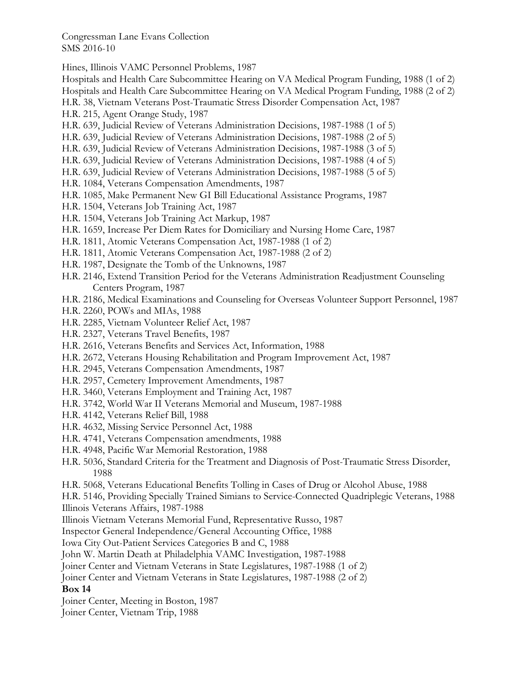Hines, Illinois VAMC Personnel Problems, 1987

Hospitals and Health Care Subcommittee Hearing on VA Medical Program Funding, 1988 (1 of 2) Hospitals and Health Care Subcommittee Hearing on VA Medical Program Funding, 1988 (2 of 2) H.R. 38, Vietnam Veterans Post-Traumatic Stress Disorder Compensation Act, 1987 H.R. 215, Agent Orange Study, 1987 H.R. 639, Judicial Review of Veterans Administration Decisions, 1987-1988 (1 of 5) H.R. 639, Judicial Review of Veterans Administration Decisions, 1987-1988 (2 of 5) H.R. 639, Judicial Review of Veterans Administration Decisions, 1987-1988 (3 of 5) H.R. 639, Judicial Review of Veterans Administration Decisions, 1987-1988 (4 of 5) H.R. 639, Judicial Review of Veterans Administration Decisions, 1987-1988 (5 of 5) H.R. 1084, Veterans Compensation Amendments, 1987 H.R. 1085, Make Permanent New GI Bill Educational Assistance Programs, 1987 H.R. 1504, Veterans Job Training Act, 1987 H.R. 1504, Veterans Job Training Act Markup, 1987 H.R. 1659, Increase Per Diem Rates for Domiciliary and Nursing Home Care, 1987 H.R. 1811, Atomic Veterans Compensation Act, 1987-1988 (1 of 2) H.R. 1811, Atomic Veterans Compensation Act, 1987-1988 (2 of 2) H.R. 1987, Designate the Tomb of the Unknowns, 1987 H.R. 2146, Extend Transition Period for the Veterans Administration Readjustment Counseling Centers Program, 1987 H.R. 2186, Medical Examinations and Counseling for Overseas Volunteer Support Personnel, 1987 H.R. 2260, POWs and MIAs, 1988 H.R. 2285, Vietnam Volunteer Relief Act, 1987 H.R. 2327, Veterans Travel Benefits, 1987 H.R. 2616, Veterans Benefits and Services Act, Information, 1988

- H.R. 2672, Veterans Housing Rehabilitation and Program Improvement Act, 1987
- H.R. 2945, Veterans Compensation Amendments, 1987
- H.R. 2957, Cemetery Improvement Amendments, 1987
- H.R. 3460, Veterans Employment and Training Act, 1987
- H.R. 3742, World War II Veterans Memorial and Museum, 1987-1988
- H.R. 4142, Veterans Relief Bill, 1988
- H.R. 4632, Missing Service Personnel Act, 1988
- H.R. 4741, Veterans Compensation amendments, 1988
- H.R. 4948, Pacific War Memorial Restoration, 1988
- H.R. 5036, Standard Criteria for the Treatment and Diagnosis of Post-Traumatic Stress Disorder, 1988
- H.R. 5068, Veterans Educational Benefits Tolling in Cases of Drug or Alcohol Abuse, 1988
- H.R. 5146, Providing Specially Trained Simians to Service-Connected Quadriplegic Veterans, 1988
- Illinois Veterans Affairs, 1987-1988
- Illinois Vietnam Veterans Memorial Fund, Representative Russo, 1987
- Inspector General Independence/General Accounting Office, 1988

Iowa City Out-Patient Services Categories B and C, 1988

John W. Martin Death at Philadelphia VAMC Investigation, 1987-1988

- Joiner Center and Vietnam Veterans in State Legislatures, 1987-1988 (1 of 2)
- Joiner Center and Vietnam Veterans in State Legislatures, 1987-1988 (2 of 2)

**Box 14** 

- Joiner Center, Meeting in Boston, 1987
- Joiner Center, Vietnam Trip, 1988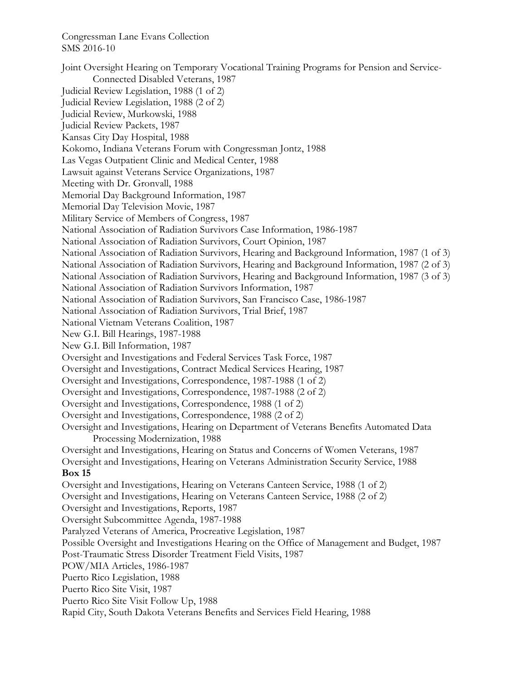Joint Oversight Hearing on Temporary Vocational Training Programs for Pension and Service-Connected Disabled Veterans, 1987 Judicial Review Legislation, 1988 (1 of 2) Judicial Review Legislation, 1988 (2 of 2) Judicial Review, Murkowski, 1988 Judicial Review Packets, 1987 Kansas City Day Hospital, 1988 Kokomo, Indiana Veterans Forum with Congressman Jontz, 1988 Las Vegas Outpatient Clinic and Medical Center, 1988 Lawsuit against Veterans Service Organizations, 1987 Meeting with Dr. Gronvall, 1988 Memorial Day Background Information, 1987 Memorial Day Television Movie, 1987 Military Service of Members of Congress, 1987 National Association of Radiation Survivors Case Information, 1986-1987 National Association of Radiation Survivors, Court Opinion, 1987 National Association of Radiation Survivors, Hearing and Background Information, 1987 (1 of 3) National Association of Radiation Survivors, Hearing and Background Information, 1987 (2 of 3) National Association of Radiation Survivors, Hearing and Background Information, 1987 (3 of 3) National Association of Radiation Survivors Information, 1987 National Association of Radiation Survivors, San Francisco Case, 1986-1987 National Association of Radiation Survivors, Trial Brief, 1987 National Vietnam Veterans Coalition, 1987 New G.I. Bill Hearings, 1987-1988 New G.I. Bill Information, 1987 Oversight and Investigations and Federal Services Task Force, 1987 Oversight and Investigations, Contract Medical Services Hearing, 1987 Oversight and Investigations, Correspondence, 1987-1988 (1 of 2) Oversight and Investigations, Correspondence, 1987-1988 (2 of 2) Oversight and Investigations, Correspondence, 1988 (1 of 2) Oversight and Investigations, Correspondence, 1988 (2 of 2) Oversight and Investigations, Hearing on Department of Veterans Benefits Automated Data Processing Modernization, 1988 Oversight and Investigations, Hearing on Status and Concerns of Women Veterans, 1987 Oversight and Investigations, Hearing on Veterans Administration Security Service, 1988 **Box 15**  Oversight and Investigations, Hearing on Veterans Canteen Service, 1988 (1 of 2) Oversight and Investigations, Hearing on Veterans Canteen Service, 1988 (2 of 2) Oversight and Investigations, Reports, 1987 Oversight Subcommittee Agenda, 1987-1988 Paralyzed Veterans of America, Procreative Legislation, 1987 Possible Oversight and Investigations Hearing on the Office of Management and Budget, 1987 Post-Traumatic Stress Disorder Treatment Field Visits, 1987 POW/MIA Articles, 1986-1987 Puerto Rico Legislation, 1988 Puerto Rico Site Visit, 1987 Puerto Rico Site Visit Follow Up, 1988 Rapid City, South Dakota Veterans Benefits and Services Field Hearing, 1988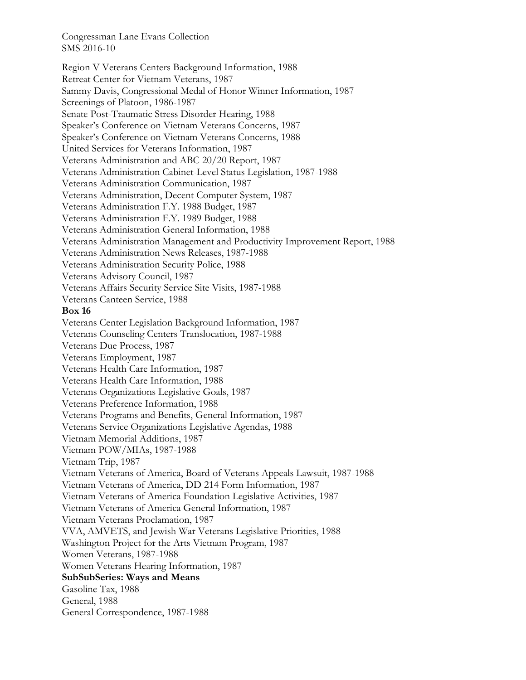Region V Veterans Centers Background Information, 1988 Retreat Center for Vietnam Veterans, 1987 Sammy Davis, Congressional Medal of Honor Winner Information, 1987 Screenings of Platoon, 1986-1987 Senate Post-Traumatic Stress Disorder Hearing, 1988 Speaker's Conference on Vietnam Veterans Concerns, 1987 Speaker's Conference on Vietnam Veterans Concerns, 1988 United Services for Veterans Information, 1987 Veterans Administration and ABC 20/20 Report, 1987 Veterans Administration Cabinet-Level Status Legislation, 1987-1988 Veterans Administration Communication, 1987 Veterans Administration, Decent Computer System, 1987 Veterans Administration F.Y. 1988 Budget, 1987 Veterans Administration F.Y. 1989 Budget, 1988 Veterans Administration General Information, 1988 Veterans Administration Management and Productivity Improvement Report, 1988 Veterans Administration News Releases, 1987-1988 Veterans Administration Security Police, 1988 Veterans Advisory Council, 1987 Veterans Affairs Security Service Site Visits, 1987-1988 Veterans Canteen Service, 1988 **Box 16**  Veterans Center Legislation Background Information, 1987 Veterans Counseling Centers Translocation, 1987-1988 Veterans Due Process, 1987 Veterans Employment, 1987 Veterans Health Care Information, 1987 Veterans Health Care Information, 1988 Veterans Organizations Legislative Goals, 1987 Veterans Preference Information, 1988 Veterans Programs and Benefits, General Information, 1987 Veterans Service Organizations Legislative Agendas, 1988 Vietnam Memorial Additions, 1987 Vietnam POW/MIAs, 1987-1988 Vietnam Trip, 1987 Vietnam Veterans of America, Board of Veterans Appeals Lawsuit, 1987-1988 Vietnam Veterans of America, DD 214 Form Information, 1987 Vietnam Veterans of America Foundation Legislative Activities, 1987 Vietnam Veterans of America General Information, 1987 Vietnam Veterans Proclamation, 1987 VVA, AMVETS, and Jewish War Veterans Legislative Priorities, 1988 Washington Project for the Arts Vietnam Program, 1987 Women Veterans, 1987-1988 Women Veterans Hearing Information, 1987 **SubSubSeries: Ways and Means**  Gasoline Tax, 1988 General, 1988 General Correspondence, 1987-1988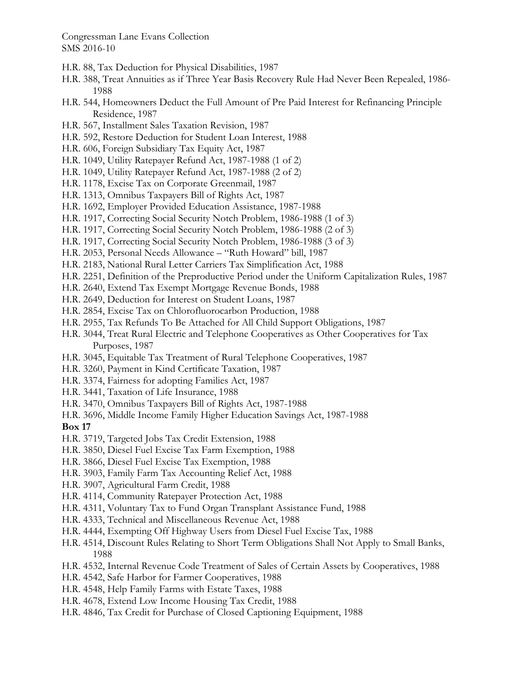- H.R. 88, Tax Deduction for Physical Disabilities, 1987
- H.R. 388, Treat Annuities as if Three Year Basis Recovery Rule Had Never Been Repealed, 1986- 1988
- H.R. 544, Homeowners Deduct the Full Amount of Pre Paid Interest for Refinancing Principle Residence, 1987
- H.R. 567, Installment Sales Taxation Revision, 1987
- H.R. 592, Restore Deduction for Student Loan Interest, 1988
- H.R. 606, Foreign Subsidiary Tax Equity Act, 1987
- H.R. 1049, Utility Ratepayer Refund Act, 1987-1988 (1 of 2)
- H.R. 1049, Utility Ratepayer Refund Act, 1987-1988 (2 of 2)
- H.R. 1178, Excise Tax on Corporate Greenmail, 1987
- H.R. 1313, Omnibus Taxpayers Bill of Rights Act, 1987
- H.R. 1692, Employer Provided Education Assistance, 1987-1988
- H.R. 1917, Correcting Social Security Notch Problem, 1986-1988 (1 of 3)
- H.R. 1917, Correcting Social Security Notch Problem, 1986-1988 (2 of 3)
- H.R. 1917, Correcting Social Security Notch Problem, 1986-1988 (3 of 3)
- H.R. 2053, Personal Needs Allowance "Ruth Howard" bill, 1987
- H.R. 2183, National Rural Letter Carriers Tax Simplification Act, 1988
- H.R. 2251, Definition of the Preproductive Period under the Uniform Capitalization Rules, 1987
- H.R. 2640, Extend Tax Exempt Mortgage Revenue Bonds, 1988
- H.R. 2649, Deduction for Interest on Student Loans, 1987
- H.R. 2854, Excise Tax on Chlorofluorocarbon Production, 1988
- H.R. 2955, Tax Refunds To Be Attached for All Child Support Obligations, 1987
- H.R. 3044, Treat Rural Electric and Telephone Cooperatives as Other Cooperatives for Tax Purposes, 1987
- H.R. 3045, Equitable Tax Treatment of Rural Telephone Cooperatives, 1987
- H.R. 3260, Payment in Kind Certificate Taxation, 1987
- H.R. 3374, Fairness for adopting Families Act, 1987
- H.R. 3441, Taxation of Life Insurance, 1988
- H.R. 3470, Omnibus Taxpayers Bill of Rights Act, 1987-1988
- H.R. 3696, Middle Income Family Higher Education Savings Act, 1987-1988

#### **Box 17**

- H.R. 3719, Targeted Jobs Tax Credit Extension, 1988
- H.R. 3850, Diesel Fuel Excise Tax Farm Exemption, 1988
- H.R. 3866, Diesel Fuel Excise Tax Exemption, 1988
- H.R. 3903, Family Farm Tax Accounting Relief Act, 1988
- H.R. 3907, Agricultural Farm Credit, 1988
- H.R. 4114, Community Ratepayer Protection Act, 1988
- H.R. 4311, Voluntary Tax to Fund Organ Transplant Assistance Fund, 1988
- H.R. 4333, Technical and Miscellaneous Revenue Act, 1988
- H.R. 4444, Exempting Off Highway Users from Diesel Fuel Excise Tax, 1988
- H.R. 4514, Discount Rules Relating to Short Term Obligations Shall Not Apply to Small Banks, 1988
- H.R. 4532, Internal Revenue Code Treatment of Sales of Certain Assets by Cooperatives, 1988
- H.R. 4542, Safe Harbor for Farmer Cooperatives, 1988
- H.R. 4548, Help Family Farms with Estate Taxes, 1988
- H.R. 4678, Extend Low Income Housing Tax Credit, 1988
- H.R. 4846, Tax Credit for Purchase of Closed Captioning Equipment, 1988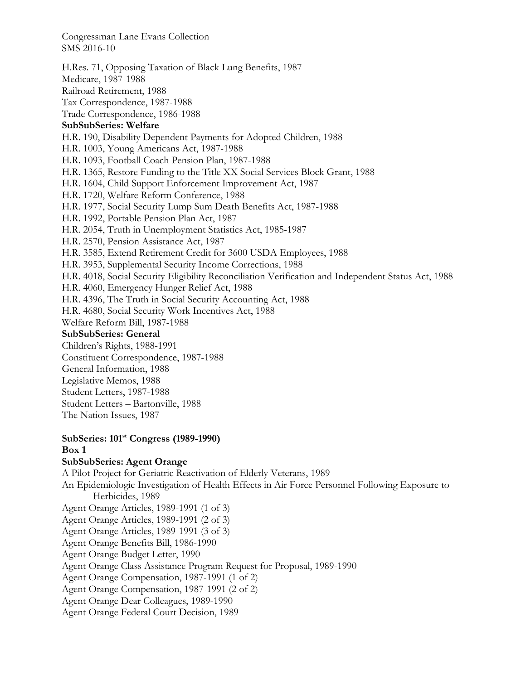H.Res. 71, Opposing Taxation of Black Lung Benefits, 1987 Medicare, 1987-1988 Railroad Retirement, 1988 Tax Correspondence, 1987-1988 Trade Correspondence, 1986-1988 **SubSubSeries: Welfare**  H.R. 190, Disability Dependent Payments for Adopted Children, 1988 H.R. 1003, Young Americans Act, 1987-1988 H.R. 1093, Football Coach Pension Plan, 1987-1988 H.R. 1365, Restore Funding to the Title XX Social Services Block Grant, 1988 H.R. 1604, Child Support Enforcement Improvement Act, 1987 H.R. 1720, Welfare Reform Conference, 1988 H.R. 1977, Social Security Lump Sum Death Benefits Act, 1987-1988 H.R. 1992, Portable Pension Plan Act, 1987 H.R. 2054, Truth in Unemployment Statistics Act, 1985-1987 H.R. 2570, Pension Assistance Act, 1987 H.R. 3585, Extend Retirement Credit for 3600 USDA Employees, 1988 H.R. 3953, Supplemental Security Income Corrections, 1988 H.R. 4018, Social Security Eligibility Reconciliation Verification and Independent Status Act, 1988 H.R. 4060, Emergency Hunger Relief Act, 1988 H.R. 4396, The Truth in Social Security Accounting Act, 1988 H.R. 4680, Social Security Work Incentives Act, 1988 Welfare Reform Bill, 1987-1988 **SubSubSeries: General**  Children's Rights, 1988-1991 Constituent Correspondence, 1987-1988 General Information, 1988 Legislative Memos, 1988 Student Letters, 1987-1988 Student Letters – Bartonville, 1988 The Nation Issues, 1987

### **SubSeries: 101st Congress (1989-1990) Box 1**

#### **SubSubSeries: Agent Orange**

A Pilot Project for Geriatric Reactivation of Elderly Veterans, 1989

An Epidemiologic Investigation of Health Effects in Air Force Personnel Following Exposure to Herbicides, 1989

- Agent Orange Articles, 1989-1991 (1 of 3)
- Agent Orange Articles, 1989-1991 (2 of 3)
- Agent Orange Articles, 1989-1991 (3 of 3)
- Agent Orange Benefits Bill, 1986-1990
- Agent Orange Budget Letter, 1990
- Agent Orange Class Assistance Program Request for Proposal, 1989-1990
- Agent Orange Compensation, 1987-1991 (1 of 2)
- Agent Orange Compensation, 1987-1991 (2 of 2)
- Agent Orange Dear Colleagues, 1989-1990
- Agent Orange Federal Court Decision, 1989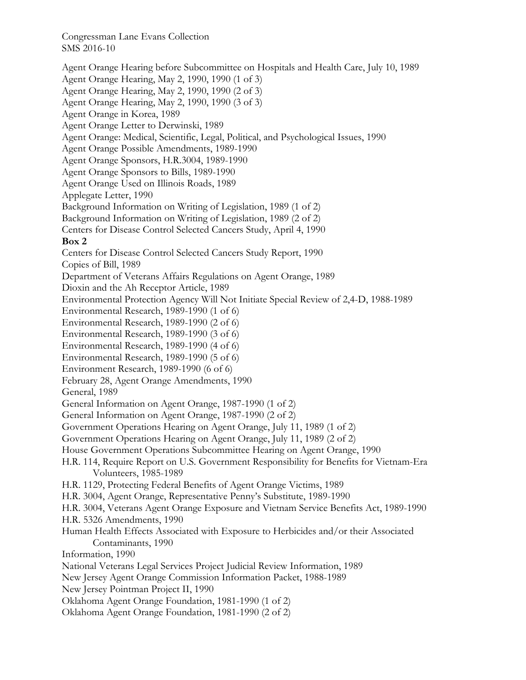Agent Orange Hearing before Subcommittee on Hospitals and Health Care, July 10, 1989 Agent Orange Hearing, May 2, 1990, 1990 (1 of 3) Agent Orange Hearing, May 2, 1990, 1990 (2 of 3) Agent Orange Hearing, May 2, 1990, 1990 (3 of 3) Agent Orange in Korea, 1989 Agent Orange Letter to Derwinski, 1989 Agent Orange: Medical, Scientific, Legal, Political, and Psychological Issues, 1990 Agent Orange Possible Amendments, 1989-1990 Agent Orange Sponsors, H.R.3004, 1989-1990 Agent Orange Sponsors to Bills, 1989-1990 Agent Orange Used on Illinois Roads, 1989 Applegate Letter, 1990 Background Information on Writing of Legislation, 1989 (1 of 2) Background Information on Writing of Legislation, 1989 (2 of 2) Centers for Disease Control Selected Cancers Study, April 4, 1990 **Box 2**  Centers for Disease Control Selected Cancers Study Report, 1990 Copies of Bill, 1989 Department of Veterans Affairs Regulations on Agent Orange, 1989 Dioxin and the Ah Receptor Article, 1989 Environmental Protection Agency Will Not Initiate Special Review of 2,4-D, 1988-1989 Environmental Research, 1989-1990 (1 of 6) Environmental Research, 1989-1990 (2 of 6) Environmental Research, 1989-1990 (3 of 6) Environmental Research, 1989-1990 (4 of 6) Environmental Research, 1989-1990 (5 of 6) Environment Research, 1989-1990 (6 of 6) February 28, Agent Orange Amendments, 1990 General, 1989 General Information on Agent Orange, 1987-1990 (1 of 2) General Information on Agent Orange, 1987-1990 (2 of 2) Government Operations Hearing on Agent Orange, July 11, 1989 (1 of 2) Government Operations Hearing on Agent Orange, July 11, 1989 (2 of 2) House Government Operations Subcommittee Hearing on Agent Orange, 1990 H.R. 114, Require Report on U.S. Government Responsibility for Benefits for Vietnam-Era Volunteers, 1985-1989 H.R. 1129, Protecting Federal Benefits of Agent Orange Victims, 1989 H.R. 3004, Agent Orange, Representative Penny's Substitute, 1989-1990 H.R. 3004, Veterans Agent Orange Exposure and Vietnam Service Benefits Act, 1989-1990 H.R. 5326 Amendments, 1990 Human Health Effects Associated with Exposure to Herbicides and/or their Associated Contaminants, 1990 Information, 1990 National Veterans Legal Services Project Judicial Review Information, 1989 New Jersey Agent Orange Commission Information Packet, 1988-1989 New Jersey Pointman Project II, 1990 Oklahoma Agent Orange Foundation, 1981-1990 (1 of 2) Oklahoma Agent Orange Foundation, 1981-1990 (2 of 2)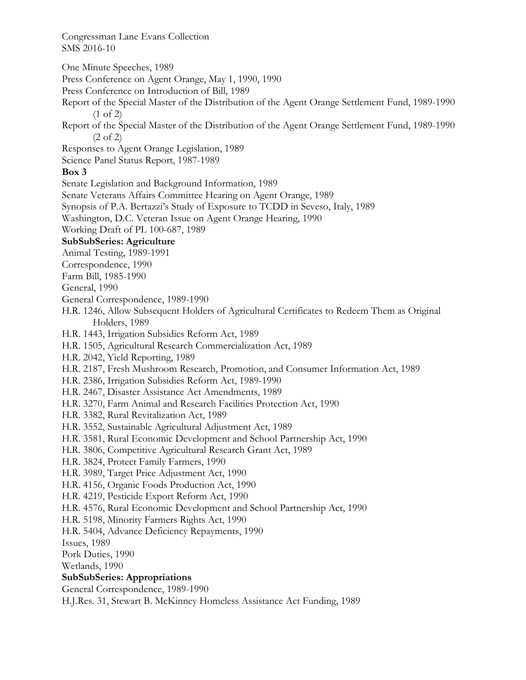One Minute Speeches, 1989

Press Conference on Agent Orange, May 1, 1990, 1990

Press Conference on Introduction of Bill, 1989

Report of the Special Master of the Distribution of the Agent Orange Settlement Fund, 1989-1990 (1 of 2)

Report of the Special Master of the Distribution of the Agent Orange Settlement Fund, 1989-1990 (2 of 2)

Responses to Agent Orange Legislation, 1989

Science Panel Status Report, 1987-1989

### **Box 3**

Senate Legislation and Background Information, 1989

Senate Veterans Affairs Committee Hearing on Agent Orange, 1989

Synopsis of P.A. Bertazzi's Study of Exposure to TCDD in Seveso, Italy, 1989

Washington, D.C. Veteran Issue on Agent Orange Hearing, 1990

Working Draft of PL 100-687, 1989

### **SubSubSeries: Agriculture**

Animal Testing, 1989-1991

Correspondence, 1990

Farm Bill, 1985-1990

General, 1990

General Correspondence, 1989-1990

H.R. 1246, Allow Subsequent Holders of Agricultural Certificates to Redeem Them as Original Holders, 1989

H.R. 1443, Irrigation Subsidies Reform Act, 1989

H.R. 1505, Agricultural Research Commercialization Act, 1989

H.R. 2042, Yield Reporting, 1989

H.R. 2187, Fresh Mushroom Research, Promotion, and Consumer Information Act, 1989

H.R. 2386, Irrigation Subsidies Reform Act, 1989-1990

H.R. 2467, Disaster Assistance Act Amendments, 1989

H.R. 3270, Farm Animal and Research Facilities Protection Act, 1990

H.R. 3382, Rural Revitalization Act, 1989

H.R. 3552, Sustainable Agricultural Adjustment Act, 1989

- H.R. 3581, Rural Economic Development and School Partnership Act, 1990
- H.R. 3806, Competitive Agricultural Research Grant Act, 1989
- H.R. 3824, Protect Family Farmers, 1990
- H.R. 3989, Target Price Adjustment Act, 1990
- H.R. 4156, Organic Foods Production Act, 1990
- H.R. 4219, Pesticide Export Reform Act, 1990
- H.R. 4576, Rural Economic Development and School Partnership Act, 1990

H.R. 5198, Minority Farmers Rights Act, 1990

H.R. 5404, Advance Deficiency Repayments, 1990

Issues, 1989

Pork Duties, 1990

Wetlands, 1990

### **SubSubSeries: Appropriations**

General Correspondence, 1989-1990

H.J.Res. 31, Stewart B. McKinney Homeless Assistance Act Funding, 1989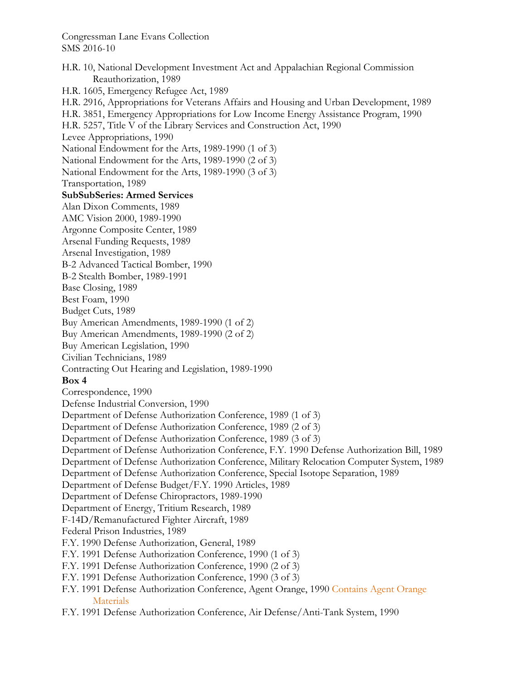H.R. 10, National Development Investment Act and Appalachian Regional Commission Reauthorization, 1989 H.R. 1605, Emergency Refugee Act, 1989 H.R. 2916, Appropriations for Veterans Affairs and Housing and Urban Development, 1989 H.R. 3851, Emergency Appropriations for Low Income Energy Assistance Program, 1990 H.R. 5257, Title V of the Library Services and Construction Act, 1990 Levee Appropriations, 1990 National Endowment for the Arts, 1989-1990 (1 of 3) National Endowment for the Arts, 1989-1990 (2 of 3) National Endowment for the Arts, 1989-1990 (3 of 3) Transportation, 1989 **SubSubSeries: Armed Services**  Alan Dixon Comments, 1989 AMC Vision 2000, 1989-1990 Argonne Composite Center, 1989 Arsenal Funding Requests, 1989 Arsenal Investigation, 1989 B-2 Advanced Tactical Bomber, 1990 B-2 Stealth Bomber, 1989-1991 Base Closing, 1989 Best Foam, 1990 Budget Cuts, 1989 Buy American Amendments, 1989-1990 (1 of 2) Buy American Amendments, 1989-1990 (2 of 2) Buy American Legislation, 1990 Civilian Technicians, 1989 Contracting Out Hearing and Legislation, 1989-1990 **Box 4**  Correspondence, 1990 Defense Industrial Conversion, 1990 Department of Defense Authorization Conference, 1989 (1 of 3) Department of Defense Authorization Conference, 1989 (2 of 3) Department of Defense Authorization Conference, 1989 (3 of 3) Department of Defense Authorization Conference, F.Y. 1990 Defense Authorization Bill, 1989 Department of Defense Authorization Conference, Military Relocation Computer System, 1989 Department of Defense Authorization Conference, Special Isotope Separation, 1989 Department of Defense Budget/F.Y. 1990 Articles, 1989 Department of Defense Chiropractors, 1989-1990 Department of Energy, Tritium Research, 1989 F-14D/Remanufactured Fighter Aircraft, 1989 Federal Prison Industries, 1989 F.Y. 1990 Defense Authorization, General, 1989 F.Y. 1991 Defense Authorization Conference, 1990 (1 of 3) F.Y. 1991 Defense Authorization Conference, 1990 (2 of 3) F.Y. 1991 Defense Authorization Conference, 1990 (3 of 3) F.Y. 1991 Defense Authorization Conference, Agent Orange, 1990 Contains Agent Orange **Materials** 

F.Y. 1991 Defense Authorization Conference, Air Defense/Anti-Tank System, 1990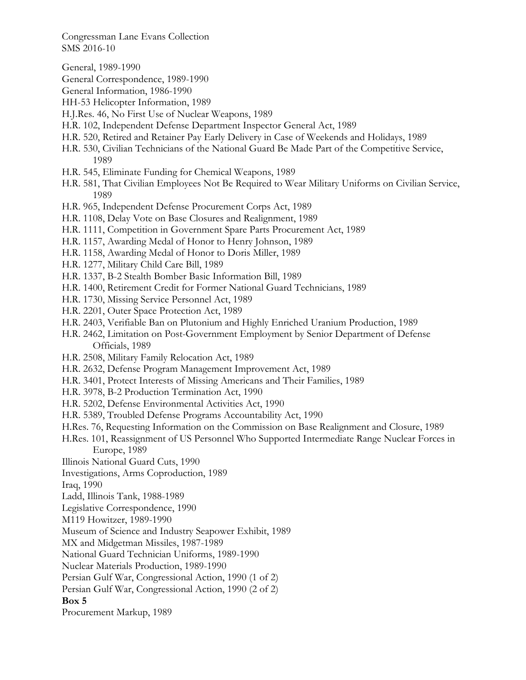General, 1989-1990

- General Correspondence, 1989-1990
- General Information, 1986-1990
- HH-53 Helicopter Information, 1989
- H.J.Res. 46, No First Use of Nuclear Weapons, 1989
- H.R. 102, Independent Defense Department Inspector General Act, 1989
- H.R. 520, Retired and Retainer Pay Early Delivery in Case of Weekends and Holidays, 1989
- H.R. 530, Civilian Technicians of the National Guard Be Made Part of the Competitive Service, 1989
- H.R. 545, Eliminate Funding for Chemical Weapons, 1989
- H.R. 581, That Civilian Employees Not Be Required to Wear Military Uniforms on Civilian Service, 1989
- H.R. 965, Independent Defense Procurement Corps Act, 1989
- H.R. 1108, Delay Vote on Base Closures and Realignment, 1989
- H.R. 1111, Competition in Government Spare Parts Procurement Act, 1989
- H.R. 1157, Awarding Medal of Honor to Henry Johnson, 1989
- H.R. 1158, Awarding Medal of Honor to Doris Miller, 1989
- H.R. 1277, Military Child Care Bill, 1989
- H.R. 1337, B-2 Stealth Bomber Basic Information Bill, 1989
- H.R. 1400, Retirement Credit for Former National Guard Technicians, 1989
- H.R. 1730, Missing Service Personnel Act, 1989
- H.R. 2201, Outer Space Protection Act, 1989
- H.R. 2403, Verifiable Ban on Plutonium and Highly Enriched Uranium Production, 1989
- H.R. 2462, Limitation on Post-Government Employment by Senior Department of Defense Officials, 1989
- H.R. 2508, Military Family Relocation Act, 1989
- H.R. 2632, Defense Program Management Improvement Act, 1989
- H.R. 3401, Protect Interests of Missing Americans and Their Families, 1989
- H.R. 3978, B-2 Production Termination Act, 1990
- H.R. 5202, Defense Environmental Activities Act, 1990
- H.R. 5389, Troubled Defense Programs Accountability Act, 1990
- H.Res. 76, Requesting Information on the Commission on Base Realignment and Closure, 1989
- H.Res. 101, Reassignment of US Personnel Who Supported Intermediate Range Nuclear Forces in Europe, 1989
- Illinois National Guard Cuts, 1990
- Investigations, Arms Coproduction, 1989
- Iraq, 1990
- Ladd, Illinois Tank, 1988-1989
- Legislative Correspondence, 1990
- M119 Howitzer, 1989-1990
- Museum of Science and Industry Seapower Exhibit, 1989
- MX and Midgetman Missiles, 1987-1989
- National Guard Technician Uniforms, 1989-1990
- Nuclear Materials Production, 1989-1990
- Persian Gulf War, Congressional Action, 1990 (1 of 2)
- Persian Gulf War, Congressional Action, 1990 (2 of 2)

#### **Box 5**

Procurement Markup, 1989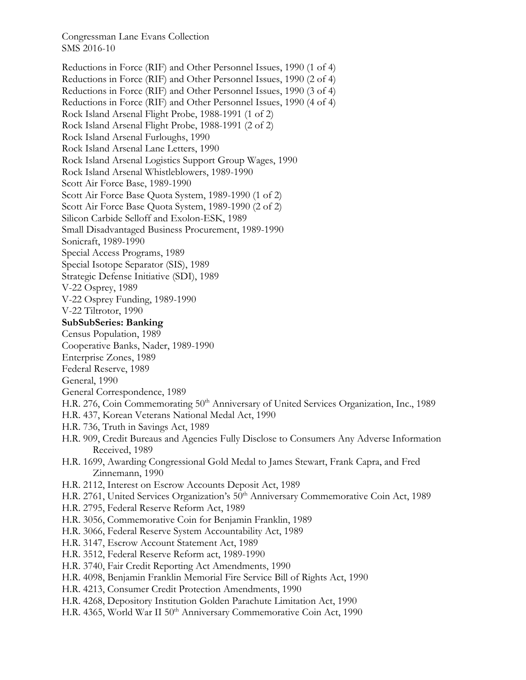Reductions in Force (RIF) and Other Personnel Issues, 1990 (1 of 4) Reductions in Force (RIF) and Other Personnel Issues, 1990 (2 of 4) Reductions in Force (RIF) and Other Personnel Issues, 1990 (3 of 4) Reductions in Force (RIF) and Other Personnel Issues, 1990 (4 of 4) Rock Island Arsenal Flight Probe, 1988-1991 (1 of 2) Rock Island Arsenal Flight Probe, 1988-1991 (2 of 2) Rock Island Arsenal Furloughs, 1990 Rock Island Arsenal Lane Letters, 1990 Rock Island Arsenal Logistics Support Group Wages, 1990 Rock Island Arsenal Whistleblowers, 1989-1990 Scott Air Force Base, 1989-1990 Scott Air Force Base Quota System, 1989-1990 (1 of 2) Scott Air Force Base Quota System, 1989-1990 (2 of 2) Silicon Carbide Selloff and Exolon-ESK, 1989 Small Disadvantaged Business Procurement, 1989-1990 Sonicraft, 1989-1990 Special Access Programs, 1989 Special Isotope Separator (SIS), 1989 Strategic Defense Initiative (SDI), 1989 V-22 Osprey, 1989 V-22 Osprey Funding, 1989-1990 V-22 Tiltrotor, 1990 **SubSubSeries: Banking**  Census Population, 1989 Cooperative Banks, Nader, 1989-1990 Enterprise Zones, 1989 Federal Reserve, 1989 General, 1990 General Correspondence, 1989 H.R. 276, Coin Commemorating 50<sup>th</sup> Anniversary of United Services Organization, Inc., 1989 H.R. 437, Korean Veterans National Medal Act, 1990 H.R. 736, Truth in Savings Act, 1989 H.R. 909, Credit Bureaus and Agencies Fully Disclose to Consumers Any Adverse Information Received, 1989 H.R. 1699, Awarding Congressional Gold Medal to James Stewart, Frank Capra, and Fred Zinnemann, 1990 H.R. 2112, Interest on Escrow Accounts Deposit Act, 1989 H.R. 2761, United Services Organization's 50<sup>th</sup> Anniversary Commemorative Coin Act, 1989 H.R. 2795, Federal Reserve Reform Act, 1989 H.R. 3056, Commemorative Coin for Benjamin Franklin, 1989 H.R. 3066, Federal Reserve System Accountability Act, 1989 H.R. 3147, Escrow Account Statement Act, 1989 H.R. 3512, Federal Reserve Reform act, 1989-1990 H.R. 3740, Fair Credit Reporting Act Amendments, 1990 H.R. 4098, Benjamin Franklin Memorial Fire Service Bill of Rights Act, 1990 H.R. 4213, Consumer Credit Protection Amendments, 1990 H.R. 4268, Depository Institution Golden Parachute Limitation Act, 1990 H.R. 4365, World War II 50<sup>th</sup> Anniversary Commemorative Coin Act, 1990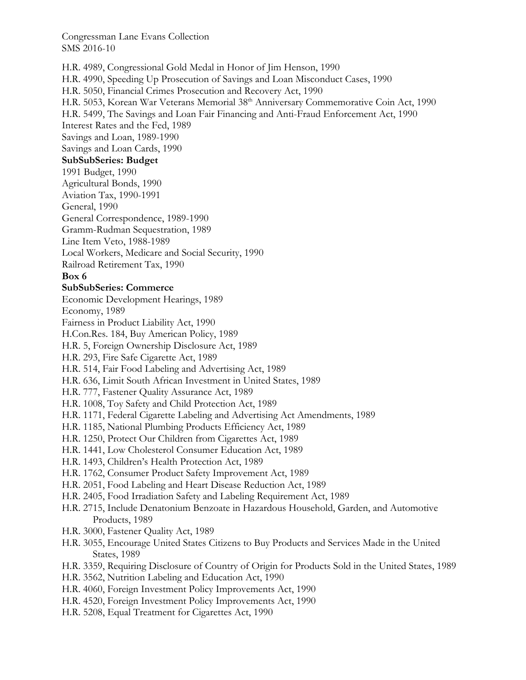H.R. 4989, Congressional Gold Medal in Honor of Jim Henson, 1990 H.R. 4990, Speeding Up Prosecution of Savings and Loan Misconduct Cases, 1990 H.R. 5050, Financial Crimes Prosecution and Recovery Act, 1990 H.R. 5053, Korean War Veterans Memorial 38<sup>th</sup> Anniversary Commemorative Coin Act, 1990 H.R. 5499, The Savings and Loan Fair Financing and Anti-Fraud Enforcement Act, 1990 Interest Rates and the Fed, 1989 Savings and Loan, 1989-1990 Savings and Loan Cards, 1990 **SubSubSeries: Budget**  1991 Budget, 1990 Agricultural Bonds, 1990 Aviation Tax, 1990-1991 General, 1990 General Correspondence, 1989-1990 Gramm-Rudman Sequestration, 1989 Line Item Veto, 1988-1989 Local Workers, Medicare and Social Security, 1990 Railroad Retirement Tax, 1990 **Box 6 SubSubSeries: Commerce**  Economic Development Hearings, 1989 Economy, 1989 Fairness in Product Liability Act, 1990 H.Con.Res. 184, Buy American Policy, 1989 H.R. 5, Foreign Ownership Disclosure Act, 1989 H.R. 293, Fire Safe Cigarette Act, 1989 H.R. 514, Fair Food Labeling and Advertising Act, 1989 H.R. 636, Limit South African Investment in United States, 1989 H.R. 777, Fastener Quality Assurance Act, 1989 H.R. 1008, Toy Safety and Child Protection Act, 1989 H.R. 1171, Federal Cigarette Labeling and Advertising Act Amendments, 1989 H.R. 1185, National Plumbing Products Efficiency Act, 1989 H.R. 1250, Protect Our Children from Cigarettes Act, 1989 H.R. 1441, Low Cholesterol Consumer Education Act, 1989 H.R. 1493, Children's Health Protection Act, 1989 H.R. 1762, Consumer Product Safety Improvement Act, 1989 H.R. 2051, Food Labeling and Heart Disease Reduction Act, 1989 H.R. 2405, Food Irradiation Safety and Labeling Requirement Act, 1989 H.R. 2715, Include Denatonium Benzoate in Hazardous Household, Garden, and Automotive Products, 1989 H.R. 3000, Fastener Quality Act, 1989 H.R. 3055, Encourage United States Citizens to Buy Products and Services Made in the United States, 1989 H.R. 3359, Requiring Disclosure of Country of Origin for Products Sold in the United States, 1989 H.R. 3562, Nutrition Labeling and Education Act, 1990 H.R. 4060, Foreign Investment Policy Improvements Act, 1990 H.R. 4520, Foreign Investment Policy Improvements Act, 1990 H.R. 5208, Equal Treatment for Cigarettes Act, 1990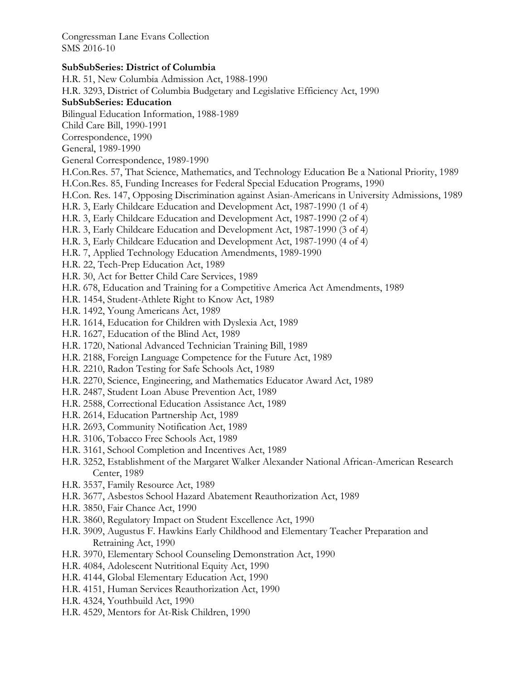#### **SubSubSeries: District of Columbia**

H.R. 51, New Columbia Admission Act, 1988-1990 H.R. 3293, District of Columbia Budgetary and Legislative Efficiency Act, 1990 **SubSubSeries: Education**  Bilingual Education Information, 1988-1989 Child Care Bill, 1990-1991 Correspondence, 1990 General, 1989-1990 General Correspondence, 1989-1990 H.Con.Res. 57, That Science, Mathematics, and Technology Education Be a National Priority, 1989 H.Con.Res. 85, Funding Increases for Federal Special Education Programs, 1990 H.Con. Res. 147, Opposing Discrimination against Asian-Americans in University Admissions, 1989 H.R. 3, Early Childcare Education and Development Act, 1987-1990 (1 of 4) H.R. 3, Early Childcare Education and Development Act, 1987-1990 (2 of 4) H.R. 3, Early Childcare Education and Development Act, 1987-1990 (3 of 4) H.R. 3, Early Childcare Education and Development Act, 1987-1990 (4 of 4) H.R. 7, Applied Technology Education Amendments, 1989-1990 H.R. 22, Tech-Prep Education Act, 1989 H.R. 30, Act for Better Child Care Services, 1989 H.R. 678, Education and Training for a Competitive America Act Amendments, 1989 H.R. 1454, Student-Athlete Right to Know Act, 1989 H.R. 1492, Young Americans Act, 1989 H.R. 1614, Education for Children with Dyslexia Act, 1989 H.R. 1627, Education of the Blind Act, 1989 H.R. 1720, National Advanced Technician Training Bill, 1989 H.R. 2188, Foreign Language Competence for the Future Act, 1989 H.R. 2210, Radon Testing for Safe Schools Act, 1989 H.R. 2270, Science, Engineering, and Mathematics Educator Award Act, 1989 H.R. 2487, Student Loan Abuse Prevention Act, 1989 H.R. 2588, Correctional Education Assistance Act, 1989 H.R. 2614, Education Partnership Act, 1989 H.R. 2693, Community Notification Act, 1989 H.R. 3106, Tobacco Free Schools Act, 1989 H.R. 3161, School Completion and Incentives Act, 1989 H.R. 3252, Establishment of the Margaret Walker Alexander National African-American Research Center, 1989 H.R. 3537, Family Resource Act, 1989 H.R. 3677, Asbestos School Hazard Abatement Reauthorization Act, 1989 H.R. 3850, Fair Chance Act, 1990 H.R. 3860, Regulatory Impact on Student Excellence Act, 1990 H.R. 3909, Augustus F. Hawkins Early Childhood and Elementary Teacher Preparation and Retraining Act, 1990 H.R. 3970, Elementary School Counseling Demonstration Act, 1990 H.R. 4084, Adolescent Nutritional Equity Act, 1990 H.R. 4144, Global Elementary Education Act, 1990 H.R. 4151, Human Services Reauthorization Act, 1990 H.R. 4324, Youthbuild Act, 1990 H.R. 4529, Mentors for At-Risk Children, 1990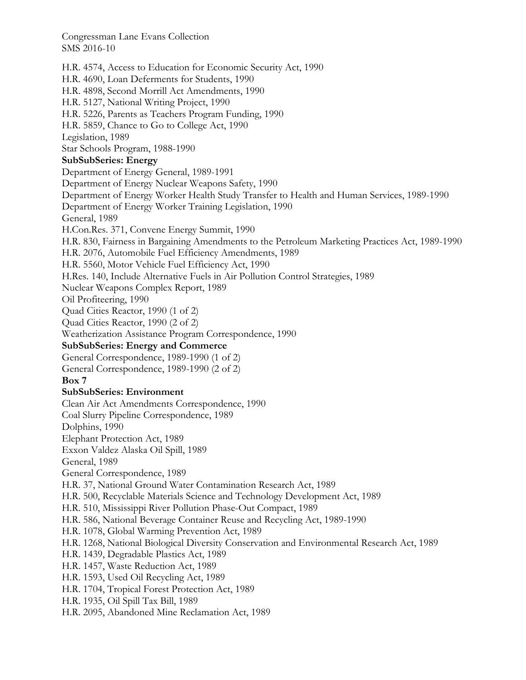H.R. 4574, Access to Education for Economic Security Act, 1990 H.R. 4690, Loan Deferments for Students, 1990 H.R. 4898, Second Morrill Act Amendments, 1990 H.R. 5127, National Writing Project, 1990 H.R. 5226, Parents as Teachers Program Funding, 1990 H.R. 5859, Chance to Go to College Act, 1990 Legislation, 1989 Star Schools Program, 1988-1990 **SubSubSeries: Energy**  Department of Energy General, 1989-1991 Department of Energy Nuclear Weapons Safety, 1990 Department of Energy Worker Health Study Transfer to Health and Human Services, 1989-1990 Department of Energy Worker Training Legislation, 1990 General, 1989 H.Con.Res. 371, Convene Energy Summit, 1990 H.R. 830, Fairness in Bargaining Amendments to the Petroleum Marketing Practices Act, 1989-1990 H.R. 2076, Automobile Fuel Efficiency Amendments, 1989 H.R. 5560, Motor Vehicle Fuel Efficiency Act, 1990 H.Res. 140, Include Alternative Fuels in Air Pollution Control Strategies, 1989 Nuclear Weapons Complex Report, 1989 Oil Profiteering, 1990 Quad Cities Reactor, 1990 (1 of 2) Quad Cities Reactor, 1990 (2 of 2) Weatherization Assistance Program Correspondence, 1990 **SubSubSeries: Energy and Commerce**  General Correspondence, 1989-1990 (1 of 2) General Correspondence, 1989-1990 (2 of 2) **Box 7 SubSubSeries: Environment**  Clean Air Act Amendments Correspondence, 1990 Coal Slurry Pipeline Correspondence, 1989 Dolphins, 1990 Elephant Protection Act, 1989 Exxon Valdez Alaska Oil Spill, 1989 General, 1989 General Correspondence, 1989 H.R. 37, National Ground Water Contamination Research Act, 1989 H.R. 500, Recyclable Materials Science and Technology Development Act, 1989 H.R. 510, Mississippi River Pollution Phase-Out Compact, 1989 H.R. 586, National Beverage Container Reuse and Recycling Act, 1989-1990 H.R. 1078, Global Warming Prevention Act, 1989 H.R. 1268, National Biological Diversity Conservation and Environmental Research Act, 1989 H.R. 1439, Degradable Plastics Act, 1989 H.R. 1457, Waste Reduction Act, 1989 H.R. 1593, Used Oil Recycling Act, 1989 H.R. 1704, Tropical Forest Protection Act, 1989 H.R. 1935, Oil Spill Tax Bill, 1989 H.R. 2095, Abandoned Mine Reclamation Act, 1989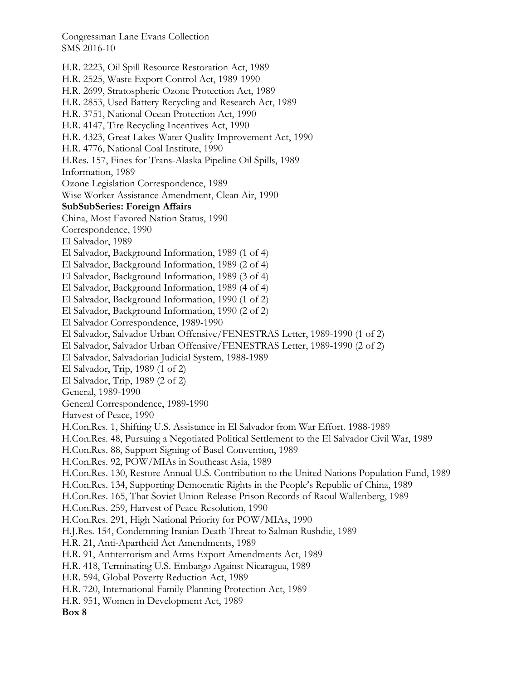H.R. 2223, Oil Spill Resource Restoration Act, 1989 H.R. 2525, Waste Export Control Act, 1989-1990 H.R. 2699, Stratospheric Ozone Protection Act, 1989 H.R. 2853, Used Battery Recycling and Research Act, 1989 H.R. 3751, National Ocean Protection Act, 1990 H.R. 4147, Tire Recycling Incentives Act, 1990 H.R. 4323, Great Lakes Water Quality Improvement Act, 1990 H.R. 4776, National Coal Institute, 1990 H.Res. 157, Fines for Trans-Alaska Pipeline Oil Spills, 1989 Information, 1989 Ozone Legislation Correspondence, 1989 Wise Worker Assistance Amendment, Clean Air, 1990 **SubSubSeries: Foreign Affairs**  China, Most Favored Nation Status, 1990 Correspondence, 1990 El Salvador, 1989 El Salvador, Background Information, 1989 (1 of 4) El Salvador, Background Information, 1989 (2 of 4) El Salvador, Background Information, 1989 (3 of 4) El Salvador, Background Information, 1989 (4 of 4) El Salvador, Background Information, 1990 (1 of 2) El Salvador, Background Information, 1990 (2 of 2) El Salvador Correspondence, 1989-1990 El Salvador, Salvador Urban Offensive/FENESTRAS Letter, 1989-1990 (1 of 2) El Salvador, Salvador Urban Offensive/FENESTRAS Letter, 1989-1990 (2 of 2) El Salvador, Salvadorian Judicial System, 1988-1989 El Salvador, Trip, 1989 (1 of 2) El Salvador, Trip, 1989 (2 of 2) General, 1989-1990 General Correspondence, 1989-1990 Harvest of Peace, 1990 H.Con.Res. 1, Shifting U.S. Assistance in El Salvador from War Effort. 1988-1989 H.Con.Res. 48, Pursuing a Negotiated Political Settlement to the El Salvador Civil War, 1989 H.Con.Res. 88, Support Signing of Basel Convention, 1989 H.Con.Res. 92, POW/MIAs in Southeast Asia, 1989 H.Con.Res. 130, Restore Annual U.S. Contribution to the United Nations Population Fund, 1989 H.Con.Res. 134, Supporting Democratic Rights in the People's Republic of China, 1989 H.Con.Res. 165, That Soviet Union Release Prison Records of Raoul Wallenberg, 1989 H.Con.Res. 259, Harvest of Peace Resolution, 1990 H.Con.Res. 291, High National Priority for POW/MIAs, 1990 H.J.Res. 154, Condemning Iranian Death Threat to Salman Rushdie, 1989 H.R. 21, Anti-Apartheid Act Amendments, 1989 H.R. 91, Antiterrorism and Arms Export Amendments Act, 1989 H.R. 418, Terminating U.S. Embargo Against Nicaragua, 1989 H.R. 594, Global Poverty Reduction Act, 1989 H.R. 720, International Family Planning Protection Act, 1989 H.R. 951, Women in Development Act, 1989 **Box 8**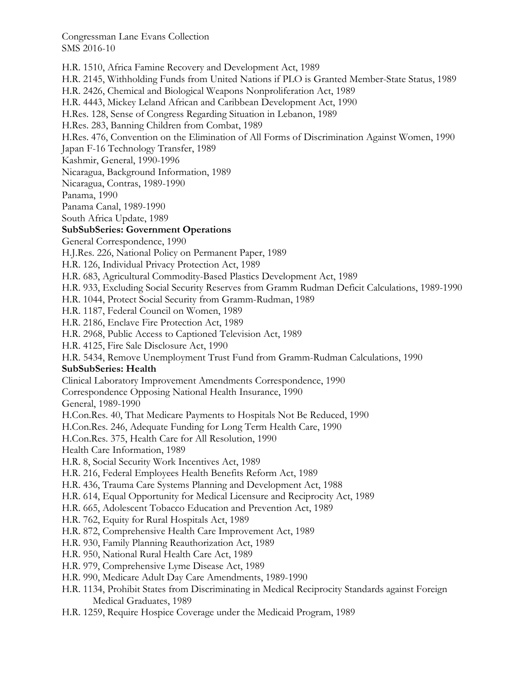H.R. 1510, Africa Famine Recovery and Development Act, 1989 H.R. 2145, Withholding Funds from United Nations if PLO is Granted Member-State Status, 1989 H.R. 2426, Chemical and Biological Weapons Nonproliferation Act, 1989 H.R. 4443, Mickey Leland African and Caribbean Development Act, 1990 H.Res. 128, Sense of Congress Regarding Situation in Lebanon, 1989 H.Res. 283, Banning Children from Combat, 1989 H.Res. 476, Convention on the Elimination of All Forms of Discrimination Against Women, 1990 Japan F-16 Technology Transfer, 1989 Kashmir, General, 1990-1996 Nicaragua, Background Information, 1989 Nicaragua, Contras, 1989-1990 Panama, 1990 Panama Canal, 1989-1990 South Africa Update, 1989 **SubSubSeries: Government Operations**  General Correspondence, 1990 H.J.Res. 226, National Policy on Permanent Paper, 1989 H.R. 126, Individual Privacy Protection Act, 1989 H.R. 683, Agricultural Commodity-Based Plastics Development Act, 1989 H.R. 933, Excluding Social Security Reserves from Gramm Rudman Deficit Calculations, 1989-1990 H.R. 1044, Protect Social Security from Gramm-Rudman, 1989 H.R. 1187, Federal Council on Women, 1989 H.R. 2186, Enclave Fire Protection Act, 1989 H.R. 2968, Public Access to Captioned Television Act, 1989 H.R. 4125, Fire Sale Disclosure Act, 1990 H.R. 5434, Remove Unemployment Trust Fund from Gramm-Rudman Calculations, 1990 **SubSubSeries: Health**  Clinical Laboratory Improvement Amendments Correspondence, 1990 Correspondence Opposing National Health Insurance, 1990 General, 1989-1990 H.Con.Res. 40, That Medicare Payments to Hospitals Not Be Reduced, 1990 H.Con.Res. 246, Adequate Funding for Long Term Health Care, 1990 H.Con.Res. 375, Health Care for All Resolution, 1990 Health Care Information, 1989 H.R. 8, Social Security Work Incentives Act, 1989 H.R. 216, Federal Employees Health Benefits Reform Act, 1989 H.R. 436, Trauma Care Systems Planning and Development Act, 1988 H.R. 614, Equal Opportunity for Medical Licensure and Reciprocity Act, 1989 H.R. 665, Adolescent Tobacco Education and Prevention Act, 1989 H.R. 762, Equity for Rural Hospitals Act, 1989 H.R. 872, Comprehensive Health Care Improvement Act, 1989 H.R. 930, Family Planning Reauthorization Act, 1989 H.R. 950, National Rural Health Care Act, 1989 H.R. 979, Comprehensive Lyme Disease Act, 1989 H.R. 990, Medicare Adult Day Care Amendments, 1989-1990 H.R. 1134, Prohibit States from Discriminating in Medical Reciprocity Standards against Foreign Medical Graduates, 1989 H.R. 1259, Require Hospice Coverage under the Medicaid Program, 1989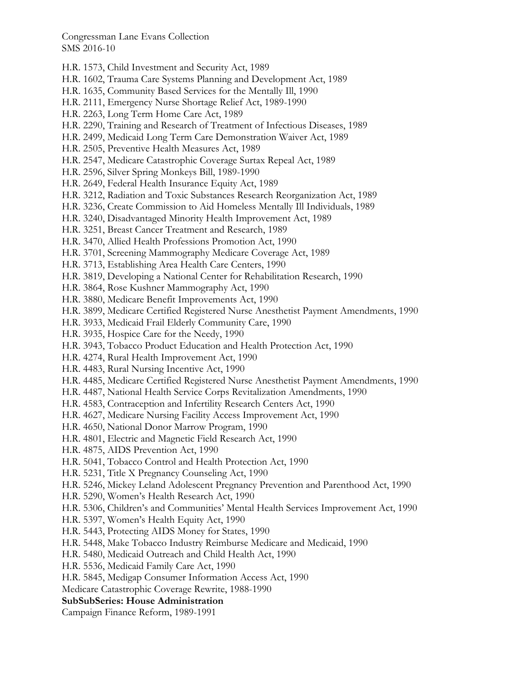- H.R. 1573, Child Investment and Security Act, 1989
- H.R. 1602, Trauma Care Systems Planning and Development Act, 1989
- H.R. 1635, Community Based Services for the Mentally Ill, 1990
- H.R. 2111, Emergency Nurse Shortage Relief Act, 1989-1990
- H.R. 2263, Long Term Home Care Act, 1989
- H.R. 2290, Training and Research of Treatment of Infectious Diseases, 1989
- H.R. 2499, Medicaid Long Term Care Demonstration Waiver Act, 1989
- H.R. 2505, Preventive Health Measures Act, 1989
- H.R. 2547, Medicare Catastrophic Coverage Surtax Repeal Act, 1989
- H.R. 2596, Silver Spring Monkeys Bill, 1989-1990
- H.R. 2649, Federal Health Insurance Equity Act, 1989
- H.R. 3212, Radiation and Toxic Substances Research Reorganization Act, 1989
- H.R. 3236, Create Commission to Aid Homeless Mentally Ill Individuals, 1989
- H.R. 3240, Disadvantaged Minority Health Improvement Act, 1989
- H.R. 3251, Breast Cancer Treatment and Research, 1989
- H.R. 3470, Allied Health Professions Promotion Act, 1990
- H.R. 3701, Screening Mammography Medicare Coverage Act, 1989
- H.R. 3713, Establishing Area Health Care Centers, 1990
- H.R. 3819, Developing a National Center for Rehabilitation Research, 1990
- H.R. 3864, Rose Kushner Mammography Act, 1990
- H.R. 3880, Medicare Benefit Improvements Act, 1990
- H.R. 3899, Medicare Certified Registered Nurse Anesthetist Payment Amendments, 1990
- H.R. 3933, Medicaid Frail Elderly Community Care, 1990
- H.R. 3935, Hospice Care for the Needy, 1990
- H.R. 3943, Tobacco Product Education and Health Protection Act, 1990
- H.R. 4274, Rural Health Improvement Act, 1990
- H.R. 4483, Rural Nursing Incentive Act, 1990
- H.R. 4485, Medicare Certified Registered Nurse Anesthetist Payment Amendments, 1990
- H.R. 4487, National Health Service Corps Revitalization Amendments, 1990
- H.R. 4583, Contraception and Infertility Research Centers Act, 1990
- H.R. 4627, Medicare Nursing Facility Access Improvement Act, 1990
- H.R. 4650, National Donor Marrow Program, 1990
- H.R. 4801, Electric and Magnetic Field Research Act, 1990
- H.R. 4875, AIDS Prevention Act, 1990
- H.R. 5041, Tobacco Control and Health Protection Act, 1990
- H.R. 5231, Title X Pregnancy Counseling Act, 1990
- H.R. 5246, Mickey Leland Adolescent Pregnancy Prevention and Parenthood Act, 1990
- H.R. 5290, Women's Health Research Act, 1990
- H.R. 5306, Children's and Communities' Mental Health Services Improvement Act, 1990
- H.R. 5397, Women's Health Equity Act, 1990
- H.R. 5443, Protecting AIDS Money for States, 1990
- H.R. 5448, Make Tobacco Industry Reimburse Medicare and Medicaid, 1990
- H.R. 5480, Medicaid Outreach and Child Health Act, 1990
- H.R. 5536, Medicaid Family Care Act, 1990
- H.R. 5845, Medigap Consumer Information Access Act, 1990
- Medicare Catastrophic Coverage Rewrite, 1988-1990

#### **SubSubSeries: House Administration**

Campaign Finance Reform, 1989-1991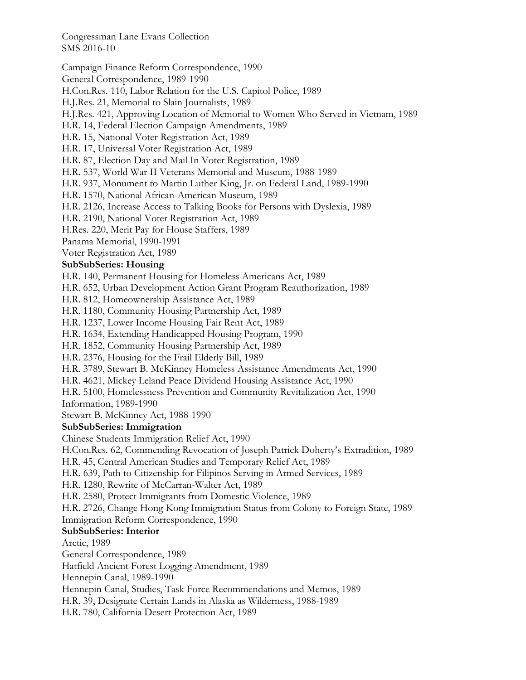Campaign Finance Reform Correspondence, 1990

General Correspondence, 1989-1990

H.Con.Res. 110, Labor Relation for the U.S. Capitol Police, 1989

H.J.Res. 21, Memorial to Slain Journalists, 1989

H.J.Res. 421, Approving Location of Memorial to Women Who Served in Vietnam, 1989

H.R. 14, Federal Election Campaign Amendments, 1989

H.R. 15, National Voter Registration Act, 1989

H.R. 17, Universal Voter Registration Act, 1989

H.R. 87, Election Day and Mail In Voter Registration, 1989

H.R. 537, World War II Veterans Memorial and Museum, 1988-1989

H.R. 937, Monument to Martin Luther King, Jr. on Federal Land, 1989-1990

H.R. 1570, National African-American Museum, 1989

H.R. 2126, Increase Access to Talking Books for Persons with Dyslexia, 1989

H.R. 2190, National Voter Registration Act, 1989

H.Res. 220, Merit Pay for House Staffers, 1989

Panama Memorial, 1990-1991

Voter Registration Act, 1989

## **SubSubSeries: Housing**

H.R. 140, Permanent Housing for Homeless Americans Act, 1989

H.R. 652, Urban Development Action Grant Program Reauthorization, 1989

H.R. 812, Homeownership Assistance Act, 1989

H.R. 1180, Community Housing Partnership Act, 1989

H.R. 1237, Lower Income Housing Fair Rent Act, 1989

H.R. 1634, Extending Handicapped Housing Program, 1990

H.R. 1852, Community Housing Partnership Act, 1989

H.R. 2376, Housing for the Frail Elderly Bill, 1989

H.R. 3789, Stewart B. McKinney Homeless Assistance Amendments Act, 1990

H.R. 4621, Mickey Leland Peace Dividend Housing Assistance Act, 1990

H.R. 5100, Homelessness Prevention and Community Revitalization Act, 1990

Information, 1989-1990

Stewart B. McKinney Act, 1988-1990

## **SubSubSeries: Immigration**

Chinese Students Immigration Relief Act, 1990

H.Con.Res. 62, Commending Revocation of Joseph Patrick Doherty's Extradition, 1989

H.R. 45, Central American Studies and Temporary Relief Act, 1989

H.R. 639, Path to Citizenship for Filipinos Serving in Armed Services, 1989

H.R. 1280, Rewrite of McCarran-Walter Act, 1989

H.R. 2580, Protect Immigrants from Domestic Violence, 1989

H.R. 2726, Change Hong Kong Immigration Status from Colony to Foreign State, 1989 Immigration Reform Correspondence, 1990

# **SubSubSeries: Interior**

Arctic, 1989

General Correspondence, 1989

Hatfield Ancient Forest Logging Amendment, 1989

Hennepin Canal, 1989-1990

Hennepin Canal, Studies, Task Force Recommendations and Memos, 1989

H.R. 39, Designate Certain Lands in Alaska as Wilderness, 1988-1989

H.R. 780, California Desert Protection Act, 1989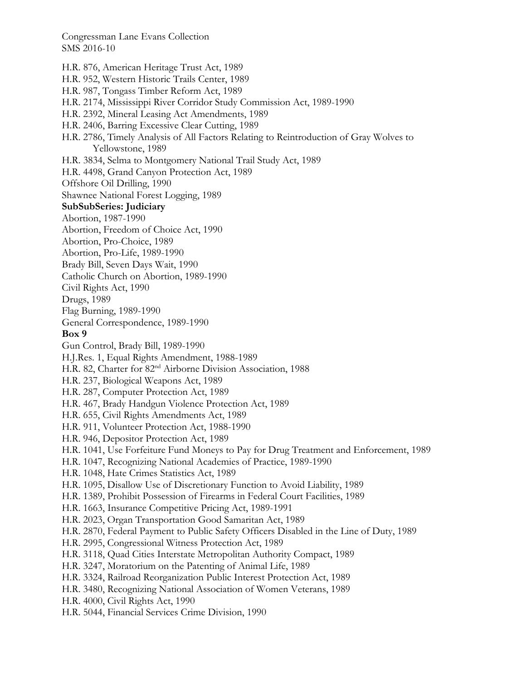- H.R. 876, American Heritage Trust Act, 1989
- H.R. 952, Western Historic Trails Center, 1989
- H.R. 987, Tongass Timber Reform Act, 1989
- H.R. 2174, Mississippi River Corridor Study Commission Act, 1989-1990
- H.R. 2392, Mineral Leasing Act Amendments, 1989
- H.R. 2406, Barring Excessive Clear Cutting, 1989
- H.R. 2786, Timely Analysis of All Factors Relating to Reintroduction of Gray Wolves to Yellowstone, 1989
- H.R. 3834, Selma to Montgomery National Trail Study Act, 1989
- H.R. 4498, Grand Canyon Protection Act, 1989
- Offshore Oil Drilling, 1990

Shawnee National Forest Logging, 1989

#### **SubSubSeries: Judiciary**

- Abortion, 1987-1990
- Abortion, Freedom of Choice Act, 1990
- Abortion, Pro-Choice, 1989
- Abortion, Pro-Life, 1989-1990
- Brady Bill, Seven Days Wait, 1990
- Catholic Church on Abortion, 1989-1990
- Civil Rights Act, 1990
- Drugs, 1989
- Flag Burning, 1989-1990
- General Correspondence, 1989-1990

#### **Box 9**

- Gun Control, Brady Bill, 1989-1990
- H.J.Res. 1, Equal Rights Amendment, 1988-1989
- H.R. 82, Charter for 82<sup>nd</sup> Airborne Division Association, 1988
- H.R. 237, Biological Weapons Act, 1989
- H.R. 287, Computer Protection Act, 1989
- H.R. 467, Brady Handgun Violence Protection Act, 1989
- H.R. 655, Civil Rights Amendments Act, 1989
- H.R. 911, Volunteer Protection Act, 1988-1990
- H.R. 946, Depositor Protection Act, 1989
- H.R. 1041, Use Forfeiture Fund Moneys to Pay for Drug Treatment and Enforcement, 1989
- H.R. 1047, Recognizing National Academies of Practice, 1989-1990
- H.R. 1048, Hate Crimes Statistics Act, 1989
- H.R. 1095, Disallow Use of Discretionary Function to Avoid Liability, 1989
- H.R. 1389, Prohibit Possession of Firearms in Federal Court Facilities, 1989
- H.R. 1663, Insurance Competitive Pricing Act, 1989-1991
- H.R. 2023, Organ Transportation Good Samaritan Act, 1989
- H.R. 2870, Federal Payment to Public Safety Officers Disabled in the Line of Duty, 1989
- H.R. 2995, Congressional Witness Protection Act, 1989
- H.R. 3118, Quad Cities Interstate Metropolitan Authority Compact, 1989
- H.R. 3247, Moratorium on the Patenting of Animal Life, 1989
- H.R. 3324, Railroad Reorganization Public Interest Protection Act, 1989
- H.R. 3480, Recognizing National Association of Women Veterans, 1989
- H.R. 4000, Civil Rights Act, 1990
- H.R. 5044, Financial Services Crime Division, 1990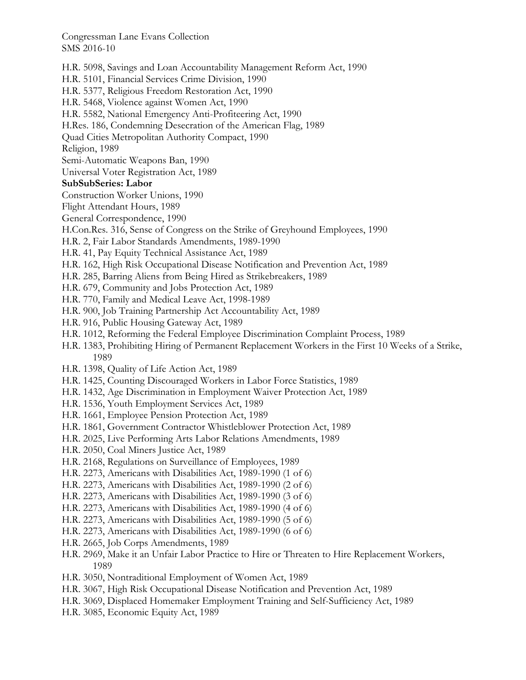- H.R. 5098, Savings and Loan Accountability Management Reform Act, 1990
- H.R. 5101, Financial Services Crime Division, 1990
- H.R. 5377, Religious Freedom Restoration Act, 1990
- H.R. 5468, Violence against Women Act, 1990
- H.R. 5582, National Emergency Anti-Profiteering Act, 1990
- H.Res. 186, Condemning Desecration of the American Flag, 1989
- Quad Cities Metropolitan Authority Compact, 1990

Religion, 1989

- Semi-Automatic Weapons Ban, 1990
- Universal Voter Registration Act, 1989

#### **SubSubSeries: Labor**

Construction Worker Unions, 1990

- Flight Attendant Hours, 1989
- General Correspondence, 1990
- H.Con.Res. 316, Sense of Congress on the Strike of Greyhound Employees, 1990
- H.R. 2, Fair Labor Standards Amendments, 1989-1990
- H.R. 41, Pay Equity Technical Assistance Act, 1989
- H.R. 162, High Risk Occupational Disease Notification and Prevention Act, 1989
- H.R. 285, Barring Aliens from Being Hired as Strikebreakers, 1989
- H.R. 679, Community and Jobs Protection Act, 1989
- H.R. 770, Family and Medical Leave Act, 1998-1989
- H.R. 900, Job Training Partnership Act Accountability Act, 1989
- H.R. 916, Public Housing Gateway Act, 1989
- H.R. 1012, Reforming the Federal Employee Discrimination Complaint Process, 1989
- H.R. 1383, Prohibiting Hiring of Permanent Replacement Workers in the First 10 Weeks of a Strike, 1989
- H.R. 1398, Quality of Life Action Act, 1989
- H.R. 1425, Counting Discouraged Workers in Labor Force Statistics, 1989
- H.R. 1432, Age Discrimination in Employment Waiver Protection Act, 1989
- H.R. 1536, Youth Employment Services Act, 1989
- H.R. 1661, Employee Pension Protection Act, 1989
- H.R. 1861, Government Contractor Whistleblower Protection Act, 1989
- H.R. 2025, Live Performing Arts Labor Relations Amendments, 1989
- H.R. 2050, Coal Miners Justice Act, 1989
- H.R. 2168, Regulations on Surveillance of Employees, 1989
- H.R. 2273, Americans with Disabilities Act, 1989-1990 (1 of 6)
- H.R. 2273, Americans with Disabilities Act, 1989-1990 (2 of 6)
- H.R. 2273, Americans with Disabilities Act, 1989-1990 (3 of 6)
- H.R. 2273, Americans with Disabilities Act, 1989-1990 (4 of 6)
- H.R. 2273, Americans with Disabilities Act, 1989-1990 (5 of 6)
- H.R. 2273, Americans with Disabilities Act, 1989-1990 (6 of 6)
- H.R. 2665, Job Corps Amendments, 1989
- H.R. 2969, Make it an Unfair Labor Practice to Hire or Threaten to Hire Replacement Workers, 1989
- H.R. 3050, Nontraditional Employment of Women Act, 1989
- H.R. 3067, High Risk Occupational Disease Notification and Prevention Act, 1989
- H.R. 3069, Displaced Homemaker Employment Training and Self-Sufficiency Act, 1989
- H.R. 3085, Economic Equity Act, 1989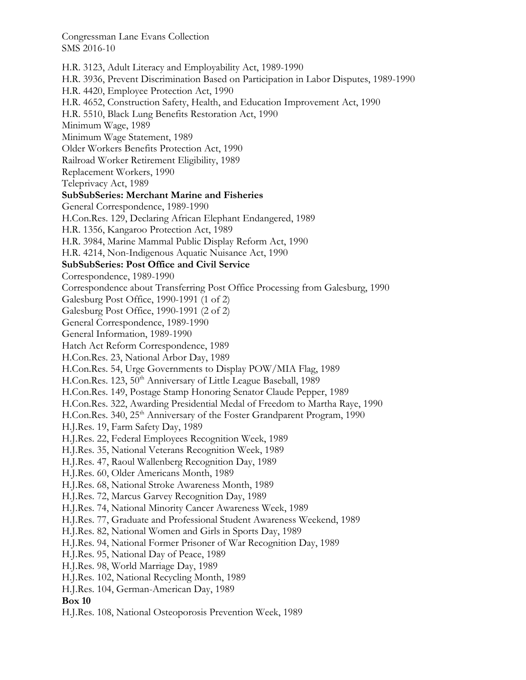H.R. 3123, Adult Literacy and Employability Act, 1989-1990 H.R. 3936, Prevent Discrimination Based on Participation in Labor Disputes, 1989-1990 H.R. 4420, Employee Protection Act, 1990 H.R. 4652, Construction Safety, Health, and Education Improvement Act, 1990 H.R. 5510, Black Lung Benefits Restoration Act, 1990 Minimum Wage, 1989 Minimum Wage Statement, 1989 Older Workers Benefits Protection Act, 1990 Railroad Worker Retirement Eligibility, 1989 Replacement Workers, 1990 Teleprivacy Act, 1989 **SubSubSeries: Merchant Marine and Fisheries**  General Correspondence, 1989-1990 H.Con.Res. 129, Declaring African Elephant Endangered, 1989 H.R. 1356, Kangaroo Protection Act, 1989 H.R. 3984, Marine Mammal Public Display Reform Act, 1990 H.R. 4214, Non-Indigenous Aquatic Nuisance Act, 1990 **SubSubSeries: Post Office and Civil Service**  Correspondence, 1989-1990 Correspondence about Transferring Post Office Processing from Galesburg, 1990 Galesburg Post Office, 1990-1991 (1 of 2) Galesburg Post Office, 1990-1991 (2 of 2) General Correspondence, 1989-1990 General Information, 1989-1990 Hatch Act Reform Correspondence, 1989 H.Con.Res. 23, National Arbor Day, 1989 H.Con.Res. 54, Urge Governments to Display POW/MIA Flag, 1989 H.Con.Res. 123, 50<sup>th</sup> Anniversary of Little League Baseball, 1989 H.Con.Res. 149, Postage Stamp Honoring Senator Claude Pepper, 1989 H.Con.Res. 322, Awarding Presidential Medal of Freedom to Martha Raye, 1990 H.Con.Res. 340, 25<sup>th</sup> Anniversary of the Foster Grandparent Program, 1990 H.J.Res. 19, Farm Safety Day, 1989 H.J.Res. 22, Federal Employees Recognition Week, 1989 H.J.Res. 35, National Veterans Recognition Week, 1989 H.J.Res. 47, Raoul Wallenberg Recognition Day, 1989 H.J.Res. 60, Older Americans Month, 1989 H.J.Res. 68, National Stroke Awareness Month, 1989 H.J.Res. 72, Marcus Garvey Recognition Day, 1989 H.J.Res. 74, National Minority Cancer Awareness Week, 1989 H.J.Res. 77, Graduate and Professional Student Awareness Weekend, 1989 H.J.Res. 82, National Women and Girls in Sports Day, 1989 H.J.Res. 94, National Former Prisoner of War Recognition Day, 1989 H.J.Res. 95, National Day of Peace, 1989 H.J.Res. 98, World Marriage Day, 1989 H.J.Res. 102, National Recycling Month, 1989 H.J.Res. 104, German-American Day, 1989 **Box 10** 

H.J.Res. 108, National Osteoporosis Prevention Week, 1989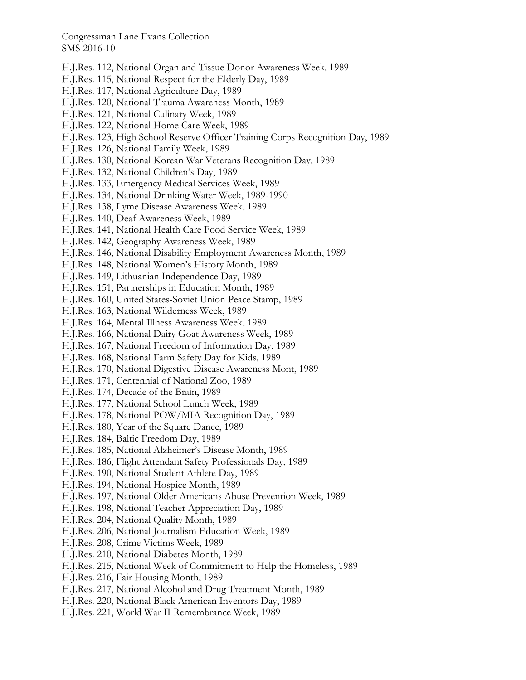- H.J.Res. 112, National Organ and Tissue Donor Awareness Week, 1989
- H.J.Res. 115, National Respect for the Elderly Day, 1989
- H.J.Res. 117, National Agriculture Day, 1989
- H.J.Res. 120, National Trauma Awareness Month, 1989
- H.J.Res. 121, National Culinary Week, 1989
- H.J.Res. 122, National Home Care Week, 1989
- H.J.Res. 123, High School Reserve Officer Training Corps Recognition Day, 1989
- H.J.Res. 126, National Family Week, 1989
- H.J.Res. 130, National Korean War Veterans Recognition Day, 1989
- H.J.Res. 132, National Children's Day, 1989
- H.J.Res. 133, Emergency Medical Services Week, 1989
- H.J.Res. 134, National Drinking Water Week, 1989-1990
- H.J.Res. 138, Lyme Disease Awareness Week, 1989
- H.J.Res. 140, Deaf Awareness Week, 1989
- H.J.Res. 141, National Health Care Food Service Week, 1989
- H.J.Res. 142, Geography Awareness Week, 1989
- H.J.Res. 146, National Disability Employment Awareness Month, 1989
- H.J.Res. 148, National Women's History Month, 1989
- H.J.Res. 149, Lithuanian Independence Day, 1989
- H.J.Res. 151, Partnerships in Education Month, 1989
- H.J.Res. 160, United States-Soviet Union Peace Stamp, 1989
- H.J.Res. 163, National Wilderness Week, 1989
- H.J.Res. 164, Mental Illness Awareness Week, 1989
- H.J.Res. 166, National Dairy Goat Awareness Week, 1989
- H.J.Res. 167, National Freedom of Information Day, 1989
- H.J.Res. 168, National Farm Safety Day for Kids, 1989
- H.J.Res. 170, National Digestive Disease Awareness Mont, 1989
- H.J.Res. 171, Centennial of National Zoo, 1989
- H.J.Res. 174, Decade of the Brain, 1989
- H.J.Res. 177, National School Lunch Week, 1989
- H.J.Res. 178, National POW/MIA Recognition Day, 1989
- H.J.Res. 180, Year of the Square Dance, 1989
- H.J.Res. 184, Baltic Freedom Day, 1989
- H.J.Res. 185, National Alzheimer's Disease Month, 1989
- H.J.Res. 186, Flight Attendant Safety Professionals Day, 1989
- H.J.Res. 190, National Student Athlete Day, 1989
- H.J.Res. 194, National Hospice Month, 1989
- H.J.Res. 197, National Older Americans Abuse Prevention Week, 1989
- H.J.Res. 198, National Teacher Appreciation Day, 1989
- H.J.Res. 204, National Quality Month, 1989
- H.J.Res. 206, National Journalism Education Week, 1989
- H.J.Res. 208, Crime Victims Week, 1989
- H.J.Res. 210, National Diabetes Month, 1989
- H.J.Res. 215, National Week of Commitment to Help the Homeless, 1989
- H.J.Res. 216, Fair Housing Month, 1989
- H.J.Res. 217, National Alcohol and Drug Treatment Month, 1989
- H.J.Res. 220, National Black American Inventors Day, 1989
- H.J.Res. 221, World War II Remembrance Week, 1989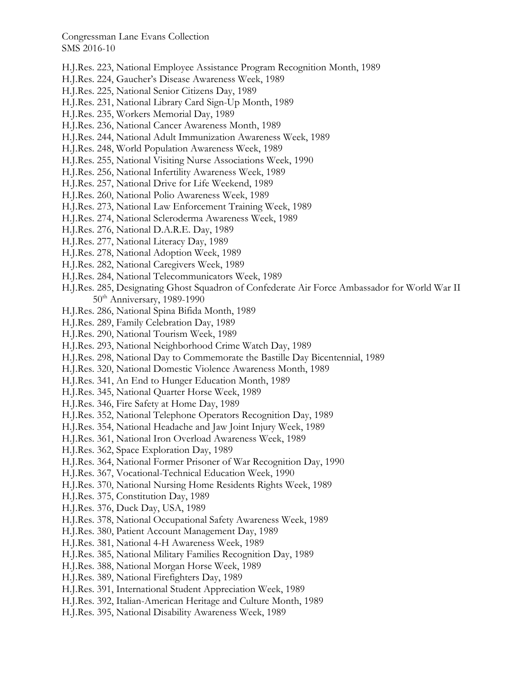- H.J.Res. 223, National Employee Assistance Program Recognition Month, 1989
- H.J.Res. 224, Gaucher's Disease Awareness Week, 1989
- H.J.Res. 225, National Senior Citizens Day, 1989
- H.J.Res. 231, National Library Card Sign-Up Month, 1989
- H.J.Res. 235, Workers Memorial Day, 1989
- H.J.Res. 236, National Cancer Awareness Month, 1989
- H.J.Res. 244, National Adult Immunization Awareness Week, 1989
- H.J.Res. 248, World Population Awareness Week, 1989
- H.J.Res. 255, National Visiting Nurse Associations Week, 1990
- H.J.Res. 256, National Infertility Awareness Week, 1989
- H.J.Res. 257, National Drive for Life Weekend, 1989
- H.J.Res. 260, National Polio Awareness Week, 1989
- H.J.Res. 273, National Law Enforcement Training Week, 1989
- H.J.Res. 274, National Scleroderma Awareness Week, 1989
- H.J.Res. 276, National D.A.R.E. Day, 1989
- H.J.Res. 277, National Literacy Day, 1989
- H.J.Res. 278, National Adoption Week, 1989
- H.J.Res. 282, National Caregivers Week, 1989
- H.J.Res. 284, National Telecommunicators Week, 1989
- H.J.Res. 285, Designating Ghost Squadron of Confederate Air Force Ambassador for World War II 50<sup>th</sup> Anniversary, 1989-1990
- H.J.Res. 286, National Spina Bifida Month, 1989
- H.J.Res. 289, Family Celebration Day, 1989
- H.J.Res. 290, National Tourism Week, 1989
- H.J.Res. 293, National Neighborhood Crime Watch Day, 1989
- H.J.Res. 298, National Day to Commemorate the Bastille Day Bicentennial, 1989
- H.J.Res. 320, National Domestic Violence Awareness Month, 1989
- H.J.Res. 341, An End to Hunger Education Month, 1989
- H.J.Res. 345, National Quarter Horse Week, 1989
- H.J.Res. 346, Fire Safety at Home Day, 1989
- H.J.Res. 352, National Telephone Operators Recognition Day, 1989
- H.J.Res. 354, National Headache and Jaw Joint Injury Week, 1989
- H.J.Res. 361, National Iron Overload Awareness Week, 1989
- H.J.Res. 362, Space Exploration Day, 1989
- H.J.Res. 364, National Former Prisoner of War Recognition Day, 1990
- H.J.Res. 367, Vocational-Technical Education Week, 1990
- H.J.Res. 370, National Nursing Home Residents Rights Week, 1989
- H.J.Res. 375, Constitution Day, 1989
- H.J.Res. 376, Duck Day, USA, 1989
- H.J.Res. 378, National Occupational Safety Awareness Week, 1989
- H.J.Res. 380, Patient Account Management Day, 1989
- H.J.Res. 381, National 4-H Awareness Week, 1989
- H.J.Res. 385, National Military Families Recognition Day, 1989
- H.J.Res. 388, National Morgan Horse Week, 1989
- H.J.Res. 389, National Firefighters Day, 1989
- H.J.Res. 391, International Student Appreciation Week, 1989
- H.J.Res. 392, Italian-American Heritage and Culture Month, 1989
- H.J.Res. 395, National Disability Awareness Week, 1989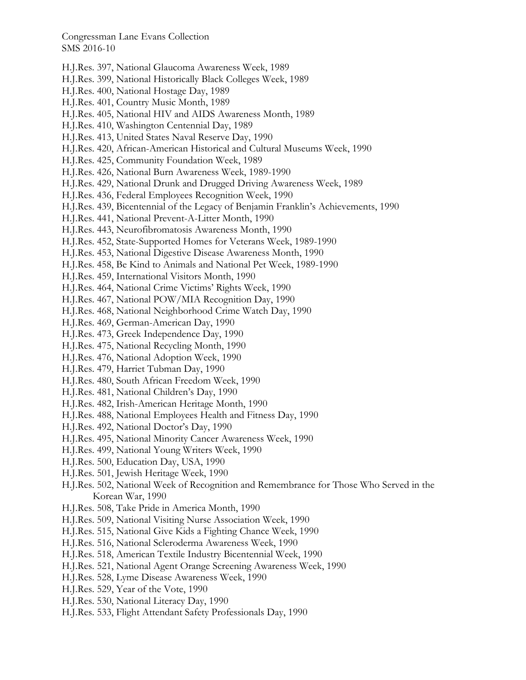- H.J.Res. 397, National Glaucoma Awareness Week, 1989
- H.J.Res. 399, National Historically Black Colleges Week, 1989
- H.J.Res. 400, National Hostage Day, 1989
- H.J.Res. 401, Country Music Month, 1989
- H.J.Res. 405, National HIV and AIDS Awareness Month, 1989
- H.J.Res. 410, Washington Centennial Day, 1989
- H.J.Res. 413, United States Naval Reserve Day, 1990
- H.J.Res. 420, African-American Historical and Cultural Museums Week, 1990
- H.J.Res. 425, Community Foundation Week, 1989
- H.J.Res. 426, National Burn Awareness Week, 1989-1990
- H.J.Res. 429, National Drunk and Drugged Driving Awareness Week, 1989
- H.J.Res. 436, Federal Employees Recognition Week, 1990
- H.J.Res. 439, Bicentennial of the Legacy of Benjamin Franklin's Achievements, 1990
- H.J.Res. 441, National Prevent-A-Litter Month, 1990
- H.J.Res. 443, Neurofibromatosis Awareness Month, 1990
- H.J.Res. 452, State-Supported Homes for Veterans Week, 1989-1990
- H.J.Res. 453, National Digestive Disease Awareness Month, 1990
- H.J.Res. 458, Be Kind to Animals and National Pet Week, 1989-1990
- H.J.Res. 459, International Visitors Month, 1990
- H.J.Res. 464, National Crime Victims' Rights Week, 1990
- H.J.Res. 467, National POW/MIA Recognition Day, 1990
- H.J.Res. 468, National Neighborhood Crime Watch Day, 1990
- H.J.Res. 469, German-American Day, 1990
- H.J.Res. 473, Greek Independence Day, 1990
- H.J.Res. 475, National Recycling Month, 1990
- H.J.Res. 476, National Adoption Week, 1990
- H.J.Res. 479, Harriet Tubman Day, 1990
- H.J.Res. 480, South African Freedom Week, 1990
- H.J.Res. 481, National Children's Day, 1990
- H.J.Res. 482, Irish-American Heritage Month, 1990
- H.J.Res. 488, National Employees Health and Fitness Day, 1990
- H.J.Res. 492, National Doctor's Day, 1990
- H.J.Res. 495, National Minority Cancer Awareness Week, 1990
- H.J.Res. 499, National Young Writers Week, 1990
- H.J.Res. 500, Education Day, USA, 1990
- H.J.Res. 501, Jewish Heritage Week, 1990
- H.J.Res. 502, National Week of Recognition and Remembrance for Those Who Served in the Korean War, 1990
- H.J.Res. 508, Take Pride in America Month, 1990
- H.J.Res. 509, National Visiting Nurse Association Week, 1990
- H.J.Res. 515, National Give Kids a Fighting Chance Week, 1990
- H.J.Res. 516, National Scleroderma Awareness Week, 1990
- H.J.Res. 518, American Textile Industry Bicentennial Week, 1990
- H.J.Res. 521, National Agent Orange Screening Awareness Week, 1990
- H.J.Res. 528, Lyme Disease Awareness Week, 1990
- H.J.Res. 529, Year of the Vote, 1990
- H.J.Res. 530, National Literacy Day, 1990
- H.J.Res. 533, Flight Attendant Safety Professionals Day, 1990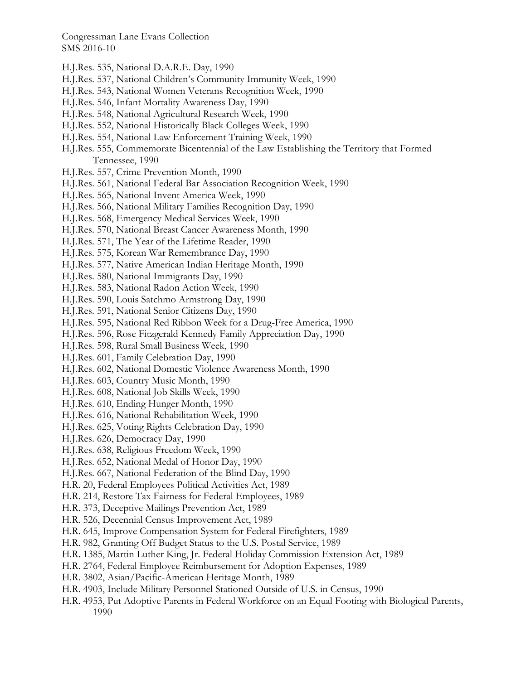- H.J.Res. 535, National D.A.R.E. Day, 1990
- H.J.Res. 537, National Children's Community Immunity Week, 1990
- H.J.Res. 543, National Women Veterans Recognition Week, 1990
- H.J.Res. 546, Infant Mortality Awareness Day, 1990
- H.J.Res. 548, National Agricultural Research Week, 1990
- H.J.Res. 552, National Historically Black Colleges Week, 1990
- H.J.Res. 554, National Law Enforcement Training Week, 1990
- H.J.Res. 555, Commemorate Bicentennial of the Law Establishing the Territory that Formed Tennessee, 1990
- H.J.Res. 557, Crime Prevention Month, 1990
- H.J.Res. 561, National Federal Bar Association Recognition Week, 1990
- H.J.Res. 565, National Invent America Week, 1990
- H.J.Res. 566, National Military Families Recognition Day, 1990
- H.J.Res. 568, Emergency Medical Services Week, 1990
- H.J.Res. 570, National Breast Cancer Awareness Month, 1990
- H.J.Res. 571, The Year of the Lifetime Reader, 1990
- H.J.Res. 575, Korean War Remembrance Day, 1990
- H.J.Res. 577, Native American Indian Heritage Month, 1990
- H.J.Res. 580, National Immigrants Day, 1990
- H.J.Res. 583, National Radon Action Week, 1990
- H.J.Res. 590, Louis Satchmo Armstrong Day, 1990
- H.J.Res. 591, National Senior Citizens Day, 1990
- H.J.Res. 595, National Red Ribbon Week for a Drug-Free America, 1990
- H.J.Res. 596, Rose Fitzgerald Kennedy Family Appreciation Day, 1990
- H.J.Res. 598, Rural Small Business Week, 1990
- H.J.Res. 601, Family Celebration Day, 1990
- H.J.Res. 602, National Domestic Violence Awareness Month, 1990
- H.J.Res. 603, Country Music Month, 1990
- H.J.Res. 608, National Job Skills Week, 1990
- H.J.Res. 610, Ending Hunger Month, 1990
- H.J.Res. 616, National Rehabilitation Week, 1990
- H.J.Res. 625, Voting Rights Celebration Day, 1990
- H.J.Res. 626, Democracy Day, 1990
- H.J.Res. 638, Religious Freedom Week, 1990
- H.J.Res. 652, National Medal of Honor Day, 1990
- H.J.Res. 667, National Federation of the Blind Day, 1990
- H.R. 20, Federal Employees Political Activities Act, 1989
- H.R. 214, Restore Tax Fairness for Federal Employees, 1989
- H.R. 373, Deceptive Mailings Prevention Act, 1989
- H.R. 526, Decennial Census Improvement Act, 1989
- H.R. 645, Improve Compensation System for Federal Firefighters, 1989
- H.R. 982, Granting Off Budget Status to the U.S. Postal Service, 1989
- H.R. 1385, Martin Luther King, Jr. Federal Holiday Commission Extension Act, 1989
- H.R. 2764, Federal Employee Reimbursement for Adoption Expenses, 1989
- H.R. 3802, Asian/Pacific-American Heritage Month, 1989
- H.R. 4903, Include Military Personnel Stationed Outside of U.S. in Census, 1990
- H.R. 4953, Put Adoptive Parents in Federal Workforce on an Equal Footing with Biological Parents, 1990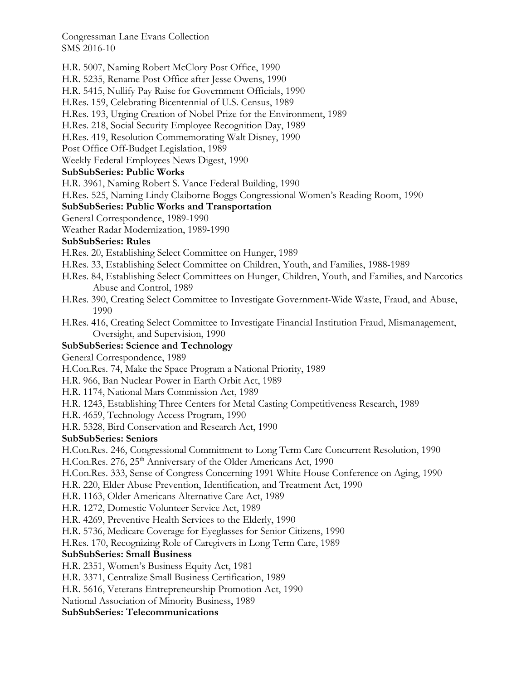H.R. 5007, Naming Robert McClory Post Office, 1990

H.R. 5235, Rename Post Office after Jesse Owens, 1990

H.R. 5415, Nullify Pay Raise for Government Officials, 1990

H.Res. 159, Celebrating Bicentennial of U.S. Census, 1989

H.Res. 193, Urging Creation of Nobel Prize for the Environment, 1989

H.Res. 218, Social Security Employee Recognition Day, 1989

H.Res. 419, Resolution Commemorating Walt Disney, 1990

Post Office Off-Budget Legislation, 1989

Weekly Federal Employees News Digest, 1990

## **SubSubSeries: Public Works**

H.R. 3961, Naming Robert S. Vance Federal Building, 1990

H.Res. 525, Naming Lindy Claiborne Boggs Congressional Women's Reading Room, 1990

## **SubSubSeries: Public Works and Transportation**

General Correspondence, 1989-1990

Weather Radar Modernization, 1989-1990

## **SubSubSeries: Rules**

H.Res. 20, Establishing Select Committee on Hunger, 1989

- H.Res. 33, Establishing Select Committee on Children, Youth, and Families, 1988-1989
- H.Res. 84, Establishing Select Committees on Hunger, Children, Youth, and Families, and Narcotics Abuse and Control, 1989
- H.Res. 390, Creating Select Committee to Investigate Government-Wide Waste, Fraud, and Abuse, 1990
- H.Res. 416, Creating Select Committee to Investigate Financial Institution Fraud, Mismanagement, Oversight, and Supervision, 1990

## **SubSubSeries: Science and Technology**

General Correspondence, 1989

H.Con.Res. 74, Make the Space Program a National Priority, 1989

H.R. 966, Ban Nuclear Power in Earth Orbit Act, 1989

H.R. 1174, National Mars Commission Act, 1989

H.R. 1243, Establishing Three Centers for Metal Casting Competitiveness Research, 1989

H.R. 4659, Technology Access Program, 1990

H.R. 5328, Bird Conservation and Research Act, 1990

## **SubSubSeries: Seniors**

H.Con.Res. 246, Congressional Commitment to Long Term Care Concurrent Resolution, 1990

H.Con.Res. 276, 25<sup>th</sup> Anniversary of the Older Americans Act, 1990

H.Con.Res. 333, Sense of Congress Concerning 1991 White House Conference on Aging, 1990

H.R. 220, Elder Abuse Prevention, Identification, and Treatment Act, 1990

H.R. 1163, Older Americans Alternative Care Act, 1989

H.R. 1272, Domestic Volunteer Service Act, 1989

H.R. 4269, Preventive Health Services to the Elderly, 1990

H.R. 5736, Medicare Coverage for Eyeglasses for Senior Citizens, 1990

H.Res. 170, Recognizing Role of Caregivers in Long Term Care, 1989

## **SubSubSeries: Small Business**

H.R. 2351, Women's Business Equity Act, 1981

H.R. 3371, Centralize Small Business Certification, 1989

H.R. 5616, Veterans Entrepreneurship Promotion Act, 1990

National Association of Minority Business, 1989

**SubSubSeries: Telecommunications**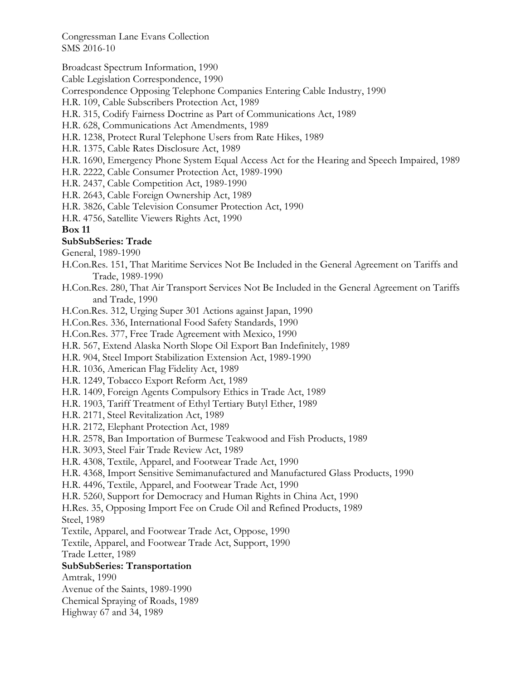Broadcast Spectrum Information, 1990

Cable Legislation Correspondence, 1990

Correspondence Opposing Telephone Companies Entering Cable Industry, 1990

- H.R. 109, Cable Subscribers Protection Act, 1989
- H.R. 315, Codify Fairness Doctrine as Part of Communications Act, 1989
- H.R. 628, Communications Act Amendments, 1989
- H.R. 1238, Protect Rural Telephone Users from Rate Hikes, 1989
- H.R. 1375, Cable Rates Disclosure Act, 1989
- H.R. 1690, Emergency Phone System Equal Access Act for the Hearing and Speech Impaired, 1989
- H.R. 2222, Cable Consumer Protection Act, 1989-1990
- H.R. 2437, Cable Competition Act, 1989-1990
- H.R. 2643, Cable Foreign Ownership Act, 1989
- H.R. 3826, Cable Television Consumer Protection Act, 1990
- H.R. 4756, Satellite Viewers Rights Act, 1990

## **Box 11**

## **SubSubSeries: Trade**

General, 1989-1990

- H.Con.Res. 151, That Maritime Services Not Be Included in the General Agreement on Tariffs and Trade, 1989-1990
- H.Con.Res. 280, That Air Transport Services Not Be Included in the General Agreement on Tariffs and Trade, 1990

H.Con.Res. 312, Urging Super 301 Actions against Japan, 1990

H.Con.Res. 336, International Food Safety Standards, 1990

H.Con.Res. 377, Free Trade Agreement with Mexico, 1990

- H.R. 567, Extend Alaska North Slope Oil Export Ban Indefinitely, 1989
- H.R. 904, Steel Import Stabilization Extension Act, 1989-1990
- H.R. 1036, American Flag Fidelity Act, 1989
- H.R. 1249, Tobacco Export Reform Act, 1989
- H.R. 1409, Foreign Agents Compulsory Ethics in Trade Act, 1989
- H.R. 1903, Tariff Treatment of Ethyl Tertiary Butyl Ether, 1989
- H.R. 2171, Steel Revitalization Act, 1989
- H.R. 2172, Elephant Protection Act, 1989
- H.R. 2578, Ban Importation of Burmese Teakwood and Fish Products, 1989
- H.R. 3093, Steel Fair Trade Review Act, 1989
- H.R. 4308, Textile, Apparel, and Footwear Trade Act, 1990
- H.R. 4368, Import Sensitive Semimanufactured and Manufactured Glass Products, 1990
- H.R. 4496, Textile, Apparel, and Footwear Trade Act, 1990
- H.R. 5260, Support for Democracy and Human Rights in China Act, 1990

H.Res. 35, Opposing Import Fee on Crude Oil and Refined Products, 1989

Steel, 1989

Textile, Apparel, and Footwear Trade Act, Oppose, 1990

Textile, Apparel, and Footwear Trade Act, Support, 1990

Trade Letter, 1989

## **SubSubSeries: Transportation**

Amtrak, 1990

Avenue of the Saints, 1989-1990

Chemical Spraying of Roads, 1989

Highway 67 and 34, 1989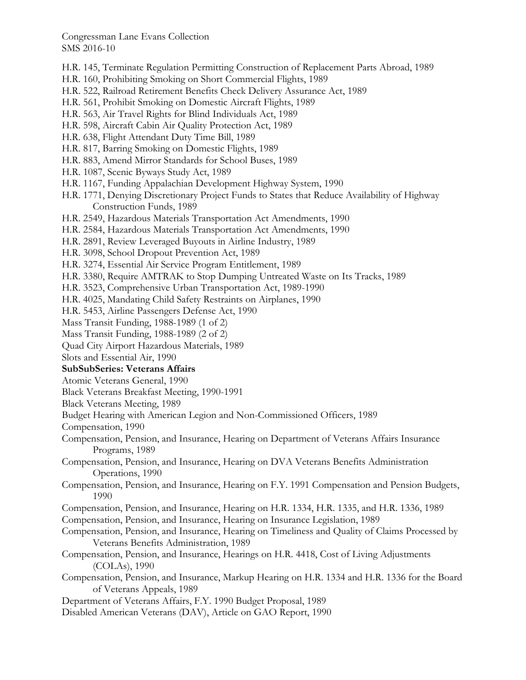- H.R. 145, Terminate Regulation Permitting Construction of Replacement Parts Abroad, 1989
- H.R. 160, Prohibiting Smoking on Short Commercial Flights, 1989
- H.R. 522, Railroad Retirement Benefits Check Delivery Assurance Act, 1989
- H.R. 561, Prohibit Smoking on Domestic Aircraft Flights, 1989
- H.R. 563, Air Travel Rights for Blind Individuals Act, 1989
- H.R. 598, Aircraft Cabin Air Quality Protection Act, 1989
- H.R. 638, Flight Attendant Duty Time Bill, 1989
- H.R. 817, Barring Smoking on Domestic Flights, 1989
- H.R. 883, Amend Mirror Standards for School Buses, 1989
- H.R. 1087, Scenic Byways Study Act, 1989
- H.R. 1167, Funding Appalachian Development Highway System, 1990
- H.R. 1771, Denying Discretionary Project Funds to States that Reduce Availability of Highway Construction Funds, 1989
- H.R. 2549, Hazardous Materials Transportation Act Amendments, 1990
- H.R. 2584, Hazardous Materials Transportation Act Amendments, 1990
- H.R. 2891, Review Leveraged Buyouts in Airline Industry, 1989
- H.R. 3098, School Dropout Prevention Act, 1989
- H.R. 3274, Essential Air Service Program Entitlement, 1989
- H.R. 3380, Require AMTRAK to Stop Dumping Untreated Waste on Its Tracks, 1989
- H.R. 3523, Comprehensive Urban Transportation Act, 1989-1990
- H.R. 4025, Mandating Child Safety Restraints on Airplanes, 1990
- H.R. 5453, Airline Passengers Defense Act, 1990
- Mass Transit Funding, 1988-1989 (1 of 2)
- Mass Transit Funding, 1988-1989 (2 of 2)
- Quad City Airport Hazardous Materials, 1989
- Slots and Essential Air, 1990

#### **SubSubSeries: Veterans Affairs**

- Atomic Veterans General, 1990
- Black Veterans Breakfast Meeting, 1990-1991
- Black Veterans Meeting, 1989
- Budget Hearing with American Legion and Non-Commissioned Officers, 1989
- Compensation, 1990
- Compensation, Pension, and Insurance, Hearing on Department of Veterans Affairs Insurance Programs, 1989
- Compensation, Pension, and Insurance, Hearing on DVA Veterans Benefits Administration Operations, 1990
- Compensation, Pension, and Insurance, Hearing on F.Y. 1991 Compensation and Pension Budgets, 1990
- Compensation, Pension, and Insurance, Hearing on H.R. 1334, H.R. 1335, and H.R. 1336, 1989
- Compensation, Pension, and Insurance, Hearing on Insurance Legislation, 1989
- Compensation, Pension, and Insurance, Hearing on Timeliness and Quality of Claims Processed by Veterans Benefits Administration, 1989
- Compensation, Pension, and Insurance, Hearings on H.R. 4418, Cost of Living Adjustments (COLAs), 1990
- Compensation, Pension, and Insurance, Markup Hearing on H.R. 1334 and H.R. 1336 for the Board of Veterans Appeals, 1989
- Department of Veterans Affairs, F.Y. 1990 Budget Proposal, 1989
- Disabled American Veterans (DAV), Article on GAO Report, 1990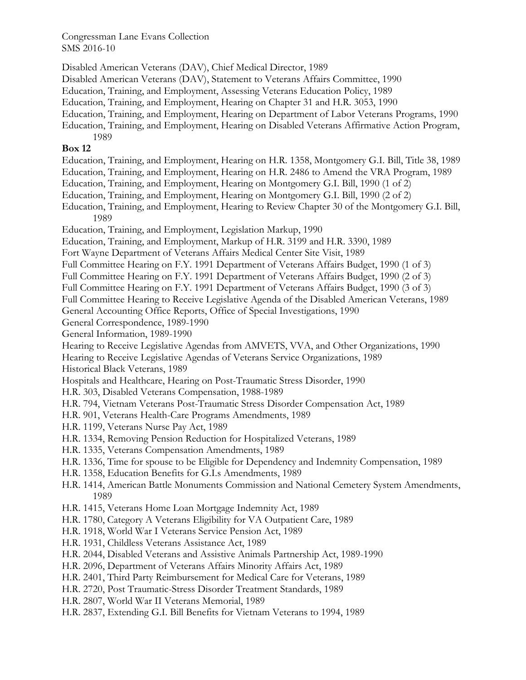Disabled American Veterans (DAV), Chief Medical Director, 1989

Disabled American Veterans (DAV), Statement to Veterans Affairs Committee, 1990

Education, Training, and Employment, Assessing Veterans Education Policy, 1989

Education, Training, and Employment, Hearing on Chapter 31 and H.R. 3053, 1990

Education, Training, and Employment, Hearing on Department of Labor Veterans Programs, 1990

Education, Training, and Employment, Hearing on Disabled Veterans Affirmative Action Program, 1989

## **Box 12**

Education, Training, and Employment, Hearing on H.R. 1358, Montgomery G.I. Bill, Title 38, 1989

Education, Training, and Employment, Hearing on H.R. 2486 to Amend the VRA Program, 1989

Education, Training, and Employment, Hearing on Montgomery G.I. Bill, 1990 (1 of 2)

Education, Training, and Employment, Hearing on Montgomery G.I. Bill, 1990 (2 of 2)

Education, Training, and Employment, Hearing to Review Chapter 30 of the Montgomery G.I. Bill, 1989

Education, Training, and Employment, Legislation Markup, 1990

Education, Training, and Employment, Markup of H.R. 3199 and H.R. 3390, 1989

Fort Wayne Department of Veterans Affairs Medical Center Site Visit, 1989

Full Committee Hearing on F.Y. 1991 Department of Veterans Affairs Budget, 1990 (1 of 3)

Full Committee Hearing on F.Y. 1991 Department of Veterans Affairs Budget, 1990 (2 of 3)

Full Committee Hearing on F.Y. 1991 Department of Veterans Affairs Budget, 1990 (3 of 3)

Full Committee Hearing to Receive Legislative Agenda of the Disabled American Veterans, 1989

General Accounting Office Reports, Office of Special Investigations, 1990

General Correspondence, 1989-1990

General Information, 1989-1990

Hearing to Receive Legislative Agendas from AMVETS, VVA, and Other Organizations, 1990

Hearing to Receive Legislative Agendas of Veterans Service Organizations, 1989

Historical Black Veterans, 1989

Hospitals and Healthcare, Hearing on Post-Traumatic Stress Disorder, 1990

H.R. 303, Disabled Veterans Compensation, 1988-1989

H.R. 794, Vietnam Veterans Post-Traumatic Stress Disorder Compensation Act, 1989

- H.R. 901, Veterans Health-Care Programs Amendments, 1989
- H.R. 1199, Veterans Nurse Pay Act, 1989
- H.R. 1334, Removing Pension Reduction for Hospitalized Veterans, 1989
- H.R. 1335, Veterans Compensation Amendments, 1989
- H.R. 1336, Time for spouse to be Eligible for Dependency and Indemnity Compensation, 1989
- H.R. 1358, Education Benefits for G.I.s Amendments, 1989
- H.R. 1414, American Battle Monuments Commission and National Cemetery System Amendments, 1989
- H.R. 1415, Veterans Home Loan Mortgage Indemnity Act, 1989
- H.R. 1780, Category A Veterans Eligibility for VA Outpatient Care, 1989
- H.R. 1918, World War I Veterans Service Pension Act, 1989
- H.R. 1931, Childless Veterans Assistance Act, 1989
- H.R. 2044, Disabled Veterans and Assistive Animals Partnership Act, 1989-1990
- H.R. 2096, Department of Veterans Affairs Minority Affairs Act, 1989
- H.R. 2401, Third Party Reimbursement for Medical Care for Veterans, 1989
- H.R. 2720, Post Traumatic-Stress Disorder Treatment Standards, 1989
- H.R. 2807, World War II Veterans Memorial, 1989
- H.R. 2837, Extending G.I. Bill Benefits for Vietnam Veterans to 1994, 1989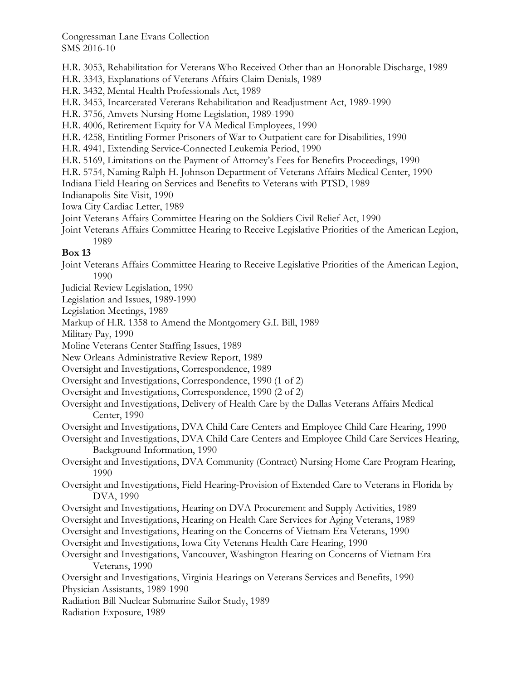H.R. 3053, Rehabilitation for Veterans Who Received Other than an Honorable Discharge, 1989

H.R. 3343, Explanations of Veterans Affairs Claim Denials, 1989

H.R. 3432, Mental Health Professionals Act, 1989

H.R. 3453, Incarcerated Veterans Rehabilitation and Readjustment Act, 1989-1990

H.R. 3756, Amvets Nursing Home Legislation, 1989-1990

H.R. 4006, Retirement Equity for VA Medical Employees, 1990

H.R. 4258, Entitling Former Prisoners of War to Outpatient care for Disabilities, 1990

H.R. 4941, Extending Service-Connected Leukemia Period, 1990

H.R. 5169, Limitations on the Payment of Attorney's Fees for Benefits Proceedings, 1990

H.R. 5754, Naming Ralph H. Johnson Department of Veterans Affairs Medical Center, 1990

Indiana Field Hearing on Services and Benefits to Veterans with PTSD, 1989

Indianapolis Site Visit, 1990

Iowa City Cardiac Letter, 1989

Joint Veterans Affairs Committee Hearing on the Soldiers Civil Relief Act, 1990

Joint Veterans Affairs Committee Hearing to Receive Legislative Priorities of the American Legion, 1989

## **Box 13**

Joint Veterans Affairs Committee Hearing to Receive Legislative Priorities of the American Legion, 1990

Judicial Review Legislation, 1990

Legislation and Issues, 1989-1990

Legislation Meetings, 1989

Markup of H.R. 1358 to Amend the Montgomery G.I. Bill, 1989

Military Pay, 1990

Moline Veterans Center Staffing Issues, 1989

New Orleans Administrative Review Report, 1989

Oversight and Investigations, Correspondence, 1989

Oversight and Investigations, Correspondence, 1990 (1 of 2)

- Oversight and Investigations, Correspondence, 1990 (2 of 2)
- Oversight and Investigations, Delivery of Health Care by the Dallas Veterans Affairs Medical Center, 1990
- Oversight and Investigations, DVA Child Care Centers and Employee Child Care Hearing, 1990

Oversight and Investigations, DVA Child Care Centers and Employee Child Care Services Hearing, Background Information, 1990

Oversight and Investigations, DVA Community (Contract) Nursing Home Care Program Hearing, 1990

Oversight and Investigations, Field Hearing-Provision of Extended Care to Veterans in Florida by DVA, 1990

Oversight and Investigations, Hearing on DVA Procurement and Supply Activities, 1989

Oversight and Investigations, Hearing on Health Care Services for Aging Veterans, 1989

Oversight and Investigations, Hearing on the Concerns of Vietnam Era Veterans, 1990

Oversight and Investigations, Iowa City Veterans Health Care Hearing, 1990

Oversight and Investigations, Vancouver, Washington Hearing on Concerns of Vietnam Era Veterans, 1990

Oversight and Investigations, Virginia Hearings on Veterans Services and Benefits, 1990 Physician Assistants, 1989-1990

Radiation Bill Nuclear Submarine Sailor Study, 1989

Radiation Exposure, 1989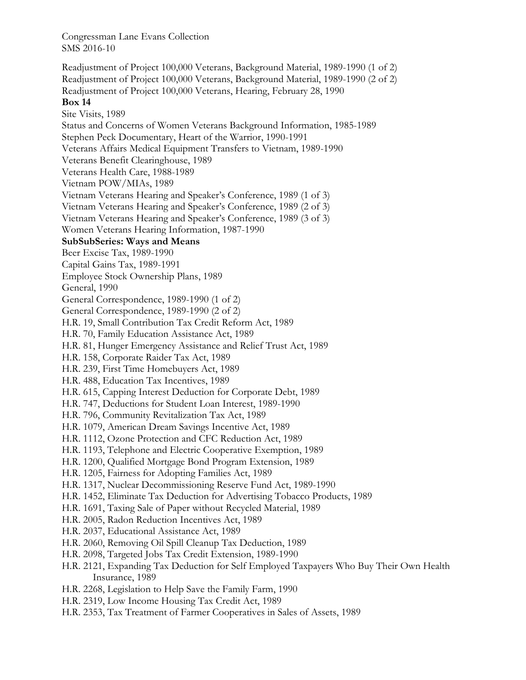Readjustment of Project 100,000 Veterans, Background Material, 1989-1990 (1 of 2) Readjustment of Project 100,000 Veterans, Background Material, 1989-1990 (2 of 2) Readjustment of Project 100,000 Veterans, Hearing, February 28, 1990 **Box 14**  Site Visits, 1989 Status and Concerns of Women Veterans Background Information, 1985-1989 Stephen Peck Documentary, Heart of the Warrior, 1990-1991 Veterans Affairs Medical Equipment Transfers to Vietnam, 1989-1990 Veterans Benefit Clearinghouse, 1989 Veterans Health Care, 1988-1989 Vietnam POW/MIAs, 1989 Vietnam Veterans Hearing and Speaker's Conference, 1989 (1 of 3) Vietnam Veterans Hearing and Speaker's Conference, 1989 (2 of 3) Vietnam Veterans Hearing and Speaker's Conference, 1989 (3 of 3) Women Veterans Hearing Information, 1987-1990 **SubSubSeries: Ways and Means**  Beer Excise Tax, 1989-1990 Capital Gains Tax, 1989-1991 Employee Stock Ownership Plans, 1989 General, 1990 General Correspondence, 1989-1990 (1 of 2) General Correspondence, 1989-1990 (2 of 2) H.R. 19, Small Contribution Tax Credit Reform Act, 1989 H.R. 70, Family Education Assistance Act, 1989 H.R. 81, Hunger Emergency Assistance and Relief Trust Act, 1989 H.R. 158, Corporate Raider Tax Act, 1989 H.R. 239, First Time Homebuyers Act, 1989 H.R. 488, Education Tax Incentives, 1989 H.R. 615, Capping Interest Deduction for Corporate Debt, 1989 H.R. 747, Deductions for Student Loan Interest, 1989-1990 H.R. 796, Community Revitalization Tax Act, 1989 H.R. 1079, American Dream Savings Incentive Act, 1989 H.R. 1112, Ozone Protection and CFC Reduction Act, 1989 H.R. 1193, Telephone and Electric Cooperative Exemption, 1989 H.R. 1200, Qualified Mortgage Bond Program Extension, 1989 H.R. 1205, Fairness for Adopting Families Act, 1989 H.R. 1317, Nuclear Decommissioning Reserve Fund Act, 1989-1990 H.R. 1452, Eliminate Tax Deduction for Advertising Tobacco Products, 1989 H.R. 1691, Taxing Sale of Paper without Recycled Material, 1989 H.R. 2005, Radon Reduction Incentives Act, 1989 H.R. 2037, Educational Assistance Act, 1989 H.R. 2060, Removing Oil Spill Cleanup Tax Deduction, 1989 H.R. 2098, Targeted Jobs Tax Credit Extension, 1989-1990 H.R. 2121, Expanding Tax Deduction for Self Employed Taxpayers Who Buy Their Own Health Insurance, 1989 H.R. 2268, Legislation to Help Save the Family Farm, 1990 H.R. 2319, Low Income Housing Tax Credit Act, 1989

H.R. 2353, Tax Treatment of Farmer Cooperatives in Sales of Assets, 1989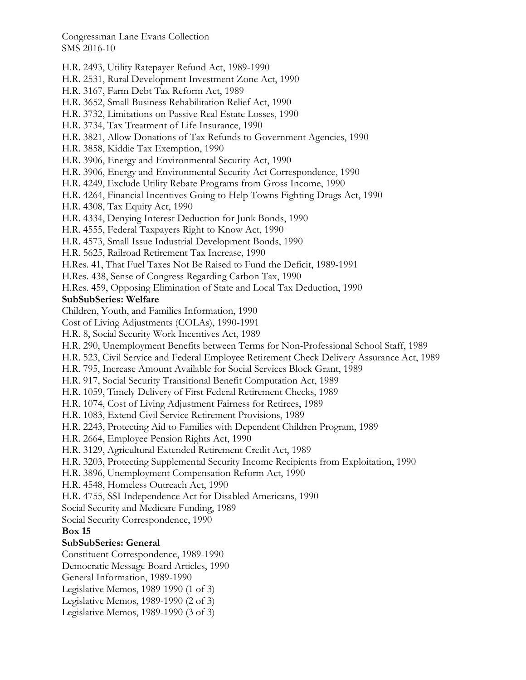H.R. 2493, Utility Ratepayer Refund Act, 1989-1990

H.R. 2531, Rural Development Investment Zone Act, 1990

H.R. 3167, Farm Debt Tax Reform Act, 1989

H.R. 3652, Small Business Rehabilitation Relief Act, 1990

H.R. 3732, Limitations on Passive Real Estate Losses, 1990

H.R. 3734, Tax Treatment of Life Insurance, 1990

H.R. 3821, Allow Donations of Tax Refunds to Government Agencies, 1990

H.R. 3858, Kiddie Tax Exemption, 1990

H.R. 3906, Energy and Environmental Security Act, 1990

H.R. 3906, Energy and Environmental Security Act Correspondence, 1990

H.R. 4249, Exclude Utility Rebate Programs from Gross Income, 1990

H.R. 4264, Financial Incentives Going to Help Towns Fighting Drugs Act, 1990

H.R. 4308, Tax Equity Act, 1990

H.R. 4334, Denying Interest Deduction for Junk Bonds, 1990

H.R. 4555, Federal Taxpayers Right to Know Act, 1990

H.R. 4573, Small Issue Industrial Development Bonds, 1990

H.R. 5625, Railroad Retirement Tax Increase, 1990

H.Res. 41, That Fuel Taxes Not Be Raised to Fund the Deficit, 1989-1991

H.Res. 438, Sense of Congress Regarding Carbon Tax, 1990

H.Res. 459, Opposing Elimination of State and Local Tax Deduction, 1990

## **SubSubSeries: Welfare**

Children, Youth, and Families Information, 1990

Cost of Living Adjustments (COLAs), 1990-1991

H.R. 8, Social Security Work Incentives Act, 1989

H.R. 290, Unemployment Benefits between Terms for Non-Professional School Staff, 1989

H.R. 523, Civil Service and Federal Employee Retirement Check Delivery Assurance Act, 1989

H.R. 795, Increase Amount Available for Social Services Block Grant, 1989

H.R. 917, Social Security Transitional Benefit Computation Act, 1989

H.R. 1059, Timely Delivery of First Federal Retirement Checks, 1989

H.R. 1074, Cost of Living Adjustment Fairness for Retirees, 1989

H.R. 1083, Extend Civil Service Retirement Provisions, 1989

H.R. 2243, Protecting Aid to Families with Dependent Children Program, 1989

H.R. 2664, Employee Pension Rights Act, 1990

H.R. 3129, Agricultural Extended Retirement Credit Act, 1989

H.R. 3203, Protecting Supplemental Security Income Recipients from Exploitation, 1990

H.R. 3896, Unemployment Compensation Reform Act, 1990

H.R. 4548, Homeless Outreach Act, 1990

H.R. 4755, SSI Independence Act for Disabled Americans, 1990

Social Security and Medicare Funding, 1989

Social Security Correspondence, 1990

## **Box 15**

## **SubSubSeries: General**

Constituent Correspondence, 1989-1990

Democratic Message Board Articles, 1990

General Information, 1989-1990

Legislative Memos, 1989-1990 (1 of 3)

Legislative Memos, 1989-1990 (2 of 3)

Legislative Memos, 1989-1990 (3 of 3)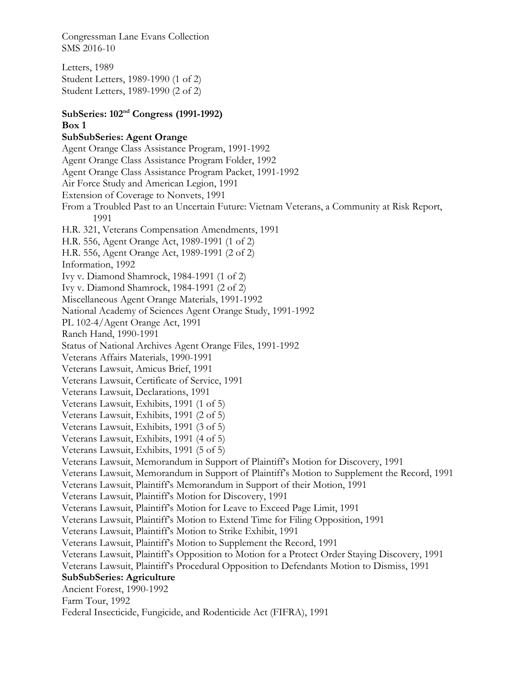Letters, 1989 Student Letters, 1989-1990 (1 of 2) Student Letters, 1989-1990 (2 of 2)

## **SubSeries: 102nd Congress (1991-1992) Box 1 SubSubSeries: Agent Orange**

Agent Orange Class Assistance Program, 1991-1992 Agent Orange Class Assistance Program Folder, 1992 Agent Orange Class Assistance Program Packet, 1991-1992 Air Force Study and American Legion, 1991 Extension of Coverage to Nonvets, 1991 From a Troubled Past to an Uncertain Future: Vietnam Veterans, a Community at Risk Report, 1991 H.R. 321, Veterans Compensation Amendments, 1991 H.R. 556, Agent Orange Act, 1989-1991 (1 of 2) H.R. 556, Agent Orange Act, 1989-1991 (2 of 2) Information, 1992 Ivy v. Diamond Shamrock, 1984-1991 (1 of 2) Ivy v. Diamond Shamrock, 1984-1991 (2 of 2) Miscellaneous Agent Orange Materials, 1991-1992 National Academy of Sciences Agent Orange Study, 1991-1992 PL 102-4/Agent Orange Act, 1991 Ranch Hand, 1990-1991 Status of National Archives Agent Orange Files, 1991-1992 Veterans Affairs Materials, 1990-1991 Veterans Lawsuit, Amicus Brief, 1991 Veterans Lawsuit, Certificate of Service, 1991 Veterans Lawsuit, Declarations, 1991 Veterans Lawsuit, Exhibits, 1991 (1 of 5) Veterans Lawsuit, Exhibits, 1991 (2 of 5) Veterans Lawsuit, Exhibits, 1991 (3 of 5) Veterans Lawsuit, Exhibits, 1991 (4 of 5) Veterans Lawsuit, Exhibits, 1991 (5 of 5) Veterans Lawsuit, Memorandum in Support of Plaintiff's Motion for Discovery, 1991 Veterans Lawsuit, Memorandum in Support of Plaintiff's Motion to Supplement the Record, 1991 Veterans Lawsuit, Plaintiff's Memorandum in Support of their Motion, 1991 Veterans Lawsuit, Plaintiff's Motion for Discovery, 1991 Veterans Lawsuit, Plaintiff's Motion for Leave to Exceed Page Limit, 1991 Veterans Lawsuit, Plaintiff's Motion to Extend Time for Filing Opposition, 1991 Veterans Lawsuit, Plaintiff's Motion to Strike Exhibit, 1991 Veterans Lawsuit, Plaintiff's Motion to Supplement the Record, 1991 Veterans Lawsuit, Plaintiff's Opposition to Motion for a Protect Order Staying Discovery, 1991 Veterans Lawsuit, Plaintiff's Procedural Opposition to Defendants Motion to Dismiss, 1991 **SubSubSeries: Agriculture**  Ancient Forest, 1990-1992 Farm Tour, 1992 Federal Insecticide, Fungicide, and Rodenticide Act (FIFRA), 1991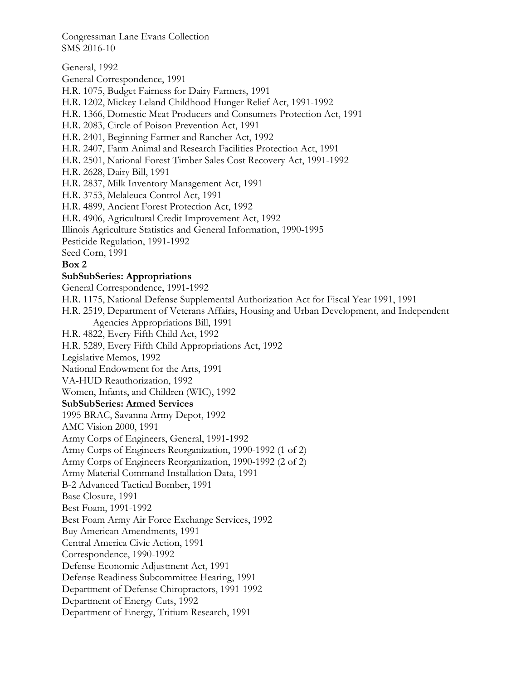General, 1992 General Correspondence, 1991 H.R. 1075, Budget Fairness for Dairy Farmers, 1991 H.R. 1202, Mickey Leland Childhood Hunger Relief Act, 1991-1992 H.R. 1366, Domestic Meat Producers and Consumers Protection Act, 1991 H.R. 2083, Circle of Poison Prevention Act, 1991 H.R. 2401, Beginning Farmer and Rancher Act, 1992 H.R. 2407, Farm Animal and Research Facilities Protection Act, 1991 H.R. 2501, National Forest Timber Sales Cost Recovery Act, 1991-1992 H.R. 2628, Dairy Bill, 1991 H.R. 2837, Milk Inventory Management Act, 1991 H.R. 3753, Melaleuca Control Act, 1991 H.R. 4899, Ancient Forest Protection Act, 1992 H.R. 4906, Agricultural Credit Improvement Act, 1992 Illinois Agriculture Statistics and General Information, 1990-1995 Pesticide Regulation, 1991-1992 Seed Corn, 1991 **Box 2 SubSubSeries: Appropriations**  General Correspondence, 1991-1992 H.R. 1175, National Defense Supplemental Authorization Act for Fiscal Year 1991, 1991 H.R. 2519, Department of Veterans Affairs, Housing and Urban Development, and Independent Agencies Appropriations Bill, 1991 H.R. 4822, Every Fifth Child Act, 1992 H.R. 5289, Every Fifth Child Appropriations Act, 1992 Legislative Memos, 1992 National Endowment for the Arts, 1991 VA-HUD Reauthorization, 1992 Women, Infants, and Children (WIC), 1992 **SubSubSeries: Armed Services**  1995 BRAC, Savanna Army Depot, 1992 AMC Vision 2000, 1991 Army Corps of Engineers, General, 1991-1992 Army Corps of Engineers Reorganization, 1990-1992 (1 of 2) Army Corps of Engineers Reorganization, 1990-1992 (2 of 2) Army Material Command Installation Data, 1991 B-2 Advanced Tactical Bomber, 1991 Base Closure, 1991 Best Foam, 1991-1992 Best Foam Army Air Force Exchange Services, 1992 Buy American Amendments, 1991 Central America Civic Action, 1991 Correspondence, 1990-1992 Defense Economic Adjustment Act, 1991 Defense Readiness Subcommittee Hearing, 1991 Department of Defense Chiropractors, 1991-1992 Department of Energy Cuts, 1992 Department of Energy, Tritium Research, 1991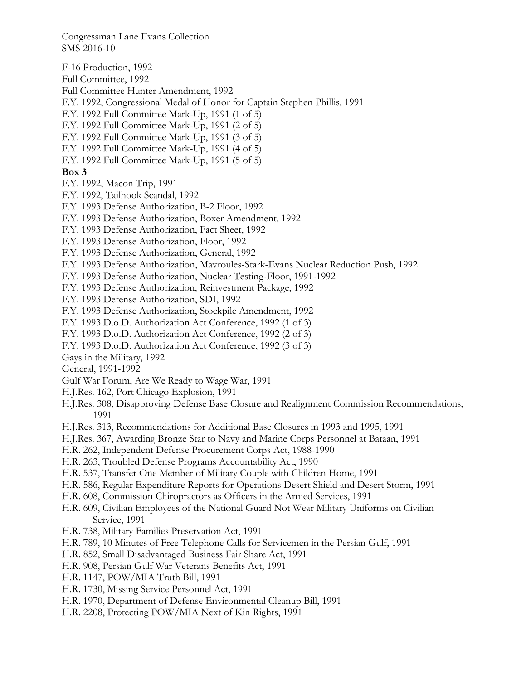F-16 Production, 1992 Full Committee, 1992 Full Committee Hunter Amendment, 1992 F.Y. 1992, Congressional Medal of Honor for Captain Stephen Phillis, 1991 F.Y. 1992 Full Committee Mark-Up, 1991 (1 of 5) F.Y. 1992 Full Committee Mark-Up, 1991 (2 of 5) F.Y. 1992 Full Committee Mark-Up, 1991 (3 of 5) F.Y. 1992 Full Committee Mark-Up, 1991 (4 of 5) F.Y. 1992 Full Committee Mark-Up, 1991 (5 of 5) **Box 3**  F.Y. 1992, Macon Trip, 1991 F.Y. 1992, Tailhook Scandal, 1992 F.Y. 1993 Defense Authorization, B-2 Floor, 1992 F.Y. 1993 Defense Authorization, Boxer Amendment, 1992 F.Y. 1993 Defense Authorization, Fact Sheet, 1992 F.Y. 1993 Defense Authorization, Floor, 1992 F.Y. 1993 Defense Authorization, General, 1992 F.Y. 1993 Defense Authorization, Mavroules-Stark-Evans Nuclear Reduction Push, 1992 F.Y. 1993 Defense Authorization, Nuclear Testing-Floor, 1991-1992 F.Y. 1993 Defense Authorization, Reinvestment Package, 1992 F.Y. 1993 Defense Authorization, SDI, 1992 F.Y. 1993 Defense Authorization, Stockpile Amendment, 1992 F.Y. 1993 D.o.D. Authorization Act Conference, 1992 (1 of 3) F.Y. 1993 D.o.D. Authorization Act Conference, 1992 (2 of 3) F.Y. 1993 D.o.D. Authorization Act Conference, 1992 (3 of 3) Gays in the Military, 1992 General, 1991-1992 Gulf War Forum, Are We Ready to Wage War, 1991 H.J.Res. 162, Port Chicago Explosion, 1991 H.J.Res. 308, Disapproving Defense Base Closure and Realignment Commission Recommendations, 1991 H.J.Res. 313, Recommendations for Additional Base Closures in 1993 and 1995, 1991 H.J.Res. 367, Awarding Bronze Star to Navy and Marine Corps Personnel at Bataan, 1991 H.R. 262, Independent Defense Procurement Corps Act, 1988-1990 H.R. 263, Troubled Defense Programs Accountability Act, 1990 H.R. 537, Transfer One Member of Military Couple with Children Home, 1991 H.R. 586, Regular Expenditure Reports for Operations Desert Shield and Desert Storm, 1991 H.R. 608, Commission Chiropractors as Officers in the Armed Services, 1991 H.R. 609, Civilian Employees of the National Guard Not Wear Military Uniforms on Civilian Service, 1991 H.R. 738, Military Families Preservation Act, 1991 H.R. 789, 10 Minutes of Free Telephone Calls for Servicemen in the Persian Gulf, 1991

- H.R. 852, Small Disadvantaged Business Fair Share Act, 1991
- H.R. 908, Persian Gulf War Veterans Benefits Act, 1991
- H.R. 1147, POW/MIA Truth Bill, 1991
- H.R. 1730, Missing Service Personnel Act, 1991
- H.R. 1970, Department of Defense Environmental Cleanup Bill, 1991
- H.R. 2208, Protecting POW/MIA Next of Kin Rights, 1991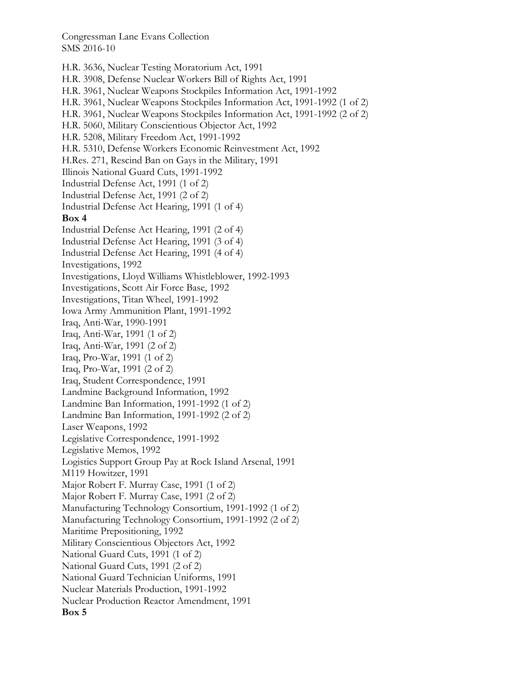H.R. 3636, Nuclear Testing Moratorium Act, 1991 H.R. 3908, Defense Nuclear Workers Bill of Rights Act, 1991 H.R. 3961, Nuclear Weapons Stockpiles Information Act, 1991-1992 H.R. 3961, Nuclear Weapons Stockpiles Information Act, 1991-1992 (1 of 2) H.R. 3961, Nuclear Weapons Stockpiles Information Act, 1991-1992 (2 of 2) H.R. 5060, Military Conscientious Objector Act, 1992 H.R. 5208, Military Freedom Act, 1991-1992 H.R. 5310, Defense Workers Economic Reinvestment Act, 1992 H.Res. 271, Rescind Ban on Gays in the Military, 1991 Illinois National Guard Cuts, 1991-1992 Industrial Defense Act, 1991 (1 of 2) Industrial Defense Act, 1991 (2 of 2) Industrial Defense Act Hearing, 1991 (1 of 4) **Box 4**  Industrial Defense Act Hearing, 1991 (2 of 4) Industrial Defense Act Hearing, 1991 (3 of 4) Industrial Defense Act Hearing, 1991 (4 of 4) Investigations, 1992 Investigations, Lloyd Williams Whistleblower, 1992-1993 Investigations, Scott Air Force Base, 1992 Investigations, Titan Wheel, 1991-1992 Iowa Army Ammunition Plant, 1991-1992 Iraq, Anti-War, 1990-1991 Iraq, Anti-War, 1991 (1 of 2) Iraq, Anti-War, 1991 (2 of 2) Iraq, Pro-War, 1991 (1 of 2) Iraq, Pro-War, 1991 (2 of 2) Iraq, Student Correspondence, 1991 Landmine Background Information, 1992 Landmine Ban Information, 1991-1992 (1 of 2) Landmine Ban Information, 1991-1992 (2 of 2) Laser Weapons, 1992 Legislative Correspondence, 1991-1992 Legislative Memos, 1992 Logistics Support Group Pay at Rock Island Arsenal, 1991 M119 Howitzer, 1991 Major Robert F. Murray Case, 1991 (1 of 2) Major Robert F. Murray Case, 1991 (2 of 2) Manufacturing Technology Consortium, 1991-1992 (1 of 2) Manufacturing Technology Consortium, 1991-1992 (2 of 2) Maritime Prepositioning, 1992 Military Conscientious Objectors Act, 1992 National Guard Cuts, 1991 (1 of 2) National Guard Cuts, 1991 (2 of 2) National Guard Technician Uniforms, 1991 Nuclear Materials Production, 1991-1992 Nuclear Production Reactor Amendment, 1991 **Box 5**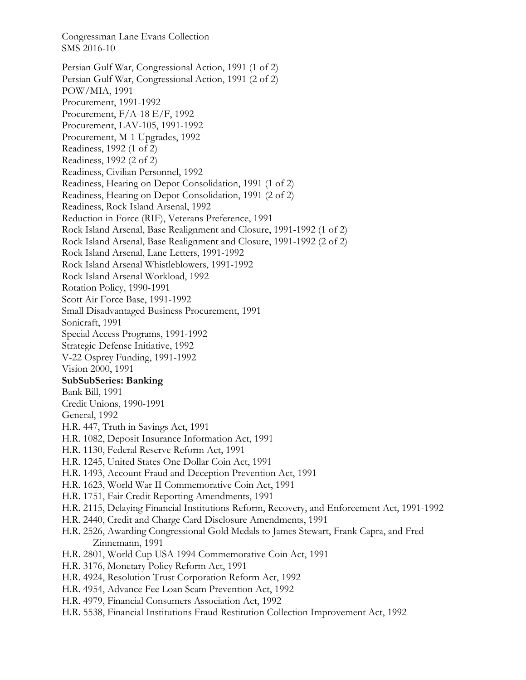Congressman Lane Evans Collection SMS 2016-10 Persian Gulf War, Congressional Action, 1991 (1 of 2) Persian Gulf War, Congressional Action, 1991 (2 of 2) POW/MIA, 1991 Procurement, 1991-1992 Procurement, F/A-18 E/F, 1992 Procurement, LAV-105, 1991-1992 Procurement, M-1 Upgrades, 1992 Readiness, 1992 (1 of 2) Readiness, 1992 (2 of 2) Readiness, Civilian Personnel, 1992 Readiness, Hearing on Depot Consolidation, 1991 (1 of 2) Readiness, Hearing on Depot Consolidation, 1991 (2 of 2) Readiness, Rock Island Arsenal, 1992 Reduction in Force (RIF), Veterans Preference, 1991 Rock Island Arsenal, Base Realignment and Closure, 1991-1992 (1 of 2) Rock Island Arsenal, Base Realignment and Closure, 1991-1992 (2 of 2) Rock Island Arsenal, Lane Letters, 1991-1992 Rock Island Arsenal Whistleblowers, 1991-1992 Rock Island Arsenal Workload, 1992 Rotation Policy, 1990-1991 Scott Air Force Base, 1991-1992 Small Disadvantaged Business Procurement, 1991 Sonicraft, 1991 Special Access Programs, 1991-1992 Strategic Defense Initiative, 1992 V-22 Osprey Funding, 1991-1992 Vision 2000, 1991 **SubSubSeries: Banking**  Bank Bill, 1991 Credit Unions, 1990-1991 General, 1992 H.R. 447, Truth in Savings Act, 1991 H.R. 1082, Deposit Insurance Information Act, 1991 H.R. 1130, Federal Reserve Reform Act, 1991 H.R. 1245, United States One Dollar Coin Act, 1991 H.R. 1493, Account Fraud and Deception Prevention Act, 1991 H.R. 1623, World War II Commemorative Coin Act, 1991 H.R. 1751, Fair Credit Reporting Amendments, 1991 H.R. 2115, Delaying Financial Institutions Reform, Recovery, and Enforcement Act, 1991-1992 H.R. 2440, Credit and Charge Card Disclosure Amendments, 1991 H.R. 2526, Awarding Congressional Gold Medals to James Stewart, Frank Capra, and Fred Zinnemann, 1991 H.R. 2801, World Cup USA 1994 Commemorative Coin Act, 1991 H.R. 3176, Monetary Policy Reform Act, 1991 H.R. 4924, Resolution Trust Corporation Reform Act, 1992 H.R. 4954, Advance Fee Loan Scam Prevention Act, 1992 H.R. 4979, Financial Consumers Association Act, 1992 H.R. 5538, Financial Institutions Fraud Restitution Collection Improvement Act, 1992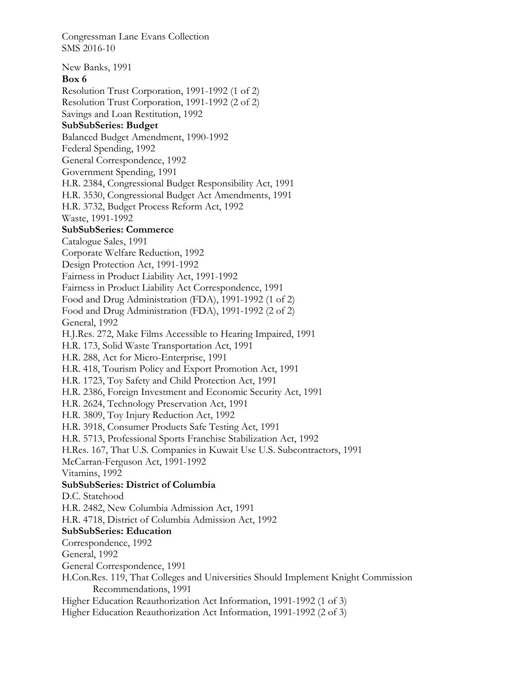New Banks, 1991 **Box 6**  Resolution Trust Corporation, 1991-1992 (1 of 2) Resolution Trust Corporation, 1991-1992 (2 of 2) Savings and Loan Restitution, 1992 **SubSubSeries: Budget**  Balanced Budget Amendment, 1990-1992 Federal Spending, 1992 General Correspondence, 1992 Government Spending, 1991 H.R. 2384, Congressional Budget Responsibility Act, 1991 H.R. 3530, Congressional Budget Act Amendments, 1991 H.R. 3732, Budget Process Reform Act, 1992 Waste, 1991-1992 **SubSubSeries: Commerce**  Catalogue Sales, 1991 Corporate Welfare Reduction, 1992 Design Protection Act, 1991-1992 Fairness in Product Liability Act, 1991-1992 Fairness in Product Liability Act Correspondence, 1991 Food and Drug Administration (FDA), 1991-1992 (1 of 2) Food and Drug Administration (FDA), 1991-1992 (2 of 2) General, 1992 H.J.Res. 272, Make Films Accessible to Hearing Impaired, 1991 H.R. 173, Solid Waste Transportation Act, 1991 H.R. 288, Act for Micro-Enterprise, 1991 H.R. 418, Tourism Policy and Export Promotion Act, 1991 H.R. 1723, Toy Safety and Child Protection Act, 1991 H.R. 2386, Foreign Investment and Economic Security Act, 1991 H.R. 2624, Technology Preservation Act, 1991 H.R. 3809, Toy Injury Reduction Act, 1992 H.R. 3918, Consumer Products Safe Testing Act, 1991 H.R. 5713, Professional Sports Franchise Stabilization Act, 1992 H.Res. 167, That U.S. Companies in Kuwait Use U.S. Subcontractors, 1991 McCarran-Ferguson Act, 1991-1992 Vitamins, 1992 **SubSubSeries: District of Columbia**  D.C. Statehood H.R. 2482, New Columbia Admission Act, 1991 H.R. 4718, District of Columbia Admission Act, 1992 **SubSubSeries: Education**  Correspondence, 1992 General, 1992 General Correspondence, 1991 H.Con.Res. 119, That Colleges and Universities Should Implement Knight Commission Recommendations, 1991 Higher Education Reauthorization Act Information, 1991-1992 (1 of 3) Higher Education Reauthorization Act Information, 1991-1992 (2 of 3)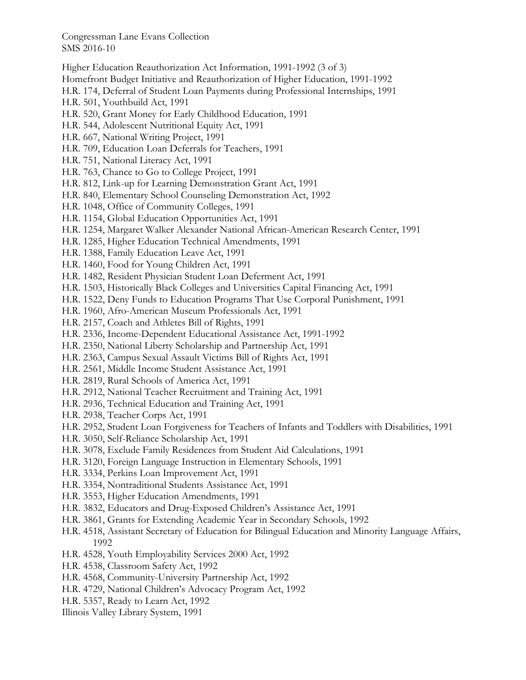- Higher Education Reauthorization Act Information, 1991-1992 (3 of 3)
- Homefront Budget Initiative and Reauthorization of Higher Education, 1991-1992
- H.R. 174, Deferral of Student Loan Payments during Professional Internships, 1991
- H.R. 501, Youthbuild Act, 1991
- H.R. 520, Grant Money for Early Childhood Education, 1991
- H.R. 544, Adolescent Nutritional Equity Act, 1991
- H.R. 667, National Writing Project, 1991
- H.R. 709, Education Loan Deferrals for Teachers, 1991
- H.R. 751, National Literacy Act, 1991
- H.R. 763, Chance to Go to College Project, 1991
- H.R. 812, Link-up for Learning Demonstration Grant Act, 1991
- H.R. 840, Elementary School Counseling Demonstration Act, 1992
- H.R. 1048, Office of Community Colleges, 1991
- H.R. 1154, Global Education Opportunities Act, 1991
- H.R. 1254, Margaret Walker Alexander National African-American Research Center, 1991
- H.R. 1285, Higher Education Technical Amendments, 1991
- H.R. 1388, Family Education Leave Act, 1991
- H.R. 1460, Food for Young Children Act, 1991
- H.R. 1482, Resident Physician Student Loan Deferment Act, 1991
- H.R. 1503, Historically Black Colleges and Universities Capital Financing Act, 1991
- H.R. 1522, Deny Funds to Education Programs That Use Corporal Punishment, 1991
- H.R. 1960, Afro-American Museum Professionals Act, 1991
- H.R. 2157, Coach and Athletes Bill of Rights, 1991
- H.R. 2336, Income-Dependent Educational Assistance Act, 1991-1992
- H.R. 2350, National Liberty Scholarship and Partnership Act, 1991
- H.R. 2363, Campus Sexual Assault Victims Bill of Rights Act, 1991
- H.R. 2561, Middle Income Student Assistance Act, 1991
- H.R. 2819, Rural Schools of America Act, 1991
- H.R. 2912, National Teacher Recruitment and Training Act, 1991
- H.R. 2936, Technical Education and Training Act, 1991
- H.R. 2938, Teacher Corps Act, 1991
- H.R. 2952, Student Loan Forgiveness for Teachers of Infants and Toddlers with Disabilities, 1991
- H.R. 3050, Self-Reliance Scholarship Act, 1991
- H.R. 3078, Exclude Family Residences from Student Aid Calculations, 1991
- H.R. 3120, Foreign Language Instruction in Elementary Schools, 1991
- H.R. 3334, Perkins Loan Improvement Act, 1991
- H.R. 3354, Nontraditional Students Assistance Act, 1991
- H.R. 3553, Higher Education Amendments, 1991
- H.R. 3832, Educators and Drug-Exposed Children's Assistance Act, 1991
- H.R. 3861, Grants for Extending Academic Year in Secondary Schools, 1992
- H.R. 4518, Assistant Secretary of Education for Bilingual Education and Minority Language Affairs, 1992
- H.R. 4528, Youth Employability Services 2000 Act, 1992
- H.R. 4538, Classroom Safety Act, 1992
- H.R. 4568, Community-University Partnership Act, 1992
- H.R. 4729, National Children's Advocacy Program Act, 1992
- H.R. 5357, Ready to Learn Act, 1992
- Illinois Valley Library System, 1991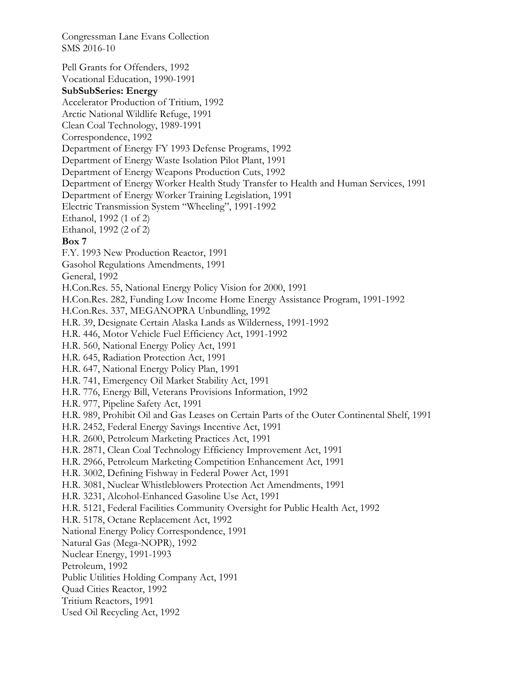Pell Grants for Offenders, 1992 Vocational Education, 1990-1991 **SubSubSeries: Energy**  Accelerator Production of Tritium, 1992 Arctic National Wildlife Refuge, 1991 Clean Coal Technology, 1989-1991 Correspondence, 1992 Department of Energy FY 1993 Defense Programs, 1992 Department of Energy Waste Isolation Pilot Plant, 1991 Department of Energy Weapons Production Cuts, 1992 Department of Energy Worker Health Study Transfer to Health and Human Services, 1991 Department of Energy Worker Training Legislation, 1991 Electric Transmission System "Wheeling", 1991-1992 Ethanol, 1992 (1 of 2) Ethanol, 1992 (2 of 2) **Box 7**  F.Y. 1993 New Production Reactor, 1991 Gasohol Regulations Amendments, 1991 General, 1992 H.Con.Res. 55, National Energy Policy Vision for 2000, 1991 H.Con.Res. 282, Funding Low Income Home Energy Assistance Program, 1991-1992 H.Con.Res. 337, MEGANOPRA Unbundling, 1992 H.R. 39, Designate Certain Alaska Lands as Wilderness, 1991-1992 H.R. 446, Motor Vehicle Fuel Efficiency Act, 1991-1992 H.R. 560, National Energy Policy Act, 1991 H.R. 645, Radiation Protection Act, 1991 H.R. 647, National Energy Policy Plan, 1991 H.R. 741, Emergency Oil Market Stability Act, 1991 H.R. 776, Energy Bill, Veterans Provisions Information, 1992 H.R. 977, Pipeline Safety Act, 1991 H.R. 989, Prohibit Oil and Gas Leases on Certain Parts of the Outer Continental Shelf, 1991 H.R. 2452, Federal Energy Savings Incentive Act, 1991 H.R. 2600, Petroleum Marketing Practices Act, 1991 H.R. 2871, Clean Coal Technology Efficiency Improvement Act, 1991 H.R. 2966, Petroleum Marketing Competition Enhancement Act, 1991 H.R. 3002, Defining Fishway in Federal Power Act, 1991 H.R. 3081, Nuclear Whistleblowers Protection Act Amendments, 1991 H.R. 3231, Alcohol-Enhanced Gasoline Use Act, 1991 H.R. 5121, Federal Facilities Community Oversight for Public Health Act, 1992 H.R. 5178, Octane Replacement Act, 1992 National Energy Policy Correspondence, 1991 Natural Gas (Mega-NOPR), 1992 Nuclear Energy, 1991-1993 Petroleum, 1992 Public Utilities Holding Company Act, 1991 Quad Cities Reactor, 1992 Tritium Reactors, 1991 Used Oil Recycling Act, 1992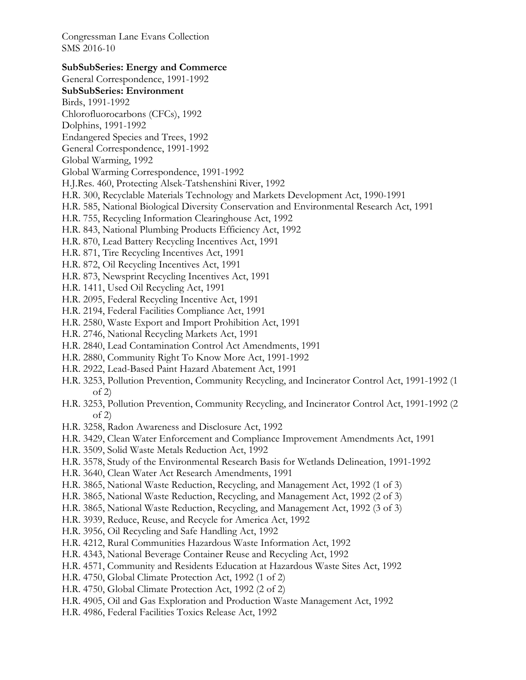#### **SubSubSeries: Energy and Commerce**

General Correspondence, 1991-1992 **SubSubSeries: Environment**  Birds, 1991-1992 Chlorofluorocarbons (CFCs), 1992

- Dolphins, 1991-1992
- Endangered Species and Trees, 1992
- General Correspondence, 1991-1992
- Global Warming, 1992
- Global Warming Correspondence, 1991-1992
- H.J.Res. 460, Protecting Alsek-Tatshenshini River, 1992
- H.R. 300, Recyclable Materials Technology and Markets Development Act, 1990-1991
- H.R. 585, National Biological Diversity Conservation and Environmental Research Act, 1991
- H.R. 755, Recycling Information Clearinghouse Act, 1992
- H.R. 843, National Plumbing Products Efficiency Act, 1992
- H.R. 870, Lead Battery Recycling Incentives Act, 1991
- H.R. 871, Tire Recycling Incentives Act, 1991
- H.R. 872, Oil Recycling Incentives Act, 1991
- H.R. 873, Newsprint Recycling Incentives Act, 1991
- H.R. 1411, Used Oil Recycling Act, 1991
- H.R. 2095, Federal Recycling Incentive Act, 1991
- H.R. 2194, Federal Facilities Compliance Act, 1991
- H.R. 2580, Waste Export and Import Prohibition Act, 1991
- H.R. 2746, National Recycling Markets Act, 1991
- H.R. 2840, Lead Contamination Control Act Amendments, 1991
- H.R. 2880, Community Right To Know More Act, 1991-1992
- H.R. 2922, Lead-Based Paint Hazard Abatement Act, 1991
- H.R. 3253, Pollution Prevention, Community Recycling, and Incinerator Control Act, 1991-1992 (1 of 2)
- H.R. 3253, Pollution Prevention, Community Recycling, and Incinerator Control Act, 1991-1992 (2 of 2)
- H.R. 3258, Radon Awareness and Disclosure Act, 1992
- H.R. 3429, Clean Water Enforcement and Compliance Improvement Amendments Act, 1991
- H.R. 3509, Solid Waste Metals Reduction Act, 1992
- H.R. 3578, Study of the Environmental Research Basis for Wetlands Delineation, 1991-1992
- H.R. 3640, Clean Water Act Research Amendments, 1991
- H.R. 3865, National Waste Reduction, Recycling, and Management Act, 1992 (1 of 3)
- H.R. 3865, National Waste Reduction, Recycling, and Management Act, 1992 (2 of 3)
- H.R. 3865, National Waste Reduction, Recycling, and Management Act, 1992 (3 of 3)
- H.R. 3939, Reduce, Reuse, and Recycle for America Act, 1992
- H.R. 3956, Oil Recycling and Safe Handling Act, 1992
- H.R. 4212, Rural Communities Hazardous Waste Information Act, 1992
- H.R. 4343, National Beverage Container Reuse and Recycling Act, 1992
- H.R. 4571, Community and Residents Education at Hazardous Waste Sites Act, 1992
- H.R. 4750, Global Climate Protection Act, 1992 (1 of 2)
- H.R. 4750, Global Climate Protection Act, 1992 (2 of 2)
- H.R. 4905, Oil and Gas Exploration and Production Waste Management Act, 1992
- H.R. 4986, Federal Facilities Toxics Release Act, 1992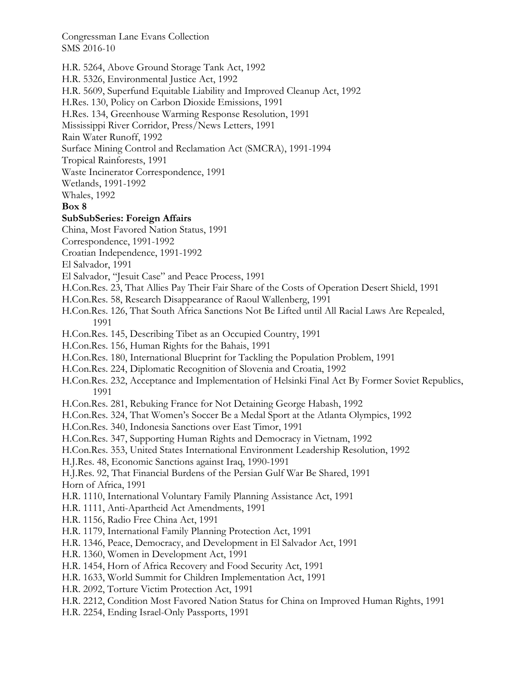H.R. 5264, Above Ground Storage Tank Act, 1992

H.R. 5326, Environmental Justice Act, 1992

H.R. 5609, Superfund Equitable Liability and Improved Cleanup Act, 1992

H.Res. 130, Policy on Carbon Dioxide Emissions, 1991

H.Res. 134, Greenhouse Warming Response Resolution, 1991

Mississippi River Corridor, Press/News Letters, 1991

Rain Water Runoff, 1992

Surface Mining Control and Reclamation Act (SMCRA), 1991-1994

Tropical Rainforests, 1991

Waste Incinerator Correspondence, 1991

Wetlands, 1991-1992

Whales, 1992

## **Box 8**

## **SubSubSeries: Foreign Affairs**

China, Most Favored Nation Status, 1991

Correspondence, 1991-1992

Croatian Independence, 1991-1992

El Salvador, 1991

El Salvador, "Jesuit Case" and Peace Process, 1991

H.Con.Res. 23, That Allies Pay Their Fair Share of the Costs of Operation Desert Shield, 1991

- H.Con.Res. 58, Research Disappearance of Raoul Wallenberg, 1991
- H.Con.Res. 126, That South Africa Sanctions Not Be Lifted until All Racial Laws Are Repealed, 1991
- H.Con.Res. 145, Describing Tibet as an Occupied Country, 1991
- H.Con.Res. 156, Human Rights for the Bahais, 1991
- H.Con.Res. 180, International Blueprint for Tackling the Population Problem, 1991
- H.Con.Res. 224, Diplomatic Recognition of Slovenia and Croatia, 1992
- H.Con.Res. 232, Acceptance and Implementation of Helsinki Final Act By Former Soviet Republics, 1991
- H.Con.Res. 281, Rebuking France for Not Detaining George Habash, 1992
- H.Con.Res. 324, That Women's Soccer Be a Medal Sport at the Atlanta Olympics, 1992
- H.Con.Res. 340, Indonesia Sanctions over East Timor, 1991
- H.Con.Res. 347, Supporting Human Rights and Democracy in Vietnam, 1992
- H.Con.Res. 353, United States International Environment Leadership Resolution, 1992
- H.J.Res. 48, Economic Sanctions against Iraq, 1990-1991

H.J.Res. 92, That Financial Burdens of the Persian Gulf War Be Shared, 1991

Horn of Africa, 1991

- H.R. 1110, International Voluntary Family Planning Assistance Act, 1991
- H.R. 1111, Anti-Apartheid Act Amendments, 1991
- H.R. 1156, Radio Free China Act, 1991
- H.R. 1179, International Family Planning Protection Act, 1991
- H.R. 1346, Peace, Democracy, and Development in El Salvador Act, 1991
- H.R. 1360, Women in Development Act, 1991
- H.R. 1454, Horn of Africa Recovery and Food Security Act, 1991
- H.R. 1633, World Summit for Children Implementation Act, 1991

H.R. 2092, Torture Victim Protection Act, 1991

- H.R. 2212, Condition Most Favored Nation Status for China on Improved Human Rights, 1991
- H.R. 2254, Ending Israel-Only Passports, 1991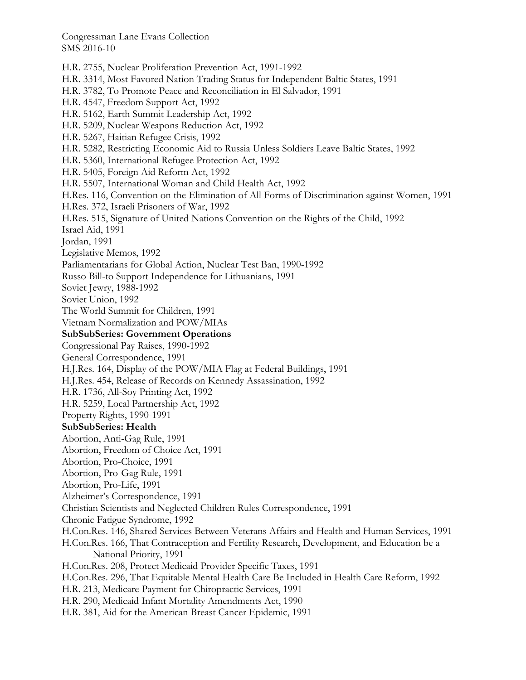H.R. 2755, Nuclear Proliferation Prevention Act, 1991-1992 H.R. 3314, Most Favored Nation Trading Status for Independent Baltic States, 1991 H.R. 3782, To Promote Peace and Reconciliation in El Salvador, 1991 H.R. 4547, Freedom Support Act, 1992 H.R. 5162, Earth Summit Leadership Act, 1992 H.R. 5209, Nuclear Weapons Reduction Act, 1992 H.R. 5267, Haitian Refugee Crisis, 1992 H.R. 5282, Restricting Economic Aid to Russia Unless Soldiers Leave Baltic States, 1992 H.R. 5360, International Refugee Protection Act, 1992 H.R. 5405, Foreign Aid Reform Act, 1992 H.R. 5507, International Woman and Child Health Act, 1992 H.Res. 116, Convention on the Elimination of All Forms of Discrimination against Women, 1991 H.Res. 372, Israeli Prisoners of War, 1992 H.Res. 515, Signature of United Nations Convention on the Rights of the Child, 1992 Israel Aid, 1991 Jordan, 1991 Legislative Memos, 1992 Parliamentarians for Global Action, Nuclear Test Ban, 1990-1992 Russo Bill-to Support Independence for Lithuanians, 1991 Soviet Jewry, 1988-1992 Soviet Union, 1992 The World Summit for Children, 1991 Vietnam Normalization and POW/MIAs **SubSubSeries: Government Operations**  Congressional Pay Raises, 1990-1992 General Correspondence, 1991 H.J.Res. 164, Display of the POW/MIA Flag at Federal Buildings, 1991 H.J.Res. 454, Release of Records on Kennedy Assassination, 1992 H.R. 1736, All-Soy Printing Act, 1992 H.R. 5259, Local Partnership Act, 1992 Property Rights, 1990-1991 **SubSubSeries: Health**  Abortion, Anti-Gag Rule, 1991 Abortion, Freedom of Choice Act, 1991 Abortion, Pro-Choice, 1991 Abortion, Pro-Gag Rule, 1991 Abortion, Pro-Life, 1991 Alzheimer's Correspondence, 1991 Christian Scientists and Neglected Children Rules Correspondence, 1991 Chronic Fatigue Syndrome, 1992 H.Con.Res. 146, Shared Services Between Veterans Affairs and Health and Human Services, 1991 H.Con.Res. 166, That Contraception and Fertility Research, Development, and Education be a National Priority, 1991 H.Con.Res. 208, Protect Medicaid Provider Specific Taxes, 1991 H.Con.Res. 296, That Equitable Mental Health Care Be Included in Health Care Reform, 1992 H.R. 213, Medicare Payment for Chiropractic Services, 1991 H.R. 290, Medicaid Infant Mortality Amendments Act, 1990 H.R. 381, Aid for the American Breast Cancer Epidemic, 1991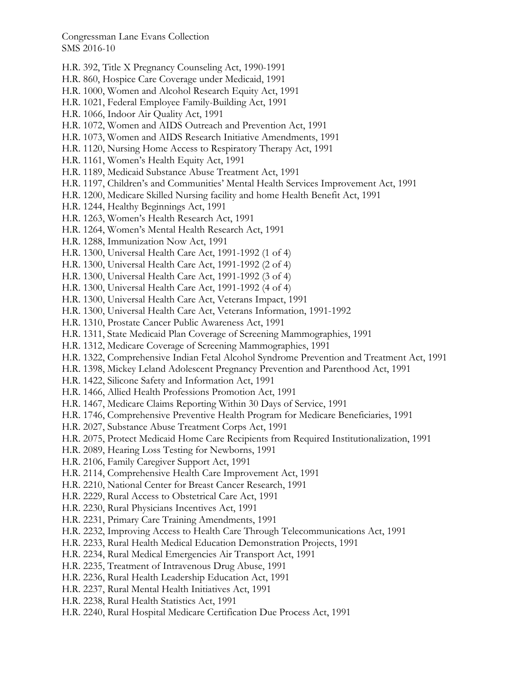- H.R. 392, Title X Pregnancy Counseling Act, 1990-1991
- H.R. 860, Hospice Care Coverage under Medicaid, 1991
- H.R. 1000, Women and Alcohol Research Equity Act, 1991
- H.R. 1021, Federal Employee Family-Building Act, 1991
- H.R. 1066, Indoor Air Quality Act, 1991
- H.R. 1072, Women and AIDS Outreach and Prevention Act, 1991
- H.R. 1073, Women and AIDS Research Initiative Amendments, 1991
- H.R. 1120, Nursing Home Access to Respiratory Therapy Act, 1991
- H.R. 1161, Women's Health Equity Act, 1991
- H.R. 1189, Medicaid Substance Abuse Treatment Act, 1991
- H.R. 1197, Children's and Communities' Mental Health Services Improvement Act, 1991
- H.R. 1200, Medicare Skilled Nursing facility and home Health Benefit Act, 1991
- H.R. 1244, Healthy Beginnings Act, 1991
- H.R. 1263, Women's Health Research Act, 1991
- H.R. 1264, Women's Mental Health Research Act, 1991
- H.R. 1288, Immunization Now Act, 1991
- H.R. 1300, Universal Health Care Act, 1991-1992 (1 of 4)
- H.R. 1300, Universal Health Care Act, 1991-1992 (2 of 4)
- H.R. 1300, Universal Health Care Act, 1991-1992 (3 of 4)
- H.R. 1300, Universal Health Care Act, 1991-1992 (4 of 4)
- H.R. 1300, Universal Health Care Act, Veterans Impact, 1991
- H.R. 1300, Universal Health Care Act, Veterans Information, 1991-1992
- H.R. 1310, Prostate Cancer Public Awareness Act, 1991
- H.R. 1311, State Medicaid Plan Coverage of Screening Mammographies, 1991
- H.R. 1312, Medicare Coverage of Screening Mammographies, 1991
- H.R. 1322, Comprehensive Indian Fetal Alcohol Syndrome Prevention and Treatment Act, 1991
- H.R. 1398, Mickey Leland Adolescent Pregnancy Prevention and Parenthood Act, 1991
- H.R. 1422, Silicone Safety and Information Act, 1991
- H.R. 1466, Allied Health Professions Promotion Act, 1991
- H.R. 1467, Medicare Claims Reporting Within 30 Days of Service, 1991
- H.R. 1746, Comprehensive Preventive Health Program for Medicare Beneficiaries, 1991
- H.R. 2027, Substance Abuse Treatment Corps Act, 1991
- H.R. 2075, Protect Medicaid Home Care Recipients from Required Institutionalization, 1991
- H.R. 2089, Hearing Loss Testing for Newborns, 1991
- H.R. 2106, Family Caregiver Support Act, 1991
- H.R. 2114, Comprehensive Health Care Improvement Act, 1991
- H.R. 2210, National Center for Breast Cancer Research, 1991
- H.R. 2229, Rural Access to Obstetrical Care Act, 1991
- H.R. 2230, Rural Physicians Incentives Act, 1991
- H.R. 2231, Primary Care Training Amendments, 1991
- H.R. 2232, Improving Access to Health Care Through Telecommunications Act, 1991
- H.R. 2233, Rural Health Medical Education Demonstration Projects, 1991
- H.R. 2234, Rural Medical Emergencies Air Transport Act, 1991
- H.R. 2235, Treatment of Intravenous Drug Abuse, 1991
- H.R. 2236, Rural Health Leadership Education Act, 1991
- H.R. 2237, Rural Mental Health Initiatives Act, 1991
- H.R. 2238, Rural Health Statistics Act, 1991
- H.R. 2240, Rural Hospital Medicare Certification Due Process Act, 1991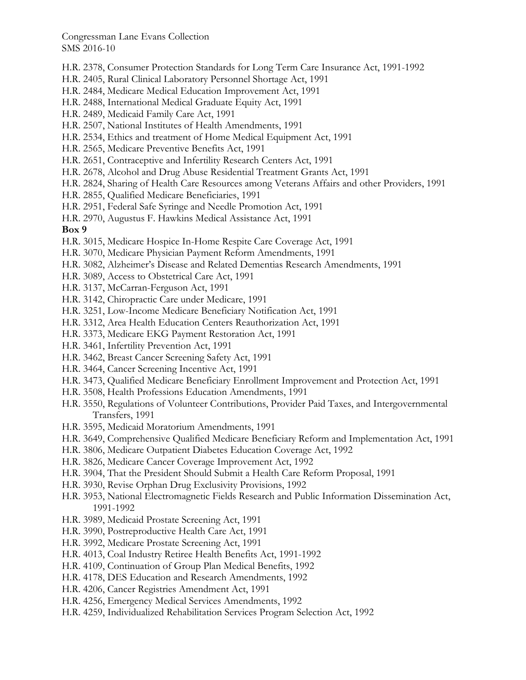- H.R. 2378, Consumer Protection Standards for Long Term Care Insurance Act, 1991-1992
- H.R. 2405, Rural Clinical Laboratory Personnel Shortage Act, 1991
- H.R. 2484, Medicare Medical Education Improvement Act, 1991
- H.R. 2488, International Medical Graduate Equity Act, 1991
- H.R. 2489, Medicaid Family Care Act, 1991
- H.R. 2507, National Institutes of Health Amendments, 1991
- H.R. 2534, Ethics and treatment of Home Medical Equipment Act, 1991
- H.R. 2565, Medicare Preventive Benefits Act, 1991
- H.R. 2651, Contraceptive and Infertility Research Centers Act, 1991
- H.R. 2678, Alcohol and Drug Abuse Residential Treatment Grants Act, 1991
- H.R. 2824, Sharing of Health Care Resources among Veterans Affairs and other Providers, 1991
- H.R. 2855, Qualified Medicare Beneficiaries, 1991
- H.R. 2951, Federal Safe Syringe and Needle Promotion Act, 1991
- H.R. 2970, Augustus F. Hawkins Medical Assistance Act, 1991

#### **Box 9**

- H.R. 3015, Medicare Hospice In-Home Respite Care Coverage Act, 1991
- H.R. 3070, Medicare Physician Payment Reform Amendments, 1991
- H.R. 3082, Alzheimer's Disease and Related Dementias Research Amendments, 1991
- H.R. 3089, Access to Obstetrical Care Act, 1991
- H.R. 3137, McCarran-Ferguson Act, 1991
- H.R. 3142, Chiropractic Care under Medicare, 1991
- H.R. 3251, Low-Income Medicare Beneficiary Notification Act, 1991
- H.R. 3312, Area Health Education Centers Reauthorization Act, 1991
- H.R. 3373, Medicare EKG Payment Restoration Act, 1991
- H.R. 3461, Infertility Prevention Act, 1991
- H.R. 3462, Breast Cancer Screening Safety Act, 1991
- H.R. 3464, Cancer Screening Incentive Act, 1991
- H.R. 3473, Qualified Medicare Beneficiary Enrollment Improvement and Protection Act, 1991
- H.R. 3508, Health Professions Education Amendments, 1991
- H.R. 3550, Regulations of Volunteer Contributions, Provider Paid Taxes, and Intergovernmental Transfers, 1991
- H.R. 3595, Medicaid Moratorium Amendments, 1991
- H.R. 3649, Comprehensive Qualified Medicare Beneficiary Reform and Implementation Act, 1991
- H.R. 3806, Medicare Outpatient Diabetes Education Coverage Act, 1992
- H.R. 3826, Medicare Cancer Coverage Improvement Act, 1992
- H.R. 3904, That the President Should Submit a Health Care Reform Proposal, 1991
- H.R. 3930, Revise Orphan Drug Exclusivity Provisions, 1992
- H.R. 3953, National Electromagnetic Fields Research and Public Information Dissemination Act, 1991-1992
- H.R. 3989, Medicaid Prostate Screening Act, 1991
- H.R. 3990, Postreproductive Health Care Act, 1991
- H.R. 3992, Medicare Prostate Screening Act, 1991
- H.R. 4013, Coal Industry Retiree Health Benefits Act, 1991-1992
- H.R. 4109, Continuation of Group Plan Medical Benefits, 1992
- H.R. 4178, DES Education and Research Amendments, 1992
- H.R. 4206, Cancer Registries Amendment Act, 1991
- H.R. 4256, Emergency Medical Services Amendments, 1992
- H.R. 4259, Individualized Rehabilitation Services Program Selection Act, 1992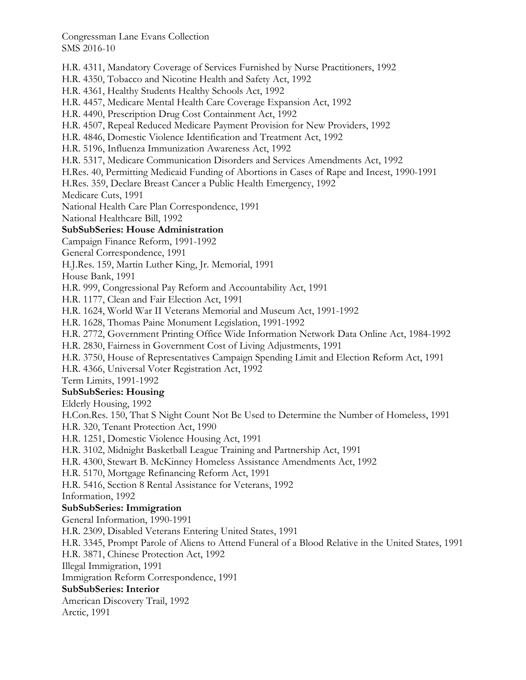H.R. 4311, Mandatory Coverage of Services Furnished by Nurse Practitioners, 1992 H.R. 4350, Tobacco and Nicotine Health and Safety Act, 1992 H.R. 4361, Healthy Students Healthy Schools Act, 1992 H.R. 4457, Medicare Mental Health Care Coverage Expansion Act, 1992 H.R. 4490, Prescription Drug Cost Containment Act, 1992 H.R. 4507, Repeal Reduced Medicare Payment Provision for New Providers, 1992 H.R. 4846, Domestic Violence Identification and Treatment Act, 1992 H.R. 5196, Influenza Immunization Awareness Act, 1992 H.R. 5317, Medicare Communication Disorders and Services Amendments Act, 1992 H.Res. 40, Permitting Medicaid Funding of Abortions in Cases of Rape and Incest, 1990-1991 H.Res. 359, Declare Breast Cancer a Public Health Emergency, 1992 Medicare Cuts, 1991 National Health Care Plan Correspondence, 1991 National Healthcare Bill, 1992 **SubSubSeries: House Administration**  Campaign Finance Reform, 1991-1992 General Correspondence, 1991 H.J.Res. 159, Martin Luther King, Jr. Memorial, 1991 House Bank, 1991 H.R. 999, Congressional Pay Reform and Accountability Act, 1991 H.R. 1177, Clean and Fair Election Act, 1991 H.R. 1624, World War II Veterans Memorial and Museum Act, 1991-1992 H.R. 1628, Thomas Paine Monument Legislation, 1991-1992 H.R. 2772, Government Printing Office Wide Information Network Data Online Act, 1984-1992 H.R. 2830, Fairness in Government Cost of Living Adjustments, 1991 H.R. 3750, House of Representatives Campaign Spending Limit and Election Reform Act, 1991 H.R. 4366, Universal Voter Registration Act, 1992 Term Limits, 1991-1992 **SubSubSeries: Housing**  Elderly Housing, 1992 H.Con.Res. 150, That S Night Count Not Be Used to Determine the Number of Homeless, 1991 H.R. 320, Tenant Protection Act, 1990 H.R. 1251, Domestic Violence Housing Act, 1991 H.R. 3102, Midnight Basketball League Training and Partnership Act, 1991 H.R. 4300, Stewart B. McKinney Homeless Assistance Amendments Act, 1992 H.R. 5170, Mortgage Refinancing Reform Act, 1991 H.R. 5416, Section 8 Rental Assistance for Veterans, 1992 Information, 1992 **SubSubSeries: Immigration**  General Information, 1990-1991 H.R. 2309, Disabled Veterans Entering United States, 1991 H.R. 3345, Prompt Parole of Aliens to Attend Funeral of a Blood Relative in the United States, 1991 H.R. 3871, Chinese Protection Act, 1992 Illegal Immigration, 1991 Immigration Reform Correspondence, 1991 **SubSubSeries: Interior**  American Discovery Trail, 1992 Arctic, 1991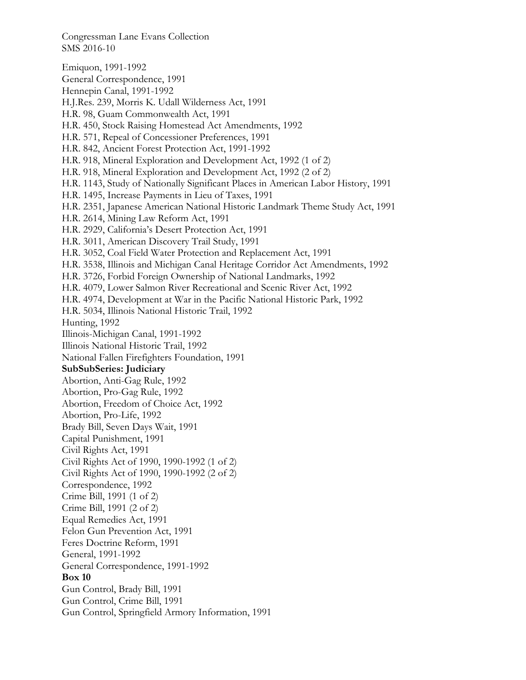Emiquon, 1991-1992 General Correspondence, 1991 Hennepin Canal, 1991-1992 H.J.Res. 239, Morris K. Udall Wilderness Act, 1991 H.R. 98, Guam Commonwealth Act, 1991 H.R. 450, Stock Raising Homestead Act Amendments, 1992 H.R. 571, Repeal of Concessioner Preferences, 1991 H.R. 842, Ancient Forest Protection Act, 1991-1992 H.R. 918, Mineral Exploration and Development Act, 1992 (1 of 2) H.R. 918, Mineral Exploration and Development Act, 1992 (2 of 2) H.R. 1143, Study of Nationally Significant Places in American Labor History, 1991 H.R. 1495, Increase Payments in Lieu of Taxes, 1991 H.R. 2351, Japanese American National Historic Landmark Theme Study Act, 1991 H.R. 2614, Mining Law Reform Act, 1991 H.R. 2929, California's Desert Protection Act, 1991 H.R. 3011, American Discovery Trail Study, 1991 H.R. 3052, Coal Field Water Protection and Replacement Act, 1991 H.R. 3538, Illinois and Michigan Canal Heritage Corridor Act Amendments, 1992 H.R. 3726, Forbid Foreign Ownership of National Landmarks, 1992 H.R. 4079, Lower Salmon River Recreational and Scenic River Act, 1992 H.R. 4974, Development at War in the Pacific National Historic Park, 1992 H.R. 5034, Illinois National Historic Trail, 1992 Hunting, 1992 Illinois-Michigan Canal, 1991-1992 Illinois National Historic Trail, 1992 National Fallen Firefighters Foundation, 1991 **SubSubSeries: Judiciary**  Abortion, Anti-Gag Rule, 1992 Abortion, Pro-Gag Rule, 1992 Abortion, Freedom of Choice Act, 1992 Abortion, Pro-Life, 1992 Brady Bill, Seven Days Wait, 1991 Capital Punishment, 1991 Civil Rights Act, 1991 Civil Rights Act of 1990, 1990-1992 (1 of 2) Civil Rights Act of 1990, 1990-1992 (2 of 2) Correspondence, 1992 Crime Bill, 1991 (1 of 2) Crime Bill, 1991 (2 of 2) Equal Remedies Act, 1991 Felon Gun Prevention Act, 1991 Feres Doctrine Reform, 1991 General, 1991-1992 General Correspondence, 1991-1992 **Box 10**  Gun Control, Brady Bill, 1991 Gun Control, Crime Bill, 1991 Gun Control, Springfield Armory Information, 1991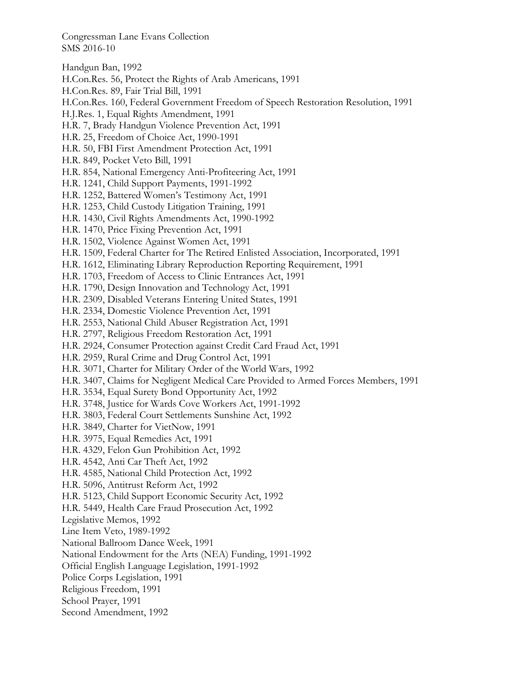Handgun Ban, 1992

- H.Con.Res. 56, Protect the Rights of Arab Americans, 1991
- H.Con.Res. 89, Fair Trial Bill, 1991
- H.Con.Res. 160, Federal Government Freedom of Speech Restoration Resolution, 1991
- H.J.Res. 1, Equal Rights Amendment, 1991
- H.R. 7, Brady Handgun Violence Prevention Act, 1991
- H.R. 25, Freedom of Choice Act, 1990-1991
- H.R. 50, FBI First Amendment Protection Act, 1991
- H.R. 849, Pocket Veto Bill, 1991
- H.R. 854, National Emergency Anti-Profiteering Act, 1991
- H.R. 1241, Child Support Payments, 1991-1992
- H.R. 1252, Battered Women's Testimony Act, 1991
- H.R. 1253, Child Custody Litigation Training, 1991
- H.R. 1430, Civil Rights Amendments Act, 1990-1992
- H.R. 1470, Price Fixing Prevention Act, 1991
- H.R. 1502, Violence Against Women Act, 1991
- H.R. 1509, Federal Charter for The Retired Enlisted Association, Incorporated, 1991
- H.R. 1612, Eliminating Library Reproduction Reporting Requirement, 1991
- H.R. 1703, Freedom of Access to Clinic Entrances Act, 1991
- H.R. 1790, Design Innovation and Technology Act, 1991
- H.R. 2309, Disabled Veterans Entering United States, 1991
- H.R. 2334, Domestic Violence Prevention Act, 1991
- H.R. 2553, National Child Abuser Registration Act, 1991
- H.R. 2797, Religious Freedom Restoration Act, 1991
- H.R. 2924, Consumer Protection against Credit Card Fraud Act, 1991
- H.R. 2959, Rural Crime and Drug Control Act, 1991
- H.R. 3071, Charter for Military Order of the World Wars, 1992
- H.R. 3407, Claims for Negligent Medical Care Provided to Armed Forces Members, 1991
- H.R. 3534, Equal Surety Bond Opportunity Act, 1992
- H.R. 3748, Justice for Wards Cove Workers Act, 1991-1992
- H.R. 3803, Federal Court Settlements Sunshine Act, 1992
- H.R. 3849, Charter for VietNow, 1991
- H.R. 3975, Equal Remedies Act, 1991
- H.R. 4329, Felon Gun Prohibition Act, 1992
- H.R. 4542, Anti Car Theft Act, 1992
- H.R. 4585, National Child Protection Act, 1992
- H.R. 5096, Antitrust Reform Act, 1992
- H.R. 5123, Child Support Economic Security Act, 1992
- H.R. 5449, Health Care Fraud Prosecution Act, 1992
- Legislative Memos, 1992
- Line Item Veto, 1989-1992
- National Ballroom Dance Week, 1991
- National Endowment for the Arts (NEA) Funding, 1991-1992
- Official English Language Legislation, 1991-1992
- Police Corps Legislation, 1991
- Religious Freedom, 1991
- School Prayer, 1991
- Second Amendment, 1992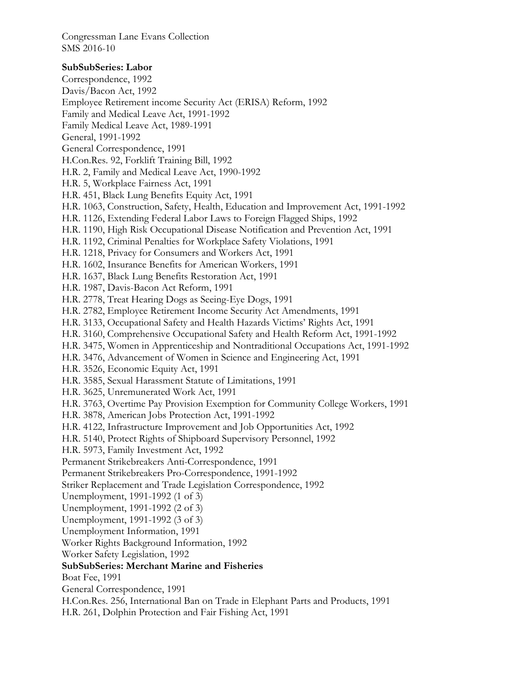# **SubSubSeries: Labor**

Correspondence, 1992 Davis/Bacon Act, 1992 Employee Retirement income Security Act (ERISA) Reform, 1992 Family and Medical Leave Act, 1991-1992 Family Medical Leave Act, 1989-1991 General, 1991-1992 General Correspondence, 1991 H.Con.Res. 92, Forklift Training Bill, 1992 H.R. 2, Family and Medical Leave Act, 1990-1992 H.R. 5, Workplace Fairness Act, 1991 H.R. 451, Black Lung Benefits Equity Act, 1991 H.R. 1063, Construction, Safety, Health, Education and Improvement Act, 1991-1992 H.R. 1126, Extending Federal Labor Laws to Foreign Flagged Ships, 1992 H.R. 1190, High Risk Occupational Disease Notification and Prevention Act, 1991 H.R. 1192, Criminal Penalties for Workplace Safety Violations, 1991 H.R. 1218, Privacy for Consumers and Workers Act, 1991 H.R. 1602, Insurance Benefits for American Workers, 1991 H.R. 1637, Black Lung Benefits Restoration Act, 1991 H.R. 1987, Davis-Bacon Act Reform, 1991 H.R. 2778, Treat Hearing Dogs as Seeing-Eye Dogs, 1991 H.R. 2782, Employee Retirement Income Security Act Amendments, 1991 H.R. 3133, Occupational Safety and Health Hazards Victims' Rights Act, 1991 H.R. 3160, Comprehensive Occupational Safety and Health Reform Act, 1991-1992 H.R. 3475, Women in Apprenticeship and Nontraditional Occupations Act, 1991-1992 H.R. 3476, Advancement of Women in Science and Engineering Act, 1991 H.R. 3526, Economic Equity Act, 1991 H.R. 3585, Sexual Harassment Statute of Limitations, 1991 H.R. 3625, Unremunerated Work Act, 1991 H.R. 3763, Overtime Pay Provision Exemption for Community College Workers, 1991 H.R. 3878, American Jobs Protection Act, 1991-1992 H.R. 4122, Infrastructure Improvement and Job Opportunities Act, 1992 H.R. 5140, Protect Rights of Shipboard Supervisory Personnel, 1992 H.R. 5973, Family Investment Act, 1992 Permanent Strikebreakers Anti-Correspondence, 1991 Permanent Strikebreakers Pro-Correspondence, 1991-1992 Striker Replacement and Trade Legislation Correspondence, 1992 Unemployment, 1991-1992 (1 of 3) Unemployment, 1991-1992 (2 of 3) Unemployment, 1991-1992 (3 of 3) Unemployment Information, 1991 Worker Rights Background Information, 1992 Worker Safety Legislation, 1992 **SubSubSeries: Merchant Marine and Fisheries**  Boat Fee, 1991 General Correspondence, 1991 H.Con.Res. 256, International Ban on Trade in Elephant Parts and Products, 1991 H.R. 261, Dolphin Protection and Fair Fishing Act, 1991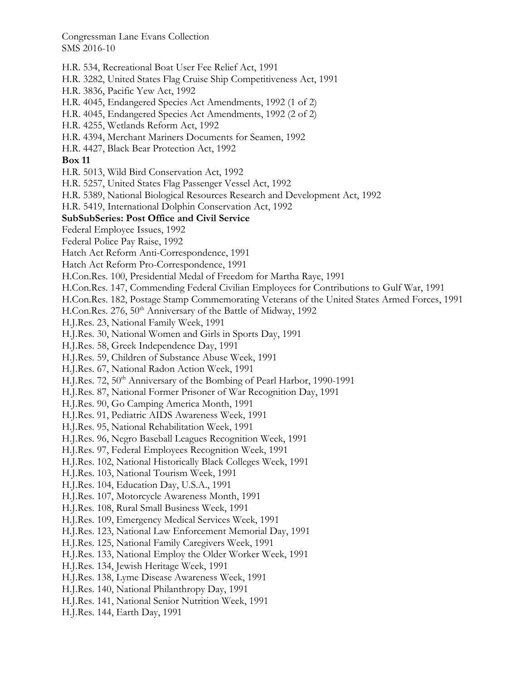- H.R. 534, Recreational Boat User Fee Relief Act, 1991
- H.R. 3282, United States Flag Cruise Ship Competitiveness Act, 1991
- H.R. 3836, Pacific Yew Act, 1992
- H.R. 4045, Endangered Species Act Amendments, 1992 (1 of 2)
- H.R. 4045, Endangered Species Act Amendments, 1992 (2 of 2)
- H.R. 4255, Wetlands Reform Act, 1992
- H.R. 4394, Merchant Mariners Documents for Seamen, 1992
- H.R. 4427, Black Bear Protection Act, 1992

#### **Box 11**

- H.R. 5013, Wild Bird Conservation Act, 1992
- H.R. 5257, United States Flag Passenger Vessel Act, 1992
- H.R. 5389, National Biological Resources Research and Development Act, 1992
- H.R. 5419, International Dolphin Conservation Act, 1992

## **SubSubSeries: Post Office and Civil Service**

- Federal Employee Issues, 1992
- Federal Police Pay Raise, 1992
- Hatch Act Reform Anti-Correspondence, 1991
- Hatch Act Reform Pro-Correspondence, 1991
- H.Con.Res. 100, Presidential Medal of Freedom for Martha Raye, 1991
- H.Con.Res. 147, Commending Federal Civilian Employees for Contributions to Gulf War, 1991
- H.Con.Res. 182, Postage Stamp Commemorating Veterans of the United States Armed Forces, 1991
- H.Con.Res. 276, 50<sup>th</sup> Anniversary of the Battle of Midway, 1992
- H.J.Res. 23, National Family Week, 1991
- H.J.Res. 30, National Women and Girls in Sports Day, 1991
- H.J.Res. 58, Greek Independence Day, 1991
- H.J.Res. 59, Children of Substance Abuse Week, 1991
- H.J.Res. 67, National Radon Action Week, 1991
- H.J.Res. 72, 50<sup>th</sup> Anniversary of the Bombing of Pearl Harbor, 1990-1991
- H.J.Res. 87, National Former Prisoner of War Recognition Day, 1991
- H.J.Res. 90, Go Camping America Month, 1991
- H.J.Res. 91, Pediatric AIDS Awareness Week, 1991
- H.J.Res. 95, National Rehabilitation Week, 1991
- H.J.Res. 96, Negro Baseball Leagues Recognition Week, 1991
- H.J.Res. 97, Federal Employees Recognition Week, 1991
- H.J.Res. 102, National Historically Black Colleges Week, 1991
- H.J.Res. 103, National Tourism Week, 1991
- H.J.Res. 104, Education Day, U.S.A., 1991
- H.J.Res. 107, Motorcycle Awareness Month, 1991
- H.J.Res. 108, Rural Small Business Week, 1991
- H.J.Res. 109, Emergency Medical Services Week, 1991
- H.J.Res. 123, National Law Enforcement Memorial Day, 1991
- H.J.Res. 125, National Family Caregivers Week, 1991
- H.J.Res. 133, National Employ the Older Worker Week, 1991
- H.J.Res. 134, Jewish Heritage Week, 1991
- H.J.Res. 138, Lyme Disease Awareness Week, 1991
- H.J.Res. 140, National Philanthropy Day, 1991
- H.J.Res. 141, National Senior Nutrition Week, 1991
- H.J.Res. 144, Earth Day, 1991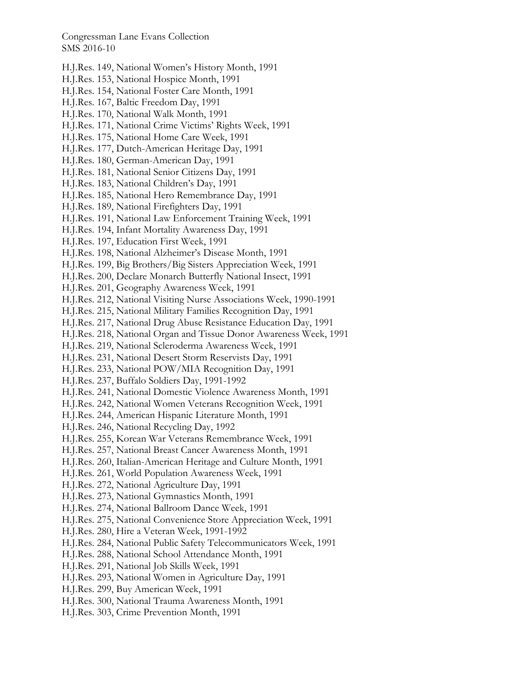- H.J.Res. 149, National Women's History Month, 1991
- H.J.Res. 153, National Hospice Month, 1991
- H.J.Res. 154, National Foster Care Month, 1991
- H.J.Res. 167, Baltic Freedom Day, 1991
- H.J.Res. 170, National Walk Month, 1991
- H.J.Res. 171, National Crime Victims' Rights Week, 1991
- H.J.Res. 175, National Home Care Week, 1991
- H.J.Res. 177, Dutch-American Heritage Day, 1991
- H.J.Res. 180, German-American Day, 1991
- H.J.Res. 181, National Senior Citizens Day, 1991
- H.J.Res. 183, National Children's Day, 1991
- H.J.Res. 185, National Hero Remembrance Day, 1991
- H.J.Res. 189, National Firefighters Day, 1991
- H.J.Res. 191, National Law Enforcement Training Week, 1991
- H.J.Res. 194, Infant Mortality Awareness Day, 1991
- H.J.Res. 197, Education First Week, 1991
- H.J.Res. 198, National Alzheimer's Disease Month, 1991
- H.J.Res. 199, Big Brothers/Big Sisters Appreciation Week, 1991
- H.J.Res. 200, Declare Monarch Butterfly National Insect, 1991
- H.J.Res. 201, Geography Awareness Week, 1991
- H.J.Res. 212, National Visiting Nurse Associations Week, 1990-1991
- H.J.Res. 215, National Military Families Recognition Day, 1991
- H.J.Res. 217, National Drug Abuse Resistance Education Day, 1991
- H.J.Res. 218, National Organ and Tissue Donor Awareness Week, 1991
- H.J.Res. 219, National Scleroderma Awareness Week, 1991
- H.J.Res. 231, National Desert Storm Reservists Day, 1991
- H.J.Res. 233, National POW/MIA Recognition Day, 1991
- H.J.Res. 237, Buffalo Soldiers Day, 1991-1992
- H.J.Res. 241, National Domestic Violence Awareness Month, 1991
- H.J.Res. 242, National Women Veterans Recognition Week, 1991
- H.J.Res. 244, American Hispanic Literature Month, 1991
- H.J.Res. 246, National Recycling Day, 1992
- H.J.Res. 255, Korean War Veterans Remembrance Week, 1991
- H.J.Res. 257, National Breast Cancer Awareness Month, 1991
- H.J.Res. 260, Italian-American Heritage and Culture Month, 1991
- H.J.Res. 261, World Population Awareness Week, 1991
- H.J.Res. 272, National Agriculture Day, 1991
- H.J.Res. 273, National Gymnastics Month, 1991
- H.J.Res. 274, National Ballroom Dance Week, 1991
- H.J.Res. 275, National Convenience Store Appreciation Week, 1991
- H.J.Res. 280, Hire a Veteran Week, 1991-1992
- H.J.Res. 284, National Public Safety Telecommunicators Week, 1991
- H.J.Res. 288, National School Attendance Month, 1991
- H.J.Res. 291, National Job Skills Week, 1991
- H.J.Res. 293, National Women in Agriculture Day, 1991
- H.J.Res. 299, Buy American Week, 1991
- H.J.Res. 300, National Trauma Awareness Month, 1991
- H.J.Res. 303, Crime Prevention Month, 1991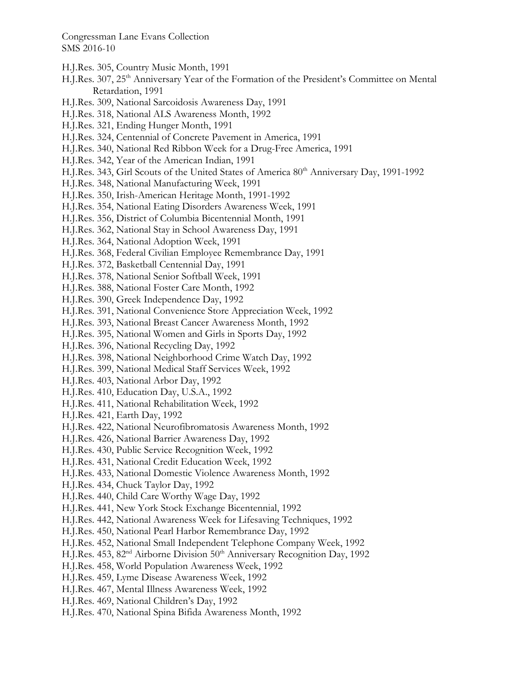- H.J.Res. 305, Country Music Month, 1991
- H.J.Res. 307, 25<sup>th</sup> Anniversary Year of the Formation of the President's Committee on Mental Retardation, 1991
- H.J.Res. 309, National Sarcoidosis Awareness Day, 1991
- H.J.Res. 318, National ALS Awareness Month, 1992
- H.J.Res. 321, Ending Hunger Month, 1991
- H.J.Res. 324, Centennial of Concrete Pavement in America, 1991
- H.J.Res. 340, National Red Ribbon Week for a Drug-Free America, 1991
- H.J.Res. 342, Year of the American Indian, 1991
- H.J.Res. 343, Girl Scouts of the United States of America 80<sup>th</sup> Anniversary Day, 1991-1992
- H.J.Res. 348, National Manufacturing Week, 1991
- H.J.Res. 350, Irish-American Heritage Month, 1991-1992
- H.J.Res. 354, National Eating Disorders Awareness Week, 1991
- H.J.Res. 356, District of Columbia Bicentennial Month, 1991
- H.J.Res. 362, National Stay in School Awareness Day, 1991
- H.J.Res. 364, National Adoption Week, 1991
- H.J.Res. 368, Federal Civilian Employee Remembrance Day, 1991
- H.J.Res. 372, Basketball Centennial Day, 1991
- H.J.Res. 378, National Senior Softball Week, 1991
- H.J.Res. 388, National Foster Care Month, 1992
- H.J.Res. 390, Greek Independence Day, 1992
- H.J.Res. 391, National Convenience Store Appreciation Week, 1992
- H.J.Res. 393, National Breast Cancer Awareness Month, 1992
- H.J.Res. 395, National Women and Girls in Sports Day, 1992
- H.J.Res. 396, National Recycling Day, 1992
- H.J.Res. 398, National Neighborhood Crime Watch Day, 1992
- H.J.Res. 399, National Medical Staff Services Week, 1992
- H.J.Res. 403, National Arbor Day, 1992
- H.J.Res. 410, Education Day, U.S.A., 1992
- H.J.Res. 411, National Rehabilitation Week, 1992
- H.J.Res. 421, Earth Day, 1992
- H.J.Res. 422, National Neurofibromatosis Awareness Month, 1992
- H.J.Res. 426, National Barrier Awareness Day, 1992
- H.J.Res. 430, Public Service Recognition Week, 1992
- H.J.Res. 431, National Credit Education Week, 1992
- H.J.Res. 433, National Domestic Violence Awareness Month, 1992
- H.J.Res. 434, Chuck Taylor Day, 1992
- H.J.Res. 440, Child Care Worthy Wage Day, 1992
- H.J.Res. 441, New York Stock Exchange Bicentennial, 1992
- H.J.Res. 442, National Awareness Week for Lifesaving Techniques, 1992
- H.J.Res. 450, National Pearl Harbor Remembrance Day, 1992
- H.J.Res. 452, National Small Independent Telephone Company Week, 1992
- H.J.Res. 453, 82<sup>nd</sup> Airborne Division 50<sup>th</sup> Anniversary Recognition Day, 1992
- H.J.Res. 458, World Population Awareness Week, 1992
- H.J.Res. 459, Lyme Disease Awareness Week, 1992
- H.J.Res. 467, Mental Illness Awareness Week, 1992
- H.J.Res. 469, National Children's Day, 1992
- H.J.Res. 470, National Spina Bifida Awareness Month, 1992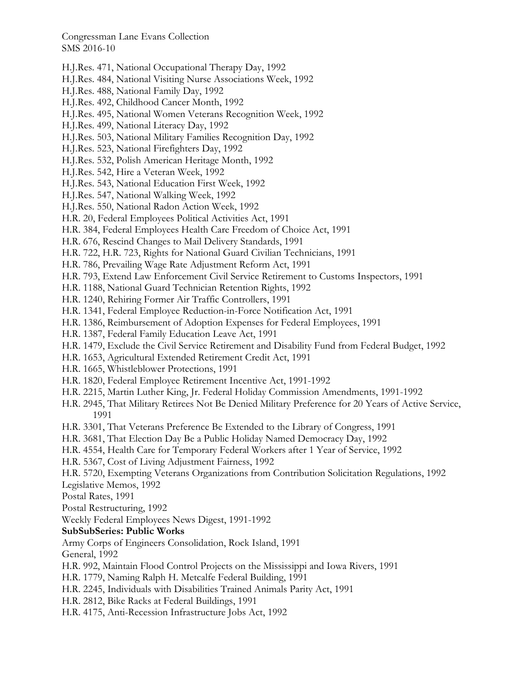- H.J.Res. 471, National Occupational Therapy Day, 1992
- H.J.Res. 484, National Visiting Nurse Associations Week, 1992
- H.J.Res. 488, National Family Day, 1992
- H.J.Res. 492, Childhood Cancer Month, 1992
- H.J.Res. 495, National Women Veterans Recognition Week, 1992
- H.J.Res. 499, National Literacy Day, 1992
- H.J.Res. 503, National Military Families Recognition Day, 1992
- H.J.Res. 523, National Firefighters Day, 1992
- H.J.Res. 532, Polish American Heritage Month, 1992
- H.J.Res. 542, Hire a Veteran Week, 1992
- H.J.Res. 543, National Education First Week, 1992
- H.J.Res. 547, National Walking Week, 1992
- H.J.Res. 550, National Radon Action Week, 1992
- H.R. 20, Federal Employees Political Activities Act, 1991
- H.R. 384, Federal Employees Health Care Freedom of Choice Act, 1991
- H.R. 676, Rescind Changes to Mail Delivery Standards, 1991
- H.R. 722, H.R. 723, Rights for National Guard Civilian Technicians, 1991
- H.R. 786, Prevailing Wage Rate Adjustment Reform Act, 1991
- H.R. 793, Extend Law Enforcement Civil Service Retirement to Customs Inspectors, 1991
- H.R. 1188, National Guard Technician Retention Rights, 1992
- H.R. 1240, Rehiring Former Air Traffic Controllers, 1991
- H.R. 1341, Federal Employee Reduction-in-Force Notification Act, 1991
- H.R. 1386, Reimbursement of Adoption Expenses for Federal Employees, 1991
- H.R. 1387, Federal Family Education Leave Act, 1991
- H.R. 1479, Exclude the Civil Service Retirement and Disability Fund from Federal Budget, 1992
- H.R. 1653, Agricultural Extended Retirement Credit Act, 1991
- H.R. 1665, Whistleblower Protections, 1991
- H.R. 1820, Federal Employee Retirement Incentive Act, 1991-1992
- H.R. 2215, Martin Luther King, Jr. Federal Holiday Commission Amendments, 1991-1992
- H.R. 2945, That Military Retirees Not Be Denied Military Preference for 20 Years of Active Service, 1991
- H.R. 3301, That Veterans Preference Be Extended to the Library of Congress, 1991
- H.R. 3681, That Election Day Be a Public Holiday Named Democracy Day, 1992
- H.R. 4554, Health Care for Temporary Federal Workers after 1 Year of Service, 1992
- H.R. 5367, Cost of Living Adjustment Fairness, 1992
- H.R. 5720, Exempting Veterans Organizations from Contribution Solicitation Regulations, 1992
- Legislative Memos, 1992

Postal Rates, 1991

Postal Restructuring, 1992

Weekly Federal Employees News Digest, 1991-1992

## **SubSubSeries: Public Works**

Army Corps of Engineers Consolidation, Rock Island, 1991

General, 1992

- H.R. 992, Maintain Flood Control Projects on the Mississippi and Iowa Rivers, 1991
- H.R. 1779, Naming Ralph H. Metcalfe Federal Building, 1991
- H.R. 2245, Individuals with Disabilities Trained Animals Parity Act, 1991
- H.R. 2812, Bike Racks at Federal Buildings, 1991
- H.R. 4175, Anti-Recession Infrastructure Jobs Act, 1992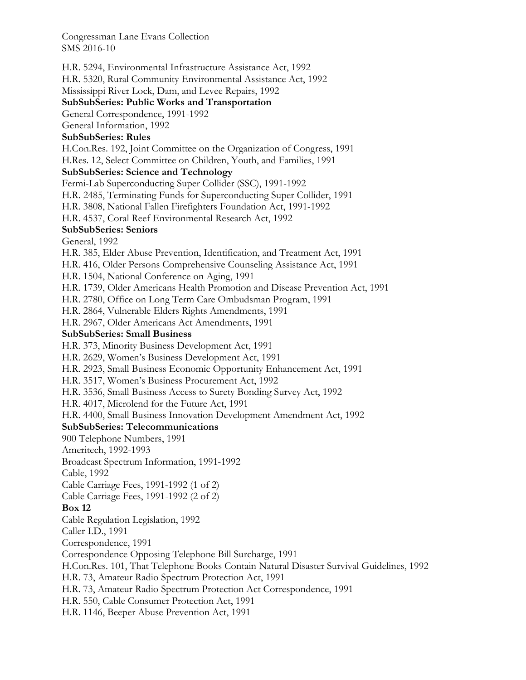H.R. 5294, Environmental Infrastructure Assistance Act, 1992 H.R. 5320, Rural Community Environmental Assistance Act, 1992 Mississippi River Lock, Dam, and Levee Repairs, 1992 **SubSubSeries: Public Works and Transportation**  General Correspondence, 1991-1992 General Information, 1992 **SubSubSeries: Rules**  H.Con.Res. 192, Joint Committee on the Organization of Congress, 1991 H.Res. 12, Select Committee on Children, Youth, and Families, 1991 **SubSubSeries: Science and Technology**  Fermi-Lab Superconducting Super Collider (SSC), 1991-1992 H.R. 2485, Terminating Funds for Superconducting Super Collider, 1991 H.R. 3808, National Fallen Firefighters Foundation Act, 1991-1992 H.R. 4537, Coral Reef Environmental Research Act, 1992 **SubSubSeries: Seniors**  General, 1992 H.R. 385, Elder Abuse Prevention, Identification, and Treatment Act, 1991 H.R. 416, Older Persons Comprehensive Counseling Assistance Act, 1991 H.R. 1504, National Conference on Aging, 1991 H.R. 1739, Older Americans Health Promotion and Disease Prevention Act, 1991 H.R. 2780, Office on Long Term Care Ombudsman Program, 1991 H.R. 2864, Vulnerable Elders Rights Amendments, 1991 H.R. 2967, Older Americans Act Amendments, 1991 **SubSubSeries: Small Business**  H.R. 373, Minority Business Development Act, 1991 H.R. 2629, Women's Business Development Act, 1991 H.R. 2923, Small Business Economic Opportunity Enhancement Act, 1991 H.R. 3517, Women's Business Procurement Act, 1992 H.R. 3536, Small Business Access to Surety Bonding Survey Act, 1992 H.R. 4017, Microlend for the Future Act, 1991 H.R. 4400, Small Business Innovation Development Amendment Act, 1992 **SubSubSeries: Telecommunications**  900 Telephone Numbers, 1991 Ameritech, 1992-1993 Broadcast Spectrum Information, 1991-1992 Cable, 1992 Cable Carriage Fees, 1991-1992 (1 of 2) Cable Carriage Fees, 1991-1992 (2 of 2) **Box 12**  Cable Regulation Legislation, 1992 Caller I.D., 1991 Correspondence, 1991 Correspondence Opposing Telephone Bill Surcharge, 1991 H.Con.Res. 101, That Telephone Books Contain Natural Disaster Survival Guidelines, 1992 H.R. 73, Amateur Radio Spectrum Protection Act, 1991 H.R. 73, Amateur Radio Spectrum Protection Act Correspondence, 1991 H.R. 550, Cable Consumer Protection Act, 1991 H.R. 1146, Beeper Abuse Prevention Act, 1991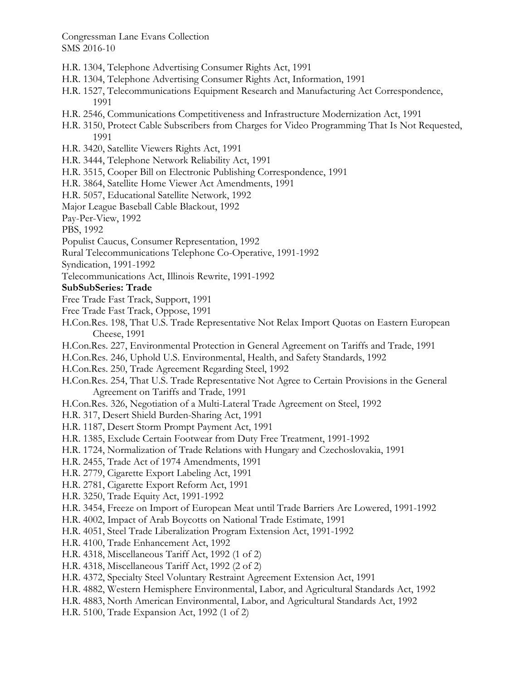- H.R. 1304, Telephone Advertising Consumer Rights Act, 1991
- H.R. 1304, Telephone Advertising Consumer Rights Act, Information, 1991
- H.R. 1527, Telecommunications Equipment Research and Manufacturing Act Correspondence, 1991
- H.R. 2546, Communications Competitiveness and Infrastructure Modernization Act, 1991
- H.R. 3150, Protect Cable Subscribers from Charges for Video Programming That Is Not Requested, 1991
- H.R. 3420, Satellite Viewers Rights Act, 1991
- H.R. 3444, Telephone Network Reliability Act, 1991
- H.R. 3515, Cooper Bill on Electronic Publishing Correspondence, 1991
- H.R. 3864, Satellite Home Viewer Act Amendments, 1991
- H.R. 5057, Educational Satellite Network, 1992
- Major League Baseball Cable Blackout, 1992

Pay-Per-View, 1992

PBS, 1992

- Populist Caucus, Consumer Representation, 1992
- Rural Telecommunications Telephone Co-Operative, 1991-1992
- Syndication, 1991-1992
- Telecommunications Act, Illinois Rewrite, 1991-1992

## **SubSubSeries: Trade**

- Free Trade Fast Track, Support, 1991
- Free Trade Fast Track, Oppose, 1991
- H.Con.Res. 198, That U.S. Trade Representative Not Relax Import Quotas on Eastern European Cheese, 1991
- H.Con.Res. 227, Environmental Protection in General Agreement on Tariffs and Trade, 1991
- H.Con.Res. 246, Uphold U.S. Environmental, Health, and Safety Standards, 1992
- H.Con.Res. 250, Trade Agreement Regarding Steel, 1992
- H.Con.Res. 254, That U.S. Trade Representative Not Agree to Certain Provisions in the General Agreement on Tariffs and Trade, 1991
- H.Con.Res. 326, Negotiation of a Multi-Lateral Trade Agreement on Steel, 1992
- H.R. 317, Desert Shield Burden-Sharing Act, 1991
- H.R. 1187, Desert Storm Prompt Payment Act, 1991
- H.R. 1385, Exclude Certain Footwear from Duty Free Treatment, 1991-1992
- H.R. 1724, Normalization of Trade Relations with Hungary and Czechoslovakia, 1991
- H.R. 2455, Trade Act of 1974 Amendments, 1991
- H.R. 2779, Cigarette Export Labeling Act, 1991
- H.R. 2781, Cigarette Export Reform Act, 1991
- H.R. 3250, Trade Equity Act, 1991-1992
- H.R. 3454, Freeze on Import of European Meat until Trade Barriers Are Lowered, 1991-1992
- H.R. 4002, Impact of Arab Boycotts on National Trade Estimate, 1991
- H.R. 4051, Steel Trade Liberalization Program Extension Act, 1991-1992
- H.R. 4100, Trade Enhancement Act, 1992
- H.R. 4318, Miscellaneous Tariff Act, 1992 (1 of 2)
- H.R. 4318, Miscellaneous Tariff Act, 1992 (2 of 2)
- H.R. 4372, Specialty Steel Voluntary Restraint Agreement Extension Act, 1991
- H.R. 4882, Western Hemisphere Environmental, Labor, and Agricultural Standards Act, 1992
- H.R. 4883, North American Environmental, Labor, and Agricultural Standards Act, 1992
- H.R. 5100, Trade Expansion Act, 1992 (1 of 2)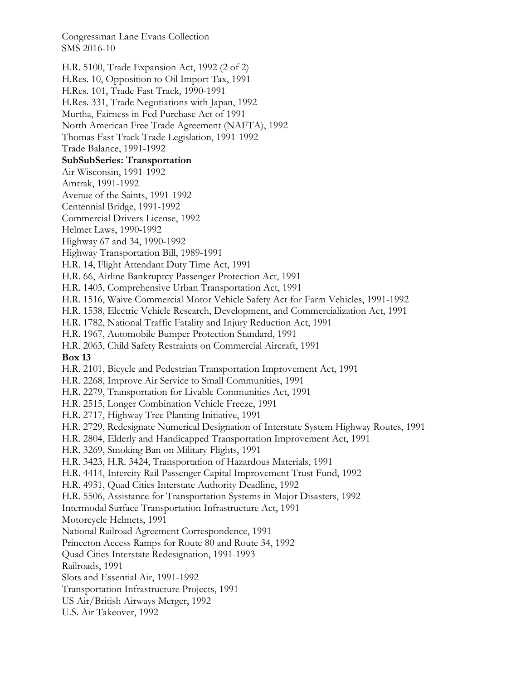- H.R. 5100, Trade Expansion Act, 1992 (2 of 2)
- H.Res. 10, Opposition to Oil Import Tax, 1991
- H.Res. 101, Trade Fast Track, 1990-1991
- H.Res. 331, Trade Negotiations with Japan, 1992
- Murtha, Fairness in Fed Purchase Act of 1991
- North American Free Trade Agreement (NAFTA), 1992
- Thomas Fast Track Trade Legislation, 1991-1992

Trade Balance, 1991-1992

# **SubSubSeries: Transportation**

Air Wisconsin, 1991-1992

Amtrak, 1991-1992

Avenue of the Saints, 1991-1992

Centennial Bridge, 1991-1992

Commercial Drivers License, 1992

Helmet Laws, 1990-1992

Highway 67 and 34, 1990-1992

Highway Transportation Bill, 1989-1991

H.R. 14, Flight Attendant Duty Time Act, 1991

H.R. 66, Airline Bankruptcy Passenger Protection Act, 1991

H.R. 1403, Comprehensive Urban Transportation Act, 1991

- H.R. 1516, Waive Commercial Motor Vehicle Safety Act for Farm Vehicles, 1991-1992
- H.R. 1538, Electric Vehicle Research, Development, and Commercialization Act, 1991
- H.R. 1782, National Traffic Fatality and Injury Reduction Act, 1991

H.R. 1967, Automobile Bumper Protection Standard, 1991

H.R. 2063, Child Safety Restraints on Commercial Aircraft, 1991

## **Box 13**

H.R. 2101, Bicycle and Pedestrian Transportation Improvement Act, 1991

H.R. 2268, Improve Air Service to Small Communities, 1991

- H.R. 2279, Transportation for Livable Communities Act, 1991
- H.R. 2515, Longer Combination Vehicle Freeze, 1991
- H.R. 2717, Highway Tree Planting Initiative, 1991
- H.R. 2729, Redesignate Numerical Designation of Interstate System Highway Routes, 1991
- H.R. 2804, Elderly and Handicapped Transportation Improvement Act, 1991
- H.R. 3269, Smoking Ban on Military Flights, 1991
- H.R. 3423, H.R. 3424, Transportation of Hazardous Materials, 1991
- H.R. 4414, Intercity Rail Passenger Capital Improvement Trust Fund, 1992
- H.R. 4931, Quad Cities Interstate Authority Deadline, 1992
- H.R. 5506, Assistance for Transportation Systems in Major Disasters, 1992
- Intermodal Surface Transportation Infrastructure Act, 1991

Motorcycle Helmets, 1991

National Railroad Agreement Correspondence, 1991

Princeton Access Ramps for Route 80 and Route 34, 1992

Quad Cities Interstate Redesignation, 1991-1993

Railroads, 1991

Slots and Essential Air, 1991-1992

Transportation Infrastructure Projects, 1991

US Air/British Airways Merger, 1992

U.S. Air Takeover, 1992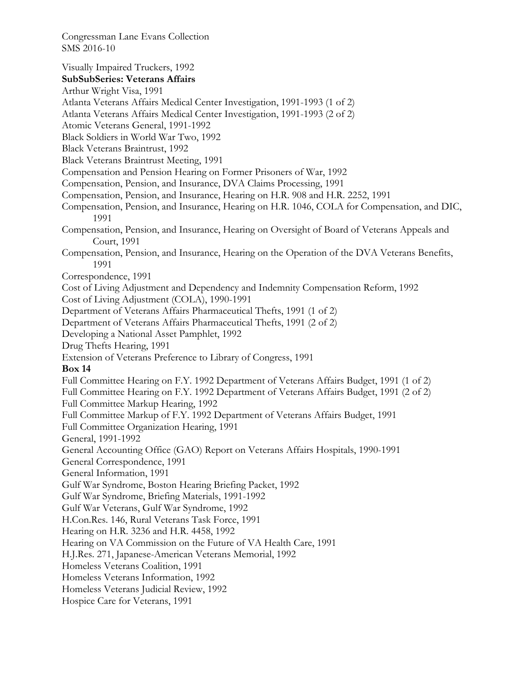Visually Impaired Truckers, 1992 **SubSubSeries: Veterans Affairs**  Arthur Wright Visa, 1991 Atlanta Veterans Affairs Medical Center Investigation, 1991-1993 (1 of 2) Atlanta Veterans Affairs Medical Center Investigation, 1991-1993 (2 of 2) Atomic Veterans General, 1991-1992 Black Soldiers in World War Two, 1992 Black Veterans Braintrust, 1992 Black Veterans Braintrust Meeting, 1991 Compensation and Pension Hearing on Former Prisoners of War, 1992 Compensation, Pension, and Insurance, DVA Claims Processing, 1991 Compensation, Pension, and Insurance, Hearing on H.R. 908 and H.R. 2252, 1991 Compensation, Pension, and Insurance, Hearing on H.R. 1046, COLA for Compensation, and DIC, 1991 Compensation, Pension, and Insurance, Hearing on Oversight of Board of Veterans Appeals and Court, 1991 Compensation, Pension, and Insurance, Hearing on the Operation of the DVA Veterans Benefits, 1991 Correspondence, 1991 Cost of Living Adjustment and Dependency and Indemnity Compensation Reform, 1992 Cost of Living Adjustment (COLA), 1990-1991 Department of Veterans Affairs Pharmaceutical Thefts, 1991 (1 of 2) Department of Veterans Affairs Pharmaceutical Thefts, 1991 (2 of 2) Developing a National Asset Pamphlet, 1992 Drug Thefts Hearing, 1991 Extension of Veterans Preference to Library of Congress, 1991 **Box 14**  Full Committee Hearing on F.Y. 1992 Department of Veterans Affairs Budget, 1991 (1 of 2) Full Committee Hearing on F.Y. 1992 Department of Veterans Affairs Budget, 1991 (2 of 2) Full Committee Markup Hearing, 1992 Full Committee Markup of F.Y. 1992 Department of Veterans Affairs Budget, 1991 Full Committee Organization Hearing, 1991 General, 1991-1992 General Accounting Office (GAO) Report on Veterans Affairs Hospitals, 1990-1991 General Correspondence, 1991 General Information, 1991 Gulf War Syndrome, Boston Hearing Briefing Packet, 1992 Gulf War Syndrome, Briefing Materials, 1991-1992 Gulf War Veterans, Gulf War Syndrome, 1992 H.Con.Res. 146, Rural Veterans Task Force, 1991 Hearing on H.R. 3236 and H.R. 4458, 1992 Hearing on VA Commission on the Future of VA Health Care, 1991 H.J.Res. 271, Japanese-American Veterans Memorial, 1992 Homeless Veterans Coalition, 1991 Homeless Veterans Information, 1992 Homeless Veterans Judicial Review, 1992 Hospice Care for Veterans, 1991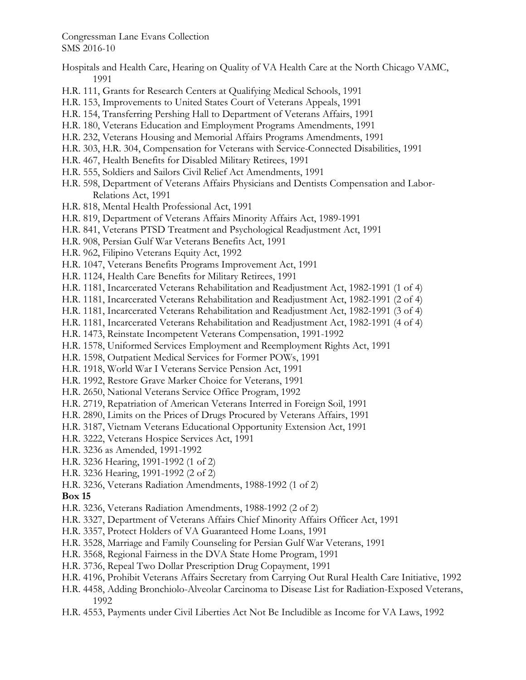- Hospitals and Health Care, Hearing on Quality of VA Health Care at the North Chicago VAMC, 1991
- H.R. 111, Grants for Research Centers at Qualifying Medical Schools, 1991
- H.R. 153, Improvements to United States Court of Veterans Appeals, 1991
- H.R. 154, Transferring Pershing Hall to Department of Veterans Affairs, 1991
- H.R. 180, Veterans Education and Employment Programs Amendments, 1991
- H.R. 232, Veterans Housing and Memorial Affairs Programs Amendments, 1991
- H.R. 303, H.R. 304, Compensation for Veterans with Service-Connected Disabilities, 1991
- H.R. 467, Health Benefits for Disabled Military Retirees, 1991
- H.R. 555, Soldiers and Sailors Civil Relief Act Amendments, 1991
- H.R. 598, Department of Veterans Affairs Physicians and Dentists Compensation and Labor-Relations Act, 1991
- H.R. 818, Mental Health Professional Act, 1991
- H.R. 819, Department of Veterans Affairs Minority Affairs Act, 1989-1991
- H.R. 841, Veterans PTSD Treatment and Psychological Readjustment Act, 1991
- H.R. 908, Persian Gulf War Veterans Benefits Act, 1991
- H.R. 962, Filipino Veterans Equity Act, 1992
- H.R. 1047, Veterans Benefits Programs Improvement Act, 1991
- H.R. 1124, Health Care Benefits for Military Retirees, 1991
- H.R. 1181, Incarcerated Veterans Rehabilitation and Readjustment Act, 1982-1991 (1 of 4)
- H.R. 1181, Incarcerated Veterans Rehabilitation and Readjustment Act, 1982-1991 (2 of 4)
- H.R. 1181, Incarcerated Veterans Rehabilitation and Readjustment Act, 1982-1991 (3 of 4)
- H.R. 1181, Incarcerated Veterans Rehabilitation and Readjustment Act, 1982-1991 (4 of 4)
- H.R. 1473, Reinstate Incompetent Veterans Compensation, 1991-1992
- H.R. 1578, Uniformed Services Employment and Reemployment Rights Act, 1991
- H.R. 1598, Outpatient Medical Services for Former POWs, 1991
- H.R. 1918, World War I Veterans Service Pension Act, 1991
- H.R. 1992, Restore Grave Marker Choice for Veterans, 1991
- H.R. 2650, National Veterans Service Office Program, 1992
- H.R. 2719, Repatriation of American Veterans Interred in Foreign Soil, 1991
- H.R. 2890, Limits on the Prices of Drugs Procured by Veterans Affairs, 1991
- H.R. 3187, Vietnam Veterans Educational Opportunity Extension Act, 1991
- H.R. 3222, Veterans Hospice Services Act, 1991
- H.R. 3236 as Amended, 1991-1992
- H.R. 3236 Hearing, 1991-1992 (1 of 2)
- H.R. 3236 Hearing, 1991-1992 (2 of 2)
- H.R. 3236, Veterans Radiation Amendments, 1988-1992 (1 of 2)

## **Box 15**

- H.R. 3236, Veterans Radiation Amendments, 1988-1992 (2 of 2)
- H.R. 3327, Department of Veterans Affairs Chief Minority Affairs Officer Act, 1991
- H.R. 3357, Protect Holders of VA Guaranteed Home Loans, 1991
- H.R. 3528, Marriage and Family Counseling for Persian Gulf War Veterans, 1991
- H.R. 3568, Regional Fairness in the DVA State Home Program, 1991
- H.R. 3736, Repeal Two Dollar Prescription Drug Copayment, 1991
- H.R. 4196, Prohibit Veterans Affairs Secretary from Carrying Out Rural Health Care Initiative, 1992
- H.R. 4458, Adding Bronchiolo-Alveolar Carcinoma to Disease List for Radiation-Exposed Veterans, 1992
- H.R. 4553, Payments under Civil Liberties Act Not Be Includible as Income for VA Laws, 1992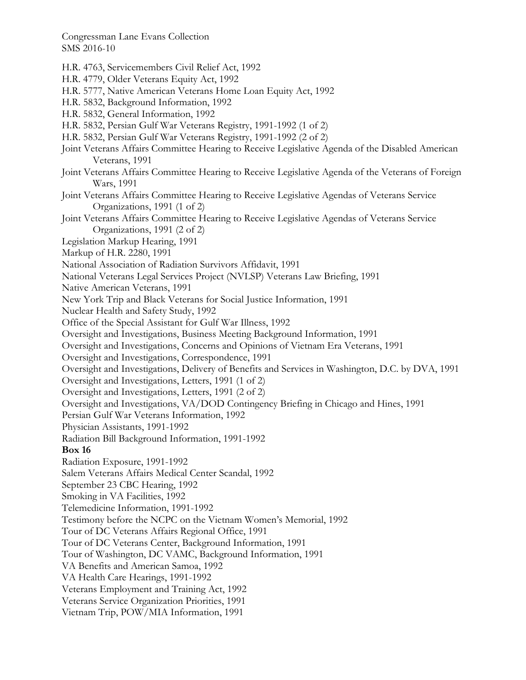H.R. 4763, Servicemembers Civil Relief Act, 1992 H.R. 4779, Older Veterans Equity Act, 1992 H.R. 5777, Native American Veterans Home Loan Equity Act, 1992 H.R. 5832, Background Information, 1992 H.R. 5832, General Information, 1992 H.R. 5832, Persian Gulf War Veterans Registry, 1991-1992 (1 of 2) H.R. 5832, Persian Gulf War Veterans Registry, 1991-1992 (2 of 2) Joint Veterans Affairs Committee Hearing to Receive Legislative Agenda of the Disabled American Veterans, 1991 Joint Veterans Affairs Committee Hearing to Receive Legislative Agenda of the Veterans of Foreign Wars, 1991 Joint Veterans Affairs Committee Hearing to Receive Legislative Agendas of Veterans Service Organizations, 1991 (1 of 2) Joint Veterans Affairs Committee Hearing to Receive Legislative Agendas of Veterans Service Organizations, 1991 (2 of 2) Legislation Markup Hearing, 1991 Markup of H.R. 2280, 1991 National Association of Radiation Survivors Affidavit, 1991 National Veterans Legal Services Project (NVLSP) Veterans Law Briefing, 1991 Native American Veterans, 1991 New York Trip and Black Veterans for Social Justice Information, 1991 Nuclear Health and Safety Study, 1992 Office of the Special Assistant for Gulf War Illness, 1992 Oversight and Investigations, Business Meeting Background Information, 1991 Oversight and Investigations, Concerns and Opinions of Vietnam Era Veterans, 1991 Oversight and Investigations, Correspondence, 1991 Oversight and Investigations, Delivery of Benefits and Services in Washington, D.C. by DVA, 1991 Oversight and Investigations, Letters, 1991 (1 of 2) Oversight and Investigations, Letters, 1991 (2 of 2) Oversight and Investigations, VA/DOD Contingency Briefing in Chicago and Hines, 1991 Persian Gulf War Veterans Information, 1992 Physician Assistants, 1991-1992 Radiation Bill Background Information, 1991-1992 **Box 16**  Radiation Exposure, 1991-1992 Salem Veterans Affairs Medical Center Scandal, 1992 September 23 CBC Hearing, 1992 Smoking in VA Facilities, 1992 Telemedicine Information, 1991-1992 Testimony before the NCPC on the Vietnam Women's Memorial, 1992 Tour of DC Veterans Affairs Regional Office, 1991 Tour of DC Veterans Center, Background Information, 1991 Tour of Washington, DC VAMC, Background Information, 1991 VA Benefits and American Samoa, 1992 VA Health Care Hearings, 1991-1992 Veterans Employment and Training Act, 1992 Veterans Service Organization Priorities, 1991 Vietnam Trip, POW/MIA Information, 1991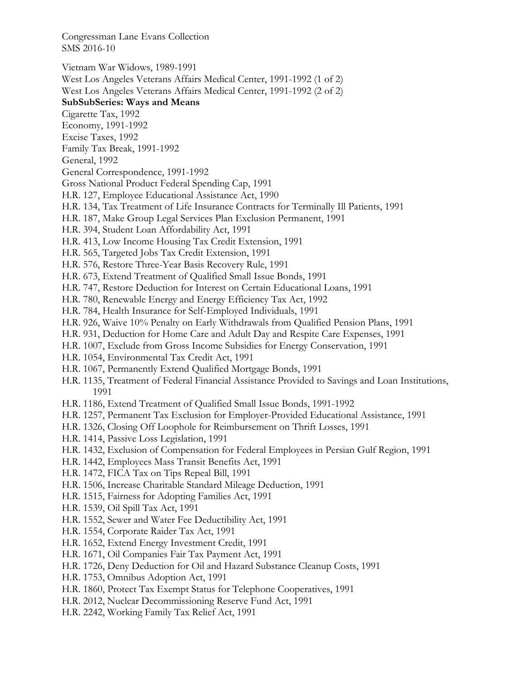Vietnam War Widows, 1989-1991 West Los Angeles Veterans Affairs Medical Center, 1991-1992 (1 of 2)

West Los Angeles Veterans Affairs Medical Center, 1991-1992 (2 of 2)

# **SubSubSeries: Ways and Means**

Cigarette Tax, 1992

Economy, 1991-1992

Excise Taxes, 1992

Family Tax Break, 1991-1992

General, 1992

General Correspondence, 1991-1992

Gross National Product Federal Spending Cap, 1991

H.R. 127, Employee Educational Assistance Act, 1990

- H.R. 134, Tax Treatment of Life Insurance Contracts for Terminally Ill Patients, 1991
- H.R. 187, Make Group Legal Services Plan Exclusion Permanent, 1991
- H.R. 394, Student Loan Affordability Act, 1991
- H.R. 413, Low Income Housing Tax Credit Extension, 1991
- H.R. 565, Targeted Jobs Tax Credit Extension, 1991
- H.R. 576, Restore Three-Year Basis Recovery Rule, 1991
- H.R. 673, Extend Treatment of Qualified Small Issue Bonds, 1991
- H.R. 747, Restore Deduction for Interest on Certain Educational Loans, 1991
- H.R. 780, Renewable Energy and Energy Efficiency Tax Act, 1992
- H.R. 784, Health Insurance for Self-Employed Individuals, 1991
- H.R. 926, Waive 10% Penalty on Early Withdrawals from Qualified Pension Plans, 1991
- H.R. 931, Deduction for Home Care and Adult Day and Respite Care Expenses, 1991
- H.R. 1007, Exclude from Gross Income Subsidies for Energy Conservation, 1991
- H.R. 1054, Environmental Tax Credit Act, 1991
- H.R. 1067, Permanently Extend Qualified Mortgage Bonds, 1991
- H.R. 1135, Treatment of Federal Financial Assistance Provided to Savings and Loan Institutions, 1991
- H.R. 1186, Extend Treatment of Qualified Small Issue Bonds, 1991-1992
- H.R. 1257, Permanent Tax Exclusion for Employer-Provided Educational Assistance, 1991
- H.R. 1326, Closing Off Loophole for Reimbursement on Thrift Losses, 1991
- H.R. 1414, Passive Loss Legislation, 1991
- H.R. 1432, Exclusion of Compensation for Federal Employees in Persian Gulf Region, 1991
- H.R. 1442, Employees Mass Transit Benefits Act, 1991
- H.R. 1472, FICA Tax on Tips Repeal Bill, 1991
- H.R. 1506, Increase Charitable Standard Mileage Deduction, 1991
- H.R. 1515, Fairness for Adopting Families Act, 1991
- H.R. 1539, Oil Spill Tax Act, 1991
- H.R. 1552, Sewer and Water Fee Deductibility Act, 1991
- H.R. 1554, Corporate Raider Tax Act, 1991
- H.R. 1652, Extend Energy Investment Credit, 1991
- H.R. 1671, Oil Companies Fair Tax Payment Act, 1991
- H.R. 1726, Deny Deduction for Oil and Hazard Substance Cleanup Costs, 1991
- H.R. 1753, Omnibus Adoption Act, 1991
- H.R. 1860, Protect Tax Exempt Status for Telephone Cooperatives, 1991
- H.R. 2012, Nuclear Decommissioning Reserve Fund Act, 1991
- H.R. 2242, Working Family Tax Relief Act, 1991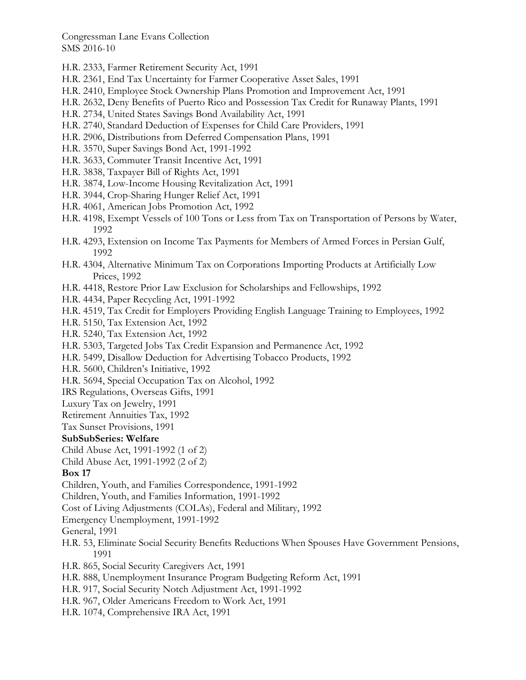- H.R. 2333, Farmer Retirement Security Act, 1991
- H.R. 2361, End Tax Uncertainty for Farmer Cooperative Asset Sales, 1991
- H.R. 2410, Employee Stock Ownership Plans Promotion and Improvement Act, 1991
- H.R. 2632, Deny Benefits of Puerto Rico and Possession Tax Credit for Runaway Plants, 1991
- H.R. 2734, United States Savings Bond Availability Act, 1991
- H.R. 2740, Standard Deduction of Expenses for Child Care Providers, 1991
- H.R. 2906, Distributions from Deferred Compensation Plans, 1991
- H.R. 3570, Super Savings Bond Act, 1991-1992
- H.R. 3633, Commuter Transit Incentive Act, 1991
- H.R. 3838, Taxpayer Bill of Rights Act, 1991
- H.R. 3874, Low-Income Housing Revitalization Act, 1991
- H.R. 3944, Crop-Sharing Hunger Relief Act, 1991
- H.R. 4061, American Jobs Promotion Act, 1992
- H.R. 4198, Exempt Vessels of 100 Tons or Less from Tax on Transportation of Persons by Water, 1992
- H.R. 4293, Extension on Income Tax Payments for Members of Armed Forces in Persian Gulf, 1992
- H.R. 4304, Alternative Minimum Tax on Corporations Importing Products at Artificially Low Prices, 1992
- H.R. 4418, Restore Prior Law Exclusion for Scholarships and Fellowships, 1992
- H.R. 4434, Paper Recycling Act, 1991-1992
- H.R. 4519, Tax Credit for Employers Providing English Language Training to Employees, 1992
- H.R. 5150, Tax Extension Act, 1992
- H.R. 5240, Tax Extension Act, 1992
- H.R. 5303, Targeted Jobs Tax Credit Expansion and Permanence Act, 1992
- H.R. 5499, Disallow Deduction for Advertising Tobacco Products, 1992
- H.R. 5600, Children's Initiative, 1992
- H.R. 5694, Special Occupation Tax on Alcohol, 1992
- IRS Regulations, Overseas Gifts, 1991
- Luxury Tax on Jewelry, 1991
- Retirement Annuities Tax, 1992
- Tax Sunset Provisions, 1991

#### **SubSubSeries: Welfare**

- Child Abuse Act, 1991-1992 (1 of 2)
- Child Abuse Act, 1991-1992 (2 of 2)

## **Box 17**

- Children, Youth, and Families Correspondence, 1991-1992
- Children, Youth, and Families Information, 1991-1992
- Cost of Living Adjustments (COLAs), Federal and Military, 1992
- Emergency Unemployment, 1991-1992
- General, 1991
- H.R. 53, Eliminate Social Security Benefits Reductions When Spouses Have Government Pensions, 1991
- H.R. 865, Social Security Caregivers Act, 1991
- H.R. 888, Unemployment Insurance Program Budgeting Reform Act, 1991
- H.R. 917, Social Security Notch Adjustment Act, 1991-1992
- H.R. 967, Older Americans Freedom to Work Act, 1991
- H.R. 1074, Comprehensive IRA Act, 1991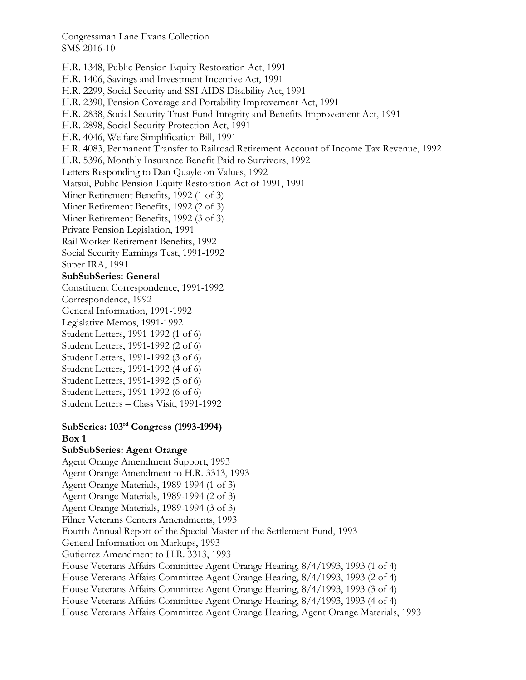H.R. 1348, Public Pension Equity Restoration Act, 1991 H.R. 1406, Savings and Investment Incentive Act, 1991 H.R. 2299, Social Security and SSI AIDS Disability Act, 1991 H.R. 2390, Pension Coverage and Portability Improvement Act, 1991 H.R. 2838, Social Security Trust Fund Integrity and Benefits Improvement Act, 1991 H.R. 2898, Social Security Protection Act, 1991 H.R. 4046, Welfare Simplification Bill, 1991 H.R. 4083, Permanent Transfer to Railroad Retirement Account of Income Tax Revenue, 1992 H.R. 5396, Monthly Insurance Benefit Paid to Survivors, 1992 Letters Responding to Dan Quayle on Values, 1992 Matsui, Public Pension Equity Restoration Act of 1991, 1991 Miner Retirement Benefits, 1992 (1 of 3) Miner Retirement Benefits, 1992 (2 of 3) Miner Retirement Benefits, 1992 (3 of 3) Private Pension Legislation, 1991 Rail Worker Retirement Benefits, 1992 Social Security Earnings Test, 1991-1992 Super IRA, 1991 **SubSubSeries: General**  Constituent Correspondence, 1991-1992 Correspondence, 1992 General Information, 1991-1992 Legislative Memos, 1991-1992 Student Letters, 1991-1992 (1 of 6) Student Letters, 1991-1992 (2 of 6) Student Letters, 1991-1992 (3 of 6) Student Letters, 1991-1992 (4 of 6) Student Letters, 1991-1992 (5 of 6) Student Letters, 1991-1992 (6 of 6) Student Letters – Class Visit, 1991-1992 **SubSeries: 103rd Congress (1993-1994) Box 1 SubSubSeries: Agent Orange**  Agent Orange Amendment Support, 1993 Agent Orange Amendment to H.R. 3313, 1993 Agent Orange Materials, 1989-1994 (1 of 3) Agent Orange Materials, 1989-1994 (2 of 3) Agent Orange Materials, 1989-1994 (3 of 3) Filner Veterans Centers Amendments, 1993 Fourth Annual Report of the Special Master of the Settlement Fund, 1993 General Information on Markups, 1993 Gutierrez Amendment to H.R. 3313, 1993 House Veterans Affairs Committee Agent Orange Hearing, 8/4/1993, 1993 (1 of 4) House Veterans Affairs Committee Agent Orange Hearing, 8/4/1993, 1993 (2 of 4) House Veterans Affairs Committee Agent Orange Hearing, 8/4/1993, 1993 (3 of 4) House Veterans Affairs Committee Agent Orange Hearing, 8/4/1993, 1993 (4 of 4)

House Veterans Affairs Committee Agent Orange Hearing, Agent Orange Materials, 1993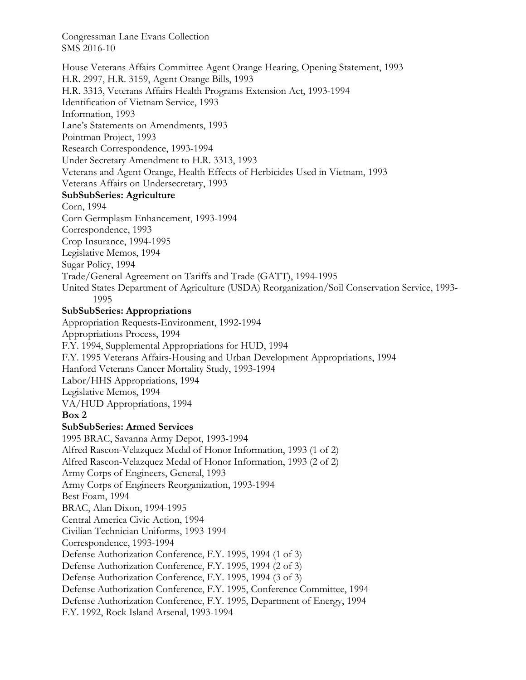House Veterans Affairs Committee Agent Orange Hearing, Opening Statement, 1993 H.R. 2997, H.R. 3159, Agent Orange Bills, 1993 H.R. 3313, Veterans Affairs Health Programs Extension Act, 1993-1994 Identification of Vietnam Service, 1993 Information, 1993 Lane's Statements on Amendments, 1993 Pointman Project, 1993 Research Correspondence, 1993-1994 Under Secretary Amendment to H.R. 3313, 1993 Veterans and Agent Orange, Health Effects of Herbicides Used in Vietnam, 1993 Veterans Affairs on Undersecretary, 1993 **SubSubSeries: Agriculture**  Corn, 1994 Corn Germplasm Enhancement, 1993-1994 Correspondence, 1993 Crop Insurance, 1994-1995 Legislative Memos, 1994 Sugar Policy, 1994 Trade/General Agreement on Tariffs and Trade (GATT), 1994-1995 United States Department of Agriculture (USDA) Reorganization/Soil Conservation Service, 1993- 1995 **SubSubSeries: Appropriations**  Appropriation Requests-Environment, 1992-1994 Appropriations Process, 1994 F.Y. 1994, Supplemental Appropriations for HUD, 1994 F.Y. 1995 Veterans Affairs-Housing and Urban Development Appropriations, 1994 Hanford Veterans Cancer Mortality Study, 1993-1994 Labor/HHS Appropriations, 1994 Legislative Memos, 1994 VA/HUD Appropriations, 1994 **Box 2 SubSubSeries: Armed Services**  1995 BRAC, Savanna Army Depot, 1993-1994 Alfred Rascon-Velazquez Medal of Honor Information, 1993 (1 of 2) Alfred Rascon-Velazquez Medal of Honor Information, 1993 (2 of 2) Army Corps of Engineers, General, 1993 Army Corps of Engineers Reorganization, 1993-1994 Best Foam, 1994 BRAC, Alan Dixon, 1994-1995 Central America Civic Action, 1994 Civilian Technician Uniforms, 1993-1994 Correspondence, 1993-1994 Defense Authorization Conference, F.Y. 1995, 1994 (1 of 3) Defense Authorization Conference, F.Y. 1995, 1994 (2 of 3) Defense Authorization Conference, F.Y. 1995, 1994 (3 of 3) Defense Authorization Conference, F.Y. 1995, Conference Committee, 1994 Defense Authorization Conference, F.Y. 1995, Department of Energy, 1994 F.Y. 1992, Rock Island Arsenal, 1993-1994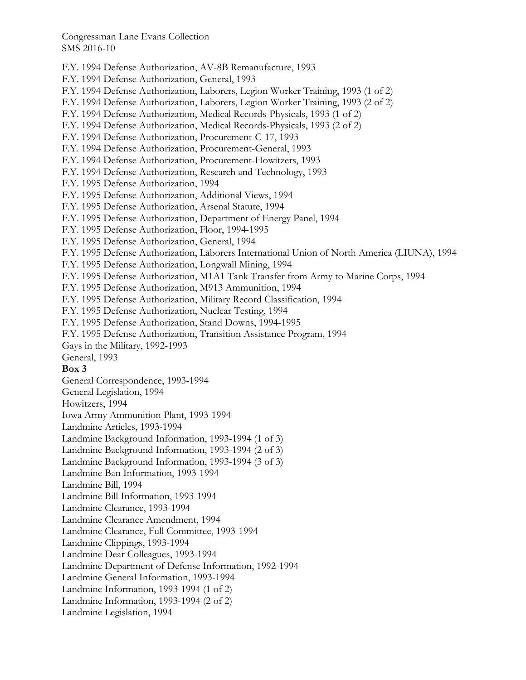F.Y. 1994 Defense Authorization, AV-8B Remanufacture, 1993 F.Y. 1994 Defense Authorization, General, 1993 F.Y. 1994 Defense Authorization, Laborers, Legion Worker Training, 1993 (1 of 2) F.Y. 1994 Defense Authorization, Laborers, Legion Worker Training, 1993 (2 of 2) F.Y. 1994 Defense Authorization, Medical Records-Physicals, 1993 (1 of 2) F.Y. 1994 Defense Authorization, Medical Records-Physicals, 1993 (2 of 2) F.Y. 1994 Defense Authorization, Procurement-C-17, 1993 F.Y. 1994 Defense Authorization, Procurement-General, 1993 F.Y. 1994 Defense Authorization, Procurement-Howitzers, 1993 F.Y. 1994 Defense Authorization, Research and Technology, 1993 F.Y. 1995 Defense Authorization, 1994 F.Y. 1995 Defense Authorization, Additional Views, 1994 F.Y. 1995 Defense Authorization, Arsenal Statute, 1994 F.Y. 1995 Defense Authorization, Department of Energy Panel, 1994 F.Y. 1995 Defense Authorization, Floor, 1994-1995 F.Y. 1995 Defense Authorization, General, 1994 F.Y. 1995 Defense Authorization, Laborers International Union of North America (LIUNA), 1994 F.Y. 1995 Defense Authorization, Longwall Mining, 1994 F.Y. 1995 Defense Authorization, M1A1 Tank Transfer from Army to Marine Corps, 1994 F.Y. 1995 Defense Authorization, M913 Ammunition, 1994 F.Y. 1995 Defense Authorization, Military Record Classification, 1994 F.Y. 1995 Defense Authorization, Nuclear Testing, 1994 F.Y. 1995 Defense Authorization, Stand Downs, 1994-1995 F.Y. 1995 Defense Authorization, Transition Assistance Program, 1994 Gays in the Military, 1992-1993 General, 1993 **Box 3**  General Correspondence, 1993-1994 General Legislation, 1994 Howitzers, 1994 Iowa Army Ammunition Plant, 1993-1994 Landmine Articles, 1993-1994 Landmine Background Information, 1993-1994 (1 of 3) Landmine Background Information, 1993-1994 (2 of 3) Landmine Background Information, 1993-1994 (3 of 3) Landmine Ban Information, 1993-1994 Landmine Bill, 1994 Landmine Bill Information, 1993-1994 Landmine Clearance, 1993-1994 Landmine Clearance Amendment, 1994 Landmine Clearance, Full Committee, 1993-1994 Landmine Clippings, 1993-1994 Landmine Dear Colleagues, 1993-1994 Landmine Department of Defense Information, 1992-1994 Landmine General Information, 1993-1994 Landmine Information, 1993-1994 (1 of 2) Landmine Information, 1993-1994 (2 of 2) Landmine Legislation, 1994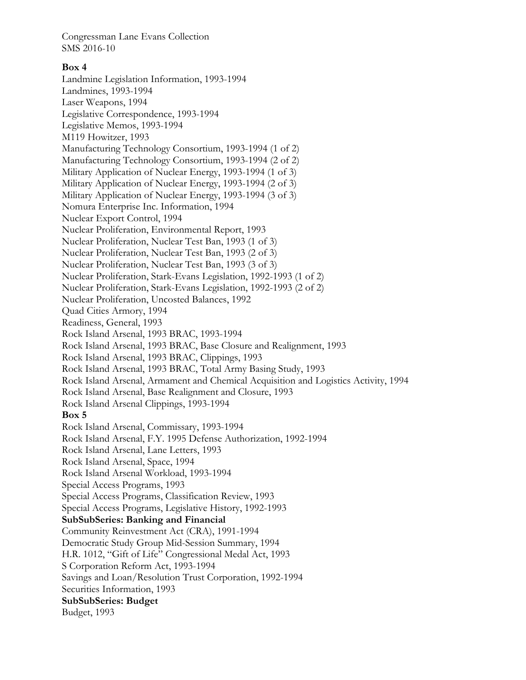### **Box 4**

Landmine Legislation Information, 1993-1994 Landmines, 1993-1994 Laser Weapons, 1994 Legislative Correspondence, 1993-1994 Legislative Memos, 1993-1994 M119 Howitzer, 1993 Manufacturing Technology Consortium, 1993-1994 (1 of 2) Manufacturing Technology Consortium, 1993-1994 (2 of 2) Military Application of Nuclear Energy, 1993-1994 (1 of 3) Military Application of Nuclear Energy, 1993-1994 (2 of 3) Military Application of Nuclear Energy, 1993-1994 (3 of 3) Nomura Enterprise Inc. Information, 1994 Nuclear Export Control, 1994 Nuclear Proliferation, Environmental Report, 1993 Nuclear Proliferation, Nuclear Test Ban, 1993 (1 of 3) Nuclear Proliferation, Nuclear Test Ban, 1993 (2 of 3) Nuclear Proliferation, Nuclear Test Ban, 1993 (3 of 3) Nuclear Proliferation, Stark-Evans Legislation, 1992-1993 (1 of 2) Nuclear Proliferation, Stark-Evans Legislation, 1992-1993 (2 of 2) Nuclear Proliferation, Uncosted Balances, 1992 Quad Cities Armory, 1994 Readiness, General, 1993 Rock Island Arsenal, 1993 BRAC, 1993-1994 Rock Island Arsenal, 1993 BRAC, Base Closure and Realignment, 1993 Rock Island Arsenal, 1993 BRAC, Clippings, 1993 Rock Island Arsenal, 1993 BRAC, Total Army Basing Study, 1993 Rock Island Arsenal, Armament and Chemical Acquisition and Logistics Activity, 1994 Rock Island Arsenal, Base Realignment and Closure, 1993 Rock Island Arsenal Clippings, 1993-1994 **Box 5**  Rock Island Arsenal, Commissary, 1993-1994 Rock Island Arsenal, F.Y. 1995 Defense Authorization, 1992-1994 Rock Island Arsenal, Lane Letters, 1993 Rock Island Arsenal, Space, 1994 Rock Island Arsenal Workload, 1993-1994 Special Access Programs, 1993 Special Access Programs, Classification Review, 1993 Special Access Programs, Legislative History, 1992-1993 **SubSubSeries: Banking and Financial**  Community Reinvestment Act (CRA), 1991-1994 Democratic Study Group Mid-Session Summary, 1994 H.R. 1012, "Gift of Life" Congressional Medal Act, 1993 S Corporation Reform Act, 1993-1994 Savings and Loan/Resolution Trust Corporation, 1992-1994 Securities Information, 1993 **SubSubSeries: Budget**  Budget, 1993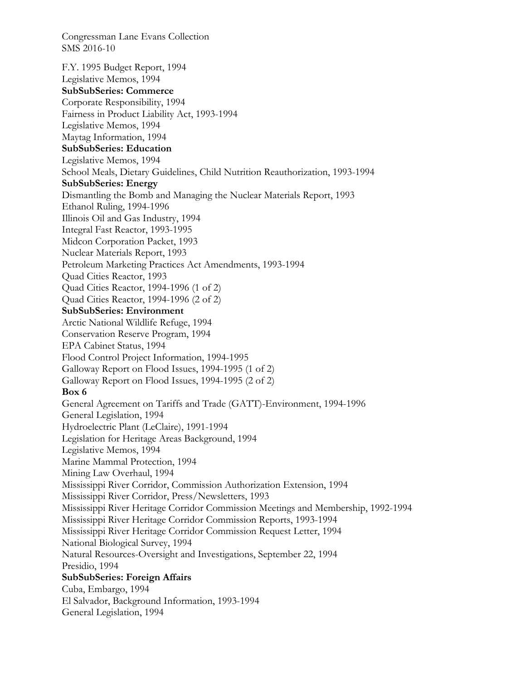F.Y. 1995 Budget Report, 1994 Legislative Memos, 1994 **SubSubSeries: Commerce**  Corporate Responsibility, 1994 Fairness in Product Liability Act, 1993-1994 Legislative Memos, 1994 Maytag Information, 1994 **SubSubSeries: Education**  Legislative Memos, 1994 School Meals, Dietary Guidelines, Child Nutrition Reauthorization, 1993-1994 **SubSubSeries: Energy**  Dismantling the Bomb and Managing the Nuclear Materials Report, 1993 Ethanol Ruling, 1994-1996 Illinois Oil and Gas Industry, 1994 Integral Fast Reactor, 1993-1995 Midcon Corporation Packet, 1993 Nuclear Materials Report, 1993 Petroleum Marketing Practices Act Amendments, 1993-1994 Quad Cities Reactor, 1993 Quad Cities Reactor, 1994-1996 (1 of 2) Quad Cities Reactor, 1994-1996 (2 of 2) **SubSubSeries: Environment**  Arctic National Wildlife Refuge, 1994 Conservation Reserve Program, 1994 EPA Cabinet Status, 1994 Flood Control Project Information, 1994-1995 Galloway Report on Flood Issues, 1994-1995 (1 of 2) Galloway Report on Flood Issues, 1994-1995 (2 of 2) **Box 6**  General Agreement on Tariffs and Trade (GATT)-Environment, 1994-1996 General Legislation, 1994 Hydroelectric Plant (LeClaire), 1991-1994 Legislation for Heritage Areas Background, 1994 Legislative Memos, 1994 Marine Mammal Protection, 1994 Mining Law Overhaul, 1994 Mississippi River Corridor, Commission Authorization Extension, 1994 Mississippi River Corridor, Press/Newsletters, 1993 Mississippi River Heritage Corridor Commission Meetings and Membership, 1992-1994 Mississippi River Heritage Corridor Commission Reports, 1993-1994 Mississippi River Heritage Corridor Commission Request Letter, 1994 National Biological Survey, 1994 Natural Resources-Oversight and Investigations, September 22, 1994 Presidio, 1994 **SubSubSeries: Foreign Affairs**  Cuba, Embargo, 1994 El Salvador, Background Information, 1993-1994 General Legislation, 1994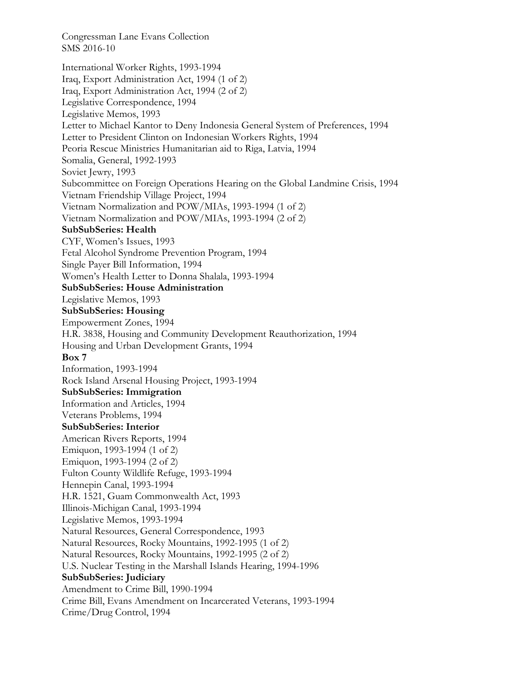International Worker Rights, 1993-1994 Iraq, Export Administration Act, 1994 (1 of 2) Iraq, Export Administration Act, 1994 (2 of 2) Legislative Correspondence, 1994 Legislative Memos, 1993 Letter to Michael Kantor to Deny Indonesia General System of Preferences, 1994 Letter to President Clinton on Indonesian Workers Rights, 1994 Peoria Rescue Ministries Humanitarian aid to Riga, Latvia, 1994 Somalia, General, 1992-1993 Soviet Jewry, 1993 Subcommittee on Foreign Operations Hearing on the Global Landmine Crisis, 1994 Vietnam Friendship Village Project, 1994 Vietnam Normalization and POW/MIAs, 1993-1994 (1 of 2) Vietnam Normalization and POW/MIAs, 1993-1994 (2 of 2) **SubSubSeries: Health**  CYF, Women's Issues, 1993 Fetal Alcohol Syndrome Prevention Program, 1994 Single Payer Bill Information, 1994 Women's Health Letter to Donna Shalala, 1993-1994 **SubSubSeries: House Administration**  Legislative Memos, 1993 **SubSubSeries: Housing**  Empowerment Zones, 1994 H.R. 3838, Housing and Community Development Reauthorization, 1994 Housing and Urban Development Grants, 1994 **Box 7**  Information, 1993-1994 Rock Island Arsenal Housing Project, 1993-1994 **SubSubSeries: Immigration**  Information and Articles, 1994 Veterans Problems, 1994 **SubSubSeries: Interior**  American Rivers Reports, 1994 Emiquon, 1993-1994 (1 of 2) Emiquon, 1993-1994 (2 of 2) Fulton County Wildlife Refuge, 1993-1994 Hennepin Canal, 1993-1994 H.R. 1521, Guam Commonwealth Act, 1993 Illinois-Michigan Canal, 1993-1994 Legislative Memos, 1993-1994 Natural Resources, General Correspondence, 1993 Natural Resources, Rocky Mountains, 1992-1995 (1 of 2) Natural Resources, Rocky Mountains, 1992-1995 (2 of 2) U.S. Nuclear Testing in the Marshall Islands Hearing, 1994-1996 **SubSubSeries: Judiciary**  Amendment to Crime Bill, 1990-1994 Crime Bill, Evans Amendment on Incarcerated Veterans, 1993-1994 Crime/Drug Control, 1994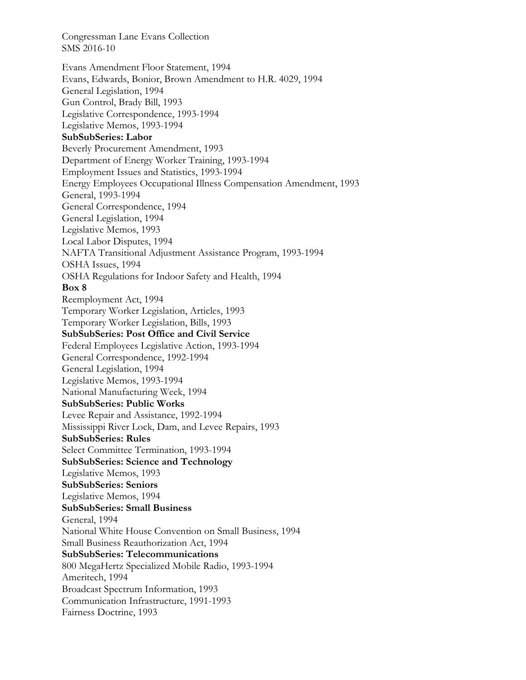Evans Amendment Floor Statement, 1994 Evans, Edwards, Bonior, Brown Amendment to H.R. 4029, 1994 General Legislation, 1994 Gun Control, Brady Bill, 1993 Legislative Correspondence, 1993-1994 Legislative Memos, 1993-1994 **SubSubSeries: Labor**  Beverly Procurement Amendment, 1993 Department of Energy Worker Training, 1993-1994 Employment Issues and Statistics, 1993-1994 Energy Employees Occupational Illness Compensation Amendment, 1993 General, 1993-1994 General Correspondence, 1994 General Legislation, 1994 Legislative Memos, 1993 Local Labor Disputes, 1994 NAFTA Transitional Adjustment Assistance Program, 1993-1994 OSHA Issues, 1994 OSHA Regulations for Indoor Safety and Health, 1994 **Box 8**  Reemployment Act, 1994 Temporary Worker Legislation, Articles, 1993 Temporary Worker Legislation, Bills, 1993 **SubSubSeries: Post Office and Civil Service**  Federal Employees Legislative Action, 1993-1994 General Correspondence, 1992-1994 General Legislation, 1994 Legislative Memos, 1993-1994 National Manufacturing Week, 1994 **SubSubSeries: Public Works**  Levee Repair and Assistance, 1992-1994 Mississippi River Lock, Dam, and Levee Repairs, 1993 **SubSubSeries: Rules**  Select Committee Termination, 1993-1994 **SubSubSeries: Science and Technology**  Legislative Memos, 1993 **SubSubSeries: Seniors**  Legislative Memos, 1994 **SubSubSeries: Small Business**  General, 1994 National White House Convention on Small Business, 1994 Small Business Reauthorization Act, 1994 **SubSubSeries: Telecommunications**  800 MegaHertz Specialized Mobile Radio, 1993-1994 Ameritech, 1994 Broadcast Spectrum Information, 1993 Communication Infrastructure, 1991-1993 Fairness Doctrine, 1993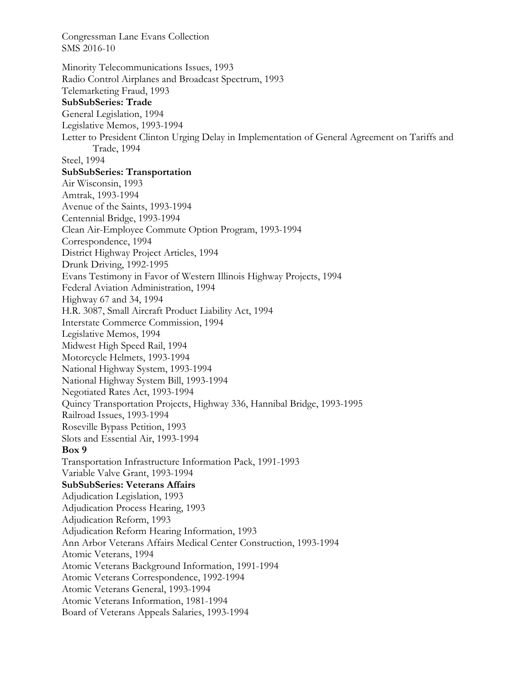SMS 2016-10 Minority Telecommunications Issues, 1993 Radio Control Airplanes and Broadcast Spectrum, 1993 Telemarketing Fraud, 1993 **SubSubSeries: Trade**  General Legislation, 1994 Legislative Memos, 1993-1994 Letter to President Clinton Urging Delay in Implementation of General Agreement on Tariffs and Trade, 1994 Steel, 1994 **SubSubSeries: Transportation**  Air Wisconsin, 1993 Amtrak, 1993-1994 Avenue of the Saints, 1993-1994 Centennial Bridge, 1993-1994 Clean Air-Employee Commute Option Program, 1993-1994 Correspondence, 1994 District Highway Project Articles, 1994 Drunk Driving, 1992-1995 Evans Testimony in Favor of Western Illinois Highway Projects, 1994 Federal Aviation Administration, 1994 Highway 67 and 34, 1994 H.R. 3087, Small Aircraft Product Liability Act, 1994 Interstate Commerce Commission, 1994 Legislative Memos, 1994 Midwest High Speed Rail, 1994 Motorcycle Helmets, 1993-1994 National Highway System, 1993-1994 National Highway System Bill, 1993-1994 Negotiated Rates Act, 1993-1994 Quincy Transportation Projects, Highway 336, Hannibal Bridge, 1993-1995 Railroad Issues, 1993-1994 Roseville Bypass Petition, 1993 Slots and Essential Air, 1993-1994 **Box 9**  Transportation Infrastructure Information Pack, 1991-1993 Variable Valve Grant, 1993-1994 **SubSubSeries: Veterans Affairs**  Adjudication Legislation, 1993 Adjudication Process Hearing, 1993 Adjudication Reform, 1993 Adjudication Reform Hearing Information, 1993 Ann Arbor Veterans Affairs Medical Center Construction, 1993-1994 Atomic Veterans, 1994 Atomic Veterans Background Information, 1991-1994 Atomic Veterans Correspondence, 1992-1994 Atomic Veterans General, 1993-1994 Atomic Veterans Information, 1981-1994 Board of Veterans Appeals Salaries, 1993-1994

Congressman Lane Evans Collection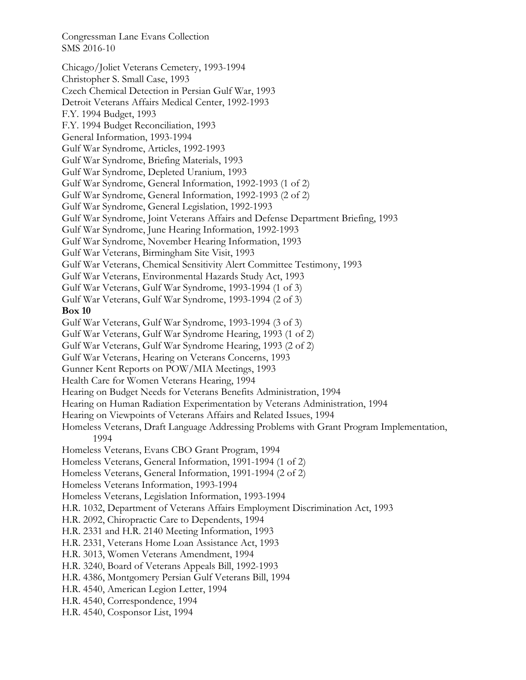Chicago/Joliet Veterans Cemetery, 1993-1994 Christopher S. Small Case, 1993 Czech Chemical Detection in Persian Gulf War, 1993 Detroit Veterans Affairs Medical Center, 1992-1993 F.Y. 1994 Budget, 1993 F.Y. 1994 Budget Reconciliation, 1993 General Information, 1993-1994 Gulf War Syndrome, Articles, 1992-1993 Gulf War Syndrome, Briefing Materials, 1993 Gulf War Syndrome, Depleted Uranium, 1993 Gulf War Syndrome, General Information, 1992-1993 (1 of 2) Gulf War Syndrome, General Information, 1992-1993 (2 of 2) Gulf War Syndrome, General Legislation, 1992-1993 Gulf War Syndrome, Joint Veterans Affairs and Defense Department Briefing, 1993 Gulf War Syndrome, June Hearing Information, 1992-1993 Gulf War Syndrome, November Hearing Information, 1993 Gulf War Veterans, Birmingham Site Visit, 1993 Gulf War Veterans, Chemical Sensitivity Alert Committee Testimony, 1993 Gulf War Veterans, Environmental Hazards Study Act, 1993 Gulf War Veterans, Gulf War Syndrome, 1993-1994 (1 of 3) Gulf War Veterans, Gulf War Syndrome, 1993-1994 (2 of 3) **Box 10**  Gulf War Veterans, Gulf War Syndrome, 1993-1994 (3 of 3) Gulf War Veterans, Gulf War Syndrome Hearing, 1993 (1 of 2) Gulf War Veterans, Gulf War Syndrome Hearing, 1993 (2 of 2) Gulf War Veterans, Hearing on Veterans Concerns, 1993 Gunner Kent Reports on POW/MIA Meetings, 1993 Health Care for Women Veterans Hearing, 1994 Hearing on Budget Needs for Veterans Benefits Administration, 1994 Hearing on Human Radiation Experimentation by Veterans Administration, 1994 Hearing on Viewpoints of Veterans Affairs and Related Issues, 1994 Homeless Veterans, Draft Language Addressing Problems with Grant Program Implementation, 1994 Homeless Veterans, Evans CBO Grant Program, 1994 Homeless Veterans, General Information, 1991-1994 (1 of 2) Homeless Veterans, General Information, 1991-1994 (2 of 2) Homeless Veterans Information, 1993-1994 Homeless Veterans, Legislation Information, 1993-1994 H.R. 1032, Department of Veterans Affairs Employment Discrimination Act, 1993 H.R. 2092, Chiropractic Care to Dependents, 1994 H.R. 2331 and H.R. 2140 Meeting Information, 1993 H.R. 2331, Veterans Home Loan Assistance Act, 1993 H.R. 3013, Women Veterans Amendment, 1994 H.R. 3240, Board of Veterans Appeals Bill, 1992-1993 H.R. 4386, Montgomery Persian Gulf Veterans Bill, 1994 H.R. 4540, American Legion Letter, 1994 H.R. 4540, Correspondence, 1994 H.R. 4540, Cosponsor List, 1994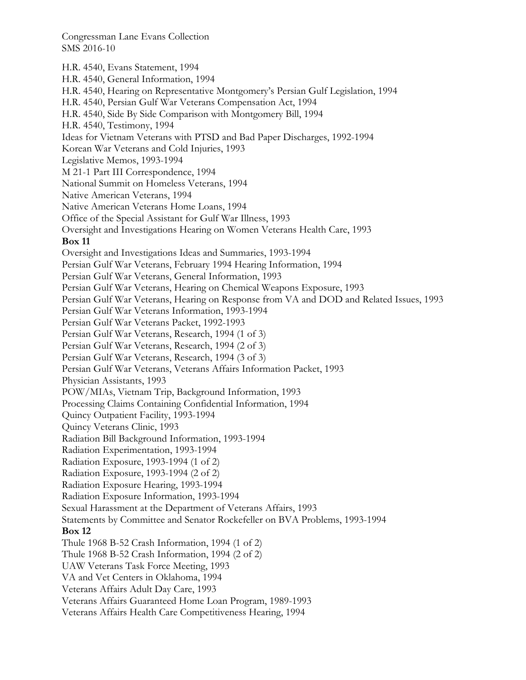H.R. 4540, Evans Statement, 1994 H.R. 4540, General Information, 1994 H.R. 4540, Hearing on Representative Montgomery's Persian Gulf Legislation, 1994 H.R. 4540, Persian Gulf War Veterans Compensation Act, 1994 H.R. 4540, Side By Side Comparison with Montgomery Bill, 1994 H.R. 4540, Testimony, 1994 Ideas for Vietnam Veterans with PTSD and Bad Paper Discharges, 1992-1994 Korean War Veterans and Cold Injuries, 1993 Legislative Memos, 1993-1994 M 21-1 Part III Correspondence, 1994 National Summit on Homeless Veterans, 1994 Native American Veterans, 1994 Native American Veterans Home Loans, 1994 Office of the Special Assistant for Gulf War Illness, 1993 Oversight and Investigations Hearing on Women Veterans Health Care, 1993 **Box 11**  Oversight and Investigations Ideas and Summaries, 1993-1994 Persian Gulf War Veterans, February 1994 Hearing Information, 1994 Persian Gulf War Veterans, General Information, 1993 Persian Gulf War Veterans, Hearing on Chemical Weapons Exposure, 1993 Persian Gulf War Veterans, Hearing on Response from VA and DOD and Related Issues, 1993 Persian Gulf War Veterans Information, 1993-1994 Persian Gulf War Veterans Packet, 1992-1993 Persian Gulf War Veterans, Research, 1994 (1 of 3) Persian Gulf War Veterans, Research, 1994 (2 of 3) Persian Gulf War Veterans, Research, 1994 (3 of 3) Persian Gulf War Veterans, Veterans Affairs Information Packet, 1993 Physician Assistants, 1993 POW/MIAs, Vietnam Trip, Background Information, 1993 Processing Claims Containing Confidential Information, 1994 Quincy Outpatient Facility, 1993-1994 Quincy Veterans Clinic, 1993 Radiation Bill Background Information, 1993-1994 Radiation Experimentation, 1993-1994 Radiation Exposure, 1993-1994 (1 of 2) Radiation Exposure, 1993-1994 (2 of 2) Radiation Exposure Hearing, 1993-1994 Radiation Exposure Information, 1993-1994 Sexual Harassment at the Department of Veterans Affairs, 1993 Statements by Committee and Senator Rockefeller on BVA Problems, 1993-1994 **Box 12**  Thule 1968 B-52 Crash Information, 1994 (1 of 2) Thule 1968 B-52 Crash Information, 1994 (2 of 2) UAW Veterans Task Force Meeting, 1993 VA and Vet Centers in Oklahoma, 1994 Veterans Affairs Adult Day Care, 1993 Veterans Affairs Guaranteed Home Loan Program, 1989-1993 Veterans Affairs Health Care Competitiveness Hearing, 1994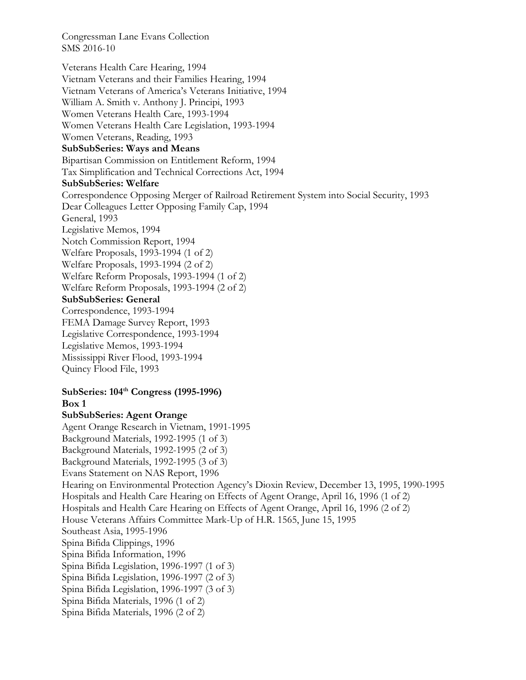Veterans Health Care Hearing, 1994 Vietnam Veterans and their Families Hearing, 1994 Vietnam Veterans of America's Veterans Initiative, 1994 William A. Smith v. Anthony J. Principi, 1993 Women Veterans Health Care, 1993-1994 Women Veterans Health Care Legislation, 1993-1994 Women Veterans, Reading, 1993 **SubSubSeries: Ways and Means**  Bipartisan Commission on Entitlement Reform, 1994 Tax Simplification and Technical Corrections Act, 1994 **SubSubSeries: Welfare**  Correspondence Opposing Merger of Railroad Retirement System into Social Security, 1993 Dear Colleagues Letter Opposing Family Cap, 1994 General, 1993 Legislative Memos, 1994 Notch Commission Report, 1994 Welfare Proposals, 1993-1994 (1 of 2) Welfare Proposals, 1993-1994 (2 of 2) Welfare Reform Proposals, 1993-1994 (1 of 2) Welfare Reform Proposals, 1993-1994 (2 of 2) **SubSubSeries: General**  Correspondence, 1993-1994 FEMA Damage Survey Report, 1993 Legislative Correspondence, 1993-1994 Legislative Memos, 1993-1994 Mississippi River Flood, 1993-1994 Quincy Flood File, 1993 **SubSeries: 104th Congress (1995-1996) Box 1 SubSubSeries: Agent Orange**  Agent Orange Research in Vietnam, 1991-1995 Background Materials, 1992-1995 (1 of 3) Background Materials, 1992-1995 (2 of 3) Background Materials, 1992-1995 (3 of 3) Evans Statement on NAS Report, 1996 Hearing on Environmental Protection Agency's Dioxin Review, December 13, 1995, 1990-1995 Hospitals and Health Care Hearing on Effects of Agent Orange, April 16, 1996 (1 of 2) Hospitals and Health Care Hearing on Effects of Agent Orange, April 16, 1996 (2 of 2) House Veterans Affairs Committee Mark-Up of H.R. 1565, June 15, 1995 Southeast Asia, 1995-1996 Spina Bifida Clippings, 1996 Spina Bifida Information, 1996 Spina Bifida Legislation, 1996-1997 (1 of 3) Spina Bifida Legislation, 1996-1997 (2 of 3)

Spina Bifida Legislation, 1996-1997 (3 of 3)

Spina Bifida Materials, 1996 (1 of 2)

Spina Bifida Materials, 1996 (2 of 2)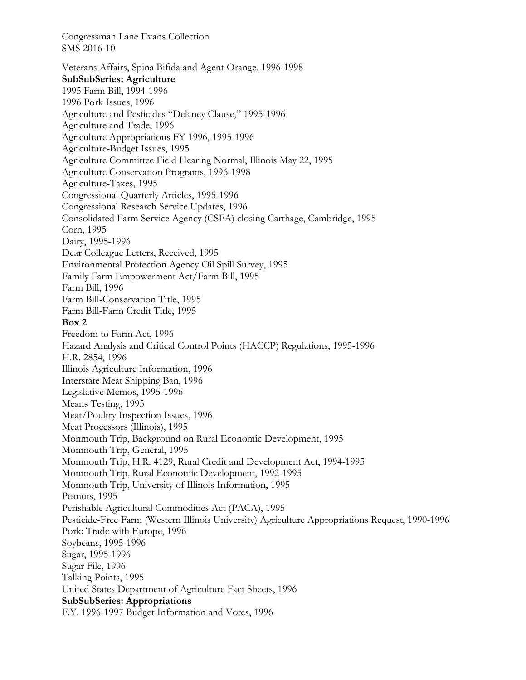Veterans Affairs, Spina Bifida and Agent Orange, 1996-1998 **SubSubSeries: Agriculture**  1995 Farm Bill, 1994-1996 1996 Pork Issues, 1996 Agriculture and Pesticides "Delaney Clause," 1995-1996 Agriculture and Trade, 1996 Agriculture Appropriations FY 1996, 1995-1996 Agriculture-Budget Issues, 1995 Agriculture Committee Field Hearing Normal, Illinois May 22, 1995 Agriculture Conservation Programs, 1996-1998 Agriculture-Taxes, 1995 Congressional Quarterly Articles, 1995-1996 Congressional Research Service Updates, 1996 Consolidated Farm Service Agency (CSFA) closing Carthage, Cambridge, 1995 Corn, 1995 Dairy, 1995-1996 Dear Colleague Letters, Received, 1995 Environmental Protection Agency Oil Spill Survey, 1995 Family Farm Empowerment Act/Farm Bill, 1995 Farm Bill, 1996 Farm Bill-Conservation Title, 1995 Farm Bill-Farm Credit Title, 1995 **Box 2**  Freedom to Farm Act, 1996 Hazard Analysis and Critical Control Points (HACCP) Regulations, 1995-1996 H.R. 2854, 1996 Illinois Agriculture Information, 1996 Interstate Meat Shipping Ban, 1996 Legislative Memos, 1995-1996 Means Testing, 1995 Meat/Poultry Inspection Issues, 1996 Meat Processors (Illinois), 1995 Monmouth Trip, Background on Rural Economic Development, 1995 Monmouth Trip, General, 1995 Monmouth Trip, H.R. 4129, Rural Credit and Development Act, 1994-1995 Monmouth Trip, Rural Economic Development, 1992-1995 Monmouth Trip, University of Illinois Information, 1995 Peanuts, 1995 Perishable Agricultural Commodities Act (PACA), 1995 Pesticide-Free Farm (Western Illinois University) Agriculture Appropriations Request, 1990-1996 Pork: Trade with Europe, 1996 Soybeans, 1995-1996 Sugar, 1995-1996 Sugar File, 1996 Talking Points, 1995 United States Department of Agriculture Fact Sheets, 1996 **SubSubSeries: Appropriations**  F.Y. 1996-1997 Budget Information and Votes, 1996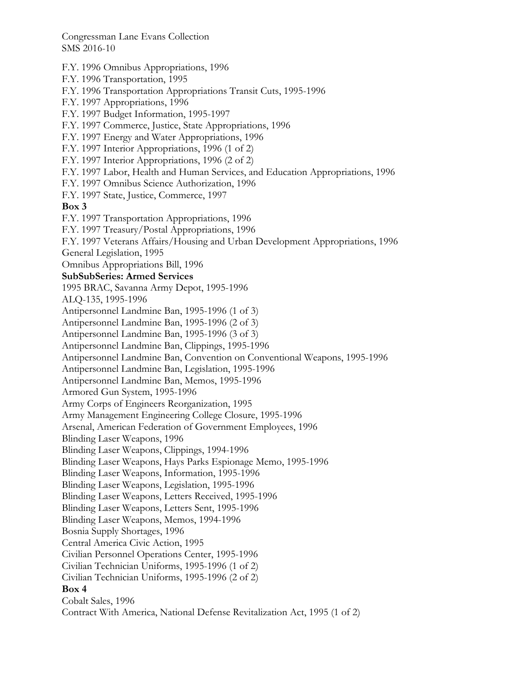F.Y. 1996 Omnibus Appropriations, 1996 F.Y. 1996 Transportation, 1995 F.Y. 1996 Transportation Appropriations Transit Cuts, 1995-1996 F.Y. 1997 Appropriations, 1996 F.Y. 1997 Budget Information, 1995-1997 F.Y. 1997 Commerce, Justice, State Appropriations, 1996 F.Y. 1997 Energy and Water Appropriations, 1996 F.Y. 1997 Interior Appropriations, 1996 (1 of 2) F.Y. 1997 Interior Appropriations, 1996 (2 of 2) F.Y. 1997 Labor, Health and Human Services, and Education Appropriations, 1996 F.Y. 1997 Omnibus Science Authorization, 1996 F.Y. 1997 State, Justice, Commerce, 1997 **Box 3**  F.Y. 1997 Transportation Appropriations, 1996 F.Y. 1997 Treasury/Postal Appropriations, 1996 F.Y. 1997 Veterans Affairs/Housing and Urban Development Appropriations, 1996 General Legislation, 1995 Omnibus Appropriations Bill, 1996 **SubSubSeries: Armed Services**  1995 BRAC, Savanna Army Depot, 1995-1996 ALQ-135, 1995-1996 Antipersonnel Landmine Ban, 1995-1996 (1 of 3) Antipersonnel Landmine Ban, 1995-1996 (2 of 3) Antipersonnel Landmine Ban, 1995-1996 (3 of 3) Antipersonnel Landmine Ban, Clippings, 1995-1996 Antipersonnel Landmine Ban, Convention on Conventional Weapons, 1995-1996 Antipersonnel Landmine Ban, Legislation, 1995-1996 Antipersonnel Landmine Ban, Memos, 1995-1996 Armored Gun System, 1995-1996 Army Corps of Engineers Reorganization, 1995 Army Management Engineering College Closure, 1995-1996 Arsenal, American Federation of Government Employees, 1996 Blinding Laser Weapons, 1996 Blinding Laser Weapons, Clippings, 1994-1996 Blinding Laser Weapons, Hays Parks Espionage Memo, 1995-1996 Blinding Laser Weapons, Information, 1995-1996 Blinding Laser Weapons, Legislation, 1995-1996 Blinding Laser Weapons, Letters Received, 1995-1996 Blinding Laser Weapons, Letters Sent, 1995-1996 Blinding Laser Weapons, Memos, 1994-1996 Bosnia Supply Shortages, 1996 Central America Civic Action, 1995 Civilian Personnel Operations Center, 1995-1996 Civilian Technician Uniforms, 1995-1996 (1 of 2) Civilian Technician Uniforms, 1995-1996 (2 of 2) **Box 4**  Cobalt Sales, 1996 Contract With America, National Defense Revitalization Act, 1995 (1 of 2)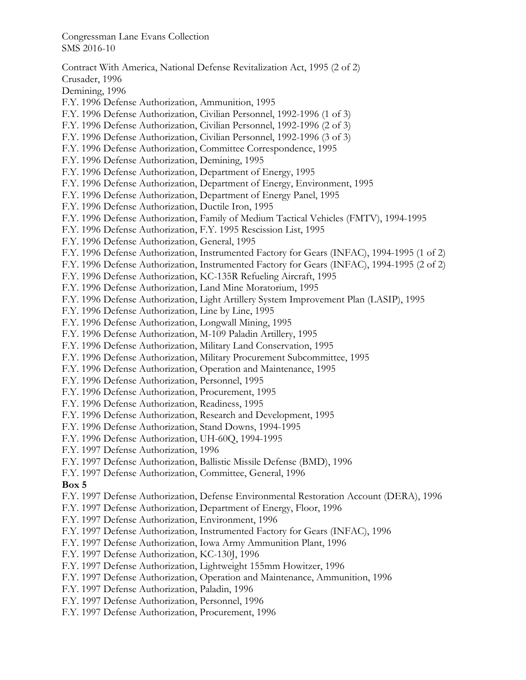Contract With America, National Defense Revitalization Act, 1995 (2 of 2) Crusader, 1996 Demining, 1996 F.Y. 1996 Defense Authorization, Ammunition, 1995 F.Y. 1996 Defense Authorization, Civilian Personnel, 1992-1996 (1 of 3) F.Y. 1996 Defense Authorization, Civilian Personnel, 1992-1996 (2 of 3) F.Y. 1996 Defense Authorization, Civilian Personnel, 1992-1996 (3 of 3) F.Y. 1996 Defense Authorization, Committee Correspondence, 1995 F.Y. 1996 Defense Authorization, Demining, 1995 F.Y. 1996 Defense Authorization, Department of Energy, 1995 F.Y. 1996 Defense Authorization, Department of Energy, Environment, 1995 F.Y. 1996 Defense Authorization, Department of Energy Panel, 1995 F.Y. 1996 Defense Authorization, Ductile Iron, 1995 F.Y. 1996 Defense Authorization, Family of Medium Tactical Vehicles (FMTV), 1994-1995 F.Y. 1996 Defense Authorization, F.Y. 1995 Rescission List, 1995 F.Y. 1996 Defense Authorization, General, 1995 F.Y. 1996 Defense Authorization, Instrumented Factory for Gears (INFAC), 1994-1995 (1 of 2) F.Y. 1996 Defense Authorization, Instrumented Factory for Gears (INFAC), 1994-1995 (2 of 2) F.Y. 1996 Defense Authorization, KC-135R Refueling Aircraft, 1995 F.Y. 1996 Defense Authorization, Land Mine Moratorium, 1995 F.Y. 1996 Defense Authorization, Light Artillery System Improvement Plan (LASIP), 1995 F.Y. 1996 Defense Authorization, Line by Line, 1995 F.Y. 1996 Defense Authorization, Longwall Mining, 1995 F.Y. 1996 Defense Authorization, M-109 Paladin Artillery, 1995 F.Y. 1996 Defense Authorization, Military Land Conservation, 1995 F.Y. 1996 Defense Authorization, Military Procurement Subcommittee, 1995 F.Y. 1996 Defense Authorization, Operation and Maintenance, 1995 F.Y. 1996 Defense Authorization, Personnel, 1995 F.Y. 1996 Defense Authorization, Procurement, 1995 F.Y. 1996 Defense Authorization, Readiness, 1995 F.Y. 1996 Defense Authorization, Research and Development, 1995 F.Y. 1996 Defense Authorization, Stand Downs, 1994-1995 F.Y. 1996 Defense Authorization, UH-60Q, 1994-1995 F.Y. 1997 Defense Authorization, 1996 F.Y. 1997 Defense Authorization, Ballistic Missile Defense (BMD), 1996 F.Y. 1997 Defense Authorization, Committee, General, 1996 **Box 5**  F.Y. 1997 Defense Authorization, Defense Environmental Restoration Account (DERA), 1996 F.Y. 1997 Defense Authorization, Department of Energy, Floor, 1996 F.Y. 1997 Defense Authorization, Environment, 1996 F.Y. 1997 Defense Authorization, Instrumented Factory for Gears (INFAC), 1996 F.Y. 1997 Defense Authorization, Iowa Army Ammunition Plant, 1996 F.Y. 1997 Defense Authorization, KC-130J, 1996 F.Y. 1997 Defense Authorization, Lightweight 155mm Howitzer, 1996 F.Y. 1997 Defense Authorization, Operation and Maintenance, Ammunition, 1996 F.Y. 1997 Defense Authorization, Paladin, 1996 F.Y. 1997 Defense Authorization, Personnel, 1996 F.Y. 1997 Defense Authorization, Procurement, 1996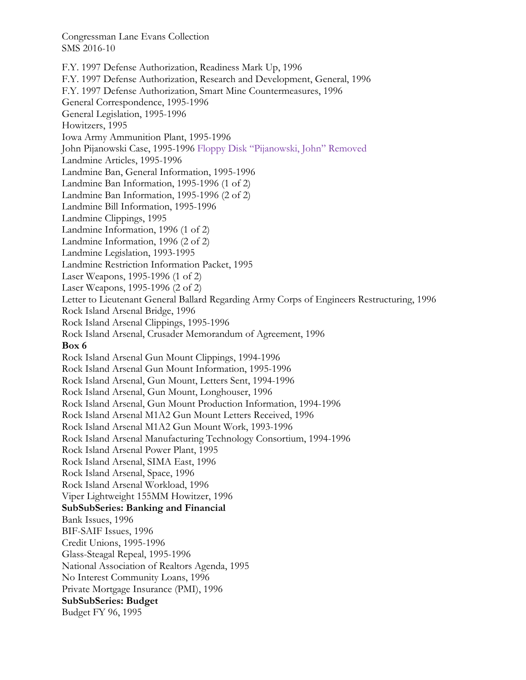F.Y. 1997 Defense Authorization, Readiness Mark Up, 1996 F.Y. 1997 Defense Authorization, Research and Development, General, 1996 F.Y. 1997 Defense Authorization, Smart Mine Countermeasures, 1996 General Correspondence, 1995-1996 General Legislation, 1995-1996 Howitzers, 1995 Iowa Army Ammunition Plant, 1995-1996 John Pijanowski Case, 1995-1996 Floppy Disk "Pijanowski, John" Removed Landmine Articles, 1995-1996 Landmine Ban, General Information, 1995-1996 Landmine Ban Information, 1995-1996 (1 of 2) Landmine Ban Information, 1995-1996 (2 of 2) Landmine Bill Information, 1995-1996 Landmine Clippings, 1995 Landmine Information, 1996 (1 of 2) Landmine Information, 1996 (2 of 2) Landmine Legislation, 1993-1995 Landmine Restriction Information Packet, 1995 Laser Weapons, 1995-1996 (1 of 2) Laser Weapons, 1995-1996 (2 of 2) Letter to Lieutenant General Ballard Regarding Army Corps of Engineers Restructuring, 1996 Rock Island Arsenal Bridge, 1996 Rock Island Arsenal Clippings, 1995-1996 Rock Island Arsenal, Crusader Memorandum of Agreement, 1996 **Box 6**  Rock Island Arsenal Gun Mount Clippings, 1994-1996 Rock Island Arsenal Gun Mount Information, 1995-1996 Rock Island Arsenal, Gun Mount, Letters Sent, 1994-1996 Rock Island Arsenal, Gun Mount, Longhouser, 1996 Rock Island Arsenal, Gun Mount Production Information, 1994-1996 Rock Island Arsenal M1A2 Gun Mount Letters Received, 1996 Rock Island Arsenal M1A2 Gun Mount Work, 1993-1996 Rock Island Arsenal Manufacturing Technology Consortium, 1994-1996 Rock Island Arsenal Power Plant, 1995 Rock Island Arsenal, SIMA East, 1996 Rock Island Arsenal, Space, 1996 Rock Island Arsenal Workload, 1996 Viper Lightweight 155MM Howitzer, 1996 **SubSubSeries: Banking and Financial**  Bank Issues, 1996 BIF-SAIF Issues, 1996 Credit Unions, 1995-1996 Glass-Steagal Repeal, 1995-1996 National Association of Realtors Agenda, 1995 No Interest Community Loans, 1996 Private Mortgage Insurance (PMI), 1996 **SubSubSeries: Budget**  Budget FY 96, 1995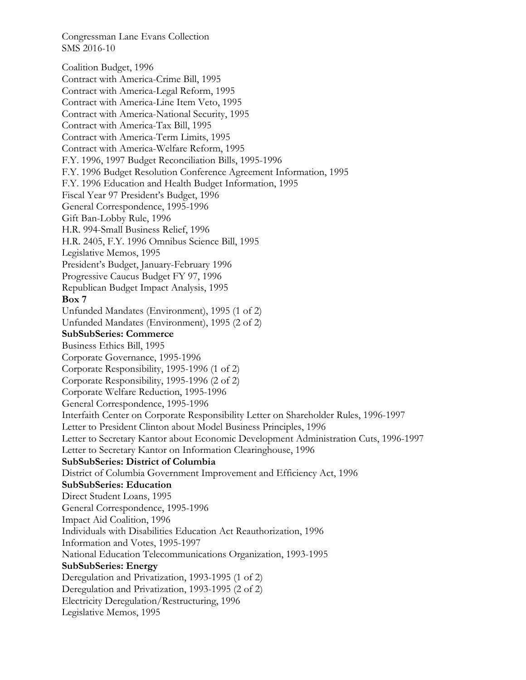Coalition Budget, 1996 Contract with America-Crime Bill, 1995 Contract with America-Legal Reform, 1995 Contract with America-Line Item Veto, 1995 Contract with America-National Security, 1995 Contract with America-Tax Bill, 1995 Contract with America-Term Limits, 1995 Contract with America-Welfare Reform, 1995 F.Y. 1996, 1997 Budget Reconciliation Bills, 1995-1996 F.Y. 1996 Budget Resolution Conference Agreement Information, 1995 F.Y. 1996 Education and Health Budget Information, 1995 Fiscal Year 97 President's Budget, 1996 General Correspondence, 1995-1996 Gift Ban-Lobby Rule, 1996 H.R. 994-Small Business Relief, 1996 H.R. 2405, F.Y. 1996 Omnibus Science Bill, 1995 Legislative Memos, 1995 President's Budget, January-February 1996 Progressive Caucus Budget FY 97, 1996 Republican Budget Impact Analysis, 1995 **Box 7**  Unfunded Mandates (Environment), 1995 (1 of 2) Unfunded Mandates (Environment), 1995 (2 of 2) **SubSubSeries: Commerce**  Business Ethics Bill, 1995 Corporate Governance, 1995-1996 Corporate Responsibility, 1995-1996 (1 of 2) Corporate Responsibility, 1995-1996 (2 of 2) Corporate Welfare Reduction, 1995-1996 General Correspondence, 1995-1996 Interfaith Center on Corporate Responsibility Letter on Shareholder Rules, 1996-1997 Letter to President Clinton about Model Business Principles, 1996 Letter to Secretary Kantor about Economic Development Administration Cuts, 1996-1997 Letter to Secretary Kantor on Information Clearinghouse, 1996 **SubSubSeries: District of Columbia**  District of Columbia Government Improvement and Efficiency Act, 1996 **SubSubSeries: Education**  Direct Student Loans, 1995 General Correspondence, 1995-1996 Impact Aid Coalition, 1996 Individuals with Disabilities Education Act Reauthorization, 1996 Information and Votes, 1995-1997 National Education Telecommunications Organization, 1993-1995 **SubSubSeries: Energy**  Deregulation and Privatization, 1993-1995 (1 of 2) Deregulation and Privatization, 1993-1995 (2 of 2) Electricity Deregulation/Restructuring, 1996 Legislative Memos, 1995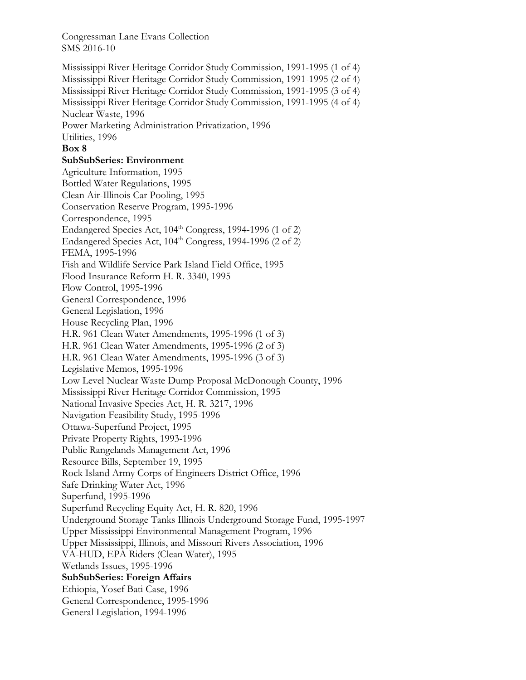Mississippi River Heritage Corridor Study Commission, 1991-1995 (1 of 4) Mississippi River Heritage Corridor Study Commission, 1991-1995 (2 of 4) Mississippi River Heritage Corridor Study Commission, 1991-1995 (3 of 4) Mississippi River Heritage Corridor Study Commission, 1991-1995 (4 of 4) Nuclear Waste, 1996 Power Marketing Administration Privatization, 1996 Utilities, 1996 **Box 8 SubSubSeries: Environment**  Agriculture Information, 1995 Bottled Water Regulations, 1995 Clean Air-Illinois Car Pooling, 1995 Conservation Reserve Program, 1995-1996 Correspondence, 1995 Endangered Species Act,  $104<sup>th</sup> Congress$ , 1994-1996 (1 of 2) Endangered Species Act,  $104<sup>th</sup> Congress$ , 1994-1996 (2 of 2) FEMA, 1995-1996 Fish and Wildlife Service Park Island Field Office, 1995 Flood Insurance Reform H. R. 3340, 1995 Flow Control, 1995-1996 General Correspondence, 1996 General Legislation, 1996 House Recycling Plan, 1996 H.R. 961 Clean Water Amendments, 1995-1996 (1 of 3) H.R. 961 Clean Water Amendments, 1995-1996 (2 of 3) H.R. 961 Clean Water Amendments, 1995-1996 (3 of 3) Legislative Memos, 1995-1996 Low Level Nuclear Waste Dump Proposal McDonough County, 1996 Mississippi River Heritage Corridor Commission, 1995 National Invasive Species Act, H. R. 3217, 1996 Navigation Feasibility Study, 1995-1996 Ottawa-Superfund Project, 1995 Private Property Rights, 1993-1996 Public Rangelands Management Act, 1996 Resource Bills, September 19, 1995 Rock Island Army Corps of Engineers District Office, 1996 Safe Drinking Water Act, 1996 Superfund, 1995-1996 Superfund Recycling Equity Act, H. R. 820, 1996 Underground Storage Tanks Illinois Underground Storage Fund, 1995-1997 Upper Mississippi Environmental Management Program, 1996 Upper Mississippi, Illinois, and Missouri Rivers Association, 1996 VA-HUD, EPA Riders (Clean Water), 1995 Wetlands Issues, 1995-1996 **SubSubSeries: Foreign Affairs**  Ethiopia, Yosef Bati Case, 1996 General Correspondence, 1995-1996 General Legislation, 1994-1996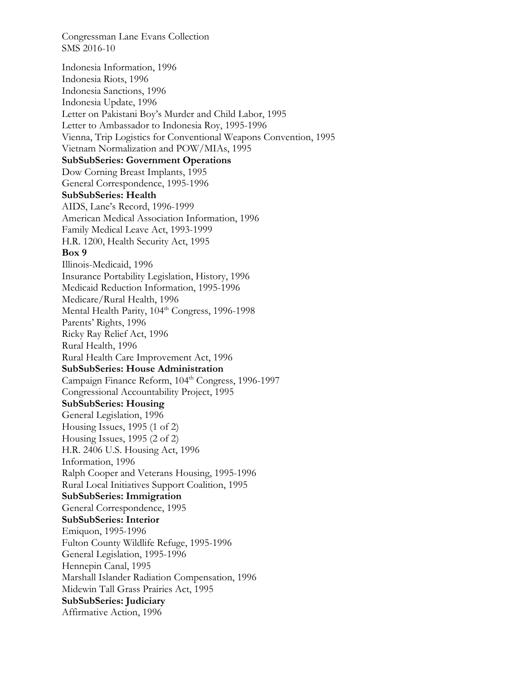Indonesia Information, 1996 Indonesia Riots, 1996 Indonesia Sanctions, 1996 Indonesia Update, 1996 Letter on Pakistani Boy's Murder and Child Labor, 1995 Letter to Ambassador to Indonesia Roy, 1995-1996 Vienna, Trip Logistics for Conventional Weapons Convention, 1995 Vietnam Normalization and POW/MIAs, 1995 **SubSubSeries: Government Operations**  Dow Corning Breast Implants, 1995 General Correspondence, 1995-1996 **SubSubSeries: Health**  AIDS, Lane's Record, 1996-1999 American Medical Association Information, 1996 Family Medical Leave Act, 1993-1999 H.R. 1200, Health Security Act, 1995 **Box 9**  Illinois-Medicaid, 1996 Insurance Portability Legislation, History, 1996 Medicaid Reduction Information, 1995-1996 Medicare/Rural Health, 1996 Mental Health Parity, 104<sup>th</sup> Congress, 1996-1998 Parents' Rights, 1996 Ricky Ray Relief Act, 1996 Rural Health, 1996 Rural Health Care Improvement Act, 1996 **SubSubSeries: House Administration**  Campaign Finance Reform, 104<sup>th</sup> Congress, 1996-1997 Congressional Accountability Project, 1995 **SubSubSeries: Housing**  General Legislation, 1996 Housing Issues, 1995 (1 of 2) Housing Issues, 1995 (2 of 2) H.R. 2406 U.S. Housing Act, 1996 Information, 1996 Ralph Cooper and Veterans Housing, 1995-1996 Rural Local Initiatives Support Coalition, 1995 **SubSubSeries: Immigration**  General Correspondence, 1995 **SubSubSeries: Interior**  Emiquon, 1995-1996 Fulton County Wildlife Refuge, 1995-1996 General Legislation, 1995-1996 Hennepin Canal, 1995 Marshall Islander Radiation Compensation, 1996 Midewin Tall Grass Prairies Act, 1995 **SubSubSeries: Judiciary**  Affirmative Action, 1996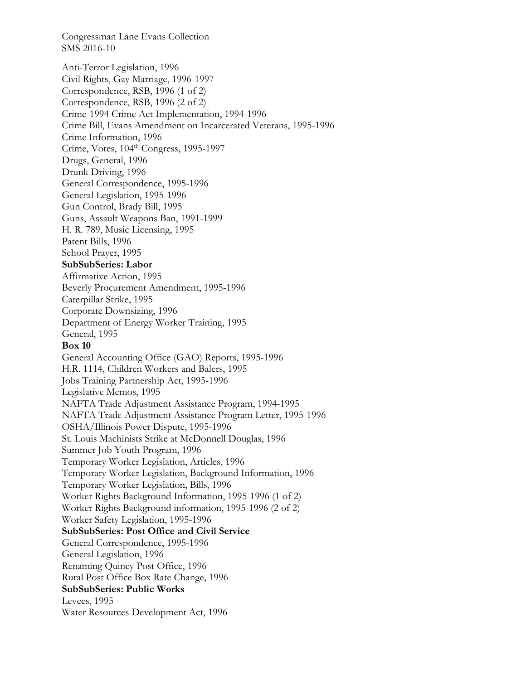Anti-Terror Legislation, 1996 Civil Rights, Gay Marriage, 1996-1997 Correspondence, RSB, 1996 (1 of 2) Correspondence, RSB, 1996 (2 of 2) Crime-1994 Crime Act Implementation, 1994-1996 Crime Bill, Evans Amendment on Incarcerated Veterans, 1995-1996 Crime Information, 1996 Crime, Votes, 104<sup>th</sup> Congress, 1995-1997 Drugs, General, 1996 Drunk Driving, 1996 General Correspondence, 1995-1996 General Legislation, 1995-1996 Gun Control, Brady Bill, 1995 Guns, Assault Weapons Ban, 1991-1999 H. R. 789, Music Licensing, 1995 Patent Bills, 1996 School Prayer, 1995 **SubSubSeries: Labor**  Affirmative Action, 1995 Beverly Procurement Amendment, 1995-1996 Caterpillar Strike, 1995 Corporate Downsizing, 1996 Department of Energy Worker Training, 1995 General, 1995 **Box 10**  General Accounting Office (GAO) Reports, 1995-1996 H.R. 1114, Children Workers and Balers, 1995 Jobs Training Partnership Act, 1995-1996 Legislative Memos, 1995 NAFTA Trade Adjustment Assistance Program, 1994-1995 NAFTA Trade Adjustment Assistance Program Letter, 1995-1996 OSHA/Illinois Power Dispute, 1995-1996 St. Louis Machinists Strike at McDonnell Douglas, 1996 Summer Job Youth Program, 1996 Temporary Worker Legislation, Articles, 1996 Temporary Worker Legislation, Background Information, 1996 Temporary Worker Legislation, Bills, 1996 Worker Rights Background Information, 1995-1996 (1 of 2) Worker Rights Background information, 1995-1996 (2 of 2) Worker Safety Legislation, 1995-1996 **SubSubSeries: Post Office and Civil Service**  General Correspondence, 1995-1996 General Legislation, 1996 Renaming Quincy Post Office, 1996 Rural Post Office Box Rate Change, 1996 **SubSubSeries: Public Works**  Levees, 1995 Water Resources Development Act, 1996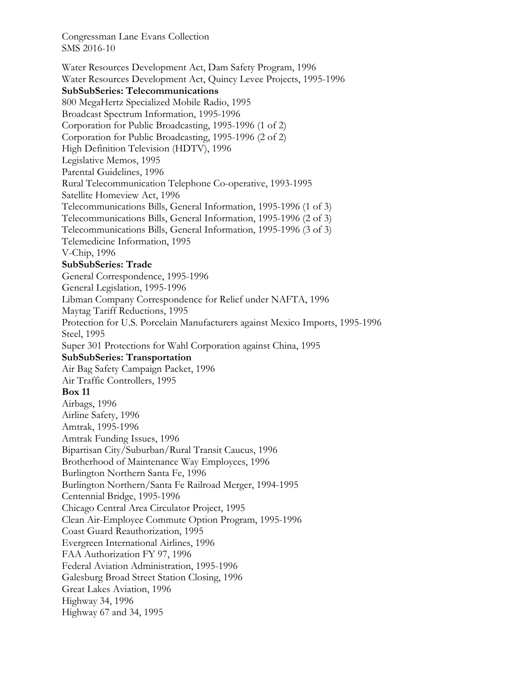Water Resources Development Act, Dam Safety Program, 1996 Water Resources Development Act, Quincy Levee Projects, 1995-1996 **SubSubSeries: Telecommunications**  800 MegaHertz Specialized Mobile Radio, 1995 Broadcast Spectrum Information, 1995-1996 Corporation for Public Broadcasting, 1995-1996 (1 of 2) Corporation for Public Broadcasting, 1995-1996 (2 of 2) High Definition Television (HDTV), 1996 Legislative Memos, 1995 Parental Guidelines, 1996 Rural Telecommunication Telephone Co-operative, 1993-1995 Satellite Homeview Act, 1996 Telecommunications Bills, General Information, 1995-1996 (1 of 3) Telecommunications Bills, General Information, 1995-1996 (2 of 3) Telecommunications Bills, General Information, 1995-1996 (3 of 3) Telemedicine Information, 1995 V-Chip, 1996 **SubSubSeries: Trade**  General Correspondence, 1995-1996 General Legislation, 1995-1996 Libman Company Correspondence for Relief under NAFTA, 1996 Maytag Tariff Reductions, 1995 Protection for U.S. Porcelain Manufacturers against Mexico Imports, 1995-1996 Steel, 1995 Super 301 Protections for Wahl Corporation against China, 1995 **SubSubSeries: Transportation**  Air Bag Safety Campaign Packet, 1996 Air Traffic Controllers, 1995 **Box 11**  Airbags, 1996 Airline Safety, 1996 Amtrak, 1995-1996 Amtrak Funding Issues, 1996 Bipartisan City/Suburban/Rural Transit Caucus, 1996 Brotherhood of Maintenance Way Employees, 1996 Burlington Northern Santa Fe, 1996 Burlington Northern/Santa Fe Railroad Merger, 1994-1995 Centennial Bridge, 1995-1996 Chicago Central Area Circulator Project, 1995 Clean Air-Employee Commute Option Program, 1995-1996 Coast Guard Reauthorization, 1995 Evergreen International Airlines, 1996 FAA Authorization FY 97, 1996 Federal Aviation Administration, 1995-1996 Galesburg Broad Street Station Closing, 1996 Great Lakes Aviation, 1996 Highway 34, 1996 Highway 67 and 34, 1995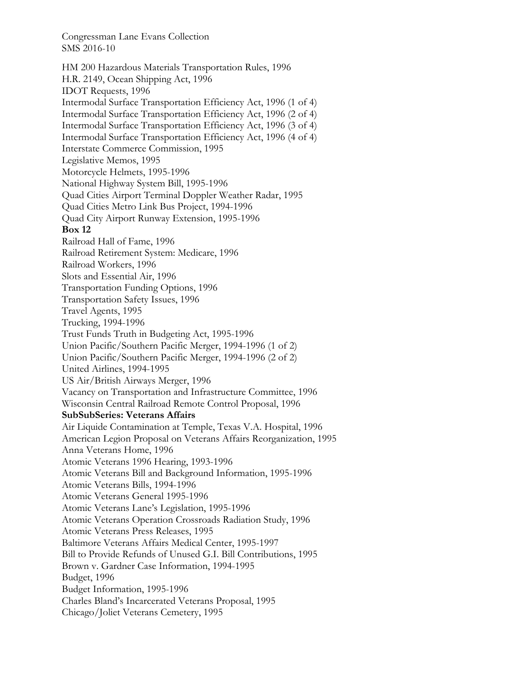HM 200 Hazardous Materials Transportation Rules, 1996 H.R. 2149, Ocean Shipping Act, 1996 IDOT Requests, 1996 Intermodal Surface Transportation Efficiency Act, 1996 (1 of 4) Intermodal Surface Transportation Efficiency Act, 1996 (2 of 4) Intermodal Surface Transportation Efficiency Act, 1996 (3 of 4) Intermodal Surface Transportation Efficiency Act, 1996 (4 of 4) Interstate Commerce Commission, 1995 Legislative Memos, 1995 Motorcycle Helmets, 1995-1996 National Highway System Bill, 1995-1996 Quad Cities Airport Terminal Doppler Weather Radar, 1995 Quad Cities Metro Link Bus Project, 1994-1996 Quad City Airport Runway Extension, 1995-1996 **Box 12**  Railroad Hall of Fame, 1996 Railroad Retirement System: Medicare, 1996 Railroad Workers, 1996 Slots and Essential Air, 1996 Transportation Funding Options, 1996 Transportation Safety Issues, 1996 Travel Agents, 1995 Trucking, 1994-1996 Trust Funds Truth in Budgeting Act, 1995-1996 Union Pacific/Southern Pacific Merger, 1994-1996 (1 of 2) Union Pacific/Southern Pacific Merger, 1994-1996 (2 of 2) United Airlines, 1994-1995 US Air/British Airways Merger, 1996 Vacancy on Transportation and Infrastructure Committee, 1996 Wisconsin Central Railroad Remote Control Proposal, 1996 **SubSubSeries: Veterans Affairs**  Air Liquide Contamination at Temple, Texas V.A. Hospital, 1996 American Legion Proposal on Veterans Affairs Reorganization, 1995 Anna Veterans Home, 1996 Atomic Veterans 1996 Hearing, 1993-1996 Atomic Veterans Bill and Background Information, 1995-1996 Atomic Veterans Bills, 1994-1996 Atomic Veterans General 1995-1996 Atomic Veterans Lane's Legislation, 1995-1996 Atomic Veterans Operation Crossroads Radiation Study, 1996 Atomic Veterans Press Releases, 1995 Baltimore Veterans Affairs Medical Center, 1995-1997 Bill to Provide Refunds of Unused G.I. Bill Contributions, 1995 Brown v. Gardner Case Information, 1994-1995 Budget, 1996 Budget Information, 1995-1996 Charles Bland's Incarcerated Veterans Proposal, 1995 Chicago/Joliet Veterans Cemetery, 1995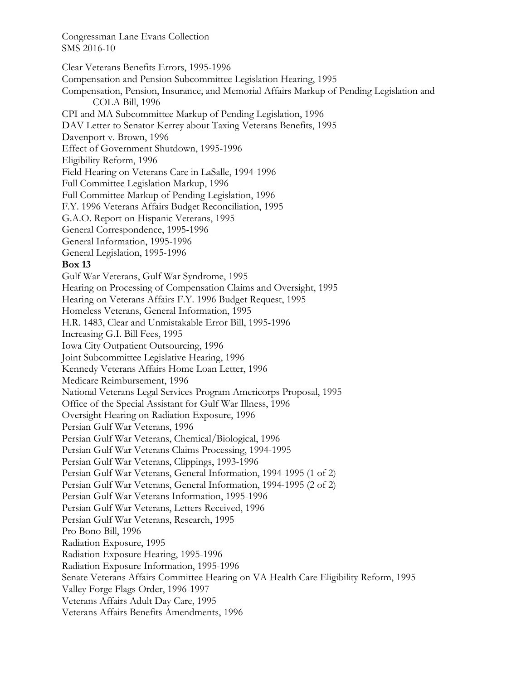Clear Veterans Benefits Errors, 1995-1996 Compensation and Pension Subcommittee Legislation Hearing, 1995 Compensation, Pension, Insurance, and Memorial Affairs Markup of Pending Legislation and COLA Bill, 1996 CPI and MA Subcommittee Markup of Pending Legislation, 1996 DAV Letter to Senator Kerrey about Taxing Veterans Benefits, 1995 Davenport v. Brown, 1996 Effect of Government Shutdown, 1995-1996 Eligibility Reform, 1996 Field Hearing on Veterans Care in LaSalle, 1994-1996 Full Committee Legislation Markup, 1996 Full Committee Markup of Pending Legislation, 1996 F.Y. 1996 Veterans Affairs Budget Reconciliation, 1995 G.A.O. Report on Hispanic Veterans, 1995 General Correspondence, 1995-1996 General Information, 1995-1996 General Legislation, 1995-1996 **Box 13**  Gulf War Veterans, Gulf War Syndrome, 1995 Hearing on Processing of Compensation Claims and Oversight, 1995 Hearing on Veterans Affairs F.Y. 1996 Budget Request, 1995 Homeless Veterans, General Information, 1995 H.R. 1483, Clear and Unmistakable Error Bill, 1995-1996 Increasing G.I. Bill Fees, 1995 Iowa City Outpatient Outsourcing, 1996 Joint Subcommittee Legislative Hearing, 1996 Kennedy Veterans Affairs Home Loan Letter, 1996 Medicare Reimbursement, 1996 National Veterans Legal Services Program Americorps Proposal, 1995 Office of the Special Assistant for Gulf War Illness, 1996 Oversight Hearing on Radiation Exposure, 1996 Persian Gulf War Veterans, 1996 Persian Gulf War Veterans, Chemical/Biological, 1996 Persian Gulf War Veterans Claims Processing, 1994-1995 Persian Gulf War Veterans, Clippings, 1993-1996 Persian Gulf War Veterans, General Information, 1994-1995 (1 of 2) Persian Gulf War Veterans, General Information, 1994-1995 (2 of 2) Persian Gulf War Veterans Information, 1995-1996 Persian Gulf War Veterans, Letters Received, 1996 Persian Gulf War Veterans, Research, 1995 Pro Bono Bill, 1996 Radiation Exposure, 1995 Radiation Exposure Hearing, 1995-1996 Radiation Exposure Information, 1995-1996 Senate Veterans Affairs Committee Hearing on VA Health Care Eligibility Reform, 1995 Valley Forge Flags Order, 1996-1997 Veterans Affairs Adult Day Care, 1995 Veterans Affairs Benefits Amendments, 1996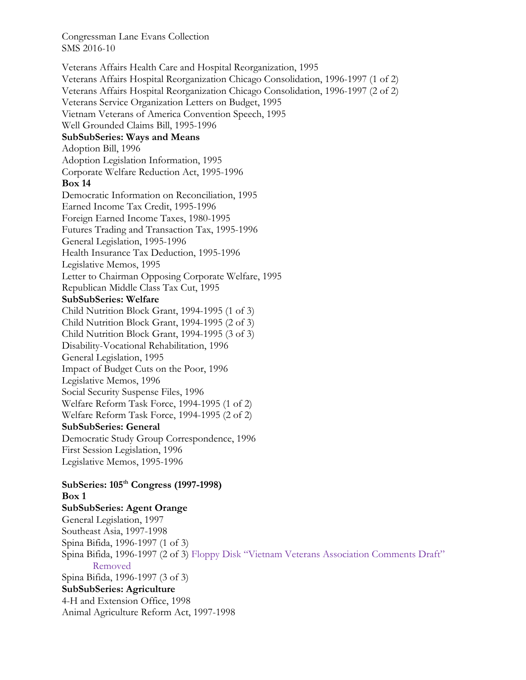Veterans Affairs Health Care and Hospital Reorganization, 1995 Veterans Affairs Hospital Reorganization Chicago Consolidation, 1996-1997 (1 of 2) Veterans Affairs Hospital Reorganization Chicago Consolidation, 1996-1997 (2 of 2) Veterans Service Organization Letters on Budget, 1995 Vietnam Veterans of America Convention Speech, 1995 Well Grounded Claims Bill, 1995-1996 **SubSubSeries: Ways and Means**  Adoption Bill, 1996 Adoption Legislation Information, 1995 Corporate Welfare Reduction Act, 1995-1996 **Box 14**  Democratic Information on Reconciliation, 1995 Earned Income Tax Credit, 1995-1996 Foreign Earned Income Taxes, 1980-1995 Futures Trading and Transaction Tax, 1995-1996 General Legislation, 1995-1996 Health Insurance Tax Deduction, 1995-1996 Legislative Memos, 1995 Letter to Chairman Opposing Corporate Welfare, 1995 Republican Middle Class Tax Cut, 1995 **SubSubSeries: Welfare**  Child Nutrition Block Grant, 1994-1995 (1 of 3) Child Nutrition Block Grant, 1994-1995 (2 of 3) Child Nutrition Block Grant, 1994-1995 (3 of 3) Disability-Vocational Rehabilitation, 1996 General Legislation, 1995 Impact of Budget Cuts on the Poor, 1996 Legislative Memos, 1996 Social Security Suspense Files, 1996 Welfare Reform Task Force, 1994-1995 (1 of 2) Welfare Reform Task Force, 1994-1995 (2 of 2) **SubSubSeries: General**  Democratic Study Group Correspondence, 1996 First Session Legislation, 1996 Legislative Memos, 1995-1996 **SubSeries: 105th Congress (1997-1998) Box 1** 

**SubSubSeries: Agent Orange**  General Legislation, 1997 Southeast Asia, 1997-1998 Spina Bifida, 1996-1997 (1 of 3) Spina Bifida, 1996-1997 (2 of 3) Floppy Disk "Vietnam Veterans Association Comments Draft" Removed Spina Bifida, 1996-1997 (3 of 3) **SubSubSeries: Agriculture**  4-H and Extension Office, 1998 Animal Agriculture Reform Act, 1997-1998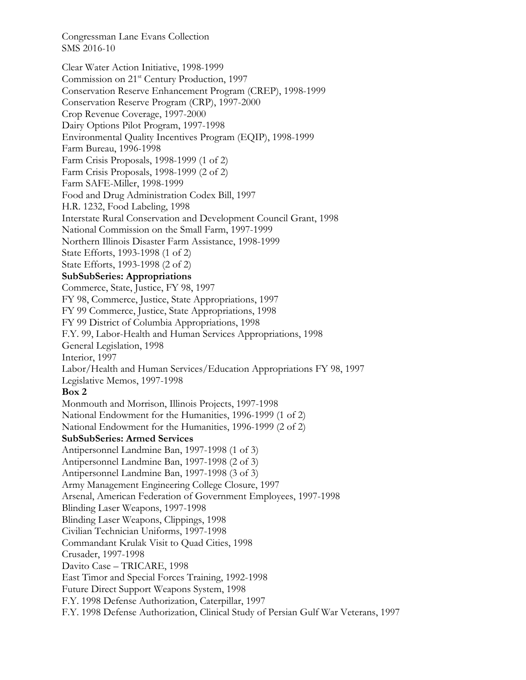Clear Water Action Initiative, 1998-1999 Commission on 21<sup>st</sup> Century Production, 1997 Conservation Reserve Enhancement Program (CREP), 1998-1999 Conservation Reserve Program (CRP), 1997-2000 Crop Revenue Coverage, 1997-2000 Dairy Options Pilot Program, 1997-1998 Environmental Quality Incentives Program (EQIP), 1998-1999 Farm Bureau, 1996-1998 Farm Crisis Proposals, 1998-1999 (1 of 2) Farm Crisis Proposals, 1998-1999 (2 of 2) Farm SAFE-Miller, 1998-1999 Food and Drug Administration Codex Bill, 1997 H.R. 1232, Food Labeling, 1998 Interstate Rural Conservation and Development Council Grant, 1998 National Commission on the Small Farm, 1997-1999 Northern Illinois Disaster Farm Assistance, 1998-1999 State Efforts, 1993-1998 (1 of 2) State Efforts, 1993-1998 (2 of 2) **SubSubSeries: Appropriations**  Commerce, State, Justice, FY 98, 1997 FY 98, Commerce, Justice, State Appropriations, 1997 FY 99 Commerce, Justice, State Appropriations, 1998 FY 99 District of Columbia Appropriations, 1998 F.Y. 99, Labor-Health and Human Services Appropriations, 1998 General Legislation, 1998 Interior, 1997 Labor/Health and Human Services/Education Appropriations FY 98, 1997 Legislative Memos, 1997-1998 **Box 2**  Monmouth and Morrison, Illinois Projects, 1997-1998 National Endowment for the Humanities, 1996-1999 (1 of 2) National Endowment for the Humanities, 1996-1999 (2 of 2) **SubSubSeries: Armed Services**  Antipersonnel Landmine Ban, 1997-1998 (1 of 3) Antipersonnel Landmine Ban, 1997-1998 (2 of 3) Antipersonnel Landmine Ban, 1997-1998 (3 of 3) Army Management Engineering College Closure, 1997 Arsenal, American Federation of Government Employees, 1997-1998 Blinding Laser Weapons, 1997-1998 Blinding Laser Weapons, Clippings, 1998 Civilian Technician Uniforms, 1997-1998 Commandant Krulak Visit to Quad Cities, 1998 Crusader, 1997-1998 Davito Case – TRICARE, 1998 East Timor and Special Forces Training, 1992-1998 Future Direct Support Weapons System, 1998 F.Y. 1998 Defense Authorization, Caterpillar, 1997 F.Y. 1998 Defense Authorization, Clinical Study of Persian Gulf War Veterans, 1997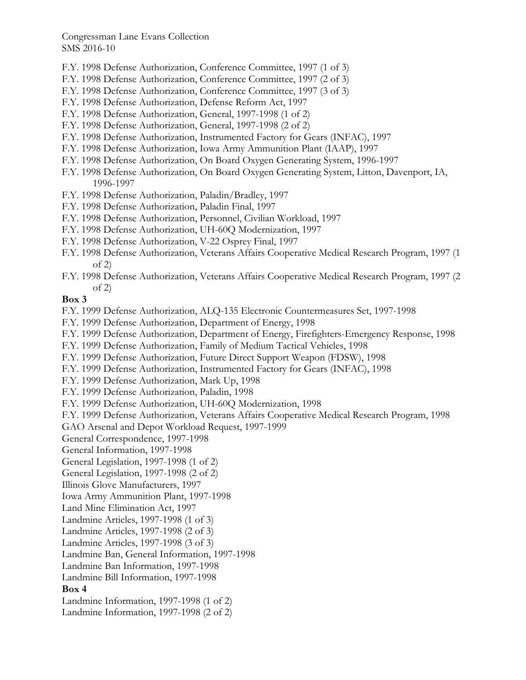- F.Y. 1998 Defense Authorization, Conference Committee, 1997 (1 of 3)
- F.Y. 1998 Defense Authorization, Conference Committee, 1997 (2 of 3)
- F.Y. 1998 Defense Authorization, Conference Committee, 1997 (3 of 3)
- F.Y. 1998 Defense Authorization, Defense Reform Act, 1997
- F.Y. 1998 Defense Authorization, General, 1997-1998 (1 of 2)
- F.Y. 1998 Defense Authorization, General, 1997-1998 (2 of 2)
- F.Y. 1998 Defense Authorization, Instrumented Factory for Gears (INFAC), 1997
- F.Y. 1998 Defense Authorization, Iowa Army Ammunition Plant (IAAP), 1997
- F.Y. 1998 Defense Authorization, On Board Oxygen Generating System, 1996-1997
- F.Y. 1998 Defense Authorization, On Board Oxygen Generating System, Litton, Davenport, IA, 1996-1997
- F.Y. 1998 Defense Authorization, Paladin/Bradley, 1997
- F.Y. 1998 Defense Authorization, Paladin Final, 1997
- F.Y. 1998 Defense Authorization, Personnel, Civilian Workload, 1997
- F.Y. 1998 Defense Authorization, UH-60Q Modernization, 1997
- F.Y. 1998 Defense Authorization, V-22 Osprey Final, 1997
- F.Y. 1998 Defense Authorization, Veterans Affairs Cooperative Medical Research Program, 1997 (1 of 2)
- F.Y. 1998 Defense Authorization, Veterans Affairs Cooperative Medical Research Program, 1997 (2 of 2)

#### **Box 3**

- F.Y. 1999 Defense Authorization, ALQ-135 Electronic Countermeasures Set, 1997-1998
- F.Y. 1999 Defense Authorization, Department of Energy, 1998
- F.Y. 1999 Defense Authorization, Department of Energy, Firefighters-Emergency Response, 1998
- F.Y. 1999 Defense Authorization, Family of Medium Tactical Vehicles, 1998
- F.Y. 1999 Defense Authorization, Future Direct Support Weapon (FDSW), 1998
- F.Y. 1999 Defense Authorization, Instrumented Factory for Gears (INFAC), 1998
- F.Y. 1999 Defense Authorization, Mark Up, 1998
- F.Y. 1999 Defense Authorization, Paladin, 1998
- F.Y. 1999 Defense Authorization, UH-60Q Modernization, 1998
- F.Y. 1999 Defense Authorization, Veterans Affairs Cooperative Medical Research Program, 1998
- GAO Arsenal and Depot Workload Request, 1997-1999
- General Correspondence, 1997-1998
- General Information, 1997-1998
- General Legislation, 1997-1998 (1 of 2)
- General Legislation, 1997-1998 (2 of 2)
- Illinois Glove Manufacturers, 1997
- Iowa Army Ammunition Plant, 1997-1998
- Land Mine Elimination Act, 1997
- Landmine Articles, 1997-1998 (1 of 3)
- Landmine Articles, 1997-1998 (2 of 3)
- Landmine Articles, 1997-1998 (3 of 3)
- Landmine Ban, General Information, 1997-1998
- Landmine Ban Information, 1997-1998
- Landmine Bill Information, 1997-1998

## **Box 4**

- Landmine Information, 1997-1998 (1 of 2)
- Landmine Information, 1997-1998 (2 of 2)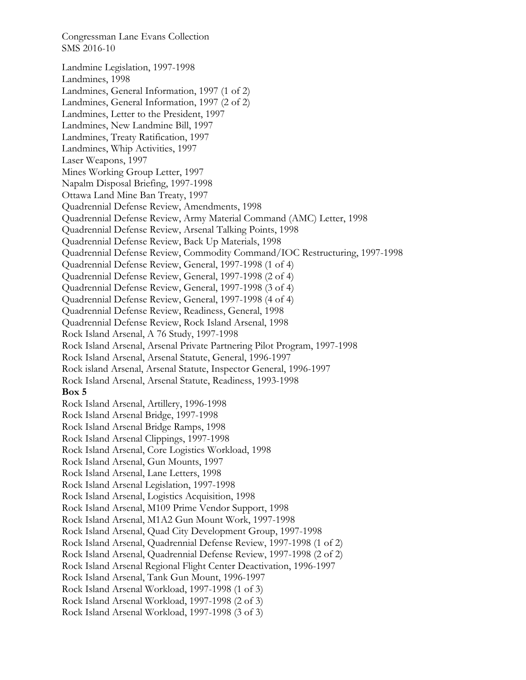Landmine Legislation, 1997-1998 Landmines, 1998 Landmines, General Information, 1997 (1 of 2) Landmines, General Information, 1997 (2 of 2) Landmines, Letter to the President, 1997 Landmines, New Landmine Bill, 1997 Landmines, Treaty Ratification, 1997 Landmines, Whip Activities, 1997 Laser Weapons, 1997 Mines Working Group Letter, 1997 Napalm Disposal Briefing, 1997-1998 Ottawa Land Mine Ban Treaty, 1997 Quadrennial Defense Review, Amendments, 1998 Quadrennial Defense Review, Army Material Command (AMC) Letter, 1998 Quadrennial Defense Review, Arsenal Talking Points, 1998 Quadrennial Defense Review, Back Up Materials, 1998 Quadrennial Defense Review, Commodity Command/IOC Restructuring, 1997-1998 Quadrennial Defense Review, General, 1997-1998 (1 of 4) Quadrennial Defense Review, General, 1997-1998 (2 of 4) Quadrennial Defense Review, General, 1997-1998 (3 of 4) Quadrennial Defense Review, General, 1997-1998 (4 of 4) Quadrennial Defense Review, Readiness, General, 1998 Quadrennial Defense Review, Rock Island Arsenal, 1998 Rock Island Arsenal, A 76 Study, 1997-1998 Rock Island Arsenal, Arsenal Private Partnering Pilot Program, 1997-1998 Rock Island Arsenal, Arsenal Statute, General, 1996-1997 Rock island Arsenal, Arsenal Statute, Inspector General, 1996-1997 Rock Island Arsenal, Arsenal Statute, Readiness, 1993-1998 **Box 5**  Rock Island Arsenal, Artillery, 1996-1998 Rock Island Arsenal Bridge, 1997-1998 Rock Island Arsenal Bridge Ramps, 1998 Rock Island Arsenal Clippings, 1997-1998 Rock Island Arsenal, Core Logistics Workload, 1998 Rock Island Arsenal, Gun Mounts, 1997 Rock Island Arsenal, Lane Letters, 1998 Rock Island Arsenal Legislation, 1997-1998 Rock Island Arsenal, Logistics Acquisition, 1998 Rock Island Arsenal, M109 Prime Vendor Support, 1998 Rock Island Arsenal, M1A2 Gun Mount Work, 1997-1998 Rock Island Arsenal, Quad City Development Group, 1997-1998 Rock Island Arsenal, Quadrennial Defense Review, 1997-1998 (1 of 2) Rock Island Arsenal, Quadrennial Defense Review, 1997-1998 (2 of 2) Rock Island Arsenal Regional Flight Center Deactivation, 1996-1997 Rock Island Arsenal, Tank Gun Mount, 1996-1997 Rock Island Arsenal Workload, 1997-1998 (1 of 3) Rock Island Arsenal Workload, 1997-1998 (2 of 3) Rock Island Arsenal Workload, 1997-1998 (3 of 3)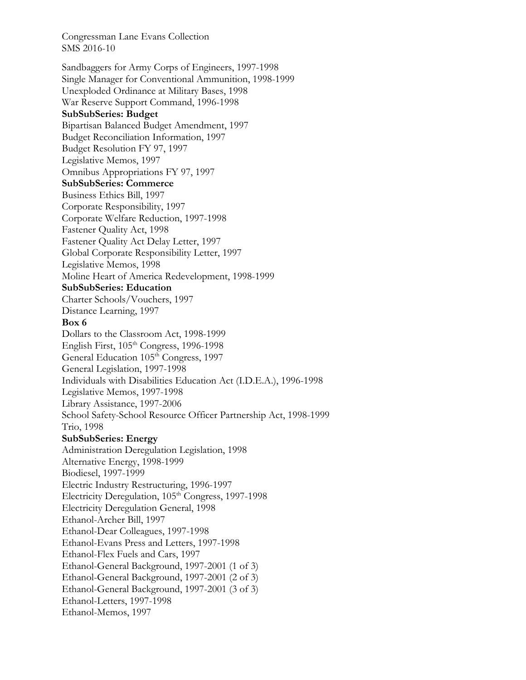Sandbaggers for Army Corps of Engineers, 1997-1998 Single Manager for Conventional Ammunition, 1998-1999 Unexploded Ordinance at Military Bases, 1998 War Reserve Support Command, 1996-1998 **SubSubSeries: Budget**  Bipartisan Balanced Budget Amendment, 1997 Budget Reconciliation Information, 1997 Budget Resolution FY 97, 1997 Legislative Memos, 1997 Omnibus Appropriations FY 97, 1997 **SubSubSeries: Commerce**  Business Ethics Bill, 1997 Corporate Responsibility, 1997 Corporate Welfare Reduction, 1997-1998 Fastener Quality Act, 1998 Fastener Quality Act Delay Letter, 1997 Global Corporate Responsibility Letter, 1997 Legislative Memos, 1998 Moline Heart of America Redevelopment, 1998-1999 **SubSubSeries: Education**  Charter Schools/Vouchers, 1997 Distance Learning, 1997 **Box 6**  Dollars to the Classroom Act, 1998-1999 English First, 105<sup>th</sup> Congress, 1996-1998 General Education 105<sup>th</sup> Congress, 1997 General Legislation, 1997-1998 Individuals with Disabilities Education Act (I.D.E.A.), 1996-1998 Legislative Memos, 1997-1998 Library Assistance, 1997-2006 School Safety-School Resource Officer Partnership Act, 1998-1999 Trio, 1998 **SubSubSeries: Energy**  Administration Deregulation Legislation, 1998 Alternative Energy, 1998-1999 Biodiesel, 1997-1999 Electric Industry Restructuring, 1996-1997 Electricity Deregulation,  $105<sup>th</sup> Congress, 1997-1998$ Electricity Deregulation General, 1998 Ethanol-Archer Bill, 1997 Ethanol-Dear Colleagues, 1997-1998 Ethanol-Evans Press and Letters, 1997-1998 Ethanol-Flex Fuels and Cars, 1997 Ethanol-General Background, 1997-2001 (1 of 3) Ethanol-General Background, 1997-2001 (2 of 3) Ethanol-General Background, 1997-2001 (3 of 3) Ethanol-Letters, 1997-1998 Ethanol-Memos, 1997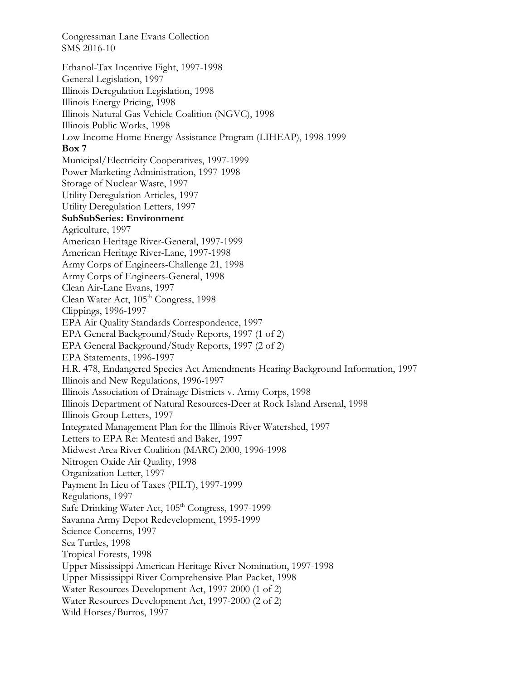Ethanol-Tax Incentive Fight, 1997-1998 General Legislation, 1997 Illinois Deregulation Legislation, 1998 Illinois Energy Pricing, 1998 Illinois Natural Gas Vehicle Coalition (NGVC), 1998 Illinois Public Works, 1998 Low Income Home Energy Assistance Program (LIHEAP), 1998-1999 **Box 7**  Municipal/Electricity Cooperatives, 1997-1999 Power Marketing Administration, 1997-1998 Storage of Nuclear Waste, 1997 Utility Deregulation Articles, 1997 Utility Deregulation Letters, 1997 **SubSubSeries: Environment**  Agriculture, 1997 American Heritage River-General, 1997-1999 American Heritage River-Lane, 1997-1998 Army Corps of Engineers-Challenge 21, 1998 Army Corps of Engineers-General, 1998 Clean Air-Lane Evans, 1997 Clean Water Act, 105<sup>th</sup> Congress, 1998 Clippings, 1996-1997 EPA Air Quality Standards Correspondence, 1997 EPA General Background/Study Reports, 1997 (1 of 2) EPA General Background/Study Reports, 1997 (2 of 2) EPA Statements, 1996-1997 H.R. 478, Endangered Species Act Amendments Hearing Background Information, 1997 Illinois and New Regulations, 1996-1997 Illinois Association of Drainage Districts v. Army Corps, 1998 Illinois Department of Natural Resources-Deer at Rock Island Arsenal, 1998 Illinois Group Letters, 1997 Integrated Management Plan for the Illinois River Watershed, 1997 Letters to EPA Re: Mentesti and Baker, 1997 Midwest Area River Coalition (MARC) 2000, 1996-1998 Nitrogen Oxide Air Quality, 1998 Organization Letter, 1997 Payment In Lieu of Taxes (PILT), 1997-1999 Regulations, 1997 Safe Drinking Water Act, 105<sup>th</sup> Congress, 1997-1999 Savanna Army Depot Redevelopment, 1995-1999 Science Concerns, 1997 Sea Turtles, 1998 Tropical Forests, 1998 Upper Mississippi American Heritage River Nomination, 1997-1998 Upper Mississippi River Comprehensive Plan Packet, 1998 Water Resources Development Act, 1997-2000 (1 of 2) Water Resources Development Act, 1997-2000 (2 of 2) Wild Horses/Burros, 1997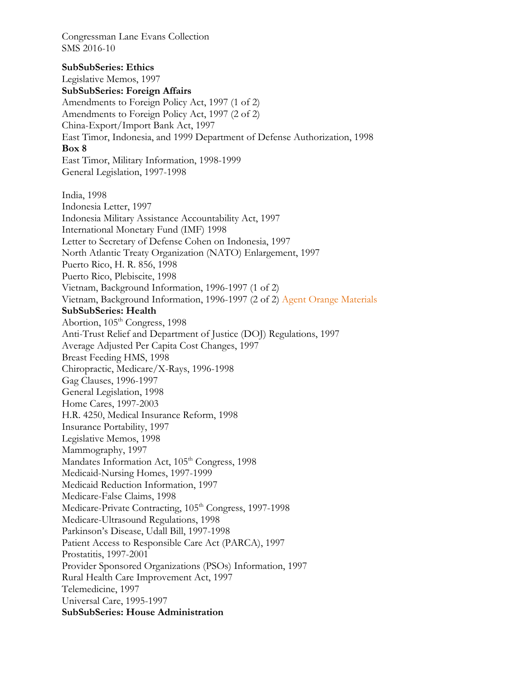**SubSubSeries: Ethics**  Legislative Memos, 1997 **SubSubSeries: Foreign Affairs**  Amendments to Foreign Policy Act, 1997 (1 of 2) Amendments to Foreign Policy Act, 1997 (2 of 2) China-Export/Import Bank Act, 1997 East Timor, Indonesia, and 1999 Department of Defense Authorization, 1998 **Box 8**  East Timor, Military Information, 1998-1999 General Legislation, 1997-1998 India, 1998 Indonesia Letter, 1997 Indonesia Military Assistance Accountability Act, 1997 International Monetary Fund (IMF) 1998 Letter to Secretary of Defense Cohen on Indonesia, 1997 North Atlantic Treaty Organization (NATO) Enlargement, 1997 Puerto Rico, H. R. 856, 1998 Puerto Rico, Plebiscite, 1998 Vietnam, Background Information, 1996-1997 (1 of 2) Vietnam, Background Information, 1996-1997 (2 of 2) Agent Orange Materials **SubSubSeries: Health**  Abortion, 105<sup>th</sup> Congress, 1998 Anti-Trust Relief and Department of Justice (DOJ) Regulations, 1997 Average Adjusted Per Capita Cost Changes, 1997 Breast Feeding HMS, 1998 Chiropractic, Medicare/X-Rays, 1996-1998 Gag Clauses, 1996-1997 General Legislation, 1998 Home Cares, 1997-2003 H.R. 4250, Medical Insurance Reform, 1998 Insurance Portability, 1997 Legislative Memos, 1998 Mammography, 1997 Mandates Information Act, 105<sup>th</sup> Congress, 1998 Medicaid-Nursing Homes, 1997-1999 Medicaid Reduction Information, 1997 Medicare-False Claims, 1998 Medicare-Private Contracting, 105<sup>th</sup> Congress, 1997-1998 Medicare-Ultrasound Regulations, 1998 Parkinson's Disease, Udall Bill, 1997-1998 Patient Access to Responsible Care Act (PARCA), 1997 Prostatitis, 1997-2001 Provider Sponsored Organizations (PSOs) Information, 1997 Rural Health Care Improvement Act, 1997 Telemedicine, 1997 Universal Care, 1995-1997 **SubSubSeries: House Administration**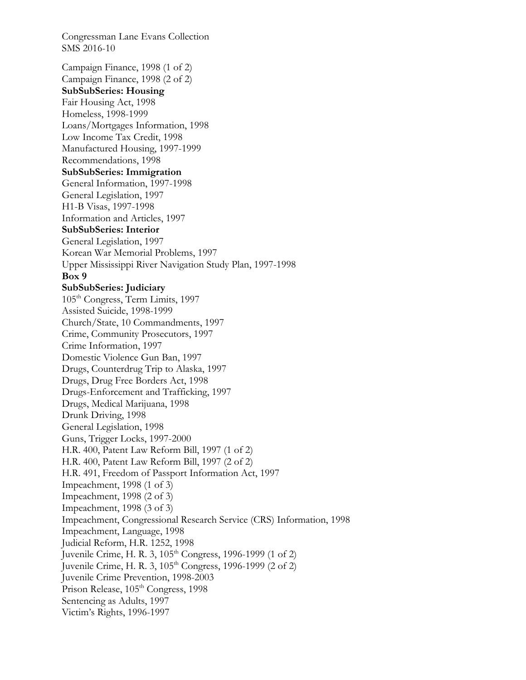Congressman Lane Evans Collection SMS 2016-10 Campaign Finance, 1998 (1 of 2) Campaign Finance, 1998 (2 of 2) **SubSubSeries: Housing**  Fair Housing Act, 1998 Homeless, 1998-1999 Loans/Mortgages Information, 1998 Low Income Tax Credit, 1998 Manufactured Housing, 1997-1999 Recommendations, 1998 **SubSubSeries: Immigration**  General Information, 1997-1998 General Legislation, 1997 H1-B Visas, 1997-1998 Information and Articles, 1997 **SubSubSeries: Interior**  General Legislation, 1997 Korean War Memorial Problems, 1997 Upper Mississippi River Navigation Study Plan, 1997-1998 **Box 9 SubSubSeries: Judiciary**  105<sup>th</sup> Congress, Term Limits, 1997 Assisted Suicide, 1998-1999 Church/State, 10 Commandments, 1997 Crime, Community Prosecutors, 1997 Crime Information, 1997 Domestic Violence Gun Ban, 1997 Drugs, Counterdrug Trip to Alaska, 1997 Drugs, Drug Free Borders Act, 1998 Drugs-Enforcement and Trafficking, 1997 Drugs, Medical Marijuana, 1998 Drunk Driving, 1998 General Legislation, 1998 Guns, Trigger Locks, 1997-2000 H.R. 400, Patent Law Reform Bill, 1997 (1 of 2) H.R. 400, Patent Law Reform Bill, 1997 (2 of 2) H.R. 491, Freedom of Passport Information Act, 1997 Impeachment, 1998 (1 of 3) Impeachment, 1998 (2 of 3) Impeachment, 1998 (3 of 3) Impeachment, Congressional Research Service (CRS) Information, 1998 Impeachment, Language, 1998 Judicial Reform, H.R. 1252, 1998 Juvenile Crime, H. R. 3, 105<sup>th</sup> Congress, 1996-1999 (1 of 2) Juvenile Crime, H. R. 3, 105<sup>th</sup> Congress, 1996-1999 (2 of 2) Juvenile Crime Prevention, 1998-2003 Prison Release, 105<sup>th</sup> Congress, 1998 Sentencing as Adults, 1997 Victim's Rights, 1996-1997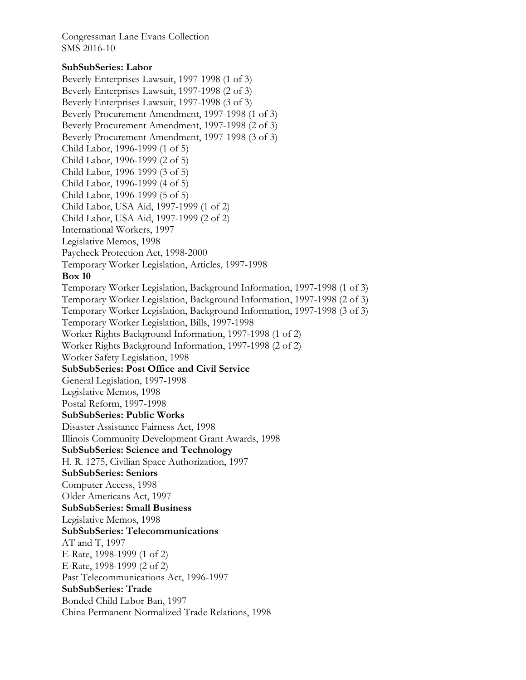## **SubSubSeries: Labor**

Beverly Enterprises Lawsuit, 1997-1998 (1 of 3) Beverly Enterprises Lawsuit, 1997-1998 (2 of 3) Beverly Enterprises Lawsuit, 1997-1998 (3 of 3) Beverly Procurement Amendment, 1997-1998 (1 of 3) Beverly Procurement Amendment, 1997-1998 (2 of 3) Beverly Procurement Amendment, 1997-1998 (3 of 3) Child Labor, 1996-1999 (1 of 5) Child Labor, 1996-1999 (2 of 5) Child Labor, 1996-1999 (3 of 5) Child Labor, 1996-1999 (4 of 5) Child Labor, 1996-1999 (5 of 5) Child Labor, USA Aid, 1997-1999 (1 of 2) Child Labor, USA Aid, 1997-1999 (2 of 2) International Workers, 1997 Legislative Memos, 1998 Paycheck Protection Act, 1998-2000 Temporary Worker Legislation, Articles, 1997-1998 **Box 10**  Temporary Worker Legislation, Background Information, 1997-1998 (1 of 3) Temporary Worker Legislation, Background Information, 1997-1998 (2 of 3) Temporary Worker Legislation, Background Information, 1997-1998 (3 of 3) Temporary Worker Legislation, Bills, 1997-1998 Worker Rights Background Information, 1997-1998 (1 of 2) Worker Rights Background Information, 1997-1998 (2 of 2) Worker Safety Legislation, 1998 **SubSubSeries: Post Office and Civil Service**  General Legislation, 1997-1998 Legislative Memos, 1998 Postal Reform, 1997-1998 **SubSubSeries: Public Works**  Disaster Assistance Fairness Act, 1998 Illinois Community Development Grant Awards, 1998 **SubSubSeries: Science and Technology**  H. R. 1275, Civilian Space Authorization, 1997 **SubSubSeries: Seniors**  Computer Access, 1998 Older Americans Act, 1997 **SubSubSeries: Small Business**  Legislative Memos, 1998 **SubSubSeries: Telecommunications**  AT and T, 1997 E-Rate, 1998-1999 (1 of 2) E-Rate, 1998-1999 (2 of 2) Past Telecommunications Act, 1996-1997 **SubSubSeries: Trade**  Bonded Child Labor Ban, 1997 China Permanent Normalized Trade Relations, 1998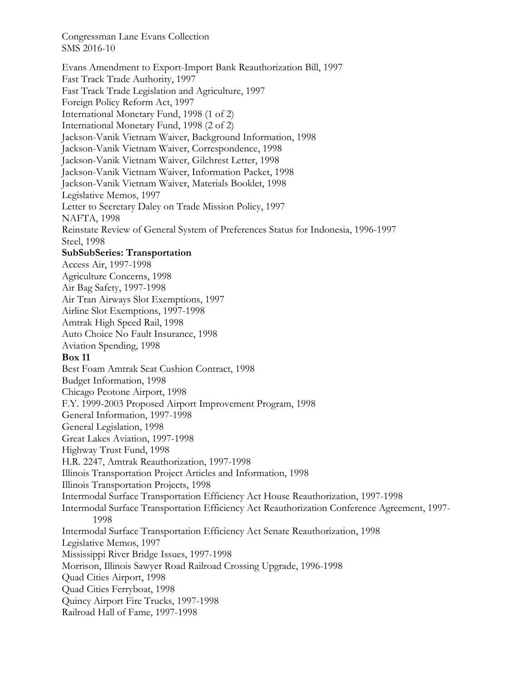Evans Amendment to Export-Import Bank Reauthorization Bill, 1997 Fast Track Trade Authority, 1997 Fast Track Trade Legislation and Agriculture, 1997 Foreign Policy Reform Act, 1997 International Monetary Fund, 1998 (1 of 2) International Monetary Fund, 1998 (2 of 2) Jackson-Vanik Vietnam Waiver, Background Information, 1998 Jackson-Vanik Vietnam Waiver, Correspondence, 1998 Jackson-Vanik Vietnam Waiver, Gilchrest Letter, 1998 Jackson-Vanik Vietnam Waiver, Information Packet, 1998 Jackson-Vanik Vietnam Waiver, Materials Booklet, 1998 Legislative Memos, 1997 Letter to Secretary Daley on Trade Mission Policy, 1997 NAFTA, 1998 Reinstate Review of General System of Preferences Status for Indonesia, 1996-1997 Steel, 1998 **SubSubSeries: Transportation**  Access Air, 1997-1998 Agriculture Concerns, 1998 Air Bag Safety, 1997-1998 Air Tran Airways Slot Exemptions, 1997 Airline Slot Exemptions, 1997-1998 Amtrak High Speed Rail, 1998 Auto Choice No Fault Insurance, 1998 Aviation Spending, 1998 **Box 11**  Best Foam Amtrak Seat Cushion Contract, 1998 Budget Information, 1998 Chicago Peotone Airport, 1998 F.Y. 1999-2003 Proposed Airport Improvement Program, 1998 General Information, 1997-1998 General Legislation, 1998 Great Lakes Aviation, 1997-1998 Highway Trust Fund, 1998 H.R. 2247, Amtrak Reauthorization, 1997-1998 Illinois Transportation Project Articles and Information, 1998 Illinois Transportation Projects, 1998 Intermodal Surface Transportation Efficiency Act House Reauthorization, 1997-1998 Intermodal Surface Transportation Efficiency Act Reauthorization Conference Agreement, 1997- 1998 Intermodal Surface Transportation Efficiency Act Senate Reauthorization, 1998 Legislative Memos, 1997 Mississippi River Bridge Issues, 1997-1998 Morrison, Illinois Sawyer Road Railroad Crossing Upgrade, 1996-1998 Quad Cities Airport, 1998 Quad Cities Ferryboat, 1998 Quincy Airport Fire Trucks, 1997-1998 Railroad Hall of Fame, 1997-1998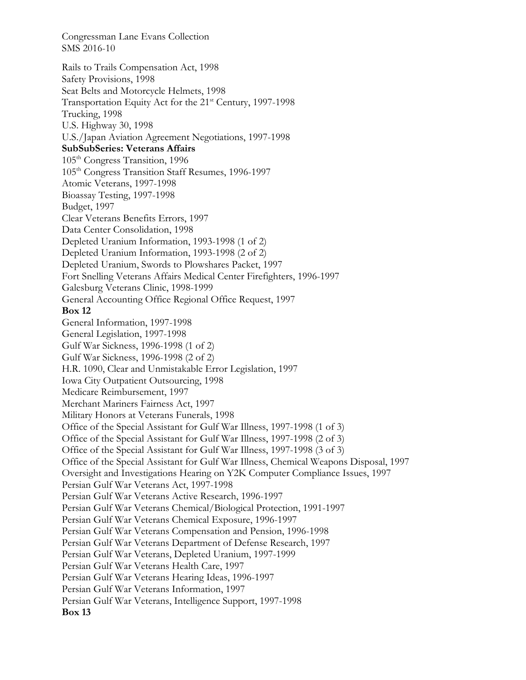Rails to Trails Compensation Act, 1998 Safety Provisions, 1998 Seat Belts and Motorcycle Helmets, 1998 Transportation Equity Act for the 21<sup>st</sup> Century, 1997-1998 Trucking, 1998 U.S. Highway 30, 1998 U.S./Japan Aviation Agreement Negotiations, 1997-1998 **SubSubSeries: Veterans Affairs**  105<sup>th</sup> Congress Transition, 1996 105<sup>th</sup> Congress Transition Staff Resumes, 1996-1997 Atomic Veterans, 1997-1998 Bioassay Testing, 1997-1998 Budget, 1997 Clear Veterans Benefits Errors, 1997 Data Center Consolidation, 1998 Depleted Uranium Information, 1993-1998 (1 of 2) Depleted Uranium Information, 1993-1998 (2 of 2) Depleted Uranium, Swords to Plowshares Packet, 1997 Fort Snelling Veterans Affairs Medical Center Firefighters, 1996-1997 Galesburg Veterans Clinic, 1998-1999 General Accounting Office Regional Office Request, 1997 **Box 12**  General Information, 1997-1998 General Legislation, 1997-1998 Gulf War Sickness, 1996-1998 (1 of 2) Gulf War Sickness, 1996-1998 (2 of 2) H.R. 1090, Clear and Unmistakable Error Legislation, 1997 Iowa City Outpatient Outsourcing, 1998 Medicare Reimbursement, 1997 Merchant Mariners Fairness Act, 1997 Military Honors at Veterans Funerals, 1998 Office of the Special Assistant for Gulf War Illness, 1997-1998 (1 of 3) Office of the Special Assistant for Gulf War Illness, 1997-1998 (2 of 3) Office of the Special Assistant for Gulf War Illness, 1997-1998 (3 of 3) Office of the Special Assistant for Gulf War Illness, Chemical Weapons Disposal, 1997 Oversight and Investigations Hearing on Y2K Computer Compliance Issues, 1997 Persian Gulf War Veterans Act, 1997-1998 Persian Gulf War Veterans Active Research, 1996-1997 Persian Gulf War Veterans Chemical/Biological Protection, 1991-1997 Persian Gulf War Veterans Chemical Exposure, 1996-1997 Persian Gulf War Veterans Compensation and Pension, 1996-1998 Persian Gulf War Veterans Department of Defense Research, 1997 Persian Gulf War Veterans, Depleted Uranium, 1997-1999 Persian Gulf War Veterans Health Care, 1997 Persian Gulf War Veterans Hearing Ideas, 1996-1997 Persian Gulf War Veterans Information, 1997 Persian Gulf War Veterans, Intelligence Support, 1997-1998 **Box 13**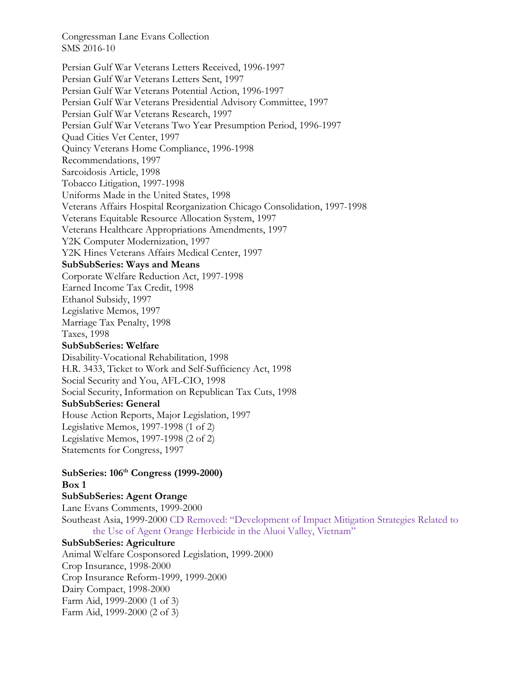Persian Gulf War Veterans Letters Received, 1996-1997 Persian Gulf War Veterans Letters Sent, 1997 Persian Gulf War Veterans Potential Action, 1996-1997 Persian Gulf War Veterans Presidential Advisory Committee, 1997 Persian Gulf War Veterans Research, 1997 Persian Gulf War Veterans Two Year Presumption Period, 1996-1997 Quad Cities Vet Center, 1997 Quincy Veterans Home Compliance, 1996-1998 Recommendations, 1997 Sarcoidosis Article, 1998 Tobacco Litigation, 1997-1998 Uniforms Made in the United States, 1998 Veterans Affairs Hospital Reorganization Chicago Consolidation, 1997-1998 Veterans Equitable Resource Allocation System, 1997 Veterans Healthcare Appropriations Amendments, 1997 Y2K Computer Modernization, 1997 Y2K Hines Veterans Affairs Medical Center, 1997 **SubSubSeries: Ways and Means**  Corporate Welfare Reduction Act, 1997-1998 Earned Income Tax Credit, 1998 Ethanol Subsidy, 1997 Legislative Memos, 1997 Marriage Tax Penalty, 1998 Taxes, 1998 **SubSubSeries: Welfare**  Disability-Vocational Rehabilitation, 1998 H.R. 3433, Ticket to Work and Self-Sufficiency Act, 1998 Social Security and You, AFL-CIO, 1998 Social Security, Information on Republican Tax Cuts, 1998 **SubSubSeries: General**  House Action Reports, Major Legislation, 1997 Legislative Memos, 1997-1998 (1 of 2) Legislative Memos, 1997-1998 (2 of 2) Statements for Congress, 1997

**SubSeries: 106th Congress (1999-2000) Box 1** 

## **SubSubSeries: Agent Orange**

Lane Evans Comments, 1999-2000 Southeast Asia, 1999-2000 CD Removed: "Development of Impact Mitigation Strategies Related to the Use of Agent Orange Herbicide in the Aluoi Valley, Vietnam"

# **SubSubSeries: Agriculture**

Animal Welfare Cosponsored Legislation, 1999-2000 Crop Insurance, 1998-2000 Crop Insurance Reform-1999, 1999-2000 Dairy Compact, 1998-2000 Farm Aid, 1999-2000 (1 of 3) Farm Aid, 1999-2000 (2 of 3)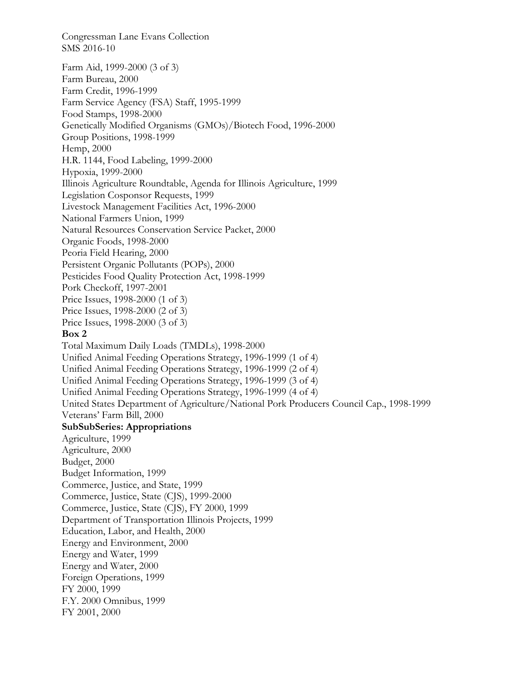Farm Aid, 1999-2000 (3 of 3) Farm Bureau, 2000 Farm Credit, 1996-1999 Farm Service Agency (FSA) Staff, 1995-1999 Food Stamps, 1998-2000 Genetically Modified Organisms (GMOs)/Biotech Food, 1996-2000 Group Positions, 1998-1999 Hemp, 2000 H.R. 1144, Food Labeling, 1999-2000 Hypoxia, 1999-2000 Illinois Agriculture Roundtable, Agenda for Illinois Agriculture, 1999 Legislation Cosponsor Requests, 1999 Livestock Management Facilities Act, 1996-2000 National Farmers Union, 1999 Natural Resources Conservation Service Packet, 2000 Organic Foods, 1998-2000 Peoria Field Hearing, 2000 Persistent Organic Pollutants (POPs), 2000 Pesticides Food Quality Protection Act, 1998-1999 Pork Checkoff, 1997-2001 Price Issues, 1998-2000 (1 of 3) Price Issues, 1998-2000 (2 of 3) Price Issues, 1998-2000 (3 of 3) **Box 2**  Total Maximum Daily Loads (TMDLs), 1998-2000 Unified Animal Feeding Operations Strategy, 1996-1999 (1 of 4) Unified Animal Feeding Operations Strategy, 1996-1999 (2 of 4) Unified Animal Feeding Operations Strategy, 1996-1999 (3 of 4) Unified Animal Feeding Operations Strategy, 1996-1999 (4 of 4) United States Department of Agriculture/National Pork Producers Council Cap., 1998-1999 Veterans' Farm Bill, 2000 **SubSubSeries: Appropriations**  Agriculture, 1999 Agriculture, 2000 Budget, 2000 Budget Information, 1999 Commerce, Justice, and State, 1999 Commerce, Justice, State (CJS), 1999-2000 Commerce, Justice, State (CJS), FY 2000, 1999 Department of Transportation Illinois Projects, 1999 Education, Labor, and Health, 2000 Energy and Environment, 2000 Energy and Water, 1999 Energy and Water, 2000 Foreign Operations, 1999 FY 2000, 1999 F.Y. 2000 Omnibus, 1999 FY 2001, 2000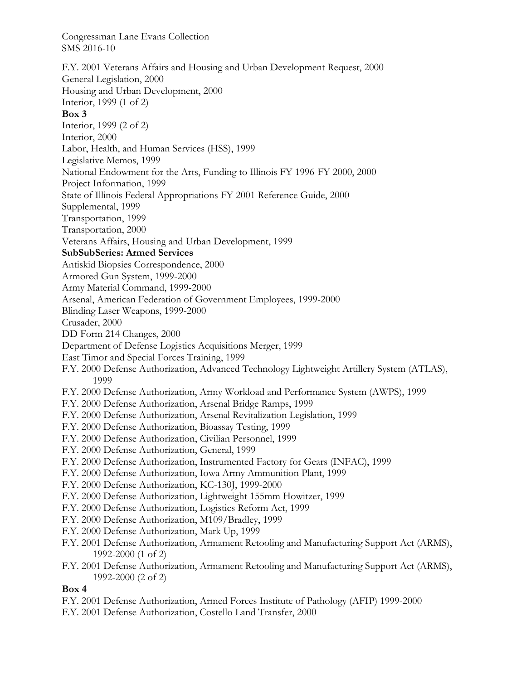F.Y. 2001 Veterans Affairs and Housing and Urban Development Request, 2000 General Legislation, 2000 Housing and Urban Development, 2000 Interior, 1999 (1 of 2) **Box 3**  Interior, 1999 (2 of 2) Interior, 2000 Labor, Health, and Human Services (HSS), 1999 Legislative Memos, 1999 National Endowment for the Arts, Funding to Illinois FY 1996-FY 2000, 2000 Project Information, 1999 State of Illinois Federal Appropriations FY 2001 Reference Guide, 2000 Supplemental, 1999 Transportation, 1999 Transportation, 2000 Veterans Affairs, Housing and Urban Development, 1999 **SubSubSeries: Armed Services**  Antiskid Biopsies Correspondence, 2000 Armored Gun System, 1999-2000 Army Material Command, 1999-2000 Arsenal, American Federation of Government Employees, 1999-2000 Blinding Laser Weapons, 1999-2000 Crusader, 2000 DD Form 214 Changes, 2000 Department of Defense Logistics Acquisitions Merger, 1999 East Timor and Special Forces Training, 1999 F.Y. 2000 Defense Authorization, Advanced Technology Lightweight Artillery System (ATLAS), 1999 F.Y. 2000 Defense Authorization, Army Workload and Performance System (AWPS), 1999 F.Y. 2000 Defense Authorization, Arsenal Bridge Ramps, 1999 F.Y. 2000 Defense Authorization, Arsenal Revitalization Legislation, 1999 F.Y. 2000 Defense Authorization, Bioassay Testing, 1999 F.Y. 2000 Defense Authorization, Civilian Personnel, 1999 F.Y. 2000 Defense Authorization, General, 1999 F.Y. 2000 Defense Authorization, Instrumented Factory for Gears (INFAC), 1999 F.Y. 2000 Defense Authorization, Iowa Army Ammunition Plant, 1999 F.Y. 2000 Defense Authorization, KC-130J, 1999-2000 F.Y. 2000 Defense Authorization, Lightweight 155mm Howitzer, 1999 F.Y. 2000 Defense Authorization, Logistics Reform Act, 1999 F.Y. 2000 Defense Authorization, M109/Bradley, 1999 F.Y. 2000 Defense Authorization, Mark Up, 1999 F.Y. 2001 Defense Authorization, Armament Retooling and Manufacturing Support Act (ARMS), 1992-2000 (1 of 2) F.Y. 2001 Defense Authorization, Armament Retooling and Manufacturing Support Act (ARMS), 1992-2000 (2 of 2) **Box 4** 

## F.Y. 2001 Defense Authorization, Armed Forces Institute of Pathology (AFIP) 1999-2000

F.Y. 2001 Defense Authorization, Costello Land Transfer, 2000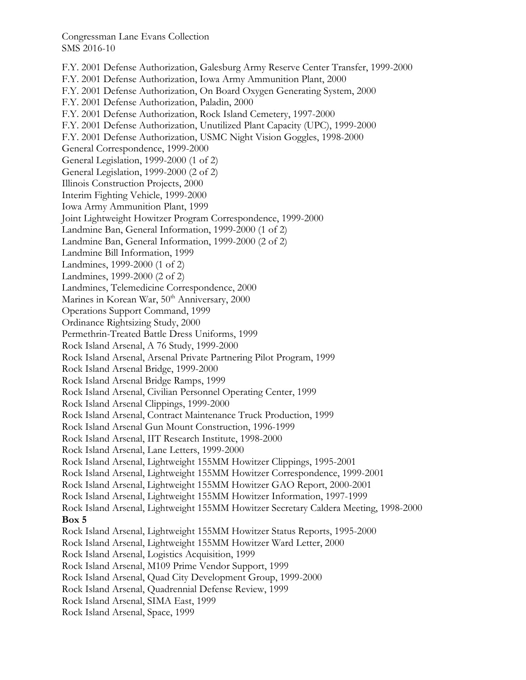F.Y. 2001 Defense Authorization, Galesburg Army Reserve Center Transfer, 1999-2000 F.Y. 2001 Defense Authorization, Iowa Army Ammunition Plant, 2000 F.Y. 2001 Defense Authorization, On Board Oxygen Generating System, 2000 F.Y. 2001 Defense Authorization, Paladin, 2000 F.Y. 2001 Defense Authorization, Rock Island Cemetery, 1997-2000 F.Y. 2001 Defense Authorization, Unutilized Plant Capacity (UPC), 1999-2000 F.Y. 2001 Defense Authorization, USMC Night Vision Goggles, 1998-2000 General Correspondence, 1999-2000 General Legislation, 1999-2000 (1 of 2) General Legislation, 1999-2000 (2 of 2) Illinois Construction Projects, 2000 Interim Fighting Vehicle, 1999-2000 Iowa Army Ammunition Plant, 1999 Joint Lightweight Howitzer Program Correspondence, 1999-2000 Landmine Ban, General Information, 1999-2000 (1 of 2) Landmine Ban, General Information, 1999-2000 (2 of 2) Landmine Bill Information, 1999 Landmines, 1999-2000 (1 of 2) Landmines, 1999-2000 (2 of 2) Landmines, Telemedicine Correspondence, 2000 Marines in Korean War, 50<sup>th</sup> Anniversary, 2000 Operations Support Command, 1999 Ordinance Rightsizing Study, 2000 Permethrin-Treated Battle Dress Uniforms, 1999 Rock Island Arsenal, A 76 Study, 1999-2000 Rock Island Arsenal, Arsenal Private Partnering Pilot Program, 1999 Rock Island Arsenal Bridge, 1999-2000 Rock Island Arsenal Bridge Ramps, 1999 Rock Island Arsenal, Civilian Personnel Operating Center, 1999 Rock Island Arsenal Clippings, 1999-2000 Rock Island Arsenal, Contract Maintenance Truck Production, 1999 Rock Island Arsenal Gun Mount Construction, 1996-1999 Rock Island Arsenal, IIT Research Institute, 1998-2000 Rock Island Arsenal, Lane Letters, 1999-2000 Rock Island Arsenal, Lightweight 155MM Howitzer Clippings, 1995-2001 Rock Island Arsenal, Lightweight 155MM Howitzer Correspondence, 1999-2001 Rock Island Arsenal, Lightweight 155MM Howitzer GAO Report, 2000-2001 Rock Island Arsenal, Lightweight 155MM Howitzer Information, 1997-1999 Rock Island Arsenal, Lightweight 155MM Howitzer Secretary Caldera Meeting, 1998-2000 **Box 5**  Rock Island Arsenal, Lightweight 155MM Howitzer Status Reports, 1995-2000 Rock Island Arsenal, Lightweight 155MM Howitzer Ward Letter, 2000 Rock Island Arsenal, Logistics Acquisition, 1999 Rock Island Arsenal, M109 Prime Vendor Support, 1999 Rock Island Arsenal, Quad City Development Group, 1999-2000 Rock Island Arsenal, Quadrennial Defense Review, 1999 Rock Island Arsenal, SIMA East, 1999 Rock Island Arsenal, Space, 1999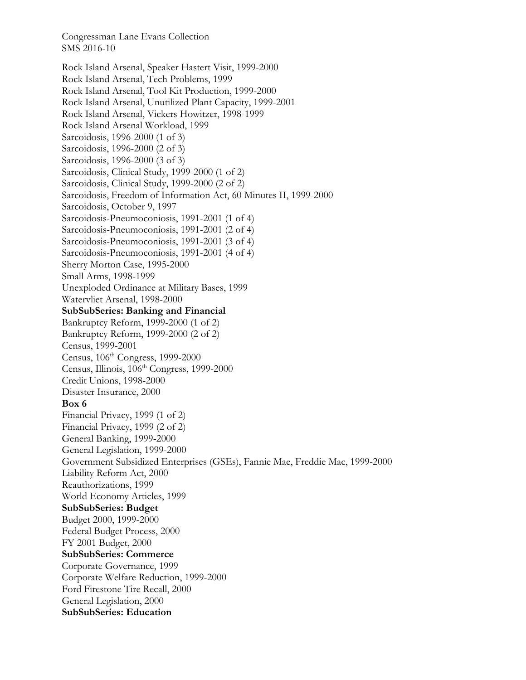Rock Island Arsenal, Speaker Hastert Visit, 1999-2000 Rock Island Arsenal, Tech Problems, 1999 Rock Island Arsenal, Tool Kit Production, 1999-2000 Rock Island Arsenal, Unutilized Plant Capacity, 1999-2001 Rock Island Arsenal, Vickers Howitzer, 1998-1999 Rock Island Arsenal Workload, 1999 Sarcoidosis, 1996-2000 (1 of 3) Sarcoidosis, 1996-2000 (2 of 3) Sarcoidosis, 1996-2000 (3 of 3) Sarcoidosis, Clinical Study, 1999-2000 (1 of 2) Sarcoidosis, Clinical Study, 1999-2000 (2 of 2) Sarcoidosis, Freedom of Information Act, 60 Minutes II, 1999-2000 Sarcoidosis, October 9, 1997 Sarcoidosis-Pneumoconiosis, 1991-2001 (1 of 4) Sarcoidosis-Pneumoconiosis, 1991-2001 (2 of 4) Sarcoidosis-Pneumoconiosis, 1991-2001 (3 of 4) Sarcoidosis-Pneumoconiosis, 1991-2001 (4 of 4) Sherry Morton Case, 1995-2000 Small Arms, 1998-1999 Unexploded Ordinance at Military Bases, 1999 Watervliet Arsenal, 1998-2000 **SubSubSeries: Banking and Financial**  Bankruptcy Reform, 1999-2000 (1 of 2) Bankruptcy Reform, 1999-2000 (2 of 2) Census, 1999-2001 Census, 106th Congress, 1999-2000 Census, Illinois,  $106<sup>th</sup> Congress, 1999-2000$ Credit Unions, 1998-2000 Disaster Insurance, 2000 **Box 6**  Financial Privacy, 1999 (1 of 2) Financial Privacy, 1999 (2 of 2) General Banking, 1999-2000 General Legislation, 1999-2000 Government Subsidized Enterprises (GSEs), Fannie Mae, Freddie Mac, 1999-2000 Liability Reform Act, 2000 Reauthorizations, 1999 World Economy Articles, 1999 **SubSubSeries: Budget**  Budget 2000, 1999-2000 Federal Budget Process, 2000 FY 2001 Budget, 2000 **SubSubSeries: Commerce**  Corporate Governance, 1999 Corporate Welfare Reduction, 1999-2000 Ford Firestone Tire Recall, 2000 General Legislation, 2000 **SubSubSeries: Education**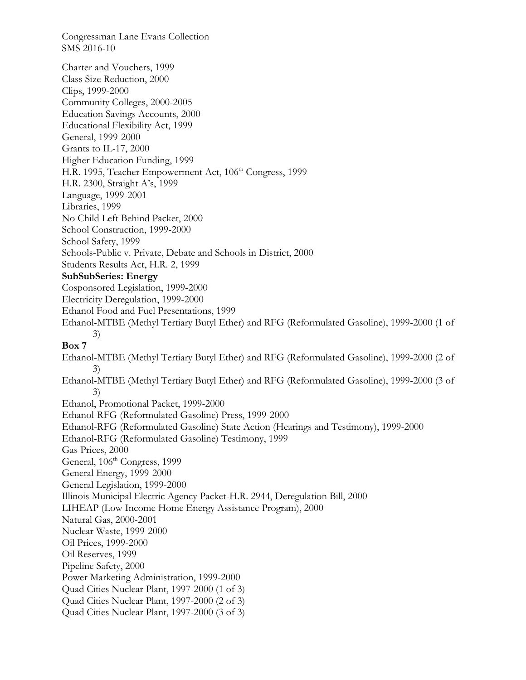Congressman Lane Evans Collection SMS 2016-10 Charter and Vouchers, 1999 Class Size Reduction, 2000 Clips, 1999-2000 Community Colleges, 2000-2005 Education Savings Accounts, 2000 Educational Flexibility Act, 1999 General, 1999-2000 Grants to IL-17, 2000 Higher Education Funding, 1999 H.R. 1995, Teacher Empowerment Act, 106<sup>th</sup> Congress, 1999 H.R. 2300, Straight A's, 1999 Language, 1999-2001 Libraries, 1999 No Child Left Behind Packet, 2000 School Construction, 1999-2000 School Safety, 1999 Schools-Public v. Private, Debate and Schools in District, 2000 Students Results Act, H.R. 2, 1999 **SubSubSeries: Energy**  Cosponsored Legislation, 1999-2000 Electricity Deregulation, 1999-2000 Ethanol Food and Fuel Presentations, 1999 Ethanol-MTBE (Methyl Tertiary Butyl Ether) and RFG (Reformulated Gasoline), 1999-2000 (1 of 3) **Box 7**  Ethanol-MTBE (Methyl Tertiary Butyl Ether) and RFG (Reformulated Gasoline), 1999-2000 (2 of 3) Ethanol-MTBE (Methyl Tertiary Butyl Ether) and RFG (Reformulated Gasoline), 1999-2000 (3 of 3) Ethanol, Promotional Packet, 1999-2000 Ethanol-RFG (Reformulated Gasoline) Press, 1999-2000 Ethanol-RFG (Reformulated Gasoline) State Action (Hearings and Testimony), 1999-2000 Ethanol-RFG (Reformulated Gasoline) Testimony, 1999 Gas Prices, 2000 General, 106<sup>th</sup> Congress, 1999 General Energy, 1999-2000 General Legislation, 1999-2000 Illinois Municipal Electric Agency Packet-H.R. 2944, Deregulation Bill, 2000 LIHEAP (Low Income Home Energy Assistance Program), 2000 Natural Gas, 2000-2001 Nuclear Waste, 1999-2000 Oil Prices, 1999-2000 Oil Reserves, 1999 Pipeline Safety, 2000 Power Marketing Administration, 1999-2000 Quad Cities Nuclear Plant, 1997-2000 (1 of 3) Quad Cities Nuclear Plant, 1997-2000 (2 of 3) Quad Cities Nuclear Plant, 1997-2000 (3 of 3)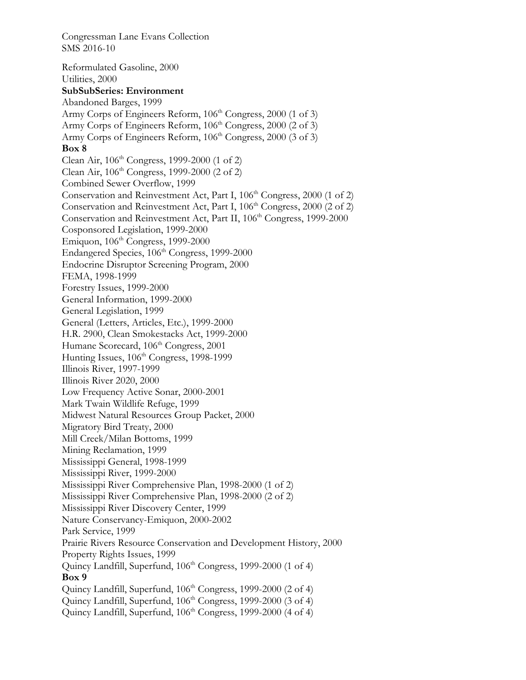Reformulated Gasoline, 2000 Utilities, 2000 **SubSubSeries: Environment**  Abandoned Barges, 1999 Army Corps of Engineers Reform, 106<sup>th</sup> Congress, 2000 (1 of 3) Army Corps of Engineers Reform,  $106<sup>th</sup> Congress, 2000$  (2 of 3) Army Corps of Engineers Reform, 106<sup>th</sup> Congress, 2000 (3 of 3) **Box 8**  Clean Air,  $106^{th}$  Congress, 1999-2000 (1 of 2) Clean Air,  $106^{th}$  Congress, 1999-2000 (2 of 2) Combined Sewer Overflow, 1999 Conservation and Reinvestment Act, Part I, 106<sup>th</sup> Congress, 2000 (1 of 2) Conservation and Reinvestment Act, Part I,  $106<sup>th</sup> Congress, 2000$  (2 of 2) Conservation and Reinvestment Act, Part II, 106<sup>th</sup> Congress, 1999-2000 Cosponsored Legislation, 1999-2000 Emiquon, 106th Congress, 1999-2000 Endangered Species, 106<sup>th</sup> Congress, 1999-2000 Endocrine Disruptor Screening Program, 2000 FEMA, 1998-1999 Forestry Issues, 1999-2000 General Information, 1999-2000 General Legislation, 1999 General (Letters, Articles, Etc.), 1999-2000 H.R. 2900, Clean Smokestacks Act, 1999-2000 Humane Scorecard, 106<sup>th</sup> Congress, 2001 Hunting Issues,  $106<sup>th</sup> Congress, 1998-1999$ Illinois River, 1997-1999 Illinois River 2020, 2000 Low Frequency Active Sonar, 2000-2001 Mark Twain Wildlife Refuge, 1999 Midwest Natural Resources Group Packet, 2000 Migratory Bird Treaty, 2000 Mill Creek/Milan Bottoms, 1999 Mining Reclamation, 1999 Mississippi General, 1998-1999 Mississippi River, 1999-2000 Mississippi River Comprehensive Plan, 1998-2000 (1 of 2) Mississippi River Comprehensive Plan, 1998-2000 (2 of 2) Mississippi River Discovery Center, 1999 Nature Conservancy-Emiquon, 2000-2002 Park Service, 1999 Prairie Rivers Resource Conservation and Development History, 2000 Property Rights Issues, 1999 Quincy Landfill, Superfund, 106<sup>th</sup> Congress, 1999-2000 (1 of 4) **Box 9**  Quincy Landfill, Superfund,  $106<sup>th</sup> Congress$ , 1999-2000 (2 of 4) Quincy Landfill, Superfund,  $106<sup>th</sup> Congress, 1999-2000 (3 of 4)$ Quincy Landfill, Superfund, 106<sup>th</sup> Congress, 1999-2000 (4 of 4)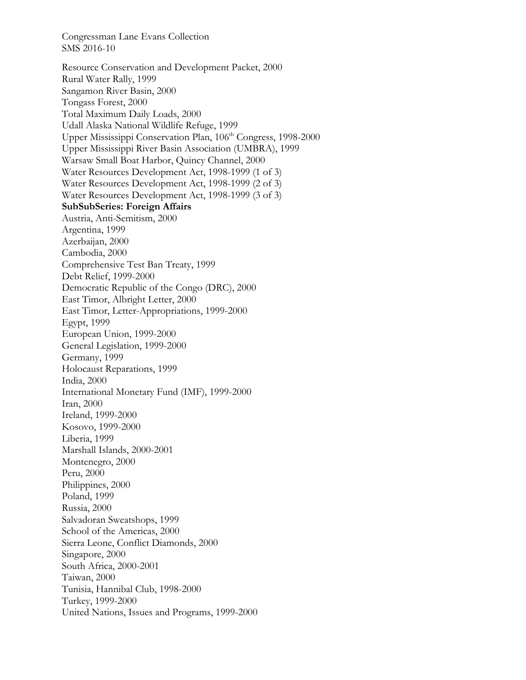Resource Conservation and Development Packet, 2000 Rural Water Rally, 1999 Sangamon River Basin, 2000 Tongass Forest, 2000 Total Maximum Daily Loads, 2000 Udall Alaska National Wildlife Refuge, 1999 Upper Mississippi Conservation Plan, 106<sup>th</sup> Congress, 1998-2000 Upper Mississippi River Basin Association (UMBRA), 1999 Warsaw Small Boat Harbor, Quincy Channel, 2000 Water Resources Development Act, 1998-1999 (1 of 3) Water Resources Development Act, 1998-1999 (2 of 3) Water Resources Development Act, 1998-1999 (3 of 3) **SubSubSeries: Foreign Affairs**  Austria, Anti-Semitism, 2000 Argentina, 1999 Azerbaijan, 2000 Cambodia, 2000 Comprehensive Test Ban Treaty, 1999 Debt Relief, 1999-2000 Democratic Republic of the Congo (DRC), 2000 East Timor, Albright Letter, 2000 East Timor, Letter-Appropriations, 1999-2000 Egypt, 1999 European Union, 1999-2000 General Legislation, 1999-2000 Germany, 1999 Holocaust Reparations, 1999 India, 2000 International Monetary Fund (IMF), 1999-2000 Iran, 2000 Ireland, 1999-2000 Kosovo, 1999-2000 Liberia, 1999 Marshall Islands, 2000-2001 Montenegro, 2000 Peru, 2000 Philippines, 2000 Poland, 1999 Russia, 2000 Salvadoran Sweatshops, 1999 School of the Americas, 2000 Sierra Leone, Conflict Diamonds, 2000 Singapore, 2000 South Africa, 2000-2001 Taiwan, 2000 Tunisia, Hannibal Club, 1998-2000 Turkey, 1999-2000 United Nations, Issues and Programs, 1999-2000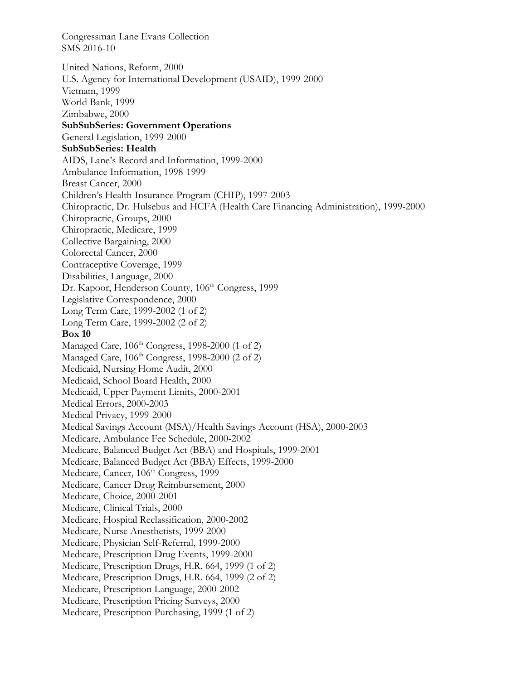Congressman Lane Evans Collection SMS 2016-10 United Nations, Reform, 2000 U.S. Agency for International Development (USAID), 1999-2000 Vietnam, 1999 World Bank, 1999 Zimbabwe, 2000 **SubSubSeries: Government Operations**  General Legislation, 1999-2000 **SubSubSeries: Health**  AIDS, Lane's Record and Information, 1999-2000 Ambulance Information, 1998-1999 Breast Cancer, 2000 Children's Health Insurance Program (CHIP), 1997-2003 Chiropractic, Dr. Hulsebus and HCFA (Health Care Financing Administration), 1999-2000 Chiropractic, Groups, 2000 Chiropractic, Medicare, 1999 Collective Bargaining, 2000 Colorectal Cancer, 2000 Contraceptive Coverage, 1999 Disabilities, Language, 2000 Dr. Kapoor, Henderson County, 106<sup>th</sup> Congress, 1999 Legislative Correspondence, 2000 Long Term Care, 1999-2002 (1 of 2) Long Term Care, 1999-2002 (2 of 2) **Box 10**  Managed Care, 106<sup>th</sup> Congress, 1998-2000 (1 of 2) Managed Care,  $106<sup>th</sup> Congress, 1998-2000 (2 of 2)$ Medicaid, Nursing Home Audit, 2000 Medicaid, School Board Health, 2000 Medicaid, Upper Payment Limits, 2000-2001 Medical Errors, 2000-2003 Medical Privacy, 1999-2000 Medical Savings Account (MSA)/Health Savings Account (HSA), 2000-2003 Medicare, Ambulance Fee Schedule, 2000-2002 Medicare, Balanced Budget Act (BBA) and Hospitals, 1999-2001 Medicare, Balanced Budget Act (BBA) Effects, 1999-2000 Medicare, Cancer, 106<sup>th</sup> Congress, 1999 Medicare, Cancer Drug Reimbursement, 2000 Medicare, Choice, 2000-2001 Medicare, Clinical Trials, 2000 Medicare, Hospital Reclassification, 2000-2002 Medicare, Nurse Anesthetists, 1999-2000 Medicare, Physician Self-Referral, 1999-2000 Medicare, Prescription Drug Events, 1999-2000 Medicare, Prescription Drugs, H.R. 664, 1999 (1 of 2) Medicare, Prescription Drugs, H.R. 664, 1999 (2 of 2) Medicare, Prescription Language, 2000-2002 Medicare, Prescription Pricing Surveys, 2000 Medicare, Prescription Purchasing, 1999 (1 of 2)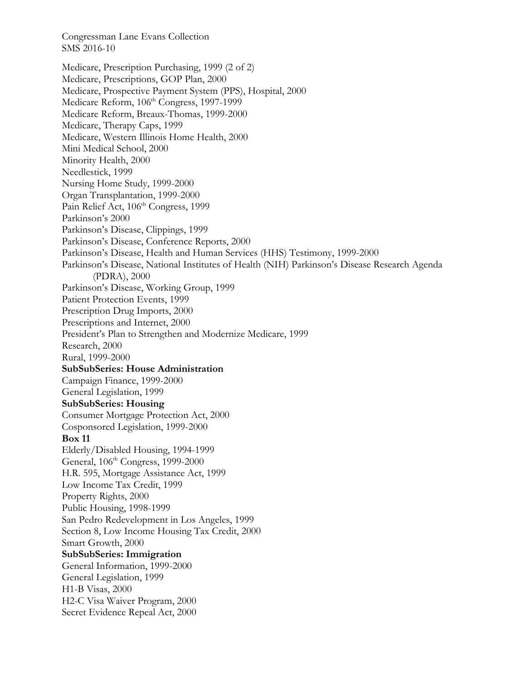Medicare, Prescription Purchasing, 1999 (2 of 2) Medicare, Prescriptions, GOP Plan, 2000 Medicare, Prospective Payment System (PPS), Hospital, 2000 Medicare Reform, 106<sup>th</sup> Congress, 1997-1999 Medicare Reform, Breaux-Thomas, 1999-2000 Medicare, Therapy Caps, 1999 Medicare, Western Illinois Home Health, 2000 Mini Medical School, 2000 Minority Health, 2000 Needlestick, 1999 Nursing Home Study, 1999-2000 Organ Transplantation, 1999-2000 Pain Relief Act, 106<sup>th</sup> Congress, 1999 Parkinson's 2000 Parkinson's Disease, Clippings, 1999 Parkinson's Disease, Conference Reports, 2000 Parkinson's Disease, Health and Human Services (HHS) Testimony, 1999-2000 Parkinson's Disease, National Institutes of Health (NIH) Parkinson's Disease Research Agenda (PDRA), 2000 Parkinson's Disease, Working Group, 1999 Patient Protection Events, 1999 Prescription Drug Imports, 2000 Prescriptions and Internet, 2000 President's Plan to Strengthen and Modernize Medicare, 1999 Research, 2000 Rural, 1999-2000 **SubSubSeries: House Administration**  Campaign Finance, 1999-2000 General Legislation, 1999 **SubSubSeries: Housing**  Consumer Mortgage Protection Act, 2000 Cosponsored Legislation, 1999-2000 **Box 11**  Elderly/Disabled Housing, 1994-1999 General, 106<sup>th</sup> Congress, 1999-2000 H.R. 595, Mortgage Assistance Act, 1999 Low Income Tax Credit, 1999 Property Rights, 2000 Public Housing, 1998-1999 San Pedro Redevelopment in Los Angeles, 1999 Section 8, Low Income Housing Tax Credit, 2000 Smart Growth, 2000 **SubSubSeries: Immigration**  General Information, 1999-2000 General Legislation, 1999 H1-B Visas, 2000 H2-C Visa Waiver Program, 2000 Secret Evidence Repeal Act, 2000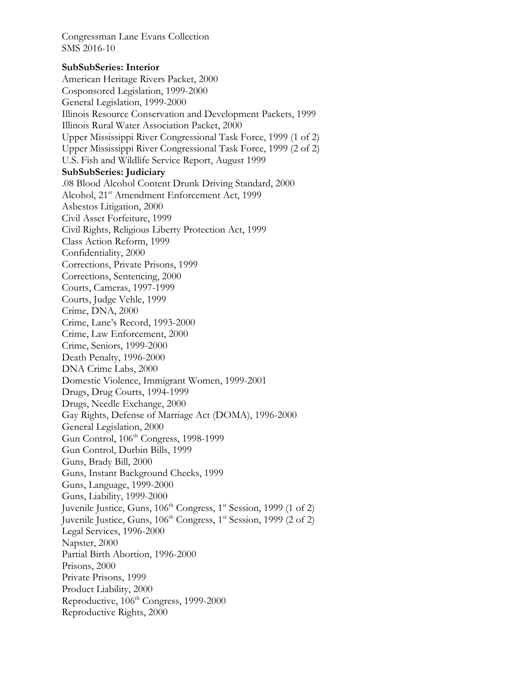## **SubSubSeries: Interior**

American Heritage Rivers Packet, 2000 Cosponsored Legislation, 1999-2000 General Legislation, 1999-2000 Illinois Resource Conservation and Development Packets, 1999 Illinois Rural Water Association Packet, 2000 Upper Mississippi River Congressional Task Force, 1999 (1 of 2) Upper Mississippi River Congressional Task Force, 1999 (2 of 2) U.S. Fish and Wildlife Service Report, August 1999 **SubSubSeries: Judiciary**  .08 Blood Alcohol Content Drunk Driving Standard, 2000 Alcohol, 21<sup>st</sup> Amendment Enforcement Act, 1999 Asbestos Litigation, 2000 Civil Asset Forfeiture, 1999 Civil Rights, Religious Liberty Protection Act, 1999 Class Action Reform, 1999 Confidentiality, 2000 Corrections, Private Prisons, 1999 Corrections, Sentencing, 2000 Courts, Cameras, 1997-1999 Courts, Judge Vehle, 1999 Crime, DNA, 2000 Crime, Lane's Record, 1993-2000 Crime, Law Enforcement, 2000 Crime, Seniors, 1999-2000 Death Penalty, 1996-2000 DNA Crime Labs, 2000 Domestic Violence, Immigrant Women, 1999-2001 Drugs, Drug Courts, 1994-1999 Drugs, Needle Exchange, 2000 Gay Rights, Defense of Marriage Act (DOMA), 1996-2000 General Legislation, 2000 Gun Control, 106<sup>th</sup> Congress, 1998-1999 Gun Control, Durbin Bills, 1999 Guns, Brady Bill, 2000 Guns, Instant Background Checks, 1999 Guns, Language, 1999-2000 Guns, Liability, 1999-2000 Juvenile Justice, Guns, 106<sup>th</sup> Congress, 1<sup>st</sup> Session, 1999 (1 of 2) Juvenile Justice, Guns,  $106<sup>th</sup> Congress, 1<sup>st</sup> Session, 1999 (2 of 2)$ Legal Services, 1996-2000 Napster, 2000 Partial Birth Abortion, 1996-2000 Prisons, 2000 Private Prisons, 1999 Product Liability, 2000 Reproductive,  $106^{\text{th}}$  Congress, 1999-2000 Reproductive Rights, 2000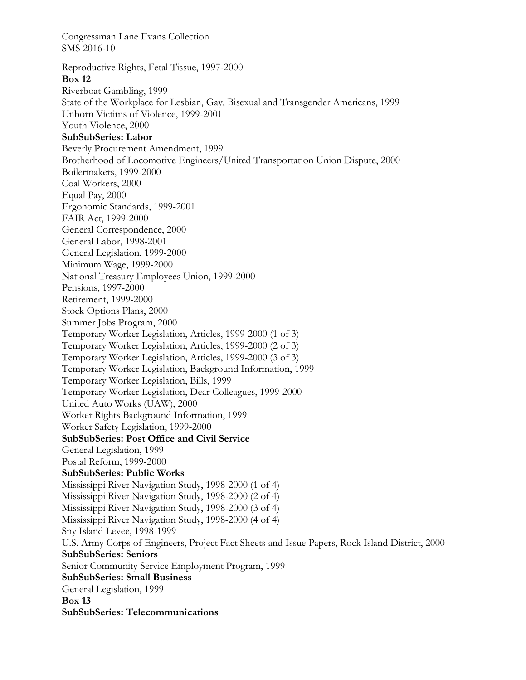Congressman Lane Evans Collection SMS 2016-10 Reproductive Rights, Fetal Tissue, 1997-2000 **Box 12**  Riverboat Gambling, 1999 State of the Workplace for Lesbian, Gay, Bisexual and Transgender Americans, 1999 Unborn Victims of Violence, 1999-2001 Youth Violence, 2000 **SubSubSeries: Labor**  Beverly Procurement Amendment, 1999 Brotherhood of Locomotive Engineers/United Transportation Union Dispute, 2000 Boilermakers, 1999-2000 Coal Workers, 2000 Equal Pay, 2000 Ergonomic Standards, 1999-2001 FAIR Act, 1999-2000 General Correspondence, 2000 General Labor, 1998-2001 General Legislation, 1999-2000 Minimum Wage, 1999-2000 National Treasury Employees Union, 1999-2000 Pensions, 1997-2000 Retirement, 1999-2000 Stock Options Plans, 2000 Summer Jobs Program, 2000 Temporary Worker Legislation, Articles, 1999-2000 (1 of 3) Temporary Worker Legislation, Articles, 1999-2000 (2 of 3) Temporary Worker Legislation, Articles, 1999-2000 (3 of 3) Temporary Worker Legislation, Background Information, 1999 Temporary Worker Legislation, Bills, 1999 Temporary Worker Legislation, Dear Colleagues, 1999-2000 United Auto Works (UAW), 2000 Worker Rights Background Information, 1999 Worker Safety Legislation, 1999-2000 **SubSubSeries: Post Office and Civil Service**  General Legislation, 1999 Postal Reform, 1999-2000 **SubSubSeries: Public Works**  Mississippi River Navigation Study, 1998-2000 (1 of 4) Mississippi River Navigation Study, 1998-2000 (2 of 4) Mississippi River Navigation Study, 1998-2000 (3 of 4) Mississippi River Navigation Study, 1998-2000 (4 of 4) Sny Island Levee, 1998-1999 U.S. Army Corps of Engineers, Project Fact Sheets and Issue Papers, Rock Island District, 2000 **SubSubSeries: Seniors**  Senior Community Service Employment Program, 1999 **SubSubSeries: Small Business**  General Legislation, 1999 **Box 13 SubSubSeries: Telecommunications**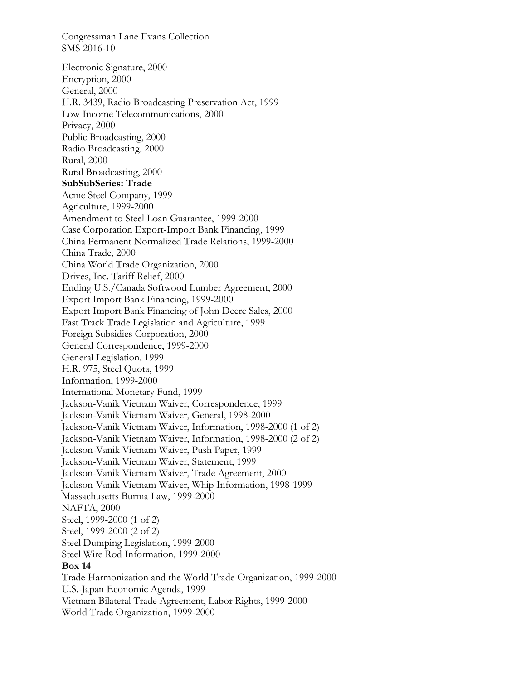Congressman Lane Evans Collection SMS 2016-10 Electronic Signature, 2000 Encryption, 2000 General, 2000 H.R. 3439, Radio Broadcasting Preservation Act, 1999 Low Income Telecommunications, 2000 Privacy, 2000 Public Broadcasting, 2000 Radio Broadcasting, 2000 Rural, 2000 Rural Broadcasting, 2000 **SubSubSeries: Trade**  Acme Steel Company, 1999 Agriculture, 1999-2000 Amendment to Steel Loan Guarantee, 1999-2000 Case Corporation Export-Import Bank Financing, 1999 China Permanent Normalized Trade Relations, 1999-2000 China Trade, 2000 China World Trade Organization, 2000 Drives, Inc. Tariff Relief, 2000 Ending U.S./Canada Softwood Lumber Agreement, 2000 Export Import Bank Financing, 1999-2000 Export Import Bank Financing of John Deere Sales, 2000 Fast Track Trade Legislation and Agriculture, 1999 Foreign Subsidies Corporation, 2000 General Correspondence, 1999-2000 General Legislation, 1999 H.R. 975, Steel Quota, 1999 Information, 1999-2000 International Monetary Fund, 1999 Jackson-Vanik Vietnam Waiver, Correspondence, 1999 Jackson-Vanik Vietnam Waiver, General, 1998-2000 Jackson-Vanik Vietnam Waiver, Information, 1998-2000 (1 of 2) Jackson-Vanik Vietnam Waiver, Information, 1998-2000 (2 of 2) Jackson-Vanik Vietnam Waiver, Push Paper, 1999 Jackson-Vanik Vietnam Waiver, Statement, 1999 Jackson-Vanik Vietnam Waiver, Trade Agreement, 2000 Jackson-Vanik Vietnam Waiver, Whip Information, 1998-1999 Massachusetts Burma Law, 1999-2000 NAFTA, 2000 Steel, 1999-2000 (1 of 2) Steel, 1999-2000 (2 of 2) Steel Dumping Legislation, 1999-2000 Steel Wire Rod Information, 1999-2000 **Box 14**  Trade Harmonization and the World Trade Organization, 1999-2000 U.S.-Japan Economic Agenda, 1999 Vietnam Bilateral Trade Agreement, Labor Rights, 1999-2000 World Trade Organization, 1999-2000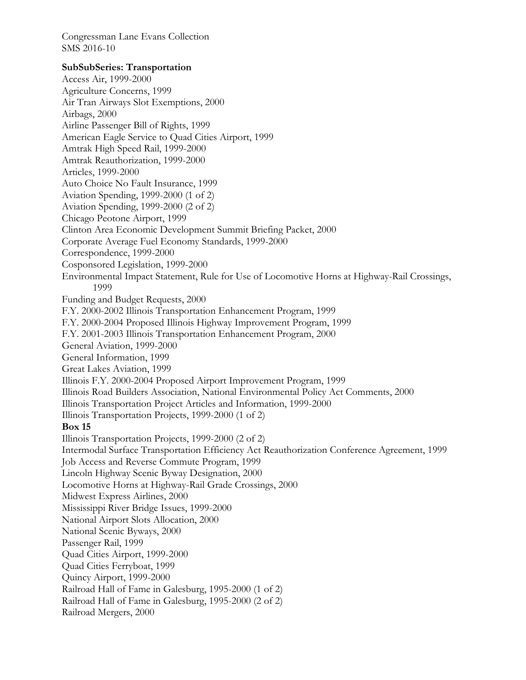## **SubSubSeries: Transportation**

Access Air, 1999-2000 Agriculture Concerns, 1999 Air Tran Airways Slot Exemptions, 2000 Airbags, 2000 Airline Passenger Bill of Rights, 1999 American Eagle Service to Quad Cities Airport, 1999 Amtrak High Speed Rail, 1999-2000 Amtrak Reauthorization, 1999-2000 Articles, 1999-2000 Auto Choice No Fault Insurance, 1999 Aviation Spending, 1999-2000 (1 of 2) Aviation Spending, 1999-2000 (2 of 2) Chicago Peotone Airport, 1999 Clinton Area Economic Development Summit Briefing Packet, 2000 Corporate Average Fuel Economy Standards, 1999-2000 Correspondence, 1999-2000 Cosponsored Legislation, 1999-2000 Environmental Impact Statement, Rule for Use of Locomotive Horns at Highway-Rail Crossings, 1999 Funding and Budget Requests, 2000 F.Y. 2000-2002 Illinois Transportation Enhancement Program, 1999 F.Y. 2000-2004 Proposed Illinois Highway Improvement Program, 1999 F.Y. 2001-2003 Illinois Transportation Enhancement Program, 2000 General Aviation, 1999-2000 General Information, 1999 Great Lakes Aviation, 1999 Illinois F.Y. 2000-2004 Proposed Airport Improvement Program, 1999 Illinois Road Builders Association, National Environmental Policy Act Comments, 2000 Illinois Transportation Project Articles and Information, 1999-2000 Illinois Transportation Projects, 1999-2000 (1 of 2) **Box 15**  Illinois Transportation Projects, 1999-2000 (2 of 2) Intermodal Surface Transportation Efficiency Act Reauthorization Conference Agreement, 1999 Job Access and Reverse Commute Program, 1999 Lincoln Highway Scenic Byway Designation, 2000 Locomotive Horns at Highway-Rail Grade Crossings, 2000 Midwest Express Airlines, 2000 Mississippi River Bridge Issues, 1999-2000 National Airport Slots Allocation, 2000 National Scenic Byways, 2000 Passenger Rail, 1999 Quad Cities Airport, 1999-2000 Quad Cities Ferryboat, 1999 Quincy Airport, 1999-2000 Railroad Hall of Fame in Galesburg, 1995-2000 (1 of 2) Railroad Hall of Fame in Galesburg, 1995-2000 (2 of 2) Railroad Mergers, 2000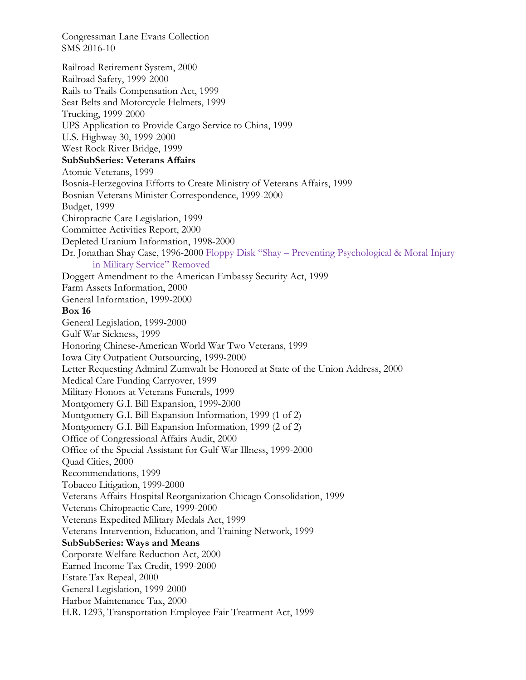Railroad Retirement System, 2000 Railroad Safety, 1999-2000 Rails to Trails Compensation Act, 1999 Seat Belts and Motorcycle Helmets, 1999 Trucking, 1999-2000 UPS Application to Provide Cargo Service to China, 1999 U.S. Highway 30, 1999-2000 West Rock River Bridge, 1999 **SubSubSeries: Veterans Affairs**  Atomic Veterans, 1999 Bosnia-Herzegovina Efforts to Create Ministry of Veterans Affairs, 1999 Bosnian Veterans Minister Correspondence, 1999-2000 Budget, 1999 Chiropractic Care Legislation, 1999 Committee Activities Report, 2000 Depleted Uranium Information, 1998-2000 Dr. Jonathan Shay Case, 1996-2000 Floppy Disk "Shay – Preventing Psychological & Moral Injury in Military Service" Removed Doggett Amendment to the American Embassy Security Act, 1999 Farm Assets Information, 2000 General Information, 1999-2000 **Box 16**  General Legislation, 1999-2000 Gulf War Sickness, 1999 Honoring Chinese-American World War Two Veterans, 1999 Iowa City Outpatient Outsourcing, 1999-2000 Letter Requesting Admiral Zumwalt be Honored at State of the Union Address, 2000 Medical Care Funding Carryover, 1999 Military Honors at Veterans Funerals, 1999 Montgomery G.I. Bill Expansion, 1999-2000 Montgomery G.I. Bill Expansion Information, 1999 (1 of 2) Montgomery G.I. Bill Expansion Information, 1999 (2 of 2) Office of Congressional Affairs Audit, 2000 Office of the Special Assistant for Gulf War Illness, 1999-2000 Quad Cities, 2000 Recommendations, 1999 Tobacco Litigation, 1999-2000 Veterans Affairs Hospital Reorganization Chicago Consolidation, 1999 Veterans Chiropractic Care, 1999-2000 Veterans Expedited Military Medals Act, 1999 Veterans Intervention, Education, and Training Network, 1999 **SubSubSeries: Ways and Means**  Corporate Welfare Reduction Act, 2000 Earned Income Tax Credit, 1999-2000 Estate Tax Repeal, 2000 General Legislation, 1999-2000 Harbor Maintenance Tax, 2000 H.R. 1293, Transportation Employee Fair Treatment Act, 1999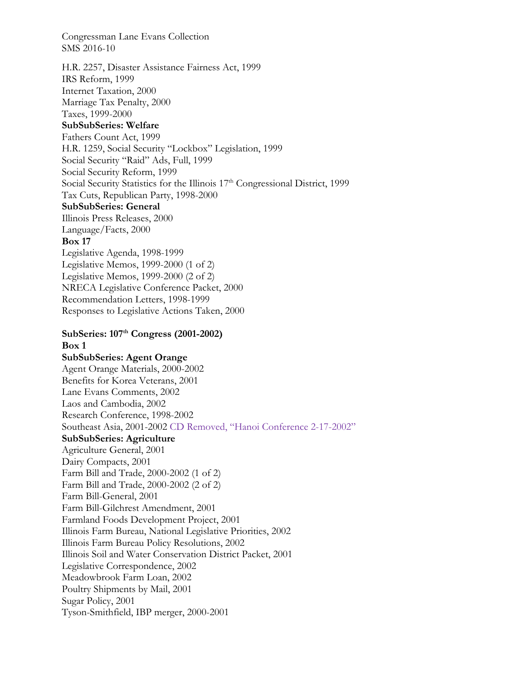H.R. 2257, Disaster Assistance Fairness Act, 1999 IRS Reform, 1999 Internet Taxation, 2000 Marriage Tax Penalty, 2000 Taxes, 1999-2000 **SubSubSeries: Welfare**  Fathers Count Act, 1999 H.R. 1259, Social Security "Lockbox" Legislation, 1999 Social Security "Raid" Ads, Full, 1999 Social Security Reform, 1999 Social Security Statistics for the Illinois 17<sup>th</sup> Congressional District, 1999 Tax Cuts, Republican Party, 1998-2000 **SubSubSeries: General**  Illinois Press Releases, 2000 Language/Facts, 2000 **Box 17**  Legislative Agenda, 1998-1999 Legislative Memos, 1999-2000 (1 of 2) Legislative Memos, 1999-2000 (2 of 2) NRECA Legislative Conference Packet, 2000 Recommendation Letters, 1998-1999 Responses to Legislative Actions Taken, 2000 **SubSeries: 107th Congress (2001-2002) Box 1 SubSubSeries: Agent Orange**  Agent Orange Materials, 2000-2002 Benefits for Korea Veterans, 2001 Lane Evans Comments, 2002 Laos and Cambodia, 2002 Research Conference, 1998-2002 Southeast Asia, 2001-2002 CD Removed, "Hanoi Conference 2-17-2002" **SubSubSeries: Agriculture** 

Agriculture General, 2001 Dairy Compacts, 2001 Farm Bill and Trade, 2000-2002 (1 of 2) Farm Bill and Trade, 2000-2002 (2 of 2) Farm Bill-General, 2001 Farm Bill-Gilchrest Amendment, 2001 Farmland Foods Development Project, 2001 Illinois Farm Bureau, National Legislative Priorities, 2002 Illinois Farm Bureau Policy Resolutions, 2002 Illinois Soil and Water Conservation District Packet, 2001 Legislative Correspondence, 2002 Meadowbrook Farm Loan, 2002 Poultry Shipments by Mail, 2001 Sugar Policy, 2001 Tyson-Smithfield, IBP merger, 2000-2001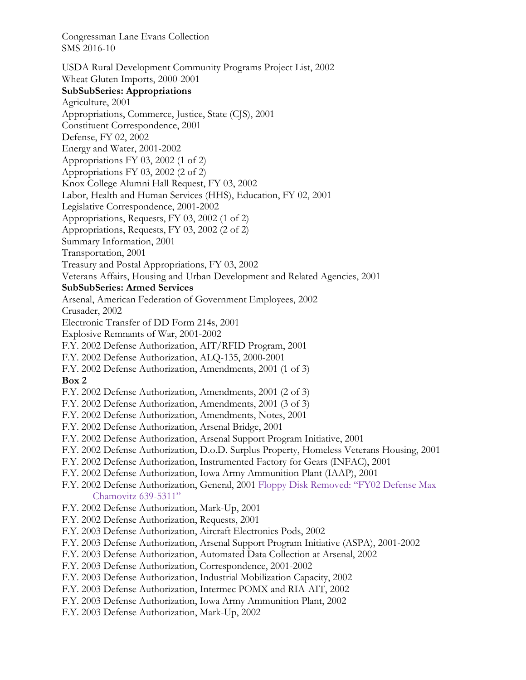USDA Rural Development Community Programs Project List, 2002 Wheat Gluten Imports, 2000-2001 **SubSubSeries: Appropriations**  Agriculture, 2001 Appropriations, Commerce, Justice, State (CJS), 2001 Constituent Correspondence, 2001 Defense, FY 02, 2002 Energy and Water, 2001-2002 Appropriations FY 03, 2002 (1 of 2) Appropriations FY 03, 2002 (2 of 2) Knox College Alumni Hall Request, FY 03, 2002 Labor, Health and Human Services (HHS), Education, FY 02, 2001 Legislative Correspondence, 2001-2002 Appropriations, Requests, FY 03, 2002 (1 of 2) Appropriations, Requests, FY 03, 2002 (2 of 2) Summary Information, 2001 Transportation, 2001 Treasury and Postal Appropriations, FY 03, 2002 Veterans Affairs, Housing and Urban Development and Related Agencies, 2001 **SubSubSeries: Armed Services**  Arsenal, American Federation of Government Employees, 2002 Crusader, 2002 Electronic Transfer of DD Form 214s, 2001 Explosive Remnants of War, 2001-2002 F.Y. 2002 Defense Authorization, AIT/RFID Program, 2001 F.Y. 2002 Defense Authorization, ALQ-135, 2000-2001 F.Y. 2002 Defense Authorization, Amendments, 2001 (1 of 3) **Box 2**  F.Y. 2002 Defense Authorization, Amendments, 2001 (2 of 3) F.Y. 2002 Defense Authorization, Amendments, 2001 (3 of 3) F.Y. 2002 Defense Authorization, Amendments, Notes, 2001 F.Y. 2002 Defense Authorization, Arsenal Bridge, 2001 F.Y. 2002 Defense Authorization, Arsenal Support Program Initiative, 2001 F.Y. 2002 Defense Authorization, D.o.D. Surplus Property, Homeless Veterans Housing, 2001 F.Y. 2002 Defense Authorization, Instrumented Factory for Gears (INFAC), 2001 F.Y. 2002 Defense Authorization, Iowa Army Ammunition Plant (IAAP), 2001 F.Y. 2002 Defense Authorization, General, 2001 Floppy Disk Removed: "FY02 Defense Max Chamovitz 639-5311" F.Y. 2002 Defense Authorization, Mark-Up, 2001 F.Y. 2002 Defense Authorization, Requests, 2001 F.Y. 2003 Defense Authorization, Aircraft Electronics Pods, 2002 F.Y. 2003 Defense Authorization, Arsenal Support Program Initiative (ASPA), 2001-2002 F.Y. 2003 Defense Authorization, Automated Data Collection at Arsenal, 2002 F.Y. 2003 Defense Authorization, Correspondence, 2001-2002 F.Y. 2003 Defense Authorization, Industrial Mobilization Capacity, 2002 F.Y. 2003 Defense Authorization, Intermec POMX and RIA-AIT, 2002 F.Y. 2003 Defense Authorization, Iowa Army Ammunition Plant, 2002 F.Y. 2003 Defense Authorization, Mark-Up, 2002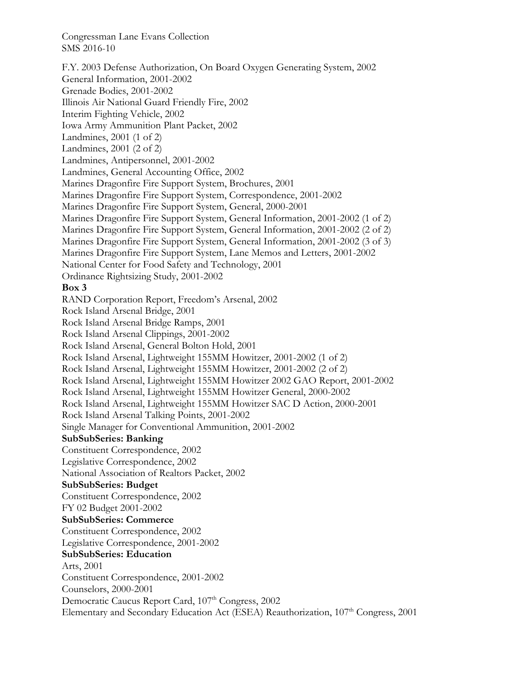F.Y. 2003 Defense Authorization, On Board Oxygen Generating System, 2002 General Information, 2001-2002 Grenade Bodies, 2001-2002 Illinois Air National Guard Friendly Fire, 2002 Interim Fighting Vehicle, 2002 Iowa Army Ammunition Plant Packet, 2002 Landmines, 2001 (1 of 2) Landmines, 2001 (2 of 2) Landmines, Antipersonnel, 2001-2002 Landmines, General Accounting Office, 2002 Marines Dragonfire Fire Support System, Brochures, 2001 Marines Dragonfire Fire Support System, Correspondence, 2001-2002 Marines Dragonfire Fire Support System, General, 2000-2001 Marines Dragonfire Fire Support System, General Information, 2001-2002 (1 of 2) Marines Dragonfire Fire Support System, General Information, 2001-2002 (2 of 2) Marines Dragonfire Fire Support System, General Information, 2001-2002 (3 of 3) Marines Dragonfire Fire Support System, Lane Memos and Letters, 2001-2002 National Center for Food Safety and Technology, 2001 Ordinance Rightsizing Study, 2001-2002 **Box 3**  RAND Corporation Report, Freedom's Arsenal, 2002 Rock Island Arsenal Bridge, 2001 Rock Island Arsenal Bridge Ramps, 2001 Rock Island Arsenal Clippings, 2001-2002 Rock Island Arsenal, General Bolton Hold, 2001 Rock Island Arsenal, Lightweight 155MM Howitzer, 2001-2002 (1 of 2) Rock Island Arsenal, Lightweight 155MM Howitzer, 2001-2002 (2 of 2) Rock Island Arsenal, Lightweight 155MM Howitzer 2002 GAO Report, 2001-2002 Rock Island Arsenal, Lightweight 155MM Howitzer General, 2000-2002 Rock Island Arsenal, Lightweight 155MM Howitzer SAC D Action, 2000-2001 Rock Island Arsenal Talking Points, 2001-2002 Single Manager for Conventional Ammunition, 2001-2002 **SubSubSeries: Banking**  Constituent Correspondence, 2002 Legislative Correspondence, 2002 National Association of Realtors Packet, 2002 **SubSubSeries: Budget**  Constituent Correspondence, 2002 FY 02 Budget 2001-2002 **SubSubSeries: Commerce**  Constituent Correspondence, 2002 Legislative Correspondence, 2001-2002 **SubSubSeries: Education**  Arts, 2001 Constituent Correspondence, 2001-2002 Counselors, 2000-2001 Democratic Caucus Report Card, 107<sup>th</sup> Congress, 2002 Elementary and Secondary Education Act (ESEA) Reauthorization, 107<sup>th</sup> Congress, 2001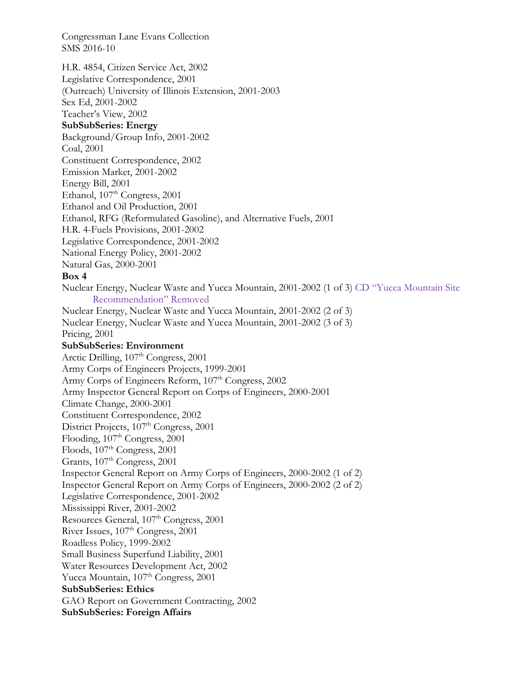H.R. 4854, Citizen Service Act, 2002 Legislative Correspondence, 2001 (Outreach) University of Illinois Extension, 2001-2003 Sex Ed, 2001-2002 Teacher's View, 2002 **SubSubSeries: Energy**  Background/Group Info, 2001-2002 Coal, 2001 Constituent Correspondence, 2002 Emission Market, 2001-2002 Energy Bill, 2001 Ethanol, 107<sup>th</sup> Congress, 2001 Ethanol and Oil Production, 2001 Ethanol, RFG (Reformulated Gasoline), and Alternative Fuels, 2001 H.R. 4-Fuels Provisions, 2001-2002 Legislative Correspondence, 2001-2002 National Energy Policy, 2001-2002 Natural Gas, 2000-2001 **Box 4**  Nuclear Energy, Nuclear Waste and Yucca Mountain, 2001-2002 (1 of 3) CD "Yucca Mountain Site Recommendation" Removed Nuclear Energy, Nuclear Waste and Yucca Mountain, 2001-2002 (2 of 3) Nuclear Energy, Nuclear Waste and Yucca Mountain, 2001-2002 (3 of 3) Pricing, 2001 **SubSubSeries: Environment**  Arctic Drilling,  $107<sup>th</sup> Congress, 2001$ Army Corps of Engineers Projects, 1999-2001 Army Corps of Engineers Reform, 107<sup>th</sup> Congress, 2002 Army Inspector General Report on Corps of Engineers, 2000-2001 Climate Change, 2000-2001 Constituent Correspondence, 2002 District Projects, 107<sup>th</sup> Congress, 2001 Flooding,  $107<sup>th</sup> Congress, 2001$ Floods,  $107<sup>th</sup> Congress, 2001$ Grants, 107<sup>th</sup> Congress, 2001 Inspector General Report on Army Corps of Engineers, 2000-2002 (1 of 2) Inspector General Report on Army Corps of Engineers, 2000-2002 (2 of 2) Legislative Correspondence, 2001-2002 Mississippi River, 2001-2002 Resources General, 107<sup>th</sup> Congress, 2001 River Issues, 107<sup>th</sup> Congress, 2001 Roadless Policy, 1999-2002 Small Business Superfund Liability, 2001 Water Resources Development Act, 2002 Yucca Mountain, 107<sup>th</sup> Congress, 2001 **SubSubSeries: Ethics**  GAO Report on Government Contracting, 2002 **SubSubSeries: Foreign Affairs**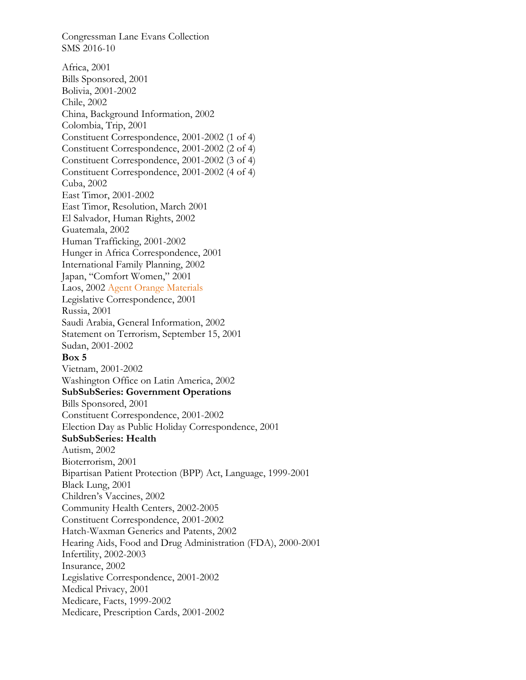Congressman Lane Evans Collection SMS 2016-10 Africa, 2001 Bills Sponsored, 2001 Bolivia, 2001-2002 Chile, 2002 China, Background Information, 2002 Colombia, Trip, 2001 Constituent Correspondence, 2001-2002 (1 of 4) Constituent Correspondence, 2001-2002 (2 of 4) Constituent Correspondence, 2001-2002 (3 of 4) Constituent Correspondence, 2001-2002 (4 of 4) Cuba, 2002 East Timor, 2001-2002 East Timor, Resolution, March 2001 El Salvador, Human Rights, 2002 Guatemala, 2002 Human Trafficking, 2001-2002 Hunger in Africa Correspondence, 2001 International Family Planning, 2002 Japan, "Comfort Women," 2001 Laos, 2002 Agent Orange Materials Legislative Correspondence, 2001 Russia, 2001 Saudi Arabia, General Information, 2002 Statement on Terrorism, September 15, 2001 Sudan, 2001-2002 **Box 5**  Vietnam, 2001-2002 Washington Office on Latin America, 2002 **SubSubSeries: Government Operations**  Bills Sponsored, 2001 Constituent Correspondence, 2001-2002 Election Day as Public Holiday Correspondence, 2001 **SubSubSeries: Health**  Autism, 2002 Bioterrorism, 2001 Bipartisan Patient Protection (BPP) Act, Language, 1999-2001 Black Lung, 2001 Children's Vaccines, 2002 Community Health Centers, 2002-2005 Constituent Correspondence, 2001-2002 Hatch-Waxman Generics and Patents, 2002 Hearing Aids, Food and Drug Administration (FDA), 2000-2001 Infertility, 2002-2003 Insurance, 2002 Legislative Correspondence, 2001-2002 Medical Privacy, 2001 Medicare, Facts, 1999-2002 Medicare, Prescription Cards, 2001-2002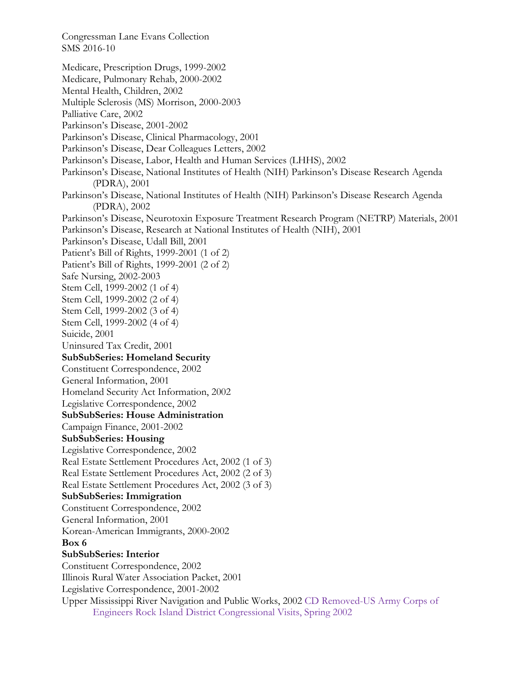Congressman Lane Evans Collection SMS 2016-10 Medicare, Prescription Drugs, 1999-2002 Medicare, Pulmonary Rehab, 2000-2002 Mental Health, Children, 2002 Multiple Sclerosis (MS) Morrison, 2000-2003 Palliative Care, 2002 Parkinson's Disease, 2001-2002 Parkinson's Disease, Clinical Pharmacology, 2001 Parkinson's Disease, Dear Colleagues Letters, 2002 Parkinson's Disease, Labor, Health and Human Services (LHHS), 2002 Parkinson's Disease, National Institutes of Health (NIH) Parkinson's Disease Research Agenda (PDRA), 2001 Parkinson's Disease, National Institutes of Health (NIH) Parkinson's Disease Research Agenda (PDRA), 2002 Parkinson's Disease, Neurotoxin Exposure Treatment Research Program (NETRP) Materials, 2001 Parkinson's Disease, Research at National Institutes of Health (NIH), 2001 Parkinson's Disease, Udall Bill, 2001 Patient's Bill of Rights, 1999-2001 (1 of 2) Patient's Bill of Rights, 1999-2001 (2 of 2) Safe Nursing, 2002-2003 Stem Cell, 1999-2002 (1 of 4) Stem Cell, 1999-2002 (2 of 4) Stem Cell, 1999-2002 (3 of 4) Stem Cell, 1999-2002 (4 of 4) Suicide, 2001 Uninsured Tax Credit, 2001 **SubSubSeries: Homeland Security**  Constituent Correspondence, 2002 General Information, 2001 Homeland Security Act Information, 2002 Legislative Correspondence, 2002 **SubSubSeries: House Administration**  Campaign Finance, 2001-2002 **SubSubSeries: Housing**  Legislative Correspondence, 2002 Real Estate Settlement Procedures Act, 2002 (1 of 3) Real Estate Settlement Procedures Act, 2002 (2 of 3) Real Estate Settlement Procedures Act, 2002 (3 of 3) **SubSubSeries: Immigration**  Constituent Correspondence, 2002 General Information, 2001 Korean-American Immigrants, 2000-2002 **Box 6 SubSubSeries: Interior**  Constituent Correspondence, 2002 Illinois Rural Water Association Packet, 2001 Legislative Correspondence, 2001-2002 Upper Mississippi River Navigation and Public Works, 2002 CD Removed-US Army Corps of Engineers Rock Island District Congressional Visits, Spring 2002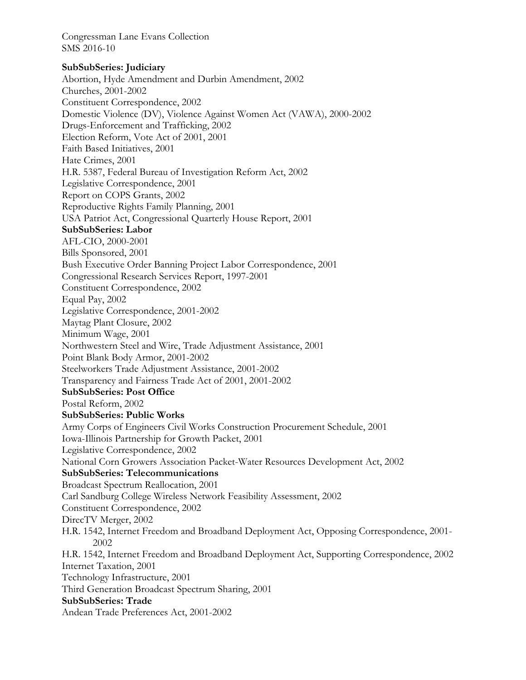## **SubSubSeries: Judiciary**

Abortion, Hyde Amendment and Durbin Amendment, 2002 Churches, 2001-2002 Constituent Correspondence, 2002 Domestic Violence (DV), Violence Against Women Act (VAWA), 2000-2002 Drugs-Enforcement and Trafficking, 2002 Election Reform, Vote Act of 2001, 2001 Faith Based Initiatives, 2001 Hate Crimes, 2001 H.R. 5387, Federal Bureau of Investigation Reform Act, 2002 Legislative Correspondence, 2001 Report on COPS Grants, 2002 Reproductive Rights Family Planning, 2001 USA Patriot Act, Congressional Quarterly House Report, 2001 **SubSubSeries: Labor**  AFL-CIO, 2000-2001 Bills Sponsored, 2001 Bush Executive Order Banning Project Labor Correspondence, 2001 Congressional Research Services Report, 1997-2001 Constituent Correspondence, 2002 Equal Pay, 2002 Legislative Correspondence, 2001-2002 Maytag Plant Closure, 2002 Minimum Wage, 2001 Northwestern Steel and Wire, Trade Adjustment Assistance, 2001 Point Blank Body Armor, 2001-2002 Steelworkers Trade Adjustment Assistance, 2001-2002 Transparency and Fairness Trade Act of 2001, 2001-2002 **SubSubSeries: Post Office**  Postal Reform, 2002 **SubSubSeries: Public Works**  Army Corps of Engineers Civil Works Construction Procurement Schedule, 2001 Iowa-Illinois Partnership for Growth Packet, 2001 Legislative Correspondence, 2002 National Corn Growers Association Packet-Water Resources Development Act, 2002 **SubSubSeries: Telecommunications**  Broadcast Spectrum Reallocation, 2001 Carl Sandburg College Wireless Network Feasibility Assessment, 2002 Constituent Correspondence, 2002 DirecTV Merger, 2002 H.R. 1542, Internet Freedom and Broadband Deployment Act, Opposing Correspondence, 2001- 2002 H.R. 1542, Internet Freedom and Broadband Deployment Act, Supporting Correspondence, 2002 Internet Taxation, 2001 Technology Infrastructure, 2001 Third Generation Broadcast Spectrum Sharing, 2001 **SubSubSeries: Trade**  Andean Trade Preferences Act, 2001-2002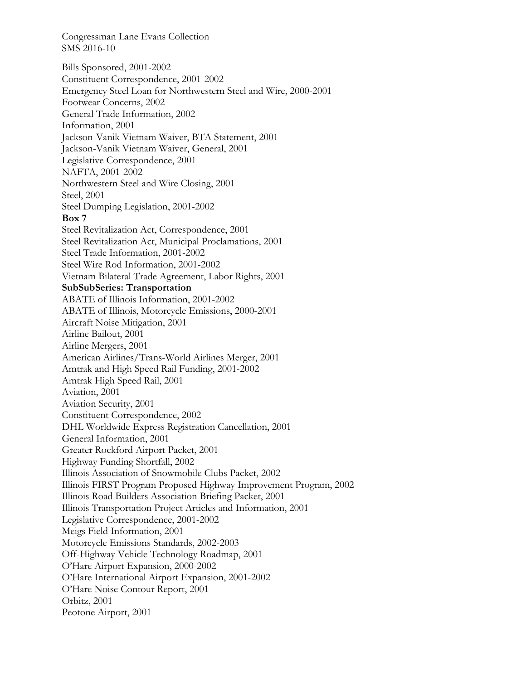Bills Sponsored, 2001-2002 Constituent Correspondence, 2001-2002 Emergency Steel Loan for Northwestern Steel and Wire, 2000-2001 Footwear Concerns, 2002 General Trade Information, 2002 Information, 2001 Jackson-Vanik Vietnam Waiver, BTA Statement, 2001 Jackson-Vanik Vietnam Waiver, General, 2001 Legislative Correspondence, 2001 NAFTA, 2001-2002 Northwestern Steel and Wire Closing, 2001 Steel, 2001 Steel Dumping Legislation, 2001-2002 **Box 7**  Steel Revitalization Act, Correspondence, 2001 Steel Revitalization Act, Municipal Proclamations, 2001 Steel Trade Information, 2001-2002 Steel Wire Rod Information, 2001-2002 Vietnam Bilateral Trade Agreement, Labor Rights, 2001 **SubSubSeries: Transportation**  ABATE of Illinois Information, 2001-2002 ABATE of Illinois, Motorcycle Emissions, 2000-2001 Aircraft Noise Mitigation, 2001 Airline Bailout, 2001 Airline Mergers, 2001 American Airlines/Trans-World Airlines Merger, 2001 Amtrak and High Speed Rail Funding, 2001-2002 Amtrak High Speed Rail, 2001 Aviation, 2001 Aviation Security, 2001 Constituent Correspondence, 2002 DHL Worldwide Express Registration Cancellation, 2001 General Information, 2001 Greater Rockford Airport Packet, 2001 Highway Funding Shortfall, 2002 Illinois Association of Snowmobile Clubs Packet, 2002 Illinois FIRST Program Proposed Highway Improvement Program, 2002 Illinois Road Builders Association Briefing Packet, 2001 Illinois Transportation Project Articles and Information, 2001 Legislative Correspondence, 2001-2002 Meigs Field Information, 2001 Motorcycle Emissions Standards, 2002-2003 Off-Highway Vehicle Technology Roadmap, 2001 O'Hare Airport Expansion, 2000-2002 O'Hare International Airport Expansion, 2001-2002 O'Hare Noise Contour Report, 2001 Orbitz, 2001 Peotone Airport, 2001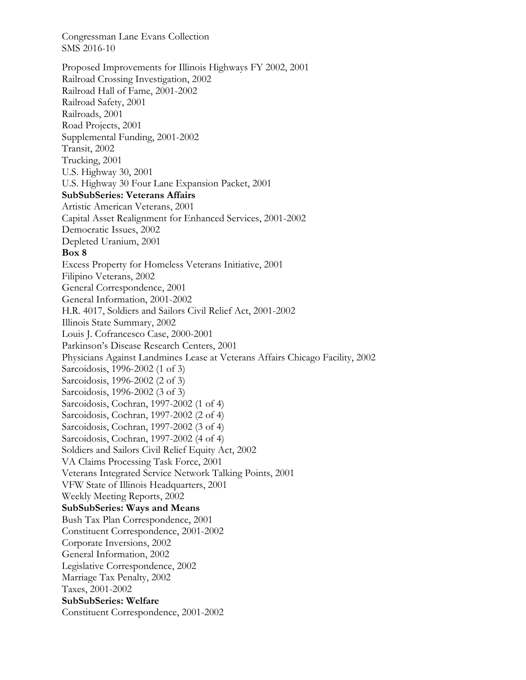Proposed Improvements for Illinois Highways FY 2002, 2001 Railroad Crossing Investigation, 2002 Railroad Hall of Fame, 2001-2002 Railroad Safety, 2001 Railroads, 2001 Road Projects, 2001 Supplemental Funding, 2001-2002 Transit, 2002 Trucking, 2001 U.S. Highway 30, 2001 U.S. Highway 30 Four Lane Expansion Packet, 2001 **SubSubSeries: Veterans Affairs**  Artistic American Veterans, 2001 Capital Asset Realignment for Enhanced Services, 2001-2002 Democratic Issues, 2002 Depleted Uranium, 2001 **Box 8**  Excess Property for Homeless Veterans Initiative, 2001 Filipino Veterans, 2002 General Correspondence, 2001 General Information, 2001-2002 H.R. 4017, Soldiers and Sailors Civil Relief Act, 2001-2002 Illinois State Summary, 2002 Louis J. Cofrancesco Case, 2000-2001 Parkinson's Disease Research Centers, 2001 Physicians Against Landmines Lease at Veterans Affairs Chicago Facility, 2002 Sarcoidosis, 1996-2002 (1 of 3) Sarcoidosis, 1996-2002 (2 of 3) Sarcoidosis, 1996-2002 (3 of 3) Sarcoidosis, Cochran, 1997-2002 (1 of 4) Sarcoidosis, Cochran, 1997-2002 (2 of 4) Sarcoidosis, Cochran, 1997-2002 (3 of 4) Sarcoidosis, Cochran, 1997-2002 (4 of 4) Soldiers and Sailors Civil Relief Equity Act, 2002 VA Claims Processing Task Force, 2001 Veterans Integrated Service Network Talking Points, 2001 VFW State of Illinois Headquarters, 2001 Weekly Meeting Reports, 2002 **SubSubSeries: Ways and Means**  Bush Tax Plan Correspondence, 2001 Constituent Correspondence, 2001-2002 Corporate Inversions, 2002 General Information, 2002 Legislative Correspondence, 2002 Marriage Tax Penalty, 2002 Taxes, 2001-2002 **SubSubSeries: Welfare**  Constituent Correspondence, 2001-2002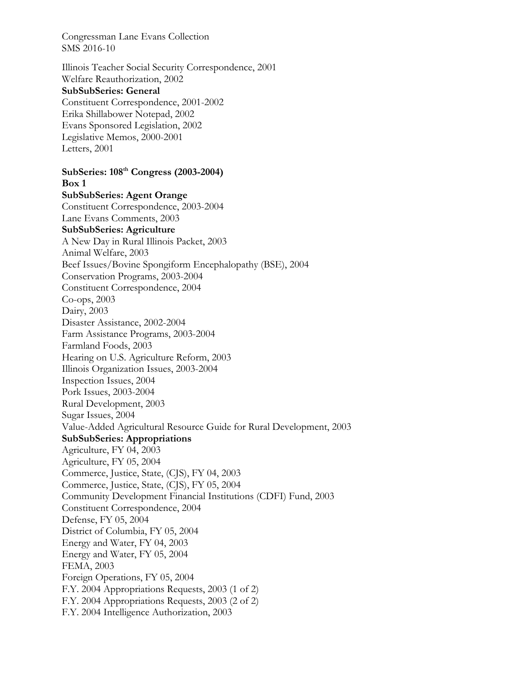Illinois Teacher Social Security Correspondence, 2001 Welfare Reauthorization, 2002 **SubSubSeries: General**  Constituent Correspondence, 2001-2002 Erika Shillabower Notepad, 2002 Evans Sponsored Legislation, 2002 Legislative Memos, 2000-2001 Letters, 2001

**SubSeries: 108th Congress (2003-2004) Box 1 SubSubSeries: Agent Orange**  Constituent Correspondence, 2003-2004 Lane Evans Comments, 2003 **SubSubSeries: Agriculture**  A New Day in Rural Illinois Packet, 2003 Animal Welfare, 2003 Beef Issues/Bovine Spongiform Encephalopathy (BSE), 2004 Conservation Programs, 2003-2004 Constituent Correspondence, 2004 Co-ops, 2003 Dairy, 2003 Disaster Assistance, 2002-2004 Farm Assistance Programs, 2003-2004 Farmland Foods, 2003 Hearing on U.S. Agriculture Reform, 2003 Illinois Organization Issues, 2003-2004 Inspection Issues, 2004 Pork Issues, 2003-2004 Rural Development, 2003 Sugar Issues, 2004 Value-Added Agricultural Resource Guide for Rural Development, 2003 **SubSubSeries: Appropriations**  Agriculture, FY 04, 2003 Agriculture, FY 05, 2004 Commerce, Justice, State, (CJS), FY 04, 2003 Commerce, Justice, State, (CJS), FY 05, 2004 Community Development Financial Institutions (CDFI) Fund, 2003 Constituent Correspondence, 2004 Defense, FY 05, 2004 District of Columbia, FY 05, 2004 Energy and Water, FY 04, 2003 Energy and Water, FY 05, 2004 FEMA, 2003 Foreign Operations, FY 05, 2004 F.Y. 2004 Appropriations Requests, 2003 (1 of 2) F.Y. 2004 Appropriations Requests, 2003 (2 of 2) F.Y. 2004 Intelligence Authorization, 2003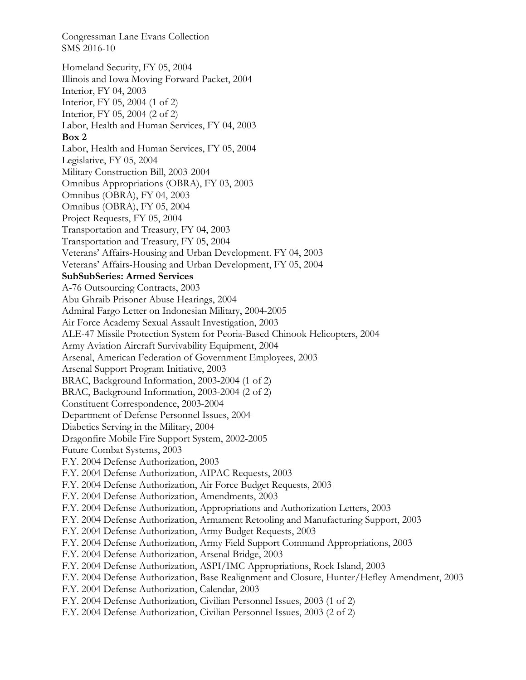Homeland Security, FY 05, 2004 Illinois and Iowa Moving Forward Packet, 2004 Interior, FY 04, 2003 Interior, FY 05, 2004 (1 of 2) Interior, FY 05, 2004 (2 of 2) Labor, Health and Human Services, FY 04, 2003 **Box 2**  Labor, Health and Human Services, FY 05, 2004 Legislative, FY 05, 2004 Military Construction Bill, 2003-2004 Omnibus Appropriations (OBRA), FY 03, 2003 Omnibus (OBRA), FY 04, 2003 Omnibus (OBRA), FY 05, 2004 Project Requests, FY 05, 2004 Transportation and Treasury, FY 04, 2003 Transportation and Treasury, FY 05, 2004 Veterans' Affairs-Housing and Urban Development. FY 04, 2003 Veterans' Affairs-Housing and Urban Development, FY 05, 2004 **SubSubSeries: Armed Services**  A-76 Outsourcing Contracts, 2003 Abu Ghraib Prisoner Abuse Hearings, 2004 Admiral Fargo Letter on Indonesian Military, 2004-2005 Air Force Academy Sexual Assault Investigation, 2003 ALE-47 Missile Protection System for Peoria-Based Chinook Helicopters, 2004 Army Aviation Aircraft Survivability Equipment, 2004 Arsenal, American Federation of Government Employees, 2003 Arsenal Support Program Initiative, 2003 BRAC, Background Information, 2003-2004 (1 of 2) BRAC, Background Information, 2003-2004 (2 of 2) Constituent Correspondence, 2003-2004 Department of Defense Personnel Issues, 2004 Diabetics Serving in the Military, 2004 Dragonfire Mobile Fire Support System, 2002-2005 Future Combat Systems, 2003 F.Y. 2004 Defense Authorization, 2003 F.Y. 2004 Defense Authorization, AIPAC Requests, 2003 F.Y. 2004 Defense Authorization, Air Force Budget Requests, 2003 F.Y. 2004 Defense Authorization, Amendments, 2003 F.Y. 2004 Defense Authorization, Appropriations and Authorization Letters, 2003 F.Y. 2004 Defense Authorization, Armament Retooling and Manufacturing Support, 2003 F.Y. 2004 Defense Authorization, Army Budget Requests, 2003 F.Y. 2004 Defense Authorization, Army Field Support Command Appropriations, 2003 F.Y. 2004 Defense Authorization, Arsenal Bridge, 2003 F.Y. 2004 Defense Authorization, ASPI/IMC Appropriations, Rock Island, 2003 F.Y. 2004 Defense Authorization, Base Realignment and Closure, Hunter/Hefley Amendment, 2003 F.Y. 2004 Defense Authorization, Calendar, 2003 F.Y. 2004 Defense Authorization, Civilian Personnel Issues, 2003 (1 of 2) F.Y. 2004 Defense Authorization, Civilian Personnel Issues, 2003 (2 of 2)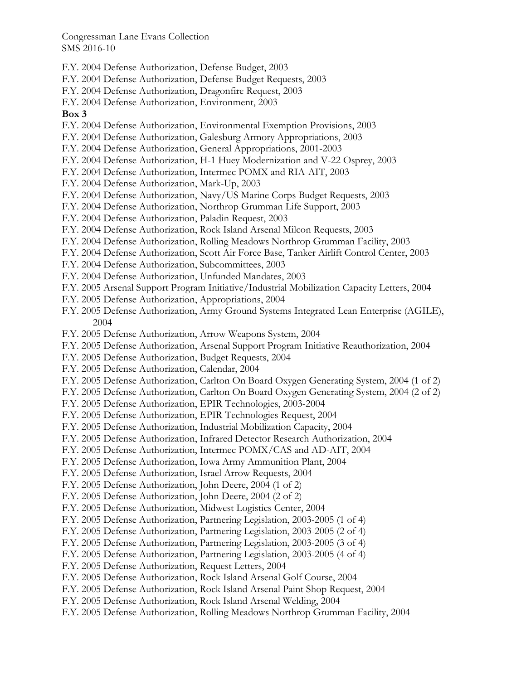F.Y. 2004 Defense Authorization, Defense Budget, 2003

F.Y. 2004 Defense Authorization, Defense Budget Requests, 2003

F.Y. 2004 Defense Authorization, Dragonfire Request, 2003

F.Y. 2004 Defense Authorization, Environment, 2003

#### **Box 3**

- F.Y. 2004 Defense Authorization, Environmental Exemption Provisions, 2003
- F.Y. 2004 Defense Authorization, Galesburg Armory Appropriations, 2003
- F.Y. 2004 Defense Authorization, General Appropriations, 2001-2003
- F.Y. 2004 Defense Authorization, H-1 Huey Modernization and V-22 Osprey, 2003
- F.Y. 2004 Defense Authorization, Intermec POMX and RIA-AIT, 2003
- F.Y. 2004 Defense Authorization, Mark-Up, 2003
- F.Y. 2004 Defense Authorization, Navy/US Marine Corps Budget Requests, 2003
- F.Y. 2004 Defense Authorization, Northrop Grumman Life Support, 2003
- F.Y. 2004 Defense Authorization, Paladin Request, 2003
- F.Y. 2004 Defense Authorization, Rock Island Arsenal Milcon Requests, 2003
- F.Y. 2004 Defense Authorization, Rolling Meadows Northrop Grumman Facility, 2003
- F.Y. 2004 Defense Authorization, Scott Air Force Base, Tanker Airlift Control Center, 2003
- F.Y. 2004 Defense Authorization, Subcommittees, 2003
- F.Y. 2004 Defense Authorization, Unfunded Mandates, 2003
- F.Y. 2005 Arsenal Support Program Initiative/Industrial Mobilization Capacity Letters, 2004
- F.Y. 2005 Defense Authorization, Appropriations, 2004
- F.Y. 2005 Defense Authorization, Army Ground Systems Integrated Lean Enterprise (AGILE), 2004
- F.Y. 2005 Defense Authorization, Arrow Weapons System, 2004
- F.Y. 2005 Defense Authorization, Arsenal Support Program Initiative Reauthorization, 2004
- F.Y. 2005 Defense Authorization, Budget Requests, 2004
- F.Y. 2005 Defense Authorization, Calendar, 2004
- F.Y. 2005 Defense Authorization, Carlton On Board Oxygen Generating System, 2004 (1 of 2)
- F.Y. 2005 Defense Authorization, Carlton On Board Oxygen Generating System, 2004 (2 of 2)
- F.Y. 2005 Defense Authorization, EPIR Technologies, 2003-2004
- F.Y. 2005 Defense Authorization, EPIR Technologies Request, 2004
- F.Y. 2005 Defense Authorization, Industrial Mobilization Capacity, 2004
- F.Y. 2005 Defense Authorization, Infrared Detector Research Authorization, 2004
- F.Y. 2005 Defense Authorization, Intermec POMX/CAS and AD-AIT, 2004
- F.Y. 2005 Defense Authorization, Iowa Army Ammunition Plant, 2004
- F.Y. 2005 Defense Authorization, Israel Arrow Requests, 2004
- F.Y. 2005 Defense Authorization, John Deere, 2004 (1 of 2)
- F.Y. 2005 Defense Authorization, John Deere, 2004 (2 of 2)
- F.Y. 2005 Defense Authorization, Midwest Logistics Center, 2004
- F.Y. 2005 Defense Authorization, Partnering Legislation, 2003-2005 (1 of 4)
- F.Y. 2005 Defense Authorization, Partnering Legislation, 2003-2005 (2 of 4)
- F.Y. 2005 Defense Authorization, Partnering Legislation, 2003-2005 (3 of 4)
- F.Y. 2005 Defense Authorization, Partnering Legislation, 2003-2005 (4 of 4)
- F.Y. 2005 Defense Authorization, Request Letters, 2004
- F.Y. 2005 Defense Authorization, Rock Island Arsenal Golf Course, 2004
- F.Y. 2005 Defense Authorization, Rock Island Arsenal Paint Shop Request, 2004
- F.Y. 2005 Defense Authorization, Rock Island Arsenal Welding, 2004
- F.Y. 2005 Defense Authorization, Rolling Meadows Northrop Grumman Facility, 2004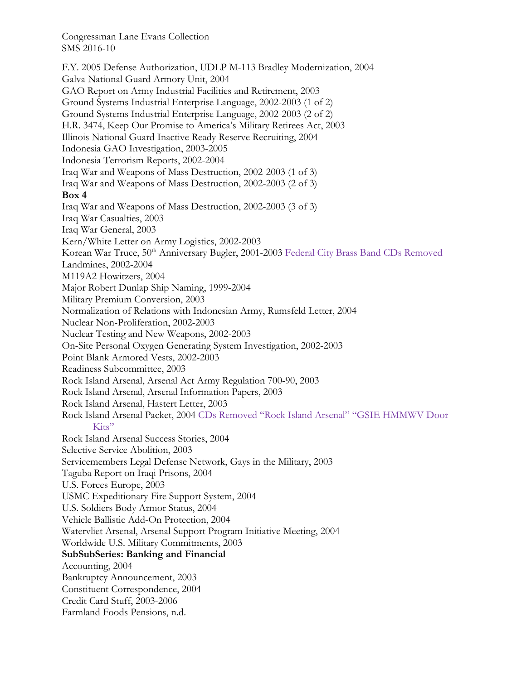F.Y. 2005 Defense Authorization, UDLP M-113 Bradley Modernization, 2004 Galva National Guard Armory Unit, 2004 GAO Report on Army Industrial Facilities and Retirement, 2003 Ground Systems Industrial Enterprise Language, 2002-2003 (1 of 2) Ground Systems Industrial Enterprise Language, 2002-2003 (2 of 2) H.R. 3474, Keep Our Promise to America's Military Retirees Act, 2003 Illinois National Guard Inactive Ready Reserve Recruiting, 2004 Indonesia GAO Investigation, 2003-2005 Indonesia Terrorism Reports, 2002-2004 Iraq War and Weapons of Mass Destruction, 2002-2003 (1 of 3) Iraq War and Weapons of Mass Destruction, 2002-2003 (2 of 3) **Box 4**  Iraq War and Weapons of Mass Destruction, 2002-2003 (3 of 3) Iraq War Casualties, 2003 Iraq War General, 2003 Kern/White Letter on Army Logistics, 2002-2003 Korean War Truce, 50<sup>th</sup> Anniversary Bugler, 2001-2003 Federal City Brass Band CDs Removed Landmines, 2002-2004 M119A2 Howitzers, 2004 Major Robert Dunlap Ship Naming, 1999-2004 Military Premium Conversion, 2003 Normalization of Relations with Indonesian Army, Rumsfeld Letter, 2004 Nuclear Non-Proliferation, 2002-2003 Nuclear Testing and New Weapons, 2002-2003 On-Site Personal Oxygen Generating System Investigation, 2002-2003 Point Blank Armored Vests, 2002-2003 Readiness Subcommittee, 2003 Rock Island Arsenal, Arsenal Act Army Regulation 700-90, 2003 Rock Island Arsenal, Arsenal Information Papers, 2003 Rock Island Arsenal, Hastert Letter, 2003 Rock Island Arsenal Packet, 2004 CDs Removed "Rock Island Arsenal" "GSIE HMMWV Door Kits" Rock Island Arsenal Success Stories, 2004 Selective Service Abolition, 2003 Servicemembers Legal Defense Network, Gays in the Military, 2003 Taguba Report on Iraqi Prisons, 2004 U.S. Forces Europe, 2003 USMC Expeditionary Fire Support System, 2004 U.S. Soldiers Body Armor Status, 2004 Vehicle Ballistic Add-On Protection, 2004 Watervliet Arsenal, Arsenal Support Program Initiative Meeting, 2004 Worldwide U.S. Military Commitments, 2003 **SubSubSeries: Banking and Financial**  Accounting, 2004 Bankruptcy Announcement, 2003 Constituent Correspondence, 2004 Credit Card Stuff, 2003-2006 Farmland Foods Pensions, n.d.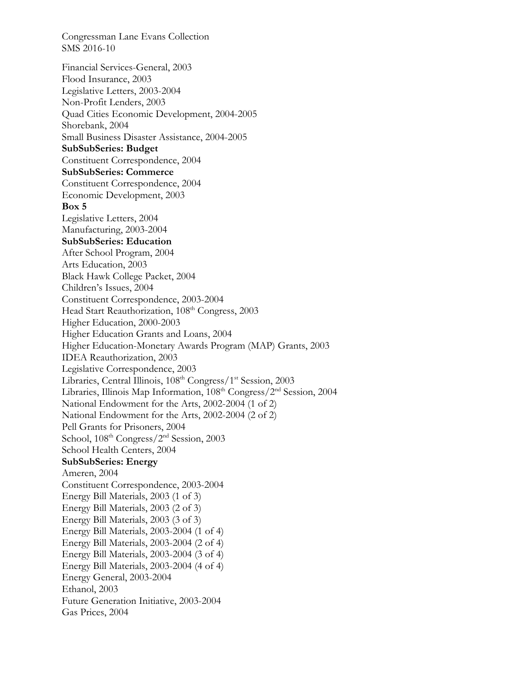Congressman Lane Evans Collection SMS 2016-10 Financial Services-General, 2003 Flood Insurance, 2003 Legislative Letters, 2003-2004 Non-Profit Lenders, 2003 Quad Cities Economic Development, 2004-2005 Shorebank, 2004 Small Business Disaster Assistance, 2004-2005 **SubSubSeries: Budget**  Constituent Correspondence, 2004 **SubSubSeries: Commerce**  Constituent Correspondence, 2004 Economic Development, 2003 **Box 5**  Legislative Letters, 2004 Manufacturing, 2003-2004 **SubSubSeries: Education**  After School Program, 2004 Arts Education, 2003 Black Hawk College Packet, 2004 Children's Issues, 2004 Constituent Correspondence, 2003-2004 Head Start Reauthorization, 108<sup>th</sup> Congress, 2003 Higher Education, 2000-2003 Higher Education Grants and Loans, 2004 Higher Education-Monetary Awards Program (MAP) Grants, 2003 IDEA Reauthorization, 2003 Legislative Correspondence, 2003 Libraries, Central Illinois, 108<sup>th</sup> Congress/1<sup>st</sup> Session, 2003 Libraries, Illinois Map Information, 108<sup>th</sup> Congress/2<sup>nd</sup> Session, 2004 National Endowment for the Arts, 2002-2004 (1 of 2) National Endowment for the Arts, 2002-2004 (2 of 2) Pell Grants for Prisoners, 2004 School, 108<sup>th</sup> Congress/2<sup>nd</sup> Session, 2003 School Health Centers, 2004 **SubSubSeries: Energy**  Ameren, 2004 Constituent Correspondence, 2003-2004 Energy Bill Materials, 2003 (1 of 3) Energy Bill Materials, 2003 (2 of 3) Energy Bill Materials, 2003 (3 of 3) Energy Bill Materials, 2003-2004 (1 of 4) Energy Bill Materials, 2003-2004 (2 of 4) Energy Bill Materials, 2003-2004 (3 of 4) Energy Bill Materials, 2003-2004 (4 of 4) Energy General, 2003-2004 Ethanol, 2003 Future Generation Initiative, 2003-2004 Gas Prices, 2004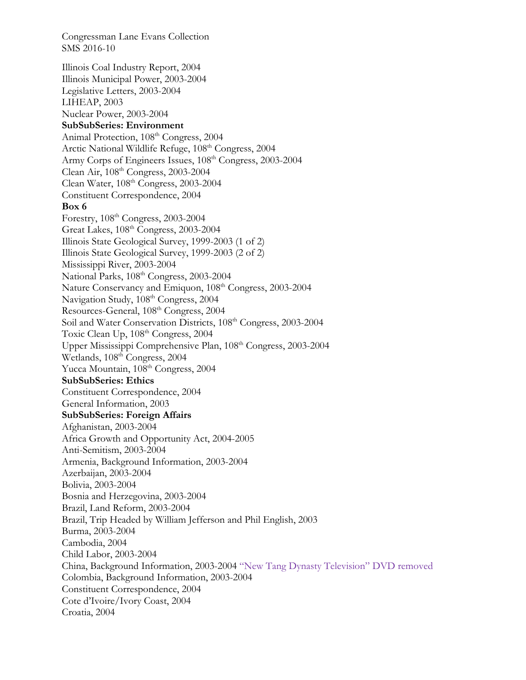Congressman Lane Evans Collection SMS 2016-10 Illinois Coal Industry Report, 2004 Illinois Municipal Power, 2003-2004 Legislative Letters, 2003-2004 LIHEAP, 2003 Nuclear Power, 2003-2004 **SubSubSeries: Environment**  Animal Protection, 108<sup>th</sup> Congress, 2004 Arctic National Wildlife Refuge, 108<sup>th</sup> Congress, 2004 Army Corps of Engineers Issues, 108<sup>th</sup> Congress, 2003-2004 Clean Air, 108th Congress, 2003-2004 Clean Water,  $108^{\text{th}}$  Congress, 2003-2004 Constituent Correspondence, 2004 **Box 6**  Forestry, 108th Congress, 2003-2004 Great Lakes, 108th Congress, 2003-2004 Illinois State Geological Survey, 1999-2003 (1 of 2) Illinois State Geological Survey, 1999-2003 (2 of 2) Mississippi River, 2003-2004 National Parks,  $108<sup>th</sup> Congress, 2003-2004$ Nature Conservancy and Emiquon, 108<sup>th</sup> Congress, 2003-2004 Navigation Study, 108<sup>th</sup> Congress, 2004 Resources-General, 108<sup>th</sup> Congress, 2004 Soil and Water Conservation Districts,  $108<sup>th</sup>$  Congress, 2003-2004 Toxic Clean Up, 108<sup>th</sup> Congress, 2004 Upper Mississippi Comprehensive Plan, 108th Congress, 2003-2004 Wetlands, 108<sup>th</sup> Congress, 2004 Yucca Mountain, 108<sup>th</sup> Congress, 2004 **SubSubSeries: Ethics**  Constituent Correspondence, 2004 General Information, 2003 **SubSubSeries: Foreign Affairs**  Afghanistan, 2003-2004 Africa Growth and Opportunity Act, 2004-2005 Anti-Semitism, 2003-2004 Armenia, Background Information, 2003-2004 Azerbaijan, 2003-2004 Bolivia, 2003-2004 Bosnia and Herzegovina, 2003-2004 Brazil, Land Reform, 2003-2004 Brazil, Trip Headed by William Jefferson and Phil English, 2003 Burma, 2003-2004 Cambodia, 2004 Child Labor, 2003-2004 China, Background Information, 2003-2004 "New Tang Dynasty Television" DVD removed Colombia, Background Information, 2003-2004 Constituent Correspondence, 2004 Cote d'Ivoire/Ivory Coast, 2004 Croatia, 2004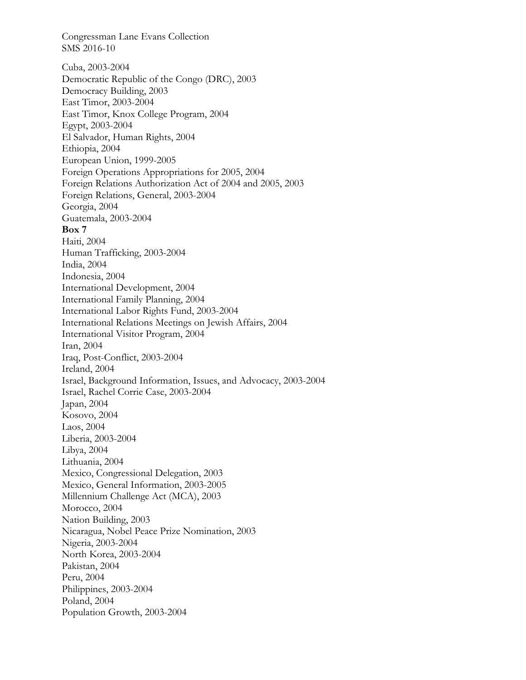Congressman Lane Evans Collection SMS 2016-10 Cuba, 2003-2004 Democratic Republic of the Congo (DRC), 2003 Democracy Building, 2003 East Timor, 2003-2004 East Timor, Knox College Program, 2004 Egypt, 2003-2004 El Salvador, Human Rights, 2004 Ethiopia, 2004 European Union, 1999-2005 Foreign Operations Appropriations for 2005, 2004 Foreign Relations Authorization Act of 2004 and 2005, 2003 Foreign Relations, General, 2003-2004 Georgia, 2004 Guatemala, 2003-2004 **Box 7**  Haiti, 2004 Human Trafficking, 2003-2004 India, 2004 Indonesia, 2004 International Development, 2004 International Family Planning, 2004 International Labor Rights Fund, 2003-2004 International Relations Meetings on Jewish Affairs, 2004 International Visitor Program, 2004 Iran, 2004 Iraq, Post-Conflict, 2003-2004 Ireland, 2004 Israel, Background Information, Issues, and Advocacy, 2003-2004 Israel, Rachel Corrie Case, 2003-2004 Japan, 2004 Kosovo, 2004 Laos, 2004 Liberia, 2003-2004 Libya, 2004 Lithuania, 2004 Mexico, Congressional Delegation, 2003 Mexico, General Information, 2003-2005 Millennium Challenge Act (MCA), 2003 Morocco, 2004 Nation Building, 2003 Nicaragua, Nobel Peace Prize Nomination, 2003 Nigeria, 2003-2004 North Korea, 2003-2004 Pakistan, 2004 Peru, 2004 Philippines, 2003-2004 Poland, 2004 Population Growth, 2003-2004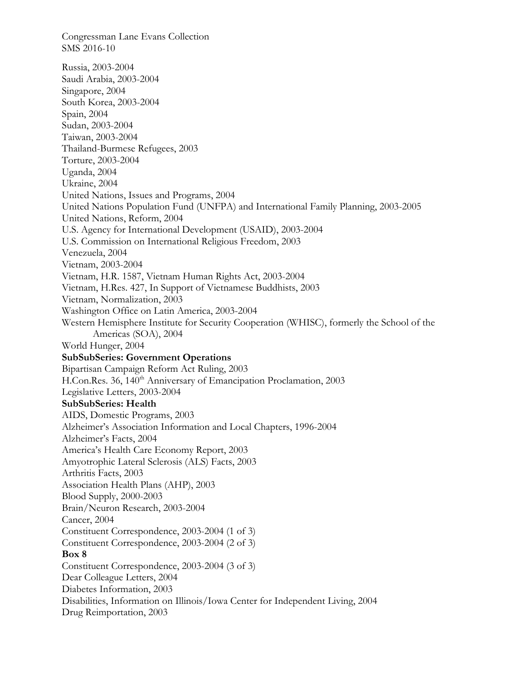Congressman Lane Evans Collection SMS 2016-10 Russia, 2003-2004 Saudi Arabia, 2003-2004 Singapore, 2004 South Korea, 2003-2004 Spain, 2004 Sudan, 2003-2004 Taiwan, 2003-2004 Thailand-Burmese Refugees, 2003 Torture, 2003-2004 Uganda, 2004 Ukraine, 2004 United Nations, Issues and Programs, 2004 United Nations Population Fund (UNFPA) and International Family Planning, 2003-2005 United Nations, Reform, 2004 U.S. Agency for International Development (USAID), 2003-2004 U.S. Commission on International Religious Freedom, 2003 Venezuela, 2004 Vietnam, 2003-2004 Vietnam, H.R. 1587, Vietnam Human Rights Act, 2003-2004 Vietnam, H.Res. 427, In Support of Vietnamese Buddhists, 2003 Vietnam, Normalization, 2003 Washington Office on Latin America, 2003-2004 Western Hemisphere Institute for Security Cooperation (WHISC), formerly the School of the Americas (SOA), 2004 World Hunger, 2004 **SubSubSeries: Government Operations**  Bipartisan Campaign Reform Act Ruling, 2003 H.Con.Res. 36, 140<sup>th</sup> Anniversary of Emancipation Proclamation, 2003 Legislative Letters, 2003-2004 **SubSubSeries: Health**  AIDS, Domestic Programs, 2003 Alzheimer's Association Information and Local Chapters, 1996-2004 Alzheimer's Facts, 2004 America's Health Care Economy Report, 2003 Amyotrophic Lateral Sclerosis (ALS) Facts, 2003 Arthritis Facts, 2003 Association Health Plans (AHP), 2003 Blood Supply, 2000-2003 Brain/Neuron Research, 2003-2004 Cancer, 2004 Constituent Correspondence, 2003-2004 (1 of 3) Constituent Correspondence, 2003-2004 (2 of 3) **Box 8**  Constituent Correspondence, 2003-2004 (3 of 3) Dear Colleague Letters, 2004 Diabetes Information, 2003 Disabilities, Information on Illinois/Iowa Center for Independent Living, 2004 Drug Reimportation, 2003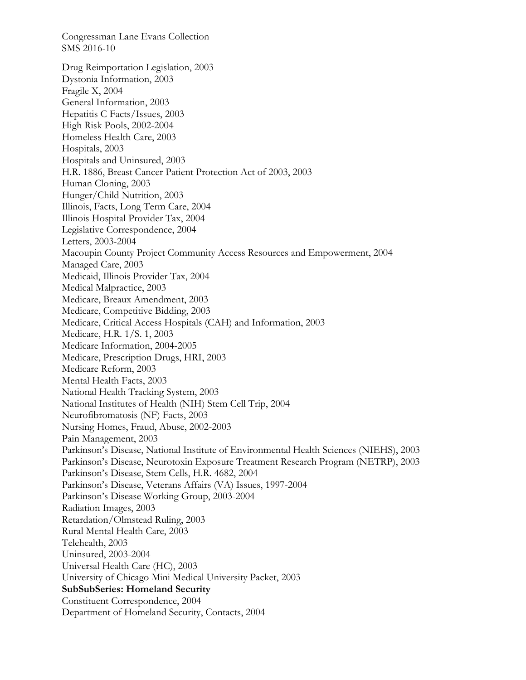Congressman Lane Evans Collection SMS 2016-10 Drug Reimportation Legislation, 2003 Dystonia Information, 2003 Fragile X, 2004 General Information, 2003 Hepatitis C Facts/Issues, 2003 High Risk Pools, 2002-2004 Homeless Health Care, 2003 Hospitals, 2003 Hospitals and Uninsured, 2003 H.R. 1886, Breast Cancer Patient Protection Act of 2003, 2003 Human Cloning, 2003 Hunger/Child Nutrition, 2003 Illinois, Facts, Long Term Care, 2004 Illinois Hospital Provider Tax, 2004 Legislative Correspondence, 2004 Letters, 2003-2004 Macoupin County Project Community Access Resources and Empowerment, 2004 Managed Care, 2003 Medicaid, Illinois Provider Tax, 2004 Medical Malpractice, 2003 Medicare, Breaux Amendment, 2003 Medicare, Competitive Bidding, 2003 Medicare, Critical Access Hospitals (CAH) and Information, 2003 Medicare, H.R. 1/S. 1, 2003 Medicare Information, 2004-2005 Medicare, Prescription Drugs, HRI, 2003 Medicare Reform, 2003 Mental Health Facts, 2003 National Health Tracking System, 2003 National Institutes of Health (NIH) Stem Cell Trip, 2004 Neurofibromatosis (NF) Facts, 2003 Nursing Homes, Fraud, Abuse, 2002-2003 Pain Management, 2003 Parkinson's Disease, National Institute of Environmental Health Sciences (NIEHS), 2003 Parkinson's Disease, Neurotoxin Exposure Treatment Research Program (NETRP), 2003 Parkinson's Disease, Stem Cells, H.R. 4682, 2004 Parkinson's Disease, Veterans Affairs (VA) Issues, 1997-2004 Parkinson's Disease Working Group, 2003-2004 Radiation Images, 2003 Retardation/Olmstead Ruling, 2003 Rural Mental Health Care, 2003 Telehealth, 2003 Uninsured, 2003-2004 Universal Health Care (HC), 2003 University of Chicago Mini Medical University Packet, 2003 **SubSubSeries: Homeland Security**  Constituent Correspondence, 2004 Department of Homeland Security, Contacts, 2004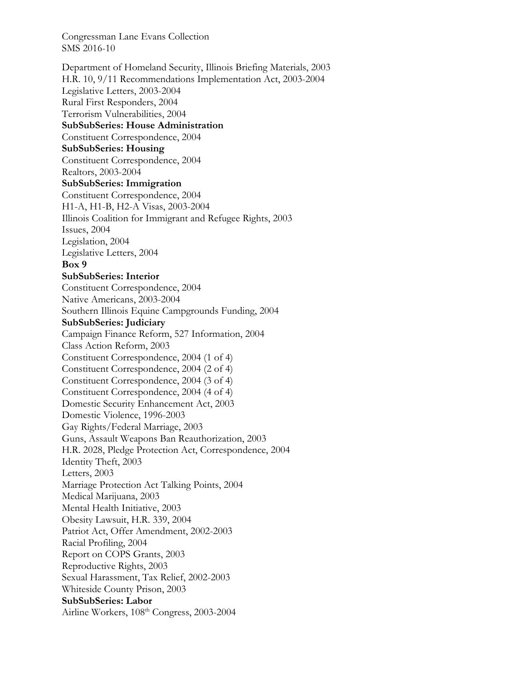Department of Homeland Security, Illinois Briefing Materials, 2003 H.R. 10, 9/11 Recommendations Implementation Act, 2003-2004 Legislative Letters, 2003-2004 Rural First Responders, 2004 Terrorism Vulnerabilities, 2004 **SubSubSeries: House Administration**  Constituent Correspondence, 2004 **SubSubSeries: Housing**  Constituent Correspondence, 2004 Realtors, 2003-2004 **SubSubSeries: Immigration**  Constituent Correspondence, 2004 H1-A, H1-B, H2-A Visas, 2003-2004 Illinois Coalition for Immigrant and Refugee Rights, 2003 Issues, 2004 Legislation, 2004 Legislative Letters, 2004 **Box 9 SubSubSeries: Interior**  Constituent Correspondence, 2004 Native Americans, 2003-2004 Southern Illinois Equine Campgrounds Funding, 2004 **SubSubSeries: Judiciary**  Campaign Finance Reform, 527 Information, 2004 Class Action Reform, 2003 Constituent Correspondence, 2004 (1 of 4) Constituent Correspondence, 2004 (2 of 4) Constituent Correspondence, 2004 (3 of 4) Constituent Correspondence, 2004 (4 of 4) Domestic Security Enhancement Act, 2003 Domestic Violence, 1996-2003 Gay Rights/Federal Marriage, 2003 Guns, Assault Weapons Ban Reauthorization, 2003 H.R. 2028, Pledge Protection Act, Correspondence, 2004 Identity Theft, 2003 Letters, 2003 Marriage Protection Act Talking Points, 2004 Medical Marijuana, 2003 Mental Health Initiative, 2003 Obesity Lawsuit, H.R. 339, 2004 Patriot Act, Offer Amendment, 2002-2003 Racial Profiling, 2004 Report on COPS Grants, 2003 Reproductive Rights, 2003 Sexual Harassment, Tax Relief, 2002-2003 Whiteside County Prison, 2003 **SubSubSeries: Labor**  Airline Workers, 108<sup>th</sup> Congress, 2003-2004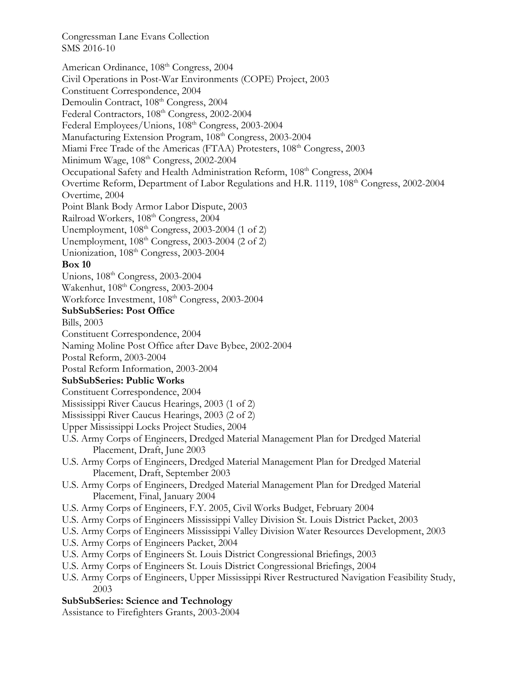American Ordinance,  $108<sup>th</sup> Congress, 2004$ Civil Operations in Post-War Environments (COPE) Project, 2003 Constituent Correspondence, 2004 Demoulin Contract, 108<sup>th</sup> Congress, 2004 Federal Contractors,  $108<sup>th</sup> Congress$ , 2002-2004 Federal Employees/Unions, 108<sup>th</sup> Congress, 2003-2004 Manufacturing Extension Program, 108<sup>th</sup> Congress, 2003-2004 Miami Free Trade of the Americas (FTAA) Protesters, 108<sup>th</sup> Congress, 2003 Minimum Wage,  $108<sup>th</sup> Congress$ , 2002-2004 Occupational Safety and Health Administration Reform, 108<sup>th</sup> Congress, 2004 Overtime Reform, Department of Labor Regulations and H.R. 1119, 108<sup>th</sup> Congress, 2002-2004 Overtime, 2004 Point Blank Body Armor Labor Dispute, 2003 Railroad Workers, 108<sup>th</sup> Congress, 2004 Unemployment,  $108<sup>th</sup> Congress, 2003-2004$  (1 of 2) Unemployment,  $108<sup>th</sup> Congress, 2003-2004$  (2 of 2) Unionization, 108<sup>th</sup> Congress, 2003-2004 **Box 10**  Unions, 108th Congress, 2003-2004 Wakenhut, 108<sup>th</sup> Congress, 2003-2004 Workforce Investment,  $108<sup>th</sup> Congress, 2003-2004$ **SubSubSeries: Post Office**  Bills, 2003 Constituent Correspondence, 2004 Naming Moline Post Office after Dave Bybee, 2002-2004 Postal Reform, 2003-2004 Postal Reform Information, 2003-2004 **SubSubSeries: Public Works**  Constituent Correspondence, 2004 Mississippi River Caucus Hearings, 2003 (1 of 2) Mississippi River Caucus Hearings, 2003 (2 of 2) Upper Mississippi Locks Project Studies, 2004 U.S. Army Corps of Engineers, Dredged Material Management Plan for Dredged Material Placement, Draft, June 2003 U.S. Army Corps of Engineers, Dredged Material Management Plan for Dredged Material Placement, Draft, September 2003 U.S. Army Corps of Engineers, Dredged Material Management Plan for Dredged Material Placement, Final, January 2004 U.S. Army Corps of Engineers, F.Y. 2005, Civil Works Budget, February 2004 U.S. Army Corps of Engineers Mississippi Valley Division St. Louis District Packet, 2003 U.S. Army Corps of Engineers Mississippi Valley Division Water Resources Development, 2003 U.S. Army Corps of Engineers Packet, 2004 U.S. Army Corps of Engineers St. Louis District Congressional Briefings, 2003 U.S. Army Corps of Engineers St. Louis District Congressional Briefings, 2004 U.S. Army Corps of Engineers, Upper Mississippi River Restructured Navigation Feasibility Study, 2003 **SubSubSeries: Science and Technology** 

Assistance to Firefighters Grants, 2003-2004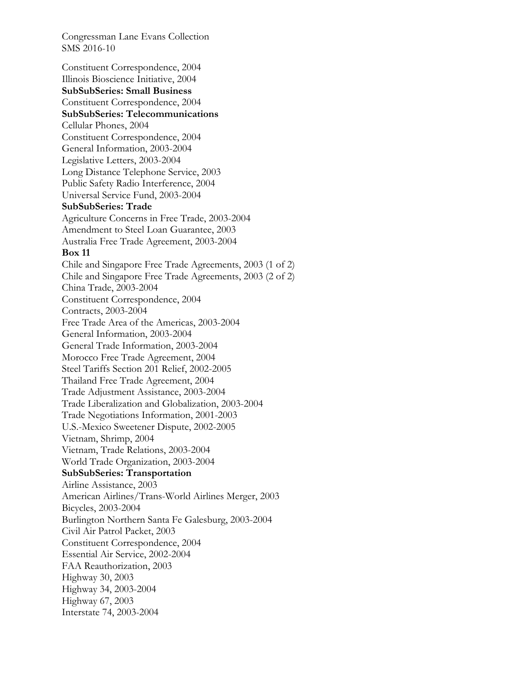Constituent Correspondence, 2004 Illinois Bioscience Initiative, 2004 **SubSubSeries: Small Business**  Constituent Correspondence, 2004 **SubSubSeries: Telecommunications**  Cellular Phones, 2004 Constituent Correspondence, 2004 General Information, 2003-2004 Legislative Letters, 2003-2004 Long Distance Telephone Service, 2003 Public Safety Radio Interference, 2004 Universal Service Fund, 2003-2004 **SubSubSeries: Trade**  Agriculture Concerns in Free Trade, 2003-2004 Amendment to Steel Loan Guarantee, 2003 Australia Free Trade Agreement, 2003-2004 **Box 11**  Chile and Singapore Free Trade Agreements, 2003 (1 of 2) Chile and Singapore Free Trade Agreements, 2003 (2 of 2) China Trade, 2003-2004 Constituent Correspondence, 2004 Contracts, 2003-2004 Free Trade Area of the Americas, 2003-2004 General Information, 2003-2004 General Trade Information, 2003-2004 Morocco Free Trade Agreement, 2004 Steel Tariffs Section 201 Relief, 2002-2005 Thailand Free Trade Agreement, 2004 Trade Adjustment Assistance, 2003-2004 Trade Liberalization and Globalization, 2003-2004 Trade Negotiations Information, 2001-2003 U.S.-Mexico Sweetener Dispute, 2002-2005 Vietnam, Shrimp, 2004 Vietnam, Trade Relations, 2003-2004 World Trade Organization, 2003-2004 **SubSubSeries: Transportation**  Airline Assistance, 2003 American Airlines/Trans-World Airlines Merger, 2003 Bicycles, 2003-2004 Burlington Northern Santa Fe Galesburg, 2003-2004 Civil Air Patrol Packet, 2003 Constituent Correspondence, 2004 Essential Air Service, 2002-2004 FAA Reauthorization, 2003 Highway 30, 2003 Highway 34, 2003-2004 Highway 67, 2003 Interstate 74, 2003-2004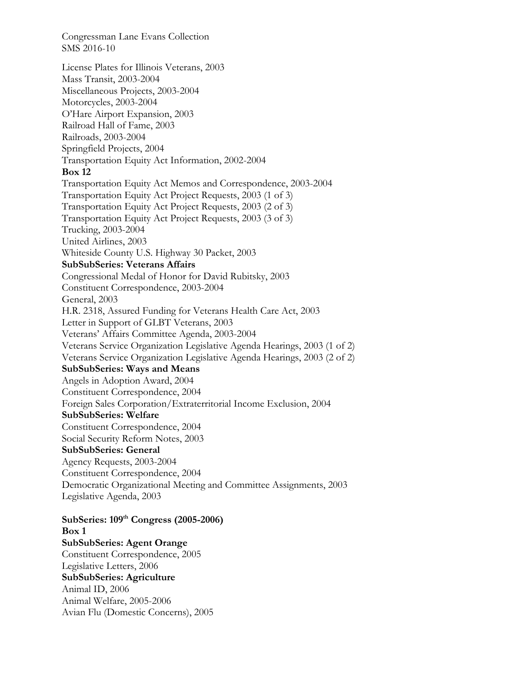Congressman Lane Evans Collection SMS 2016-10 License Plates for Illinois Veterans, 2003 Mass Transit, 2003-2004 Miscellaneous Projects, 2003-2004 Motorcycles, 2003-2004 O'Hare Airport Expansion, 2003 Railroad Hall of Fame, 2003 Railroads, 2003-2004 Springfield Projects, 2004 Transportation Equity Act Information, 2002-2004 **Box 12**  Transportation Equity Act Memos and Correspondence, 2003-2004 Transportation Equity Act Project Requests, 2003 (1 of 3) Transportation Equity Act Project Requests, 2003 (2 of 3) Transportation Equity Act Project Requests, 2003 (3 of 3) Trucking, 2003-2004 United Airlines, 2003 Whiteside County U.S. Highway 30 Packet, 2003 **SubSubSeries: Veterans Affairs**  Congressional Medal of Honor for David Rubitsky, 2003 Constituent Correspondence, 2003-2004 General, 2003 H.R. 2318, Assured Funding for Veterans Health Care Act, 2003 Letter in Support of GLBT Veterans, 2003 Veterans' Affairs Committee Agenda, 2003-2004 Veterans Service Organization Legislative Agenda Hearings, 2003 (1 of 2) Veterans Service Organization Legislative Agenda Hearings, 2003 (2 of 2) **SubSubSeries: Ways and Means**  Angels in Adoption Award, 2004 Constituent Correspondence, 2004 Foreign Sales Corporation/Extraterritorial Income Exclusion, 2004 **SubSubSeries: Welfare**  Constituent Correspondence, 2004 Social Security Reform Notes, 2003 **SubSubSeries: General**  Agency Requests, 2003-2004 Constituent Correspondence, 2004 Democratic Organizational Meeting and Committee Assignments, 2003 Legislative Agenda, 2003 **SubSeries: 109th Congress (2005-2006)** 

**Box 1 SubSubSeries: Agent Orange**  Constituent Correspondence, 2005 Legislative Letters, 2006 **SubSubSeries: Agriculture**  Animal ID, 2006 Animal Welfare, 2005-2006 Avian Flu (Domestic Concerns), 2005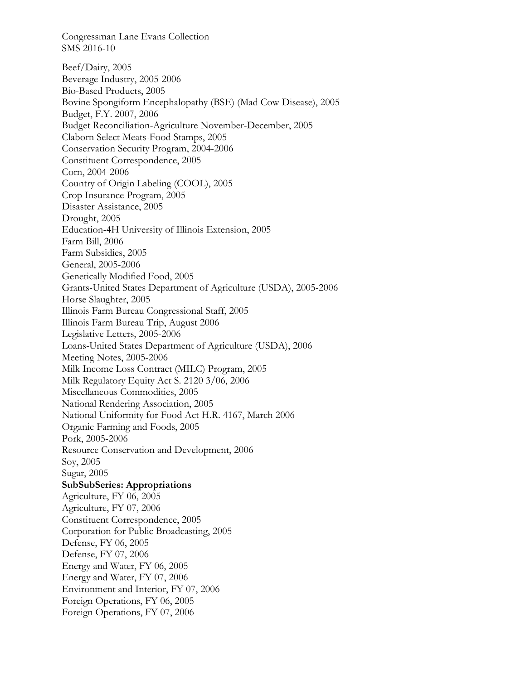Beef/Dairy, 2005 Beverage Industry, 2005-2006 Bio-Based Products, 2005 Bovine Spongiform Encephalopathy (BSE) (Mad Cow Disease), 2005 Budget, F.Y. 2007, 2006 Budget Reconciliation-Agriculture November-December, 2005 Claborn Select Meats-Food Stamps, 2005 Conservation Security Program, 2004-2006 Constituent Correspondence, 2005 Corn, 2004-2006 Country of Origin Labeling (COOL), 2005 Crop Insurance Program, 2005 Disaster Assistance, 2005 Drought, 2005 Education-4H University of Illinois Extension, 2005 Farm Bill, 2006 Farm Subsidies, 2005 General, 2005-2006 Genetically Modified Food, 2005 Grants-United States Department of Agriculture (USDA), 2005-2006 Horse Slaughter, 2005 Illinois Farm Bureau Congressional Staff, 2005 Illinois Farm Bureau Trip, August 2006 Legislative Letters, 2005-2006 Loans-United States Department of Agriculture (USDA), 2006 Meeting Notes, 2005-2006 Milk Income Loss Contract (MILC) Program, 2005 Milk Regulatory Equity Act S. 2120 3/06, 2006 Miscellaneous Commodities, 2005 National Rendering Association, 2005 National Uniformity for Food Act H.R. 4167, March 2006 Organic Farming and Foods, 2005 Pork, 2005-2006 Resource Conservation and Development, 2006 Soy, 2005 Sugar, 2005 **SubSubSeries: Appropriations**  Agriculture, FY 06, 2005 Agriculture, FY 07, 2006 Constituent Correspondence, 2005 Corporation for Public Broadcasting, 2005 Defense, FY 06, 2005 Defense, FY 07, 2006 Energy and Water, FY 06, 2005 Energy and Water, FY 07, 2006 Environment and Interior, FY 07, 2006 Foreign Operations, FY 06, 2005 Foreign Operations, FY 07, 2006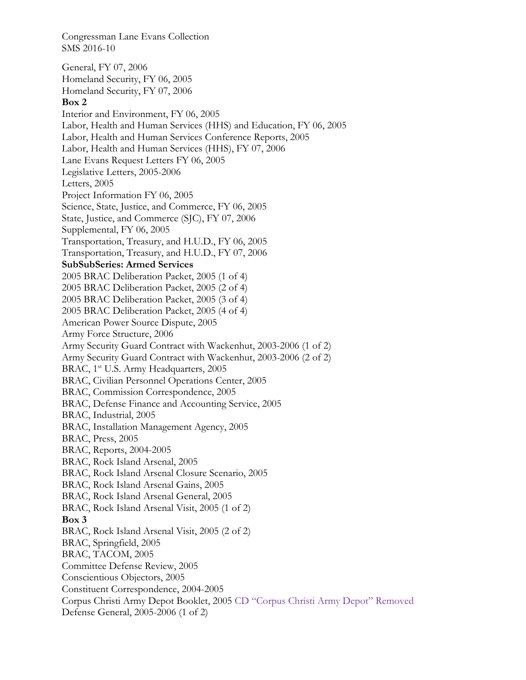Congressman Lane Evans Collection SMS 2016-10 General, FY 07, 2006 Homeland Security, FY 06, 2005 Homeland Security, FY 07, 2006 **Box 2**  Interior and Environment, FY 06, 2005 Labor, Health and Human Services (HHS) and Education, FY 06, 2005 Labor, Health and Human Services Conference Reports, 2005 Labor, Health and Human Services (HHS), FY 07, 2006 Lane Evans Request Letters FY 06, 2005 Legislative Letters, 2005-2006 Letters, 2005 Project Information FY 06, 2005 Science, State, Justice, and Commerce, FY 06, 2005 State, Justice, and Commerce (SJC), FY 07, 2006 Supplemental, FY 06, 2005 Transportation, Treasury, and H.U.D., FY 06, 2005 Transportation, Treasury, and H.U.D., FY 07, 2006 **SubSubSeries: Armed Services**  2005 BRAC Deliberation Packet, 2005 (1 of 4) 2005 BRAC Deliberation Packet, 2005 (2 of 4) 2005 BRAC Deliberation Packet, 2005 (3 of 4) 2005 BRAC Deliberation Packet, 2005 (4 of 4) American Power Source Dispute, 2005 Army Force Structure, 2006 Army Security Guard Contract with Wackenhut, 2003-2006 (1 of 2) Army Security Guard Contract with Wackenhut, 2003-2006 (2 of 2) BRAC, 1<sup>st</sup> U.S. Army Headquarters, 2005 BRAC, Civilian Personnel Operations Center, 2005 BRAC, Commission Correspondence, 2005 BRAC, Defense Finance and Accounting Service, 2005 BRAC, Industrial, 2005 BRAC, Installation Management Agency, 2005 BRAC, Press, 2005 BRAC, Reports, 2004-2005 BRAC, Rock Island Arsenal, 2005 BRAC, Rock Island Arsenal Closure Scenario, 2005 BRAC, Rock Island Arsenal Gains, 2005 BRAC, Rock Island Arsenal General, 2005 BRAC, Rock Island Arsenal Visit, 2005 (1 of 2) **Box 3**  BRAC, Rock Island Arsenal Visit, 2005 (2 of 2) BRAC, Springfield, 2005 BRAC, TACOM, 2005 Committee Defense Review, 2005 Conscientious Objectors, 2005 Constituent Correspondence, 2004-2005 Corpus Christi Army Depot Booklet, 2005 CD "Corpus Christi Army Depot" Removed Defense General, 2005-2006 (1 of 2)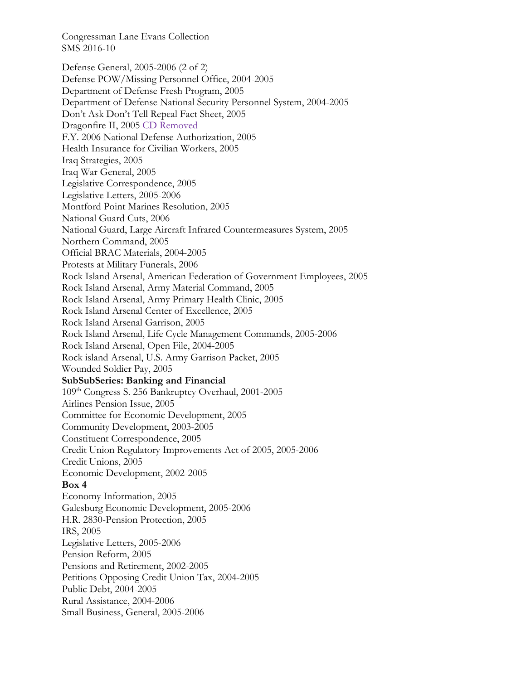Defense General, 2005-2006 (2 of 2) Defense POW/Missing Personnel Office, 2004-2005 Department of Defense Fresh Program, 2005 Department of Defense National Security Personnel System, 2004-2005 Don't Ask Don't Tell Repeal Fact Sheet, 2005 Dragonfire II, 2005 CD Removed F.Y. 2006 National Defense Authorization, 2005 Health Insurance for Civilian Workers, 2005 Iraq Strategies, 2005 Iraq War General, 2005 Legislative Correspondence, 2005 Legislative Letters, 2005-2006 Montford Point Marines Resolution, 2005 National Guard Cuts, 2006 National Guard, Large Aircraft Infrared Countermeasures System, 2005 Northern Command, 2005 Official BRAC Materials, 2004-2005 Protests at Military Funerals, 2006 Rock Island Arsenal, American Federation of Government Employees, 2005 Rock Island Arsenal, Army Material Command, 2005 Rock Island Arsenal, Army Primary Health Clinic, 2005 Rock Island Arsenal Center of Excellence, 2005 Rock Island Arsenal Garrison, 2005 Rock Island Arsenal, Life Cycle Management Commands, 2005-2006 Rock Island Arsenal, Open File, 2004-2005 Rock island Arsenal, U.S. Army Garrison Packet, 2005 Wounded Soldier Pay, 2005 **SubSubSeries: Banking and Financial**  109th Congress S. 256 Bankruptcy Overhaul, 2001-2005 Airlines Pension Issue, 2005 Committee for Economic Development, 2005 Community Development, 2003-2005 Constituent Correspondence, 2005 Credit Union Regulatory Improvements Act of 2005, 2005-2006 Credit Unions, 2005 Economic Development, 2002-2005 **Box 4**  Economy Information, 2005 Galesburg Economic Development, 2005-2006 H.R. 2830-Pension Protection, 2005 IRS, 2005 Legislative Letters, 2005-2006 Pension Reform, 2005 Pensions and Retirement, 2002-2005 Petitions Opposing Credit Union Tax, 2004-2005 Public Debt, 2004-2005 Rural Assistance, 2004-2006 Small Business, General, 2005-2006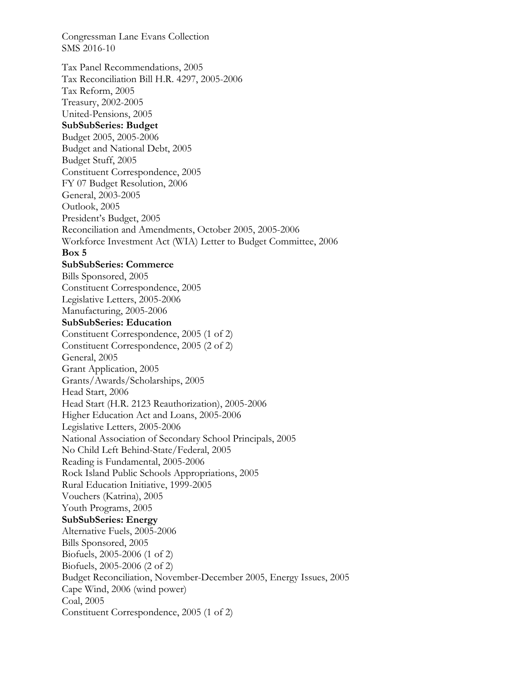Congressman Lane Evans Collection SMS 2016-10 Tax Panel Recommendations, 2005 Tax Reconciliation Bill H.R. 4297, 2005-2006 Tax Reform, 2005 Treasury, 2002-2005 United-Pensions, 2005 **SubSubSeries: Budget**  Budget 2005, 2005-2006 Budget and National Debt, 2005 Budget Stuff, 2005 Constituent Correspondence, 2005 FY 07 Budget Resolution, 2006 General, 2003-2005 Outlook, 2005 President's Budget, 2005 Reconciliation and Amendments, October 2005, 2005-2006 Workforce Investment Act (WIA) Letter to Budget Committee, 2006 **Box 5 SubSubSeries: Commerce**  Bills Sponsored, 2005 Constituent Correspondence, 2005 Legislative Letters, 2005-2006 Manufacturing, 2005-2006 **SubSubSeries: Education**  Constituent Correspondence, 2005 (1 of 2) Constituent Correspondence, 2005 (2 of 2) General, 2005 Grant Application, 2005 Grants/Awards/Scholarships, 2005 Head Start, 2006 Head Start (H.R. 2123 Reauthorization), 2005-2006 Higher Education Act and Loans, 2005-2006 Legislative Letters, 2005-2006 National Association of Secondary School Principals, 2005 No Child Left Behind-State/Federal, 2005 Reading is Fundamental, 2005-2006 Rock Island Public Schools Appropriations, 2005 Rural Education Initiative, 1999-2005 Vouchers (Katrina), 2005 Youth Programs, 2005 **SubSubSeries: Energy**  Alternative Fuels, 2005-2006 Bills Sponsored, 2005 Biofuels, 2005-2006 (1 of 2) Biofuels, 2005-2006 (2 of 2) Budget Reconciliation, November-December 2005, Energy Issues, 2005 Cape Wind, 2006 (wind power) Coal, 2005 Constituent Correspondence, 2005 (1 of 2)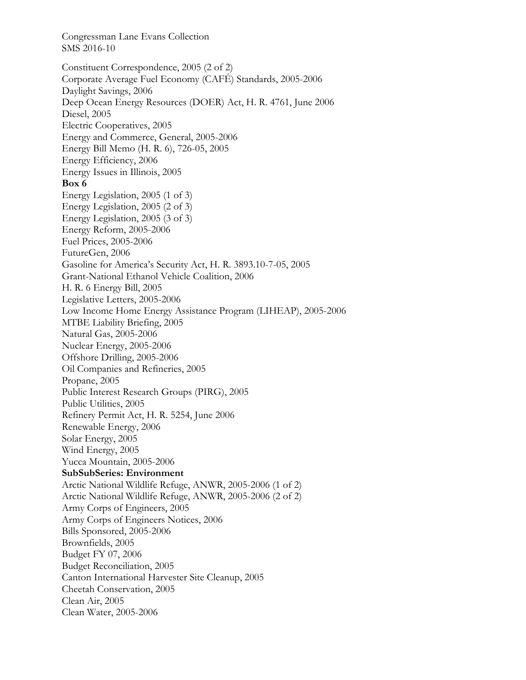Constituent Correspondence, 2005 (2 of 2) Corporate Average Fuel Economy (CAFÉ) Standards, 2005-2006 Daylight Savings, 2006 Deep Ocean Energy Resources (DOER) Act, H. R. 4761, June 2006 Diesel, 2005 Electric Cooperatives, 2005 Energy and Commerce, General, 2005-2006 Energy Bill Memo (H. R. 6), 726-05, 2005 Energy Efficiency, 2006 Energy Issues in Illinois, 2005 **Box 6**  Energy Legislation, 2005 (1 of 3) Energy Legislation, 2005 (2 of 3) Energy Legislation, 2005 (3 of 3) Energy Reform, 2005-2006 Fuel Prices, 2005-2006 FutureGen, 2006 Gasoline for America's Security Act, H. R. 3893.10-7-05, 2005 Grant-National Ethanol Vehicle Coalition, 2006 H. R. 6 Energy Bill, 2005 Legislative Letters, 2005-2006 Low Income Home Energy Assistance Program (LIHEAP), 2005-2006 MTBE Liability Briefing, 2005 Natural Gas, 2005-2006 Nuclear Energy, 2005-2006 Offshore Drilling, 2005-2006 Oil Companies and Refineries, 2005 Propane, 2005 Public Interest Research Groups (PIRG), 2005 Public Utilities, 2005 Refinery Permit Act, H. R. 5254, June 2006 Renewable Energy, 2006 Solar Energy, 2005 Wind Energy, 2005 Yucca Mountain, 2005-2006 **SubSubSeries: Environment**  Arctic National Wildlife Refuge, ANWR, 2005-2006 (1 of 2) Arctic National Wildlife Refuge, ANWR, 2005-2006 (2 of 2) Army Corps of Engineers, 2005 Army Corps of Engineers Notices, 2006 Bills Sponsored, 2005-2006 Brownfields, 2005 Budget FY 07, 2006 Budget Reconciliation, 2005 Canton International Harvester Site Cleanup, 2005 Cheetah Conservation, 2005 Clean Air, 2005 Clean Water, 2005-2006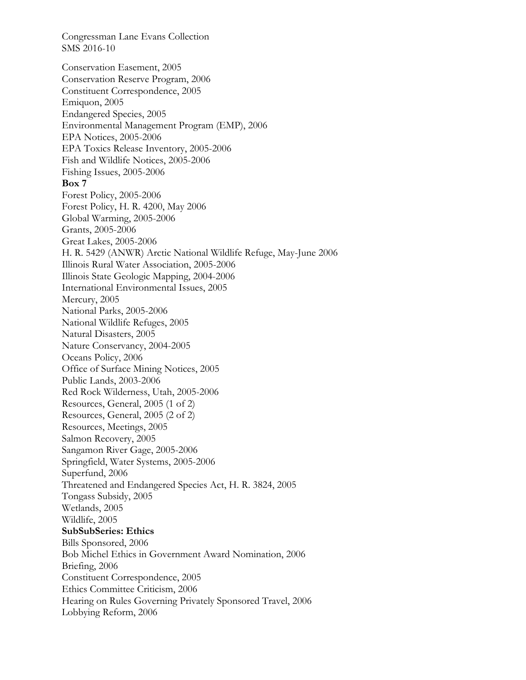Congressman Lane Evans Collection SMS 2016-10 Conservation Easement, 2005 Conservation Reserve Program, 2006 Constituent Correspondence, 2005 Emiquon, 2005 Endangered Species, 2005 Environmental Management Program (EMP), 2006 EPA Notices, 2005-2006

EPA Toxics Release Inventory, 2005-2006 Fish and Wildlife Notices, 2005-2006

Fishing Issues, 2005-2006

**Box 7** 

Forest Policy, 2005-2006 Forest Policy, H. R. 4200, May 2006 Global Warming, 2005-2006 Grants, 2005-2006 Great Lakes, 2005-2006 H. R. 5429 (ANWR) Arctic National Wildlife Refuge, May-June 2006 Illinois Rural Water Association, 2005-2006 Illinois State Geologic Mapping, 2004-2006 International Environmental Issues, 2005 Mercury, 2005 National Parks, 2005-2006 National Wildlife Refuges, 2005 Natural Disasters, 2005 Nature Conservancy, 2004-2005 Oceans Policy, 2006 Office of Surface Mining Notices, 2005 Public Lands, 2003-2006 Red Rock Wilderness, Utah, 2005-2006 Resources, General, 2005 (1 of 2) Resources, General, 2005 (2 of 2)

Sangamon River Gage, 2005-2006 Springfield, Water Systems, 2005-2006 Superfund, 2006 Threatened and Endangered Species Act, H. R. 3824, 2005 Tongass Subsidy, 2005 Wetlands, 2005 Wildlife, 2005 **SubSubSeries: Ethics**  Bills Sponsored, 2006 Bob Michel Ethics in Government Award Nomination, 2006 Briefing, 2006 Constituent Correspondence, 2005 Ethics Committee Criticism, 2006 Hearing on Rules Governing Privately Sponsored Travel, 2006

Lobbying Reform, 2006

Resources, Meetings, 2005 Salmon Recovery, 2005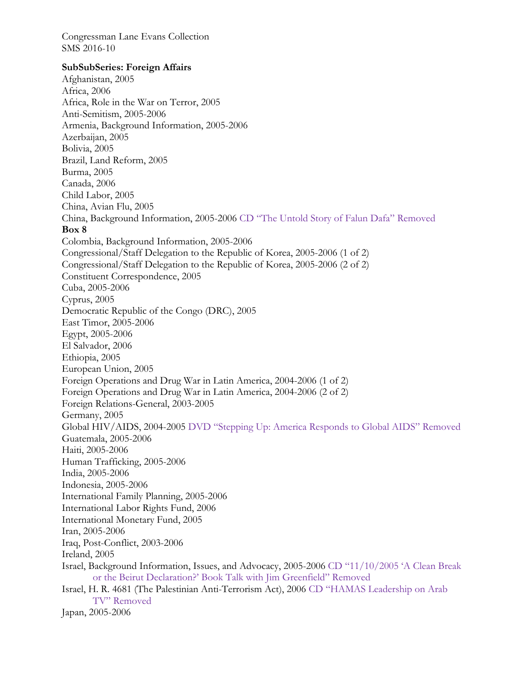### **SubSubSeries: Foreign Affairs**

Afghanistan, 2005 Africa, 2006 Africa, Role in the War on Terror, 2005 Anti-Semitism, 2005-2006 Armenia, Background Information, 2005-2006 Azerbaijan, 2005 Bolivia, 2005 Brazil, Land Reform, 2005 Burma, 2005 Canada, 2006 Child Labor, 2005 China, Avian Flu, 2005 China, Background Information, 2005-2006 CD "The Untold Story of Falun Dafa" Removed **Box 8**  Colombia, Background Information, 2005-2006 Congressional/Staff Delegation to the Republic of Korea, 2005-2006 (1 of 2) Congressional/Staff Delegation to the Republic of Korea, 2005-2006 (2 of 2) Constituent Correspondence, 2005 Cuba, 2005-2006 Cyprus, 2005 Democratic Republic of the Congo (DRC), 2005 East Timor, 2005-2006 Egypt, 2005-2006 El Salvador, 2006 Ethiopia, 2005 European Union, 2005 Foreign Operations and Drug War in Latin America, 2004-2006 (1 of 2) Foreign Operations and Drug War in Latin America, 2004-2006 (2 of 2) Foreign Relations-General, 2003-2005 Germany, 2005 Global HIV/AIDS, 2004-2005 DVD "Stepping Up: America Responds to Global AIDS" Removed Guatemala, 2005-2006 Haiti, 2005-2006 Human Trafficking, 2005-2006 India, 2005-2006 Indonesia, 2005-2006 International Family Planning, 2005-2006 International Labor Rights Fund, 2006 International Monetary Fund, 2005 Iran, 2005-2006 Iraq, Post-Conflict, 2003-2006 Ireland, 2005 Israel, Background Information, Issues, and Advocacy, 2005-2006 CD "11/10/2005 'A Clean Break or the Beirut Declaration?' Book Talk with Jim Greenfield" Removed Israel, H. R. 4681 (The Palestinian Anti-Terrorism Act), 2006 CD "HAMAS Leadership on Arab TV" Removed Japan, 2005-2006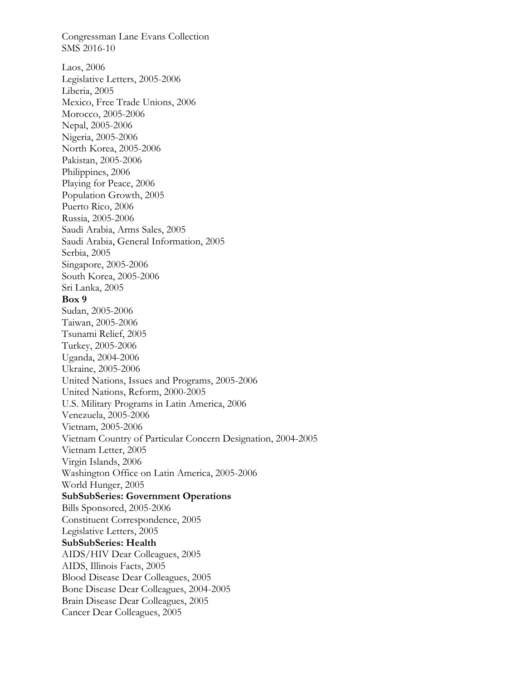Congressman Lane Evans Collection SMS 2016-10 Laos, 2006 Legislative Letters, 2005-2006 Liberia, 2005 Mexico, Free Trade Unions, 2006 Morocco, 2005-2006 Nepal, 2005-2006 Nigeria, 2005-2006 North Korea, 2005-2006 Pakistan, 2005-2006 Philippines, 2006 Playing for Peace, 2006 Population Growth, 2005 Puerto Rico, 2006 Russia, 2005-2006 Saudi Arabia, Arms Sales, 2005 Saudi Arabia, General Information, 2005 Serbia, 2005 Singapore, 2005-2006 South Korea, 2005-2006 Sri Lanka, 2005 **Box 9**  Sudan, 2005-2006 Taiwan, 2005-2006 Tsunami Relief, 2005 Turkey, 2005-2006 Uganda, 2004-2006 Ukraine, 2005-2006 United Nations, Issues and Programs, 2005-2006 United Nations, Reform, 2000-2005 U.S. Military Programs in Latin America, 2006 Venezuela, 2005-2006 Vietnam, 2005-2006 Vietnam Country of Particular Concern Designation, 2004-2005 Vietnam Letter, 2005 Virgin Islands, 2006 Washington Office on Latin America, 2005-2006 World Hunger, 2005 **SubSubSeries: Government Operations**  Bills Sponsored, 2005-2006 Constituent Correspondence, 2005 Legislative Letters, 2005 **SubSubSeries: Health**  AIDS/HIV Dear Colleagues, 2005 AIDS, Illinois Facts, 2005 Blood Disease Dear Colleagues, 2005 Bone Disease Dear Colleagues, 2004-2005 Brain Disease Dear Colleagues, 2005 Cancer Dear Colleagues, 2005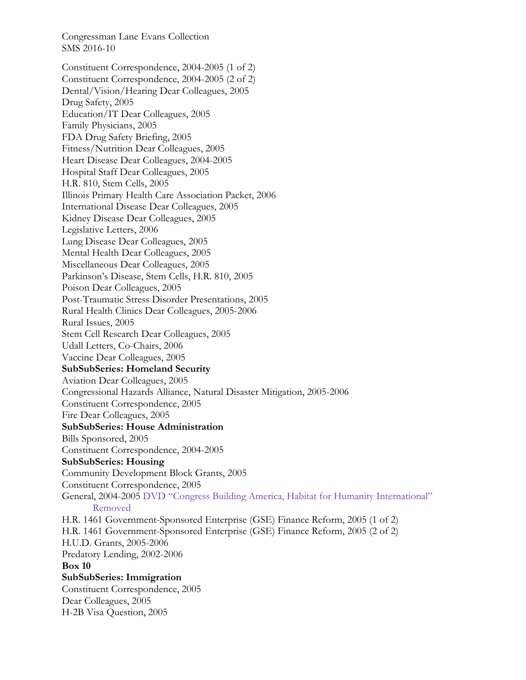Constituent Correspondence, 2004-2005 (1 of 2) Constituent Correspondence, 2004-2005 (2 of 2) Dental/Vision/Hearing Dear Colleagues, 2005 Drug Safety, 2005 Education/IT Dear Colleagues, 2005 Family Physicians, 2005 FDA Drug Safety Briefing, 2005 Fitness/Nutrition Dear Colleagues, 2005 Heart Disease Dear Colleagues, 2004-2005 Hospital Staff Dear Colleagues, 2005 H.R. 810, Stem Cells, 2005 Illinois Primary Health Care Association Packet, 2006 International Disease Dear Colleagues, 2005 Kidney Disease Dear Colleagues, 2005 Legislative Letters, 2006 Lung Disease Dear Colleagues, 2005 Mental Health Dear Colleagues, 2005 Miscellaneous Dear Colleagues, 2005 Parkinson's Disease, Stem Cells, H.R. 810, 2005 Poison Dear Colleagues, 2005 Post-Traumatic Stress Disorder Presentations, 2005 Rural Health Clinics Dear Colleagues, 2005-2006 Rural Issues, 2005 Stem Cell Research Dear Colleagues, 2005 Udall Letters, Co-Chairs, 2006 Vaccine Dear Colleagues, 2005 **SubSubSeries: Homeland Security**  Aviation Dear Colleagues, 2005 Congressional Hazards Alliance, Natural Disaster Mitigation, 2005-2006 Constituent Correspondence, 2005 Fire Dear Colleagues, 2005 **SubSubSeries: House Administration**  Bills Sponsored, 2005 Constituent Correspondence, 2004-2005 **SubSubSeries: Housing**  Community Development Block Grants, 2005 Constituent Correspondence, 2005 General, 2004-2005 DVD "Congress Building America, Habitat for Humanity International" Removed H.R. 1461 Government-Sponsored Enterprise (GSE) Finance Reform, 2005 (1 of 2) H.R. 1461 Government-Sponsored Enterprise (GSE) Finance Reform, 2005 (2 of 2) H.U.D. Grants, 2005-2006 Predatory Lending, 2002-2006 **Box 10 SubSubSeries: Immigration**  Constituent Correspondence, 2005 Dear Colleagues, 2005 H-2B Visa Question, 2005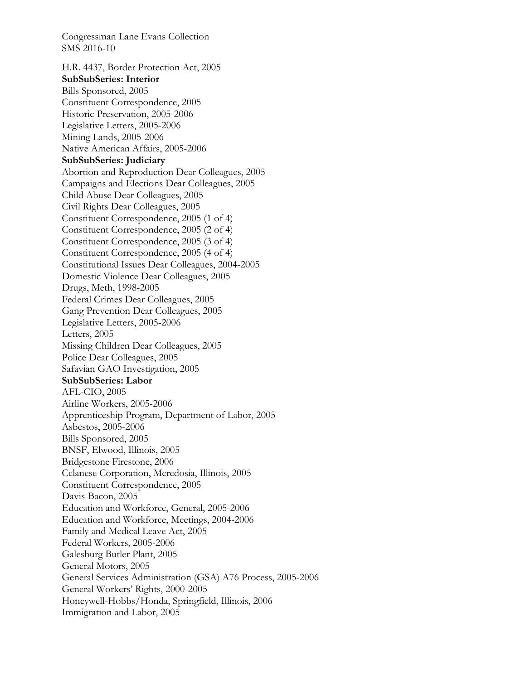H.R. 4437, Border Protection Act, 2005 **SubSubSeries: Interior**  Bills Sponsored, 2005 Constituent Correspondence, 2005 Historic Preservation, 2005-2006 Legislative Letters, 2005-2006 Mining Lands, 2005-2006 Native American Affairs, 2005-2006 **SubSubSeries: Judiciary**  Abortion and Reproduction Dear Colleagues, 2005 Campaigns and Elections Dear Colleagues, 2005 Child Abuse Dear Colleagues, 2005 Civil Rights Dear Colleagues, 2005 Constituent Correspondence, 2005 (1 of 4) Constituent Correspondence, 2005 (2 of 4) Constituent Correspondence, 2005 (3 of 4) Constituent Correspondence, 2005 (4 of 4) Constitutional Issues Dear Colleagues, 2004-2005 Domestic Violence Dear Colleagues, 2005 Drugs, Meth, 1998-2005 Federal Crimes Dear Colleagues, 2005 Gang Prevention Dear Colleagues, 2005 Legislative Letters, 2005-2006 Letters, 2005 Missing Children Dear Colleagues, 2005 Police Dear Colleagues, 2005 Safavian GAO Investigation, 2005 **SubSubSeries: Labor**  AFL-CIO, 2005 Airline Workers, 2005-2006 Apprenticeship Program, Department of Labor, 2005 Asbestos, 2005-2006 Bills Sponsored, 2005 BNSF, Elwood, Illinois, 2005 Bridgestone Firestone, 2006 Celanese Corporation, Meredosia, Illinois, 2005 Constituent Correspondence, 2005 Davis-Bacon, 2005 Education and Workforce, General, 2005-2006 Education and Workforce, Meetings, 2004-2006 Family and Medical Leave Act, 2005 Federal Workers, 2005-2006 Galesburg Butler Plant, 2005 General Motors, 2005 General Services Administration (GSA) A76 Process, 2005-2006 General Workers' Rights, 2000-2005 Honeywell-Hobbs/Honda, Springfield, Illinois, 2006 Immigration and Labor, 2005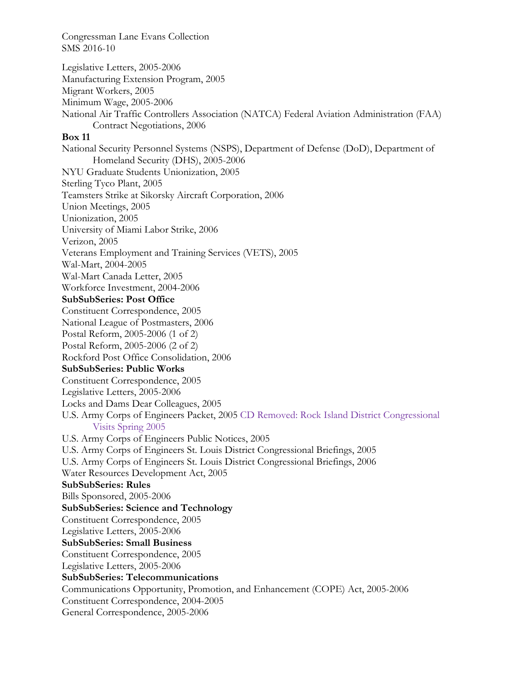Legislative Letters, 2005-2006 Manufacturing Extension Program, 2005 Migrant Workers, 2005 Minimum Wage, 2005-2006 National Air Traffic Controllers Association (NATCA) Federal Aviation Administration (FAA) Contract Negotiations, 2006 **Box 11**  National Security Personnel Systems (NSPS), Department of Defense (DoD), Department of Homeland Security (DHS), 2005-2006 NYU Graduate Students Unionization, 2005 Sterling Tyco Plant, 2005 Teamsters Strike at Sikorsky Aircraft Corporation, 2006 Union Meetings, 2005 Unionization, 2005 University of Miami Labor Strike, 2006 Verizon, 2005 Veterans Employment and Training Services (VETS), 2005 Wal-Mart, 2004-2005 Wal-Mart Canada Letter, 2005 Workforce Investment, 2004-2006 **SubSubSeries: Post Office**  Constituent Correspondence, 2005 National League of Postmasters, 2006 Postal Reform, 2005-2006 (1 of 2) Postal Reform, 2005-2006 (2 of 2) Rockford Post Office Consolidation, 2006 **SubSubSeries: Public Works**  Constituent Correspondence, 2005 Legislative Letters, 2005-2006 Locks and Dams Dear Colleagues, 2005 U.S. Army Corps of Engineers Packet, 2005 CD Removed: Rock Island District Congressional Visits Spring 2005 U.S. Army Corps of Engineers Public Notices, 2005 U.S. Army Corps of Engineers St. Louis District Congressional Briefings, 2005 U.S. Army Corps of Engineers St. Louis District Congressional Briefings, 2006 Water Resources Development Act, 2005 **SubSubSeries: Rules**  Bills Sponsored, 2005-2006 **SubSubSeries: Science and Technology**  Constituent Correspondence, 2005 Legislative Letters, 2005-2006 **SubSubSeries: Small Business**  Constituent Correspondence, 2005 Legislative Letters, 2005-2006 **SubSubSeries: Telecommunications**  Communications Opportunity, Promotion, and Enhancement (COPE) Act, 2005-2006 Constituent Correspondence, 2004-2005

General Correspondence, 2005-2006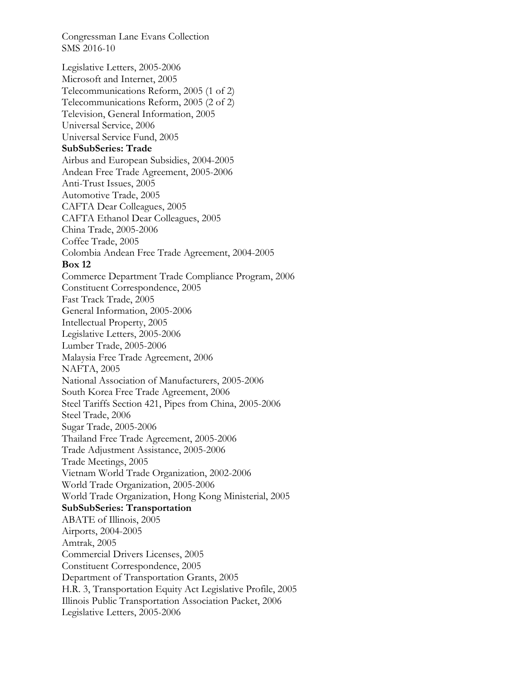Legislative Letters, 2005-2006 Microsoft and Internet, 2005 Telecommunications Reform, 2005 (1 of 2) Telecommunications Reform, 2005 (2 of 2) Television, General Information, 2005 Universal Service, 2006 Universal Service Fund, 2005 **SubSubSeries: Trade**  Airbus and European Subsidies, 2004-2005 Andean Free Trade Agreement, 2005-2006 Anti-Trust Issues, 2005 Automotive Trade, 2005 CAFTA Dear Colleagues, 2005 CAFTA Ethanol Dear Colleagues, 2005 China Trade, 2005-2006 Coffee Trade, 2005 Colombia Andean Free Trade Agreement, 2004-2005 **Box 12**  Commerce Department Trade Compliance Program, 2006 Constituent Correspondence, 2005 Fast Track Trade, 2005 General Information, 2005-2006 Intellectual Property, 2005 Legislative Letters, 2005-2006 Lumber Trade, 2005-2006 Malaysia Free Trade Agreement, 2006 NAFTA, 2005 National Association of Manufacturers, 2005-2006 South Korea Free Trade Agreement, 2006 Steel Tariffs Section 421, Pipes from China, 2005-2006 Steel Trade, 2006 Sugar Trade, 2005-2006 Thailand Free Trade Agreement, 2005-2006 Trade Adjustment Assistance, 2005-2006 Trade Meetings, 2005 Vietnam World Trade Organization, 2002-2006 World Trade Organization, 2005-2006 World Trade Organization, Hong Kong Ministerial, 2005 **SubSubSeries: Transportation**  ABATE of Illinois, 2005 Airports, 2004-2005 Amtrak, 2005 Commercial Drivers Licenses, 2005 Constituent Correspondence, 2005 Department of Transportation Grants, 2005 H.R. 3, Transportation Equity Act Legislative Profile, 2005 Illinois Public Transportation Association Packet, 2006 Legislative Letters, 2005-2006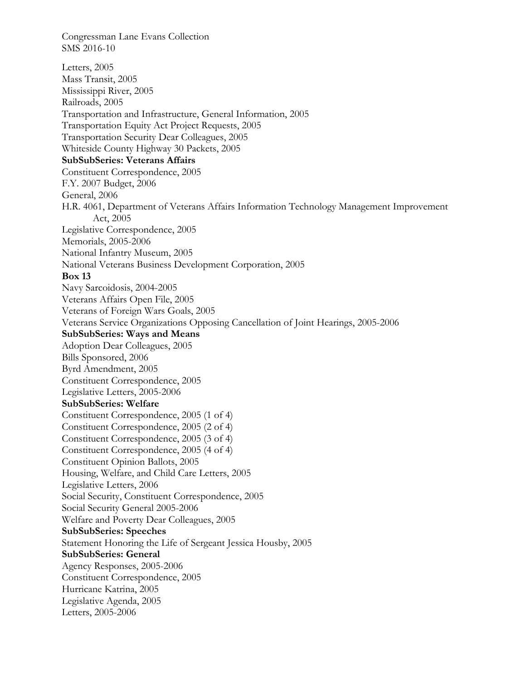SMS 2016-10 Letters, 2005 Mass Transit, 2005 Mississippi River, 2005 Railroads, 2005 Transportation and Infrastructure, General Information, 2005 Transportation Equity Act Project Requests, 2005 Transportation Security Dear Colleagues, 2005 Whiteside County Highway 30 Packets, 2005 **SubSubSeries: Veterans Affairs**  Constituent Correspondence, 2005 F.Y. 2007 Budget, 2006 General, 2006 H.R. 4061, Department of Veterans Affairs Information Technology Management Improvement Act, 2005 Legislative Correspondence, 2005 Memorials, 2005-2006 National Infantry Museum, 2005 National Veterans Business Development Corporation, 2005 **Box 13**  Navy Sarcoidosis, 2004-2005 Veterans Affairs Open File, 2005 Veterans of Foreign Wars Goals, 2005 Veterans Service Organizations Opposing Cancellation of Joint Hearings, 2005-2006 **SubSubSeries: Ways and Means**  Adoption Dear Colleagues, 2005 Bills Sponsored, 2006 Byrd Amendment, 2005 Constituent Correspondence, 2005 Legislative Letters, 2005-2006 **SubSubSeries: Welfare**  Constituent Correspondence, 2005 (1 of 4) Constituent Correspondence, 2005 (2 of 4) Constituent Correspondence, 2005 (3 of 4) Constituent Correspondence, 2005 (4 of 4) Constituent Opinion Ballots, 2005 Housing, Welfare, and Child Care Letters, 2005 Legislative Letters, 2006 Social Security, Constituent Correspondence, 2005 Social Security General 2005-2006 Welfare and Poverty Dear Colleagues, 2005 **SubSubSeries: Speeches**  Statement Honoring the Life of Sergeant Jessica Housby, 2005 **SubSubSeries: General**  Agency Responses, 2005-2006 Constituent Correspondence, 2005 Hurricane Katrina, 2005 Legislative Agenda, 2005 Letters, 2005-2006

Congressman Lane Evans Collection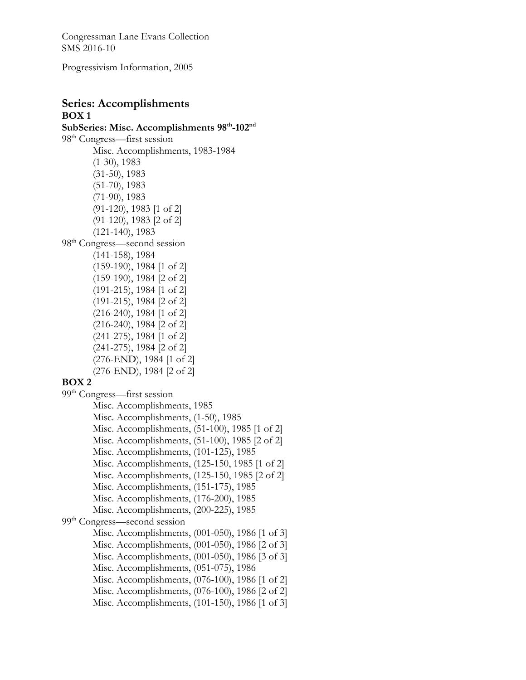Progressivism Information, 2005

## **Series: Accomplishments BOX 1**

**SubSeries: Misc. Accomplishments 98th-102nd**  98th Congress—first session Misc. Accomplishments, 1983-1984 (1-30), 1983 (31-50), 1983 (51-70), 1983 (71-90), 1983 (91-120), 1983 [1 of 2] (91-120), 1983 [2 of 2] (121-140), 1983 98<sup>th</sup> Congress—second session (141-158), 1984 (159-190), 1984 [1 of 2] (159-190), 1984 [2 of 2] (191-215), 1984 [1 of 2] (191-215), 1984 [2 of 2] (216-240), 1984 [1 of 2] (216-240), 1984 [2 of 2] (241-275), 1984 [1 of 2] (241-275), 1984 [2 of 2] (276-END), 1984 [1 of 2] (276-END), 1984 [2 of 2] **BOX 2** 99th Congress—first session Misc. Accomplishments, 1985 Misc. Accomplishments, (1-50), 1985 Misc. Accomplishments, (51-100), 1985 [1 of 2] Misc. Accomplishments, (51-100), 1985 [2 of 2] Misc. Accomplishments, (101-125), 1985 Misc. Accomplishments, (125-150, 1985 [1 of 2] Misc. Accomplishments, (125-150, 1985 [2 of 2] Misc. Accomplishments, (151-175), 1985 Misc. Accomplishments, (176-200), 1985 Misc. Accomplishments, (200-225), 1985 99<sup>th</sup> Congress—second session Misc. Accomplishments, (001-050), 1986 [1 of 3] Misc. Accomplishments, (001-050), 1986 [2 of 3] Misc. Accomplishments, (001-050), 1986 [3 of 3] Misc. Accomplishments, (051-075), 1986

Misc. Accomplishments, (076-100), 1986 [1 of 2]

Misc. Accomplishments, (076-100), 1986 [2 of 2]

Misc. Accomplishments, (101-150), 1986 [1 of 3]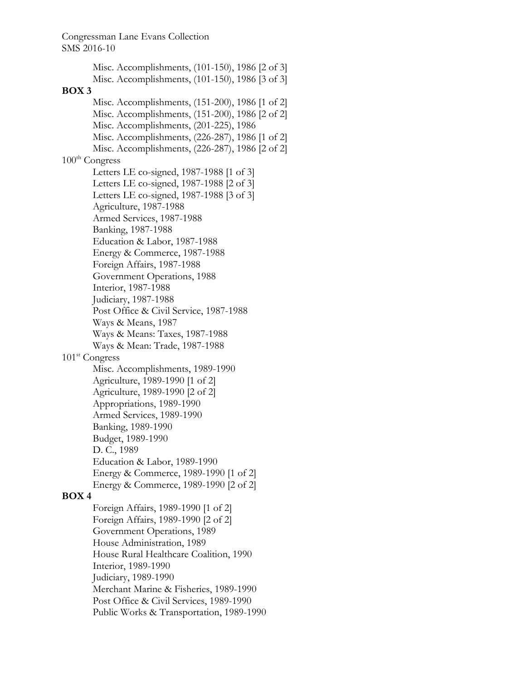Misc. Accomplishments, (101-150), 1986 [2 of 3] Misc. Accomplishments, (101-150), 1986 [3 of 3] **BOX 3**  Misc. Accomplishments, (151-200), 1986 [1 of 2] Misc. Accomplishments, (151-200), 1986 [2 of 2] Misc. Accomplishments, (201-225), 1986 Misc. Accomplishments, (226-287), 1986 [1 of 2] Misc. Accomplishments, (226-287), 1986 [2 of 2]  $100<sup>th</sup> Congress$ Letters LE co-signed, 1987-1988 [1 of 3] Letters LE co-signed, 1987-1988 [2 of 3] Letters LE co-signed, 1987-1988 [3 of 3] Agriculture, 1987-1988 Armed Services, 1987-1988 Banking, 1987-1988 Education & Labor, 1987-1988 Energy & Commerce, 1987-1988 Foreign Affairs, 1987-1988 Government Operations, 1988 Interior, 1987-1988 Judiciary, 1987-1988 Post Office & Civil Service, 1987-1988 Ways & Means, 1987 Ways & Means: Taxes, 1987-1988 Ways & Mean: Trade, 1987-1988 101<sup>st</sup> Congress Misc. Accomplishments, 1989-1990 Agriculture, 1989-1990 [1 of 2] Agriculture, 1989-1990 [2 of 2] Appropriations, 1989-1990 Armed Services, 1989-1990 Banking, 1989-1990 Budget, 1989-1990 D. C., 1989 Education & Labor, 1989-1990 Energy & Commerce, 1989-1990 [1 of 2] Energy & Commerce, 1989-1990 [2 of 2] **BOX 4**  Foreign Affairs, 1989-1990 [1 of 2] Foreign Affairs, 1989-1990 [2 of 2] Government Operations, 1989 House Administration, 1989 House Rural Healthcare Coalition, 1990 Interior, 1989-1990 Judiciary, 1989-1990 Merchant Marine & Fisheries, 1989-1990 Post Office & Civil Services, 1989-1990 Public Works & Transportation, 1989-1990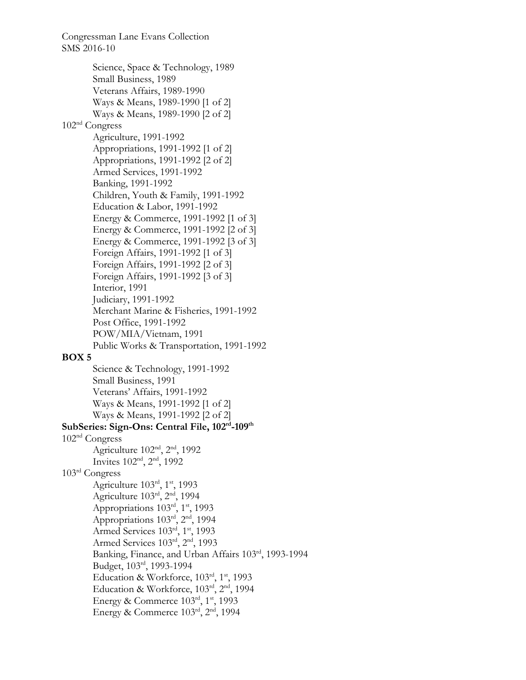Congressman Lane Evans Collection SMS 2016-10 Science, Space & Technology, 1989 Small Business, 1989 Veterans Affairs, 1989-1990 Ways & Means, 1989-1990 [1 of 2] Ways & Means, 1989-1990 [2 of 2] 102nd Congress Agriculture, 1991-1992 Appropriations, 1991-1992 [1 of 2] Appropriations, 1991-1992 [2 of 2] Armed Services, 1991-1992 Banking, 1991-1992 Children, Youth & Family, 1991-1992 Education & Labor, 1991-1992 Energy & Commerce, 1991-1992 [1 of 3] Energy & Commerce, 1991-1992 [2 of 3] Energy & Commerce, 1991-1992 [3 of 3] Foreign Affairs, 1991-1992 [1 of 3] Foreign Affairs, 1991-1992 [2 of 3] Foreign Affairs, 1991-1992 [3 of 3] Interior, 1991 Judiciary, 1991-1992 Merchant Marine & Fisheries, 1991-1992 Post Office, 1991-1992 POW/MIA/Vietnam, 1991 Public Works & Transportation, 1991-1992 **BOX 5**  Science & Technology, 1991-1992 Small Business, 1991 Veterans' Affairs, 1991-1992 Ways & Means, 1991-1992 [1 of 2] Ways & Means, 1991-1992 [2 of 2] **SubSeries: Sign-Ons: Central File, 102rd-109th** 102nd Congress Agriculture 102nd, 2nd, 1992 Invites 102nd, 2nd, 1992 103rd Congress Agriculture  $103<sup>rd</sup>$ ,  $1<sup>st</sup>$ , 1993 Agriculture 103rd, 2nd, 1994 Appropriations 103rd, 1<sup>st</sup>, 1993 Appropriations 103rd, 2nd, 1994 Armed Services 103rd, 1st, 1993 Armed Services 103rd, 2<sup>nd</sup>, 1993 Banking, Finance, and Urban Affairs 103rd, 1993-1994 Budget, 103rd, 1993-1994 Education & Workforce, 103rd, 1st, 1993 Education & Workforce, 103rd, 2nd, 1994 Energy & Commerce  $103^{\text{rd}}$ ,  $1^{\text{st}}$ , 1993 Energy & Commerce  $103<sup>rd</sup>$ ,  $2<sup>nd</sup>$ , 1994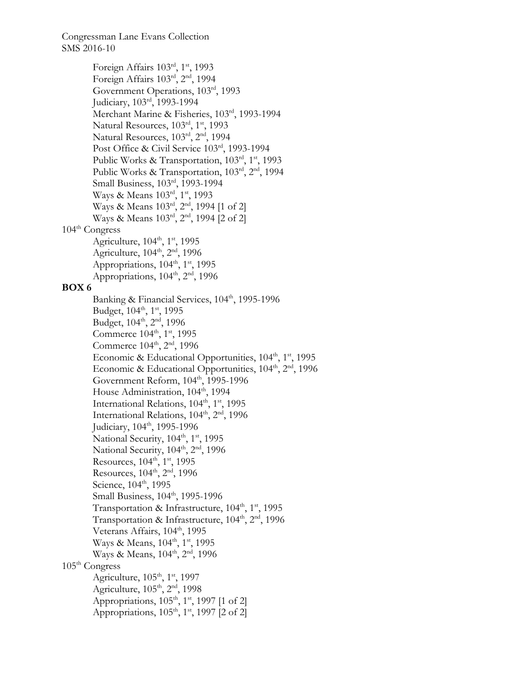Foreign Affairs 103rd, 1<sup>st</sup>, 1993 Foreign Affairs 103rd, 2nd, 1994 Government Operations, 103rd, 1993 Judiciary, 103rd, 1993-1994 Merchant Marine & Fisheries, 103rd, 1993-1994 Natural Resources,  $103<sup>rd</sup>$ ,  $1<sup>st</sup>$ , 1993 Natural Resources, 103rd, 2nd, 1994 Post Office & Civil Service 103rd, 1993-1994 Public Works & Transportation,  $103<sup>rd</sup>$ ,  $1<sup>st</sup>$ , 1993 Public Works & Transportation, 103rd, 2nd, 1994 Small Business, 103rd, 1993-1994 Ways & Means 103rd, 1st, 1993 Ways & Means 103rd, 2<sup>nd</sup>, 1994 [1 of 2] Ways & Means 103rd, 2<sup>nd</sup>, 1994 [2 of 2] 104<sup>th</sup> Congress Agriculture,  $104<sup>th</sup>$ ,  $1<sup>st</sup>$ , 1995 Agriculture, 104<sup>th</sup>, 2<sup>nd</sup>, 1996 Appropriations,  $104^{\text{th}}$ ,  $1^{\text{st}}$ , 1995 Appropriations,  $104^{\text{th}}$ ,  $2^{\text{nd}}$ , 1996 **BOX 6**  Banking & Financial Services, 104th, 1995-1996 Budget, 104<sup>th</sup>, 1<sup>st</sup>, 1995 Budget, 104<sup>th</sup>, 2<sup>nd</sup>, 1996 Commerce 104<sup>th</sup>, 1<sup>st</sup>, 1995 Commerce 104<sup>th</sup>, 2<sup>nd</sup>, 1996 Economic & Educational Opportunities,  $104<sup>th</sup>$ ,  $1<sup>st</sup>$ , 1995 Economic & Educational Opportunities, 104<sup>th</sup>, 2<sup>nd</sup>, 1996 Government Reform,  $104<sup>th</sup>$ , 1995-1996 House Administration, 104<sup>th</sup>, 1994 International Relations, 104<sup>th</sup>, 1<sup>st</sup>, 1995 International Relations, 104<sup>th</sup>, 2<sup>nd</sup>, 1996 Judiciary, 104<sup>th</sup>, 1995-1996 National Security,  $104^{\text{th}}$ ,  $1^{\text{st}}$ , 1995 National Security,  $104^{\text{th}}$ ,  $2^{\text{nd}}$ , 1996 Resources,  $104^{\text{th}}$ ,  $1^{\text{st}}$ , 1995 Resources, 104<sup>th</sup>, 2<sup>nd</sup>, 1996 Science, 104<sup>th</sup>, 1995 Small Business, 104<sup>th</sup>, 1995-1996 Transportation & Infrastructure, 104<sup>th</sup>, 1<sup>st</sup>, 1995 Transportation & Infrastructure, 104<sup>th</sup>, 2<sup>nd</sup>, 1996 Veterans Affairs, 104<sup>th</sup>, 1995 Ways & Means, 104<sup>th</sup>, 1<sup>st</sup>, 1995 Ways & Means, 104<sup>th</sup>, 2<sup>nd</sup>, 1996  $105<sup>th</sup> Congress$ Agriculture,  $105<sup>th</sup>$ ,  $1<sup>st</sup>$ , 1997 Agriculture, 105<sup>th</sup>, 2<sup>nd</sup>, 1998 Appropriations,  $105<sup>th</sup>$ ,  $1<sup>st</sup>$ , 1997 [1 of 2] Appropriations,  $105<sup>th</sup>$ ,  $1<sup>st</sup>$ , 1997 [2 of 2]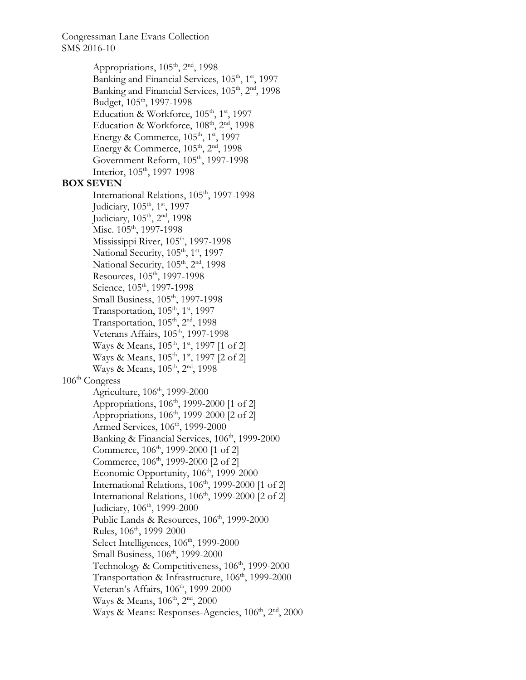> Appropriations,  $105^{\text{th}}$ ,  $2^{\text{nd}}$ , 1998 Banking and Financial Services, 105<sup>th</sup>, 1<sup>st</sup>, 1997 Banking and Financial Services, 105<sup>th</sup>, 2<sup>nd</sup>, 1998 Budget, 105<sup>th</sup>, 1997-1998 Education & Workforce, 105<sup>th</sup>, 1<sup>st</sup>, 1997 Education & Workforce, 108<sup>th</sup>, 2<sup>nd</sup>, 1998 Energy & Commerce,  $105<sup>th</sup>$ ,  $1<sup>st</sup>$ , 1997 Energy & Commerce,  $105<sup>th</sup>$ ,  $2<sup>nd</sup>$ , 1998 Government Reform,  $105<sup>th</sup>$ , 1997-1998 Interior, 105<sup>th</sup>, 1997-1998

### **BOX SEVEN**

International Relations, 105<sup>th</sup>, 1997-1998 Judiciary, 105<sup>th</sup>, 1<sup>st</sup>, 1997 Judiciary, 105<sup>th</sup>, 2<sup>nd</sup>, 1998 Misc.  $105<sup>th</sup>$ , 1997-1998 Mississippi River,  $105<sup>th</sup>$ , 1997-1998 National Security,  $105<sup>th</sup>$ ,  $1<sup>st</sup>$ , 1997 National Security,  $105<sup>th</sup>$ ,  $2<sup>nd</sup>$ , 1998 Resources,  $105<sup>th</sup>$ , 1997-1998 Science, 105<sup>th</sup>, 1997-1998 Small Business,  $105<sup>th</sup>$ , 1997-1998 Transportation,  $105<sup>th</sup>$ ,  $1<sup>st</sup>$ , 1997 Transportation,  $105<sup>th</sup>$ ,  $2<sup>nd</sup>$ , 1998 Veterans Affairs, 105<sup>th</sup>, 1997-1998 Ways & Means, 105<sup>th</sup>, 1<sup>st</sup>, 1997 [1 of 2] Ways & Means, 105<sup>th</sup>, 1<sup>st</sup>, 1997 [2 of 2] Ways & Means, 105<sup>th</sup>, 2<sup>nd</sup>, 1998 106th Congress Agriculture, 106<sup>th</sup>, 1999-2000 Appropriations,  $106^{\text{th}}$ , 1999-2000 [1 of 2] Appropriations,  $106^{\text{th}}$ , 1999-2000 [2 of 2] Armed Services, 106<sup>th</sup>, 1999-2000 Banking & Financial Services, 106<sup>th</sup>, 1999-2000 Commerce, 106<sup>th</sup>, 1999-2000 [1 of 2] Commerce, 106<sup>th</sup>, 1999-2000 [2 of 2] Economic Opportunity,  $106<sup>th</sup>$ , 1999-2000 International Relations, 106<sup>th</sup>, 1999-2000 [1 of 2] International Relations,  $106<sup>th</sup>$ , 1999-2000 [2 of 2] Judiciary, 106<sup>th</sup>, 1999-2000 Public Lands & Resources, 106<sup>th</sup>, 1999-2000 Rules, 106<sup>th</sup>, 1999-2000 Select Intelligences,  $106<sup>th</sup>$ , 1999-2000 Small Business, 106<sup>th</sup>, 1999-2000 Technology & Competitiveness, 106<sup>th</sup>, 1999-2000 Transportation & Infrastructure, 106<sup>th</sup>, 1999-2000 Veteran's Affairs, 106<sup>th</sup>, 1999-2000 Ways & Means, 106<sup>th</sup>, 2<sup>nd</sup>, 2000 Ways & Means: Responses-Agencies,  $106<sup>th</sup>$ ,  $2<sup>nd</sup>$ ,  $2000$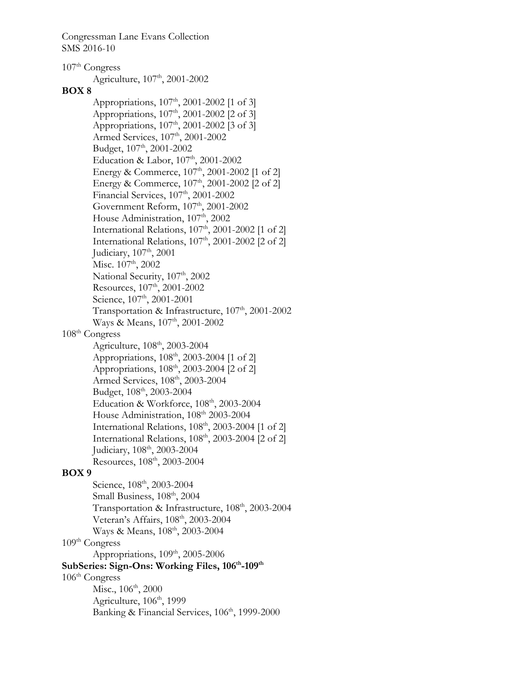$107<sup>th</sup> Congress$ Agriculture, 107<sup>th</sup>, 2001-2002 **BOX 8**  Appropriations,  $107<sup>th</sup>$ , 2001-2002 [1 of 3] Appropriations,  $107^{\text{th}}$ , 2001-2002 [2 of 3] Appropriations, 107<sup>th</sup>, 2001-2002 [3 of 3] Armed Services, 107<sup>th</sup>, 2001-2002 Budget, 107<sup>th</sup>, 2001-2002 Education & Labor,  $107<sup>th</sup>$ ,  $2001$ -2002 Energy & Commerce, 107<sup>th</sup>, 2001-2002 [1 of 2] Energy & Commerce,  $107<sup>th</sup>$ , 2001-2002 [2 of 2] Financial Services, 107<sup>th</sup>, 2001-2002 Government Reform,  $107<sup>th</sup>$ , 2001-2002 House Administration, 107<sup>th</sup>, 2002 International Relations,  $107<sup>th</sup>$ ,  $2001$ - $2002$  [1 of 2] International Relations,  $107<sup>th</sup>$ , 2001-2002 [2 of 2] Judiciary, 107<sup>th</sup>, 2001 Misc.  $107<sup>th</sup>$ , 2002 National Security, 107<sup>th</sup>, 2002 Resources,  $107<sup>th</sup>$ , 2001-2002 Science, 107<sup>th</sup>, 2001-2001 Transportation & Infrastructure, 107<sup>th</sup>, 2001-2002 Ways & Means, 107<sup>th</sup>, 2001-2002 108th Congress Agriculture, 108<sup>th</sup>, 2003-2004 Appropriations, 108<sup>th</sup>, 2003-2004 [1 of 2] Appropriations,  $108^{\text{th}}$ , 2003-2004 [2 of 2] Armed Services, 108<sup>th</sup>, 2003-2004 Budget, 108<sup>th</sup>, 2003-2004 Education & Workforce, 108<sup>th</sup>, 2003-2004 House Administration, 108<sup>th</sup> 2003-2004 International Relations,  $108<sup>th</sup>$ ,  $2003-2004$  [1 of 2] International Relations,  $108<sup>th</sup>$ , 2003-2004 [2 of 2] Judiciary, 108th, 2003-2004 Resources,  $108<sup>th</sup>$ , 2003-2004 **BOX 9**  Science, 108<sup>th</sup>, 2003-2004 Small Business,  $108^{\text{th}}$ ,  $2004$ Transportation & Infrastructure, 108<sup>th</sup>, 2003-2004 Veteran's Affairs, 108<sup>th</sup>, 2003-2004 Ways & Means, 108<sup>th</sup>, 2003-2004 109th Congress Appropriations,  $109<sup>th</sup>$ ,  $2005-2006$ SubSeries: Sign-Ons: Working Files,  $106^{\text{th}}$ -109<sup>th</sup>  $106<sup>th</sup> Congress$ Misc.,  $106^{\text{th}}$ ,  $2000$ Agriculture, 106<sup>th</sup>, 1999 Banking & Financial Services, 106<sup>th</sup>, 1999-2000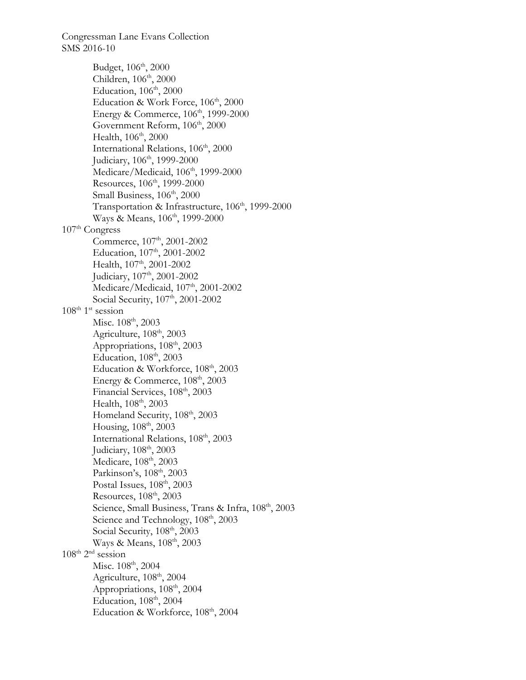Budget, 106<sup>th</sup>, 2000 Children, 106<sup>th</sup>, 2000 Education, 106<sup>th</sup>, 2000 Education & Work Force, 106<sup>th</sup>, 2000 Energy & Commerce,  $106<sup>th</sup>$ , 1999-2000 Government Reform,  $106<sup>th</sup>$ ,  $2000$ Health, 106<sup>th</sup>, 2000 International Relations, 106<sup>th</sup>, 2000 Judiciary, 106<sup>th</sup>, 1999-2000 Medicare/Medicaid, 106<sup>th</sup>, 1999-2000 Resources, 106<sup>th</sup>, 1999-2000 Small Business,  $106<sup>th</sup>$ , 2000 Transportation & Infrastructure, 106<sup>th</sup>, 1999-2000 Ways & Means, 106<sup>th</sup>, 1999-2000  $107<sup>th</sup> Congress$ Commerce, 107<sup>th</sup>, 2001-2002 Education, 107<sup>th</sup>, 2001-2002 Health, 107<sup>th</sup>, 2001-2002 Judiciary, 107<sup>th</sup>, 2001-2002 Medicare/Medicaid,  $107<sup>th</sup>$ , 2001-2002 Social Security,  $107<sup>th</sup>$ , 2001-2002  $108^{\text{th}}$  1<sup>st</sup> session Misc.  $108^{\text{th}}$ , 2003 Agriculture,  $108<sup>th</sup>$ ,  $2003$ Appropriations,  $108<sup>th</sup>$ ,  $2003$ Education, 108th, 2003 Education & Workforce,  $108<sup>th</sup>$ ,  $2003$ Energy & Commerce,  $108<sup>th</sup>$ ,  $2003$ Financial Services,  $108<sup>th</sup>$ , 2003 Health, 108<sup>th</sup>, 2003 Homeland Security,  $108<sup>th</sup>$ ,  $2003$ Housing, 108th, 2003 International Relations, 108<sup>th</sup>, 2003 Judiciary, 108<sup>th</sup>, 2003 Medicare, 108<sup>th</sup>, 2003 Parkinson's, 108<sup>th</sup>, 2003 Postal Issues,  $108<sup>th</sup>$ ,  $2003$ Resources,  $108<sup>th</sup>$ ,  $2003$ Science, Small Business, Trans & Infra, 108<sup>th</sup>, 2003 Science and Technology,  $108<sup>th</sup>$ ,  $2003$ Social Security,  $108<sup>th</sup>$ , 2003 Ways & Means, 108<sup>th</sup>, 2003  $108^{\text{th}}$   $2^{\text{nd}}$  session Misc.  $108^{\text{th}}$ , 2004 Agriculture,  $108<sup>th</sup>$ , 2004 Appropriations,  $108<sup>th</sup>$ , 2004 Education, 108<sup>th</sup>, 2004 Education & Workforce, 108<sup>th</sup>, 2004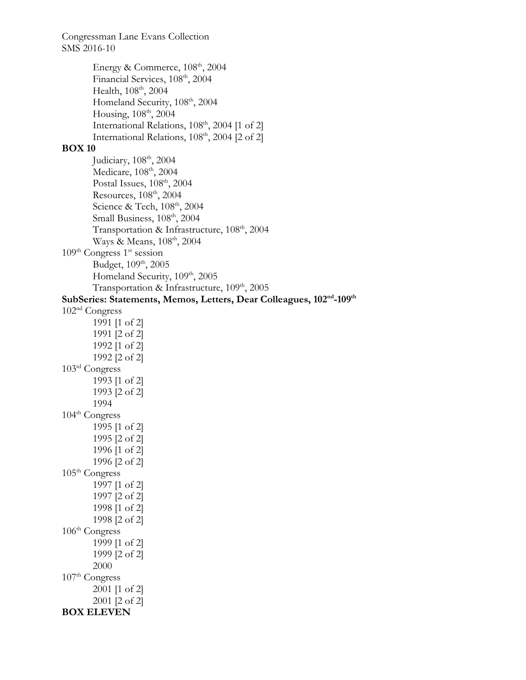Energy & Commerce,  $108<sup>th</sup>$ ,  $2004$ Financial Services,  $108<sup>th</sup>$ , 2004 Health,  $108^{\text{th}}$ ,  $2004$ Homeland Security,  $108<sup>th</sup>$ ,  $2004$ Housing, 108<sup>th</sup>, 2004 International Relations, 108<sup>th</sup>, 2004 [1 of 2] International Relations, 108<sup>th</sup>, 2004 [2 of 2] **BOX 10**  Judiciary,  $108^{\text{th}}$ ,  $2004$ Medicare, 108<sup>th</sup>, 2004 Postal Issues,  $108^{\text{th}}$ ,  $2004$ Resources, 108th, 2004 Science & Tech,  $108<sup>th</sup>$ , 2004 Small Business,  $108^{\text{th}}$ ,  $2004$ Transportation & Infrastructure, 108<sup>th</sup>, 2004 Ways & Means,  $108<sup>th</sup>$ ,  $2004$  $109<sup>th</sup> Congress 1<sup>st</sup> session$ Budget, 109<sup>th</sup>, 2005 Homeland Security, 109<sup>th</sup>, 2005 Transportation & Infrastructure, 109<sup>th</sup>, 2005 **SubSeries: Statements, Memos, Letters, Dear Colleagues, 102nd-109th**  102nd Congress 1991 [1 of 2] 1991 [2 of 2] 1992 [1 of 2] 1992 [2 of 2] 103rd Congress 1993 [1 of 2] 1993 [2 of 2] 1994  $104^{\text{th}}$  Congress 1995 [1 of 2] 1995 [2 of 2] 1996 [1 of 2] 1996 [2 of 2]  $105<sup>th</sup> Congress$ 1997 [1 of 2] 1997 [2 of 2] 1998 [1 of 2] 1998 [2 of 2]  $106<sup>th</sup> Congress$ 1999 [1 of 2] 1999 [2 of 2] 2000  $107<sup>th</sup> Congress$ 2001 [1 of 2] 2001 [2 of 2] **BOX ELEVEN**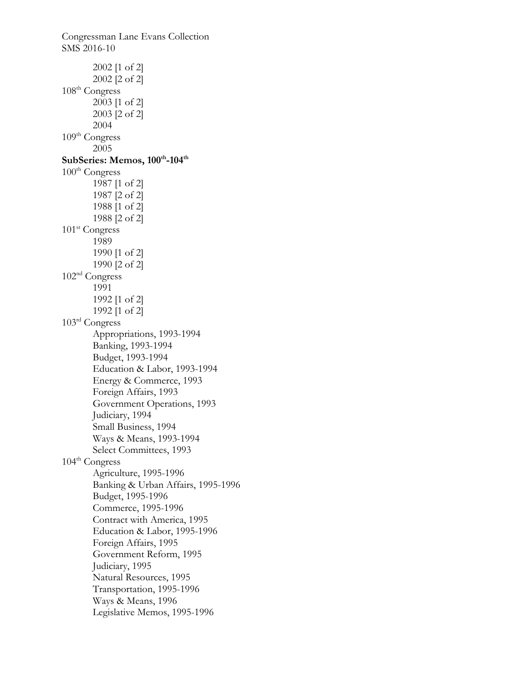Congressman Lane Evans Collection SMS 2016-10 2002 [1 of 2] 2002 [2 of 2] 108th Congress 2003 [1 of 2] 2003 [2 of 2] 2004  $109<sup>th</sup> Congress$ 2005 SubSeries: Memos,  $100^{\text{th}}$ -104<sup>th</sup>  $100<sup>th</sup> Congress$ 1987 [1 of 2] 1987 [2 of 2] 1988 [1 of 2] 1988 [2 of 2] 101<sup>st</sup> Congress 1989 1990 [1 of 2] 1990 [2 of 2] 102nd Congress 1991 1992 [1 of 2] 1992 [1 of 2] 103rd Congress Appropriations, 1993-1994 Banking, 1993-1994 Budget, 1993-1994 Education & Labor, 1993-1994 Energy & Commerce, 1993 Foreign Affairs, 1993 Government Operations, 1993 Judiciary, 1994 Small Business, 1994 Ways & Means, 1993-1994 Select Committees, 1993 104th Congress Agriculture, 1995-1996 Banking & Urban Affairs, 1995-1996 Budget, 1995-1996 Commerce, 1995-1996 Contract with America, 1995 Education & Labor, 1995-1996 Foreign Affairs, 1995 Government Reform, 1995 Judiciary, 1995 Natural Resources, 1995 Transportation, 1995-1996 Ways & Means, 1996 Legislative Memos, 1995-1996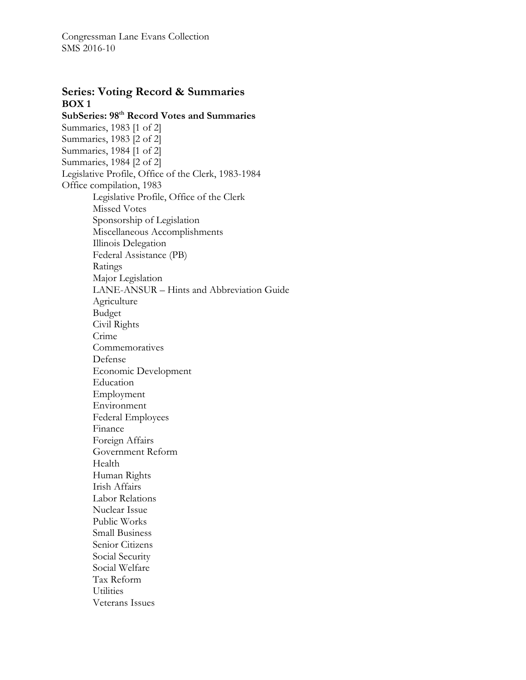# **Series: Voting Record & Summaries BOX 1**

**SubSeries: 98th Record Votes and Summaries**  Summaries, 1983 [1 of 2] Summaries, 1983 [2 of 2] Summaries, 1984 [1 of 2] Summaries, 1984 [2 of 2] Legislative Profile, Office of the Clerk, 1983-1984 Office compilation, 1983 Legislative Profile, Office of the Clerk Missed Votes Sponsorship of Legislation Miscellaneous Accomplishments Illinois Delegation Federal Assistance (PB) Ratings Major Legislation LANE-ANSUR – Hints and Abbreviation Guide Agriculture Budget Civil Rights Crime **Commemoratives** Defense Economic Development Education Employment Environment Federal Employees Finance Foreign Affairs Government Reform Health Human Rights Irish Affairs Labor Relations Nuclear Issue Public Works Small Business Senior Citizens Social Security Social Welfare Tax Reform **Utilities** Veterans Issues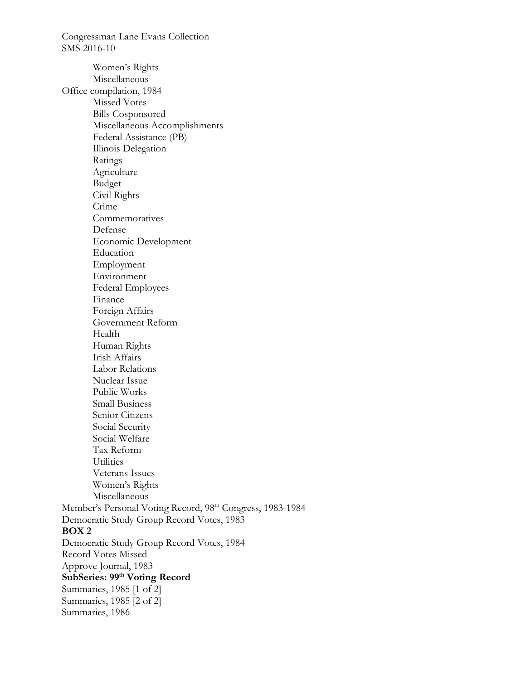SMS 2016-10 Women's Rights Miscellaneous Office compilation, 1984 Missed Votes Bills Cosponsored Miscellaneous Accomplishments Federal Assistance (PB) Illinois Delegation Ratings Agriculture Budget Civil Rights Crime **Commemoratives** Defense Economic Development Education Employment Environment Federal Employees Finance Foreign Affairs Government Reform Health Human Rights Irish Affairs Labor Relations Nuclear Issue Public Works Small Business Senior Citizens Social Security Social Welfare Tax Reform **Utilities** Veterans Issues Women's Rights Miscellaneous Member's Personal Voting Record, 98<sup>th</sup> Congress, 1983-1984 Democratic Study Group Record Votes, 1983 **BOX 2**  Democratic Study Group Record Votes, 1984 Record Votes Missed Approve Journal, 1983 SubSeries: 99<sup>th</sup> Voting Record Summaries, 1985 [1 of 2] Summaries, 1985 [2 of 2] Summaries, 1986

Congressman Lane Evans Collection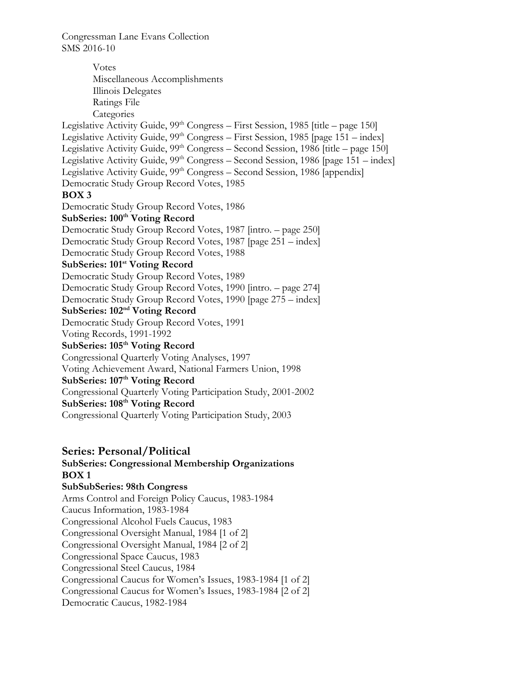Votes Miscellaneous Accomplishments Illinois Delegates Ratings File **Categories** Legislative Activity Guide,  $99<sup>th</sup> Congress - First Session, 1985$  [title – page 150] Legislative Activity Guide,  $99<sup>th</sup> Congress - First Session, 1985$  [page 151 – index] Legislative Activity Guide, 99<sup>th</sup> Congress – Second Session, 1986 [title – page 150] Legislative Activity Guide, 99<sup>th</sup> Congress – Second Session, 1986 [page 151 – index] Legislative Activity Guide, 99<sup>th</sup> Congress – Second Session, 1986 [appendix] Democratic Study Group Record Votes, 1985 **BOX 3**  Democratic Study Group Record Votes, 1986 SubSeries: 100<sup>th</sup> Voting Record Democratic Study Group Record Votes, 1987 [intro. – page 250] Democratic Study Group Record Votes, 1987 [page 251 – index] Democratic Study Group Record Votes, 1988 SubSeries: 101<sup>st</sup> Voting Record Democratic Study Group Record Votes, 1989 Democratic Study Group Record Votes, 1990 [intro. – page 274] Democratic Study Group Record Votes, 1990 [page 275 – index] **SubSeries: 102nd Voting Record**  Democratic Study Group Record Votes, 1991 Voting Records, 1991-1992 SubSeries:  $105<sup>th</sup>$  Voting Record Congressional Quarterly Voting Analyses, 1997 Voting Achievement Award, National Farmers Union, 1998 SubSeries: 107<sup>th</sup> Voting Record Congressional Quarterly Voting Participation Study, 2001-2002 **SubSeries: 108th Voting Record**  Congressional Quarterly Voting Participation Study, 2003

# **Series: Personal/Political SubSeries: Congressional Membership Organizations BOX 1**

**SubSubSeries: 98th Congress**  Arms Control and Foreign Policy Caucus, 1983-1984 Caucus Information, 1983-1984 Congressional Alcohol Fuels Caucus, 1983 Congressional Oversight Manual, 1984 [1 of 2] Congressional Oversight Manual, 1984 [2 of 2] Congressional Space Caucus, 1983 Congressional Steel Caucus, 1984 Congressional Caucus for Women's Issues, 1983-1984 [1 of 2] Congressional Caucus for Women's Issues, 1983-1984 [2 of 2] Democratic Caucus, 1982-1984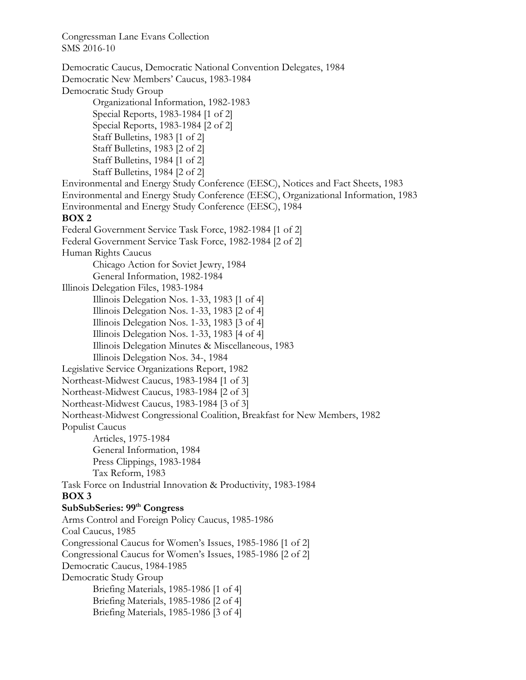Democratic Caucus, Democratic National Convention Delegates, 1984 Democratic New Members' Caucus, 1983-1984 Democratic Study Group Organizational Information, 1982-1983 Special Reports, 1983-1984 [1 of 2] Special Reports, 1983-1984 [2 of 2] Staff Bulletins, 1983 [1 of 2] Staff Bulletins, 1983 [2 of 2] Staff Bulletins, 1984 [1 of 2] Staff Bulletins, 1984 [2 of 2] Environmental and Energy Study Conference (EESC), Notices and Fact Sheets, 1983 Environmental and Energy Study Conference (EESC), Organizational Information, 1983 Environmental and Energy Study Conference (EESC), 1984 **BOX 2**  Federal Government Service Task Force, 1982-1984 [1 of 2] Federal Government Service Task Force, 1982-1984 [2 of 2] Human Rights Caucus Chicago Action for Soviet Jewry, 1984 General Information, 1982-1984 Illinois Delegation Files, 1983-1984 Illinois Delegation Nos. 1-33, 1983 [1 of 4] Illinois Delegation Nos. 1-33, 1983 [2 of 4] Illinois Delegation Nos. 1-33, 1983 [3 of 4] Illinois Delegation Nos. 1-33, 1983 [4 of 4] Illinois Delegation Minutes & Miscellaneous, 1983 Illinois Delegation Nos. 34-, 1984 Legislative Service Organizations Report, 1982 Northeast-Midwest Caucus, 1983-1984 [1 of 3] Northeast-Midwest Caucus, 1983-1984 [2 of 3] Northeast-Midwest Caucus, 1983-1984 [3 of 3] Northeast-Midwest Congressional Coalition, Breakfast for New Members, 1982 Populist Caucus Articles, 1975-1984 General Information, 1984 Press Clippings, 1983-1984 Tax Reform, 1983 Task Force on Industrial Innovation & Productivity, 1983-1984 **BOX 3 SubSubSeries: 99th Congress**  Arms Control and Foreign Policy Caucus, 1985-1986 Coal Caucus, 1985 Congressional Caucus for Women's Issues, 1985-1986 [1 of 2] Congressional Caucus for Women's Issues, 1985-1986 [2 of 2] Democratic Caucus, 1984-1985 Democratic Study Group Briefing Materials, 1985-1986 [1 of 4] Briefing Materials, 1985-1986 [2 of 4] Briefing Materials, 1985-1986 [3 of 4]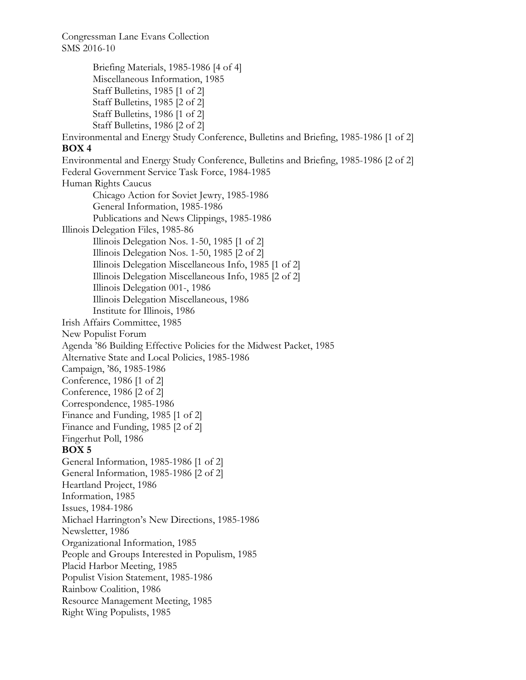Briefing Materials, 1985-1986 [4 of 4] Miscellaneous Information, 1985 Staff Bulletins, 1985 [1 of 2] Staff Bulletins, 1985 [2 of 2] Staff Bulletins, 1986 [1 of 2] Staff Bulletins, 1986 [2 of 2] Environmental and Energy Study Conference, Bulletins and Briefing, 1985-1986 [1 of 2] **BOX 4**  Environmental and Energy Study Conference, Bulletins and Briefing, 1985-1986 [2 of 2] Federal Government Service Task Force, 1984-1985 Human Rights Caucus Chicago Action for Soviet Jewry, 1985-1986 General Information, 1985-1986 Publications and News Clippings, 1985-1986 Illinois Delegation Files, 1985-86 Illinois Delegation Nos. 1-50, 1985 [1 of 2] Illinois Delegation Nos. 1-50, 1985 [2 of 2] Illinois Delegation Miscellaneous Info, 1985 [1 of 2] Illinois Delegation Miscellaneous Info, 1985 [2 of 2] Illinois Delegation 001-, 1986 Illinois Delegation Miscellaneous, 1986 Institute for Illinois, 1986 Irish Affairs Committee, 1985 New Populist Forum Agenda '86 Building Effective Policies for the Midwest Packet, 1985 Alternative State and Local Policies, 1985-1986 Campaign, '86, 1985-1986 Conference, 1986 [1 of 2] Conference, 1986 [2 of 2] Correspondence, 1985-1986 Finance and Funding, 1985 [1 of 2] Finance and Funding, 1985 [2 of 2] Fingerhut Poll, 1986 **BOX 5**  General Information, 1985-1986 [1 of 2] General Information, 1985-1986 [2 of 2] Heartland Project, 1986 Information, 1985 Issues, 1984-1986 Michael Harrington's New Directions, 1985-1986 Newsletter, 1986 Organizational Information, 1985 People and Groups Interested in Populism, 1985 Placid Harbor Meeting, 1985 Populist Vision Statement, 1985-1986 Rainbow Coalition, 1986 Resource Management Meeting, 1985 Right Wing Populists, 1985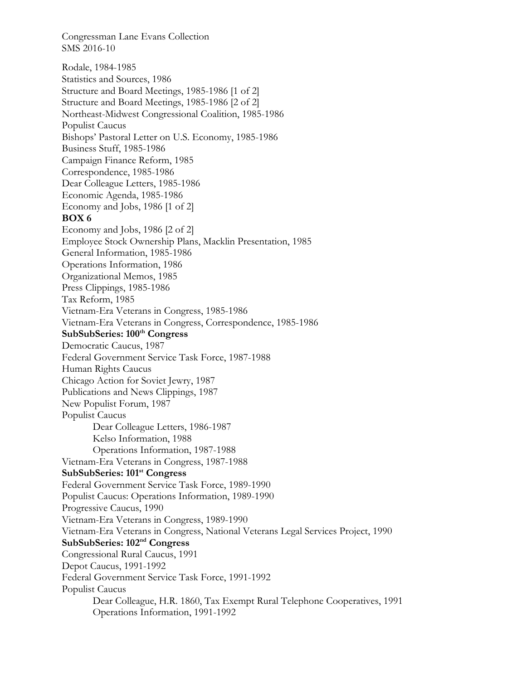Rodale, 1984-1985 Statistics and Sources, 1986 Structure and Board Meetings, 1985-1986 [1 of 2] Structure and Board Meetings, 1985-1986 [2 of 2] Northeast-Midwest Congressional Coalition, 1985-1986 Populist Caucus Bishops' Pastoral Letter on U.S. Economy, 1985-1986 Business Stuff, 1985-1986 Campaign Finance Reform, 1985 Correspondence, 1985-1986 Dear Colleague Letters, 1985-1986 Economic Agenda, 1985-1986 Economy and Jobs, 1986 [1 of 2] **BOX 6**  Economy and Jobs, 1986 [2 of 2] Employee Stock Ownership Plans, Macklin Presentation, 1985 General Information, 1985-1986 Operations Information, 1986 Organizational Memos, 1985 Press Clippings, 1985-1986 Tax Reform, 1985 Vietnam-Era Veterans in Congress, 1985-1986 Vietnam-Era Veterans in Congress, Correspondence, 1985-1986 SubSubSeries: 100<sup>th</sup> Congress Democratic Caucus, 1987 Federal Government Service Task Force, 1987-1988 Human Rights Caucus Chicago Action for Soviet Jewry, 1987 Publications and News Clippings, 1987 New Populist Forum, 1987 Populist Caucus Dear Colleague Letters, 1986-1987 Kelso Information, 1988 Operations Information, 1987-1988 Vietnam-Era Veterans in Congress, 1987-1988 **SubSubSeries: 101st Congress**  Federal Government Service Task Force, 1989-1990 Populist Caucus: Operations Information, 1989-1990 Progressive Caucus, 1990 Vietnam-Era Veterans in Congress, 1989-1990 Vietnam-Era Veterans in Congress, National Veterans Legal Services Project, 1990 **SubSubSeries: 102nd Congress**  Congressional Rural Caucus, 1991 Depot Caucus, 1991-1992 Federal Government Service Task Force, 1991-1992 Populist Caucus Dear Colleague, H.R. 1860, Tax Exempt Rural Telephone Cooperatives, 1991 Operations Information, 1991-1992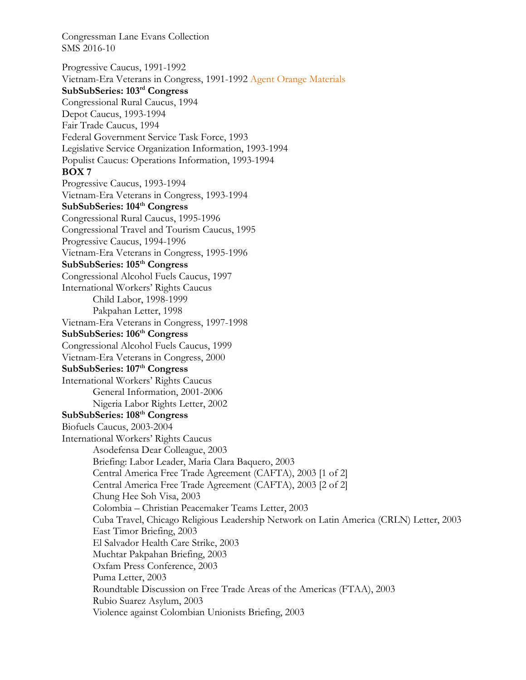Progressive Caucus, 1991-1992 Vietnam-Era Veterans in Congress, 1991-1992 Agent Orange Materials **SubSubSeries: 103rd Congress**  Congressional Rural Caucus, 1994 Depot Caucus, 1993-1994 Fair Trade Caucus, 1994 Federal Government Service Task Force, 1993 Legislative Service Organization Information, 1993-1994 Populist Caucus: Operations Information, 1993-1994 **BOX 7**  Progressive Caucus, 1993-1994 Vietnam-Era Veterans in Congress, 1993-1994 **SubSubSeries: 104th Congress**  Congressional Rural Caucus, 1995-1996 Congressional Travel and Tourism Caucus, 1995 Progressive Caucus, 1994-1996 Vietnam-Era Veterans in Congress, 1995-1996 **SubSubSeries: 105th Congress**  Congressional Alcohol Fuels Caucus, 1997 International Workers' Rights Caucus Child Labor, 1998-1999 Pakpahan Letter, 1998 Vietnam-Era Veterans in Congress, 1997-1998 **SubSubSeries: 106th Congress**  Congressional Alcohol Fuels Caucus, 1999 Vietnam-Era Veterans in Congress, 2000 SubSubSeries: 107<sup>th</sup> Congress International Workers' Rights Caucus General Information, 2001-2006 Nigeria Labor Rights Letter, 2002 **SubSubSeries: 108th Congress**  Biofuels Caucus, 2003-2004 International Workers' Rights Caucus Asodefensa Dear Colleague, 2003 Briefing: Labor Leader, Maria Clara Baquero, 2003 Central America Free Trade Agreement (CAFTA), 2003 [1 of 2] Central America Free Trade Agreement (CAFTA), 2003 [2 of 2] Chung Hee Soh Visa, 2003 Colombia – Christian Peacemaker Teams Letter, 2003 Cuba Travel, Chicago Religious Leadership Network on Latin America (CRLN) Letter, 2003 East Timor Briefing, 2003 El Salvador Health Care Strike, 2003 Muchtar Pakpahan Briefing, 2003 Oxfam Press Conference, 2003 Puma Letter, 2003 Roundtable Discussion on Free Trade Areas of the Americas (FTAA), 2003 Rubio Suarez Asylum, 2003 Violence against Colombian Unionists Briefing, 2003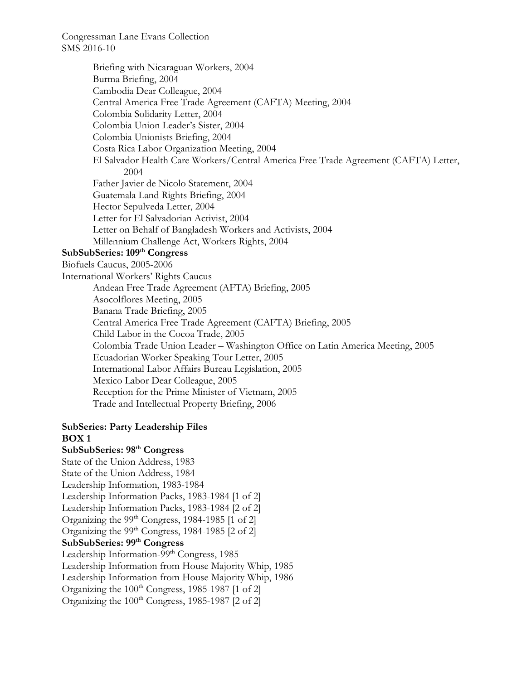Briefing with Nicaraguan Workers, 2004 Burma Briefing, 2004 Cambodia Dear Colleague, 2004 Central America Free Trade Agreement (CAFTA) Meeting, 2004 Colombia Solidarity Letter, 2004 Colombia Union Leader's Sister, 2004 Colombia Unionists Briefing, 2004 Costa Rica Labor Organization Meeting, 2004 El Salvador Health Care Workers/Central America Free Trade Agreement (CAFTA) Letter, 2004 Father Javier de Nicolo Statement, 2004 Guatemala Land Rights Briefing, 2004 Hector Sepulveda Letter, 2004 Letter for El Salvadorian Activist, 2004 Letter on Behalf of Bangladesh Workers and Activists, 2004 Millennium Challenge Act, Workers Rights, 2004 **SubSubSeries: 109th Congress**  Biofuels Caucus, 2005-2006 International Workers' Rights Caucus Andean Free Trade Agreement (AFTA) Briefing, 2005 Asocolflores Meeting, 2005 Banana Trade Briefing, 2005 Central America Free Trade Agreement (CAFTA) Briefing, 2005 Child Labor in the Cocoa Trade, 2005 Colombia Trade Union Leader – Washington Office on Latin America Meeting, 2005 Ecuadorian Worker Speaking Tour Letter, 2005 International Labor Affairs Bureau Legislation, 2005 Mexico Labor Dear Colleague, 2005 Reception for the Prime Minister of Vietnam, 2005 Trade and Intellectual Property Briefing, 2006

#### **SubSeries: Party Leadership Files BOX 1**

**SubSubSeries: 98th Congress**  State of the Union Address, 1983 State of the Union Address, 1984 Leadership Information, 1983-1984 Leadership Information Packs, 1983-1984 [1 of 2] Leadership Information Packs, 1983-1984 [2 of 2] Organizing the  $99<sup>th</sup> Congress$ , 1984-1985 [1 of 2] Organizing the  $99<sup>th</sup> Congress$ , 1984-1985 [2 of 2] **SubSubSeries: 99th Congress** Leadership Information-99<sup>th</sup> Congress, 1985 Leadership Information from House Majority Whip, 1985 Leadership Information from House Majority Whip, 1986 Organizing the  $100<sup>th</sup> Congress$ , 1985-1987 [1 of 2] Organizing the  $100<sup>th</sup> Congress$ , 1985-1987 [2 of 2]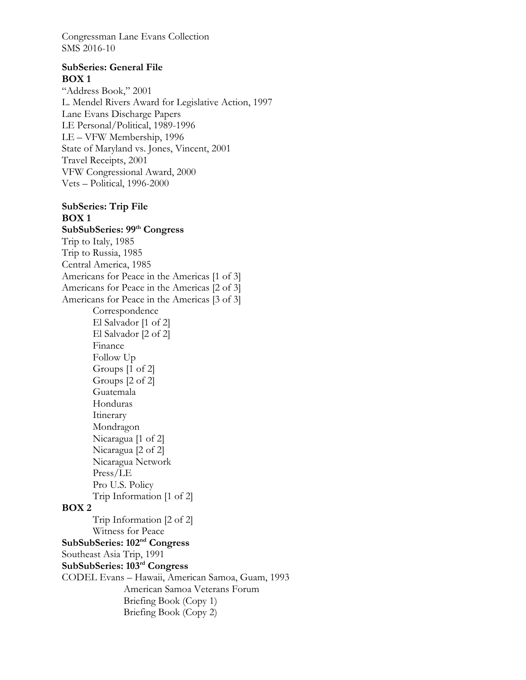# **SubSeries: General File BOX 1**

"Address Book," 2001 L. Mendel Rivers Award for Legislative Action, 1997 Lane Evans Discharge Papers LE Personal/Political, 1989-1996 LE – VFW Membership, 1996 State of Maryland vs. Jones, Vincent, 2001 Travel Receipts, 2001 VFW Congressional Award, 2000 Vets – Political, 1996-2000

# **SubSeries: Trip File BOX 1**

**SubSubSeries: 99th Congress**  Trip to Italy, 1985 Trip to Russia, 1985 Central America, 1985 Americans for Peace in the Americas [1 of 3] Americans for Peace in the Americas [2 of 3] Americans for Peace in the Americas [3 of 3] Correspondence El Salvador [1 of 2] El Salvador [2 of 2] Finance Follow Up Groups [1 of 2] Groups [2 of 2] Guatemala Honduras Itinerary Mondragon Nicaragua [1 of 2] Nicaragua [2 of 2] Nicaragua Network Press/LE Pro U.S. Policy Trip Information [1 of 2] **BOX 2**  Trip Information [2 of 2] Witness for Peace **SubSubSeries: 102nd Congress**  Southeast Asia Trip, 1991 **SubSubSeries: 103rd Congress**  CODEL Evans – Hawaii, American Samoa, Guam, 1993 American Samoa Veterans Forum Briefing Book (Copy 1) Briefing Book (Copy 2)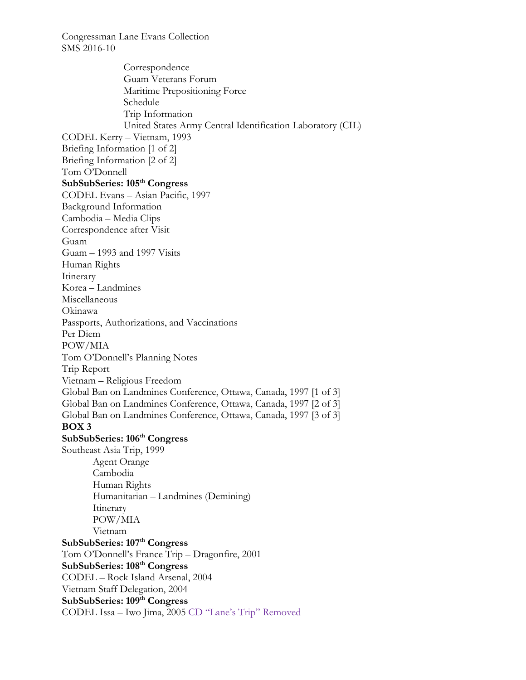Correspondence Guam Veterans Forum Maritime Prepositioning Force Schedule Trip Information United States Army Central Identification Laboratory (CIL) CODEL Kerry – Vietnam, 1993 Briefing Information [1 of 2] Briefing Information [2 of 2] Tom O'Donnell **SubSubSeries: 105th Congress**  CODEL Evans – Asian Pacific, 1997 Background Information Cambodia – Media Clips Correspondence after Visit Guam Guam – 1993 and 1997 Visits Human Rights Itinerary Korea – Landmines Miscellaneous Okinawa Passports, Authorizations, and Vaccinations Per Diem POW/MIA Tom O'Donnell's Planning Notes Trip Report Vietnam – Religious Freedom Global Ban on Landmines Conference, Ottawa, Canada, 1997 [1 of 3] Global Ban on Landmines Conference, Ottawa, Canada, 1997 [2 of 3] Global Ban on Landmines Conference, Ottawa, Canada, 1997 [3 of 3] **BOX 3 SubSubSeries: 106th Congress**  Southeast Asia Trip, 1999 Agent Orange Cambodia Human Rights Humanitarian – Landmines (Demining) Itinerary POW/MIA Vietnam **SubSubSeries: 107th Congress**  Tom O'Donnell's France Trip – Dragonfire, 2001 **SubSubSeries: 108th Congress**  CODEL – Rock Island Arsenal, 2004 Vietnam Staff Delegation, 2004 SubSubSeries: 109<sup>th</sup> Congress CODEL Issa – Iwo Jima, 2005 CD "Lane's Trip" Removed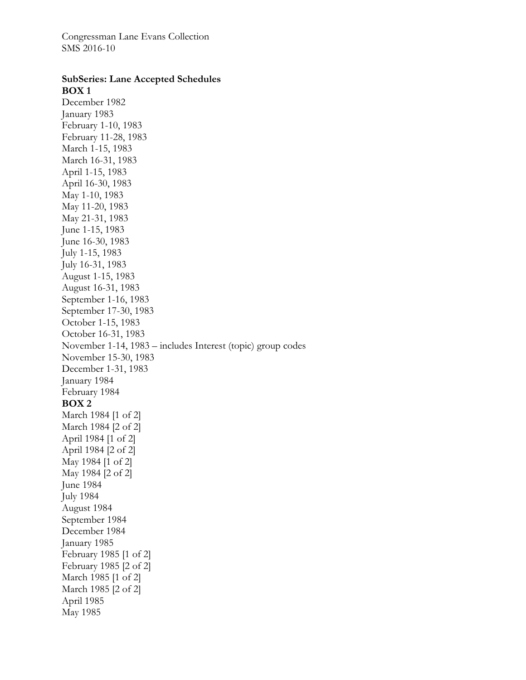#### **SubSeries: Lane Accepted Schedules BOX 1**

December 1982 January 1983 February 1-10, 1983 February 11-28, 1983 March 1-15, 1983 March 16-31, 1983 April 1-15, 1983 April 16-30, 1983 May 1-10, 1983 May 11-20, 1983 May 21-31, 1983 June 1-15, 1983 June 16-30, 1983 July 1-15, 1983 July 16-31, 1983 August 1-15, 1983 August 16-31, 1983 September 1-16, 1983 September 17-30, 1983 October 1-15, 1983 October 16-31, 1983 November 1-14, 1983 – includes Interest (topic) group codes November 15-30, 1983 December 1-31, 1983 January 1984 February 1984 **BOX 2**  March 1984 [1 of 2] March 1984 [2 of 2] April 1984 [1 of 2] April 1984 [2 of 2] May 1984 [1 of 2] May 1984 [2 of 2] June 1984 July 1984 August 1984 September 1984 December 1984 January 1985 February 1985 [1 of 2] February 1985 [2 of 2] March 1985 [1 of 2] March 1985 [2 of 2] April 1985

May 1985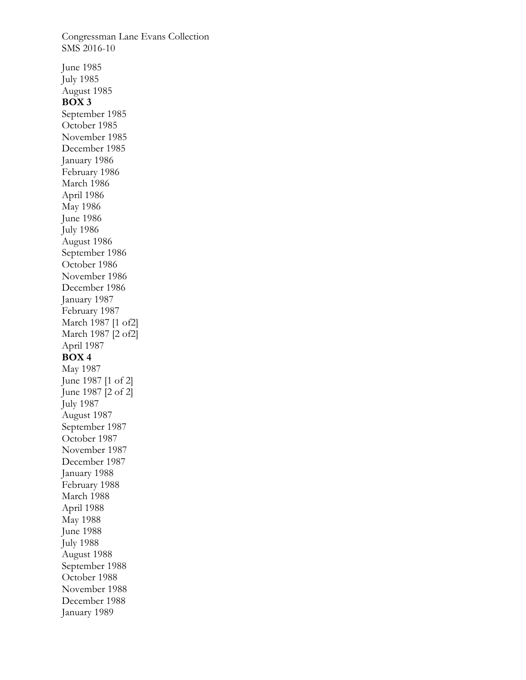Congressman Lane Evans Collection SMS 2016-10 June 1985 July 1985 August 1985 **BOX 3**  September 1985 October 1985 November 1985 December 1985 January 1986 February 1986 March 1986 April 1986 May 1986 June 1986 July 1986 August 1986 September 1986 October 1986 November 1986 December 1986 January 1987 February 1987 March 1987 [1 of2] March 1987 [2 of2] April 1987 **BOX 4**  May 1987 June 1987 [1 of 2] June 1987 [2 of 2] July 1987 August 1987 September 1987 October 1987 November 1987 December 1987 January 1988 February 1988 March 1988 April 1988 May 1988 June 1988 July 1988 August 1988 September 1988 October 1988 November 1988 December 1988 January 1989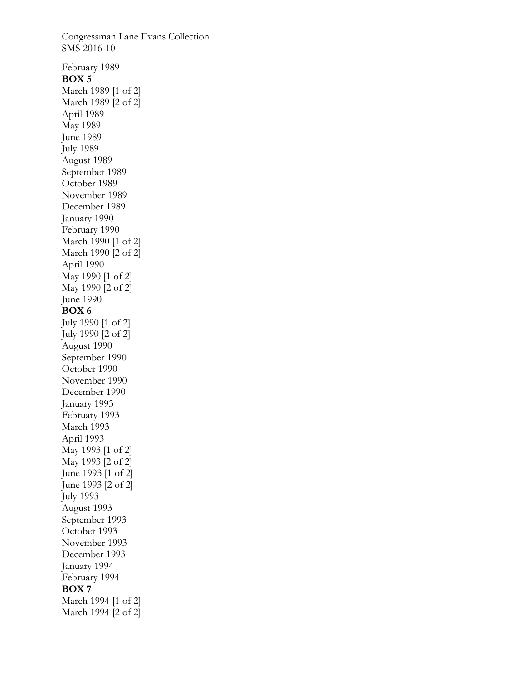Congressman Lane Evans Collection SMS 2016-10 February 1989 **BOX 5**  March 1989 [1 of 2] March 1989 [2 of 2] April 1989 May 1989 June 1989 July 1989 August 1989 September 1989 October 1989 November 1989 December 1989 January 1990 February 1990 March 1990 [1 of 2] March 1990 [2 of 2] April 1990 May 1990 [1 of 2] May 1990 [2 of 2] June 1990 **BOX 6**  July 1990 [1 of 2] July 1990 [2 of 2] August 1990 September 1990 October 1990 November 1990 December 1990 January 1993 February 1993 March 1993 April 1993 May 1993 [1 of 2] May 1993 [2 of 2] June 1993 [1 of 2] June 1993 [2 of 2] July 1993 August 1993 September 1993 October 1993 November 1993 December 1993 January 1994 February 1994 **BOX 7**  March 1994 [1 of 2] March 1994 [2 of 2]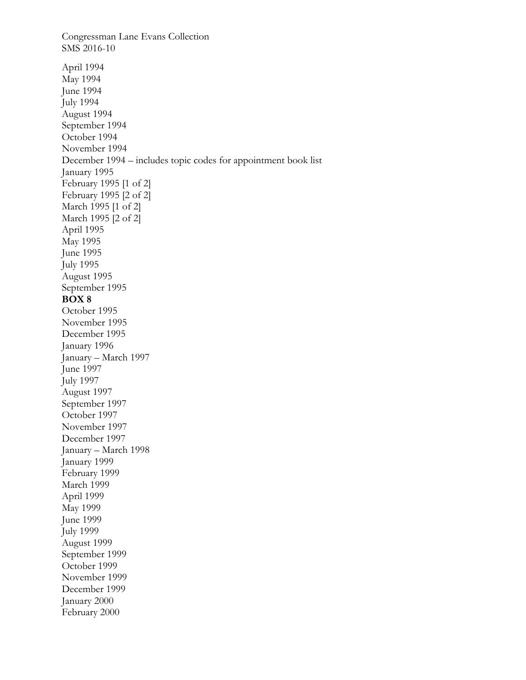Congressman Lane Evans Collection SMS 2016-10 April 1994 May 1994 June 1994 July 1994 August 1994 September 1994 October 1994 November 1994 December 1994 – includes topic codes for appointment book list January 1995 February 1995 [1 of 2] February 1995 [2 of 2] March 1995 [1 of 2] March 1995 [2 of 2] April 1995 May 1995 June 1995 July 1995 August 1995 September 1995 **BOX 8**  October 1995 November 1995 December 1995 January 1996 January – March 1997 June 1997 July 1997 August 1997 September 1997 October 1997 November 1997 December 1997 January – March 1998 January 1999 February 1999 March 1999 April 1999 May 1999 June 1999 July 1999 August 1999 September 1999 October 1999 November 1999 December 1999 January 2000 February 2000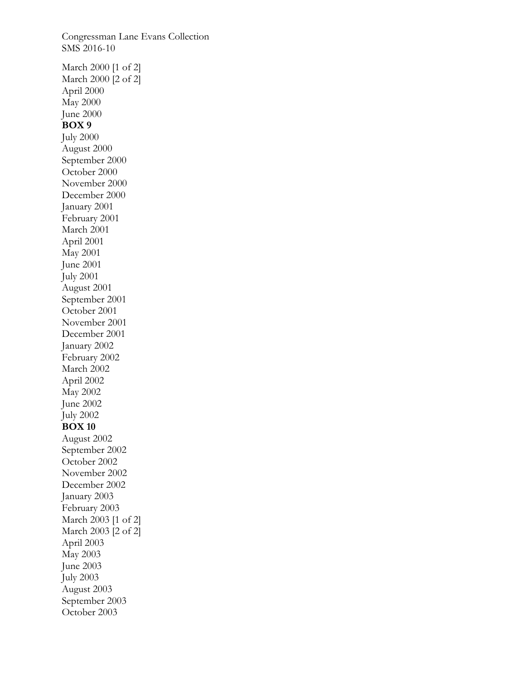Congressman Lane Evans Collection SMS 2016-10 March 2000 [1 of 2] March 2000 [2 of 2] April 2000 May 2000 June 2000 **BOX 9**  July 2000 August 2000 September 2000 October 2000 November 2000 December 2000 January 2001 February 2001 March 2001 April 2001 May 2001 June 2001 July 2001 August 2001 September 2001 October 2001 November 2001 December 2001 January 2002 February 2002 March 2002 April 2002 May 2002 June 2002 July 2002 **BOX 10**  August 2002 September 2002 October 2002 November 2002 December 2002 January 2003 February 2003 March 2003 [1 of 2] March 2003 [2 of 2] April 2003 May 2003 June 2003 July 2003 August 2003 September 2003 October 2003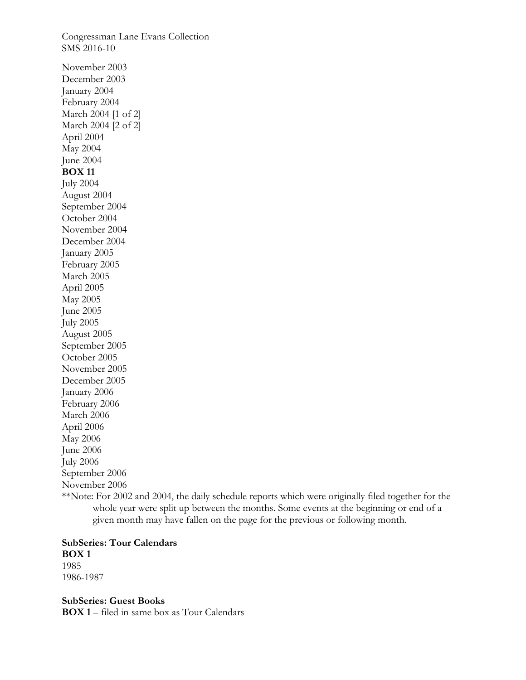Congressman Lane Evans Collection SMS 2016-10 November 2003 December 2003 January 2004 February 2004 March 2004 [1 of 2] March 2004 [2 of 2] April 2004 May 2004 June 2004 **BOX 11**  July 2004 August 2004 September 2004 October 2004 November 2004 December 2004 January 2005 February 2005 March 2005 April 2005 May 2005 June 2005 July 2005 August 2005 September 2005 October 2005 November 2005 December 2005 January 2006 February 2006 March 2006 April 2006 May 2006 June 2006 July 2006 September 2006 November 2006

\*\*Note: For 2002 and 2004, the daily schedule reports which were originally filed together for the whole year were split up between the months. Some events at the beginning or end of a given month may have fallen on the page for the previous or following month.

# **SubSeries: Tour Calendars BOX 1**

1985 1986-1987

**SubSeries: Guest Books BOX 1** – filed in same box as Tour Calendars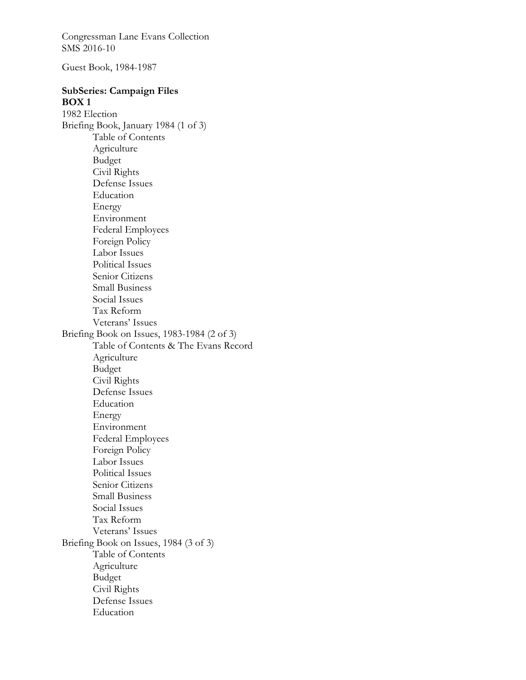Guest Book, 1984-1987

# **SubSeries: Campaign Files BOX 1**

1982 Election Briefing Book, January 1984 (1 of 3) Table of Contents Agriculture Budget Civil Rights Defense Issues Education Energy Environment Federal Employees Foreign Policy Labor Issues Political Issues Senior Citizens Small Business Social Issues Tax Reform Veterans' Issues Briefing Book on Issues, 1983-1984 (2 of 3) Table of Contents & The Evans Record Agriculture Budget Civil Rights Defense Issues Education Energy Environment Federal Employees Foreign Policy Labor Issues Political Issues Senior Citizens Small Business Social Issues Tax Reform Veterans' Issues Briefing Book on Issues, 1984 (3 of 3) Table of Contents Agriculture Budget Civil Rights Defense Issues Education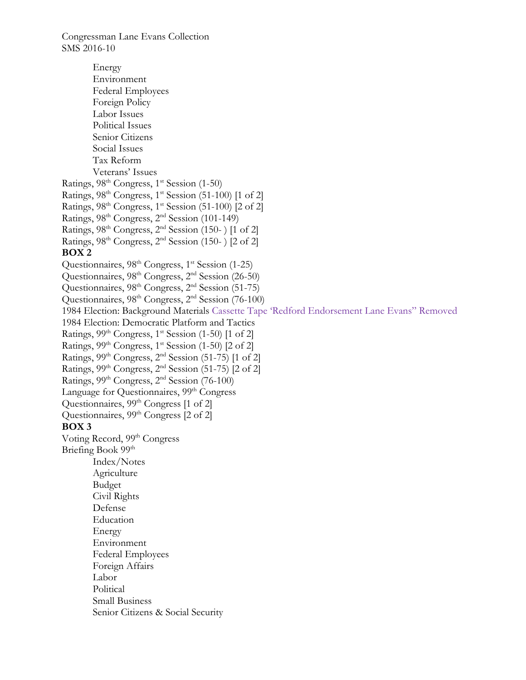Energy Environment Federal Employees Foreign Policy Labor Issues Political Issues Senior Citizens Social Issues Tax Reform Veterans' Issues Ratings,  $98<sup>th</sup> Congress, 1<sup>st</sup> Session (1-50)$ Ratings, 98<sup>th</sup> Congress, 1<sup>st</sup> Session (51-100) [1 of 2] Ratings,  $98<sup>th</sup> Congress, 1<sup>st</sup> Session (51-100) [2 of 2]$ Ratings, 98th Congress, 2nd Session (101-149) Ratings,  $98<sup>th</sup> Congress, 2<sup>nd</sup> Session (150-) [1 of 2]$ Ratings,  $98<sup>th</sup> Congress, 2<sup>nd</sup> Session (150-) [2 of 2]$ **BOX 2**  Questionnaires, 98<sup>th</sup> Congress, 1<sup>st</sup> Session (1-25) Questionnaires, 98<sup>th</sup> Congress, 2<sup>nd</sup> Session (26-50) Questionnaires,  $98<sup>th</sup> Congress, 2<sup>nd</sup> Session (51-75)$ Questionnaires, 98<sup>th</sup> Congress, 2<sup>nd</sup> Session (76-100) 1984 Election: Background Materials Cassette Tape 'Redford Endorsement Lane Evans" Removed 1984 Election: Democratic Platform and Tactics Ratings,  $99<sup>th</sup> Congress, 1<sup>st</sup> Session (1-50)$  [1 of 2] Ratings,  $99<sup>th</sup> Congress, 1<sup>st</sup> Session (1-50)$  [2 of 2] Ratings,  $99<sup>th</sup> Congress, 2<sup>nd</sup> Session (51-75)$  [1 of 2] Ratings,  $99<sup>th</sup> Congress, 2<sup>nd</sup> Session (51-75) [2 of 2]$ Ratings, 99th Congress, 2nd Session (76-100) Language for Questionnaires, 99<sup>th</sup> Congress Questionnaires, 99<sup>th</sup> Congress [1 of 2] Questionnaires, 99<sup>th</sup> Congress [2 of 2] **BOX 3**  Voting Record, 99<sup>th</sup> Congress Briefing Book 99<sup>th</sup> Index/Notes Agriculture Budget Civil Rights Defense Education Energy Environment Federal Employees Foreign Affairs Labor Political Small Business Senior Citizens & Social Security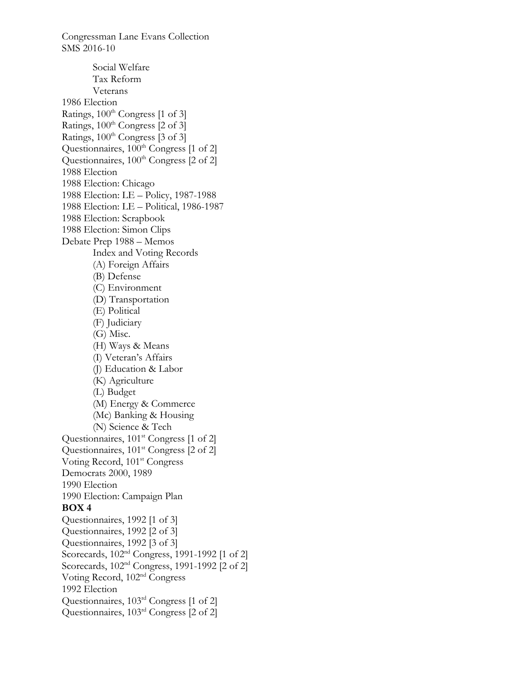Social Welfare Tax Reform Veterans 1986 Election Ratings,  $100^{th}$  Congress [1 of 3] Ratings,  $100^{\text{th}}$  Congress  $\left[2 \text{ of } 3\right]$ Ratings,  $100^{th}$  Congress [3 of 3] Questionnaires, 100<sup>th</sup> Congress [1 of 2] Questionnaires, 100<sup>th</sup> Congress [2 of 2] 1988 Election 1988 Election: Chicago 1988 Election: LE – Policy, 1987-1988 1988 Election: LE – Political, 1986-1987 1988 Election: Scrapbook 1988 Election: Simon Clips Debate Prep 1988 – Memos Index and Voting Records (A) Foreign Affairs (B) Defense (C) Environment (D) Transportation (E) Political (F) Judiciary (G) Misc. (H) Ways & Means (I) Veteran's Affairs (J) Education & Labor (K) Agriculture (L) Budget (M) Energy & Commerce (Mc) Banking & Housing (N) Science & Tech Questionnaires, 101<sup>st</sup> Congress [1 of 2] Questionnaires, 101<sup>st</sup> Congress [2 of 2] Voting Record, 101<sup>st</sup> Congress Democrats 2000, 1989 1990 Election 1990 Election: Campaign Plan **BOX 4**  Questionnaires, 1992 [1 of 3] Questionnaires, 1992 [2 of 3] Questionnaires, 1992 [3 of 3] Scorecards, 102<sup>nd</sup> Congress, 1991-1992 [1 of 2] Scorecards, 102nd Congress, 1991-1992 [2 of 2] Voting Record, 102nd Congress 1992 Election Questionnaires, 103rd Congress [1 of 2] Questionnaires, 103<sup>rd</sup> Congress [2 of 2]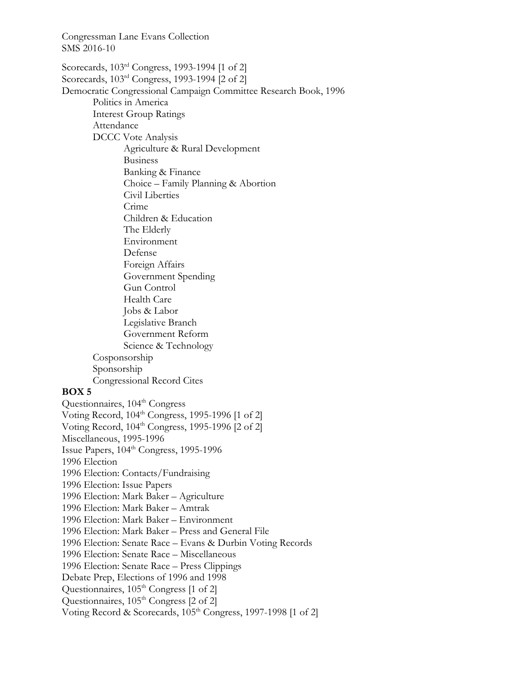Congressman Lane Evans Collection SMS 2016-10 Scorecards, 103rd Congress, 1993-1994 [1 of 2] Scorecards, 103rd Congress, 1993-1994 [2 of 2] Democratic Congressional Campaign Committee Research Book, 1996 Politics in America Interest Group Ratings Attendance DCCC Vote Analysis Agriculture & Rural Development Business Banking & Finance Choice – Family Planning & Abortion Civil Liberties Crime Children & Education The Elderly Environment Defense Foreign Affairs Government Spending Gun Control Health Care Jobs & Labor Legislative Branch Government Reform Science & Technology Cosponsorship Sponsorship Congressional Record Cites **BOX 5**  Questionnaires, 104<sup>th</sup> Congress Voting Record,  $104<sup>th</sup> Congress$ , 1995-1996 [1 of 2] Voting Record, 104<sup>th</sup> Congress, 1995-1996 [2 of 2] Miscellaneous, 1995-1996 Issue Papers, 104<sup>th</sup> Congress, 1995-1996 1996 Election 1996 Election: Contacts/Fundraising 1996 Election: Issue Papers 1996 Election: Mark Baker – Agriculture 1996 Election: Mark Baker – Amtrak 1996 Election: Mark Baker – Environment 1996 Election: Mark Baker – Press and General File 1996 Election: Senate Race – Evans & Durbin Voting Records 1996 Election: Senate Race – Miscellaneous 1996 Election: Senate Race – Press Clippings Debate Prep, Elections of 1996 and 1998 Questionnaires, 105<sup>th</sup> Congress [1 of 2] Questionnaires,  $105<sup>th</sup> Congress$  [2 of 2] Voting Record & Scorecards, 105<sup>th</sup> Congress, 1997-1998 [1 of 2]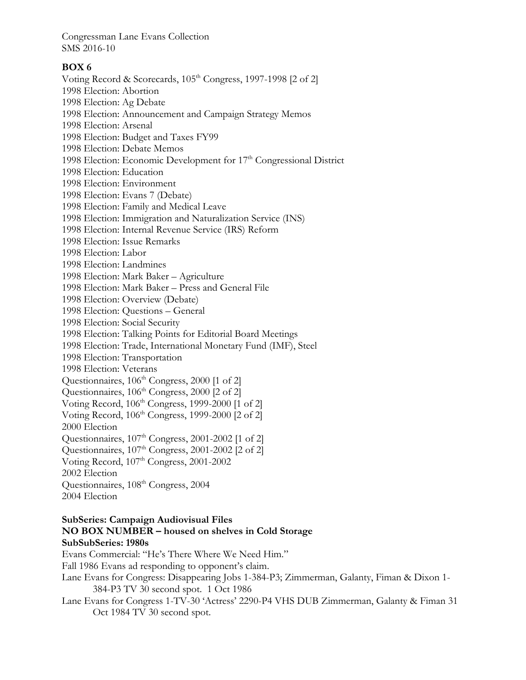# **BOX 6**

Voting Record & Scorecards, 105<sup>th</sup> Congress, 1997-1998 [2 of 2] 1998 Election: Abortion 1998 Election: Ag Debate 1998 Election: Announcement and Campaign Strategy Memos 1998 Election: Arsenal 1998 Election: Budget and Taxes FY99 1998 Election: Debate Memos 1998 Election: Economic Development for  $17<sup>th</sup>$  Congressional District 1998 Election: Education 1998 Election: Environment 1998 Election: Evans 7 (Debate) 1998 Election: Family and Medical Leave 1998 Election: Immigration and Naturalization Service (INS) 1998 Election: Internal Revenue Service (IRS) Reform 1998 Election: Issue Remarks 1998 Election: Labor 1998 Election: Landmines 1998 Election: Mark Baker – Agriculture 1998 Election: Mark Baker – Press and General File 1998 Election: Overview (Debate) 1998 Election: Questions – General 1998 Election: Social Security 1998 Election: Talking Points for Editorial Board Meetings 1998 Election: Trade, International Monetary Fund (IMF), Steel 1998 Election: Transportation 1998 Election: Veterans Questionnaires, 106<sup>th</sup> Congress, 2000 [1 of 2] Questionnaires, 106<sup>th</sup> Congress, 2000 [2 of 2] Voting Record,  $106<sup>th</sup> Congress$ , 1999-2000 [1 of 2] Voting Record,  $106<sup>th</sup> Congress$ , 1999-2000 [2 of 2] 2000 Election Questionnaires,  $107<sup>th</sup> Congress$ ,  $2001-2002$  [1 of 2] Questionnaires,  $107<sup>th</sup> Congress$ ,  $2001-2002$  [2 of 2] Voting Record,  $107<sup>th</sup> Congress, 2001-2002$ 2002 Election Questionnaires, 108<sup>th</sup> Congress, 2004 2004 Election

# **SubSeries: Campaign Audiovisual Files NO BOX NUMBER – housed on shelves in Cold Storage SubSubSeries: 1980s**

Evans Commercial: "He's There Where We Need Him." Fall 1986 Evans ad responding to opponent's claim. Lane Evans for Congress: Disappearing Jobs 1-384-P3; Zimmerman, Galanty, Fiman & Dixon 1- 384-P3 TV 30 second spot. 1 Oct 1986 Lane Evans for Congress 1-TV-30 'Actress' 2290-P4 VHS DUB Zimmerman, Galanty & Fiman 31 Oct 1984 TV 30 second spot.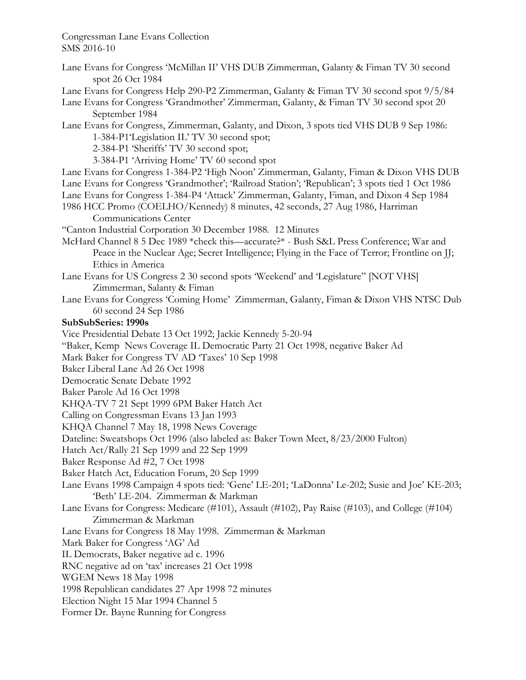Lane Evans for Congress 'McMillan II' VHS DUB Zimmerman, Galanty & Fiman TV 30 second spot 26 Oct 1984

Lane Evans for Congress Help 290-P2 Zimmerman, Galanty & Fiman TV 30 second spot 9/5/84

- Lane Evans for Congress 'Grandmother' Zimmerman, Galanty, & Fiman TV 30 second spot 20 September 1984
- Lane Evans for Congress, Zimmerman, Galanty, and Dixon, 3 spots tied VHS DUB 9 Sep 1986: 1-384-P1'Legislation IL' TV 30 second spot;

2-384-P1 'Sheriffs' TV 30 second spot;

3-384-P1 'Arriving Home' TV 60 second spot

- Lane Evans for Congress 1-384-P2 'High Noon' Zimmerman, Galanty, Fiman & Dixon VHS DUB Lane Evans for Congress 'Grandmother'; 'Railroad Station'; 'Republican'; 3 spots tied 1 Oct 1986 Lane Evans for Congress 1-384-P4 'Attack' Zimmerman, Galanty, Fiman, and Dixon 4 Sep 1984
- 1986 HCC Promo (COELHO/Kennedy) 8 minutes, 42 seconds, 27 Aug 1986, Harriman Communications Center

"Canton Industrial Corporation 30 December 1988. 12 Minutes

- McHard Channel 8 5 Dec 1989 \*check this—accurate?\* Bush S&L Press Conference; War and Peace in the Nuclear Age; Secret Intelligence; Flying in the Face of Terror; Frontline on JJ; Ethics in America
- Lane Evans for US Congress 2 30 second spots 'Weekend' and 'Legislature" [NOT VHS] Zimmerman, Salanty & Fiman
- Lane Evans for Congress 'Coming Home' Zimmerman, Galanty, Fiman & Dixon VHS NTSC Dub 60 second 24 Sep 1986

# **SubSubSeries: 1990s**

Vice Presidential Debate 13 Oct 1992; Jackie Kennedy 5-20-94 "Baker, Kemp News Coverage IL Democratic Party 21 Oct 1998, negative Baker Ad Mark Baker for Congress TV AD 'Taxes' 10 Sep 1998 Baker Liberal Lane Ad 26 Oct 1998 Democratic Senate Debate 1992 Baker Parole Ad 16 Oct 1998 KHQA-TV 7 21 Sept 1999 6PM Baker Hatch Act Calling on Congressman Evans 13 Jan 1993 KHQA Channel 7 May 18, 1998 News Coverage Dateline: Sweatshops Oct 1996 (also labeled as: Baker Town Meet, 8/23/2000 Fulton) Hatch Act/Rally 21 Sep 1999 and 22 Sep 1999 Baker Response Ad #2, 7 Oct 1998 Baker Hatch Act, Education Forum, 20 Sep 1999 Lane Evans 1998 Campaign 4 spots tied: 'Gene' LE-201; 'LaDonna' Le-202; Susie and Joe' KE-203; 'Beth' LE-204. Zimmerman & Markman Lane Evans for Congress: Medicare (#101), Assault (#102), Pay Raise (#103), and College (#104) Zimmerman & Markman Lane Evans for Congress 18 May 1998. Zimmerman & Markman Mark Baker for Congress 'AG' Ad IL Democrats, Baker negative ad c. 1996 RNC negative ad on 'tax' increases 21 Oct 1998 WGEM News 18 May 1998 1998 Republican candidates 27 Apr 1998 72 minutes Election Night 15 Mar 1994 Channel 5 Former Dr. Bayne Running for Congress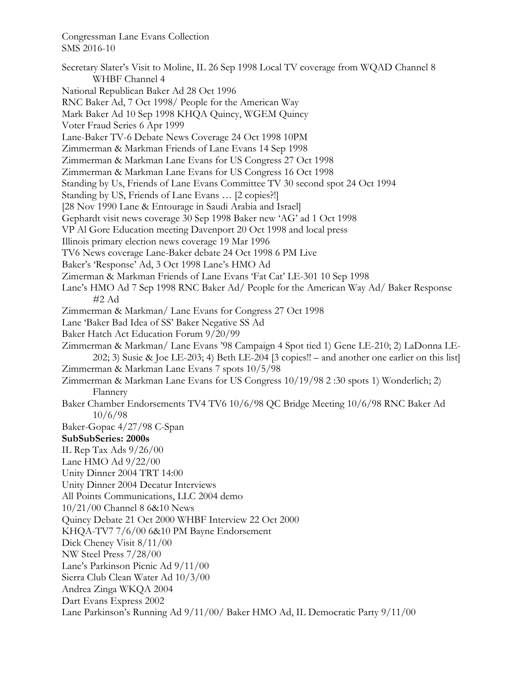Secretary Slater's Visit to Moline, IL 26 Sep 1998 Local TV coverage from WQAD Channel 8 WHBF Channel 4 National Republican Baker Ad 28 Oct 1996 RNC Baker Ad, 7 Oct 1998/ People for the American Way Mark Baker Ad 10 Sep 1998 KHQA Quincy, WGEM Quincy Voter Fraud Series 6 Apr 1999 Lane-Baker TV-6 Debate News Coverage 24 Oct 1998 10PM Zimmerman & Markman Friends of Lane Evans 14 Sep 1998 Zimmerman & Markman Lane Evans for US Congress 27 Oct 1998 Zimmerman & Markman Lane Evans for US Congress 16 Oct 1998 Standing by Us, Friends of Lane Evans Committee TV 30 second spot 24 Oct 1994 Standing by US, Friends of Lane Evans … [2 copies?!] [28 Nov 1990 Lane & Entourage in Saudi Arabia and Israel] Gephardt visit news coverage 30 Sep 1998 Baker new 'AG' ad 1 Oct 1998 VP Al Gore Education meeting Davenport 20 Oct 1998 and local press Illinois primary election news coverage 19 Mar 1996 TV6 News coverage Lane-Baker debate 24 Oct 1998 6 PM Live Baker's 'Response' Ad, 3 Oct 1998 Lane's HMO Ad Zimerman & Markman Friends of Lane Evans 'Fat Cat' LE-301 10 Sep 1998 Lane's HMO Ad 7 Sep 1998 RNC Baker Ad/ People for the American Way Ad/ Baker Response #2 Ad Zimmerman & Markman/ Lane Evans for Congress 27 Oct 1998 Lane 'Baker Bad Idea of SS' Baker Negative SS Ad Baker Hatch Act Education Forum 9/20/99 Zimmerman & Markman/ Lane Evans '98 Campaign 4 Spot tied 1) Gene LE-210; 2) LaDonna LE-202; 3) Susie & Joe LE-203; 4) Beth LE-204 [3 copies!! – and another one earlier on this list] Zimmerman & Markman Lane Evans 7 spots 10/5/98 Zimmerman & Markman Lane Evans for US Congress 10/19/98 2 :30 spots 1) Wonderlich; 2) Flannery Baker Chamber Endorsements TV4 TV6 10/6/98 QC Bridge Meeting 10/6/98 RNC Baker Ad 10/6/98 Baker-Gopac 4/27/98 C-Span **SubSubSeries: 2000s**  IL Rep Tax Ads 9/26/00 Lane HMO Ad 9/22/00 Unity Dinner 2004 TRT 14:00 Unity Dinner 2004 Decatur Interviews All Points Communications, LLC 2004 demo 10/21/00 Channel 8 6&10 News Quincy Debate 21 Oct 2000 WHBF Interview 22 Oct 2000 KHQA-TV7 7/6/00 6&10 PM Bayne Endorsement Dick Cheney Visit 8/11/00 NW Steel Press 7/28/00 Lane's Parkinson Picnic Ad 9/11/00 Sierra Club Clean Water Ad 10/3/00 Andrea Zinga WKQA 2004 Dart Evans Express 2002 Lane Parkinson's Running Ad 9/11/00/ Baker HMO Ad, IL Democratic Party 9/11/00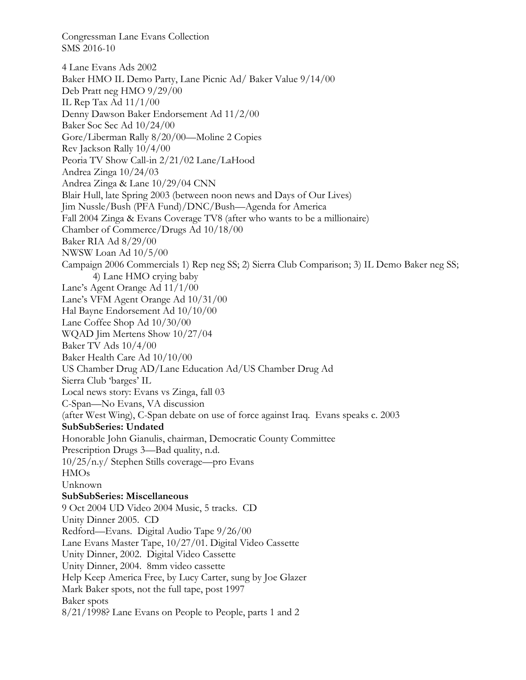4 Lane Evans Ads 2002 Baker HMO IL Demo Party, Lane Picnic Ad/ Baker Value 9/14/00 Deb Pratt neg HMO 9/29/00 IL Rep Tax Ad 11/1/00 Denny Dawson Baker Endorsement Ad 11/2/00 Baker Soc Sec Ad 10/24/00 Gore/Liberman Rally 8/20/00—Moline 2 Copies Rev Jackson Rally 10/4/00 Peoria TV Show Call-in 2/21/02 Lane/LaHood Andrea Zinga 10/24/03 Andrea Zinga & Lane 10/29/04 CNN Blair Hull, late Spring 2003 (between noon news and Days of Our Lives) Jim Nussle/Bush (PFA Fund)/DNC/Bush—Agenda for America Fall 2004 Zinga & Evans Coverage TV8 (after who wants to be a millionaire) Chamber of Commerce/Drugs Ad 10/18/00 Baker RIA Ad 8/29/00 NWSW Loan Ad 10/5/00 Campaign 2006 Commercials 1) Rep neg SS; 2) Sierra Club Comparison; 3) IL Demo Baker neg SS; 4) Lane HMO crying baby Lane's Agent Orange Ad 11/1/00 Lane's VFM Agent Orange Ad 10/31/00 Hal Bayne Endorsement Ad 10/10/00 Lane Coffee Shop Ad 10/30/00 WQAD Jim Mertens Show 10/27/04 Baker TV Ads 10/4/00 Baker Health Care Ad 10/10/00 US Chamber Drug AD/Lane Education Ad/US Chamber Drug Ad Sierra Club 'barges' IL Local news story: Evans vs Zinga, fall 03 C-Span—No Evans, VA discussion (after West Wing), C-Span debate on use of force against Iraq. Evans speaks c. 2003 **SubSubSeries: Undated**  Honorable John Gianulis, chairman, Democratic County Committee Prescription Drugs 3—Bad quality, n.d. 10/25/n.y/ Stephen Stills coverage—pro Evans HMOs Unknown **SubSubSeries: Miscellaneous**  9 Oct 2004 UD Video 2004 Music, 5 tracks. CD Unity Dinner 2005. CD Redford—Evans. Digital Audio Tape 9/26/00 Lane Evans Master Tape, 10/27/01. Digital Video Cassette Unity Dinner, 2002. Digital Video Cassette Unity Dinner, 2004. 8mm video cassette Help Keep America Free, by Lucy Carter, sung by Joe Glazer Mark Baker spots, not the full tape, post 1997 Baker spots 8/21/1998? Lane Evans on People to People, parts 1 and 2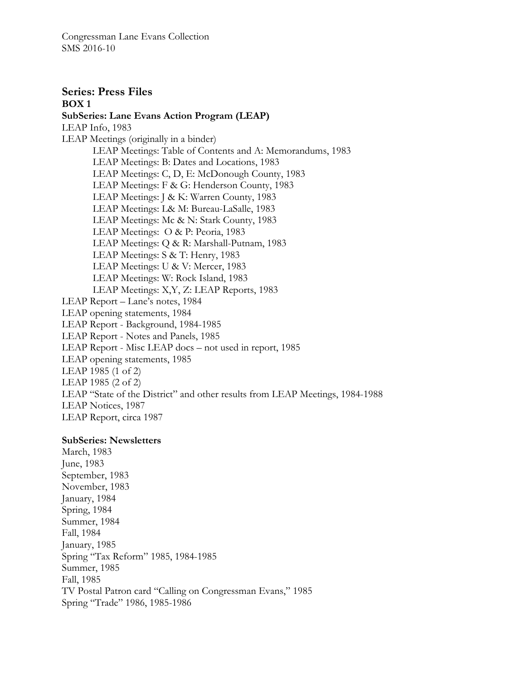**Series: Press Files BOX 1 SubSeries: Lane Evans Action Program (LEAP)**  LEAP Info, 1983 LEAP Meetings (originally in a binder) LEAP Meetings: Table of Contents and A: Memorandums, 1983 LEAP Meetings: B: Dates and Locations, 1983 LEAP Meetings: C, D, E: McDonough County, 1983 LEAP Meetings: F & G: Henderson County, 1983 LEAP Meetings: J & K: Warren County, 1983 LEAP Meetings: L& M: Bureau-LaSalle, 1983 LEAP Meetings: Mc & N: Stark County, 1983 LEAP Meetings: O & P: Peoria, 1983 LEAP Meetings: Q & R: Marshall-Putnam, 1983 LEAP Meetings: S & T: Henry, 1983 LEAP Meetings: U & V: Mercer, 1983 LEAP Meetings: W: Rock Island, 1983 LEAP Meetings: X,Y, Z: LEAP Reports, 1983 LEAP Report – Lane's notes, 1984 LEAP opening statements, 1984 LEAP Report - Background, 1984-1985 LEAP Report - Notes and Panels, 1985 LEAP Report - Misc LEAP docs – not used in report, 1985 LEAP opening statements, 1985 LEAP 1985 (1 of 2) LEAP 1985 (2 of 2) LEAP "State of the District" and other results from LEAP Meetings, 1984-1988 LEAP Notices, 1987 LEAP Report, circa 1987

# **SubSeries: Newsletters**

March, 1983 June, 1983 September, 1983 November, 1983 January, 1984 Spring, 1984 Summer, 1984 Fall, 1984 January, 1985 Spring "Tax Reform" 1985, 1984-1985 Summer, 1985 Fall, 1985 TV Postal Patron card "Calling on Congressman Evans," 1985 Spring "Trade" 1986, 1985-1986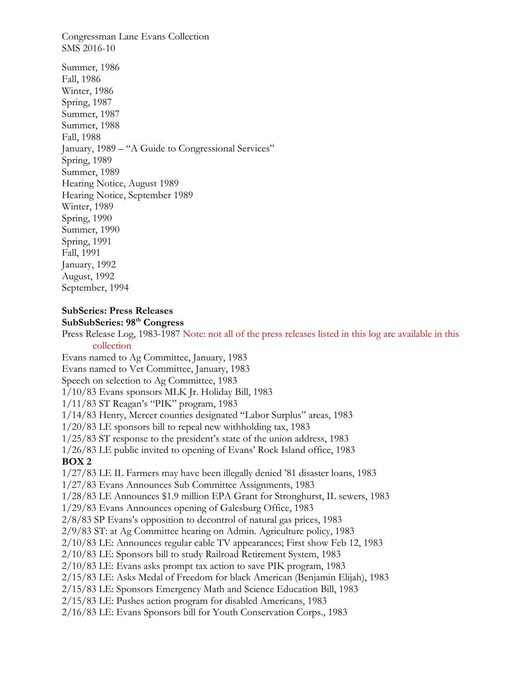Congressman Lane Evans Collection SMS 2016-10 Summer, 1986 Fall, 1986 Winter, 1986 Spring, 1987 Summer, 1987 Summer, 1988 Fall, 1988 January, 1989 – "A Guide to Congressional Services" Spring, 1989 Summer, 1989 Hearing Notice, August 1989 Hearing Notice, September 1989 Winter, 1989 Spring, 1990 Summer, 1990 Spring, 1991 Fall, 1991 January, 1992 August, 1992 September, 1994

#### **SubSeries: Press Releases SubSubSeries: 98th Congress**

Press Release Log, 1983-1987 Note: not all of the press releases listed in this log are available in this collection Evans named to Ag Committee, January, 1983 Evans named to Vet Committee, January, 1983 Speech on selection to Ag Committee, 1983 1/10/83 Evans sponsors MLK Jr. Holiday Bill, 1983 1/11/83 ST Reagan's "PIK" program, 1983 1/14/83 Henry, Mercer counties designated "Labor Surplus" areas, 1983 1/20/83 LE sponsors bill to repeal new withholding tax, 1983 1/25/83 ST response to the president's state of the union address, 1983 1/26/83 LE public invited to opening of Evans' Rock Island office, 1983 **BOX 2**  1/27/83 LE IL Farmers may have been illegally denied '81 disaster loans, 1983 1/27/83 Evans Announces Sub Committee Assignments, 1983 1/28/83 LE Announces \$1.9 million EPA Grant for Stronghurst, IL sewers, 1983 1/29/83 Evans Announces opening of Galesburg Office, 1983 2/8/83 SP Evans's opposition to decontrol of natural gas prices, 1983 2/9/83 ST: at Ag Committee hearing on Admin. Agriculture policy, 1983 2/10/83 LE: Announces regular cable TV appearances; First show Feb 12, 1983 2/10/83 LE: Sponsors bill to study Railroad Retirement System, 1983 2/10/83 LE: Evans asks prompt tax action to save PIK program, 1983 2/15/83 LE: Asks Medal of Freedom for black American (Benjamin Elijah), 1983 2/15/83 LE: Sponsors Emergency Math and Science Education Bill, 1983 2/15/83 LE: Pushes action program for disabled Americans, 1983 2/16/83 LE: Evans Sponsors bill for Youth Conservation Corps., 1983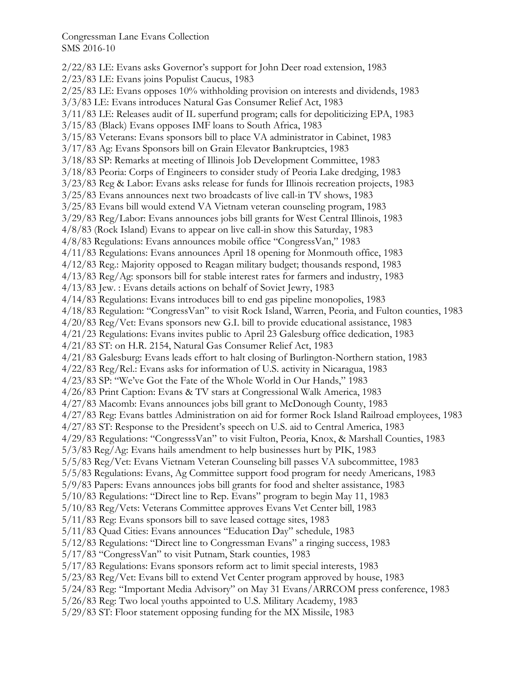2/22/83 LE: Evans asks Governor's support for John Deer road extension, 1983 2/23/83 LE: Evans joins Populist Caucus, 1983 2/25/83 LE: Evans opposes 10% withholding provision on interests and dividends, 1983 3/3/83 LE: Evans introduces Natural Gas Consumer Relief Act, 1983 3/11/83 LE: Releases audit of IL superfund program; calls for depoliticizing EPA, 1983 3/15/83 (Black) Evans opposes IMF loans to South Africa, 1983 3/15/83 Veterans: Evans sponsors bill to place VA administrator in Cabinet, 1983 3/17/83 Ag: Evans Sponsors bill on Grain Elevator Bankruptcies, 1983 3/18/83 SP: Remarks at meeting of Illinois Job Development Committee, 1983 3/18/83 Peoria: Corps of Engineers to consider study of Peoria Lake dredging, 1983 3/23/83 Reg & Labor: Evans asks release for funds for Illinois recreation projects, 1983 3/25/83 Evans announces next two broadcasts of live call-in TV shows, 1983 3/25/83 Evans bill would extend VA Vietnam veteran counseling program, 1983 3/29/83 Reg/Labor: Evans announces jobs bill grants for West Central Illinois, 1983 4/8/83 (Rock Island) Evans to appear on live call-in show this Saturday, 1983 4/8/83 Regulations: Evans announces mobile office "CongressVan," 1983 4/11/83 Regulations: Evans announces April 18 opening for Monmouth office, 1983 4/12/83 Reg.: Majority opposed to Reagan military budget; thousands respond, 1983 4/13/83 Reg/Ag: sponsors bill for stable interest rates for farmers and industry, 1983 4/13/83 Jew. : Evans details actions on behalf of Soviet Jewry, 1983 4/14/83 Regulations: Evans introduces bill to end gas pipeline monopolies, 1983 4/18/83 Regulation: "CongressVan" to visit Rock Island, Warren, Peoria, and Fulton counties, 1983 4/20/83 Reg/Vet: Evans sponsors new G.I. bill to provide educational assistance, 1983 4/21/23 Regulations: Evans invites public to April 23 Galesburg office dedication, 1983 4/21/83 ST: on H.R. 2154, Natural Gas Consumer Relief Act, 1983 4/21/83 Galesburg: Evans leads effort to halt closing of Burlington-Northern station, 1983 4/22/83 Reg/Rel.: Evans asks for information of U.S. activity in Nicaragua, 1983 4/23/83 SP: "We've Got the Fate of the Whole World in Our Hands," 1983 4/26/83 Print Caption: Evans & TV stars at Congressional Walk America, 1983 4/27/83 Macomb: Evans announces jobs bill grant to McDonough County, 1983 4/27/83 Reg: Evans battles Administration on aid for former Rock Island Railroad employees, 1983 4/27/83 ST: Response to the President's speech on U.S. aid to Central America, 1983 4/29/83 Regulations: "CongresssVan" to visit Fulton, Peoria, Knox, & Marshall Counties, 1983 5/3/83 Reg/Ag: Evans hails amendment to help businesses hurt by PIK, 1983 5/5/83 Reg/Vet: Evans Vietnam Veteran Counseling bill passes VA subcommittee, 1983 5/5/83 Regulations: Evans, Ag Committee support food program for needy Americans, 1983 5/9/83 Papers: Evans announces jobs bill grants for food and shelter assistance, 1983 5/10/83 Regulations: "Direct line to Rep. Evans" program to begin May 11, 1983 5/10/83 Reg/Vets: Veterans Committee approves Evans Vet Center bill, 1983 5/11/83 Reg: Evans sponsors bill to save leased cottage sites, 1983 5/11/83 Quad Cities: Evans announces "Education Day" schedule, 1983 5/12/83 Regulations: "Direct line to Congressman Evans" a ringing success, 1983 5/17/83 "CongressVan" to visit Putnam, Stark counties, 1983 5/17/83 Regulations: Evans sponsors reform act to limit special interests, 1983 5/23/83 Reg/Vet: Evans bill to extend Vet Center program approved by house, 1983 5/24/83 Reg: "Important Media Advisory" on May 31 Evans/ARRCOM press conference, 1983 5/26/83 Reg: Two local youths appointed to U.S. Military Academy, 1983 5/29/83 ST: Floor statement opposing funding for the MX Missile, 1983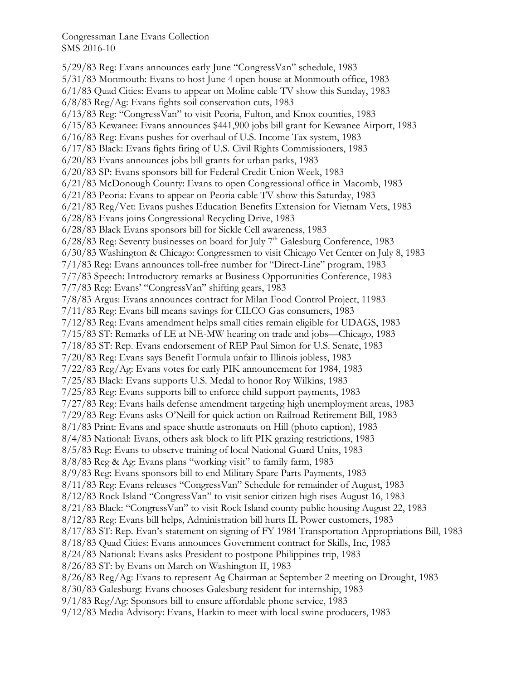5/29/83 Reg: Evans announces early June "CongressVan" schedule, 1983 5/31/83 Monmouth: Evans to host June 4 open house at Monmouth office, 1983 6/1/83 Quad Cities: Evans to appear on Moline cable TV show this Sunday, 1983 6/8/83 Reg/Ag: Evans fights soil conservation cuts, 1983 6/13/83 Reg: "CongressVan" to visit Peoria, Fulton, and Knox counties, 1983 6/15/83 Kewanee: Evans announces \$441,900 jobs bill grant for Kewanee Airport, 1983 6/16/83 Reg: Evans pushes for overhaul of U.S. Income Tax system, 1983 6/17/83 Black: Evans fights firing of U.S. Civil Rights Commissioners, 1983 6/20/83 Evans announces jobs bill grants for urban parks, 1983 6/20/83 SP: Evans sponsors bill for Federal Credit Union Week, 1983 6/21/83 McDonough County: Evans to open Congressional office in Macomb, 1983 6/21/83 Peoria: Evans to appear on Peoria cable TV show this Saturday, 1983 6/21/83 Reg/Vet: Evans pushes Education Benefits Extension for Vietnam Vets, 1983 6/28/83 Evans joins Congressional Recycling Drive, 1983 6/28/83 Black Evans sponsors bill for Sickle Cell awareness, 1983  $6/28/83$  Reg: Seventy businesses on board for July 7<sup>th</sup> Galesburg Conference, 1983 6/30/83 Washington & Chicago: Congressmen to visit Chicago Vet Center on July 8, 1983 7/1/83 Reg: Evans announces toll-free number for "Direct-Line" program, 1983 7/7/83 Speech: Introductory remarks at Business Opportunities Conference, 1983 7/7/83 Reg: Evans' "CongressVan" shifting gears, 1983 7/8/83 Argus: Evans announces contract for Milan Food Control Project, 11983 7/11/83 Reg: Evans bill means savings for CILCO Gas consumers, 1983 7/12/83 Reg: Evans amendment helps small cities remain eligible for UDAGS, 1983 7/15/83 ST: Remarks of LE at NE-MW hearing on trade and jobs—Chicago, 1983 7/18/83 ST: Rep. Evans endorsement of REP Paul Simon for U.S. Senate, 1983 7/20/83 Reg: Evans says Benefit Formula unfair to Illinois jobless, 1983 7/22/83 Reg/Ag: Evans votes for early PIK announcement for 1984, 1983 7/25/83 Black: Evans supports U.S. Medal to honor Roy Wilkins, 1983 7/25/83 Reg: Evans supports bill to enforce child support payments, 1983 7/27/83 Reg: Evans hails defense amendment targeting high unemployment areas, 1983 7/29/83 Reg: Evans asks O'Neill for quick action on Railroad Retirement Bill, 1983 8/1/83 Print: Evans and space shuttle astronauts on Hill (photo caption), 1983 8/4/83 National: Evans, others ask block to lift PIK grazing restrictions, 1983 8/5/83 Reg: Evans to observe training of local National Guard Units, 1983 8/8/83 Reg & Ag: Evans plans "working visit" to family farm, 1983 8/9/83 Reg: Evans sponsors bill to end Military Spare Parts Payments, 1983 8/11/83 Reg: Evans releases "CongressVan" Schedule for remainder of August, 1983 8/12/83 Rock Island "CongressVan" to visit senior citizen high rises August 16, 1983 8/21/83 Black: "CongressVan" to visit Rock Island county public housing August 22, 1983 8/12/83 Reg: Evans bill helps, Administration bill hurts IL Power customers, 1983 8/17/83 ST: Rep. Evan's statement on signing of FY 1984 Transportation Appropriations Bill, 1983 8/18/83 Quad Cities: Evans announces Government contract for Skills, Inc, 1983 8/24/83 National: Evans asks President to postpone Philippines trip, 1983 8/26/83 ST: by Evans on March on Washington II, 1983 8/26/83 Reg/Ag: Evans to represent Ag Chairman at September 2 meeting on Drought, 1983 8/30/83 Galesburg: Evans chooses Galesburg resident for internship, 1983 9/1/83 Reg/Ag: Sponsors bill to ensure affordable phone service, 1983 9/12/83 Media Advisory: Evans, Harkin to meet with local swine producers, 1983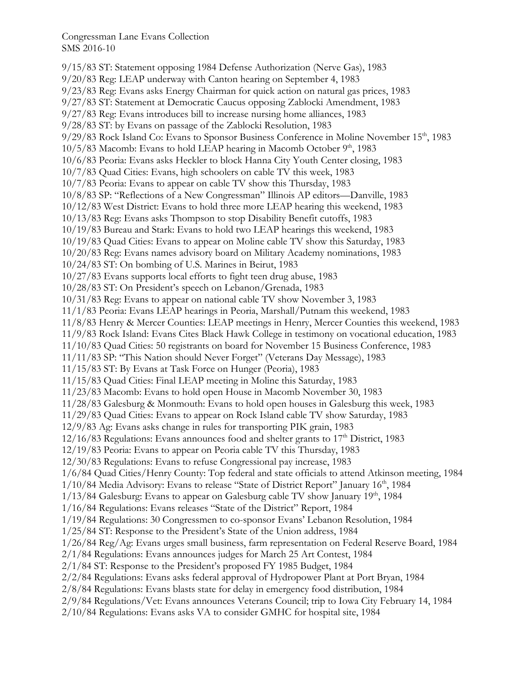9/15/83 ST: Statement opposing 1984 Defense Authorization (Nerve Gas), 1983 9/20/83 Reg: LEAP underway with Canton hearing on September 4, 1983 9/23/83 Reg: Evans asks Energy Chairman for quick action on natural gas prices, 1983 9/27/83 ST: Statement at Democratic Caucus opposing Zablocki Amendment, 1983 9/27/83 Reg: Evans introduces bill to increase nursing home alliances, 1983 9/28/83 ST: by Evans on passage of the Zablocki Resolution, 1983 9/29/83 Rock Island Co: Evans to Sponsor Business Conference in Moline November 15<sup>th</sup>, 1983 10/5/83 Macomb: Evans to hold LEAP hearing in Macomb October 9<sup>th</sup>, 1983 10/6/83 Peoria: Evans asks Heckler to block Hanna City Youth Center closing, 1983 10/7/83 Quad Cities: Evans, high schoolers on cable TV this week, 1983 10/7/83 Peoria: Evans to appear on cable TV show this Thursday, 1983 10/8/83 SP: "Reflections of a New Congressman" Illinois AP editors—Danville, 1983 10/12/83 West District: Evans to hold three more LEAP hearing this weekend, 1983 10/13/83 Reg: Evans asks Thompson to stop Disability Benefit cutoffs, 1983 10/19/83 Bureau and Stark: Evans to hold two LEAP hearings this weekend, 1983 10/19/83 Quad Cities: Evans to appear on Moline cable TV show this Saturday, 1983 10/20/83 Reg: Evans names advisory board on Military Academy nominations, 1983 10/24/83 ST: On bombing of U.S. Marines in Beirut, 1983 10/27/83 Evans supports local efforts to fight teen drug abuse, 1983 10/28/83 ST: On President's speech on Lebanon/Grenada, 1983 10/31/83 Reg: Evans to appear on national cable TV show November 3, 1983 11/1/83 Peoria: Evans LEAP hearings in Peoria, Marshall/Putnam this weekend, 1983 11/8/83 Henry & Mercer Counties: LEAP meetings in Henry, Mercer Counties this weekend, 1983 11/9/83 Rock Island: Evans Cites Black Hawk College in testimony on vocational education, 1983 11/10/83 Quad Cities: 50 registrants on board for November 15 Business Conference, 1983 11/11/83 SP: "This Nation should Never Forget" (Veterans Day Message), 1983 11/15/83 ST: By Evans at Task Force on Hunger (Peoria), 1983 11/15/83 Quad Cities: Final LEAP meeting in Moline this Saturday, 1983 11/23/83 Macomb: Evans to hold open House in Macomb November 30, 1983 11/28/83 Galesburg & Monmouth: Evans to hold open houses in Galesburg this week, 1983 11/29/83 Quad Cities: Evans to appear on Rock Island cable TV show Saturday, 1983 12/9/83 Ag: Evans asks change in rules for transporting PIK grain, 1983  $12/16/83$  Regulations: Evans announces food and shelter grants to  $17<sup>th</sup>$  District, 1983 12/19/83 Peoria: Evans to appear on Peoria cable TV this Thursday, 1983 12/30/83 Regulations: Evans to refuse Congressional pay increase, 1983 1/6/84 Quad Cities/Henry County: Top federal and state officials to attend Atkinson meeting, 1984 1/10/84 Media Advisory: Evans to release "State of District Report" January 16<sup>th</sup>, 1984  $1/13/84$  Galesburg: Evans to appear on Galesburg cable TV show January  $19<sup>th</sup>$ , 1984 1/16/84 Regulations: Evans releases "State of the District" Report, 1984 1/19/84 Regulations: 30 Congressmen to co-sponsor Evans' Lebanon Resolution, 1984 1/25/84 ST: Response to the President's State of the Union address, 1984 1/26/84 Reg/Ag: Evans urges small business, farm representation on Federal Reserve Board, 1984 2/1/84 Regulations: Evans announces judges for March 25 Art Contest, 1984 2/1/84 ST: Response to the President's proposed FY 1985 Budget, 1984 2/2/84 Regulations: Evans asks federal approval of Hydropower Plant at Port Bryan, 1984 2/8/84 Regulations: Evans blasts state for delay in emergency food distribution, 1984 2/9/84 Regulations/Vet: Evans announces Veterans Council; trip to Iowa City February 14, 1984 2/10/84 Regulations: Evans asks VA to consider GMHC for hospital site, 1984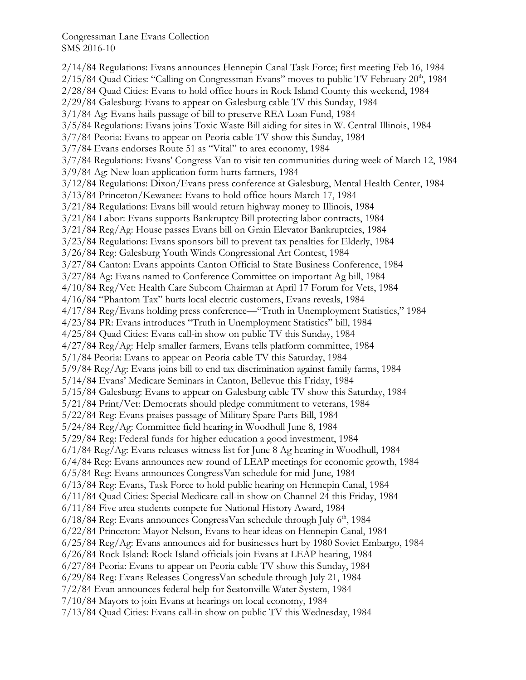2/14/84 Regulations: Evans announces Hennepin Canal Task Force; first meeting Feb 16, 1984  $2/15/84$  Quad Cities: "Calling on Congressman Evans" moves to public TV February  $20<sup>th</sup>$ , 1984 2/28/84 Quad Cities: Evans to hold office hours in Rock Island County this weekend, 1984 2/29/84 Galesburg: Evans to appear on Galesburg cable TV this Sunday, 1984 3/1/84 Ag: Evans hails passage of bill to preserve REA Loan Fund, 1984 3/5/84 Regulations: Evans joins Toxic Waste Bill aiding for sites in W. Central Illinois, 1984 3/7/84 Peoria: Evans to appear on Peoria cable TV show this Sunday, 1984 3/7/84 Evans endorses Route 51 as "Vital" to area economy, 1984 3/7/84 Regulations: Evans' Congress Van to visit ten communities during week of March 12, 1984 3/9/84 Ag: New loan application form hurts farmers, 1984 3/12/84 Regulations: Dixon/Evans press conference at Galesburg, Mental Health Center, 1984 3/13/84 Princeton/Kewanee: Evans to hold office hours March 17, 1984 3/21/84 Regulations: Evans bill would return highway money to Illinois, 1984 3/21/84 Labor: Evans supports Bankruptcy Bill protecting labor contracts, 1984 3/21/84 Reg/Ag: House passes Evans bill on Grain Elevator Bankruptcies, 1984 3/23/84 Regulations: Evans sponsors bill to prevent tax penalties for Elderly, 1984 3/26/84 Reg: Galesburg Youth Winds Congressional Art Contest, 1984 3/27/84 Canton: Evans appoints Canton Official to State Business Conference, 1984 3/27/84 Ag: Evans named to Conference Committee on important Ag bill, 1984 4/10/84 Reg/Vet: Health Care Subcom Chairman at April 17 Forum for Vets, 1984 4/16/84 "Phantom Tax" hurts local electric customers, Evans reveals, 1984 4/17/84 Reg/Evans holding press conference—"Truth in Unemployment Statistics," 1984 4/23/84 PR: Evans introduces "Truth in Unemployment Statistics" bill, 1984 4/25/84 Quad Cities: Evans call-in show on public TV this Sunday, 1984 4/27/84 Reg/Ag: Help smaller farmers, Evans tells platform committee, 1984 5/1/84 Peoria: Evans to appear on Peoria cable TV this Saturday, 1984 5/9/84 Reg/Ag: Evans joins bill to end tax discrimination against family farms, 1984 5/14/84 Evans' Medicare Seminars in Canton, Bellevue this Friday, 1984 5/15/84 Galesburg: Evans to appear on Galesburg cable TV show this Saturday, 1984 5/21/84 Print/Vet: Democrats should pledge commitment to veterans, 1984 5/22/84 Reg: Evans praises passage of Military Spare Parts Bill, 1984 5/24/84 Reg/Ag: Committee field hearing in Woodhull June 8, 1984 5/29/84 Reg: Federal funds for higher education a good investment, 1984 6/1/84 Reg/Ag: Evans releases witness list for June 8 Ag hearing in Woodhull, 1984 6/4/84 Reg: Evans announces new round of LEAP meetings for economic growth, 1984 6/5/84 Reg: Evans announces CongressVan schedule for mid-June, 1984 6/13/84 Reg: Evans, Task Force to hold public hearing on Hennepin Canal, 1984 6/11/84 Quad Cities: Special Medicare call-in show on Channel 24 this Friday, 1984 6/11/84 Five area students compete for National History Award, 1984  $6/18/84$  Reg: Evans announces CongressVan schedule through July  $6<sup>th</sup>$ , 1984 6/22/84 Princeton: Mayor Nelson, Evans to hear ideas on Hennepin Canal, 1984 6/25/84 Reg/Ag: Evans announces aid for businesses hurt by 1980 Soviet Embargo, 1984 6/26/84 Rock Island: Rock Island officials join Evans at LEAP hearing, 1984 6/27/84 Peoria: Evans to appear on Peoria cable TV show this Sunday, 1984 6/29/84 Reg: Evans Releases CongressVan schedule through July 21, 1984 7/2/84 Evan announces federal help for Seatonville Water System, 1984 7/10/84 Mayors to join Evans at hearings on local economy, 1984 7/13/84 Quad Cities: Evans call-in show on public TV this Wednesday, 1984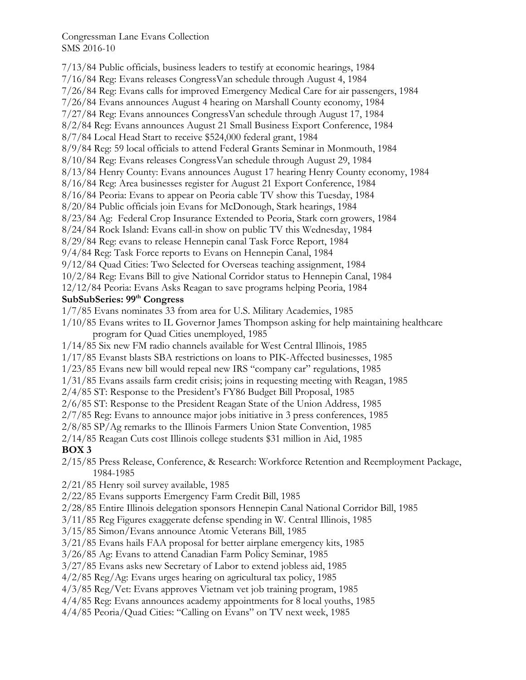7/13/84 Public officials, business leaders to testify at economic hearings, 1984 7/16/84 Reg: Evans releases CongressVan schedule through August 4, 1984 7/26/84 Reg: Evans calls for improved Emergency Medical Care for air passengers, 1984 7/26/84 Evans announces August 4 hearing on Marshall County economy, 1984 7/27/84 Reg: Evans announces CongressVan schedule through August 17, 1984 8/2/84 Reg: Evans announces August 21 Small Business Export Conference, 1984 8/7/84 Local Head Start to receive \$524,000 federal grant, 1984 8/9/84 Reg: 59 local officials to attend Federal Grants Seminar in Monmouth, 1984 8/10/84 Reg: Evans releases CongressVan schedule through August 29, 1984 8/13/84 Henry County: Evans announces August 17 hearing Henry County economy, 1984 8/16/84 Reg: Area businesses register for August 21 Export Conference, 1984 8/16/84 Peoria: Evans to appear on Peoria cable TV show this Tuesday, 1984 8/20/84 Public officials join Evans for McDonough, Stark hearings, 1984 8/23/84 Ag: Federal Crop Insurance Extended to Peoria, Stark corn growers, 1984 8/24/84 Rock Island: Evans call-in show on public TV this Wednesday, 1984 8/29/84 Reg: evans to release Hennepin canal Task Force Report, 1984 9/4/84 Reg: Task Force reports to Evans on Hennepin Canal, 1984 9/12/84 Quad Cities: Two Selected for Overseas teaching assignment, 1984 10/2/84 Reg: Evans Bill to give National Corridor status to Hennepin Canal, 1984 12/12/84 Peoria: Evans Asks Reagan to save programs helping Peoria, 1984 **SubSubSeries: 99th Congress**  1/7/85 Evans nominates 33 from area for U.S. Military Academies, 1985 1/10/85 Evans writes to IL Governor James Thompson asking for help maintaining healthcare program for Quad Cities unemployed, 1985 1/14/85 Six new FM radio channels available for West Central Illinois, 1985 1/17/85 Evanst blasts SBA restrictions on loans to PIK-Affected businesses, 1985 1/23/85 Evans new bill would repeal new IRS "company car" regulations, 1985 1/31/85 Evans assails farm credit crisis; joins in requesting meeting with Reagan, 1985 2/4/85 ST: Response to the President's FY86 Budget Bill Proposal, 1985 2/6/85 ST: Response to the President Reagan State of the Union Address, 1985 2/7/85 Reg: Evans to announce major jobs initiative in 3 press conferences, 1985 2/8/85 SP/Ag remarks to the Illinois Farmers Union State Convention, 1985 2/14/85 Reagan Cuts cost Illinois college students \$31 million in Aid, 1985 **BOX 3**  2/15/85 Press Release, Conference, & Research: Workforce Retention and Reemployment Package, 1984-1985 2/21/85 Henry soil survey available, 1985 2/22/85 Evans supports Emergency Farm Credit Bill, 1985 2/28/85 Entire Illinois delegation sponsors Hennepin Canal National Corridor Bill, 1985 3/11/85 Reg Figures exaggerate defense spending in W. Central Illinois, 1985 3/15/85 Simon/Evans announce Atomic Veterans Bill, 1985 3/21/85 Evans hails FAA proposal for better airplane emergency kits, 1985 3/26/85 Ag: Evans to attend Canadian Farm Policy Seminar, 1985 3/27/85 Evans asks new Secretary of Labor to extend jobless aid, 1985 4/2/85 Reg/Ag: Evans urges hearing on agricultural tax policy, 1985 4/3/85 Reg/Vet: Evans approves Vietnam vet job training program, 1985

4/4/85 Reg: Evans announces academy appointments for 8 local youths, 1985

4/4/85 Peoria/Quad Cities: "Calling on Evans" on TV next week, 1985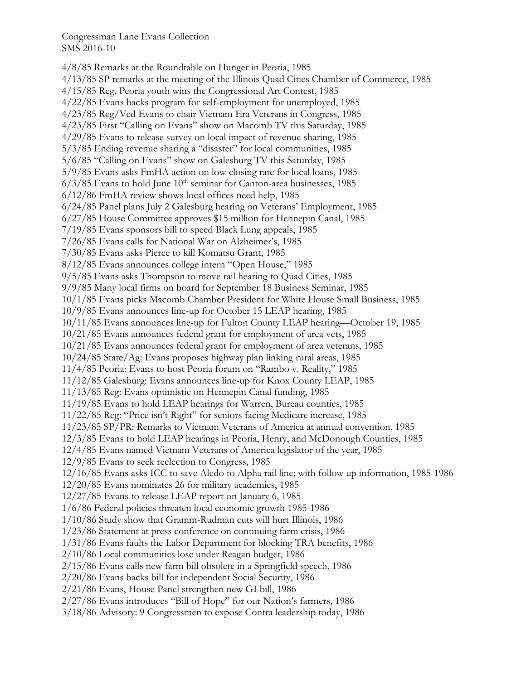4/8/85 Remarks at the Roundtable on Hunger in Peoria, 1985 4/13/85 SP remarks at the meeting of the Illinois Quad Cities Chamber of Commerce, 1985 4/15/85 Reg. Peoria youth wins the Congressional Art Contest, 1985 4/22/85 Evans backs program for self-employment for unemployed, 1985 4/23/85 Reg/Ved Evans to chair Vietnam Era Veterans in Congress, 1985 4/23/85 First "Calling on Evans" show on Macomb TV this Saturday, 1985 4/29/85 Evans to release survey on local impact of revenue sharing, 1985 5/3/85 Ending revenue sharing a "disaster" for local communities, 1985 5/6/85 "Calling on Evans" show on Galesburg TV this Saturday, 1985 5/9/85 Evans asks FmHA action on low closing rate for local loans, 1985  $6/3/85$  Evans to hold June  $10<sup>th</sup>$  seminar for Canton-area businesses, 1985 6/12/86 FmHA review shows local offices need help, 1985 6/24/85 Panel plans July 2 Galesburg hearing on Veterans' Employment, 1985 6/27/85 House Committee approves \$15 million for Hennepin Canal, 1985 7/19/85 Evans sponsors bill to speed Black Lung appeals, 1985 7/26/85 Evans calls for National War on Alzheimer's, 1985 7/30/85 Evans asks Pierce to kill Komatsu Grant, 1985 8/12/85 Evans announces college intern "Open House," 1985 9/5/85 Evans asks Thompson to move rail hearing to Quad Cities, 1985 9/9/85 Many local firms on board for September 18 Business Seminar, 1985 10/1/85 Evans picks Macomb Chamber President for White House Small Business, 1985 10/9/85 Evans announces line-up for October 15 LEAP hearing, 1985 10/11/85 Evans announces line-up for Fulton County LEAP hearing—October 19, 1985 10/21/85 Evans announces federal grant for employment of area vets, 1985 10/21/85 Evans announces federal grant for employment of area veterans, 1985 10/24/85 State/Ag: Evans proposes highway plan linking rural areas, 1985 11/4/85 Peoria: Evans to host Peoria forum on "Rambo v. Reality," 1985 11/12/85 Galesburg: Evans announces line-up for Knox County LEAP, 1985 11/13/85 Reg: Evans optimistic on Hennepin Canal funding, 1985 11/19/85 Evans to hold LEAP hearings for Warren, Bureau counties, 1985 11/22/85 Reg: "Price isn't Right" for seniors facing Medicare increase, 1985 11/23/85 SP/PR: Remarks to Vietnam Veterans of America at annual convention, 1985 12/3/85 Evans to hold LEAP hearings in Peoria, Henry, and McDonough Counties, 1985 12/4/85 Evans named Vietnam Veterans of America legislator of the year, 1985 12/9/85 Evans to seek reelection to Congress, 1985 12/16/85 Evans asks ICC to save Aledo to Alpha rail line; with follow up information, 1985-1986 12/20/85 Evans nominates 26 for military academies, 1985 12/27/85 Evans to release LEAP report on January 6, 1985 1/6/86 Federal policies threaten local economic growth 1985-1986 1/10/86 Study show that Gramm-Rudman cuts will hurt Illinois, 1986 1/23/86 Statement at press conference on continuing farm crisis, 1986 1/31/86 Evans faults the Labor Department for blocking TRA benefits, 1986 2/10/86 Local communities lose under Reagan budget, 1986 2/15/86 Evans calls new farm bill obsolete in a Springfield speech, 1986 2/20/86 Evans backs bill for independent Social Security, 1986 2/21/86 Evans, House Panel strengthen new GI bill, 1986 2/27/86 Evans introduces "Bill of Hope" for our Nation's farmers, 1986 3/18/86 Advisory: 9 Congressmen to expose Contra leadership today, 1986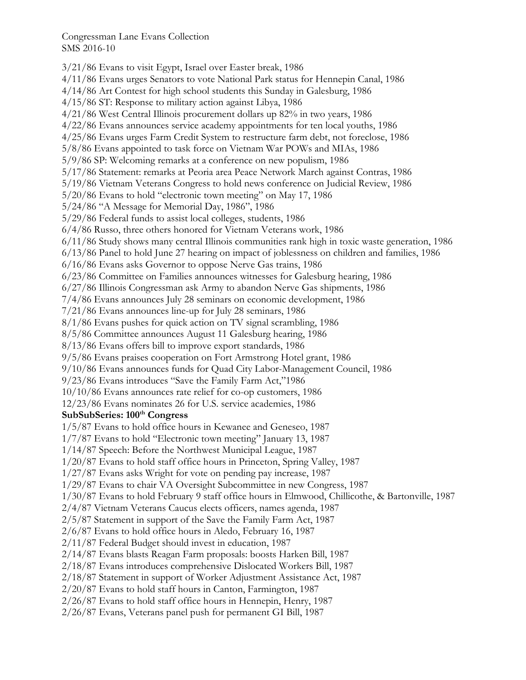3/21/86 Evans to visit Egypt, Israel over Easter break, 1986 4/11/86 Evans urges Senators to vote National Park status for Hennepin Canal, 1986 4/14/86 Art Contest for high school students this Sunday in Galesburg, 1986 4/15/86 ST: Response to military action against Libya, 1986 4/21/86 West Central Illinois procurement dollars up 82% in two years, 1986 4/22/86 Evans announces service academy appointments for ten local youths, 1986 4/25/86 Evans urges Farm Credit System to restructure farm debt, not foreclose, 1986 5/8/86 Evans appointed to task force on Vietnam War POWs and MIAs, 1986 5/9/86 SP: Welcoming remarks at a conference on new populism, 1986 5/17/86 Statement: remarks at Peoria area Peace Network March against Contras, 1986 5/19/86 Vietnam Veterans Congress to hold news conference on Judicial Review, 1986 5/20/86 Evans to hold "electronic town meeting" on May 17, 1986 5/24/86 "A Message for Memorial Day, 1986", 1986 5/29/86 Federal funds to assist local colleges, students, 1986 6/4/86 Russo, three others honored for Vietnam Veterans work, 1986 6/11/86 Study shows many central Illinois communities rank high in toxic waste generation, 1986 6/13/86 Panel to hold June 27 hearing on impact of joblessness on children and families, 1986 6/16/86 Evans asks Governor to oppose Nerve Gas trains, 1986 6/23/86 Committee on Families announces witnesses for Galesburg hearing, 1986 6/27/86 Illinois Congressman ask Army to abandon Nerve Gas shipments, 1986 7/4/86 Evans announces July 28 seminars on economic development, 1986 7/21/86 Evans announces line-up for July 28 seminars, 1986 8/1/86 Evans pushes for quick action on TV signal scrambling, 1986 8/5/86 Committee announces August 11 Galesburg hearing, 1986 8/13/86 Evans offers bill to improve export standards, 1986 9/5/86 Evans praises cooperation on Fort Armstrong Hotel grant, 1986 9/10/86 Evans announces funds for Quad City Labor-Management Council, 1986 9/23/86 Evans introduces "Save the Family Farm Act,"1986 10/10/86 Evans announces rate relief for co-op customers, 1986 12/23/86 Evans nominates 26 for U.S. service academies, 1986 SubSubSeries: 100<sup>th</sup> Congress 1/5/87 Evans to hold office hours in Kewanee and Geneseo, 1987 1/7/87 Evans to hold "Electronic town meeting" January 13, 1987 1/14/87 Speech: Before the Northwest Municipal League, 1987 1/20/87 Evans to hold staff office hours in Princeton, Spring Valley, 1987 1/27/87 Evans asks Wright for vote on pending pay increase, 1987 1/29/87 Evans to chair VA Oversight Subcommittee in new Congress, 1987 1/30/87 Evans to hold February 9 staff office hours in Elmwood, Chillicothe, & Bartonville, 1987 2/4/87 Vietnam Veterans Caucus elects officers, names agenda, 1987 2/5/87 Statement in support of the Save the Family Farm Act, 1987 2/6/87 Evans to hold office hours in Aledo, February 16, 1987 2/11/87 Federal Budget should invest in education, 1987 2/14/87 Evans blasts Reagan Farm proposals: boosts Harken Bill, 1987 2/18/87 Evans introduces comprehensive Dislocated Workers Bill, 1987 2/18/87 Statement in support of Worker Adjustment Assistance Act, 1987 2/20/87 Evans to hold staff hours in Canton, Farmington, 1987 2/26/87 Evans to hold staff office hours in Hennepin, Henry, 1987 2/26/87 Evans, Veterans panel push for permanent GI Bill, 1987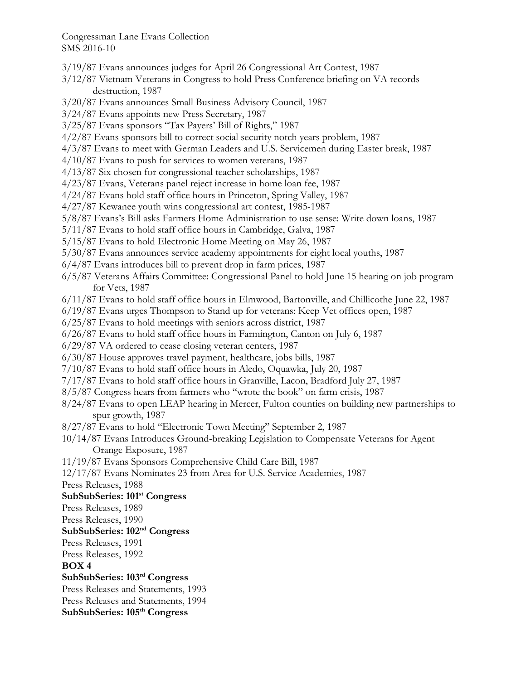- 3/19/87 Evans announces judges for April 26 Congressional Art Contest, 1987
- 3/12/87 Vietnam Veterans in Congress to hold Press Conference briefing on VA records destruction, 1987
- 3/20/87 Evans announces Small Business Advisory Council, 1987
- 3/24/87 Evans appoints new Press Secretary, 1987
- 3/25/87 Evans sponsors "Tax Payers' Bill of Rights," 1987
- 4/2/87 Evans sponsors bill to correct social security notch years problem, 1987
- 4/3/87 Evans to meet with German Leaders and U.S. Servicemen during Easter break, 1987
- 4/10/87 Evans to push for services to women veterans, 1987
- 4/13/87 Six chosen for congressional teacher scholarships, 1987
- 4/23/87 Evans, Veterans panel reject increase in home loan fee, 1987
- 4/24/87 Evans hold staff office hours in Princeton, Spring Valley, 1987
- 4/27/87 Kewanee youth wins congressional art contest, 1985-1987
- 5/8/87 Evans's Bill asks Farmers Home Administration to use sense: Write down loans, 1987
- 5/11/87 Evans to hold staff office hours in Cambridge, Galva, 1987
- 5/15/87 Evans to hold Electronic Home Meeting on May 26, 1987
- 5/30/87 Evans announces service academy appointments for eight local youths, 1987
- 6/4/87 Evans introduces bill to prevent drop in farm prices, 1987
- 6/5/87 Veterans Affairs Committee: Congressional Panel to hold June 15 hearing on job program for Vets, 1987
- 6/11/87 Evans to hold staff office hours in Elmwood, Bartonville, and Chillicothe June 22, 1987
- 6/19/87 Evans urges Thompson to Stand up for veterans: Keep Vet offices open, 1987
- 6/25/87 Evans to hold meetings with seniors across district, 1987
- 6/26/87 Evans to hold staff office hours in Farmington, Canton on July 6, 1987
- 6/29/87 VA ordered to cease closing veteran centers, 1987
- 6/30/87 House approves travel payment, healthcare, jobs bills, 1987
- 7/10/87 Evans to hold staff office hours in Aledo, Oquawka, July 20, 1987
- 7/17/87 Evans to hold staff office hours in Granville, Lacon, Bradford July 27, 1987
- 8/5/87 Congress hears from farmers who "wrote the book" on farm crisis, 1987
- 8/24/87 Evans to open LEAP hearing in Mercer, Fulton counties on building new partnerships to spur growth, 1987
- 8/27/87 Evans to hold "Electronic Town Meeting" September 2, 1987
- 10/14/87 Evans Introduces Ground-breaking Legislation to Compensate Veterans for Agent Orange Exposure, 1987
- 11/19/87 Evans Sponsors Comprehensive Child Care Bill, 1987
- 12/17/87 Evans Nominates 23 from Area for U.S. Service Academies, 1987
- Press Releases, 1988

### **SubSubSeries: 101st Congress**

- Press Releases, 1989
- Press Releases, 1990

# **SubSubSeries: 102nd Congress**

- Press Releases, 1991
- Press Releases, 1992

#### **BOX 4**

- **SubSubSeries: 103rd Congress**
- Press Releases and Statements, 1993
- Press Releases and Statements, 1994
- **SubSubSeries: 105th Congress**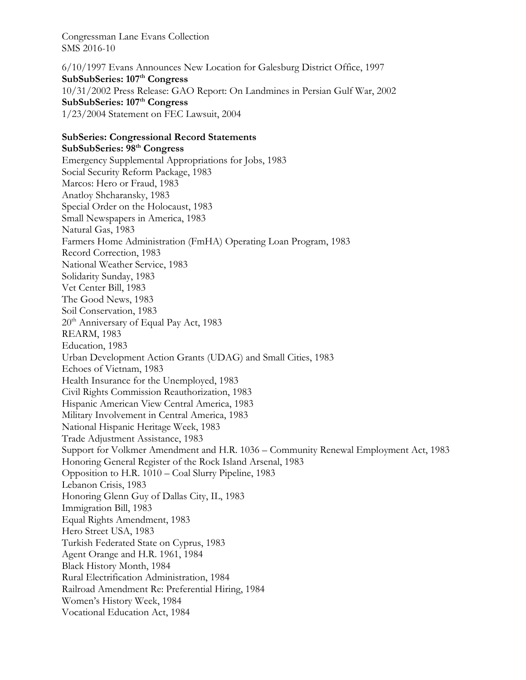6/10/1997 Evans Announces New Location for Galesburg District Office, 1997 SubSubSeries: 107<sup>th</sup> Congress 10/31/2002 Press Release: GAO Report: On Landmines in Persian Gulf War, 2002 **SubSubSeries: 107th Congress**  1/23/2004 Statement on FEC Lawsuit, 2004

# **SubSeries: Congressional Record Statements**

**SubSubSeries: 98th Congress**  Emergency Supplemental Appropriations for Jobs, 1983 Social Security Reform Package, 1983 Marcos: Hero or Fraud, 1983 Anatloy Shcharansky, 1983 Special Order on the Holocaust, 1983 Small Newspapers in America, 1983 Natural Gas, 1983 Farmers Home Administration (FmHA) Operating Loan Program, 1983 Record Correction, 1983 National Weather Service, 1983 Solidarity Sunday, 1983 Vet Center Bill, 1983 The Good News, 1983 Soil Conservation, 1983 20<sup>th</sup> Anniversary of Equal Pay Act, 1983 REARM, 1983 Education, 1983 Urban Development Action Grants (UDAG) and Small Cities, 1983 Echoes of Vietnam, 1983 Health Insurance for the Unemployed, 1983 Civil Rights Commission Reauthorization, 1983 Hispanic American View Central America, 1983 Military Involvement in Central America, 1983 National Hispanic Heritage Week, 1983 Trade Adjustment Assistance, 1983 Support for Volkmer Amendment and H.R. 1036 – Community Renewal Employment Act, 1983 Honoring General Register of the Rock Island Arsenal, 1983 Opposition to H.R. 1010 – Coal Slurry Pipeline, 1983 Lebanon Crisis, 1983 Honoring Glenn Guy of Dallas City, IL, 1983 Immigration Bill, 1983 Equal Rights Amendment, 1983 Hero Street USA, 1983 Turkish Federated State on Cyprus, 1983 Agent Orange and H.R. 1961, 1984 Black History Month, 1984 Rural Electrification Administration, 1984 Railroad Amendment Re: Preferential Hiring, 1984 Women's History Week, 1984 Vocational Education Act, 1984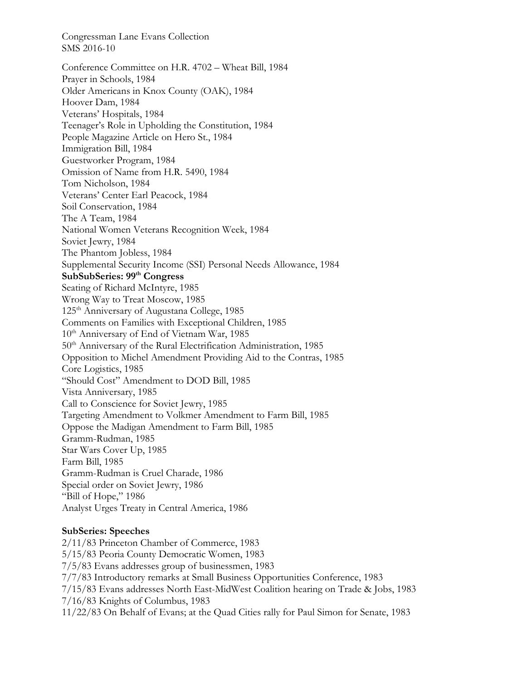Conference Committee on H.R. 4702 – Wheat Bill, 1984 Prayer in Schools, 1984 Older Americans in Knox County (OAK), 1984 Hoover Dam, 1984 Veterans' Hospitals, 1984 Teenager's Role in Upholding the Constitution, 1984 People Magazine Article on Hero St., 1984 Immigration Bill, 1984 Guestworker Program, 1984 Omission of Name from H.R. 5490, 1984 Tom Nicholson, 1984 Veterans' Center Earl Peacock, 1984 Soil Conservation, 1984 The A Team, 1984 National Women Veterans Recognition Week, 1984 Soviet Jewry, 1984 The Phantom Jobless, 1984 Supplemental Security Income (SSI) Personal Needs Allowance, 1984 **SubSubSeries: 99th Congress**  Seating of Richard McIntyre, 1985 Wrong Way to Treat Moscow, 1985 125<sup>th</sup> Anniversary of Augustana College, 1985 Comments on Families with Exceptional Children, 1985 10<sup>th</sup> Anniversary of End of Vietnam War, 1985 50<sup>th</sup> Anniversary of the Rural Electrification Administration, 1985 Opposition to Michel Amendment Providing Aid to the Contras, 1985 Core Logistics, 1985 "Should Cost" Amendment to DOD Bill, 1985 Vista Anniversary, 1985 Call to Conscience for Soviet Jewry, 1985 Targeting Amendment to Volkmer Amendment to Farm Bill, 1985 Oppose the Madigan Amendment to Farm Bill, 1985 Gramm-Rudman, 1985 Star Wars Cover Up, 1985 Farm Bill, 1985 Gramm-Rudman is Cruel Charade, 1986 Special order on Soviet Jewry, 1986 "Bill of Hope," 1986 Analyst Urges Treaty in Central America, 1986

### **SubSeries: Speeches**

2/11/83 Princeton Chamber of Commerce, 1983 5/15/83 Peoria County Democratic Women, 1983 7/5/83 Evans addresses group of businessmen, 1983 7/7/83 Introductory remarks at Small Business Opportunities Conference, 1983 7/15/83 Evans addresses North East-MidWest Coalition hearing on Trade & Jobs, 1983 7/16/83 Knights of Columbus, 1983 11/22/83 On Behalf of Evans; at the Quad Cities rally for Paul Simon for Senate, 1983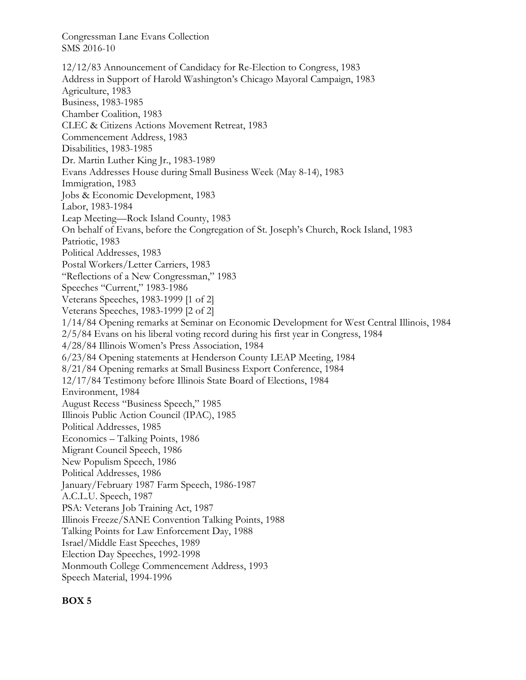12/12/83 Announcement of Candidacy for Re-Election to Congress, 1983 Address in Support of Harold Washington's Chicago Mayoral Campaign, 1983 Agriculture, 1983 Business, 1983-1985 Chamber Coalition, 1983 CLEC & Citizens Actions Movement Retreat, 1983 Commencement Address, 1983 Disabilities, 1983-1985 Dr. Martin Luther King Jr., 1983-1989 Evans Addresses House during Small Business Week (May 8-14), 1983 Immigration, 1983 Jobs & Economic Development, 1983 Labor, 1983-1984 Leap Meeting—Rock Island County, 1983 On behalf of Evans, before the Congregation of St. Joseph's Church, Rock Island, 1983 Patriotic, 1983 Political Addresses, 1983 Postal Workers/Letter Carriers, 1983 "Reflections of a New Congressman," 1983 Speeches "Current," 1983-1986 Veterans Speeches, 1983-1999 [1 of 2] Veterans Speeches, 1983-1999 [2 of 2] 1/14/84 Opening remarks at Seminar on Economic Development for West Central Illinois, 1984 2/5/84 Evans on his liberal voting record during his first year in Congress, 1984 4/28/84 Illinois Women's Press Association, 1984 6/23/84 Opening statements at Henderson County LEAP Meeting, 1984 8/21/84 Opening remarks at Small Business Export Conference, 1984 12/17/84 Testimony before Illinois State Board of Elections, 1984 Environment, 1984 August Recess "Business Speech," 1985 Illinois Public Action Council (IPAC), 1985 Political Addresses, 1985 Economics – Talking Points, 1986 Migrant Council Speech, 1986 New Populism Speech, 1986 Political Addresses, 1986 January/February 1987 Farm Speech, 1986-1987 A.C.L.U. Speech, 1987 PSA: Veterans Job Training Act, 1987 Illinois Freeze/SANE Convention Talking Points, 1988 Talking Points for Law Enforcement Day, 1988 Israel/Middle East Speeches, 1989 Election Day Speeches, 1992-1998 Monmouth College Commencement Address, 1993 Speech Material, 1994-1996

#### **BOX 5**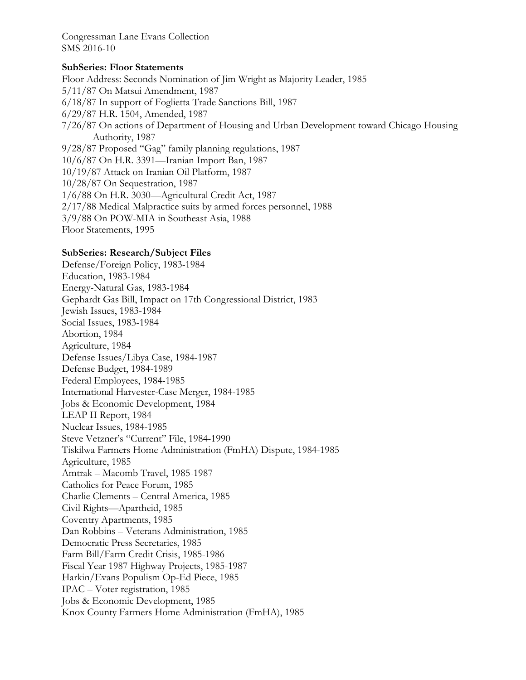### **SubSeries: Floor Statements**

Floor Address: Seconds Nomination of Jim Wright as Majority Leader, 1985 5/11/87 On Matsui Amendment, 1987 6/18/87 In support of Foglietta Trade Sanctions Bill, 1987 6/29/87 H.R. 1504, Amended, 1987 7/26/87 On actions of Department of Housing and Urban Development toward Chicago Housing Authority, 1987 9/28/87 Proposed "Gag" family planning regulations, 1987 10/6/87 On H.R. 3391—Iranian Import Ban, 1987 10/19/87 Attack on Iranian Oil Platform, 1987 10/28/87 On Sequestration, 1987 1/6/88 On H.R. 3030—Agricultural Credit Act, 1987 2/17/88 Medical Malpractice suits by armed forces personnel, 1988 3/9/88 On POW-MIA in Southeast Asia, 1988

Floor Statements, 1995

## **SubSeries: Research/Subject Files**

Defense/Foreign Policy, 1983-1984 Education, 1983-1984 Energy-Natural Gas, 1983-1984 Gephardt Gas Bill, Impact on 17th Congressional District, 1983 Jewish Issues, 1983-1984 Social Issues, 1983-1984 Abortion, 1984 Agriculture, 1984 Defense Issues/Libya Case, 1984-1987 Defense Budget, 1984-1989 Federal Employees, 1984-1985 International Harvester-Case Merger, 1984-1985 Jobs & Economic Development, 1984 LEAP II Report, 1984 Nuclear Issues, 1984-1985 Steve Vetzner's "Current" File, 1984-1990 Tiskilwa Farmers Home Administration (FmHA) Dispute, 1984-1985 Agriculture, 1985 Amtrak – Macomb Travel, 1985-1987 Catholics for Peace Forum, 1985 Charlie Clements – Central America, 1985 Civil Rights—Apartheid, 1985 Coventry Apartments, 1985 Dan Robbins – Veterans Administration, 1985 Democratic Press Secretaries, 1985 Farm Bill/Farm Credit Crisis, 1985-1986 Fiscal Year 1987 Highway Projects, 1985-1987 Harkin/Evans Populism Op-Ed Piece, 1985 IPAC – Voter registration, 1985 Jobs & Economic Development, 1985 Knox County Farmers Home Administration (FmHA), 1985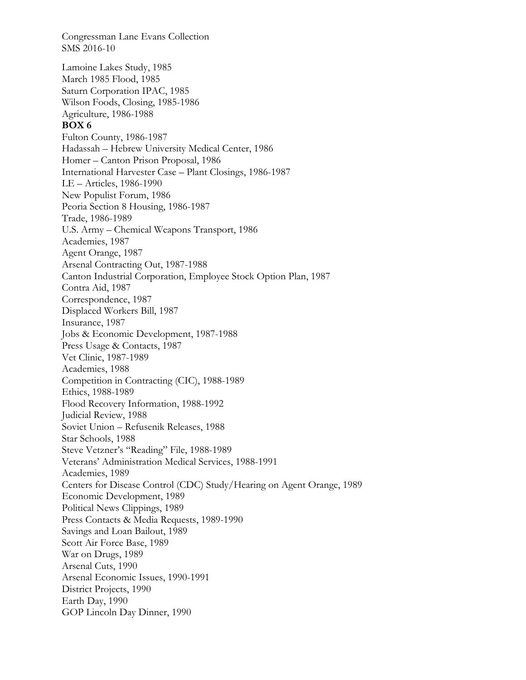Congressman Lane Evans Collection SMS 2016-10 Lamoine Lakes Study, 1985 March 1985 Flood, 1985 Saturn Corporation IPAC, 1985 Wilson Foods, Closing, 1985-1986 Agriculture, 1986-1988 **BOX 6**  Fulton County, 1986-1987 Hadassah – Hebrew University Medical Center, 1986 Homer – Canton Prison Proposal, 1986 International Harvester Case – Plant Closings, 1986-1987 LE – Articles, 1986-1990 New Populist Forum, 1986 Peoria Section 8 Housing, 1986-1987 Trade, 1986-1989 U.S. Army – Chemical Weapons Transport, 1986 Academies, 1987 Agent Orange, 1987 Arsenal Contracting Out, 1987-1988 Canton Industrial Corporation, Employee Stock Option Plan, 1987 Contra Aid, 1987 Correspondence, 1987 Displaced Workers Bill, 1987 Insurance, 1987 Jobs & Economic Development, 1987-1988 Press Usage & Contacts, 1987 Vet Clinic, 1987-1989 Academies, 1988 Competition in Contracting (CIC), 1988-1989 Ethics, 1988-1989 Flood Recovery Information, 1988-1992 Judicial Review, 1988 Soviet Union – Refusenik Releases, 1988 Star Schools, 1988 Steve Vetzner's "Reading" File, 1988-1989 Veterans' Administration Medical Services, 1988-1991 Academies, 1989 Centers for Disease Control (CDC) Study/Hearing on Agent Orange, 1989 Economic Development, 1989 Political News Clippings, 1989 Press Contacts & Media Requests, 1989-1990 Savings and Loan Bailout, 1989 Scott Air Force Base, 1989 War on Drugs, 1989 Arsenal Cuts, 1990 Arsenal Economic Issues, 1990-1991 District Projects, 1990 Earth Day, 1990 GOP Lincoln Day Dinner, 1990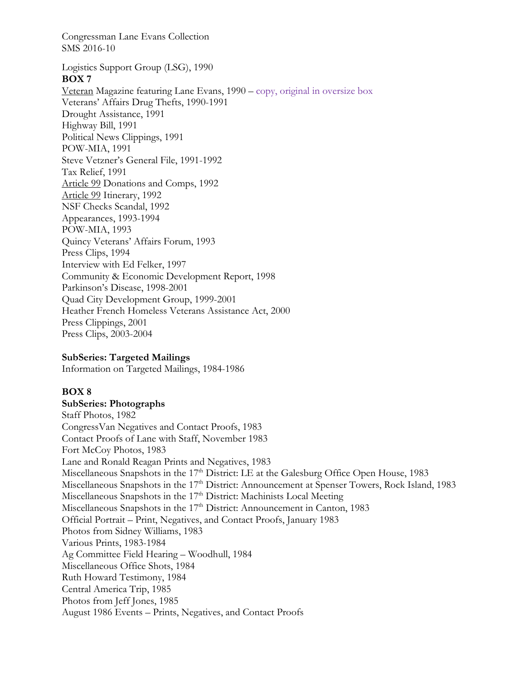Logistics Support Group (LSG), 1990 **BOX 7**  Veteran Magazine featuring Lane Evans, 1990 – copy, original in oversize box Veterans' Affairs Drug Thefts, 1990-1991 Drought Assistance, 1991 Highway Bill, 1991 Political News Clippings, 1991 POW-MIA, 1991 Steve Vetzner's General File, 1991-1992 Tax Relief, 1991 Article 99 Donations and Comps, 1992 Article 99 Itinerary, 1992 NSF Checks Scandal, 1992 Appearances, 1993-1994 POW-MIA, 1993 Quincy Veterans' Affairs Forum, 1993 Press Clips, 1994 Interview with Ed Felker, 1997 Community & Economic Development Report, 1998 Parkinson's Disease, 1998-2001 Quad City Development Group, 1999-2001 Heather French Homeless Veterans Assistance Act, 2000 Press Clippings, 2001 Press Clips, 2003-2004

### **SubSeries: Targeted Mailings**

Information on Targeted Mailings, 1984-1986

### **BOX 8**

# **SubSeries: Photographs**

Staff Photos, 1982 CongressVan Negatives and Contact Proofs, 1983 Contact Proofs of Lane with Staff, November 1983 Fort McCoy Photos, 1983 Lane and Ronald Reagan Prints and Negatives, 1983 Miscellaneous Snapshots in the  $17<sup>th</sup>$  District: LE at the Galesburg Office Open House, 1983 Miscellaneous Snapshots in the 17<sup>th</sup> District: Announcement at Spenser Towers, Rock Island, 1983 Miscellaneous Snapshots in the 17<sup>th</sup> District: Machinists Local Meeting Miscellaneous Snapshots in the 17<sup>th</sup> District: Announcement in Canton, 1983 Official Portrait – Print, Negatives, and Contact Proofs, January 1983 Photos from Sidney Williams, 1983 Various Prints, 1983-1984 Ag Committee Field Hearing – Woodhull, 1984 Miscellaneous Office Shots, 1984 Ruth Howard Testimony, 1984 Central America Trip, 1985 Photos from Jeff Jones, 1985 August 1986 Events – Prints, Negatives, and Contact Proofs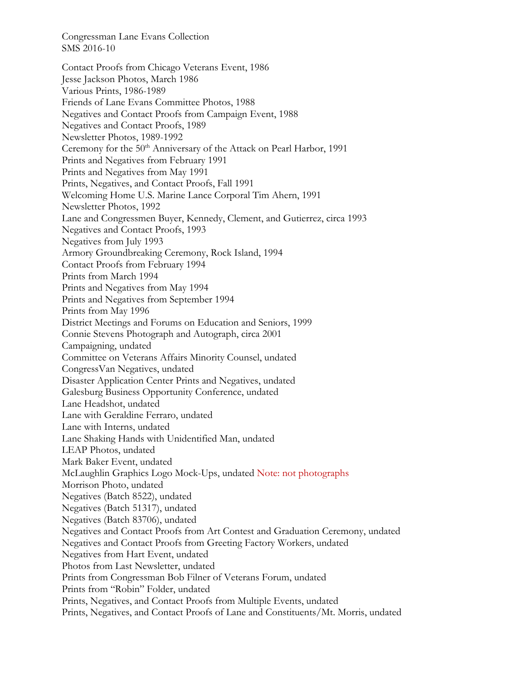Contact Proofs from Chicago Veterans Event, 1986 Jesse Jackson Photos, March 1986 Various Prints, 1986-1989 Friends of Lane Evans Committee Photos, 1988 Negatives and Contact Proofs from Campaign Event, 1988 Negatives and Contact Proofs, 1989 Newsletter Photos, 1989-1992 Ceremony for the 50<sup>th</sup> Anniversary of the Attack on Pearl Harbor, 1991 Prints and Negatives from February 1991 Prints and Negatives from May 1991 Prints, Negatives, and Contact Proofs, Fall 1991 Welcoming Home U.S. Marine Lance Corporal Tim Ahern, 1991 Newsletter Photos, 1992 Lane and Congressmen Buyer, Kennedy, Clement, and Gutierrez, circa 1993 Negatives and Contact Proofs, 1993 Negatives from July 1993 Armory Groundbreaking Ceremony, Rock Island, 1994 Contact Proofs from February 1994 Prints from March 1994 Prints and Negatives from May 1994 Prints and Negatives from September 1994 Prints from May 1996 District Meetings and Forums on Education and Seniors, 1999 Connie Stevens Photograph and Autograph, circa 2001 Campaigning, undated Committee on Veterans Affairs Minority Counsel, undated CongressVan Negatives, undated Disaster Application Center Prints and Negatives, undated Galesburg Business Opportunity Conference, undated Lane Headshot, undated Lane with Geraldine Ferraro, undated Lane with Interns, undated Lane Shaking Hands with Unidentified Man, undated LEAP Photos, undated Mark Baker Event, undated McLaughlin Graphics Logo Mock-Ups, undated Note: not photographs Morrison Photo, undated Negatives (Batch 8522), undated Negatives (Batch 51317), undated Negatives (Batch 83706), undated Negatives and Contact Proofs from Art Contest and Graduation Ceremony, undated Negatives and Contact Proofs from Greeting Factory Workers, undated Negatives from Hart Event, undated Photos from Last Newsletter, undated Prints from Congressman Bob Filner of Veterans Forum, undated Prints from "Robin" Folder, undated Prints, Negatives, and Contact Proofs from Multiple Events, undated Prints, Negatives, and Contact Proofs of Lane and Constituents/Mt. Morris, undated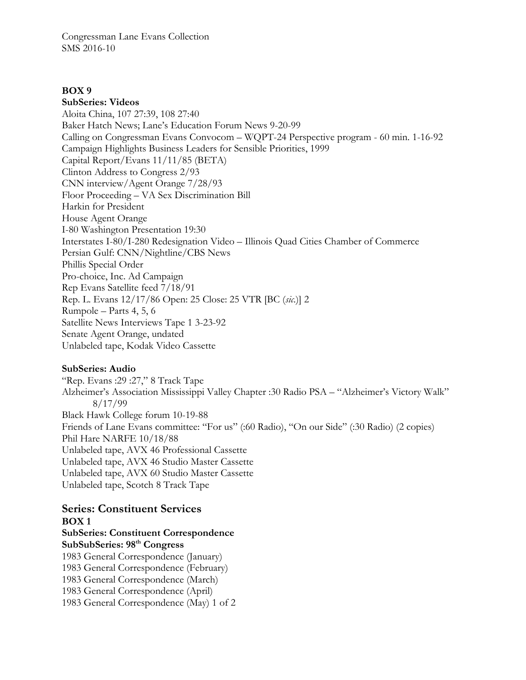### **BOX 9**

**SubSeries: Videos**  Aloita China, 107 27:39, 108 27:40 Baker Hatch News; Lane's Education Forum News 9-20-99 Calling on Congressman Evans Convocom – WQPT-24 Perspective program - 60 min. 1-16-92 Campaign Highlights Business Leaders for Sensible Priorities, 1999 Capital Report/Evans 11/11/85 (BETA) Clinton Address to Congress 2/93 CNN interview/Agent Orange 7/28/93 Floor Proceeding – VA Sex Discrimination Bill Harkin for President House Agent Orange I-80 Washington Presentation 19:30 Interstates I-80/I-280 Redesignation Video – Illinois Quad Cities Chamber of Commerce Persian Gulf: CNN/Nightline/CBS News Phillis Special Order Pro-choice, Inc. Ad Campaign Rep Evans Satellite feed 7/18/91 Rep. L. Evans 12/17/86 Open: 25 Close: 25 VTR [BC (*sic*.)] 2 Rumpole – Parts 4, 5, 6 Satellite News Interviews Tape 1 3-23-92 Senate Agent Orange, undated Unlabeled tape, Kodak Video Cassette

### **SubSeries: Audio**

"Rep. Evans :29 :27," 8 Track Tape Alzheimer's Association Mississippi Valley Chapter :30 Radio PSA – "Alzheimer's Victory Walk" 8/17/99 Black Hawk College forum 10-19-88 Friends of Lane Evans committee: "For us" (:60 Radio), "On our Side" (:30 Radio) (2 copies) Phil Hare NARFE 10/18/88 Unlabeled tape, AVX 46 Professional Cassette Unlabeled tape, AVX 46 Studio Master Cassette Unlabeled tape, AVX 60 Studio Master Cassette Unlabeled tape, Scotch 8 Track Tape

# **Series: Constituent Services BOX 1 SubSeries: Constituent Correspondence SubSubSeries: 98th Congress**  1983 General Correspondence (January) 1983 General Correspondence (February) 1983 General Correspondence (March) 1983 General Correspondence (April) 1983 General Correspondence (May) 1 of 2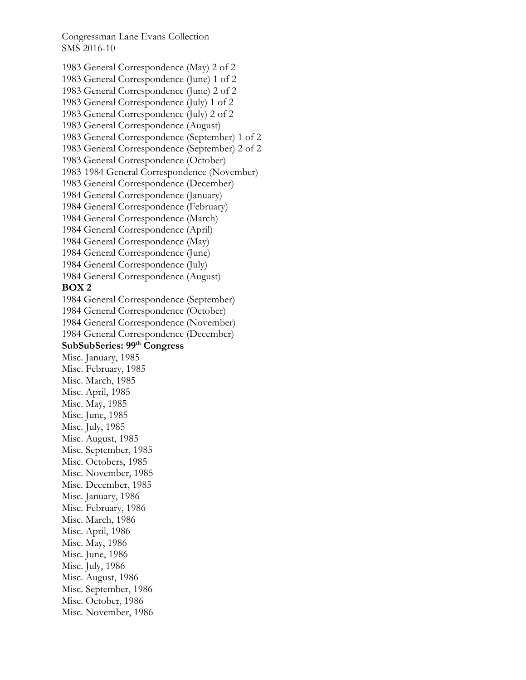1983 General Correspondence (May) 2 of 2 1983 General Correspondence (June) 1 of 2 1983 General Correspondence (June) 2 of 2 1983 General Correspondence (July) 1 of 2 1983 General Correspondence (July) 2 of 2 1983 General Correspondence (August) 1983 General Correspondence (September) 1 of 2 1983 General Correspondence (September) 2 of 2 1983 General Correspondence (October) 1983-1984 General Correspondence (November) 1983 General Correspondence (December) 1984 General Correspondence (January) 1984 General Correspondence (February) 1984 General Correspondence (March) 1984 General Correspondence (April) 1984 General Correspondence (May) 1984 General Correspondence (June) 1984 General Correspondence (July) 1984 General Correspondence (August) **BOX 2**  1984 General Correspondence (September) 1984 General Correspondence (October) 1984 General Correspondence (November) 1984 General Correspondence (December) **SubSubSeries: 99th Congress**  Misc. January, 1985 Misc. February, 1985 Misc. March, 1985 Misc. April, 1985 Misc. May, 1985 Misc. June, 1985 Misc. July, 1985 Misc. August, 1985 Misc. September, 1985 Misc. Octobers, 1985 Misc. November, 1985 Misc. December, 1985 Misc. January, 1986 Misc. February, 1986 Misc. March, 1986 Misc. April, 1986 Misc. May, 1986 Misc. June, 1986 Misc. July, 1986 Misc. August, 1986 Misc. September, 1986 Misc. October, 1986 Misc. November, 1986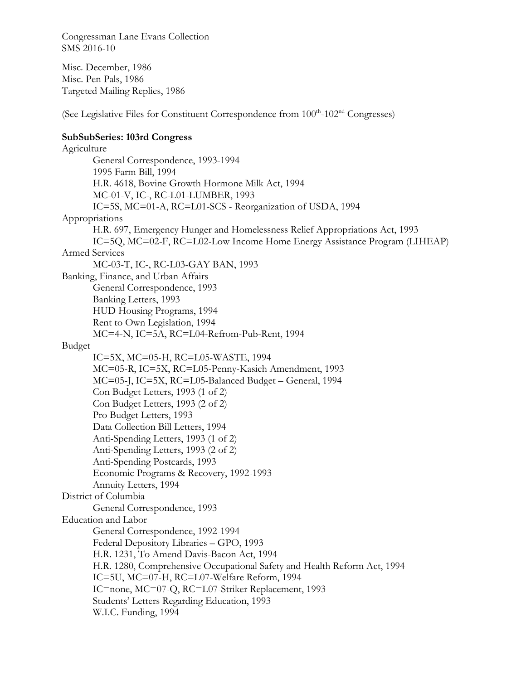Misc. December, 1986 Misc. Pen Pals, 1986 Targeted Mailing Replies, 1986

(See Legislative Files for Constituent Correspondence from  $100<sup>th</sup>$ - $102<sup>nd</sup>$  Congresses)

# **SubSubSeries: 103rd Congress**

Agriculture General Correspondence, 1993-1994 1995 Farm Bill, 1994 H.R. 4618, Bovine Growth Hormone Milk Act, 1994 MC-01-V, IC-, RC-L01-LUMBER, 1993 IC=5S, MC=01-A, RC=L01-SCS - Reorganization of USDA, 1994 Appropriations H.R. 697, Emergency Hunger and Homelessness Relief Appropriations Act, 1993 IC=5Q, MC=02-F, RC=L02-Low Income Home Energy Assistance Program (LIHEAP) Armed Services MC-03-T, IC-, RC-L03-GAY BAN, 1993 Banking, Finance, and Urban Affairs General Correspondence, 1993 Banking Letters, 1993 HUD Housing Programs, 1994 Rent to Own Legislation, 1994 MC=4-N, IC=5A, RC=L04-Refrom-Pub-Rent, 1994 Budget IC=5X, MC=05-H, RC=L05-WASTE, 1994 MC=05-R, IC=5X, RC=L05-Penny-Kasich Amendment, 1993 MC=05-J, IC=5X, RC=L05-Balanced Budget – General, 1994 Con Budget Letters, 1993 (1 of 2) Con Budget Letters, 1993 (2 of 2) Pro Budget Letters, 1993 Data Collection Bill Letters, 1994 Anti-Spending Letters, 1993 (1 of 2) Anti-Spending Letters, 1993 (2 of 2) Anti-Spending Postcards, 1993 Economic Programs & Recovery, 1992-1993 Annuity Letters, 1994 District of Columbia General Correspondence, 1993 Education and Labor General Correspondence, 1992-1994 Federal Depository Libraries – GPO, 1993 H.R. 1231, To Amend Davis-Bacon Act, 1994 H.R. 1280, Comprehensive Occupational Safety and Health Reform Act, 1994 IC=5U, MC=07-H, RC=L07-Welfare Reform, 1994 IC=none, MC=07-Q, RC=L07-Striker Replacement, 1993 Students' Letters Regarding Education, 1993 W.I.C. Funding, 1994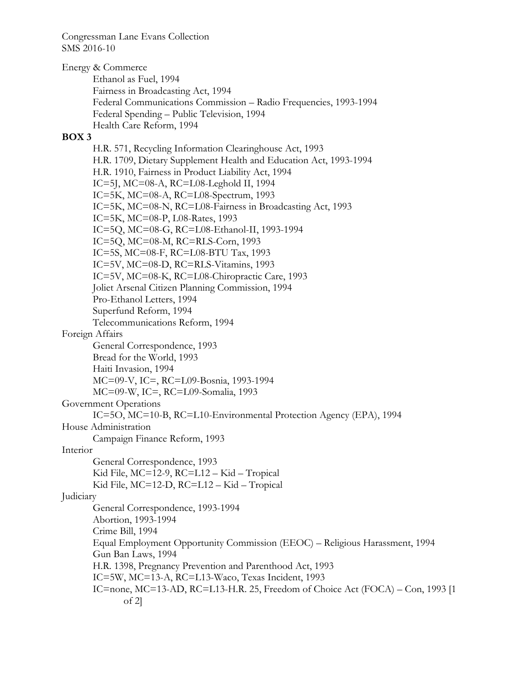Energy & Commerce Ethanol as Fuel, 1994 Fairness in Broadcasting Act, 1994 Federal Communications Commission – Radio Frequencies, 1993-1994 Federal Spending – Public Television, 1994 Health Care Reform, 1994

### **BOX 3**

H.R. 571, Recycling Information Clearinghouse Act, 1993 H.R. 1709, Dietary Supplement Health and Education Act, 1993-1994 H.R. 1910, Fairness in Product Liability Act, 1994 IC=5J, MC=08-A, RC=L08-Leghold II, 1994 IC=5K, MC=08-A, RC=L08-Spectrum, 1993 IC=5K, MC=08-N, RC=L08-Fairness in Broadcasting Act, 1993 IC=5K, MC=08-P, L08-Rates, 1993 IC=5Q, MC=08-G, RC=L08-Ethanol-II, 1993-1994 IC=5Q, MC=08-M, RC=RLS-Corn, 1993 IC=5S, MC=08-F, RC=L08-BTU Tax, 1993 IC=5V, MC=08-D, RC=RLS-Vitamins, 1993 IC=5V, MC=08-K, RC=L08-Chiropractic Care, 1993 Joliet Arsenal Citizen Planning Commission, 1994 Pro-Ethanol Letters, 1994 Superfund Reform, 1994 Telecommunications Reform, 1994 Foreign Affairs General Correspondence, 1993 Bread for the World, 1993 Haiti Invasion, 1994 MC=09-V, IC=, RC=L09-Bosnia, 1993-1994 MC=09-W, IC=, RC=L09-Somalia, 1993 Government Operations IC=5O, MC=10-B, RC=L10-Environmental Protection Agency (EPA), 1994 House Administration Campaign Finance Reform, 1993 Interior General Correspondence, 1993 Kid File, MC=12-9, RC=L12 – Kid – Tropical Kid File, MC=12-D, RC=L12 – Kid – Tropical Judiciary General Correspondence, 1993-1994 Abortion, 1993-1994 Crime Bill, 1994 Equal Employment Opportunity Commission (EEOC) – Religious Harassment, 1994 Gun Ban Laws, 1994 H.R. 1398, Pregnancy Prevention and Parenthood Act, 1993 IC=5W, MC=13-A, RC=L13-Waco, Texas Incident, 1993 IC=none, MC=13-AD, RC=L13-H.R. 25, Freedom of Choice Act (FOCA) – Con, 1993 [1 of 2]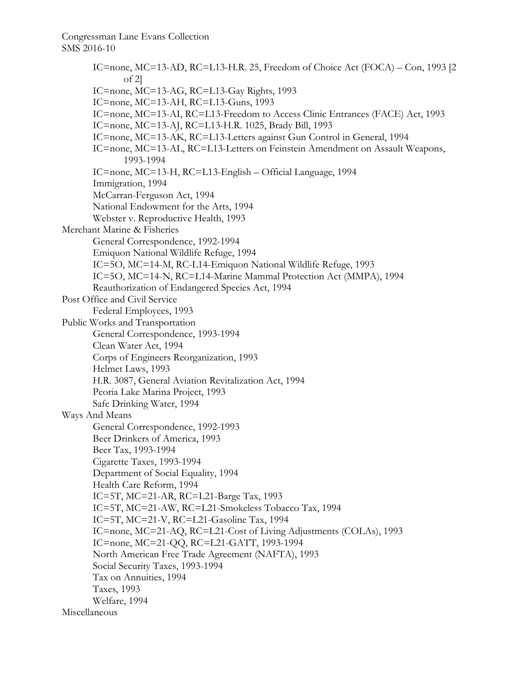IC=none, MC=13-AD, RC=L13-H.R. 25, Freedom of Choice Act (FOCA) – Con, 1993 [2 of 2] IC=none, MC=13-AG, RC=L13-Gay Rights, 1993 IC=none, MC=13-AH, RC=L13-Guns, 1993 IC=none, MC=13-AI, RC=L13-Freedom to Access Clinic Entrances (FACE) Act, 1993 IC=none, MC=13-AJ, RC=L13-H.R. 1025, Brady Bill, 1993 IC=none, MC=13-AK, RC=L13-Letters against Gun Control in General, 1994 IC=none, MC=13-AL, RC=L13-Letters on Feinstein Amendment on Assault Weapons, 1993-1994 IC=none, MC=13-H, RC=L13-English – Official Language, 1994 Immigration, 1994 McCarran-Ferguson Act, 1994 National Endowment for the Arts, 1994 Webster v. Reproductive Health, 1993 Merchant Marine & Fisheries General Correspondence, 1992-1994 Emiquon National Wildlife Refuge, 1994 IC=5O, MC=14-M, RC-L14-Emiquon National Wildlife Refuge, 1993 IC=5O, MC=14-N, RC=L14-Marine Mammal Protection Act (MMPA), 1994 Reauthorization of Endangered Species Act, 1994 Post Office and Civil Service Federal Employees, 1993 Public Works and Transportation General Correspondence, 1993-1994 Clean Water Act, 1994 Corps of Engineers Reorganization, 1993 Helmet Laws, 1993 H.R. 3087, General Aviation Revitalization Act, 1994 Peoria Lake Marina Project, 1993 Safe Drinking Water, 1994 Ways And Means General Correspondence, 1992-1993 Beer Drinkers of America, 1993 Beer Tax, 1993-1994 Cigarette Taxes, 1993-1994 Department of Social Equality, 1994 Health Care Reform, 1994 IC=5T, MC=21-AR, RC=L21-Barge Tax, 1993 IC=5T, MC=21-AW, RC=L21-Smokeless Tobacco Tax, 1994 IC=5T, MC=21-V, RC=L21-Gasoline Tax, 1994 IC=none, MC=21-AQ, RC=L21-Cost of Living Adjustments (COLAs), 1993 IC=none, MC=21-QQ, RC=L21-GATT, 1993-1994 North American Free Trade Agreement (NAFTA), 1993 Social Security Taxes, 1993-1994 Tax on Annuities, 1994 Taxes, 1993 Welfare, 1994 Miscellaneous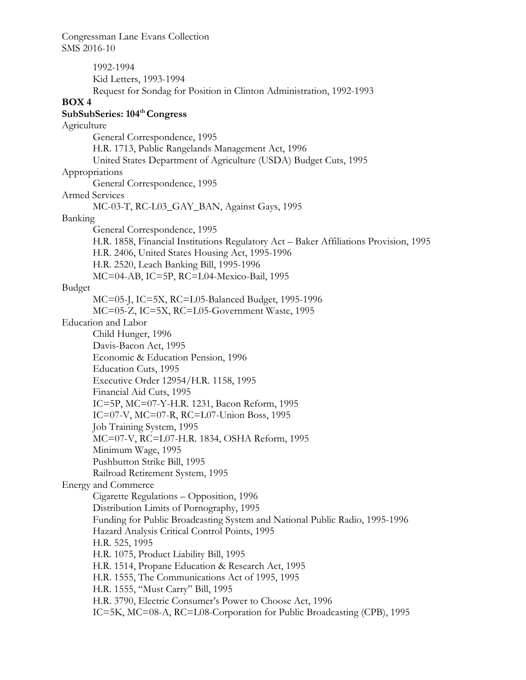1992-1994 Kid Letters, 1993-1994 Request for Sondag for Position in Clinton Administration, 1992-1993 **BOX 4 SubSubSeries: 104th Congress**  Agriculture General Correspondence, 1995 H.R. 1713, Public Rangelands Management Act, 1996 United States Department of Agriculture (USDA) Budget Cuts, 1995 Appropriations General Correspondence, 1995 Armed Services MC-03-T, RC-L03\_GAY\_BAN, Against Gays, 1995 Banking General Correspondence, 1995 H.R. 1858, Financial Institutions Regulatory Act – Baker Affiliations Provision, 1995 H.R. 2406, United States Housing Act, 1995-1996 H.R. 2520, Leach Banking Bill, 1995-1996 MC=04-AB, IC=5P, RC=L04-Mexico-Bail, 1995 Budget MC=05-J, IC=5X, RC=L05-Balanced Budget, 1995-1996 MC=05-Z, IC=5X, RC=L05-Government Waste, 1995 Education and Labor Child Hunger, 1996 Davis-Bacon Act, 1995 Economic & Education Pension, 1996 Education Cuts, 1995 Executive Order 12954/H.R. 1158, 1995 Financial Aid Cuts, 1995 IC=5P, MC=07-Y-H.R. 1231, Bacon Reform, 1995 IC=07-V, MC=07-R, RC=L07-Union Boss, 1995 Job Training System, 1995 MC=07-V, RC=L07-H.R. 1834, OSHA Reform, 1995 Minimum Wage, 1995 Pushbutton Strike Bill, 1995 Railroad Retirement System, 1995 Energy and Commerce Cigarette Regulations – Opposition, 1996 Distribution Limits of Pornography, 1995 Funding for Public Broadcasting System and National Public Radio, 1995-1996 Hazard Analysis Critical Control Points, 1995 H.R. 525, 1995 H.R. 1075, Product Liability Bill, 1995 H.R. 1514, Propane Education & Research Act, 1995 H.R. 1555, The Communications Act of 1995, 1995 H.R. 1555, "Must Carry" Bill, 1995 H.R. 3790, Electric Consumer's Power to Choose Act, 1996 IC=5K, MC=08-A, RC=L08-Corporation for Public Broadcasting (CPB), 1995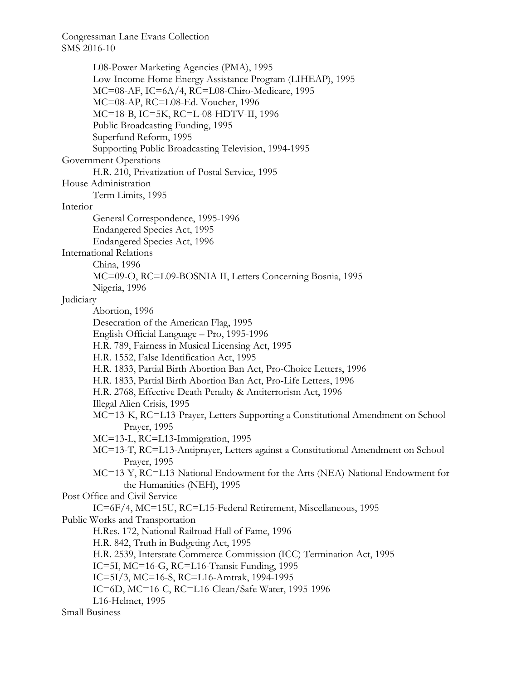L08-Power Marketing Agencies (PMA), 1995 Low-Income Home Energy Assistance Program (LIHEAP), 1995 MC=08-AF, IC=6A/4, RC=L08-Chiro-Medicare, 1995 MC=08-AP, RC=L08-Ed. Voucher, 1996 MC=18-B, IC=5K, RC=L-08-HDTV-II, 1996 Public Broadcasting Funding, 1995 Superfund Reform, 1995 Supporting Public Broadcasting Television, 1994-1995 Government Operations H.R. 210, Privatization of Postal Service, 1995 House Administration Term Limits, 1995 Interior General Correspondence, 1995-1996 Endangered Species Act, 1995 Endangered Species Act, 1996 International Relations China, 1996 MC=09-O, RC=L09-BOSNIA II, Letters Concerning Bosnia, 1995 Nigeria, 1996 Judiciary Abortion, 1996 Desecration of the American Flag, 1995 English Official Language – Pro, 1995-1996 H.R. 789, Fairness in Musical Licensing Act, 1995 H.R. 1552, False Identification Act, 1995 H.R. 1833, Partial Birth Abortion Ban Act, Pro-Choice Letters, 1996 H.R. 1833, Partial Birth Abortion Ban Act, Pro-Life Letters, 1996 H.R. 2768, Effective Death Penalty & Antiterrorism Act, 1996 Illegal Alien Crisis, 1995 MC=13-K, RC=L13-Prayer, Letters Supporting a Constitutional Amendment on School Prayer, 1995 MC=13-L, RC=L13-Immigration, 1995 MC=13-T, RC=L13-Antiprayer, Letters against a Constitutional Amendment on School Prayer, 1995 MC=13-Y, RC=L13-National Endowment for the Arts (NEA)-National Endowment for the Humanities (NEH), 1995 Post Office and Civil Service IC=6F/4, MC=15U, RC=L15-Federal Retirement, Miscellaneous, 1995 Public Works and Transportation H.Res. 172, National Railroad Hall of Fame, 1996 H.R. 842, Truth in Budgeting Act, 1995 H.R. 2539, Interstate Commerce Commission (ICC) Termination Act, 1995 IC=5I, MC=16-G, RC=L16-Transit Funding, 1995 IC=5I/3, MC=16-S, RC=L16-Amtrak, 1994-1995 IC=6D, MC=16-C, RC=L16-Clean/Safe Water, 1995-1996 L16-Helmet, 1995 Small Business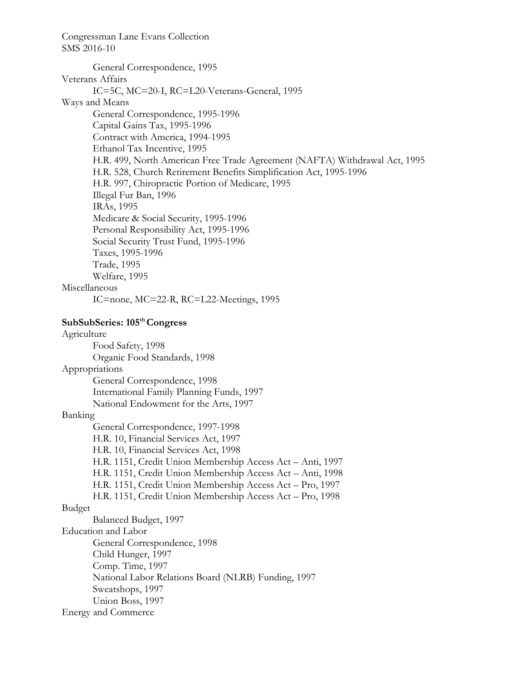General Correspondence, 1995 Veterans Affairs IC=5C, MC=20-I, RC=L20-Veterans-General, 1995 Ways and Means General Correspondence, 1995-1996 Capital Gains Tax, 1995-1996 Contract with America, 1994-1995 Ethanol Tax Incentive, 1995 H.R. 499, North American Free Trade Agreement (NAFTA) Withdrawal Act, 1995 H.R. 528, Church Retirement Benefits Simplification Act, 1995-1996 H.R. 997, Chiropractic Portion of Medicare, 1995 Illegal Fur Ban, 1996 IRAs, 1995 Medicare & Social Security, 1995-1996 Personal Responsibility Act, 1995-1996 Social Security Trust Fund, 1995-1996 Taxes, 1995-1996 Trade, 1995 Welfare, 1995 Miscellaneous IC=none, MC=22-R, RC=L22-Meetings, 1995

### **SubSubSeries: 105th Congress**

Agriculture Food Safety, 1998 Organic Food Standards, 1998 Appropriations General Correspondence, 1998 International Family Planning Funds, 1997 National Endowment for the Arts, 1997 Banking General Correspondence, 1997-1998 H.R. 10, Financial Services Act, 1997 H.R. 10, Financial Services Act, 1998 H.R. 1151, Credit Union Membership Access Act – Anti, 1997 H.R. 1151, Credit Union Membership Access Act – Anti, 1998 H.R. 1151, Credit Union Membership Access Act – Pro, 1997 H.R. 1151, Credit Union Membership Access Act – Pro, 1998 Budget Balanced Budget, 1997 Education and Labor General Correspondence, 1998 Child Hunger, 1997 Comp. Time, 1997 National Labor Relations Board (NLRB) Funding, 1997 Sweatshops, 1997 Union Boss, 1997 Energy and Commerce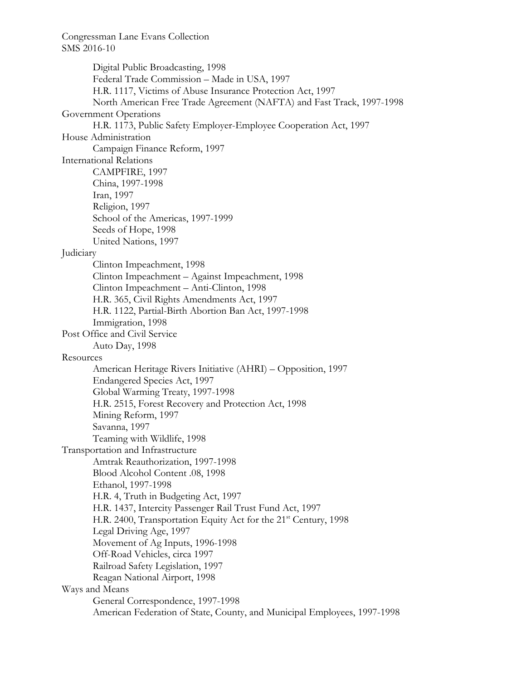Digital Public Broadcasting, 1998 Federal Trade Commission – Made in USA, 1997 H.R. 1117, Victims of Abuse Insurance Protection Act, 1997 North American Free Trade Agreement (NAFTA) and Fast Track, 1997-1998 Government Operations H.R. 1173, Public Safety Employer-Employee Cooperation Act, 1997 House Administration Campaign Finance Reform, 1997 International Relations CAMPFIRE, 1997 China, 1997-1998 Iran, 1997 Religion, 1997 School of the Americas, 1997-1999 Seeds of Hope, 1998 United Nations, 1997 Judiciary Clinton Impeachment, 1998 Clinton Impeachment – Against Impeachment, 1998 Clinton Impeachment – Anti-Clinton, 1998 H.R. 365, Civil Rights Amendments Act, 1997 H.R. 1122, Partial-Birth Abortion Ban Act, 1997-1998 Immigration, 1998 Post Office and Civil Service Auto Day, 1998 Resources American Heritage Rivers Initiative (AHRI) – Opposition, 1997 Endangered Species Act, 1997 Global Warming Treaty, 1997-1998 H.R. 2515, Forest Recovery and Protection Act, 1998 Mining Reform, 1997 Savanna, 1997 Teaming with Wildlife, 1998 Transportation and Infrastructure Amtrak Reauthorization, 1997-1998 Blood Alcohol Content .08, 1998 Ethanol, 1997-1998 H.R. 4, Truth in Budgeting Act, 1997 H.R. 1437, Intercity Passenger Rail Trust Fund Act, 1997 H.R. 2400, Transportation Equity Act for the 21<sup>st</sup> Century, 1998 Legal Driving Age, 1997 Movement of Ag Inputs, 1996-1998 Off-Road Vehicles, circa 1997 Railroad Safety Legislation, 1997 Reagan National Airport, 1998 Ways and Means General Correspondence, 1997-1998 American Federation of State, County, and Municipal Employees, 1997-1998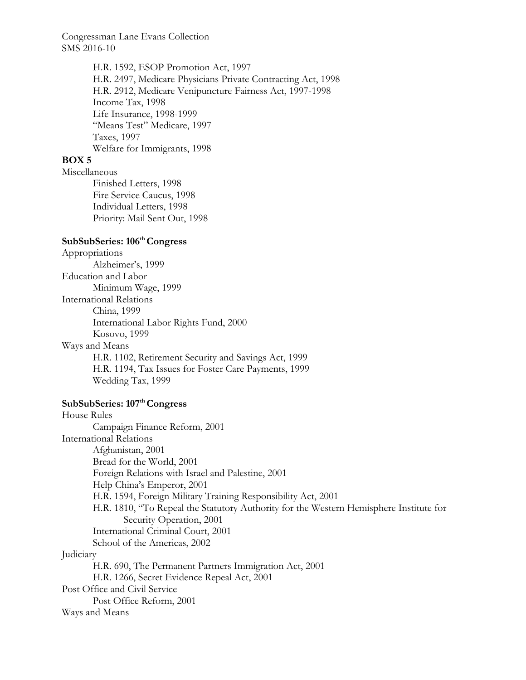> H.R. 1592, ESOP Promotion Act, 1997 H.R. 2497, Medicare Physicians Private Contracting Act, 1998 H.R. 2912, Medicare Venipuncture Fairness Act, 1997-1998 Income Tax, 1998 Life Insurance, 1998-1999 "Means Test" Medicare, 1997 Taxes, 1997 Welfare for Immigrants, 1998

# **BOX 5**

Miscellaneous

Finished Letters, 1998 Fire Service Caucus, 1998 Individual Letters, 1998 Priority: Mail Sent Out, 1998

# **SubSubSeries: 106th Congress**

Appropriations Alzheimer's, 1999 Education and Labor Minimum Wage, 1999 International Relations China, 1999 International Labor Rights Fund, 2000 Kosovo, 1999 Ways and Means H.R. 1102, Retirement Security and Savings Act, 1999 H.R. 1194, Tax Issues for Foster Care Payments, 1999 Wedding Tax, 1999

#### SubSubSeries: 107<sup>th</sup> Congress

House Rules Campaign Finance Reform, 2001 International Relations Afghanistan, 2001 Bread for the World, 2001 Foreign Relations with Israel and Palestine, 2001 Help China's Emperor, 2001 H.R. 1594, Foreign Military Training Responsibility Act, 2001 H.R. 1810, "To Repeal the Statutory Authority for the Western Hemisphere Institute for Security Operation, 2001 International Criminal Court, 2001 School of the Americas, 2002 **Judiciary** H.R. 690, The Permanent Partners Immigration Act, 2001 H.R. 1266, Secret Evidence Repeal Act, 2001 Post Office and Civil Service Post Office Reform, 2001 Ways and Means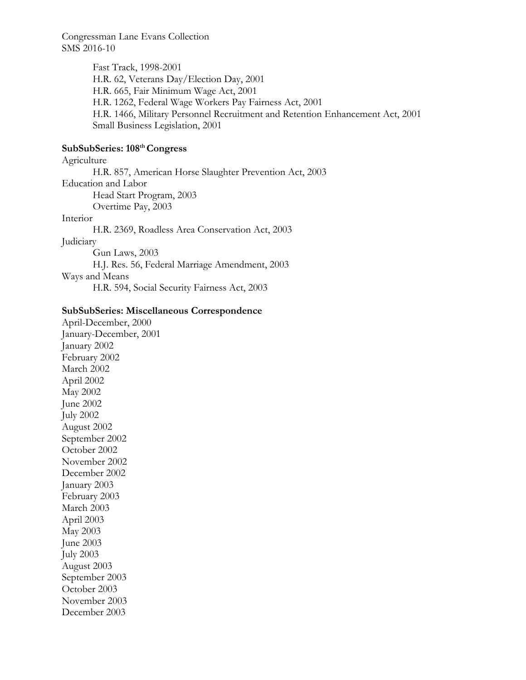> Fast Track, 1998-2001 H.R. 62, Veterans Day/Election Day, 2001 H.R. 665, Fair Minimum Wage Act, 2001 H.R. 1262, Federal Wage Workers Pay Fairness Act, 2001 H.R. 1466, Military Personnel Recruitment and Retention Enhancement Act, 2001 Small Business Legislation, 2001

# **SubSubSeries: 108th Congress**

Agriculture H.R. 857, American Horse Slaughter Prevention Act, 2003 Education and Labor Head Start Program, 2003 Overtime Pay, 2003 Interior

H.R. 2369, Roadless Area Conservation Act, 2003

## Judiciary

Gun Laws, 2003 H.J. Res. 56, Federal Marriage Amendment, 2003 Ways and Means H.R. 594, Social Security Fairness Act, 2003

### **SubSubSeries: Miscellaneous Correspondence**

April-December, 2000 January-December, 2001 January 2002 February 2002 March 2002 April 2002 May 2002 June 2002 July 2002 August 2002 September 2002 October 2002 November 2002 December 2002 January 2003 February 2003 March 2003 April 2003 May 2003 June 2003 July 2003 August 2003 September 2003 October 2003 November 2003 December 2003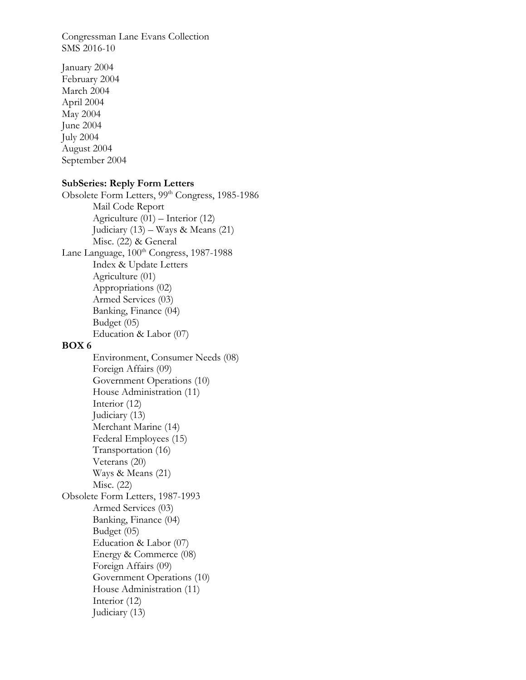January 2004 February 2004 March 2004 April 2004 May 2004 June 2004 July 2004 August 2004 September 2004

### **SubSeries: Reply Form Letters**

Obsolete Form Letters, 99th Congress, 1985-1986 Mail Code Report Agriculture (01) – Interior (12) Judiciary  $(13)$  – Ways & Means  $(21)$  Misc. (22) & General Lane Language,  $100^{th}$  Congress, 1987-1988 Index & Update Letters Agriculture (01) Appropriations (02) Armed Services (03) Banking, Finance (04) Budget (05) Education & Labor (07) **BOX 6**  Environment, Consumer Needs (08) Foreign Affairs (09) Government Operations (10) House Administration (11) Interior (12) Judiciary (13) Merchant Marine (14) Federal Employees (15)

 Transportation (16) Veterans (20) Ways & Means (21)

 Misc. (22) Obsolete Form Letters, 1987-1993

> Armed Services (03) Banking, Finance (04) Budget (05) Education & Labor (07) Energy & Commerce (08) Foreign Affairs (09) Government Operations (10) House Administration (11) Interior (12)

Judiciary (13)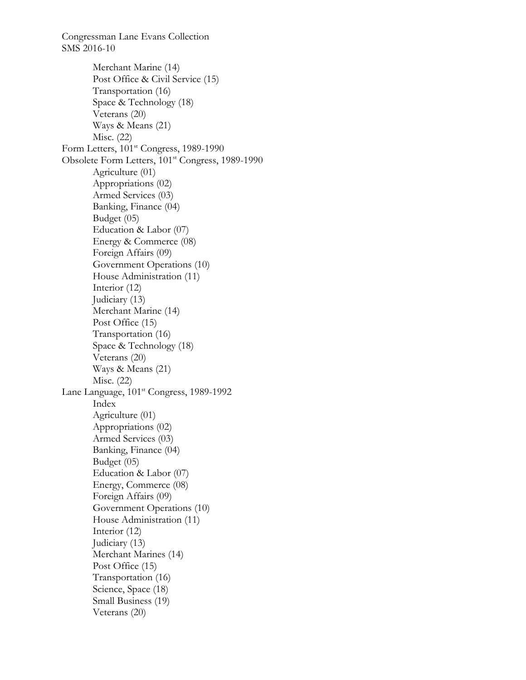Merchant Marine (14) Post Office & Civil Service (15) Transportation (16) Space & Technology (18) Veterans (20) Ways & Means (21) Misc. (22) Form Letters,  $101<sup>st</sup> Congress$ , 1989-1990 Obsolete Form Letters, 101st Congress, 1989-1990 Agriculture (01) Appropriations (02) Armed Services (03) Banking, Finance (04) Budget (05) Education & Labor (07) Energy & Commerce (08) Foreign Affairs (09) Government Operations (10) House Administration (11) Interior (12) Judiciary (13) Merchant Marine (14) Post Office (15) Transportation (16) Space & Technology (18) Veterans (20) Ways & Means (21) Misc. (22) Lane Language,  $101<sup>st</sup> Congress, 1989-1992$  Index Agriculture (01) Appropriations (02) Armed Services (03) Banking, Finance (04) Budget (05) Education & Labor (07) Energy, Commerce (08) Foreign Affairs (09) Government Operations (10) House Administration (11) Interior (12) Judiciary (13) Merchant Marines (14) Post Office (15) Transportation (16) Science, Space (18) Small Business (19) Veterans (20)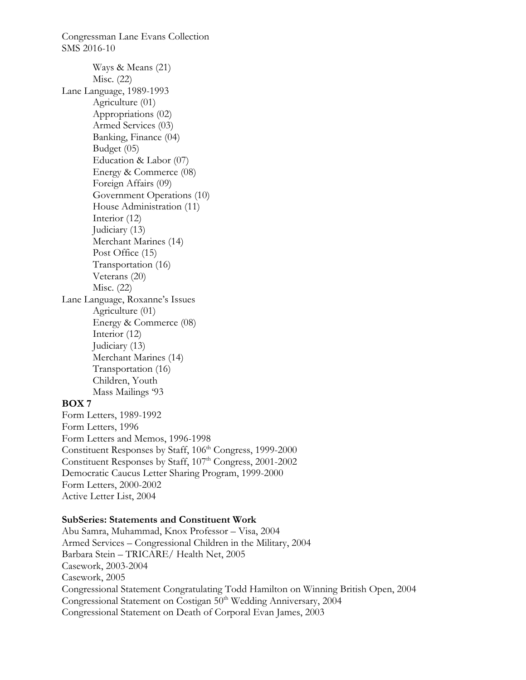Congressman Lane Evans Collection SMS 2016-10 Ways & Means (21) Misc. (22) Lane Language, 1989-1993 Agriculture (01) Appropriations (02) Armed Services (03) Banking, Finance (04) Budget (05) Education & Labor (07) Energy & Commerce (08) Foreign Affairs (09) Government Operations (10) House Administration (11) Interior (12) Judiciary (13) Merchant Marines (14) Post Office (15) Transportation (16) Veterans (20) Misc. (22) Lane Language, Roxanne's Issues Agriculture (01) Energy & Commerce (08) Interior (12) Judiciary (13) Merchant Marines (14) Transportation (16) Children, Youth Mass Mailings '93 **BOX 7**  Form Letters, 1989-1992 Form Letters, 1996 Form Letters and Memos, 1996-1998

Constituent Responses by Staff, 106<sup>th</sup> Congress, 1999-2000 Constituent Responses by Staff, 107<sup>th</sup> Congress, 2001-2002 Democratic Caucus Letter Sharing Program, 1999-2000 Form Letters, 2000-2002 Active Letter List, 2004

### **SubSeries: Statements and Constituent Work**

Abu Samra, Muhammad, Knox Professor – Visa, 2004 Armed Services – Congressional Children in the Military, 2004 Barbara Stein – TRICARE/ Health Net, 2005 Casework, 2003-2004 Casework, 2005 Congressional Statement Congratulating Todd Hamilton on Winning British Open, 2004 Congressional Statement on Costigan 50<sup>th</sup> Wedding Anniversary, 2004 Congressional Statement on Death of Corporal Evan James, 2003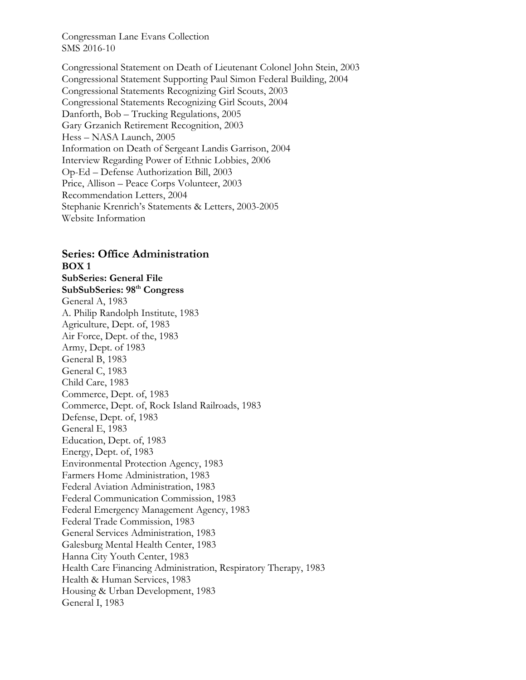Congressional Statement on Death of Lieutenant Colonel John Stein, 2003 Congressional Statement Supporting Paul Simon Federal Building, 2004 Congressional Statements Recognizing Girl Scouts, 2003 Congressional Statements Recognizing Girl Scouts, 2004 Danforth, Bob – Trucking Regulations, 2005 Gary Grzanich Retirement Recognition, 2003 Hess – NASA Launch, 2005 Information on Death of Sergeant Landis Garrison, 2004 Interview Regarding Power of Ethnic Lobbies, 2006 Op-Ed – Defense Authorization Bill, 2003 Price, Allison – Peace Corps Volunteer, 2003 Recommendation Letters, 2004 Stephanie Krenrich's Statements & Letters, 2003-2005 Website Information

# **Series: Office Administration BOX 1**

**SubSeries: General File SubSubSeries: 98th Congress**  General A, 1983 A. Philip Randolph Institute, 1983 Agriculture, Dept. of, 1983 Air Force, Dept. of the, 1983 Army, Dept. of 1983 General B, 1983 General C, 1983 Child Care, 1983 Commerce, Dept. of, 1983 Commerce, Dept. of, Rock Island Railroads, 1983 Defense, Dept. of, 1983 General E, 1983 Education, Dept. of, 1983 Energy, Dept. of, 1983 Environmental Protection Agency, 1983 Farmers Home Administration, 1983 Federal Aviation Administration, 1983 Federal Communication Commission, 1983 Federal Emergency Management Agency, 1983 Federal Trade Commission, 1983 General Services Administration, 1983 Galesburg Mental Health Center, 1983 Hanna City Youth Center, 1983 Health Care Financing Administration, Respiratory Therapy, 1983 Health & Human Services, 1983 Housing & Urban Development, 1983 General I, 1983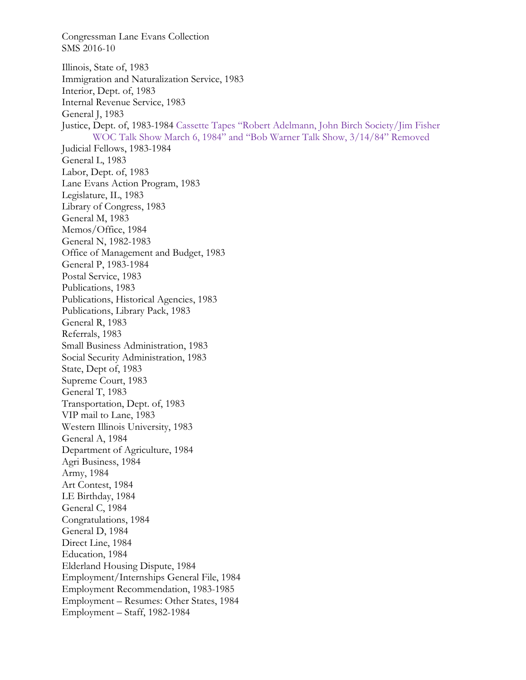Congressman Lane Evans Collection SMS 2016-10 Illinois, State of, 1983 Immigration and Naturalization Service, 1983 Interior, Dept. of, 1983 Internal Revenue Service, 1983 General J, 1983 Justice, Dept. of, 1983-1984 Cassette Tapes "Robert Adelmann, John Birch Society/Jim Fisher WOC Talk Show March 6, 1984" and "Bob Warner Talk Show, 3/14/84" Removed Judicial Fellows, 1983-1984 General L, 1983 Labor, Dept. of, 1983 Lane Evans Action Program, 1983 Legislature, IL, 1983 Library of Congress, 1983 General M, 1983 Memos/Office, 1984 General N, 1982-1983 Office of Management and Budget, 1983 General P, 1983-1984 Postal Service, 1983 Publications, 1983 Publications, Historical Agencies, 1983 Publications, Library Pack, 1983 General R, 1983 Referrals, 1983 Small Business Administration, 1983 Social Security Administration, 1983 State, Dept of, 1983 Supreme Court, 1983 General T, 1983 Transportation, Dept. of, 1983 VIP mail to Lane, 1983 Western Illinois University, 1983 General A, 1984 Department of Agriculture, 1984 Agri Business, 1984 Army, 1984 Art Contest, 1984 LE Birthday, 1984 General C, 1984 Congratulations, 1984 General D, 1984 Direct Line, 1984 Education, 1984 Elderland Housing Dispute, 1984 Employment/Internships General File, 1984 Employment Recommendation, 1983-1985 Employment – Resumes: Other States, 1984 Employment – Staff, 1982-1984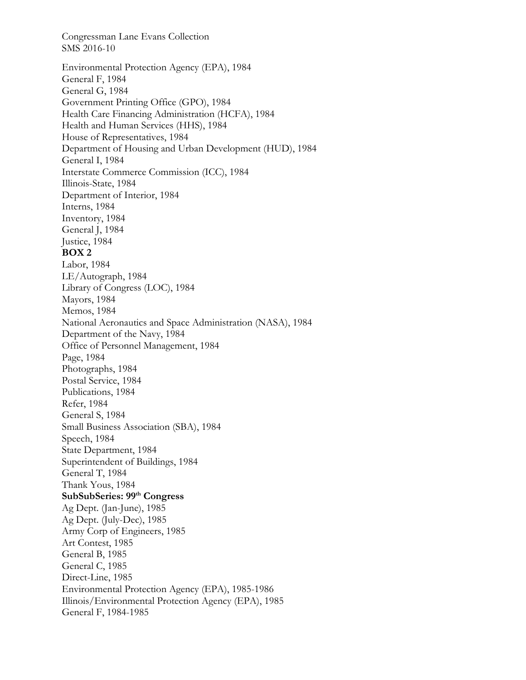Congressman Lane Evans Collection SMS 2016-10 Environmental Protection Agency (EPA), 1984 General F, 1984 General G, 1984 Government Printing Office (GPO), 1984 Health Care Financing Administration (HCFA), 1984 Health and Human Services (HHS), 1984 House of Representatives, 1984 Department of Housing and Urban Development (HUD), 1984 General I, 1984 Interstate Commerce Commission (ICC), 1984 Illinois-State, 1984 Department of Interior, 1984 Interns, 1984 Inventory, 1984 General J, 1984 Justice, 1984 **BOX 2**  Labor, 1984 LE/Autograph, 1984 Library of Congress (LOC), 1984 Mayors, 1984 Memos, 1984 National Aeronautics and Space Administration (NASA), 1984 Department of the Navy, 1984 Office of Personnel Management, 1984 Page, 1984 Photographs, 1984 Postal Service, 1984 Publications, 1984 Refer, 1984 General S, 1984 Small Business Association (SBA), 1984 Speech, 1984 State Department, 1984 Superintendent of Buildings, 1984 General T, 1984 Thank Yous, 1984 **SubSubSeries: 99th Congress**  Ag Dept. (Jan-June), 1985 Ag Dept. (July-Dec), 1985 Army Corp of Engineers, 1985 Art Contest, 1985 General B, 1985 General C, 1985 Direct-Line, 1985 Environmental Protection Agency (EPA), 1985-1986 Illinois/Environmental Protection Agency (EPA), 1985 General F, 1984-1985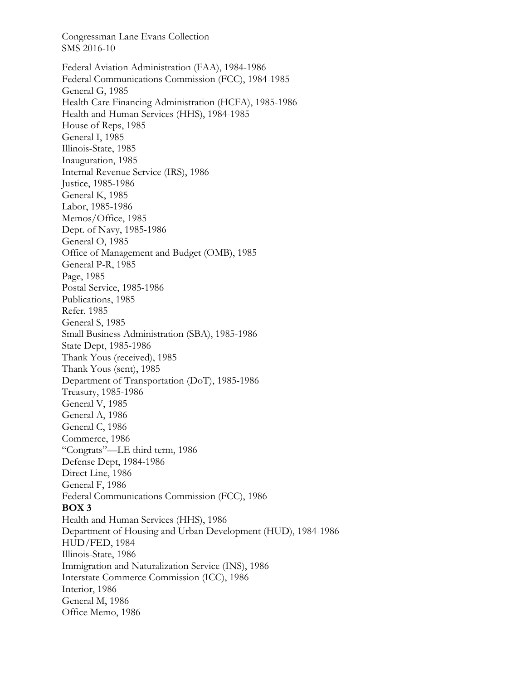Federal Aviation Administration (FAA), 1984-1986 Federal Communications Commission (FCC), 1984-1985 General G, 1985 Health Care Financing Administration (HCFA), 1985-1986 Health and Human Services (HHS), 1984-1985 House of Reps, 1985 General I, 1985 Illinois-State, 1985 Inauguration, 1985 Internal Revenue Service (IRS), 1986 Justice, 1985-1986 General K, 1985 Labor, 1985-1986 Memos/Office, 1985 Dept. of Navy, 1985-1986 General O, 1985 Office of Management and Budget (OMB), 1985 General P-R, 1985 Page, 1985 Postal Service, 1985-1986 Publications, 1985 Refer. 1985 General S, 1985 Small Business Administration (SBA), 1985-1986 State Dept, 1985-1986 Thank Yous (received), 1985 Thank Yous (sent), 1985 Department of Transportation (DoT), 1985-1986 Treasury, 1985-1986 General V, 1985 General A, 1986 General C, 1986 Commerce, 1986 "Congrats"—LE third term, 1986 Defense Dept, 1984-1986 Direct Line, 1986 General F, 1986 Federal Communications Commission (FCC), 1986 **BOX 3**  Health and Human Services (HHS), 1986 Department of Housing and Urban Development (HUD), 1984-1986 HUD/FED, 1984 Illinois-State, 1986 Immigration and Naturalization Service (INS), 1986 Interstate Commerce Commission (ICC), 1986 Interior, 1986 General M, 1986 Office Memo, 1986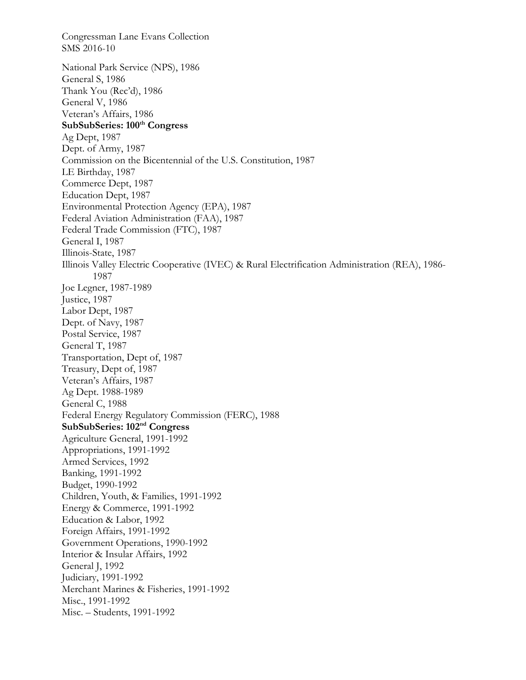Congressman Lane Evans Collection SMS 2016-10 National Park Service (NPS), 1986 General S, 1986 Thank You (Rec'd), 1986 General V, 1986 Veteran's Affairs, 1986 SubSubSeries: 100<sup>th</sup> Congress Ag Dept, 1987 Dept. of Army, 1987 Commission on the Bicentennial of the U.S. Constitution, 1987 LE Birthday, 1987 Commerce Dept, 1987 Education Dept, 1987 Environmental Protection Agency (EPA), 1987 Federal Aviation Administration (FAA), 1987 Federal Trade Commission (FTC), 1987 General I, 1987 Illinois-State, 1987 Illinois Valley Electric Cooperative (IVEC) & Rural Electrification Administration (REA), 1986- 1987 Joe Legner, 1987-1989 Justice, 1987 Labor Dept, 1987 Dept. of Navy, 1987 Postal Service, 1987 General T, 1987 Transportation, Dept of, 1987 Treasury, Dept of, 1987 Veteran's Affairs, 1987 Ag Dept. 1988-1989 General C, 1988 Federal Energy Regulatory Commission (FERC), 1988 **SubSubSeries: 102nd Congress** Agriculture General, 1991-1992 Appropriations, 1991-1992 Armed Services, 1992 Banking, 1991-1992 Budget, 1990-1992 Children, Youth, & Families, 1991-1992 Energy & Commerce, 1991-1992 Education & Labor, 1992 Foreign Affairs, 1991-1992 Government Operations, 1990-1992 Interior & Insular Affairs, 1992 General J, 1992 Judiciary, 1991-1992 Merchant Marines & Fisheries, 1991-1992 Misc., 1991-1992 Misc. – Students, 1991-1992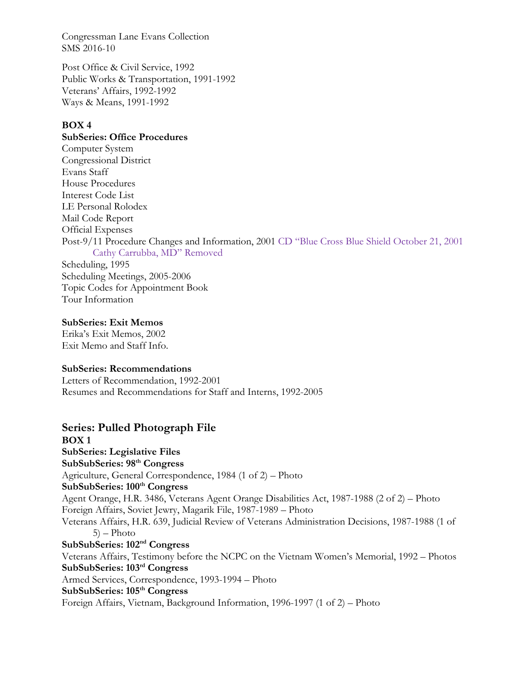Post Office & Civil Service, 1992 Public Works & Transportation, 1991-1992 Veterans' Affairs, 1992-1992 Ways & Means, 1991-1992

# **BOX 4**

# **SubSeries: Office Procedures**

Computer System Congressional District Evans Staff House Procedures Interest Code List LE Personal Rolodex Mail Code Report Official Expenses Post-9/11 Procedure Changes and Information, 2001 CD "Blue Cross Blue Shield October 21, 2001 Cathy Carrubba, MD" Removed Scheduling, 1995 Scheduling Meetings, 2005-2006

Topic Codes for Appointment Book Tour Information

### **SubSeries: Exit Memos**

Erika's Exit Memos, 2002 Exit Memo and Staff Info.

### **SubSeries: Recommendations**

Letters of Recommendation, 1992-2001 Resumes and Recommendations for Staff and Interns, 1992-2005

# **Series: Pulled Photograph File**

**BOX 1 SubSeries: Legislative Files SubSubSeries: 98th Congress**  Agriculture, General Correspondence, 1984 (1 of 2) – Photo SubSubSeries:  $100<sup>th</sup> Congress$ Agent Orange, H.R. 3486, Veterans Agent Orange Disabilities Act, 1987-1988 (2 of 2) – Photo Foreign Affairs, Soviet Jewry, Magarik File, 1987-1989 – Photo Veterans Affairs, H.R. 639, Judicial Review of Veterans Administration Decisions, 1987-1988 (1 of  $5$ ) – Photo **SubSubSeries: 102nd Congress**  Veterans Affairs, Testimony before the NCPC on the Vietnam Women's Memorial, 1992 – Photos **SubSubSeries: 103rd Congress**  Armed Services, Correspondence, 1993-1994 – Photo **SubSubSeries: 105th Congress**  Foreign Affairs, Vietnam, Background Information, 1996-1997 (1 of 2) – Photo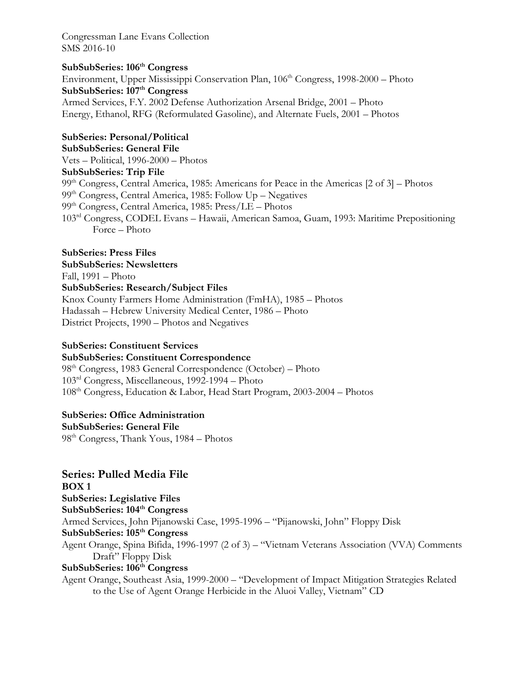# **SubSubSeries: 106th Congress**  Environment, Upper Mississippi Conservation Plan, 106<sup>th</sup> Congress, 1998-2000 – Photo SubSubSeries: 107<sup>th</sup> Congress

Armed Services, F.Y. 2002 Defense Authorization Arsenal Bridge, 2001 – Photo Energy, Ethanol, RFG (Reformulated Gasoline), and Alternate Fuels, 2001 – Photos

**SubSeries: Personal/Political SubSubSeries: General File**  Vets – Political, 1996-2000 – Photos **SubSubSeries: Trip File**   $99<sup>th</sup> Congress, Central America, 1985: Americans for Peace in the Americans [2 of 3] – Photos$ 99th Congress, Central America, 1985: Follow Up – Negatives 99th Congress, Central America, 1985: Press/LE – Photos 103rd Congress, CODEL Evans – Hawaii, American Samoa, Guam, 1993: Maritime Prepositioning Force – Photo

# **SubSeries: Press Files**

## **SubSubSeries: Newsletters**  Fall, 1991 – Photo **SubSubSeries: Research/Subject Files**

Knox County Farmers Home Administration (FmHA), 1985 – Photos Hadassah – Hebrew University Medical Center, 1986 – Photo District Projects, 1990 – Photos and Negatives

# **SubSeries: Constituent Services**

# **SubSubSeries: Constituent Correspondence**

98th Congress, 1983 General Correspondence (October) – Photo 103rd Congress, Miscellaneous, 1992-1994 – Photo 108th Congress, Education & Labor, Head Start Program, 2003-2004 – Photos

# **SubSeries: Office Administration**

**SubSubSeries: General File** 

98th Congress, Thank Yous, 1984 – Photos

# **Series: Pulled Media File**

**BOX 1 SubSeries: Legislative Files SubSubSeries: 104th Congress**  Armed Services, John Pijanowski Case, 1995-1996 – "Pijanowski, John" Floppy Disk **SubSubSeries: 105th Congress**  Agent Orange, Spina Bifida, 1996-1997 (2 of 3) – "Vietnam Veterans Association (VVA) Comments Draft" Floppy Disk **SubSubSeries: 106th Congress** 

Agent Orange, Southeast Asia, 1999-2000 – "Development of Impact Mitigation Strategies Related to the Use of Agent Orange Herbicide in the Aluoi Valley, Vietnam" CD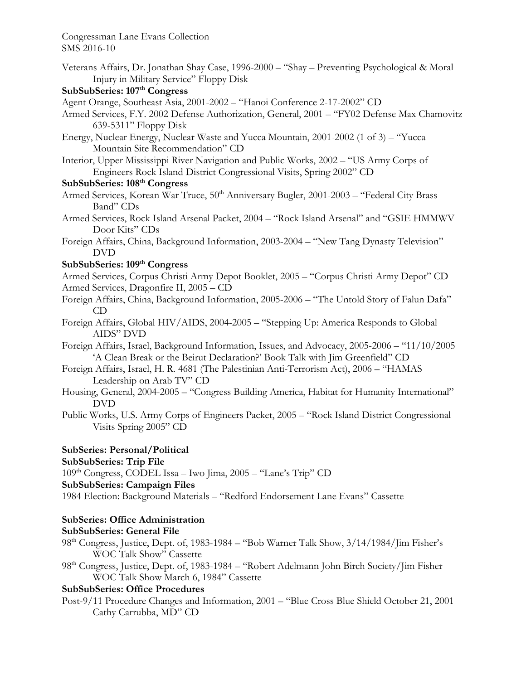Veterans Affairs, Dr. Jonathan Shay Case, 1996-2000 – "Shay – Preventing Psychological & Moral Injury in Military Service" Floppy Disk

## **SubSubSeries: 107th Congress**

- Agent Orange, Southeast Asia, 2001-2002 "Hanoi Conference 2-17-2002" CD
- Armed Services, F.Y. 2002 Defense Authorization, General, 2001 "FY02 Defense Max Chamovitz 639-5311" Floppy Disk
- Energy, Nuclear Energy, Nuclear Waste and Yucca Mountain, 2001-2002 (1 of 3) "Yucca Mountain Site Recommendation" CD
- Interior, Upper Mississippi River Navigation and Public Works, 2002 "US Army Corps of Engineers Rock Island District Congressional Visits, Spring 2002" CD

# **SubSubSeries: 108th Congress**

- Armed Services, Korean War Truce, 50<sup>th</sup> Anniversary Bugler, 2001-2003 "Federal City Brass Band" CDs
- Armed Services, Rock Island Arsenal Packet, 2004 "Rock Island Arsenal" and "GSIE HMMWV Door Kits" CDs
- Foreign Affairs, China, Background Information, 2003-2004 "New Tang Dynasty Television" DVD

# **SubSubSeries: 109th Congress**

Armed Services, Corpus Christi Army Depot Booklet, 2005 – "Corpus Christi Army Depot" CD Armed Services, Dragonfire II, 2005 – CD

- Foreign Affairs, China, Background Information, 2005-2006 "The Untold Story of Falun Dafa" CD
- Foreign Affairs, Global HIV/AIDS, 2004-2005 "Stepping Up: America Responds to Global AIDS" DVD
- Foreign Affairs, Israel, Background Information, Issues, and Advocacy, 2005-2006 "11/10/2005 'A Clean Break or the Beirut Declaration?' Book Talk with Jim Greenfield" CD
- Foreign Affairs, Israel, H. R. 4681 (The Palestinian Anti-Terrorism Act), 2006 "HAMAS Leadership on Arab TV" CD
- Housing, General, 2004-2005 "Congress Building America, Habitat for Humanity International" DVD
- Public Works, U.S. Army Corps of Engineers Packet, 2005 "Rock Island District Congressional Visits Spring 2005" CD

## **SubSeries: Personal/Political**

### **SubSubSeries: Trip File**

109th Congress, CODEL Issa – Iwo Jima, 2005 – "Lane's Trip" CD

### **SubSubSeries: Campaign Files**

1984 Election: Background Materials – "Redford Endorsement Lane Evans" Cassette

# **SubSeries: Office Administration**

### **SubSubSeries: General File**

- 98th Congress, Justice, Dept. of, 1983-1984 "Bob Warner Talk Show, 3/14/1984/Jim Fisher's WOC Talk Show" Cassette
- 98th Congress, Justice, Dept. of, 1983-1984 "Robert Adelmann John Birch Society/Jim Fisher WOC Talk Show March 6, 1984" Cassette

# **SubSubSeries: Office Procedures**

Post-9/11 Procedure Changes and Information, 2001 – "Blue Cross Blue Shield October 21, 2001 Cathy Carrubba, MD" CD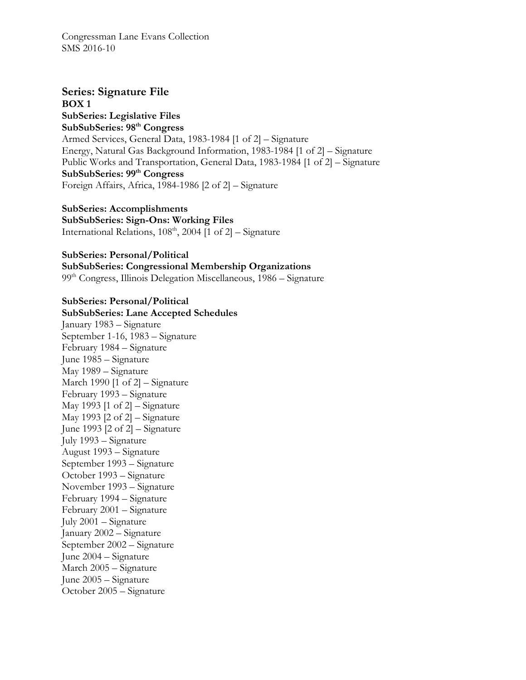### **Series: Signature File BOX 1**

**SubSeries: Legislative Files SubSubSeries: 98th Congress**  Armed Services, General Data, 1983-1984 [1 of 2] – Signature Energy, Natural Gas Background Information, 1983-1984 [1 of 2] – Signature Public Works and Transportation, General Data, 1983-1984 [1 of 2] – Signature **SubSubSeries: 99th Congress**  Foreign Affairs, Africa, 1984-1986 [2 of 2] – Signature

# **SubSeries: Accomplishments SubSubSeries: Sign-Ons: Working Files**

International Relations,  $108<sup>th</sup>$ ,  $2004$  [1 of 2] – Signature

**SubSeries: Personal/Political SubSubSeries: Congressional Membership Organizations**  99<sup>th</sup> Congress, Illinois Delegation Miscellaneous, 1986 – Signature

### **SubSeries: Personal/Political SubSubSeries: Lane Accepted Schedules**

January 1983 – Signature September 1-16, 1983 – Signature February 1984 – Signature June 1985 – Signature May 1989 – Signature March 1990 [1 of 2] – Signature February 1993 – Signature May 1993  $[1 \text{ of } 2]$  – Signature May 1993 [2 of 2] – Signature June 1993 [2 of 2] – Signature July 1993 – Signature August 1993 – Signature September 1993 – Signature October 1993 – Signature November 1993 – Signature February 1994 – Signature February 2001 – Signature July 2001 – Signature January 2002 – Signature September 2002 – Signature June 2004 – Signature March 2005 – Signature June 2005 – Signature October 2005 – Signature